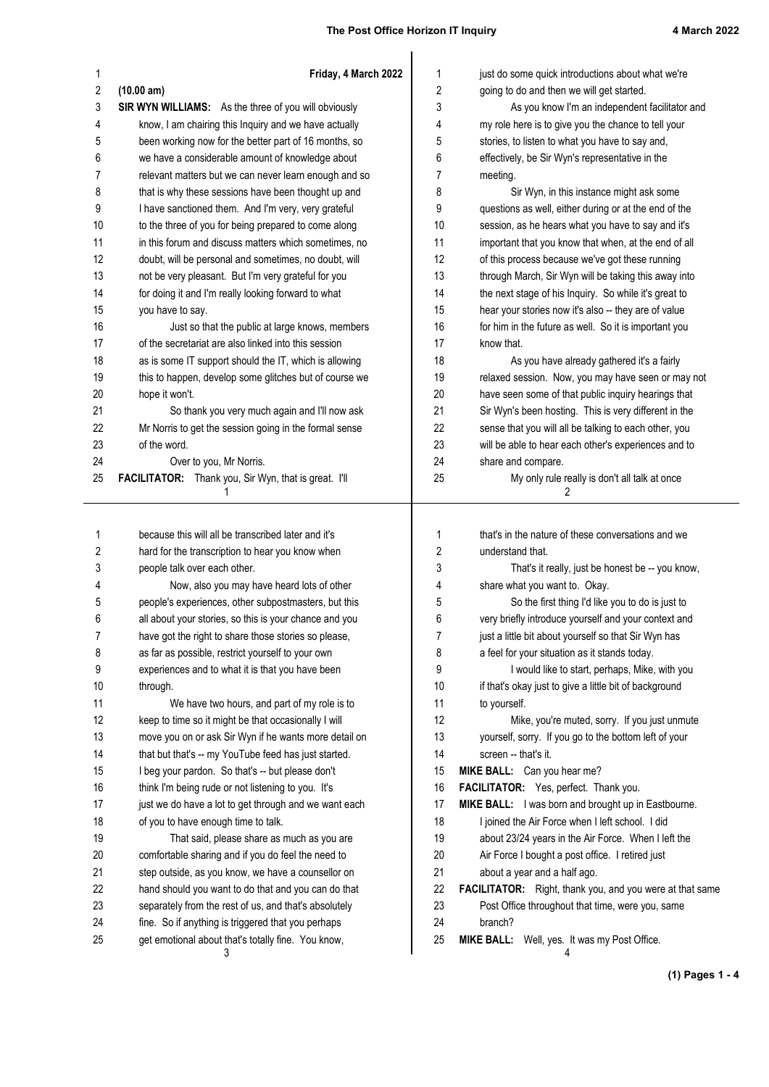| 1                | Friday, 4 March 2022                                                                                    | 1        | just do some quick introductions about what we're                   |
|------------------|---------------------------------------------------------------------------------------------------------|----------|---------------------------------------------------------------------|
| $\boldsymbol{2}$ | (10.00 am)                                                                                              | 2        | going to do and then we will get started.                           |
| 3                | SIR WYN WILLIAMS: As the three of you will obviously                                                    | 3        | As you know I'm an independent facilitator and                      |
| 4                | know, I am chairing this Inquiry and we have actually                                                   | 4        | my role here is to give you the chance to tell your                 |
| 5                | been working now for the better part of 16 months, so                                                   | 5        | stories, to listen to what you have to say and,                     |
| 6                | we have a considerable amount of knowledge about                                                        | 6        | effectively, be Sir Wyn's representative in the                     |
| 7                | relevant matters but we can never learn enough and so                                                   | 7        | meeting.                                                            |
| 8                | that is why these sessions have been thought up and                                                     | 8        | Sir Wyn, in this instance might ask some                            |
| 9                | I have sanctioned them. And I'm very, very grateful                                                     | 9        | questions as well, either during or at the end of the               |
| 10               | to the three of you for being prepared to come along                                                    | 10       | session, as he hears what you have to say and it's                  |
| 11               | in this forum and discuss matters which sometimes, no                                                   | 11       | important that you know that when, at the end of all                |
| 12               | doubt, will be personal and sometimes, no doubt, will                                                   | 12       | of this process because we've got these running                     |
| 13               | not be very pleasant. But I'm very grateful for you                                                     | 13       | through March, Sir Wyn will be taking this away into                |
| 14               | for doing it and I'm really looking forward to what<br>you have to say.                                 | 14<br>15 | the next stage of his Inquiry. So while it's great to               |
| 15<br>16         |                                                                                                         | 16       | hear your stories now it's also -- they are of value                |
| 17               | Just so that the public at large knows, members<br>of the secretariat are also linked into this session | 17       | for him in the future as well. So it is important you<br>know that. |
| 18               | as is some IT support should the IT, which is allowing                                                  | 18       | As you have already gathered it's a fairly                          |
| 19               | this to happen, develop some glitches but of course we                                                  | 19       | relaxed session. Now, you may have seen or may not                  |
| 20               | hope it won't.                                                                                          | 20       | have seen some of that public inquiry hearings that                 |
| 21               | So thank you very much again and I'll now ask                                                           | 21       | Sir Wyn's been hosting. This is very different in the               |
| 22               | Mr Norris to get the session going in the formal sense                                                  | 22       | sense that you will all be talking to each other, you               |
| 23               | of the word.                                                                                            | 23       | will be able to hear each other's experiences and to                |
| 24               | Over to you, Mr Norris.                                                                                 | 24       | share and compare.                                                  |
| 25               | FACILITATOR: Thank you, Sir Wyn, that is great. I'll                                                    | 25       | My only rule really is don't all talk at once                       |
|                  | 1                                                                                                       |          | 2                                                                   |
|                  |                                                                                                         |          |                                                                     |
| 1                | because this will all be transcribed later and it's                                                     | 1        | that's in the nature of these conversations and we                  |
| 2                | hard for the transcription to hear you know when                                                        | 2        | understand that.                                                    |
| 3                | people talk over each other.                                                                            | 3        | That's it really, just be honest be -- you know,                    |
| 4                | Now, also you may have heard lots of other                                                              | 4        | share what you want to. Okay.                                       |
| 5                | people's experiences, other subpostmasters, but this                                                    | 5        | So the first thing I'd like you to do is just to                    |
| 6                | all about your stories, so this is your chance and you                                                  | 6        | very briefly introduce yourself and your context and                |
| 7                | have got the right to share those stories so please,                                                    | 7        | just a little bit about yourself so that Sir Wyn has                |
| 8                | as far as possible, restrict yourself to your own                                                       | 8        | a feel for your situation as it stands today.                       |
| 9                | experiences and to what it is that you have been                                                        | 9        | I would like to start, perhaps, Mike, with you                      |
| 10               | through.                                                                                                | 10       | if that's okay just to give a little bit of background              |
| 11               | We have two hours, and part of my role is to                                                            | 11       | to yourself.                                                        |
| 12               | keep to time so it might be that occasionally I will                                                    | 12       | Mike, you're muted, sorry. If you just unmute                       |
| 13               | move you on or ask Sir Wyn if he wants more detail on                                                   | 13       | yourself, sorry. If you go to the bottom left of your               |
| 14               | that but that's -- my YouTube feed has just started.                                                    | 14       | screen -- that's it.                                                |
| 15               | I beg your pardon. So that's -- but please don't                                                        | 15       | MIKE BALL: Can you hear me?                                         |
| 16               | think I'm being rude or not listening to you. It's                                                      | 16       | FACILITATOR: Yes, perfect. Thank you.                               |
| 17               | just we do have a lot to get through and we want each                                                   | 17       | MIKE BALL: I was born and brought up in Eastbourne.                 |
| 18               | of you to have enough time to talk.                                                                     | 18       | I joined the Air Force when I left school. I did                    |
| 19               | That said, please share as much as you are                                                              | 19       | about 23/24 years in the Air Force. When I left the                 |
| 20               | comfortable sharing and if you do feel the need to                                                      | 20       | Air Force I bought a post office. I retired just                    |
| 21               | step outside, as you know, we have a counsellor on                                                      | 21       | about a year and a half ago.                                        |
| 22               | hand should you want to do that and you can do that                                                     | 22       | FACILITATOR: Right, thank you, and you were at that same            |
| 23               | separately from the rest of us, and that's absolutely                                                   | 23       | Post Office throughout that time, were you, same                    |
| 24               | fine. So if anything is triggered that you perhaps                                                      | 24       | branch?                                                             |
| 25               | get emotional about that's totally fine. You know,<br>3                                                 | 25       | MIKE BALL: Well, yes. It was my Post Office.<br>4                   |

**(1) Pages 1 - 4**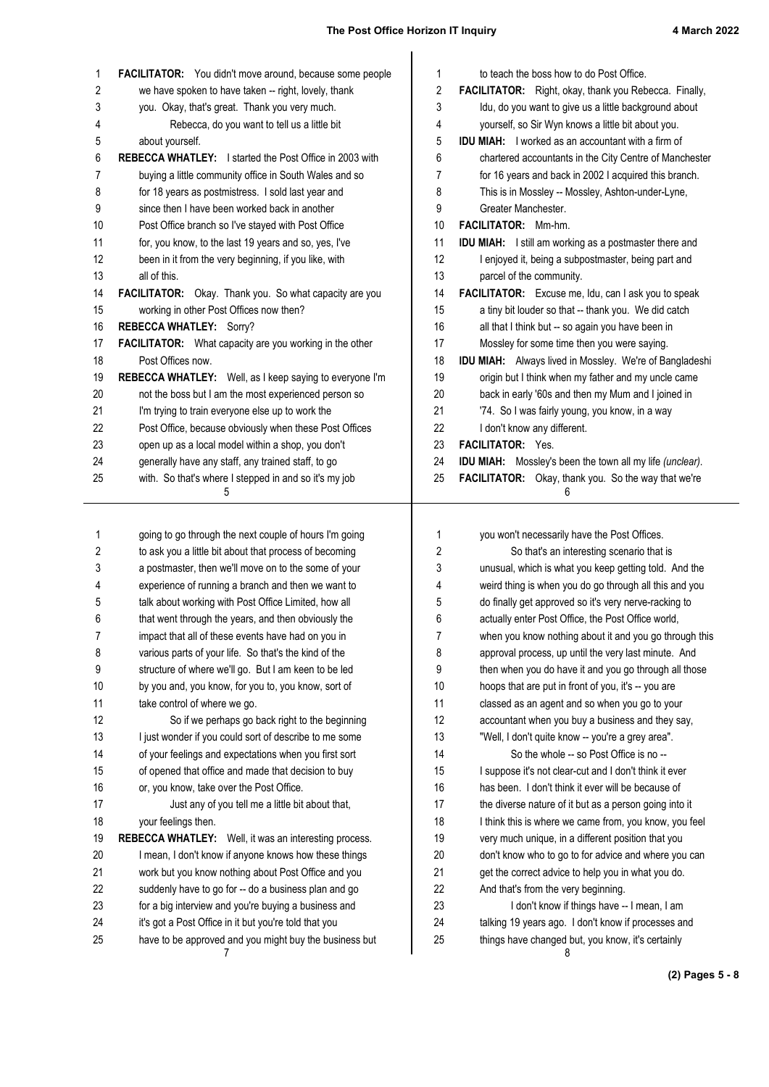| 1        | FACILITATOR: You didn't move around, because some people                                                        | 1                | to teach the boss how to do Post Office.                                                                 |
|----------|-----------------------------------------------------------------------------------------------------------------|------------------|----------------------------------------------------------------------------------------------------------|
| 2        | we have spoken to have taken -- right, lovely, thank                                                            | $\boldsymbol{2}$ | FACILITATOR: Right, okay, thank you Rebecca. Finally,                                                    |
| 3        | you. Okay, that's great. Thank you very much.                                                                   | 3                | Idu, do you want to give us a little background about                                                    |
| 4        | Rebecca, do you want to tell us a little bit                                                                    | 4                | yourself, so Sir Wyn knows a little bit about you.                                                       |
| 5        | about yourself.                                                                                                 | 5                | <b>IDU MIAH:</b> I worked as an accountant with a firm of                                                |
| 6        | <b>REBECCA WHATLEY:</b> I started the Post Office in 2003 with                                                  | 6                | chartered accountants in the City Centre of Manchester                                                   |
| 7        | buying a little community office in South Wales and so                                                          | 7                | for 16 years and back in 2002 I acquired this branch.                                                    |
| 8        | for 18 years as postmistress. I sold last year and                                                              | 8                | This is in Mossley -- Mossley, Ashton-under-Lyne,                                                        |
| 9        | since then I have been worked back in another                                                                   | 9                | Greater Manchester.                                                                                      |
| 10       | Post Office branch so I've stayed with Post Office                                                              | 10               | <b>FACILITATOR:</b> Mm-hm.                                                                               |
| 11       | for, you know, to the last 19 years and so, yes, I've                                                           | 11               | IDU MIAH: I still am working as a postmaster there and                                                   |
| 12       | been in it from the very beginning, if you like, with                                                           | 12               | I enjoyed it, being a subpostmaster, being part and                                                      |
| 13       | all of this.                                                                                                    | 13               | parcel of the community.                                                                                 |
| 14       | FACILITATOR: Okay. Thank you. So what capacity are you                                                          | 14               | FACILITATOR: Excuse me, Idu, can I ask you to speak                                                      |
| 15       | working in other Post Offices now then?                                                                         | 15               | a tiny bit louder so that -- thank you. We did catch                                                     |
| 16       | <b>REBECCA WHATLEY: Sorry?</b>                                                                                  | 16               | all that I think but -- so again you have been in                                                        |
| 17       | FACILITATOR: What capacity are you working in the other                                                         | 17               | Mossley for some time then you were saying.                                                              |
| 18       | Post Offices now.                                                                                               | 18               | IDU MIAH: Always lived in Mossley. We're of Bangladeshi                                                  |
| 19       | REBECCA WHATLEY: Well, as I keep saying to everyone I'm                                                         | 19               | origin but I think when my father and my uncle came                                                      |
| 20       | not the boss but I am the most experienced person so                                                            | 20               | back in early '60s and then my Mum and I joined in                                                       |
| 21       | I'm trying to train everyone else up to work the                                                                | 21               | '74. So I was fairly young, you know, in a way                                                           |
| 22       | Post Office, because obviously when these Post Offices                                                          | 22               | I don't know any different.                                                                              |
| 23       | open up as a local model within a shop, you don't                                                               | 23               | FACILITATOR: Yes.                                                                                        |
| 24       | generally have any staff, any trained staff, to go                                                              | 24               | <b>IDU MIAH:</b> Mossley's been the town all my life (unclear).                                          |
| 25       | with. So that's where I stepped in and so it's my job                                                           | 25               | FACILITATOR: Okay, thank you. So the way that we're                                                      |
|          | 5                                                                                                               |                  | 6                                                                                                        |
|          |                                                                                                                 |                  |                                                                                                          |
|          |                                                                                                                 |                  |                                                                                                          |
| 1        | going to go through the next couple of hours I'm going                                                          | 1                | you won't necessarily have the Post Offices.                                                             |
| 2        | to ask you a little bit about that process of becoming                                                          | 2                | So that's an interesting scenario that is                                                                |
| 3        | a postmaster, then we'll move on to the some of your                                                            | 3                | unusual, which is what you keep getting told. And the                                                    |
| 4        | experience of running a branch and then we want to                                                              | 4                | weird thing is when you do go through all this and you                                                   |
| 5        | talk about working with Post Office Limited, how all                                                            | 5                | do finally get approved so it's very nerve-racking to                                                    |
| 6        | that went through the years, and then obviously the                                                             | 6                | actually enter Post Office, the Post Office world.                                                       |
| 7        | impact that all of these events have had on you in                                                              | 7                | when you know nothing about it and you go through this                                                   |
| 8        | various parts of your life. So that's the kind of the                                                           | 8                | approval process, up until the very last minute. And                                                     |
| 9        | structure of where we'll go. But I am keen to be led                                                            | 9                | then when you do have it and you go through all those                                                    |
| 10       | by you and, you know, for you to, you know, sort of                                                             | 10               | hoops that are put in front of you, it's -- you are                                                      |
| 11       | take control of where we go.                                                                                    | 11               | classed as an agent and so when you go to your                                                           |
| 12       | So if we perhaps go back right to the beginning                                                                 | 12               | accountant when you buy a business and they say,                                                         |
| 13       | I just wonder if you could sort of describe to me some                                                          | 13               | "Well, I don't quite know -- you're a grey area".                                                        |
| 14       | of your feelings and expectations when you first sort                                                           | 14               | So the whole -- so Post Office is no --                                                                  |
| 15       | of opened that office and made that decision to buy                                                             | 15               | I suppose it's not clear-cut and I don't think it ever                                                   |
| 16       | or, you know, take over the Post Office.                                                                        | 16               | has been. I don't think it ever will be because of                                                       |
| 17       | Just any of you tell me a little bit about that,                                                                | 17               | the diverse nature of it but as a person going into it                                                   |
| 18       | your feelings then.                                                                                             | 18               | I think this is where we came from, you know, you feel                                                   |
| 19       | REBECCA WHATLEY: Well, it was an interesting process.                                                           | 19               | very much unique, in a different position that you                                                       |
| 20       | I mean, I don't know if anyone knows how these things                                                           | 20               | don't know who to go to for advice and where you can                                                     |
| 21       | work but you know nothing about Post Office and you                                                             | 21               | get the correct advice to help you in what you do.                                                       |
| 22       | suddenly have to go for -- do a business plan and go                                                            | 22               | And that's from the very beginning.                                                                      |
| 23       | for a big interview and you're buying a business and                                                            | 23               | I don't know if things have -- I mean, I am                                                              |
| 24<br>25 | it's got a Post Office in it but you're told that you<br>have to be approved and you might buy the business but | 24<br>25         | talking 19 years ago. I don't know if processes and<br>things have changed but, you know, it's certainly |

**(2) Pages 5 - 8**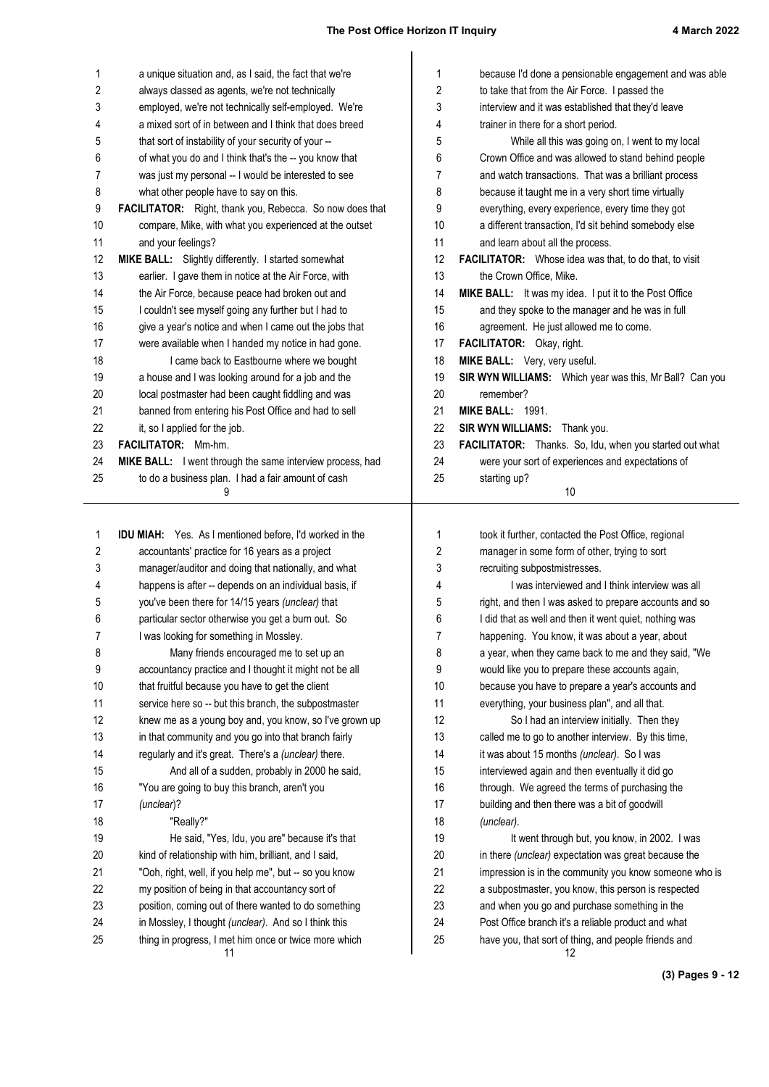| 1        | a unique situation and, as I said, the fact that we're                                                        | 1        | because I'd done a pensionable engagement and was able                                                      |
|----------|---------------------------------------------------------------------------------------------------------------|----------|-------------------------------------------------------------------------------------------------------------|
| 2        | always classed as agents, we're not technically                                                               | 2        | to take that from the Air Force. I passed the                                                               |
| 3        | employed, we're not technically self-employed. We're                                                          | 3        | interview and it was established that they'd leave                                                          |
| 4        | a mixed sort of in between and I think that does breed                                                        | 4        | trainer in there for a short period.                                                                        |
| 5        | that sort of instability of your security of your --                                                          | 5        | While all this was going on, I went to my local                                                             |
| 6        | of what you do and I think that's the -- you know that                                                        | 6        | Crown Office and was allowed to stand behind people                                                         |
| 7        | was just my personal -- I would be interested to see                                                          | 7        | and watch transactions. That was a brilliant process                                                        |
| 8        | what other people have to say on this.                                                                        | 8        | because it taught me in a very short time virtually                                                         |
| 9        | FACILITATOR: Right, thank you, Rebecca. So now does that                                                      | 9        | everything, every experience, every time they got                                                           |
| 10       | compare, Mike, with what you experienced at the outset                                                        | 10       | a different transaction, I'd sit behind somebody else                                                       |
| 11       | and your feelings?                                                                                            | 11       | and learn about all the process.                                                                            |
| 12       | MIKE BALL: Slightly differently. I started somewhat                                                           | 12       | <b>FACILITATOR:</b> Whose idea was that, to do that, to visit                                               |
| 13       | earlier. I gave them in notice at the Air Force, with                                                         | 13       | the Crown Office, Mike.                                                                                     |
| 14       | the Air Force, because peace had broken out and                                                               | 14       | MIKE BALL: It was my idea. I put it to the Post Office                                                      |
| 15       | I couldn't see myself going any further but I had to                                                          | 15       | and they spoke to the manager and he was in full                                                            |
| 16       | give a year's notice and when I came out the jobs that                                                        | 16       | agreement. He just allowed me to come.                                                                      |
| 17       | were available when I handed my notice in had gone.                                                           | 17       | FACILITATOR: Okay, right.                                                                                   |
| 18       | I came back to Eastbourne where we bought                                                                     | 18       | MIKE BALL: Very, very useful.                                                                               |
| 19       | a house and I was looking around for a job and the                                                            | 19       | SIR WYN WILLIAMS: Which year was this, Mr Ball? Can you                                                     |
| 20       | local postmaster had been caught fiddling and was                                                             | 20       | remember?                                                                                                   |
| 21       | banned from entering his Post Office and had to sell                                                          | 21       | <b>MIKE BALL: 1991.</b>                                                                                     |
| 22       | it, so I applied for the job.                                                                                 | 22       | SIR WYN WILLIAMS: Thank you.                                                                                |
| 23       | FACILITATOR: Mm-hm.                                                                                           | 23       | FACILITATOR: Thanks. So, Idu, when you started out what                                                     |
| 24       | MIKE BALL: I went through the same interview process, had                                                     | 24       | were your sort of experiences and expectations of                                                           |
| 25       | to do a business plan. I had a fair amount of cash<br>9                                                       | 25       | starting up?<br>10                                                                                          |
|          |                                                                                                               |          |                                                                                                             |
|          |                                                                                                               |          |                                                                                                             |
|          |                                                                                                               |          |                                                                                                             |
| 1        | <b>IDU MIAH:</b> Yes. As I mentioned before, I'd worked in the                                                | 1        | took it further, contacted the Post Office, regional                                                        |
| 2        | accountants' practice for 16 years as a project                                                               | 2        | manager in some form of other, trying to sort                                                               |
| 3        | manager/auditor and doing that nationally, and what                                                           | 3        | recruiting subpostmistresses.                                                                               |
| 4        | happens is after -- depends on an individual basis, if                                                        | 4        | I was interviewed and I think interview was all                                                             |
| 5        | you've been there for 14/15 years (unclear) that                                                              | 5        | right, and then I was asked to prepare accounts and so                                                      |
| 6        | particular sector otherwise you get a burn out. So                                                            | 6        | I did that as well and then it went quiet, nothing was                                                      |
| 7        | I was looking for something in Mossley.                                                                       | 7        | happening. You know, it was about a year, about                                                             |
| 8        | Many friends encouraged me to set up an                                                                       | 8        | a year, when they came back to me and they said, "We                                                        |
| 9        | accountancy practice and I thought it might not be all                                                        | 9        | would like you to prepare these accounts again,                                                             |
| 10       | that fruitful because you have to get the client                                                              | 10       | because you have to prepare a year's accounts and                                                           |
| 11       | service here so -- but this branch, the subpostmaster                                                         | 11       | everything, your business plan", and all that.                                                              |
| 12       | knew me as a young boy and, you know, so I've grown up                                                        | 12       | So I had an interview initially. Then they                                                                  |
| 13       | in that community and you go into that branch fairly                                                          | 13       | called me to go to another interview. By this time,                                                         |
| 14       | regularly and it's great. There's a (unclear) there.                                                          | 14       | it was about 15 months (unclear). So I was                                                                  |
| 15       | And all of a sudden, probably in 2000 he said,                                                                | 15       | interviewed again and then eventually it did go                                                             |
| 16       | "You are going to buy this branch, aren't you                                                                 | 16       | through. We agreed the terms of purchasing the                                                              |
| 17       | (unclear)?                                                                                                    | 17       | building and then there was a bit of goodwill                                                               |
| 18       | "Really?"                                                                                                     | 18       | (unclear).                                                                                                  |
| 19       | He said, "Yes, Idu, you are" because it's that                                                                | 19       | It went through but, you know, in 2002. I was                                                               |
| 20       | kind of relationship with him, brilliant, and I said,                                                         | 20       | in there (unclear) expectation was great because the                                                        |
| 21       | "Ooh, right, well, if you help me", but -- so you know                                                        | 21       | impression is in the community you know someone who is                                                      |
| 22       | my position of being in that accountancy sort of                                                              | 22       | a subpostmaster, you know, this person is respected                                                         |
| 23       | position, coming out of there wanted to do something                                                          | 23       | and when you go and purchase something in the                                                               |
| 24<br>25 | in Mossley, I thought (unclear). And so I think this<br>thing in progress, I met him once or twice more which | 24<br>25 | Post Office branch it's a reliable product and what<br>have you, that sort of thing, and people friends and |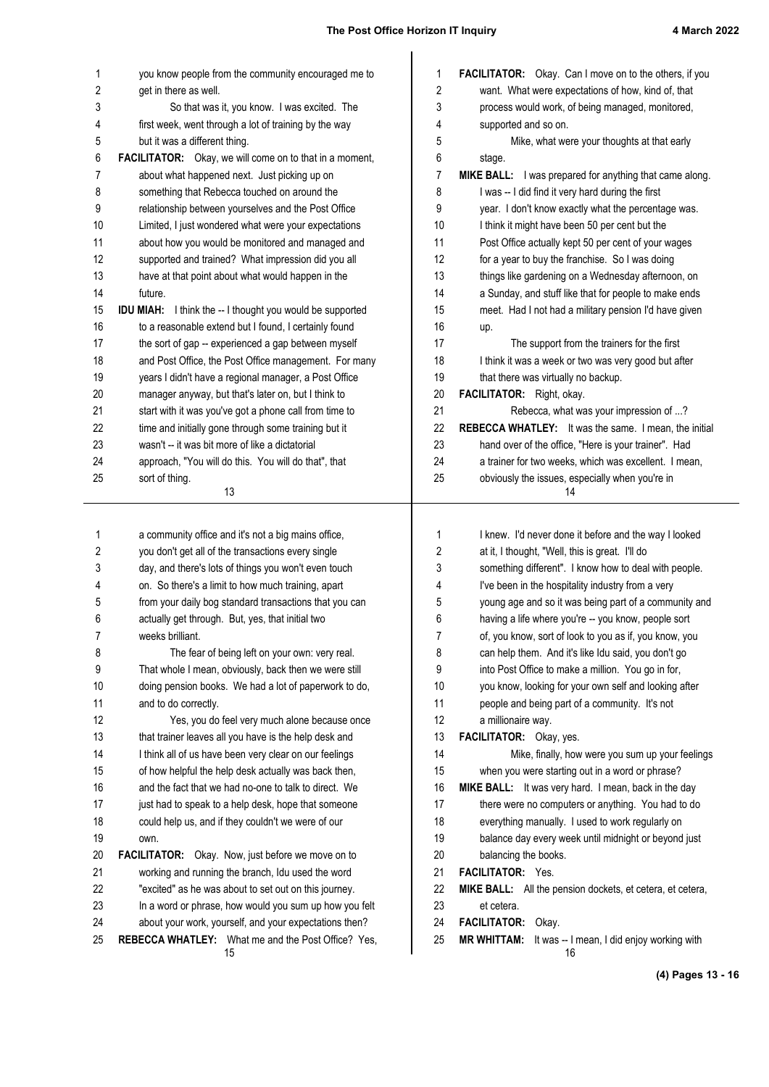| 1          | you know people from the community encouraged me to              | 1  | <b>FACILITATOR:</b> Okay. Can I move on to the others, if you |
|------------|------------------------------------------------------------------|----|---------------------------------------------------------------|
| $\sqrt{2}$ | get in there as well.                                            | 2  | want. What were expectations of how, kind of, that            |
| 3          | So that was it, you know. I was excited. The                     | 3  | process would work, of being managed, monitored,              |
| 4          | first week, went through a lot of training by the way            | 4  | supported and so on.                                          |
| 5          | but it was a different thing.                                    | 5  | Mike, what were your thoughts at that early                   |
| 6          | FACILITATOR: Okay, we will come on to that in a moment,          | 6  | stage.                                                        |
| 7          | about what happened next. Just picking up on                     | 7  | MIKE BALL: I was prepared for anything that came along.       |
| 8          | something that Rebecca touched on around the                     | 8  | I was -- I did find it very hard during the first             |
| 9          | relationship between yourselves and the Post Office              | 9  | year. I don't know exactly what the percentage was.           |
| 10         | Limited, I just wondered what were your expectations             | 10 | I think it might have been 50 per cent but the                |
| 11         | about how you would be monitored and managed and                 | 11 | Post Office actually kept 50 per cent of your wages           |
| 12         | supported and trained? What impression did you all               | 12 | for a year to buy the franchise. So I was doing               |
| 13         | have at that point about what would happen in the                | 13 | things like gardening on a Wednesday afternoon, on            |
| 14         | future.                                                          | 14 | a Sunday, and stuff like that for people to make ends         |
| 15         | <b>IDU MIAH:</b> I think the -- I thought you would be supported | 15 | meet. Had I not had a military pension I'd have given         |
| 16         | to a reasonable extend but I found, I certainly found            | 16 | up.                                                           |
| 17         | the sort of gap -- experienced a gap between myself              | 17 | The support from the trainers for the first                   |
| 18         | and Post Office, the Post Office management. For many            | 18 | I think it was a week or two was very good but after          |
| 19         | years I didn't have a regional manager, a Post Office            | 19 | that there was virtually no backup.                           |
| 20         | manager anyway, but that's later on, but I think to              | 20 | FACILITATOR: Right, okay.                                     |
| 21         | start with it was you've got a phone call from time to           | 21 | Rebecca, what was your impression of ?                        |
| 22         | time and initially gone through some training but it             | 22 | REBECCA WHATLEY: It was the same. I mean, the initial         |
| 23         | wasn't -- it was bit more of like a dictatorial                  | 23 | hand over of the office, "Here is your trainer". Had          |
| 24         | approach, "You will do this. You will do that", that             | 24 | a trainer for two weeks, which was excellent. I mean,         |
| 25         | sort of thing.<br>13                                             | 25 | obviously the issues, especially when you're in<br>14         |
|            |                                                                  |    |                                                               |
| 1          | a community office and it's not a big mains office,              | 1  | I knew. I'd never done it before and the way I looked         |
| 2          | you don't get all of the transactions every single               | 2  | at it, I thought, "Well, this is great. I'll do               |
| 3          | day, and there's lots of things you won't even touch             | 3  | something different". I know how to deal with people.         |
| 4          | on. So there's a limit to how much training, apart               | 4  | I've been in the hospitality industry from a very             |
| 5          | from your daily bog standard transactions that you can           | 5  | young age and so it was being part of a community and         |
| 6          | actually get through. But, yes, that initial two                 | 6  | having a life where you're -- you know, people sort           |
| 7          | weeks brilliant.                                                 | 7  | of, you know, sort of look to you as if, you know, you        |
| 8          | The fear of being left on your own: very real.                   | 8  | can help them. And it's like Idu said, you don't go           |
| 9          | That whole I mean, obviously, back then we were still            | 9  | into Post Office to make a million. You go in for,            |
| 10         | doing pension books. We had a lot of paperwork to do,            | 10 | you know, looking for your own self and looking after         |
| 11         | and to do correctly.                                             | 11 | people and being part of a community. It's not                |
| 12         | Yes, you do feel very much alone because once                    | 12 | a millionaire way.                                            |
| 13         | that trainer leaves all you have is the help desk and            | 13 | FACILITATOR: Okay, yes.                                       |
| 14         | I think all of us have been very clear on our feelings           | 14 | Mike, finally, how were you sum up your feelings              |
| 15         | of how helpful the help desk actually was back then,             | 15 | when you were starting out in a word or phrase?               |
| 16         | and the fact that we had no-one to talk to direct. We            | 16 | MIKE BALL: It was very hard. I mean, back in the day          |
| 17         | just had to speak to a help desk, hope that someone              | 17 | there were no computers or anything. You had to do            |
| 18         | could help us, and if they couldn't we were of our               | 18 | everything manually. I used to work regularly on              |
| 19         | own.                                                             | 19 | balance day every week until midnight or beyond just          |
| 20         | <b>FACILITATOR:</b> Okay. Now, just before we move on to         | 20 | balancing the books.                                          |
| 21         | working and running the branch, Idu used the word                | 21 | FACILITATOR: Yes.                                             |
| 22         | "excited" as he was about to set out on this journey.            | 22 | MIKE BALL: All the pension dockets, et cetera, et cetera,     |
| 23         | In a word or phrase, how would you sum up how you felt           | 23 | et cetera.                                                    |
| 24         | about your work, yourself, and your expectations then?           | 24 | FACILITATOR: Okay.                                            |
| 25         | REBECCA WHATLEY: What me and the Post Office? Yes,               | 25 | MR WHITTAM: It was -- I mean, I did enjoy working with        |
|            | 15                                                               |    | 16                                                            |

**(4) Pages 13 - 16**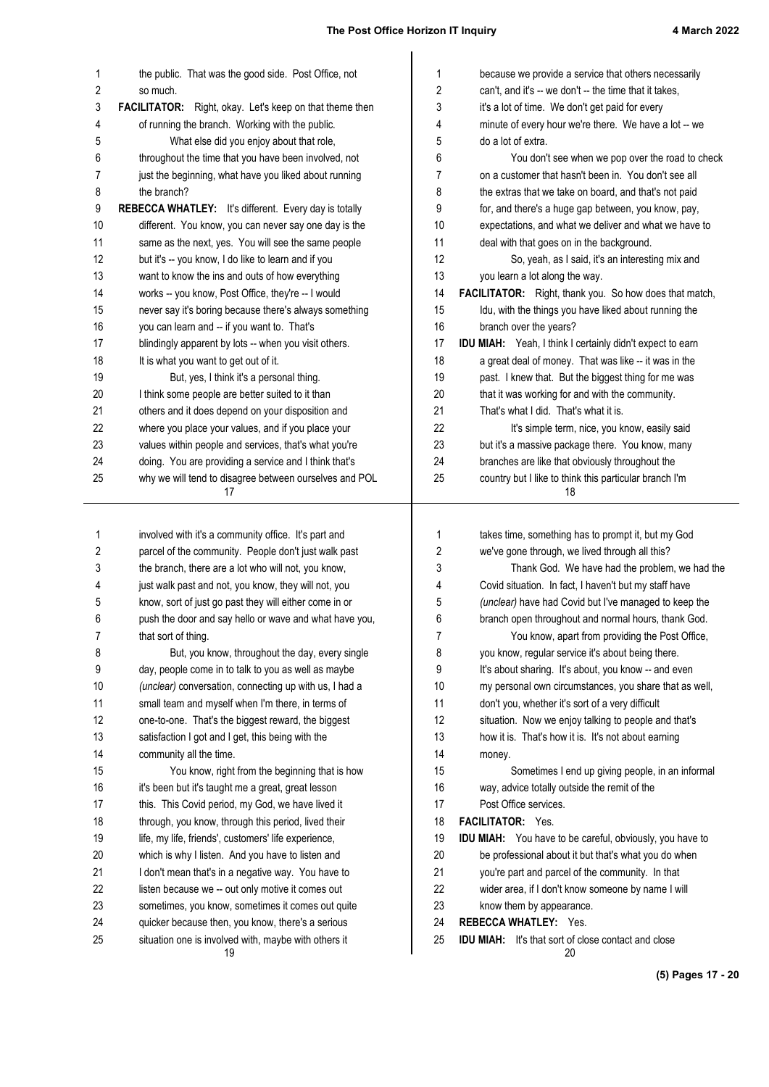| 1  | the public. That was the good side. Post Office, not           | 1  | because we provide a service that others necessarily                                                           |
|----|----------------------------------------------------------------|----|----------------------------------------------------------------------------------------------------------------|
| 2  | so much.                                                       | 2  | can't, and it's -- we don't -- the time that it takes,                                                         |
| 3  | <b>FACILITATOR:</b> Right, okay. Let's keep on that theme then | 3  | it's a lot of time. We don't get paid for every                                                                |
| 4  | of running the branch. Working with the public.                | 4  | minute of every hour we're there. We have a lot -- we                                                          |
| 5  | What else did you enjoy about that role,                       | 5  | do a lot of extra.                                                                                             |
| 6  | throughout the time that you have been involved, not           | 6  | You don't see when we pop over the road to check                                                               |
| 7  | just the beginning, what have you liked about running          | 7  | on a customer that hasn't been in. You don't see all                                                           |
| 8  | the branch?                                                    | 8  | the extras that we take on board, and that's not paid                                                          |
| 9  | REBECCA WHATLEY: It's different. Every day is totally          | 9  | for, and there's a huge gap between, you know, pay,                                                            |
| 10 | different. You know, you can never say one day is the          | 10 | expectations, and what we deliver and what we have to                                                          |
| 11 | same as the next, yes. You will see the same people            | 11 | deal with that goes on in the background.                                                                      |
| 12 | but it's -- you know, I do like to learn and if you            | 12 | So, yeah, as I said, it's an interesting mix and                                                               |
| 13 | want to know the ins and outs of how everything                | 13 | you learn a lot along the way.                                                                                 |
| 14 | works -- you know, Post Office, they're -- I would             | 14 | FACILITATOR: Right, thank you. So how does that match,                                                         |
| 15 | never say it's boring because there's always something         | 15 | Idu, with the things you have liked about running the                                                          |
| 16 | you can learn and -- if you want to. That's                    | 16 | branch over the years?                                                                                         |
| 17 | blindingly apparent by lots -- when you visit others.          | 17 | IDU MIAH: Yeah, I think I certainly didn't expect to earn                                                      |
| 18 | It is what you want to get out of it.                          | 18 | a great deal of money. That was like -- it was in the                                                          |
| 19 | But, yes, I think it's a personal thing.                       | 19 | past. I knew that. But the biggest thing for me was                                                            |
| 20 | I think some people are better suited to it than               | 20 | that it was working for and with the community.                                                                |
| 21 | others and it does depend on your disposition and              | 21 | That's what I did. That's what it is.                                                                          |
| 22 | where you place your values, and if you place your             | 22 | It's simple term, nice, you know, easily said                                                                  |
| 23 | values within people and services, that's what you're          | 23 | but it's a massive package there. You know, many                                                               |
| 24 | doing. You are providing a service and I think that's          | 24 | branches are like that obviously throughout the                                                                |
| 25 | why we will tend to disagree between ourselves and POL         | 25 | country but I like to think this particular branch I'm                                                         |
|    | 17                                                             |    | 18                                                                                                             |
|    |                                                                |    |                                                                                                                |
|    |                                                                |    |                                                                                                                |
| 1  | involved with it's a community office. It's part and           | 1  | takes time, something has to prompt it, but my God                                                             |
| 2  | parcel of the community. People don't just walk past           | 2  | we've gone through, we lived through all this?                                                                 |
| 3  | the branch, there are a lot who will not, you know,            | 3  | Thank God. We have had the problem, we had the                                                                 |
| 4  | just walk past and not, you know, they will not, you           | 4  | Covid situation. In fact, I haven't but my staff have                                                          |
| 5  | know, sort of just go past they will either come in or         | 5  | (unclear) have had Covid but I've managed to keep the                                                          |
| 6  | push the door and say hello or wave and what have you,         | 6  | branch open throughout and normal hours, thank God.                                                            |
| 7  | that sort of thing.                                            | 7  | You know, apart from providing the Post Office,                                                                |
| 8  | But, you know, throughout the day, every single                | 8  | you know, regular service it's about being there.                                                              |
| 9  | day, people come in to talk to you as well as maybe            | 9  |                                                                                                                |
| 10 |                                                                | 10 | It's about sharing. It's about, you know -- and even<br>my personal own circumstances, you share that as well, |
|    | (unclear) conversation, connecting up with us, I had a         | 11 |                                                                                                                |
| 11 | small team and myself when I'm there, in terms of              |    | don't you, whether it's sort of a very difficult                                                               |
| 12 | one-to-one. That's the biggest reward, the biggest             | 12 | situation. Now we enjoy talking to people and that's                                                           |
| 13 | satisfaction I got and I get, this being with the              | 13 | how it is. That's how it is. It's not about earning                                                            |
| 14 | community all the time.                                        | 14 | money.                                                                                                         |
| 15 | You know, right from the beginning that is how                 | 15 | Sometimes I end up giving people, in an informal                                                               |
| 16 | it's been but it's taught me a great, great lesson             | 16 | way, advice totally outside the remit of the                                                                   |
| 17 | this. This Covid period, my God, we have lived it              | 17 | Post Office services.                                                                                          |
| 18 | through, you know, through this period, lived their            | 18 | <b>FACILITATOR:</b> Yes.                                                                                       |
| 19 | life, my life, friends', customers' life experience,           | 19 | IDU MIAH: You have to be careful, obviously, you have to                                                       |
| 20 | which is why I listen. And you have to listen and              | 20 | be professional about it but that's what you do when                                                           |
| 21 | I don't mean that's in a negative way. You have to             | 21 | you're part and parcel of the community. In that                                                               |
| 22 | listen because we -- out only motive it comes out              | 22 | wider area, if I don't know someone by name I will                                                             |
| 23 | sometimes, you know, sometimes it comes out quite              | 23 | know them by appearance.                                                                                       |
| 24 | quicker because then, you know, there's a serious              | 24 | <b>REBECCA WHATLEY: Yes.</b>                                                                                   |
| 25 | situation one is involved with, maybe with others it<br>19     | 25 | <b>IDU MIAH:</b> It's that sort of close contact and close<br>20                                               |

**(5) Pages 17 - 20**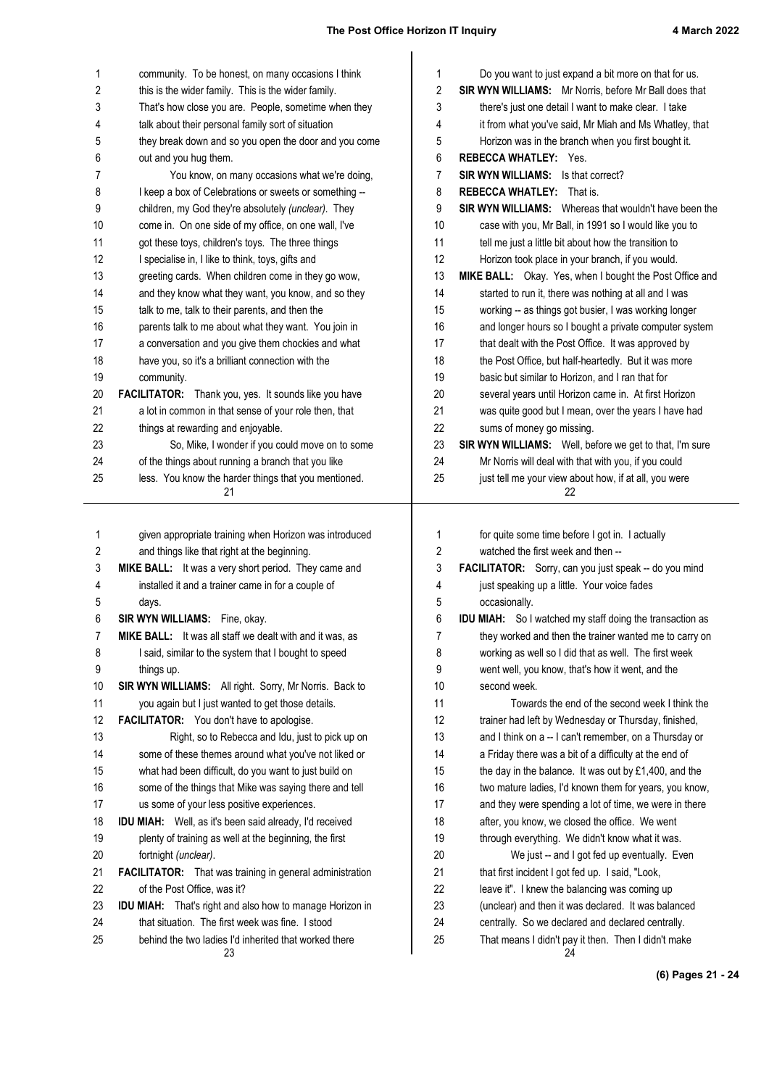| 1        | community. To be honest, on many occasions I think                                                        | 1              | Do you want to just expand a bit more on that for us.                                                    |
|----------|-----------------------------------------------------------------------------------------------------------|----------------|----------------------------------------------------------------------------------------------------------|
| 2        | this is the wider family. This is the wider family.                                                       | 2              | SIR WYN WILLIAMS: Mr Norris, before Mr Ball does that                                                    |
| 3        | That's how close you are. People, sometime when they                                                      | 3              | there's just one detail I want to make clear. I take                                                     |
| 4        | talk about their personal family sort of situation                                                        | 4              | it from what you've said, Mr Miah and Ms Whatley, that                                                   |
| 5        | they break down and so you open the door and you come                                                     | 5              | Horizon was in the branch when you first bought it.                                                      |
| 6        | out and you hug them.                                                                                     | 6              | <b>REBECCA WHATLEY: Yes.</b>                                                                             |
| 7        | You know, on many occasions what we're doing,                                                             | 7              | <b>SIR WYN WILLIAMS:</b> Is that correct?                                                                |
| 8        | I keep a box of Celebrations or sweets or something --                                                    | 8              | <b>REBECCA WHATLEY: That is.</b>                                                                         |
| 9        | children, my God they're absolutely (unclear). They                                                       | 9              | SIR WYN WILLIAMS: Whereas that wouldn't have been the                                                    |
| 10       | come in. On one side of my office, on one wall, I've                                                      | 10             | case with you, Mr Ball, in 1991 so I would like you to                                                   |
| 11       | got these toys, children's toys. The three things                                                         | 11             | tell me just a little bit about how the transition to                                                    |
| 12       | I specialise in, I like to think, toys, gifts and                                                         | 12             | Horizon took place in your branch, if you would.                                                         |
| 13       | greeting cards. When children come in they go wow,                                                        | 13             | MIKE BALL: Okay. Yes, when I bought the Post Office and                                                  |
| 14       | and they know what they want, you know, and so they                                                       | 14             | started to run it, there was nothing at all and I was                                                    |
| 15       | talk to me, talk to their parents, and then the                                                           | 15             | working -- as things got busier, I was working longer                                                    |
| 16       | parents talk to me about what they want. You join in                                                      | 16             | and longer hours so I bought a private computer system                                                   |
| 17       | a conversation and you give them chockies and what                                                        | 17             | that dealt with the Post Office. It was approved by                                                      |
| 18       | have you, so it's a brilliant connection with the                                                         | 18             | the Post Office, but half-heartedly. But it was more                                                     |
| 19       | community.                                                                                                | 19             | basic but similar to Horizon, and I ran that for                                                         |
| 20       | FACILITATOR: Thank you, yes. It sounds like you have                                                      | 20             | several years until Horizon came in. At first Horizon                                                    |
| 21       | a lot in common in that sense of your role then, that                                                     | 21             | was quite good but I mean, over the years I have had                                                     |
| 22       | things at rewarding and enjoyable.                                                                        | 22             | sums of money go missing.                                                                                |
| 23       | So, Mike, I wonder if you could move on to some                                                           | 23             | SIR WYN WILLIAMS: Well, before we get to that, I'm sure                                                  |
| 24       | of the things about running a branch that you like                                                        | 24             | Mr Norris will deal with that with you, if you could                                                     |
| 25       | less. You know the harder things that you mentioned.<br>21                                                | 25             | just tell me your view about how, if at all, you were<br>22                                              |
|          |                                                                                                           |                |                                                                                                          |
|          |                                                                                                           |                |                                                                                                          |
|          |                                                                                                           |                |                                                                                                          |
| 1        | given appropriate training when Horizon was introduced                                                    | 1              | for quite some time before I got in. I actually                                                          |
| 2        | and things like that right at the beginning.                                                              | $\overline{2}$ | watched the first week and then --                                                                       |
| 3        | MIKE BALL: It was a very short period. They came and                                                      | 3              | FACILITATOR: Sorry, can you just speak -- do you mind                                                    |
| 4        | installed it and a trainer came in for a couple of                                                        | 4              | just speaking up a little. Your voice fades                                                              |
| 5        | days.                                                                                                     | 5              | occasionally.                                                                                            |
| 6        | SIR WYN WILLIAMS: Fine, okay.                                                                             | 6              | <b>IDU MIAH:</b> So I watched my staff doing the transaction as                                          |
| 7        | MIKE BALL: It was all staff we dealt with and it was, as                                                  | 7              | they worked and then the trainer wanted me to carry on                                                   |
| 8        | I said, similar to the system that I bought to speed                                                      | 8              | working as well so I did that as well. The first week                                                    |
| 9        | things up.                                                                                                | 9              | went well, you know, that's how it went, and the                                                         |
| 10       | SIR WYN WILLIAMS: All right. Sorry, Mr Norris. Back to                                                    | 10             | second week.                                                                                             |
| 11       | you again but I just wanted to get those details.                                                         | 11             | Towards the end of the second week I think the                                                           |
| 12       | FACILITATOR: You don't have to apologise.                                                                 | 12             | trainer had left by Wednesday or Thursday, finished,                                                     |
| 13       | Right, so to Rebecca and Idu, just to pick up on                                                          | 13             | and I think on a -- I can't remember, on a Thursday or                                                   |
| 14       | some of these themes around what you've not liked or                                                      | 14             | a Friday there was a bit of a difficulty at the end of                                                   |
| 15       | what had been difficult, do you want to just build on                                                     | 15             | the day in the balance. It was out by £1,400, and the                                                    |
| 16       | some of the things that Mike was saying there and tell                                                    | 16             | two mature ladies, I'd known them for years, you know,                                                   |
| 17       | us some of your less positive experiences.                                                                | 17             | and they were spending a lot of time, we were in there                                                   |
| 18       | IDU MIAH: Well, as it's been said already, I'd received                                                   | 18             | after, you know, we closed the office. We went                                                           |
| 19       | plenty of training as well at the beginning, the first                                                    | 19             | through everything. We didn't know what it was.                                                          |
| 20       | fortnight (unclear).                                                                                      | 20             | We just -- and I got fed up eventually. Even                                                             |
| 21       | <b>FACILITATOR:</b> That was training in general administration                                           | 21             | that first incident I got fed up. I said, "Look,                                                         |
| 22       | of the Post Office, was it?                                                                               | 22             | leave it". I knew the balancing was coming up                                                            |
| 23       | <b>IDU MIAH:</b> That's right and also how to manage Horizon in                                           | 23             | (unclear) and then it was declared. It was balanced                                                      |
| 24<br>25 | that situation. The first week was fine. I stood<br>behind the two ladies I'd inherited that worked there | 24<br>25       | centrally. So we declared and declared centrally.<br>That means I didn't pay it then. Then I didn't make |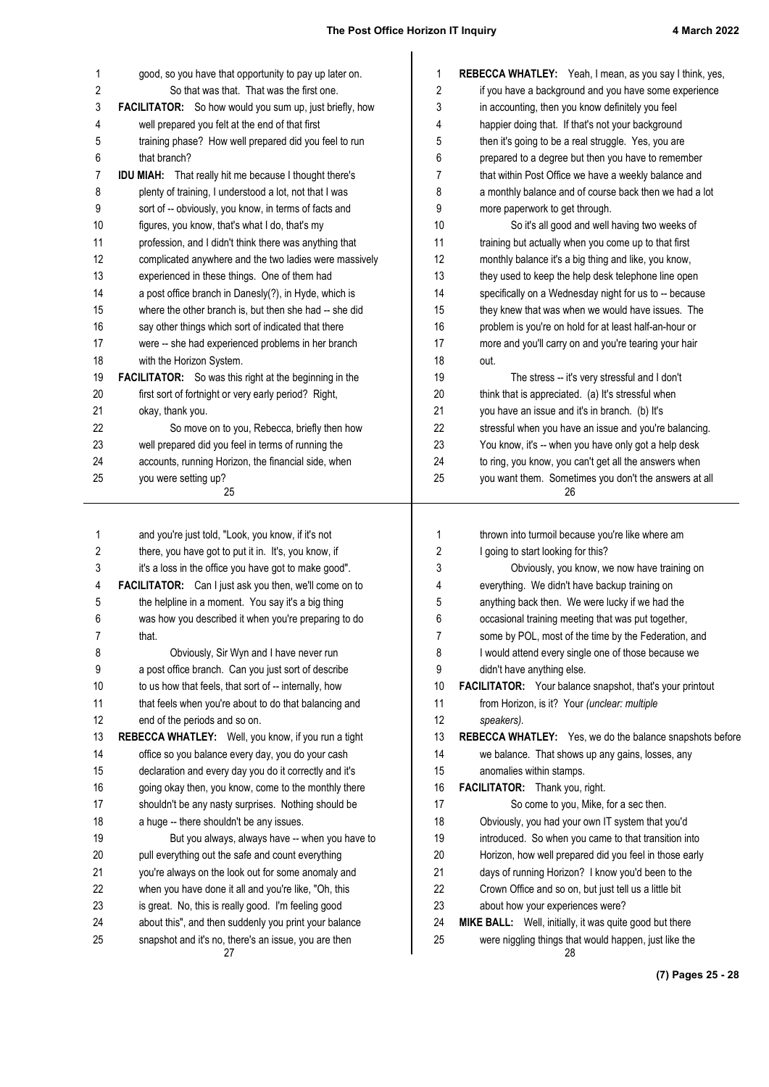| 1  | good, so you have that opportunity to pay up later on.        | $\mathbf 1$ | REBECCA WHATLEY: Yeah, I mean, as you say I think, yes,     |
|----|---------------------------------------------------------------|-------------|-------------------------------------------------------------|
| 2  | So that was that. That was the first one.                     | 2           | if you have a background and you have some experience       |
| 3  | FACILITATOR: So how would you sum up, just briefly, how       | 3           | in accounting, then you know definitely you feel            |
| 4  | well prepared you felt at the end of that first               | 4           | happier doing that. If that's not your background           |
| 5  | training phase? How well prepared did you feel to run         | 5           | then it's going to be a real struggle. Yes, you are         |
| 6  | that branch?                                                  | 6           | prepared to a degree but then you have to remember          |
| 7  | <b>IDU MIAH:</b> That really hit me because I thought there's | 7           | that within Post Office we have a weekly balance and        |
| 8  | plenty of training, I understood a lot, not that I was        | 8           | a monthly balance and of course back then we had a lot      |
| 9  | sort of -- obviously, you know, in terms of facts and         | 9           | more paperwork to get through.                              |
| 10 | figures, you know, that's what I do, that's my                | 10          | So it's all good and well having two weeks of               |
| 11 | profession, and I didn't think there was anything that        | 11          | training but actually when you come up to that first        |
| 12 | complicated anywhere and the two ladies were massively        | 12          | monthly balance it's a big thing and like, you know,        |
| 13 | experienced in these things. One of them had                  | 13          | they used to keep the help desk telephone line open         |
| 14 | a post office branch in Danesly(?), in Hyde, which is         | 14          | specifically on a Wednesday night for us to -- because      |
| 15 | where the other branch is, but then she had -- she did        | 15          | they knew that was when we would have issues. The           |
| 16 | say other things which sort of indicated that there           | 16          | problem is you're on hold for at least half-an-hour or      |
| 17 | were -- she had experienced problems in her branch            | 17          | more and you'll carry on and you're tearing your hair       |
| 18 | with the Horizon System.                                      | 18          | out.                                                        |
| 19 | <b>FACILITATOR:</b> So was this right at the beginning in the | 19          | The stress -- it's very stressful and I don't               |
| 20 | first sort of fortnight or very early period? Right,          | 20          | think that is appreciated. (a) It's stressful when          |
| 21 | okay, thank you.                                              | 21          | you have an issue and it's in branch. (b) It's              |
| 22 | So move on to you, Rebecca, briefly then how                  | 22          | stressful when you have an issue and you're balancing.      |
| 23 | well prepared did you feel in terms of running the            | 23          | You know, it's -- when you have only got a help desk        |
| 24 | accounts, running Horizon, the financial side, when           | 24          | to ring, you know, you can't get all the answers when       |
| 25 | you were setting up?                                          | 25          | you want them. Sometimes you don't the answers at all       |
|    | 25                                                            |             | 26                                                          |
| 1  | and you're just told, "Look, you know, if it's not            | 1           | thrown into turmoil because you're like where am            |
| 2  | there, you have got to put it in. It's, you know, if          | 2           | I going to start looking for this?                          |
| 3  | it's a loss in the office you have got to make good".         | 3           | Obviously, you know, we now have training on                |
| 4  | FACILITATOR: Can I just ask you then, we'll come on to        | 4           | everything. We didn't have backup training on               |
| 5  | the helpline in a moment. You say it's a big thing            | 5           | anything back then. We were lucky if we had the             |
| 6  | was how you described it when you're preparing to do          | 6           | occasional training meeting that was put together,          |
| 7  | that.                                                         | 7           | some by POL, most of the time by the Federation, and        |
| 8  | Obviously, Sir Wyn and I have never run                       | 8           | I would attend every single one of those because we         |
| 9  | a post office branch. Can you just sort of describe           | 9           | didn't have anything else.                                  |
| 10 | to us how that feels, that sort of -- internally, how         | 10          | FACILITATOR: Your balance snapshot, that's your printout    |
| 11 | that feels when you're about to do that balancing and         | 11          | from Horizon, is it? Your (unclear: multiple                |
| 12 | end of the periods and so on.                                 | 12          | speakers).                                                  |
| 13 | REBECCA WHATLEY: Well, you know, if you run a tight           | 13          | REBECCA WHATLEY: Yes, we do the balance snapshots before    |
| 14 | office so you balance every day, you do your cash             | 14          | we balance. That shows up any gains, losses, any            |
| 15 | declaration and every day you do it correctly and it's        | 15          | anomalies within stamps.                                    |
| 16 | going okay then, you know, come to the monthly there          | 16          | FACILITATOR: Thank you, right.                              |
| 17 | shouldn't be any nasty surprises. Nothing should be           | 17          | So come to you, Mike, for a sec then.                       |
| 18 | a huge -- there shouldn't be any issues.                      | 18          | Obviously, you had your own IT system that you'd            |
| 19 | But you always, always have -- when you have to               | 19          | introduced. So when you came to that transition into        |
| 20 | pull everything out the safe and count everything             | 20          | Horizon, how well prepared did you feel in those early      |
| 21 | you're always on the look out for some anomaly and            | 21          | days of running Horizon? I know you'd been to the           |
| 22 | when you have done it all and you're like, "Oh, this          | 22          | Crown Office and so on, but just tell us a little bit       |
| 23 | is great. No, this is really good. I'm feeling good           | 23          | about how your experiences were?                            |
| 24 | about this", and then suddenly you print your balance         | 24          | MIKE BALL: Well, initially, it was quite good but there     |
| 25 | snapshot and it's no, there's an issue, you are then<br>27    | 25          | were niggling things that would happen, just like the<br>28 |

**(7) Pages 25 - 28**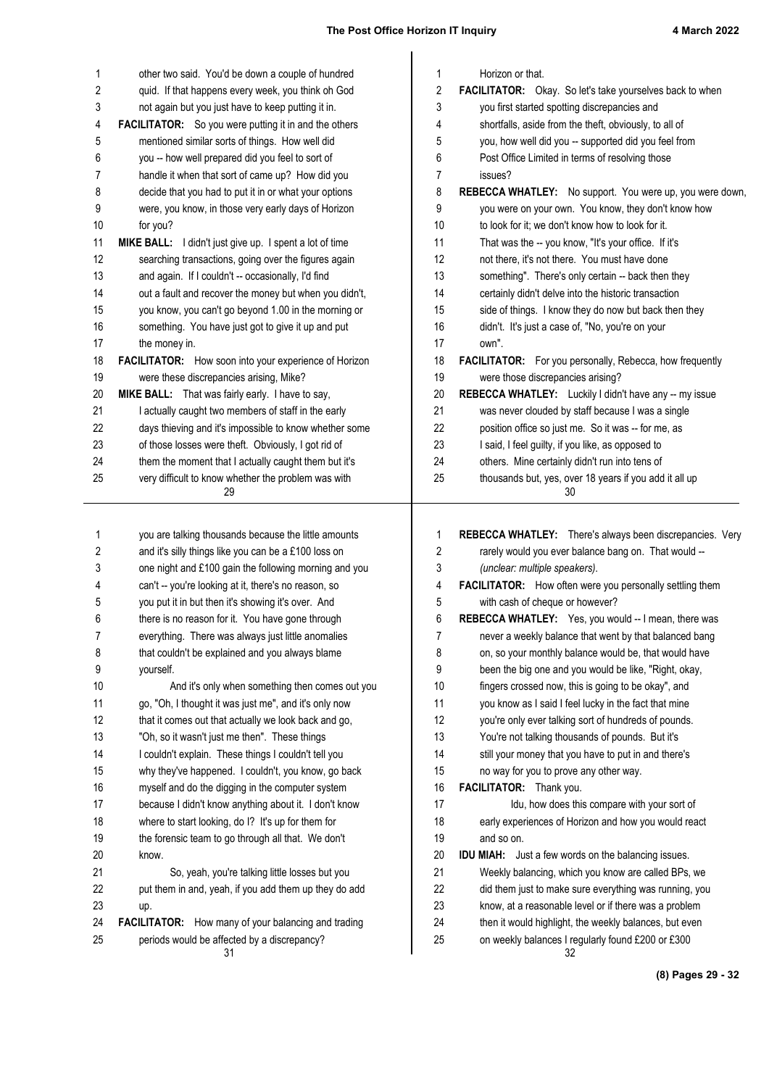| 1                       | other two said. You'd be down a couple of hundred                                                           | 1                | Horizon or that.                                                                                               |
|-------------------------|-------------------------------------------------------------------------------------------------------------|------------------|----------------------------------------------------------------------------------------------------------------|
| 2                       | quid. If that happens every week, you think oh God                                                          | $\boldsymbol{2}$ | FACILITATOR: Okay. So let's take yourselves back to when                                                       |
| 3                       | not again but you just have to keep putting it in.                                                          | 3                | you first started spotting discrepancies and                                                                   |
| 4                       | <b>FACILITATOR:</b> So you were putting it in and the others                                                | 4                | shortfalls, aside from the theft, obviously, to all of                                                         |
| 5                       | mentioned similar sorts of things. How well did                                                             | 5                | you, how well did you -- supported did you feel from                                                           |
| 6                       | you -- how well prepared did you feel to sort of                                                            | 6                | Post Office Limited in terms of resolving those                                                                |
| 7                       | handle it when that sort of came up? How did you                                                            | 7                | issues?                                                                                                        |
| 8                       | decide that you had to put it in or what your options                                                       | 8                | REBECCA WHATLEY: No support. You were up, you were down,                                                       |
| 9                       | were, you know, in those very early days of Horizon                                                         | 9                | you were on your own. You know, they don't know how                                                            |
| 10                      | for you?                                                                                                    | 10               | to look for it; we don't know how to look for it.                                                              |
| 11                      | MIKE BALL: I didn't just give up. I spent a lot of time                                                     | 11               | That was the -- you know, "It's your office. If it's                                                           |
| 12                      | searching transactions, going over the figures again                                                        | 12               | not there, it's not there. You must have done                                                                  |
| 13                      | and again. If I couldn't -- occasionally, I'd find                                                          | 13               | something". There's only certain -- back then they                                                             |
| 14                      | out a fault and recover the money but when you didn't,                                                      | 14               | certainly didn't delve into the historic transaction                                                           |
| 15                      | you know, you can't go beyond 1.00 in the morning or                                                        | 15               | side of things. I know they do now but back then they                                                          |
| 16                      | something. You have just got to give it up and put                                                          | 16               | didn't. It's just a case of, "No, you're on your                                                               |
| 17                      | the money in.                                                                                               | 17               | own".                                                                                                          |
| 18                      | FACILITATOR: How soon into your experience of Horizon                                                       | 18               | FACILITATOR: For you personally, Rebecca, how frequently                                                       |
| 19                      | were these discrepancies arising, Mike?                                                                     | 19               | were those discrepancies arising?                                                                              |
| 20                      | MIKE BALL: That was fairly early. I have to say,                                                            | 20               | REBECCA WHATLEY: Luckily I didn't have any -- my issue                                                         |
| 21<br>22                | I actually caught two members of staff in the early                                                         | 21<br>22         | was never clouded by staff because I was a single                                                              |
| 23                      | days thieving and it's impossible to know whether some                                                      | 23               | position office so just me. So it was -- for me, as                                                            |
| 24                      | of those losses were theft. Obviously, I got rid of<br>them the moment that I actually caught them but it's | 24               | I said, I feel guilty, if you like, as opposed to<br>others. Mine certainly didn't run into tens of            |
| 25                      | very difficult to know whether the problem was with                                                         | 25               | thousands but, yes, over 18 years if you add it all up                                                         |
|                         | 29                                                                                                          |                  | 30                                                                                                             |
|                         |                                                                                                             |                  |                                                                                                                |
|                         |                                                                                                             |                  |                                                                                                                |
|                         |                                                                                                             |                  |                                                                                                                |
| 1                       | you are talking thousands because the little amounts                                                        | 1                | REBECCA WHATLEY: There's always been discrepancies. Very                                                       |
| $\overline{\mathbf{c}}$ | and it's silly things like you can be a £100 loss on                                                        | 2                | rarely would you ever balance bang on. That would --                                                           |
| 3                       | one night and £100 gain the following morning and you                                                       | 3                | (unclear: multiple speakers).                                                                                  |
| 4                       | can't -- you're looking at it, there's no reason, so                                                        | 4                | FACILITATOR: How often were you personally settling them                                                       |
| 5<br>6                  | you put it in but then it's showing it's over. And                                                          | 5<br>6           | with cash of cheque or however?                                                                                |
| 7                       | there is no reason for it. You have gone through                                                            | 7                | REBECCA WHATLEY: Yes, you would -- I mean, there was<br>never a weekly balance that went by that balanced bang |
| 8                       | everything. There was always just little anomalies                                                          | 8                | on, so your monthly balance would be, that would have                                                          |
| 9                       | that couldn't be explained and you always blame<br>yourself.                                                | 9                | been the big one and you would be like, "Right, okay,                                                          |
| 10                      | And it's only when something then comes out you                                                             | 10               | fingers crossed now, this is going to be okay", and                                                            |
| 11                      | go, "Oh, I thought it was just me", and it's only now                                                       | 11               | you know as I said I feel lucky in the fact that mine                                                          |
| 12                      | that it comes out that actually we look back and go,                                                        | 12               | you're only ever talking sort of hundreds of pounds.                                                           |
| 13                      | "Oh, so it wasn't just me then". These things                                                               | 13               | You're not talking thousands of pounds. But it's                                                               |
| 14                      |                                                                                                             | 14               | still your money that you have to put in and there's                                                           |
| 15                      | I couldn't explain. These things I couldn't tell you<br>why they've happened. I couldn't, you know, go back | 15               | no way for you to prove any other way.                                                                         |
| 16                      | myself and do the digging in the computer system                                                            | 16               | FACILITATOR: Thank you.                                                                                        |
| 17                      | because I didn't know anything about it. I don't know                                                       | 17               | Idu, how does this compare with your sort of                                                                   |
| 18                      | where to start looking, do I? It's up for them for                                                          | 18               | early experiences of Horizon and how you would react                                                           |
| 19                      | the forensic team to go through all that. We don't                                                          | 19               | and so on.                                                                                                     |
| 20                      | know.                                                                                                       | 20               | <b>IDU MIAH:</b> Just a few words on the balancing issues.                                                     |
| 21                      | So, yeah, you're talking little losses but you                                                              | 21               | Weekly balancing, which you know are called BPs, we                                                            |
| 22                      | put them in and, yeah, if you add them up they do add                                                       | 22               | did them just to make sure everything was running, you                                                         |
| 23                      | up.                                                                                                         | 23               | know, at a reasonable level or if there was a problem                                                          |
| 24                      | FACILITATOR: How many of your balancing and trading                                                         | 24               | then it would highlight, the weekly balances, but even                                                         |
| 25                      | periods would be affected by a discrepancy?<br>31                                                           | 25               | on weekly balances I regularly found £200 or £300<br>32                                                        |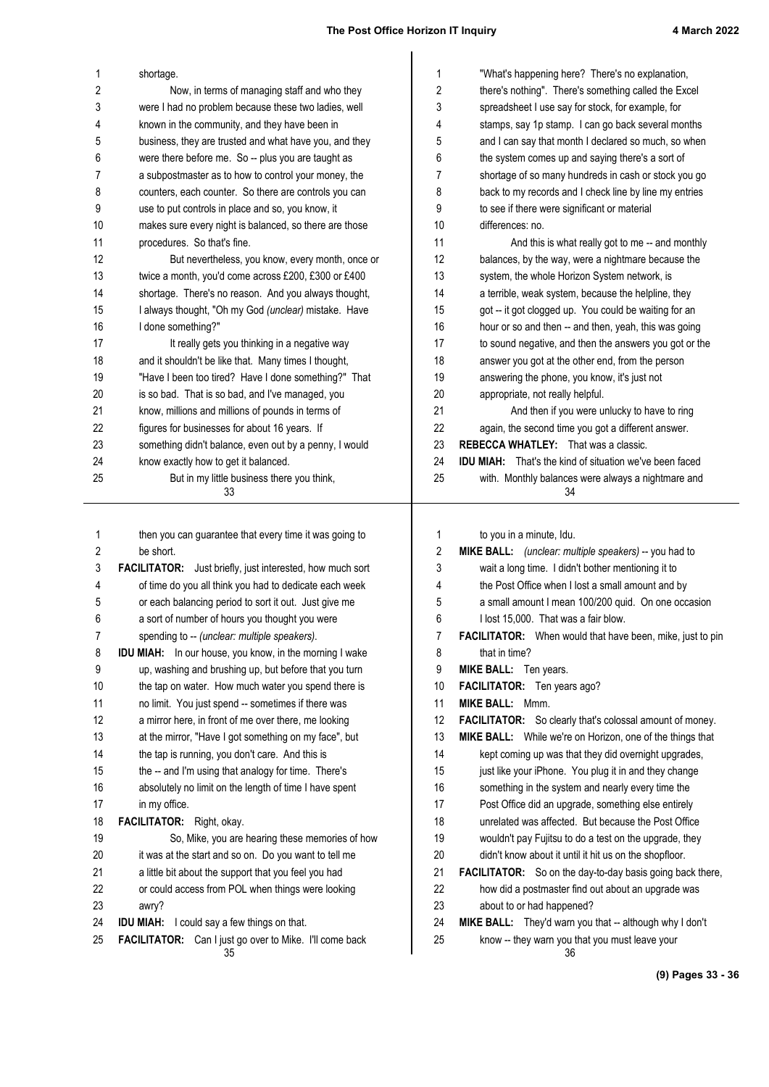| 1  | shortage.                                                            | 1  | "What's happening here? There's no explanation,                  |
|----|----------------------------------------------------------------------|----|------------------------------------------------------------------|
| 2  | Now, in terms of managing staff and who they                         | 2  | there's nothing". There's something called the Excel             |
| 3  | were I had no problem because these two ladies, well                 | 3  | spreadsheet I use say for stock, for example, for                |
| 4  | known in the community, and they have been in                        | 4  | stamps, say 1p stamp. I can go back several months               |
| 5  | business, they are trusted and what have you, and they               | 5  | and I can say that month I declared so much, so when             |
| 6  | were there before me. So -- plus you are taught as                   | 6  | the system comes up and saying there's a sort of                 |
| 7  | a subpostmaster as to how to control your money, the                 | 7  | shortage of so many hundreds in cash or stock you go             |
| 8  | counters, each counter. So there are controls you can                | 8  | back to my records and I check line by line my entries           |
| 9  | use to put controls in place and so, you know, it                    | 9  | to see if there were significant or material                     |
| 10 | makes sure every night is balanced, so there are those               | 10 | differences: no.                                                 |
| 11 | procedures. So that's fine.                                          | 11 | And this is what really got to me -- and monthly                 |
| 12 | But nevertheless, you know, every month, once or                     | 12 | balances, by the way, were a nightmare because the               |
| 13 | twice a month, you'd come across £200, £300 or £400                  | 13 | system, the whole Horizon System network, is                     |
| 14 | shortage. There's no reason. And you always thought,                 | 14 | a terrible, weak system, because the helpline, they              |
| 15 | I always thought, "Oh my God (unclear) mistake. Have                 | 15 | got -- it got clogged up. You could be waiting for an            |
| 16 | I done something?"                                                   | 16 | hour or so and then -- and then, yeah, this was going            |
| 17 | It really gets you thinking in a negative way                        | 17 | to sound negative, and then the answers you got or the           |
| 18 | and it shouldn't be like that. Many times I thought,                 | 18 | answer you got at the other end, from the person                 |
| 19 | "Have I been too tired? Have I done something?" That                 | 19 | answering the phone, you know, it's just not                     |
| 20 | is so bad. That is so bad, and I've managed, you                     | 20 | appropriate, not really helpful.                                 |
| 21 | know, millions and millions of pounds in terms of                    | 21 | And then if you were unlucky to have to ring                     |
| 22 | figures for businesses for about 16 years. If                        | 22 | again, the second time you got a different answer.               |
| 23 | something didn't balance, even out by a penny, I would               | 23 | <b>REBECCA WHATLEY:</b> That was a classic.                      |
| 24 | know exactly how to get it balanced.                                 | 24 | <b>IDU MIAH:</b> That's the kind of situation we've been faced   |
| 25 | But in my little business there you think,<br>33                     | 25 | with. Monthly balances were always a nightmare and<br>34         |
|    |                                                                      |    |                                                                  |
|    |                                                                      |    |                                                                  |
|    |                                                                      |    |                                                                  |
| 1  | then you can guarantee that every time it was going to               | 1  | to you in a minute, Idu.                                         |
| 2  | be short.                                                            | 2  | MIKE BALL: (unclear: multiple speakers) -- you had to            |
| 3  | <b>FACILITATOR:</b> Just briefly, just interested, how much sort     | 3  | wait a long time. I didn't bother mentioning it to               |
| 4  | of time do you all think you had to dedicate each week               | 4  | the Post Office when I lost a small amount and by                |
| 5  | or each balancing period to sort it out. Just give me                | 5  | a small amount I mean 100/200 quid. On one occasion              |
| 6  | a sort of number of hours you thought you were                       | 6  | I lost 15,000. That was a fair blow.                             |
| 7  | spending to -- (unclear: multiple speakers).                         | 7  | FACILITATOR: When would that have been, mike, just to pin        |
| 8  | IDU MIAH: In our house, you know, in the morning I wake              | 8  | that in time?                                                    |
| 9  | up, washing and brushing up, but before that you turn                | 9  | MIKE BALL: Ten years.                                            |
| 10 | the tap on water. How much water you spend there is                  | 10 | FACILITATOR: Ten years ago?                                      |
| 11 | no limit. You just spend -- sometimes if there was                   | 11 | MIKE BALL: Mmm.                                                  |
| 12 | a mirror here, in front of me over there, me looking                 | 12 | <b>FACILITATOR:</b> So clearly that's colossal amount of money.  |
| 13 | at the mirror, "Have I got something on my face", but                | 13 | MIKE BALL: While we're on Horizon, one of the things that        |
| 14 | the tap is running, you don't care. And this is                      | 14 | kept coming up was that they did overnight upgrades,             |
| 15 | the -- and I'm using that analogy for time. There's                  | 15 | just like your iPhone. You plug it in and they change            |
| 16 | absolutely no limit on the length of time I have spent               | 16 | something in the system and nearly every time the                |
| 17 | in my office.                                                        | 17 | Post Office did an upgrade, something else entirely              |
| 18 | FACILITATOR: Right, okay.                                            | 18 | unrelated was affected. But because the Post Office              |
| 19 | So, Mike, you are hearing these memories of how                      | 19 | wouldn't pay Fujitsu to do a test on the upgrade, they           |
| 20 | it was at the start and so on. Do you want to tell me                | 20 | didn't know about it until it hit us on the shopfloor.           |
| 21 | a little bit about the support that you feel you had                 | 21 | <b>FACILITATOR:</b> So on the day-to-day basis going back there, |
| 22 | or could access from POL when things were looking                    | 22 | how did a postmaster find out about an upgrade was               |
| 23 | awry?                                                                | 23 | about to or had happened?                                        |
| 24 | IDU MIAH: I could say a few things on that.                          | 24 | MIKE BALL: They'd warn you that -- although why I don't          |
| 25 | <b>FACILITATOR:</b> Can I just go over to Mike. I'll come back<br>35 | 25 | know -- they warn you that you must leave your<br>36             |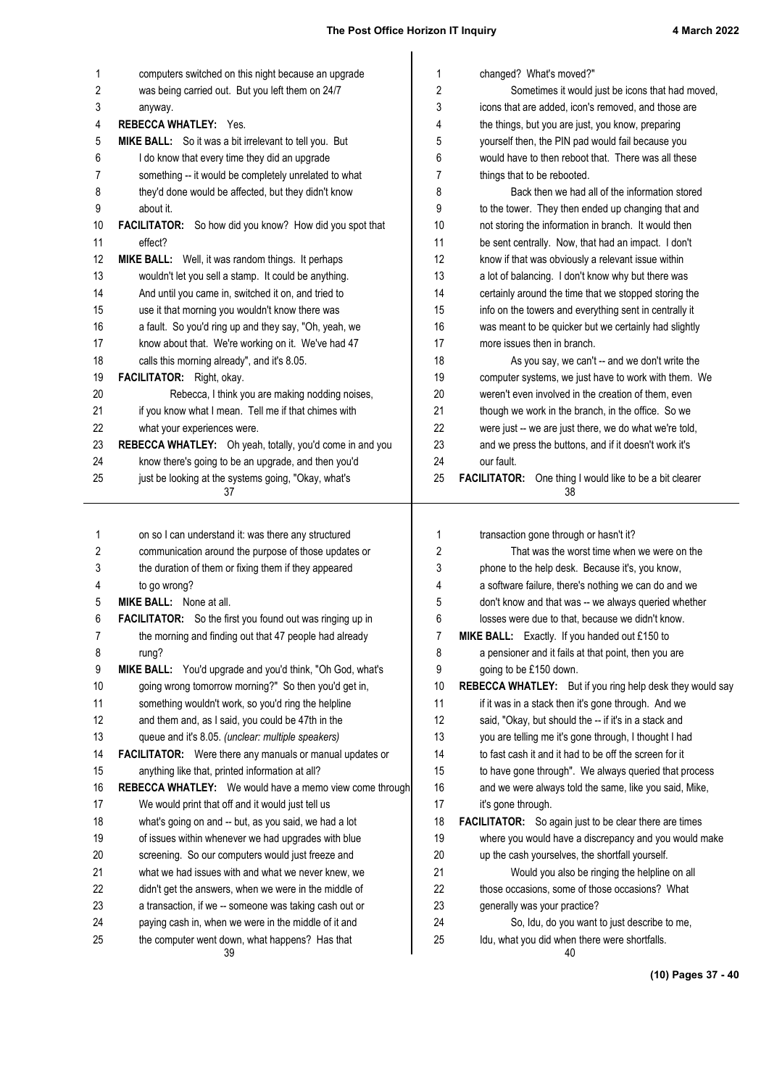| 1        | computers switched on this night because an upgrade                                                    | 1        | changed? What's moved?"                                                                       |
|----------|--------------------------------------------------------------------------------------------------------|----------|-----------------------------------------------------------------------------------------------|
| 2        | was being carried out. But you left them on 24/7                                                       | 2        | Sometimes it would just be icons that had moved,                                              |
| 3        | anyway.                                                                                                | 3        | icons that are added, icon's removed, and those are                                           |
| 4        | <b>REBECCA WHATLEY: Yes.</b>                                                                           | 4        | the things, but you are just, you know, preparing                                             |
| 5        | MIKE BALL: So it was a bit irrelevant to tell you. But                                                 | 5        | yourself then, the PIN pad would fail because you                                             |
| 6        | I do know that every time they did an upgrade                                                          | 6        | would have to then reboot that. There was all these                                           |
| 7        | something -- it would be completely unrelated to what                                                  | 7        | things that to be rebooted.                                                                   |
| 8        | they'd done would be affected, but they didn't know                                                    | 8        | Back then we had all of the information stored                                                |
| 9        | about it.                                                                                              | 9        | to the tower. They then ended up changing that and                                            |
| 10       | FACILITATOR: So how did you know? How did you spot that                                                | 10       | not storing the information in branch. It would then                                          |
| 11       | effect?                                                                                                | 11       | be sent centrally. Now, that had an impact. I don't                                           |
| 12       | MIKE BALL: Well, it was random things. It perhaps                                                      | 12       | know if that was obviously a relevant issue within                                            |
| 13       | wouldn't let you sell a stamp. It could be anything.                                                   | 13       | a lot of balancing. I don't know why but there was                                            |
| 14       | And until you came in, switched it on, and tried to                                                    | 14       | certainly around the time that we stopped storing the                                         |
| 15       | use it that morning you wouldn't know there was                                                        | 15       | info on the towers and everything sent in centrally it                                        |
| 16       | a fault. So you'd ring up and they say, "Oh, yeah, we                                                  | 16       | was meant to be quicker but we certainly had slightly                                         |
| 17       | know about that. We're working on it. We've had 47                                                     | 17       | more issues then in branch.                                                                   |
| 18       | calls this morning already", and it's 8.05.                                                            | 18       | As you say, we can't -- and we don't write the                                                |
| 19       | FACILITATOR: Right, okay.                                                                              | 19       | computer systems, we just have to work with them. We                                          |
| 20       | Rebecca, I think you are making nodding noises,                                                        | 20       | weren't even involved in the creation of them, even                                           |
| 21       | if you know what I mean. Tell me if that chimes with                                                   | 21       | though we work in the branch, in the office. So we                                            |
| 22       | what your experiences were.                                                                            | 22       | were just -- we are just there, we do what we're told,                                        |
| 23       | REBECCA WHATLEY: Oh yeah, totally, you'd come in and you                                               | 23       | and we press the buttons, and if it doesn't work it's                                         |
| 24       | know there's going to be an upgrade, and then you'd                                                    | 24       | our fault.                                                                                    |
| 25       | just be looking at the systems going, "Okay, what's<br>37                                              | 25       | <b>FACILITATOR:</b> One thing I would like to be a bit clearer<br>38                          |
|          |                                                                                                        |          |                                                                                               |
|          |                                                                                                        |          |                                                                                               |
|          |                                                                                                        |          |                                                                                               |
| 1        | on so I can understand it: was there any structured                                                    | 1        | transaction gone through or hasn't it?                                                        |
| 2        | communication around the purpose of those updates or                                                   | 2        | That was the worst time when we were on the                                                   |
| 3        | the duration of them or fixing them if they appeared                                                   | 3        | phone to the help desk. Because it's, you know,                                               |
| 4        | to go wrong?                                                                                           | 4        | a software failure, there's nothing we can do and we                                          |
| 5        | <b>MIKE BALL:</b> None at all.                                                                         | 5        | don't know and that was -- we always queried whether                                          |
| 6        | <b>FACILITATOR:</b> So the first you found out was ringing up in                                       | 6        | losses were due to that, because we didn't know.                                              |
| 7        | the morning and finding out that 47 people had already                                                 | 7        | MIKE BALL: Exactly. If you handed out £150 to                                                 |
| 8        | rung?                                                                                                  | 8        | a pensioner and it fails at that point, then you are                                          |
| 9        | MIKE BALL: You'd upgrade and you'd think, "Oh God, what's                                              | 9        | going to be £150 down.                                                                        |
| 10       | going wrong tomorrow morning?" So then you'd get in,                                                   | 10       | REBECCA WHATLEY: But if you ring help desk they would say                                     |
| 11       | something wouldn't work, so you'd ring the helpline                                                    | 11       | if it was in a stack then it's gone through. And we                                           |
| 12       | and them and, as I said, you could be 47th in the                                                      | 12       | said, "Okay, but should the -- if it's in a stack and                                         |
| 13       | queue and it's 8.05. (unclear: multiple speakers)                                                      | 13       | you are telling me it's gone through, I thought I had                                         |
| 14       | FACILITATOR: Were there any manuals or manual updates or                                               | 14       | to fast cash it and it had to be off the screen for it                                        |
| 15       | anything like that, printed information at all?                                                        | 15       | to have gone through". We always queried that process                                         |
| 16       | REBECCA WHATLEY: We would have a memo view come through                                                | 16       | and we were always told the same, like you said, Mike,                                        |
| 17       | We would print that off and it would just tell us                                                      | 17       | it's gone through.                                                                            |
| 18       | what's going on and -- but, as you said, we had a lot                                                  | 18       | <b>FACILITATOR:</b> So again just to be clear there are times                                 |
| 19       | of issues within whenever we had upgrades with blue                                                    | 19       | where you would have a discrepancy and you would make                                         |
| 20       | screening. So our computers would just freeze and                                                      | 20       | up the cash yourselves, the shortfall yourself.                                               |
| 21       | what we had issues with and what we never knew, we                                                     | 21       | Would you also be ringing the helpline on all                                                 |
| 22       | didn't get the answers, when we were in the middle of                                                  | 22       | those occasions, some of those occasions? What                                                |
| 23       | a transaction, if we -- someone was taking cash out or                                                 | 23       | generally was your practice?                                                                  |
| 24<br>25 | paying cash in, when we were in the middle of it and<br>the computer went down, what happens? Has that | 24<br>25 | So, Idu, do you want to just describe to me,<br>Idu, what you did when there were shortfalls. |

**(10) Pages 37 - 40**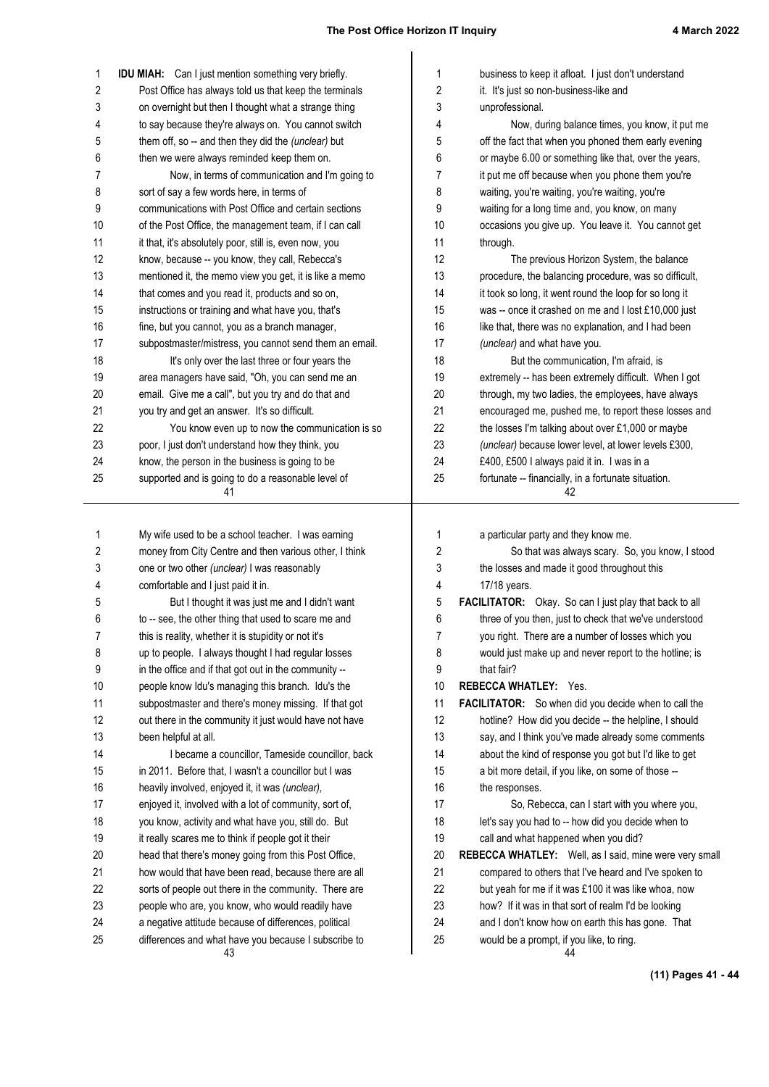| 1        | <b>IDU MIAH:</b> Can I just mention something very briefly.                                                   | 1        | business to keep it afloat. I just don't understand                                           |
|----------|---------------------------------------------------------------------------------------------------------------|----------|-----------------------------------------------------------------------------------------------|
| 2        | Post Office has always told us that keep the terminals                                                        | 2        | it. It's just so non-business-like and                                                        |
| 3        | on overnight but then I thought what a strange thing                                                          | 3        | unprofessional.                                                                               |
| 4        | to say because they're always on. You cannot switch                                                           | 4        | Now, during balance times, you know, it put me                                                |
| 5        | them off, so -- and then they did the (unclear) but                                                           | 5        | off the fact that when you phoned them early evening                                          |
| 6        | then we were always reminded keep them on.                                                                    | 6        | or maybe 6.00 or something like that, over the years,                                         |
| 7        | Now, in terms of communication and I'm going to                                                               | 7        | it put me off because when you phone them you're                                              |
| 8        | sort of say a few words here, in terms of                                                                     | 8        | waiting, you're waiting, you're waiting, you're                                               |
| 9        | communications with Post Office and certain sections                                                          | 9        | waiting for a long time and, you know, on many                                                |
| 10       | of the Post Office, the management team, if I can call                                                        | 10       | occasions you give up. You leave it. You cannot get                                           |
| 11       | it that, it's absolutely poor, still is, even now, you                                                        | 11       | through.                                                                                      |
| 12       | know, because -- you know, they call, Rebecca's                                                               | 12       | The previous Horizon System, the balance                                                      |
| 13       | mentioned it, the memo view you get, it is like a memo                                                        | 13       | procedure, the balancing procedure, was so difficult,                                         |
| 14       | that comes and you read it, products and so on,                                                               | 14       | it took so long, it went round the loop for so long it                                        |
| 15       | instructions or training and what have you, that's                                                            | 15       | was -- once it crashed on me and I lost £10,000 just                                          |
| 16       | fine, but you cannot, you as a branch manager,                                                                | 16       | like that, there was no explanation, and I had been                                           |
| 17       | subpostmaster/mistress, you cannot send them an email.                                                        | 17       | (unclear) and what have you.                                                                  |
| 18       | It's only over the last three or four years the                                                               | 18       | But the communication, I'm afraid, is                                                         |
| 19       | area managers have said, "Oh, you can send me an                                                              | 19       | extremely -- has been extremely difficult. When I got                                         |
| 20       | email. Give me a call", but you try and do that and                                                           | 20       | through, my two ladies, the employees, have always                                            |
| 21       | you try and get an answer. It's so difficult.                                                                 | 21       | encouraged me, pushed me, to report these losses and                                          |
| 22       | You know even up to now the communication is so                                                               | 22       | the losses I'm talking about over £1,000 or maybe                                             |
| 23       | poor, I just don't understand how they think, you                                                             | 23       | (unclear) because lower level, at lower levels £300,                                          |
| 24       | know, the person in the business is going to be                                                               | 24       | £400, £500 I always paid it in. I was in a                                                    |
| 25       | supported and is going to do a reasonable level of                                                            | 25       | fortunate -- financially, in a fortunate situation.                                           |
|          | 41                                                                                                            |          | 42                                                                                            |
| 1        | My wife used to be a school teacher. I was earning                                                            | 1        | a particular party and they know me.                                                          |
| 2        | money from City Centre and then various other, I think                                                        | 2        | So that was always scary. So, you know, I stood                                               |
| 3        | one or two other (unclear) I was reasonably                                                                   | 3        | the losses and made it good throughout this                                                   |
| 4        | comfortable and I just paid it in.                                                                            | 4        | 17/18 years.                                                                                  |
| 5        | But I thought it was just me and I didn't want                                                                | 5        | FACILITATOR: Okay. So can I just play that back to all                                        |
| 6        | to -- see, the other thing that used to scare me and                                                          | 6        | three of you then, just to check that we've understood                                        |
| 7        | this is reality, whether it is stupidity or not it's                                                          | 7        | you right. There are a number of losses which you                                             |
| 8        | up to people. I always thought I had regular losses                                                           | 8        | would just make up and never report to the hotline; is                                        |
| 9        | in the office and if that got out in the community --                                                         |          |                                                                                               |
|          |                                                                                                               | 9        | that fair?                                                                                    |
| 10       | people know Idu's managing this branch. Idu's the                                                             | 10       | <b>REBECCA WHATLEY: Yes.</b>                                                                  |
| 11       | subpostmaster and there's money missing. If that got                                                          | 11       | FACILITATOR: So when did you decide when to call the                                          |
| 12       | out there in the community it just would have not have                                                        | 12       | hotline? How did you decide -- the helpline, I should                                         |
| 13       | been helpful at all.                                                                                          | 13       | say, and I think you've made already some comments                                            |
| 14       | I became a councillor, Tameside councillor, back                                                              | 14       | about the kind of response you got but I'd like to get                                        |
| 15       | in 2011. Before that, I wasn't a councillor but I was                                                         | 15       | a bit more detail, if you like, on some of those --                                           |
| 16       | heavily involved, enjoyed it, it was (unclear),                                                               | 16       | the responses.                                                                                |
| 17       | enjoyed it, involved with a lot of community, sort of,                                                        | 17       | So, Rebecca, can I start with you where you,                                                  |
| 18       | you know, activity and what have you, still do. But                                                           | 18       | let's say you had to -- how did you decide when to                                            |
| 19       | it really scares me to think if people got it their                                                           | 19       | call and what happened when you did?                                                          |
| 20       | head that there's money going from this Post Office,                                                          | 20       | REBECCA WHATLEY: Well, as I said, mine were very smal                                         |
| 21       | how would that have been read, because there are all                                                          | 21       | compared to others that I've heard and I've spoken to                                         |
| 22       | sorts of people out there in the community. There are                                                         | 22       | but yeah for me if it was £100 it was like whoa, now                                          |
| 23       | people who are, you know, who would readily have                                                              | 23       | how? If it was in that sort of realm I'd be looking                                           |
| 24<br>25 | a negative attitude because of differences, political<br>differences and what have you because I subscribe to | 24<br>25 | and I don't know how on earth this has gone. That<br>would be a prompt, if you like, to ring. |

**(11) Pages 41 - 44**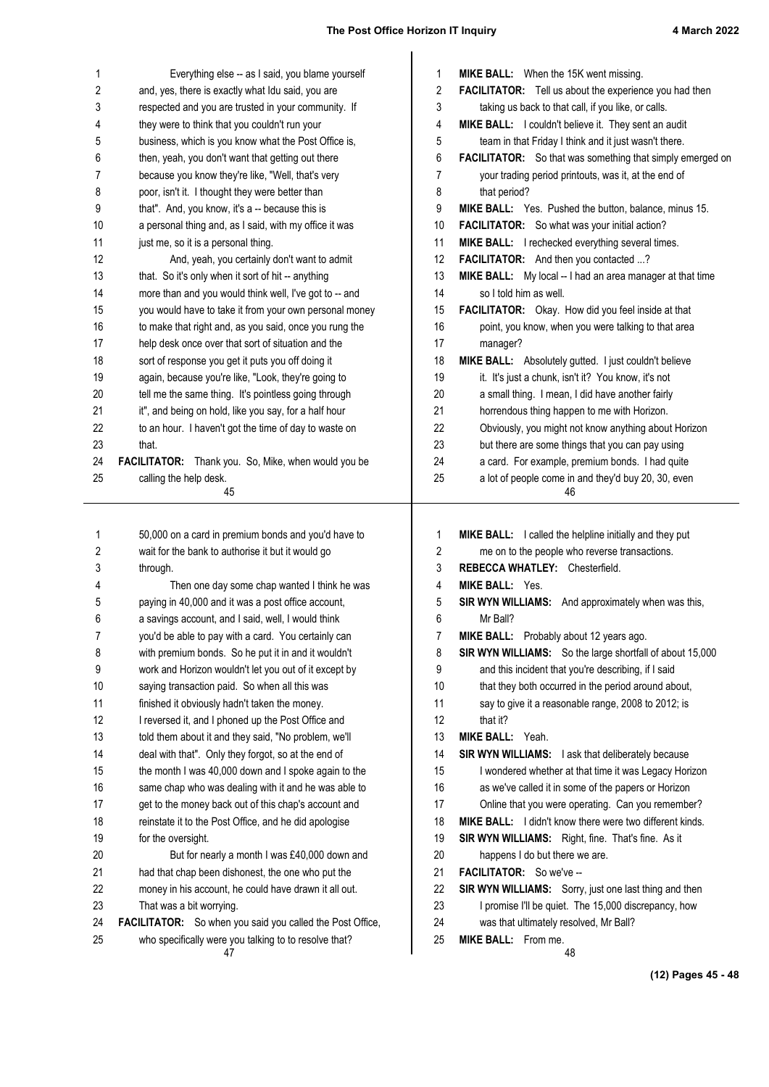| 1  | Everything else -- as I said, you blame yourself            | 1              | MIKE BALL: When the 15K went missing.                     |
|----|-------------------------------------------------------------|----------------|-----------------------------------------------------------|
| 2  | and, yes, there is exactly what Idu said, you are           | 2              | FACILITATOR: Tell us about the experience you had then    |
| 3  | respected and you are trusted in your community. If         | 3              | taking us back to that call, if you like, or calls.       |
| 4  | they were to think that you couldn't run your               | 4              | MIKE BALL: I couldn't believe it. They sent an audit      |
| 5  | business, which is you know what the Post Office is,        | 5              | team in that Friday I think and it just wasn't there.     |
| 6  | then, yeah, you don't want that getting out there           | 6              | FACILITATOR: So that was something that simply emerged on |
| 7  | because you know they're like, "Well, that's very           | 7              | your trading period printouts, was it, at the end of      |
| 8  | poor, isn't it. I thought they were better than             | 8              | that period?                                              |
| 9  | that". And, you know, it's a -- because this is             | 9              | MIKE BALL: Yes. Pushed the button, balance, minus 15.     |
| 10 | a personal thing and, as I said, with my office it was      | 10             | FACILITATOR: So what was your initial action?             |
| 11 | just me, so it is a personal thing.                         | 11             | MIKE BALL: I rechecked everything several times.          |
| 12 | And, yeah, you certainly don't want to admit                | 12             | FACILITATOR: And then you contacted ?                     |
| 13 | that. So it's only when it sort of hit -- anything          | 13             | MIKE BALL: My local -- I had an area manager at that time |
| 14 | more than and you would think well, I've got to -- and      | 14             | so I told him as well.                                    |
| 15 | you would have to take it from your own personal money      | 15             | FACILITATOR: Okay. How did you feel inside at that        |
| 16 | to make that right and, as you said, once you rung the      | 16             | point, you know, when you were talking to that area       |
| 17 | help desk once over that sort of situation and the          | 17             | manager?                                                  |
| 18 | sort of response you get it puts you off doing it           | 18             | MIKE BALL: Absolutely gutted. I just couldn't believe     |
| 19 | again, because you're like, "Look, they're going to         | 19             | it. It's just a chunk, isn't it? You know, it's not       |
| 20 | tell me the same thing. It's pointless going through        | 20             | a small thing. I mean, I did have another fairly          |
| 21 | it", and being on hold, like you say, for a half hour       | 21             | horrendous thing happen to me with Horizon.               |
| 22 | to an hour. I haven't got the time of day to waste on       | 22             | Obviously, you might not know anything about Horizon      |
| 23 | that.                                                       | 23             | but there are some things that you can pay using          |
| 24 | FACILITATOR: Thank you. So, Mike, when would you be         | 24             | a card. For example, premium bonds. I had quite           |
| 25 | calling the help desk.                                      | 25             | a lot of people come in and they'd buy 20, 30, even       |
|    | 45                                                          |                | 46                                                        |
|    |                                                             |                |                                                           |
| 1  | 50,000 on a card in premium bonds and you'd have to         | 1              | MIKE BALL: I called the helpline initially and they put   |
| 2  | wait for the bank to authorise it but it would go           | $\overline{2}$ | me on to the people who reverse transactions.             |
| 3  | through.                                                    | 3              | REBECCA WHATLEY: Chesterfield.                            |
| 4  | Then one day some chap wanted I think he was                | 4              | <b>MIKE BALL: Yes.</b>                                    |
| 5  | paying in 40,000 and it was a post office account,          | 5              | SIR WYN WILLIAMS: And approximately when was this,        |
| 6  | a savings account, and I said, well, I would think          | 6              | Mr Ball?                                                  |
| 7  | you'd be able to pay with a card. You certainly can         | 7              | MIKE BALL: Probably about 12 years ago.                   |
| 8  | with premium bonds. So he put it in and it wouldn't         | 8              | SIR WYN WILLIAMS: So the large shortfall of about 15,000  |
| 9  | work and Horizon wouldn't let you out of it except by       | 9              | and this incident that you're describing, if I said       |
| 10 | saying transaction paid. So when all this was               | 10             | that they both occurred in the period around about,       |
| 11 | finished it obviously hadn't taken the money.               | 11             | say to give it a reasonable range, 2008 to 2012; is       |
| 12 | I reversed it, and I phoned up the Post Office and          | 12             | that it?                                                  |
| 13 | told them about it and they said, "No problem, we'll        | 13             | MIKE BALL: Yeah.                                          |
| 14 | deal with that". Only they forgot, so at the end of         | 14             | SIR WYN WILLIAMS: I ask that deliberately because         |
| 15 | the month I was 40,000 down and I spoke again to the        | 15             | I wondered whether at that time it was Legacy Horizon     |
|    |                                                             |                |                                                           |
| 16 | same chap who was dealing with it and he was able to        | 16             | as we've called it in some of the papers or Horizon       |
| 17 | get to the money back out of this chap's account and        | 17             | Online that you were operating. Can you remember?         |
| 18 | reinstate it to the Post Office, and he did apologise       | 18             | MIKE BALL: I didn't know there were two different kinds.  |
| 19 | for the oversight.                                          | 19             | SIR WYN WILLIAMS: Right, fine. That's fine. As it         |
| 20 | But for nearly a month I was £40,000 down and               | 20             | happens I do but there we are.                            |
| 21 | had that chap been dishonest, the one who put the           | 21             | FACILITATOR: So we've --                                  |
| 22 | money in his account, he could have drawn it all out.       | 22             | SIR WYN WILLIAMS: Sorry, just one last thing and then     |
| 23 | That was a bit worrying.                                    | 23             | I promise I'll be quiet. The 15,000 discrepancy, how      |
| 24 | FACILITATOR: So when you said you called the Post Office,   | 24             | was that ultimately resolved, Mr Ball?                    |
| 25 | who specifically were you talking to to resolve that?<br>47 | 25             | MIKE BALL: From me.<br>48                                 |

**(12) Pages 45 - 48**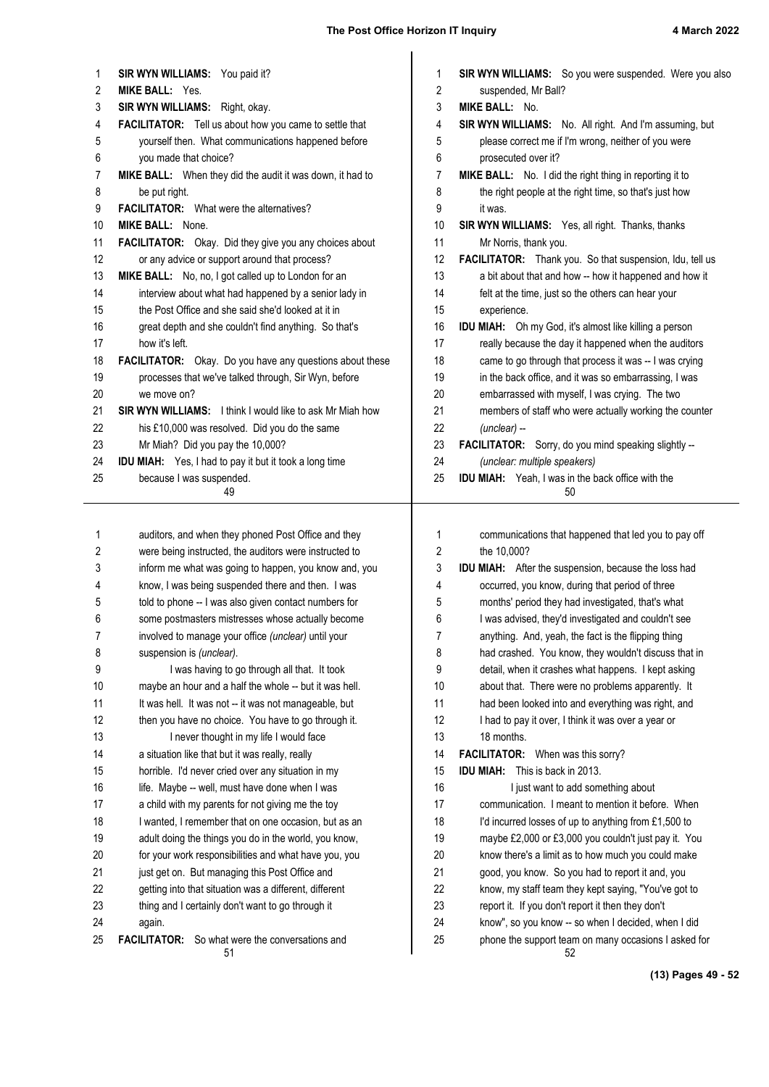| 1        | SIR WYN WILLIAMS: You paid it?                                                                                  | 1        | <b>SIR WYN WILLIAMS:</b> So you were suspended. Were you also                                                 |
|----------|-----------------------------------------------------------------------------------------------------------------|----------|---------------------------------------------------------------------------------------------------------------|
| 2        | <b>MIKE BALL: Yes.</b>                                                                                          | 2        | suspended, Mr Ball?                                                                                           |
| 3        | SIR WYN WILLIAMS: Right, okay.                                                                                  | 3        | <b>MIKE BALL: No.</b>                                                                                         |
| 4        | FACILITATOR: Tell us about how you came to settle that                                                          | 4        | SIR WYN WILLIAMS: No. All right. And I'm assuming, but<br>please correct me if I'm wrong, neither of you were |
| 5        | yourself then. What communications happened before                                                              | 5<br>6   |                                                                                                               |
| 6<br>7   | you made that choice?                                                                                           | 7        | prosecuted over it?<br>MIKE BALL: No. I did the right thing in reporting it to                                |
|          | MIKE BALL: When they did the audit it was down, it had to                                                       | 8        | the right people at the right time, so that's just how                                                        |
| 8<br>9   | be put right.<br><b>FACILITATOR:</b> What were the alternatives?                                                | 9        | it was.                                                                                                       |
| 10       | <b>MIKE BALL: None.</b>                                                                                         | 10       | SIR WYN WILLIAMS: Yes, all right. Thanks, thanks                                                              |
| 11       | FACILITATOR: Okay. Did they give you any choices about                                                          | 11       | Mr Norris, thank you.                                                                                         |
| 12       | or any advice or support around that process?                                                                   | 12       | FACILITATOR: Thank you. So that suspension, Idu, tell us                                                      |
| 13       | MIKE BALL: No, no, I got called up to London for an                                                             | 13       | a bit about that and how -- how it happened and how it                                                        |
| 14       | interview about what had happened by a senior lady in                                                           | 14       | felt at the time, just so the others can hear your                                                            |
| 15       | the Post Office and she said she'd looked at it in                                                              | 15       | experience.                                                                                                   |
| 16       | great depth and she couldn't find anything. So that's                                                           | 16       | <b>IDU MIAH:</b> Oh my God, it's almost like killing a person                                                 |
| 17       | how it's left.                                                                                                  | 17       | really because the day it happened when the auditors                                                          |
| 18       | FACILITATOR: Okay. Do you have any questions about these                                                        | 18       | came to go through that process it was -- I was crying                                                        |
| 19       | processes that we've talked through, Sir Wyn, before                                                            | 19       | in the back office, and it was so embarrassing, I was                                                         |
| 20       | we move on?                                                                                                     | 20       | embarrassed with myself, I was crying. The two                                                                |
| 21       | <b>SIR WYN WILLIAMS:</b> I think I would like to ask Mr Miah how                                                | 21       | members of staff who were actually working the counter                                                        |
| 22       | his £10,000 was resolved. Did you do the same                                                                   | 22       | $(unclear) -$                                                                                                 |
| 23       | Mr Miah? Did you pay the 10,000?                                                                                | 23       | FACILITATOR: Sorry, do you mind speaking slightly --                                                          |
| 24       | <b>IDU MIAH:</b> Yes, I had to pay it but it took a long time                                                   | 24       | (unclear: multiple speakers)                                                                                  |
| 25       | because I was suspended.                                                                                        | 25       | <b>IDU MIAH:</b> Yeah, I was in the back office with the                                                      |
|          | 49                                                                                                              |          | 50                                                                                                            |
|          |                                                                                                                 |          |                                                                                                               |
| 1        | auditors, and when they phoned Post Office and they                                                             | 1        | communications that happened that led you to pay off                                                          |
| 2        | were being instructed, the auditors were instructed to<br>inform me what was going to happen, you know and, you | 2        | the 10,000?                                                                                                   |
|          |                                                                                                                 |          |                                                                                                               |
| 3        |                                                                                                                 | 3        | IDU MIAH: After the suspension, because the loss had                                                          |
| 4        | know, I was being suspended there and then. I was                                                               | 4        | occurred, you know, during that period of three                                                               |
| 5        | told to phone -- I was also given contact numbers for                                                           | 5        | months' period they had investigated, that's what                                                             |
| 6        | some postmasters mistresses whose actually become                                                               | 6        | I was advised, they'd investigated and couldn't see                                                           |
| 7        | involved to manage your office (unclear) until your                                                             | 7        | anything. And, yeah, the fact is the flipping thing                                                           |
| 8        | suspension is (unclear).                                                                                        | 8        | had crashed. You know, they wouldn't discuss that in                                                          |
| 9        | I was having to go through all that. It took                                                                    | 9        | detail, when it crashes what happens. I kept asking                                                           |
| 10       | maybe an hour and a half the whole -- but it was hell.                                                          | 10       | about that. There were no problems apparently. It                                                             |
| 11       | It was hell. It was not -- it was not manageable, but                                                           | 11       | had been looked into and everything was right, and                                                            |
| 12       | then you have no choice. You have to go through it.                                                             | 12       | I had to pay it over, I think it was over a year or                                                           |
| 13       | I never thought in my life I would face                                                                         | 13       | 18 months.                                                                                                    |
| 14       | a situation like that but it was really, really                                                                 | 14       | FACILITATOR: When was this sorry?                                                                             |
| 15       | horrible. I'd never cried over any situation in my                                                              | 15       | <b>IDU MIAH:</b> This is back in 2013.                                                                        |
| 16       | life. Maybe -- well, must have done when I was                                                                  | 16       | I just want to add something about                                                                            |
| 17       | a child with my parents for not giving me the toy                                                               | 17       | communication. I meant to mention it before. When                                                             |
| 18       | I wanted, I remember that on one occasion, but as an                                                            | 18       | I'd incurred losses of up to anything from £1,500 to                                                          |
| 19       | adult doing the things you do in the world, you know,                                                           | 19       | maybe £2,000 or £3,000 you couldn't just pay it. You                                                          |
| 20       | for your work responsibilities and what have you, you                                                           | 20       | know there's a limit as to how much you could make                                                            |
| 21       | just get on. But managing this Post Office and                                                                  | 21       | good, you know. So you had to report it and, you                                                              |
| 22       | getting into that situation was a different, different                                                          | 22       | know, my staff team they kept saying, "You've got to                                                          |
| 23       | thing and I certainly don't want to go through it                                                               | 23       | report it. If you don't report it then they don't                                                             |
| 24<br>25 | again.<br><b>FACILITATOR:</b> So what were the conversations and                                                | 24<br>25 | know", so you know -- so when I decided, when I did<br>phone the support team on many occasions I asked for   |

**(13) Pages 49 - 52**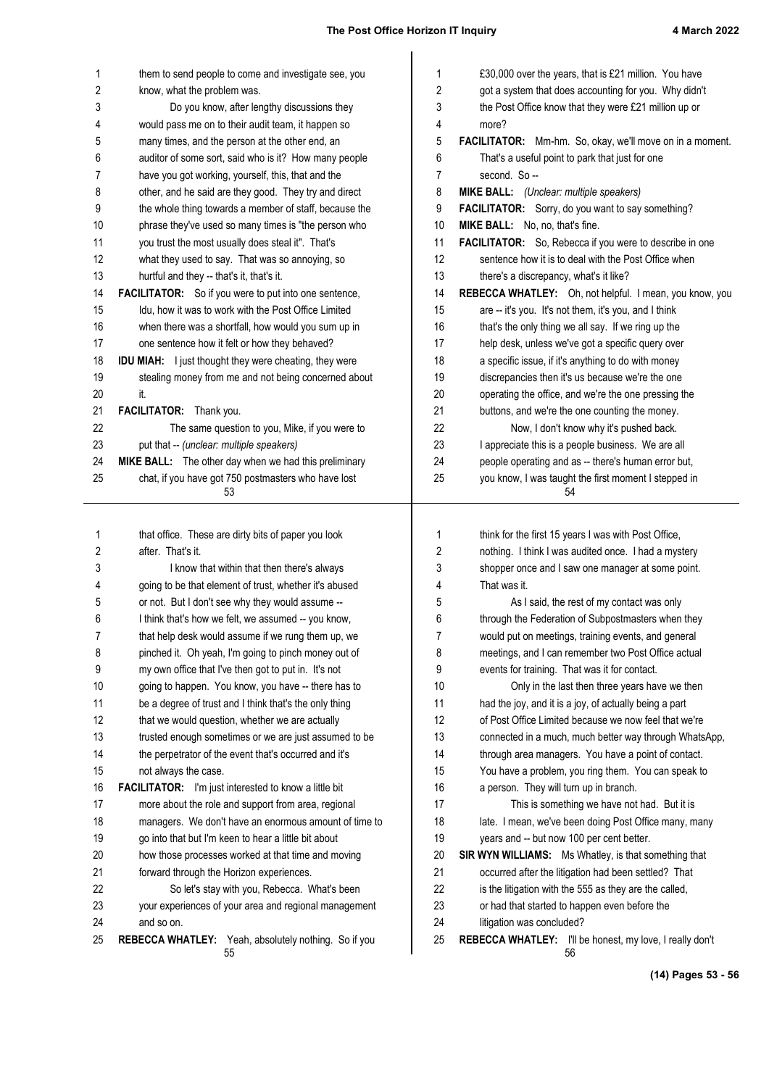| 1       | them to send people to come and investigate see, you                                                           | 1          | £30,000 over the years, that is £21 million. You have                                            |
|---------|----------------------------------------------------------------------------------------------------------------|------------|--------------------------------------------------------------------------------------------------|
| 2       | know, what the problem was.                                                                                    | 2          | got a system that does accounting for you. Why didn't                                            |
| 3       | Do you know, after lengthy discussions they                                                                    | 3          | the Post Office know that they were £21 million up or                                            |
| 4       | would pass me on to their audit team, it happen so                                                             | 4          | more?                                                                                            |
| 5       | many times, and the person at the other end, an                                                                | 5          | FACILITATOR: Mm-hm. So, okay, we'll move on in a moment.                                         |
| 6       | auditor of some sort, said who is it? How many people                                                          | 6          | That's a useful point to park that just for one                                                  |
| 7       | have you got working, yourself, this, that and the                                                             | 7          | second. So --                                                                                    |
| 8       | other, and he said are they good. They try and direct                                                          | 8          | MIKE BALL: (Unclear: multiple speakers)                                                          |
| 9<br>10 | the whole thing towards a member of staff, because the<br>phrase they've used so many times is "the person who | 9<br>10    | FACILITATOR: Sorry, do you want to say something?<br>MIKE BALL: No, no, that's fine.             |
| 11      | you trust the most usually does steal it". That's                                                              | 11         | FACILITATOR: So, Rebecca if you were to describe in one                                          |
| 12      | what they used to say. That was so annoying, so                                                                | 12         | sentence how it is to deal with the Post Office when                                             |
| 13      | hurtful and they -- that's it, that's it.                                                                      | 13         | there's a discrepancy, what's it like?                                                           |
| 14      | <b>FACILITATOR:</b> So if you were to put into one sentence,                                                   | 14         | REBECCA WHATLEY: Oh, not helpful. I mean, you know, you                                          |
| 15      | Idu, how it was to work with the Post Office Limited                                                           | 15         | are -- it's you. It's not them, it's you, and I think                                            |
| 16      | when there was a shortfall, how would you sum up in                                                            | 16         | that's the only thing we all say. If we ring up the                                              |
| 17      | one sentence how it felt or how they behaved?                                                                  | 17         | help desk, unless we've got a specific query over                                                |
| 18      | <b>IDU MIAH:</b> I just thought they were cheating, they were                                                  | 18         | a specific issue, if it's anything to do with money                                              |
| 19      | stealing money from me and not being concerned about                                                           | 19         | discrepancies then it's us because we're the one                                                 |
| 20      | it.                                                                                                            | 20         | operating the office, and we're the one pressing the                                             |
| 21      | FACILITATOR: Thank you.                                                                                        | 21         | buttons, and we're the one counting the money.                                                   |
| 22      | The same question to you, Mike, if you were to                                                                 | 22         | Now, I don't know why it's pushed back.                                                          |
| 23      | put that -- (unclear: multiple speakers)                                                                       | 23         | I appreciate this is a people business. We are all                                               |
| 24      | MIKE BALL: The other day when we had this preliminary                                                          | 24         | people operating and as -- there's human error but,                                              |
| 25      | chat, if you have got 750 postmasters who have lost                                                            | 25         | you know, I was taught the first moment I stepped in                                             |
|         | 53                                                                                                             |            | 54                                                                                               |
|         |                                                                                                                |            |                                                                                                  |
| 1       | that office. These are dirty bits of paper you look                                                            | 1          | think for the first 15 years I was with Post Office,                                             |
| 2       | after. That's it.                                                                                              | $\sqrt{2}$ | nothing. I think I was audited once. I had a mystery                                             |
| 3       | I know that within that then there's always                                                                    | 3          | shopper once and I saw one manager at some point.                                                |
| 4       | going to be that element of trust, whether it's abused<br>or not. But I don't see why they would assume --     | 4          | That was it.                                                                                     |
| 5<br>6  | I think that's how we felt, we assumed -- you know,                                                            | 5<br>6     | As I said, the rest of my contact was only<br>through the Federation of Subpostmasters when they |
| 7       | that help desk would assume if we rung them up, we                                                             | 7          | would put on meetings, training events, and general                                              |
| 8       | pinched it. Oh yeah, I'm going to pinch money out of                                                           | 8          | meetings, and I can remember two Post Office actual                                              |
| 9       | my own office that I've then got to put in. It's not                                                           | 9          | events for training. That was it for contact.                                                    |
| 10      | going to happen. You know, you have -- there has to                                                            | 10         | Only in the last then three years have we then                                                   |
| 11      | be a degree of trust and I think that's the only thing                                                         | 11         | had the joy, and it is a joy, of actually being a part                                           |
| 12      | that we would question, whether we are actually                                                                | 12         | of Post Office Limited because we now feel that we're                                            |
| 13      | trusted enough sometimes or we are just assumed to be                                                          | 13         | connected in a much, much better way through WhatsApp,                                           |
| 14      | the perpetrator of the event that's occurred and it's                                                          | 14         | through area managers. You have a point of contact.                                              |
| 15      | not always the case.                                                                                           | 15         | You have a problem, you ring them. You can speak to                                              |
| 16      | <b>FACILITATOR:</b> I'm just interested to know a little bit                                                   | 16         | a person. They will turn up in branch.                                                           |
| 17      | more about the role and support from area, regional                                                            | 17         | This is something we have not had. But it is                                                     |
| 18      | managers. We don't have an enormous amount of time to                                                          | 18         | late. I mean, we've been doing Post Office many, many                                            |
| 19      | go into that but I'm keen to hear a little bit about                                                           | 19         | years and -- but now 100 per cent better.                                                        |
| 20      | how those processes worked at that time and moving                                                             | 20         | SIR WYN WILLIAMS: Ms Whatley, is that something that                                             |
| 21      | forward through the Horizon experiences.                                                                       | 21         | occurred after the litigation had been settled? That                                             |
| 22      | So let's stay with you, Rebecca. What's been                                                                   | 22         | is the litigation with the 555 as they are the called,                                           |
| 23      | your experiences of your area and regional management                                                          | 23         | or had that started to happen even before the                                                    |
| 24      | and so on.                                                                                                     | 24         | litigation was concluded?                                                                        |
| 25      | REBECCA WHATLEY: Yeah, absolutely nothing. So if you<br>55                                                     | 25         | REBECCA WHATLEY: I'll be honest, my love, I really don't<br>56                                   |

**(14) Pages 53 - 56**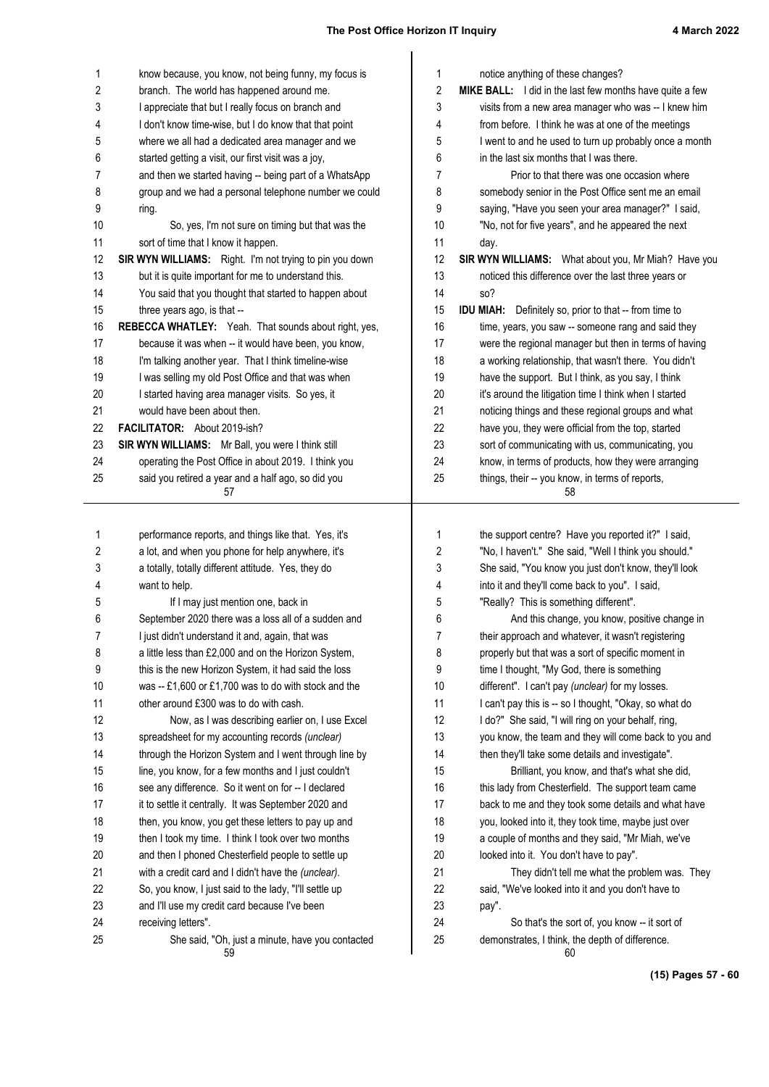| 1        | know because, you know, not being funny, my focus is                    | 1        | notice anything of these changes?                                                                |
|----------|-------------------------------------------------------------------------|----------|--------------------------------------------------------------------------------------------------|
| 2        | branch. The world has happened around me.                               | 2        | <b>MIKE BALL:</b> I did in the last few months have quite a few                                  |
| 3        | I appreciate that but I really focus on branch and                      | 3        | visits from a new area manager who was -- I knew him                                             |
| 4        | I don't know time-wise, but I do know that that point                   | 4        | from before. I think he was at one of the meetings                                               |
| 5        | where we all had a dedicated area manager and we                        | 5        | I went to and he used to turn up probably once a month                                           |
| 6        | started getting a visit, our first visit was a joy,                     | 6        | in the last six months that I was there.                                                         |
| 7        | and then we started having -- being part of a WhatsApp                  | 7        | Prior to that there was one occasion where                                                       |
| 8        | group and we had a personal telephone number we could                   | 8        | somebody senior in the Post Office sent me an email                                              |
| 9        | ring.                                                                   | 9        | saying, "Have you seen your area manager?" I said,                                               |
| 10       | So, yes, I'm not sure on timing but that was the                        | 10       | "No, not for five years", and he appeared the next                                               |
| 11       | sort of time that I know it happen.                                     | 11       | day.                                                                                             |
| 12       | SIR WYN WILLIAMS: Right. I'm not trying to pin you down                 | 12       | SIR WYN WILLIAMS: What about you, Mr Miah? Have you                                              |
| 13       | but it is quite important for me to understand this.                    | 13       | noticed this difference over the last three years or                                             |
| 14       | You said that you thought that started to happen about                  | 14       | so?                                                                                              |
| 15       | three years ago, is that --                                             | 15       | <b>IDU MIAH:</b> Definitely so, prior to that -- from time to                                    |
| 16       | REBECCA WHATLEY: Yeah. That sounds about right, yes,                    | 16       | time, years, you saw -- someone rang and said they                                               |
| 17       | because it was when -- it would have been, you know,                    | 17       | were the regional manager but then in terms of having                                            |
| 18       | I'm talking another year. That I think timeline-wise                    | 18       | a working relationship, that wasn't there. You didn't                                            |
| 19       | I was selling my old Post Office and that was when                      | 19       | have the support. But I think, as you say, I think                                               |
| 20       | I started having area manager visits. So yes, it                        | 20       | it's around the litigation time I think when I started                                           |
| 21       | would have been about then.                                             | 21       | noticing things and these regional groups and what                                               |
| 22       | FACILITATOR: About 2019-ish?                                            | 22       | have you, they were official from the top, started                                               |
| 23       | SIR WYN WILLIAMS: Mr Ball, you were I think still                       | 23       | sort of communicating with us, communicating, you                                                |
| 24       | operating the Post Office in about 2019. I think you                    | 24       | know, in terms of products, how they were arranging                                              |
| 25       | said you retired a year and a half ago, so did you                      | 25       | things, their -- you know, in terms of reports,                                                  |
|          | 57                                                                      |          | 58                                                                                               |
|          |                                                                         |          |                                                                                                  |
|          |                                                                         |          |                                                                                                  |
| 1        | performance reports, and things like that. Yes, it's                    | 1        | the support centre? Have you reported it?" I said,                                               |
| 2        | a lot, and when you phone for help anywhere, it's                       | 2        | "No, I haven't." She said, "Well I think you should."                                            |
| 3        | a totally, totally different attitude. Yes, they do                     | 3        | She said, "You know you just don't know, they'll look                                            |
| 4        | want to help.                                                           | 4        | into it and they'll come back to you". I said,                                                   |
| 5        | If I may just mention one, back in                                      | 5        | "Really? This is something different".                                                           |
| 6        | September 2020 there was a loss all of a sudden and                     | 6        | And this change, you know, positive change in                                                    |
| 7        | I just didn't understand it and, again, that was                        | 7        | their approach and whatever, it wasn't registering                                               |
| 8        | a little less than £2,000 and on the Horizon System,                    | 8        | properly but that was a sort of specific moment in                                               |
| 9        | this is the new Horizon System, it had said the loss                    | 9        | time I thought, "My God, there is something                                                      |
| $10$     | was -- £1,600 or £1,700 was to do with stock and the                    | 10       | different". I can't pay (unclear) for my losses.                                                 |
| 11       | other around £300 was to do with cash.                                  | 11       | I can't pay this is -- so I thought, "Okay, so what do                                           |
| 12       | Now, as I was describing earlier on, I use Excel                        | 12       | I do?" She said, "I will ring on your behalf, ring,                                              |
| 13       | spreadsheet for my accounting records (unclear)                         | 13       | you know, the team and they will come back to you and                                            |
| 14       | through the Horizon System and I went through line by                   | 14       | then they'll take some details and investigate".                                                 |
| 15       | line, you know, for a few months and I just couldn't                    | 15       | Brilliant, you know, and that's what she did,                                                    |
| 16       | see any difference. So it went on for -- I declared                     | 16       | this lady from Chesterfield. The support team came                                               |
| 17       | it to settle it centrally. It was September 2020 and                    | 17       | back to me and they took some details and what have                                              |
| 18       | then, you know, you get these letters to pay up and                     | 18       | you, looked into it, they took time, maybe just over                                             |
| 19       | then I took my time. I think I took over two months                     | 19       | a couple of months and they said, "Mr Miah, we've                                                |
| 20       | and then I phoned Chesterfield people to settle up                      | 20       | looked into it. You don't have to pay".                                                          |
| 21       | with a credit card and I didn't have the (unclear).                     | 21       | They didn't tell me what the problem was. They                                                   |
| 22       | So, you know, I just said to the lady, "I'll settle up                  | 22       | said, "We've looked into it and you don't have to                                                |
| 23       | and I'll use my credit card because I've been                           | 23       | pay".                                                                                            |
| 24<br>25 | receiving letters".<br>She said, "Oh, just a minute, have you contacted | 24<br>25 | So that's the sort of, you know -- it sort of<br>demonstrates, I think, the depth of difference. |

**(15) Pages 57 - 60**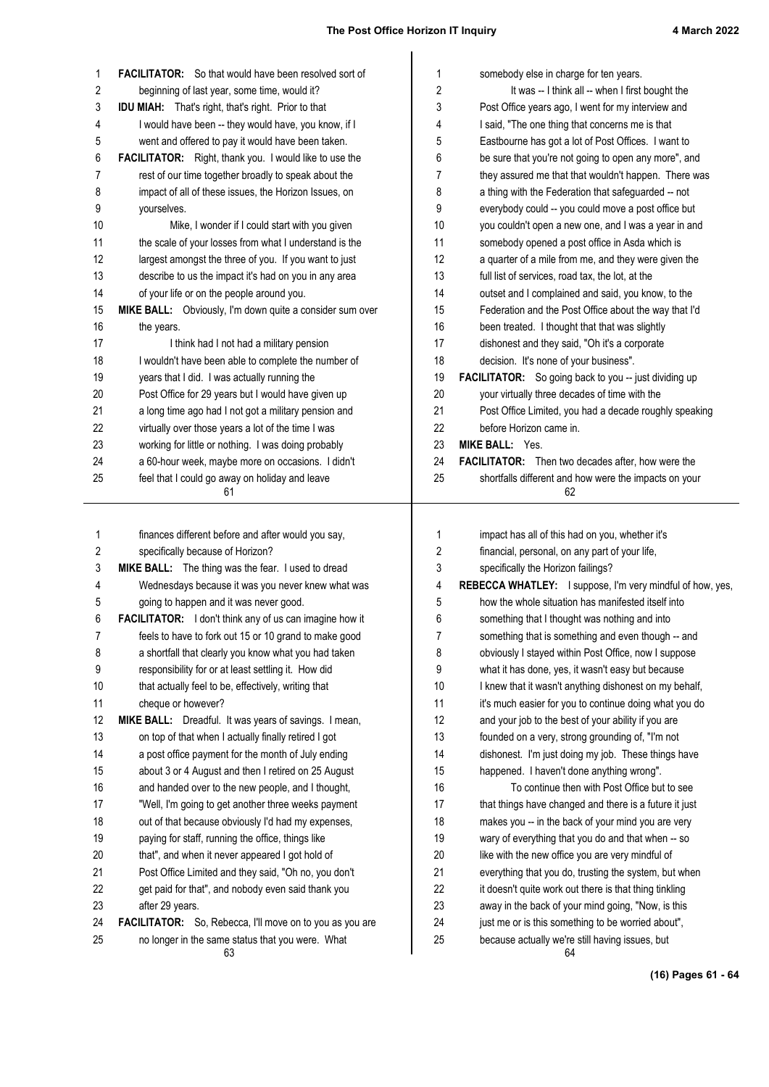| 1        | <b>FACILITATOR:</b> So that would have been resolved sort of                                                 | 1        | somebody else in charge for ten years.                                                                |
|----------|--------------------------------------------------------------------------------------------------------------|----------|-------------------------------------------------------------------------------------------------------|
| 2        | beginning of last year, some time, would it?                                                                 | 2        | It was -- I think all -- when I first bought the                                                      |
| 3        | <b>IDU MIAH:</b> That's right, that's right. Prior to that                                                   | 3        | Post Office years ago, I went for my interview and                                                    |
| 4        | I would have been -- they would have, you know, if I                                                         | 4        | I said, "The one thing that concerns me is that                                                       |
| 5        | went and offered to pay it would have been taken.                                                            | 5        | Eastbourne has got a lot of Post Offices. I want to                                                   |
| 6        | <b>FACILITATOR:</b> Right, thank you. I would like to use the                                                | 6        | be sure that you're not going to open any more", and                                                  |
| 7        | rest of our time together broadly to speak about the                                                         | 7        | they assured me that that wouldn't happen. There was                                                  |
| 8        | impact of all of these issues, the Horizon Issues, on                                                        | 8        | a thing with the Federation that safeguarded -- not                                                   |
| 9        | yourselves.                                                                                                  | 9        | everybody could -- you could move a post office but                                                   |
| 10       | Mike, I wonder if I could start with you given                                                               | 10       | you couldn't open a new one, and I was a year in and                                                  |
| 11       | the scale of your losses from what I understand is the                                                       | 11       | somebody opened a post office in Asda which is                                                        |
| 12       | largest amongst the three of you. If you want to just                                                        | 12       | a quarter of a mile from me, and they were given the                                                  |
| 13       | describe to us the impact it's had on you in any area                                                        | 13       | full list of services, road tax, the lot, at the                                                      |
| 14       | of your life or on the people around you.                                                                    | 14       | outset and I complained and said, you know, to the                                                    |
| 15       | MIKE BALL: Obviously, I'm down quite a consider sum over                                                     | 15       | Federation and the Post Office about the way that I'd                                                 |
| 16       | the years.                                                                                                   | 16       | been treated. I thought that that was slightly                                                        |
| 17       | I think had I not had a military pension                                                                     | 17       | dishonest and they said, "Oh it's a corporate                                                         |
| 18       | I wouldn't have been able to complete the number of                                                          | 18       | decision. It's none of your business".                                                                |
| 19       | years that I did. I was actually running the                                                                 | 19       | <b>FACILITATOR:</b> So going back to you -- just dividing up                                          |
| 20       | Post Office for 29 years but I would have given up                                                           | 20       | your virtually three decades of time with the                                                         |
| 21       | a long time ago had I not got a military pension and                                                         | 21       | Post Office Limited, you had a decade roughly speaking                                                |
| 22       | virtually over those years a lot of the time I was                                                           | 22       | before Horizon came in.                                                                               |
| 23       | working for little or nothing. I was doing probably                                                          | 23       | <b>MIKE BALL: Yes.</b>                                                                                |
| 24       | a 60-hour week, maybe more on occasions. I didn't                                                            | 24       | <b>FACILITATOR:</b> Then two decades after, how were the                                              |
| 25       | feel that I could go away on holiday and leave                                                               | 25       | shortfalls different and how were the impacts on your                                                 |
|          | 61                                                                                                           |          | 62                                                                                                    |
|          |                                                                                                              |          |                                                                                                       |
|          |                                                                                                              |          |                                                                                                       |
| 1        | finances different before and after would you say,                                                           | 1        | impact has all of this had on you, whether it's                                                       |
| 2        | specifically because of Horizon?                                                                             | 2        | financial, personal, on any part of your life,                                                        |
| 3        | MIKE BALL: The thing was the fear. I used to dread                                                           | 3        | specifically the Horizon failings?                                                                    |
| 4        | Wednesdays because it was you never knew what was                                                            | 4        | REBECCA WHATLEY: I suppose, I'm very mindful of how, yes,                                             |
| 5        | going to happen and it was never good.                                                                       | 5        | how the whole situation has manifested itself into                                                    |
| 6        | <b>FACILITATOR:</b> I don't think any of us can imagine how it                                               | 6        | something that I thought was nothing and into                                                         |
| 7        | feels to have to fork out 15 or 10 grand to make good                                                        | 7        | something that is something and even though -- and                                                    |
| 8        | a shortfall that clearly you know what you had taken                                                         | 8        | obviously I stayed within Post Office, now I suppose                                                  |
| 9        | responsibility for or at least settling it. How did                                                          | 9        | what it has done, yes, it wasn't easy but because                                                     |
| 10       | that actually feel to be, effectively, writing that                                                          | 10       | I knew that it wasn't anything dishonest on my behalf,                                                |
| 11       | cheque or however?                                                                                           | 11       | it's much easier for you to continue doing what you do                                                |
| 12       | MIKE BALL: Dreadful. It was years of savings. I mean,                                                        | 12       | and your job to the best of your ability if you are                                                   |
| 13       | on top of that when I actually finally retired I got                                                         | 13       | founded on a very, strong grounding of, "I'm not                                                      |
| 14       | a post office payment for the month of July ending                                                           | 14       | dishonest. I'm just doing my job. These things have                                                   |
| 15       | about 3 or 4 August and then I retired on 25 August                                                          | 15       | happened. I haven't done anything wrong".                                                             |
| 16       | and handed over to the new people, and I thought,                                                            | 16       | To continue then with Post Office but to see                                                          |
| 17       | "Well, I'm going to get another three weeks payment                                                          | 17       | that things have changed and there is a future it just                                                |
| 18       | out of that because obviously I'd had my expenses,                                                           | 18       | makes you -- in the back of your mind you are very                                                    |
| 19       | paying for staff, running the office, things like                                                            | 19       | wary of everything that you do and that when -- so                                                    |
| 20       | that", and when it never appeared I got hold of                                                              | 20       | like with the new office you are very mindful of                                                      |
| 21       | Post Office Limited and they said, "Oh no, you don't                                                         | 21       | everything that you do, trusting the system, but when                                                 |
| 22       | get paid for that", and nobody even said thank you                                                           | 22       | it doesn't quite work out there is that thing tinkling                                                |
| 23       | after 29 years.                                                                                              | 23       | away in the back of your mind going, "Now, is this                                                    |
| 24<br>25 | FACILITATOR: So, Rebecca, I'll move on to you as you are<br>no longer in the same status that you were. What | 24<br>25 | just me or is this something to be worried about",<br>because actually we're still having issues, but |

**(16) Pages 61 - 64**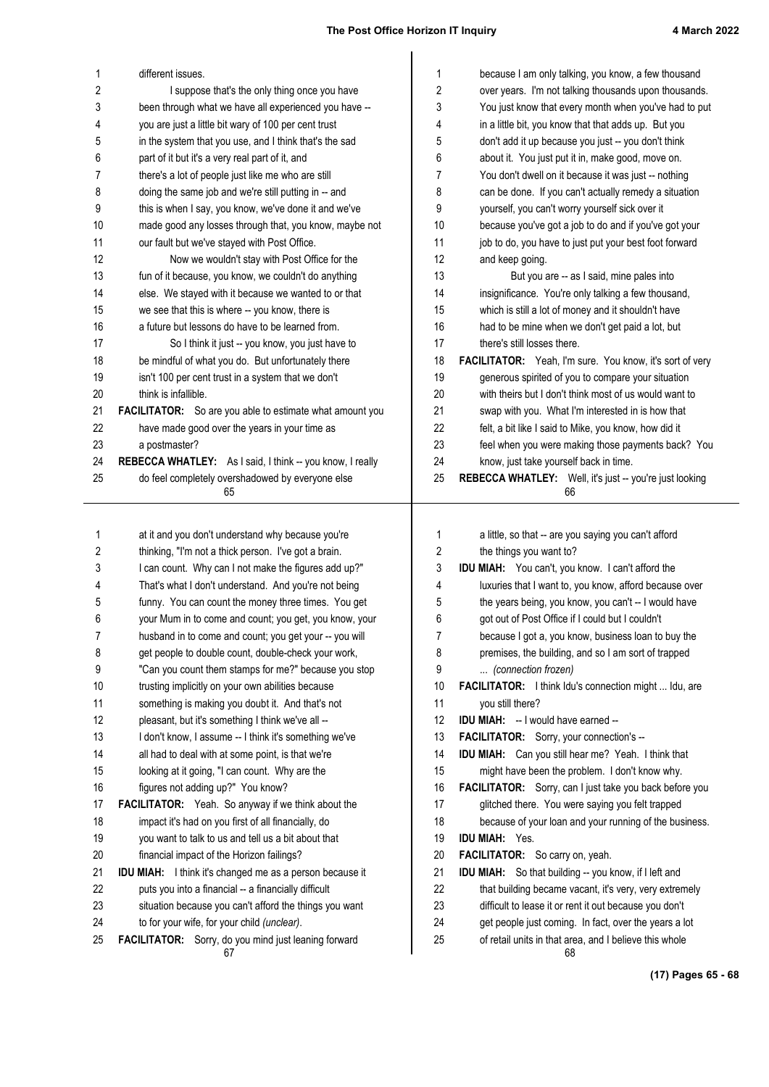| 1  | different issues.                                               | $\mathbf{1}$   | because I am only talking, you know, a few thousand           |
|----|-----------------------------------------------------------------|----------------|---------------------------------------------------------------|
| 2  | I suppose that's the only thing once you have                   | 2              | over years. I'm not talking thousands upon thousands.         |
| 3  | been through what we have all experienced you have --           | 3              | You just know that every month when you've had to put         |
| 4  | you are just a little bit wary of 100 per cent trust            | 4              | in a little bit, you know that that adds up. But you          |
| 5  | in the system that you use, and I think that's the sad          | 5              | don't add it up because you just -- you don't think           |
| 6  | part of it but it's a very real part of it, and                 | 6              | about it. You just put it in, make good, move on.             |
| 7  | there's a lot of people just like me who are still              | 7              | You don't dwell on it because it was just -- nothing          |
| 8  | doing the same job and we're still putting in -- and            | 8              | can be done. If you can't actually remedy a situation         |
| 9  | this is when I say, you know, we've done it and we've           | 9              | yourself, you can't worry yourself sick over it               |
| 10 | made good any losses through that, you know, maybe not          | 10             | because you've got a job to do and if you've got your         |
| 11 | our fault but we've stayed with Post Office.                    | 11             | job to do, you have to just put your best foot forward        |
| 12 | Now we wouldn't stay with Post Office for the                   | 12             | and keep going.                                               |
| 13 | fun of it because, you know, we couldn't do anything            | 13             | But you are -- as I said, mine pales into                     |
| 14 | else. We stayed with it because we wanted to or that            | 14             | insignificance. You're only talking a few thousand,           |
| 15 | we see that this is where -- you know, there is                 | 15             | which is still a lot of money and it shouldn't have           |
| 16 | a future but lessons do have to be learned from.                | 16             | had to be mine when we don't get paid a lot, but              |
| 17 | So I think it just -- you know, you just have to                | 17             | there's still losses there.                                   |
| 18 | be mindful of what you do. But unfortunately there              | 18             | FACILITATOR: Yeah, I'm sure. You know, it's sort of very      |
| 19 | isn't 100 per cent trust in a system that we don't              | 19             | generous spirited of you to compare your situation            |
| 20 | think is infallible.                                            | 20             | with theirs but I don't think most of us would want to        |
| 21 | FACILITATOR: So are you able to estimate what amount you        | 21             | swap with you. What I'm interested in is how that             |
| 22 | have made good over the years in your time as                   | 22             | felt, a bit like I said to Mike, you know, how did it         |
| 23 | a postmaster?                                                   | 23             | feel when you were making those payments back? You            |
| 24 | REBECCA WHATLEY: As I said, I think -- you know, I really       | 24             | know, just take yourself back in time.                        |
| 25 | do feel completely overshadowed by everyone else<br>65          | 25             | REBECCA WHATLEY: Well, it's just -- you're just looking<br>66 |
|    |                                                                 |                |                                                               |
| 1  | at it and you don't understand why because you're               | 1              | a little, so that -- are you saying you can't afford          |
| 2  | thinking, "I'm not a thick person. I've got a brain.            | $\overline{c}$ | the things you want to?                                       |
| 3  | I can count. Why can I not make the figures add up?"            | 3              | IDU MIAH: You can't, you know. I can't afford the             |
| 4  | That's what I don't understand. And you're not being            | 4              | luxuries that I want to, you know, afford because over        |
| 5  | funny. You can count the money three times. You get             | 5              | the years being, you know, you can't -- I would have          |
| 6  | your Mum in to come and count; you get, you know, your          | 6              | got out of Post Office if I could but I couldn't              |
| 7  | husband in to come and count; you get your -- you will          | 7              | because I got a, you know, business loan to buy the           |
| 8  | get people to double count, double-check your work,             | 8              | premises, the building, and so I am sort of trapped           |
| 9  | "Can you count them stamps for me?" because you stop            | 9              | (connection frozen)                                           |
| 10 | trusting implicitly on your own abilities because               | 10             | FACILITATOR: I think Idu's connection might  Idu, are         |
| 11 | something is making you doubt it. And that's not                | 11             | you still there?                                              |
| 12 | pleasant, but it's something I think we've all --               | 12             | <b>IDU MIAH:</b> -- I would have earned --                    |
| 13 | I don't know, I assume -- I think it's something we've          | 13             | FACILITATOR: Sorry, your connection's --                      |
| 14 | all had to deal with at some point, is that we're               | 14             | IDU MIAH: Can you still hear me? Yeah. I think that           |
| 15 | looking at it going, "I can count. Why are the                  | 15             | might have been the problem. I don't know why.                |
| 16 | figures not adding up?" You know?                               | 16             | FACILITATOR: Sorry, can I just take you back before you       |
| 17 | FACILITATOR: Yeah. So anyway if we think about the              | 17             | glitched there. You were saying you felt trapped              |
| 18 | impact it's had on you first of all financially, do             | 18             | because of your loan and your running of the business.        |
| 19 | you want to talk to us and tell us a bit about that             | 19             | <b>IDU MIAH: Yes.</b>                                         |
| 20 | financial impact of the Horizon failings?                       | 20             | FACILITATOR: So carry on, yeah.                               |
| 21 | <b>IDU MIAH:</b> I think it's changed me as a person because it | 21             | <b>IDU MIAH:</b> So that building -- you know, if I left and  |
| 22 | puts you into a financial -- a financially difficult            | 22             | that building became vacant, it's very, very extremely        |
| 23 | situation because you can't afford the things you want          | 23             | difficult to lease it or rent it out because you don't        |
| 24 | to for your wife, for your child (unclear).                     | 24             | get people just coming. In fact, over the years a lot         |
| 25 | FACILITATOR: Sorry, do you mind just leaning forward            | 25             | of retail units in that area, and I believe this whole        |
|    | 67                                                              |                | 68                                                            |
|    |                                                                 |                | (17) Pages 65 - 68                                            |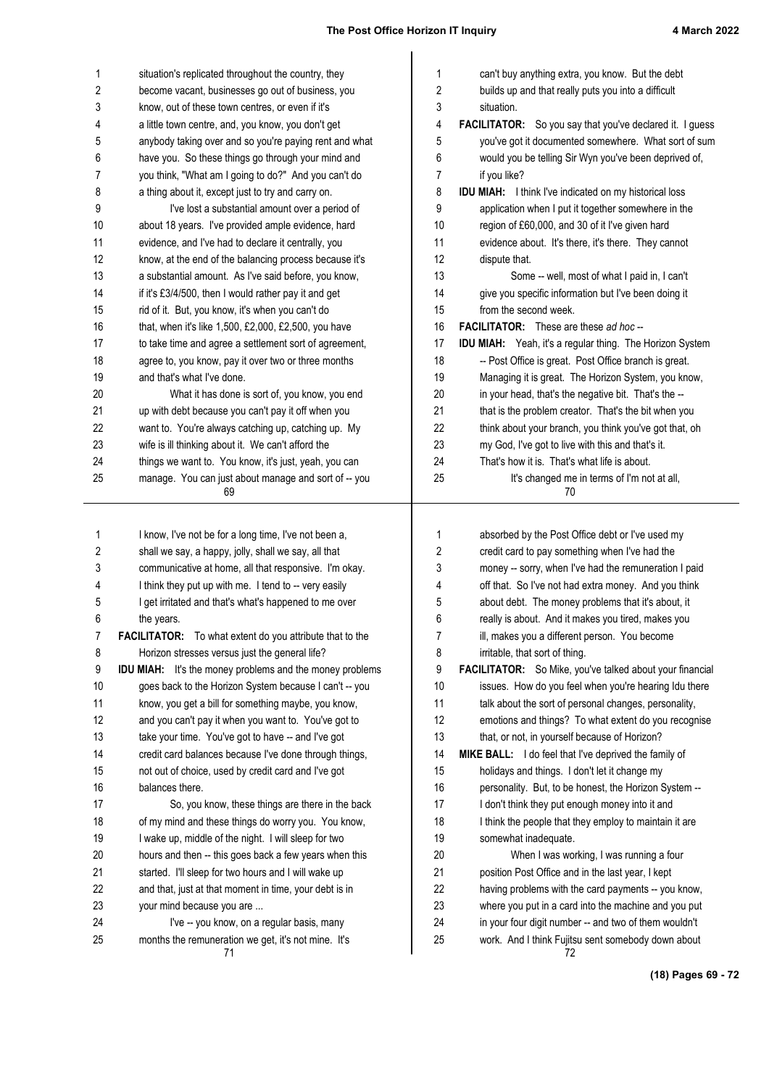| 1        | situation's replicated throughout the country, they<br>become vacant, businesses go out of business, you | 1<br>2   | can't buy anything extra, you know. But the debt                  |
|----------|----------------------------------------------------------------------------------------------------------|----------|-------------------------------------------------------------------|
| 2        |                                                                                                          |          | builds up and that really puts you into a difficult<br>situation. |
| 3        | know, out of these town centres, or even if it's                                                         | 3        | <b>FACILITATOR:</b> So you say that you've declared it. I guess   |
| 4        | a little town centre, and, you know, you don't get                                                       | 4        | you've got it documented somewhere. What sort of sum              |
| 5        | anybody taking over and so you're paying rent and what                                                   | 5        |                                                                   |
| 6        | have you. So these things go through your mind and                                                       | 6        | would you be telling Sir Wyn you've been deprived of,             |
| 7        | you think, "What am I going to do?" And you can't do                                                     | 7        | if you like?                                                      |
| 8        | a thing about it, except just to try and carry on.<br>I've lost a substantial amount over a period of    | 8<br>9   | IDU MIAH: I think I've indicated on my historical loss            |
| 9<br>10  |                                                                                                          | 10       | application when I put it together somewhere in the               |
| 11       | about 18 years. I've provided ample evidence, hard                                                       | 11       | region of £60,000, and 30 of it I've given hard                   |
| 12       | evidence, and I've had to declare it centrally, you                                                      | 12       | evidence about. It's there, it's there. They cannot               |
|          | know, at the end of the balancing process because it's                                                   |          | dispute that.                                                     |
| 13       | a substantial amount. As I've said before, you know,                                                     | 13       | Some -- well, most of what I paid in, I can't                     |
| 14       | if it's £3/4/500, then I would rather pay it and get                                                     | 14       | give you specific information but I've been doing it              |
| 15       | rid of it. But, you know, it's when you can't do                                                         | 15       | from the second week.                                             |
| 16       | that, when it's like 1,500, £2,000, £2,500, you have                                                     | 16       | <b>FACILITATOR:</b> These are these ad hoc--                      |
| 17       | to take time and agree a settlement sort of agreement,                                                   | 17       | <b>IDU MIAH:</b> Yeah, it's a regular thing. The Horizon System   |
| 18       | agree to, you know, pay it over two or three months<br>and that's what I've done.                        | 18       | -- Post Office is great. Post Office branch is great.             |
| 19       |                                                                                                          | 19       | Managing it is great. The Horizon System, you know,               |
| 20       | What it has done is sort of, you know, you end                                                           | 20       | in your head, that's the negative bit. That's the --              |
| 21       | up with debt because you can't pay it off when you                                                       | 21       | that is the problem creator. That's the bit when you              |
| 22       | want to. You're always catching up, catching up. My                                                      | 22       | think about your branch, you think you've got that, oh            |
| 23       | wife is ill thinking about it. We can't afford the                                                       | 23       | my God, I've got to live with this and that's it.                 |
| 24<br>25 | things we want to. You know, it's just, yeah, you can                                                    | 24<br>25 | That's how it is. That's what life is about.                      |
|          | manage. You can just about manage and sort of -- you<br>69                                               |          | It's changed me in terms of I'm not at all,<br>70                 |
| 1        | I know, I've not be for a long time, I've not been a,                                                    | 1        | absorbed by the Post Office debt or I've used my                  |
| 2        | shall we say, a happy, jolly, shall we say, all that                                                     | 2        | credit card to pay something when I've had the                    |
| 3        | communicative at home, all that responsive. I'm okay.                                                    | 3        | money -- sorry, when I've had the remuneration I paid             |
| 4        | I think they put up with me. I tend to -- very easily                                                    | 4        | off that. So I've not had extra money. And you think              |
| 5        | I get irritated and that's what's happened to me over                                                    | 5        | about debt. The money problems that it's about, it                |
| 6        | the years.                                                                                               | 6        | really is about. And it makes you tired, makes you                |
| 7        | FACILITATOR: To what extent do you attribute that to the                                                 | 7        | ill, makes you a different person. You become                     |
| 8        | Horizon stresses versus just the general life?                                                           | 8        | irritable, that sort of thing.                                    |
| 9        | <b>IDU MIAH:</b> It's the money problems and the money problems                                          | 9        | FACILITATOR: So Mike, you've talked about your financial          |
| 10       | goes back to the Horizon System because I can't -- you                                                   | 10       | issues. How do you feel when you're hearing Idu there             |
| 11       | know, you get a bill for something maybe, you know,                                                      | 11       | talk about the sort of personal changes, personality,             |
| 12       | and you can't pay it when you want to. You've got to                                                     | 12       | emotions and things? To what extent do you recognise              |
| 13       | take your time. You've got to have -- and I've got                                                       | 13       | that, or not, in yourself because of Horizon?                     |
| 14       | credit card balances because I've done through things,                                                   | 14       | MIKE BALL: I do feel that I've deprived the family of             |
| 15       | not out of choice, used by credit card and I've got                                                      | 15       | holidays and things. I don't let it change my                     |
| 16       | balances there.                                                                                          | 16       | personality. But, to be honest, the Horizon System --             |
| 17       | So, you know, these things are there in the back                                                         | 17       | I don't think they put enough money into it and                   |
| 18       | of my mind and these things do worry you. You know,                                                      | 18       | I think the people that they employ to maintain it are            |
| 19       | I wake up, middle of the night. I will sleep for two                                                     | 19       | somewhat inadequate.                                              |
| 20       | hours and then -- this goes back a few years when this                                                   | 20       | When I was working, I was running a four                          |
| 21       | started. I'll sleep for two hours and I will wake up                                                     | 21       | position Post Office and in the last year, I kept                 |
| 22       | and that, just at that moment in time, your debt is in                                                   | 22       | having problems with the card payments -- you know,               |
| 23       | your mind because you are                                                                                | 23       | where you put in a card into the machine and you put              |
| 24       | I've -- you know, on a regular basis, many                                                               | 24       | in your four digit number -- and two of them wouldn't             |
| 25       | months the remuneration we get, it's not mine. It's<br>71                                                | 25       | work. And I think Fujitsu sent somebody down about<br>72          |

**(18) Pages 69 - 72**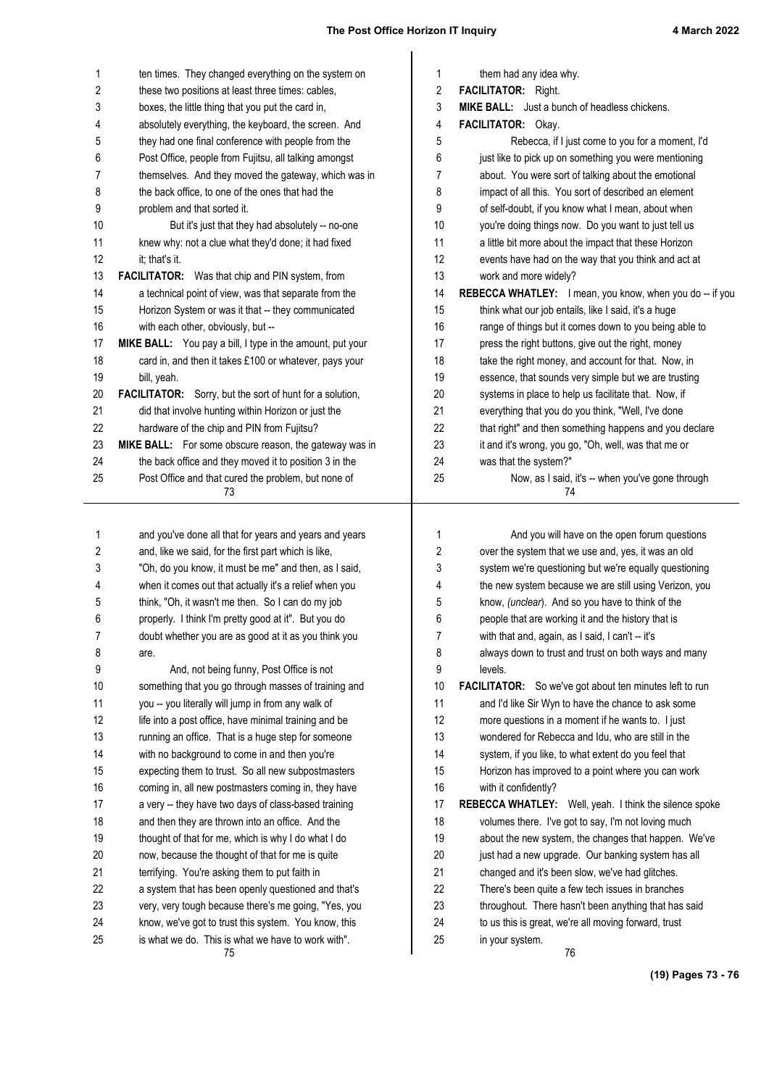| 1        | ten times. They changed everything on the system on                                                        | 1        | them had any idea why.                                                  |
|----------|------------------------------------------------------------------------------------------------------------|----------|-------------------------------------------------------------------------|
| 2        | these two positions at least three times: cables,                                                          | 2        | FACILITATOR: Right.                                                     |
| 3        | boxes, the little thing that you put the card in,                                                          | 3        | MIKE BALL: Just a bunch of headless chickens.                           |
| 4        | absolutely everything, the keyboard, the screen. And                                                       | 4        | FACILITATOR: Okay.                                                      |
| 5        | they had one final conference with people from the                                                         | 5        | Rebecca, if I just come to you for a moment, I'd                        |
| 6        | Post Office, people from Fujitsu, all talking amongst                                                      | 6        | just like to pick up on something you were mentioning                   |
| 7        | themselves. And they moved the gateway, which was in                                                       | 7        | about. You were sort of talking about the emotional                     |
| 8        | the back office, to one of the ones that had the                                                           | 8        | impact of all this. You sort of described an element                    |
| 9        | problem and that sorted it.                                                                                | 9        | of self-doubt, if you know what I mean, about when                      |
| 10       | But it's just that they had absolutely -- no-one                                                           | 10       | you're doing things now. Do you want to just tell us                    |
| 11       | knew why: not a clue what they'd done; it had fixed                                                        | 11       | a little bit more about the impact that these Horizon                   |
| 12       | it; that's it.                                                                                             | 12       | events have had on the way that you think and act at                    |
| 13       | FACILITATOR: Was that chip and PIN system, from                                                            | 13       | work and more widely?                                                   |
| 14       | a technical point of view, was that separate from the                                                      | 14       | REBECCA WHATLEY: I mean, you know, when you do -- if you                |
| 15       | Horizon System or was it that -- they communicated                                                         | 15       | think what our job entails, like I said, it's a huge                    |
| 16       | with each other, obviously, but --                                                                         | 16       | range of things but it comes down to you being able to                  |
| 17       | MIKE BALL: You pay a bill, I type in the amount, put your                                                  | 17       | press the right buttons, give out the right, money                      |
| 18       | card in, and then it takes £100 or whatever, pays your                                                     | 18       | take the right money, and account for that. Now, in                     |
| 19       | bill, yeah.                                                                                                | 19       | essence, that sounds very simple but we are trusting                    |
| 20       | <b>FACILITATOR:</b> Sorry, but the sort of hunt for a solution,                                            | 20       | systems in place to help us facilitate that. Now, if                    |
| 21       | did that involve hunting within Horizon or just the                                                        | 21       | everything that you do you think, "Well, I've done                      |
| 22       | hardware of the chip and PIN from Fujitsu?                                                                 | 22       | that right" and then something happens and you declare                  |
| 23       | MIKE BALL: For some obscure reason, the gateway was in                                                     | 23       | it and it's wrong, you go, "Oh, well, was that me or                    |
| 24       | the back office and they moved it to position 3 in the                                                     | 24       | was that the system?"                                                   |
| 25       | Post Office and that cured the problem, but none of<br>73                                                  | 25       | Now, as I said, it's -- when you've gone through<br>74                  |
|          |                                                                                                            |          |                                                                         |
|          |                                                                                                            |          |                                                                         |
|          |                                                                                                            |          |                                                                         |
| 1        | and you've done all that for years and years and years                                                     | 1        | And you will have on the open forum questions                           |
| 2        | and, like we said, for the first part which is like,                                                       | 2        | over the system that we use and, yes, it was an old                     |
| 3        | "Oh, do you know, it must be me" and then, as I said,                                                      | 3        | system we're questioning but we're equally questioning                  |
| 4        | when it comes out that actually it's a relief when you                                                     | 4        | the new system because we are still using Verizon, you                  |
| 5        | think, "Oh, it wasn't me then. So I can do my job                                                          | 5        | know, (unclear). And so you have to think of the                        |
| 6        | properly. I think I'm pretty good at it". But you do                                                       | 6        | people that are working it and the history that is                      |
| 7        | doubt whether you are as good at it as you think you                                                       | 7        | with that and, again, as I said, I can't -- it's                        |
| 8        | are.                                                                                                       | 8        | always down to trust and trust on both ways and many                    |
| 9        | And, not being funny, Post Office is not                                                                   | 9        | levels.                                                                 |
| 10       | something that you go through masses of training and                                                       | 10       | <b>FACILITATOR:</b> So we've got about ten minutes left to run          |
| 11       | you -- you literally will jump in from any walk of                                                         | 11       | and I'd like Sir Wyn to have the chance to ask some                     |
| 12       | life into a post office, have minimal training and be                                                      | 12       | more questions in a moment if he wants to. I just                       |
| 13       | running an office. That is a huge step for someone                                                         | 13       | wondered for Rebecca and Idu, who are still in the                      |
| 14       | with no background to come in and then you're                                                              | 14       | system, if you like, to what extent do you feel that                    |
| 15       | expecting them to trust. So all new subpostmasters                                                         | 15       | Horizon has improved to a point where you can work                      |
| 16       | coming in, all new postmasters coming in, they have                                                        | 16       | with it confidently?                                                    |
| 17       | a very -- they have two days of class-based training                                                       | 17       | REBECCA WHATLEY: Well, yeah. I think the silence spoke                  |
| 18       | and then they are thrown into an office. And the                                                           | 18       | volumes there. I've got to say, I'm not loving much                     |
| 19       | thought of that for me, which is why I do what I do                                                        | 19       | about the new system, the changes that happen. We've                    |
| 20       | now, because the thought of that for me is quite                                                           | 20       | just had a new upgrade. Our banking system has all                      |
| 21       | terrifying. You're asking them to put faith in                                                             | 21       | changed and it's been slow, we've had glitches.                         |
| 22       | a system that has been openly questioned and that's                                                        | 22       | There's been quite a few tech issues in branches                        |
| 23       | very, very tough because there's me going, "Yes, you                                                       | 23       | throughout. There hasn't been anything that has said                    |
| 24<br>25 | know, we've got to trust this system. You know, this<br>is what we do. This is what we have to work with". | 24<br>25 | to us this is great, we're all moving forward, trust<br>in your system. |

**(19) Pages 73 - 76**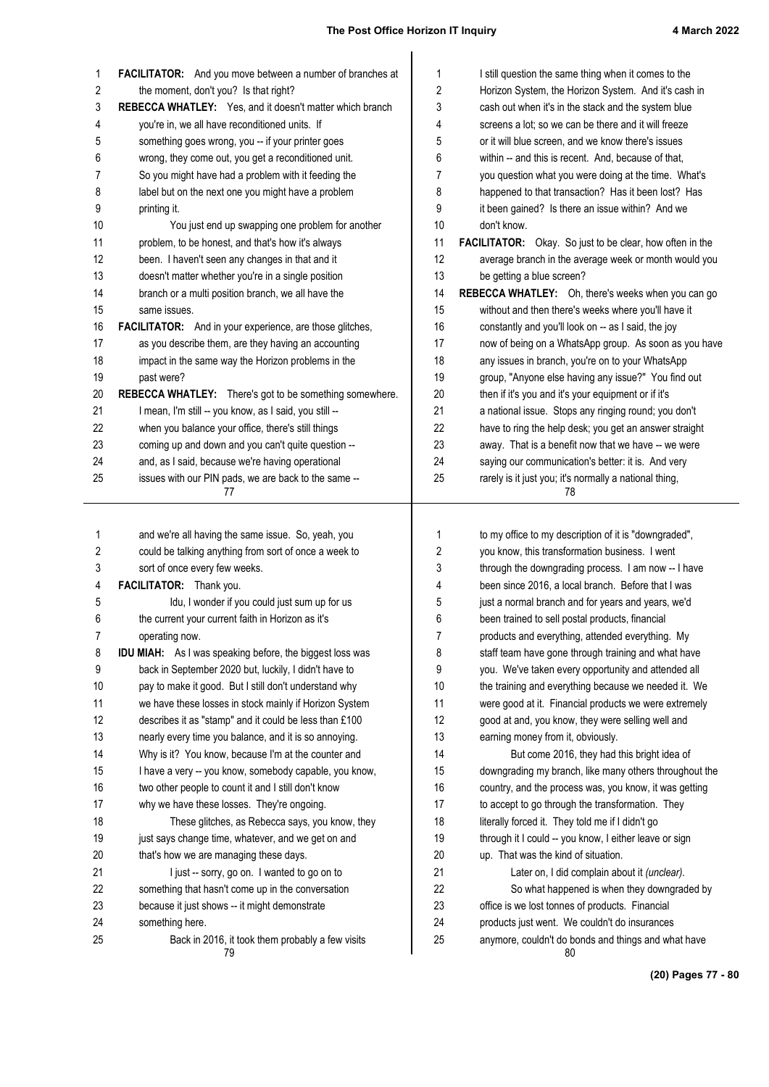| 1        | FACILITATOR: And you move between a number of branches at           | 1        | I still question the same thing when it comes to the                                                 |
|----------|---------------------------------------------------------------------|----------|------------------------------------------------------------------------------------------------------|
| 2        | the moment, don't you? Is that right?                               | 2        | Horizon System, the Horizon System. And it's cash in                                                 |
| 3        | REBECCA WHATLEY: Yes, and it doesn't matter which branch            | 3        | cash out when it's in the stack and the system blue                                                  |
| 4        | you're in, we all have reconditioned units. If                      | 4        | screens a lot; so we can be there and it will freeze                                                 |
| 5        | something goes wrong, you -- if your printer goes                   | 5        | or it will blue screen, and we know there's issues                                                   |
| 6        | wrong, they come out, you get a reconditioned unit.                 | 6        | within -- and this is recent. And, because of that,                                                  |
| 7        | So you might have had a problem with it feeding the                 | 7        | you question what you were doing at the time. What's                                                 |
| 8        | label but on the next one you might have a problem                  | 8        | happened to that transaction? Has it been lost? Has                                                  |
| 9        | printing it.                                                        | 9        | it been gained? Is there an issue within? And we                                                     |
| 10       | You just end up swapping one problem for another                    | 10       | don't know.                                                                                          |
| 11       | problem, to be honest, and that's how it's always                   | 11       | FACILITATOR: Okay. So just to be clear, how often in the                                             |
| 12       | been. I haven't seen any changes in that and it                     | 12       | average branch in the average week or month would you                                                |
| 13       | doesn't matter whether you're in a single position                  | 13       | be getting a blue screen?                                                                            |
| 14       | branch or a multi position branch, we all have the                  | 14       | REBECCA WHATLEY: Oh, there's weeks when you can go                                                   |
| 15       | same issues.                                                        | 15       | without and then there's weeks where you'll have it                                                  |
| 16       | <b>FACILITATOR:</b> And in your experience, are those glitches,     | 16       | constantly and you'll look on -- as I said, the joy                                                  |
| 17       | as you describe them, are they having an accounting                 | 17       | now of being on a WhatsApp group. As soon as you have                                                |
| 18       | impact in the same way the Horizon problems in the                  | 18       | any issues in branch, you're on to your WhatsApp                                                     |
| 19       | past were?                                                          | 19       | group, "Anyone else having any issue?" You find out                                                  |
| 20       | REBECCA WHATLEY: There's got to be something somewhere.             | 20       | then if it's you and it's your equipment or if it's                                                  |
| 21       | I mean, I'm still -- you know, as I said, you still --              | 21       | a national issue. Stops any ringing round; you don't                                                 |
| 22       | when you balance your office, there's still things                  | 22       | have to ring the help desk; you get an answer straight                                               |
| 23       | coming up and down and you can't quite question --                  | 23       | away. That is a benefit now that we have -- we were                                                  |
| 24       | and, as I said, because we're having operational                    | 24       | saying our communication's better: it is. And very                                                   |
| 25       | issues with our PIN pads, we are back to the same --                | 25       | rarely is it just you; it's normally a national thing,                                               |
|          | 77                                                                  |          | 78                                                                                                   |
|          |                                                                     |          |                                                                                                      |
|          |                                                                     |          |                                                                                                      |
| 1        | and we're all having the same issue. So, yeah, you                  | 1        | to my office to my description of it is "downgraded",                                                |
| 2        | could be talking anything from sort of once a week to               | 2        | you know, this transformation business. I went                                                       |
| 3        | sort of once every few weeks.                                       | 3        | through the downgrading process. I am now -- I have                                                  |
| 4        | FACILITATOR: Thank you.                                             | 4        | been since 2016, a local branch. Before that I was                                                   |
| 5        | Idu, I wonder if you could just sum up for us                       | 5        | just a normal branch and for years and years, we'd                                                   |
| 6        | the current your current faith in Horizon as it's                   | 6        | been trained to sell postal products, financial                                                      |
| 7        | operating now.                                                      | 7        | products and everything, attended everything. My                                                     |
| 8        | <b>IDU MIAH:</b> As I was speaking before, the biggest loss was     | 8        | staff team have gone through training and what have                                                  |
| 9        | back in September 2020 but, luckily, I didn't have to               | 9        | you. We've taken every opportunity and attended all                                                  |
| 10       | pay to make it good. But I still don't understand why               | 10       | the training and everything because we needed it. We                                                 |
| 11       | we have these losses in stock mainly if Horizon System              | 11       | were good at it. Financial products we were extremely                                                |
| 12       | describes it as "stamp" and it could be less than £100              | 12       | good at and, you know, they were selling well and                                                    |
| 13       | nearly every time you balance, and it is so annoying.               | 13       | earning money from it, obviously.                                                                    |
| 14       | Why is it? You know, because I'm at the counter and                 | 14       | But come 2016, they had this bright idea of                                                          |
| 15       | I have a very -- you know, somebody capable, you know,              | 15       | downgrading my branch, like many others throughout the                                               |
| 16       | two other people to count it and I still don't know                 | 16       | country, and the process was, you know, it was getting                                               |
| 17       | why we have these losses. They're ongoing.                          | 17       | to accept to go through the transformation. They                                                     |
| 18       | These glitches, as Rebecca says, you know, they                     | 18       | literally forced it. They told me if I didn't go                                                     |
| 19       | just says change time, whatever, and we get on and                  | 19       | through it I could -- you know, I either leave or sign                                               |
| 20       | that's how we are managing these days.                              | 20       | up. That was the kind of situation.                                                                  |
| 21       | I just -- sorry, go on. I wanted to go on to                        | 21       | Later on, I did complain about it (unclear).                                                         |
| 22       | something that hasn't come up in the conversation                   | 22       | So what happened is when they downgraded by                                                          |
| 23       | because it just shows -- it might demonstrate                       | 23       | office is we lost tonnes of products. Financial                                                      |
| 24<br>25 | something here.<br>Back in 2016, it took them probably a few visits | 24<br>25 | products just went. We couldn't do insurances<br>anymore, couldn't do bonds and things and what have |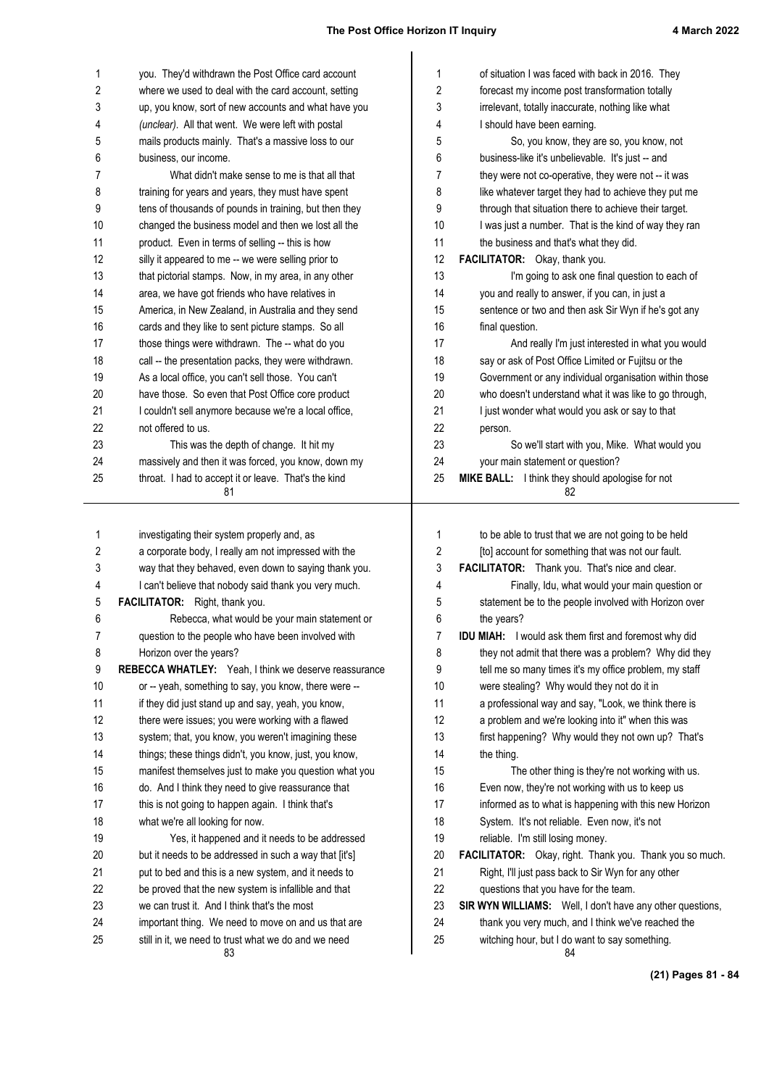| 1  | you. They'd withdrawn the Post Office card account                                                  | 1  | of situation I was faced with back in 2016. They             |
|----|-----------------------------------------------------------------------------------------------------|----|--------------------------------------------------------------|
| 2  | where we used to deal with the card account, setting                                                | 2  | forecast my income post transformation totally               |
| 3  | up, you know, sort of new accounts and what have you                                                | 3  | irrelevant, totally inaccurate, nothing like what            |
| 4  | (unclear). All that went. We were left with postal                                                  | 4  | I should have been earning.                                  |
| 5  | mails products mainly. That's a massive loss to our                                                 | 5  | So, you know, they are so, you know, not                     |
| 6  | business, our income.                                                                               | 6  | business-like it's unbelievable. It's just -- and            |
| 7  | What didn't make sense to me is that all that                                                       | 7  | they were not co-operative, they were not -- it was          |
| 8  | training for years and years, they must have spent                                                  | 8  | like whatever target they had to achieve they put me         |
| 9  | tens of thousands of pounds in training, but then they                                              | 9  | through that situation there to achieve their target.        |
| 10 | changed the business model and then we lost all the                                                 | 10 | I was just a number. That is the kind of way they ran        |
| 11 | product. Even in terms of selling -- this is how                                                    | 11 | the business and that's what they did.                       |
| 12 | silly it appeared to me -- we were selling prior to                                                 | 12 | FACILITATOR: Okay, thank you.                                |
| 13 | that pictorial stamps. Now, in my area, in any other                                                | 13 | I'm going to ask one final question to each of               |
| 14 | area, we have got friends who have relatives in                                                     | 14 | you and really to answer, if you can, in just a              |
| 15 | America, in New Zealand, in Australia and they send                                                 | 15 | sentence or two and then ask Sir Wyn if he's got any         |
| 16 | cards and they like to sent picture stamps. So all                                                  | 16 | final question.                                              |
| 17 | those things were withdrawn. The -- what do you                                                     | 17 | And really I'm just interested in what you would             |
| 18 | call -- the presentation packs, they were withdrawn.                                                | 18 | say or ask of Post Office Limited or Fujitsu or the          |
| 19 | As a local office, you can't sell those. You can't                                                  | 19 | Government or any individual organisation within those       |
| 20 | have those. So even that Post Office core product                                                   | 20 | who doesn't understand what it was like to go through,       |
| 21 | I couldn't sell anymore because we're a local office,                                               | 21 | I just wonder what would you ask or say to that              |
| 22 | not offered to us.                                                                                  | 22 | person.                                                      |
| 23 | This was the depth of change. It hit my                                                             | 23 | So we'll start with you, Mike. What would you                |
| 24 | massively and then it was forced, you know, down my                                                 | 24 | your main statement or question?                             |
| 25 | throat. I had to accept it or leave. That's the kind<br>81                                          | 25 | MIKE BALL: I think they should apologise for not             |
|    |                                                                                                     |    | 82                                                           |
| 1  |                                                                                                     | 1  | to be able to trust that we are not going to be held         |
| 2  | investigating their system properly and, as<br>a corporate body, I really am not impressed with the | 2  | [to] account for something that was not our fault.           |
| 3  | way that they behaved, even down to saying thank you.                                               | 3  | FACILITATOR: Thank you. That's nice and clear.               |
| 4  | I can't believe that nobody said thank you very much.                                               | 4  | Finally, Idu, what would your main question or               |
| 5  | FACILITATOR: Right, thank you.                                                                      | 5  | statement be to the people involved with Horizon over        |
| 6  | Rebecca, what would be your main statement or                                                       | 6  | the years?                                                   |
| 7  | question to the people who have been involved with                                                  | 7  | <b>IDU MIAH:</b> I would ask them first and foremost why did |
| 8  | Horizon over the years?                                                                             | 8  | they not admit that there was a problem? Why did they        |
| 9  | REBECCA WHATLEY: Yeah, I think we deserve reassurance                                               | 9  | tell me so many times it's my office problem, my staff       |
| 10 | or -- yeah, something to say, you know, there were --                                               | 10 | were stealing? Why would they not do it in                   |
| 11 | if they did just stand up and say, yeah, you know,                                                  | 11 | a professional way and say, "Look, we think there is         |
| 12 | there were issues; you were working with a flawed                                                   | 12 | a problem and we're looking into it" when this was           |
| 13 | system; that, you know, you weren't imagining these                                                 | 13 | first happening? Why would they not own up? That's           |
| 14 | things; these things didn't, you know, just, you know,                                              | 14 | the thing.                                                   |
| 15 | manifest themselves just to make you question what you                                              | 15 | The other thing is they're not working with us.              |
| 16 | do. And I think they need to give reassurance that                                                  | 16 | Even now, they're not working with us to keep us             |
| 17 | this is not going to happen again. I think that's                                                   | 17 | informed as to what is happening with this new Horizon       |
| 18 | what we're all looking for now.                                                                     | 18 | System. It's not reliable. Even now, it's not                |
| 19 | Yes, it happened and it needs to be addressed                                                       | 19 | reliable. I'm still losing money.                            |
| 20 | but it needs to be addressed in such a way that [it's]                                              | 20 | FACILITATOR: Okay, right. Thank you. Thank you so much.      |
| 21 | put to bed and this is a new system, and it needs to                                                | 21 | Right, I'll just pass back to Sir Wyn for any other          |
| 22 | be proved that the new system is infallible and that                                                | 22 | questions that you have for the team.                        |
| 23 | we can trust it. And I think that's the most                                                        | 23 | SIR WYN WILLIAMS: Well, I don't have any other questions,    |
| 24 | important thing. We need to move on and us that are                                                 | 24 | thank you very much, and I think we've reached the           |
| 25 | still in it, we need to trust what we do and we need                                                | 25 | witching hour, but I do want to say something.               |
|    | 83                                                                                                  |    | 84                                                           |

**(21) Pages 81 - 84**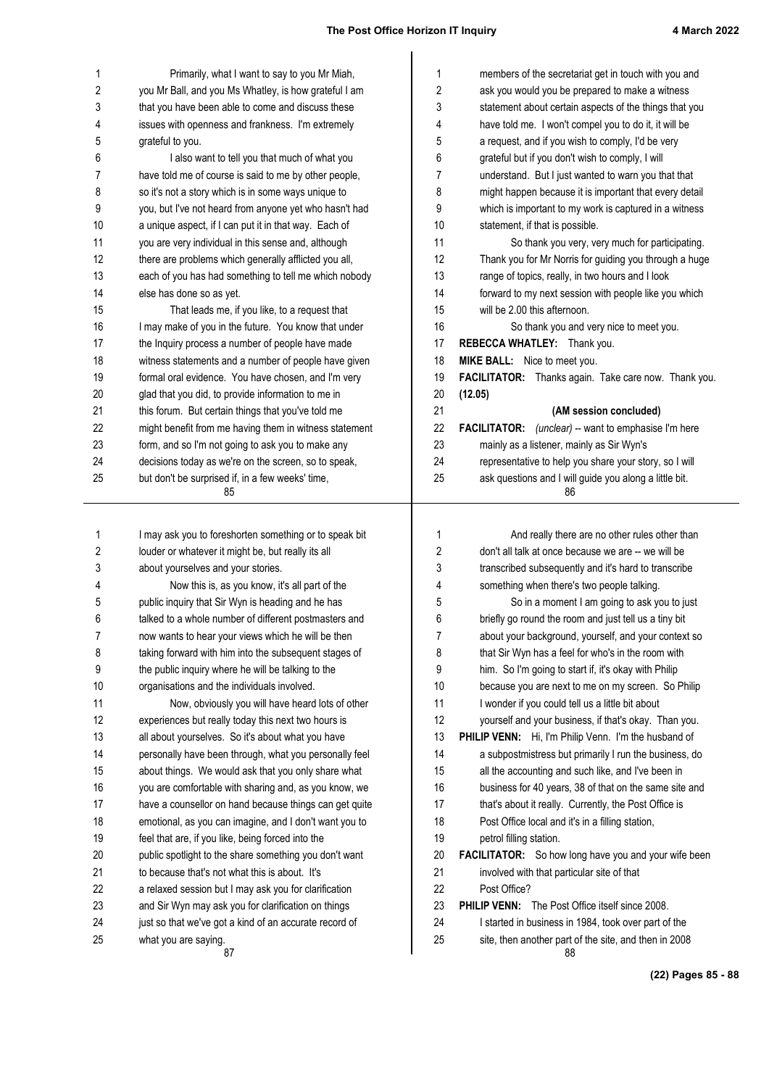| 1        | Primarily, what I want to say to you Mr Miah,                                                                 | 1        | members of the secretariat get in touch with you and                                                          |
|----------|---------------------------------------------------------------------------------------------------------------|----------|---------------------------------------------------------------------------------------------------------------|
| 2        | you Mr Ball, and you Ms Whatley, is how grateful I am                                                         | 2        | ask you would you be prepared to make a witness                                                               |
| 3        | that you have been able to come and discuss these                                                             | 3        | statement about certain aspects of the things that you                                                        |
| 4        | issues with openness and frankness. I'm extremely                                                             | 4        | have told me. I won't compel you to do it, it will be                                                         |
| 5        | grateful to you.                                                                                              | 5        | a request, and if you wish to comply, I'd be very                                                             |
| 6        | I also want to tell you that much of what you                                                                 | 6        | grateful but if you don't wish to comply, I will                                                              |
| 7        | have told me of course is said to me by other people,                                                         | 7        | understand. But I just wanted to warn you that that                                                           |
| 8        | so it's not a story which is in some ways unique to                                                           | 8        | might happen because it is important that every detail                                                        |
| 9        | you, but I've not heard from anyone yet who hasn't had                                                        | 9        | which is important to my work is captured in a witness                                                        |
| 10       | a unique aspect, if I can put it in that way. Each of                                                         | 10       | statement, if that is possible.                                                                               |
| 11       | you are very individual in this sense and, although                                                           | 11       | So thank you very, very much for participating.                                                               |
| 12       | there are problems which generally afflicted you all,                                                         | 12       | Thank you for Mr Norris for guiding you through a huge                                                        |
| 13       | each of you has had something to tell me which nobody                                                         | 13       | range of topics, really, in two hours and I look                                                              |
| 14<br>15 | else has done so as yet.<br>That leads me, if you like, to a request that                                     | 14<br>15 | forward to my next session with people like you which<br>will be 2.00 this afternoon.                         |
| 16       | I may make of you in the future. You know that under                                                          | 16       | So thank you and very nice to meet you.                                                                       |
| 17       | the Inquiry process a number of people have made                                                              | 17       | REBECCA WHATLEY: Thank you.                                                                                   |
| 18       | witness statements and a number of people have given                                                          | 18       | MIKE BALL: Nice to meet you.                                                                                  |
| 19       | formal oral evidence. You have chosen, and I'm very                                                           | 19       | FACILITATOR: Thanks again. Take care now. Thank you.                                                          |
| 20       | glad that you did, to provide information to me in                                                            | 20       | (12.05)                                                                                                       |
| 21       | this forum. But certain things that you've told me                                                            | 21       | (AM session concluded)                                                                                        |
| 22       | might benefit from me having them in witness statement                                                        | 22       | FACILITATOR: (unclear) -- want to emphasise I'm here                                                          |
| 23       | form, and so I'm not going to ask you to make any                                                             | 23       | mainly as a listener, mainly as Sir Wyn's                                                                     |
| 24       | decisions today as we're on the screen, so to speak,                                                          | 24       | representative to help you share your story, so I will                                                        |
| 25       | but don't be surprised if, in a few weeks' time,                                                              | 25       | ask questions and I will guide you along a little bit.                                                        |
|          | 85                                                                                                            |          | 86                                                                                                            |
|          |                                                                                                               |          |                                                                                                               |
| 1        | I may ask you to foreshorten something or to speak bit                                                        | 1        | And really there are no other rules other than                                                                |
| 2        | louder or whatever it might be, but really its all                                                            | 2        | don't all talk at once because we are -- we will be                                                           |
| 3        | about yourselves and your stories.                                                                            | 3        | transcribed subsequently and it's hard to transcribe                                                          |
| 4        | Now this is, as you know, it's all part of the                                                                | 4        | something when there's two people talking.                                                                    |
| 5        | public inquiry that Sir Wyn is heading and he has                                                             | 5        | So in a moment I am going to ask you to just                                                                  |
| 6        | talked to a whole number of different postmasters and                                                         | 6        | briefly go round the room and just tell us a tiny bit                                                         |
| 7        | now wants to hear your views which he will be then                                                            | 7        | about your background, yourself, and your context so                                                          |
| 8        | taking forward with him into the subsequent stages of                                                         | 8        | that Sir Wyn has a feel for who's in the room with                                                            |
| 9        | the public inquiry where he will be talking to the                                                            | 9        | him. So I'm going to start if, it's okay with Philip                                                          |
| 10<br>11 | organisations and the individuals involved.                                                                   | 10       | because you are next to me on my screen. So Philip                                                            |
|          | Now, obviously you will have heard lots of other                                                              | 11       | I wonder if you could tell us a little bit about                                                              |
| 12       | experiences but really today this next two hours is                                                           | 12       | yourself and your business, if that's okay. Than you.                                                         |
| 13<br>14 | all about yourselves. So it's about what you have                                                             | 13<br>14 | PHILIP VENN: Hi, I'm Philip Venn. I'm the husband of                                                          |
| 15       | personally have been through, what you personally feel<br>about things. We would ask that you only share what | 15       | a subpostmistress but primarily I run the business, do<br>all the accounting and such like, and I've been in  |
|          |                                                                                                               |          |                                                                                                               |
|          |                                                                                                               |          |                                                                                                               |
| 16       | you are comfortable with sharing and, as you know, we                                                         | 16       | business for 40 years, 38 of that on the same site and                                                        |
| 17       | have a counsellor on hand because things can get quite                                                        | 17       | that's about it really. Currently, the Post Office is                                                         |
| 18       | emotional, as you can imagine, and I don't want you to                                                        | 18       | Post Office local and it's in a filling station,                                                              |
| 19       | feel that are, if you like, being forced into the                                                             | 19       | petrol filling station.                                                                                       |
| 20       | public spotlight to the share something you don't want                                                        | 20       | <b>FACILITATOR:</b> So how long have you and your wife been                                                   |
| 21       | to because that's not what this is about. It's                                                                | 21       | involved with that particular site of that                                                                    |
| 22       | a relaxed session but I may ask you for clarification                                                         | 22       | Post Office?                                                                                                  |
| 23       | and Sir Wyn may ask you for clarification on things                                                           | 23       | <b>PHILIP VENN:</b> The Post Office itself since 2008.                                                        |
| 24<br>25 | just so that we've got a kind of an accurate record of<br>what you are saying.                                | 24<br>25 | I started in business in 1984, took over part of the<br>site, then another part of the site, and then in 2008 |

**(22) Pages 85 - 88**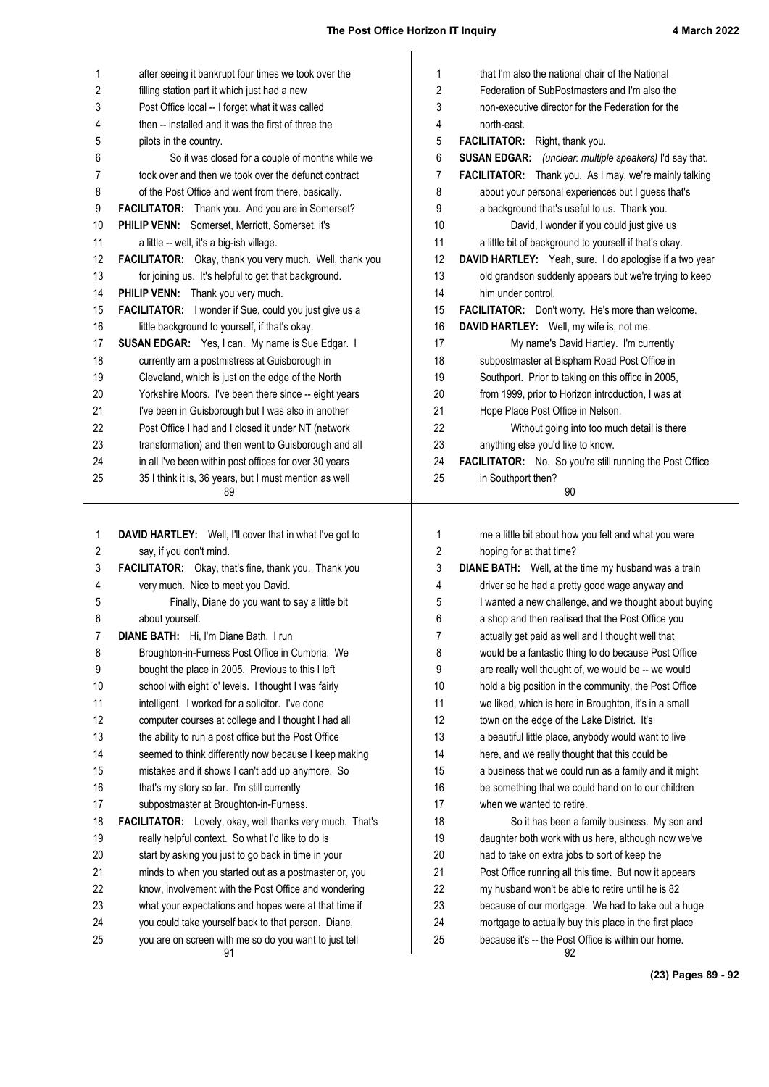| 1        | after seeing it bankrupt four times we took over the                                                         | $\mathbf 1$    | that I'm also the national chair of the National                                                              |
|----------|--------------------------------------------------------------------------------------------------------------|----------------|---------------------------------------------------------------------------------------------------------------|
| 2        | filling station part it which just had a new                                                                 | 2              | Federation of SubPostmasters and I'm also the                                                                 |
| 3        | Post Office local -- I forget what it was called                                                             | 3              | non-executive director for the Federation for the                                                             |
| 4        | then -- installed and it was the first of three the                                                          | 4              | north-east.                                                                                                   |
| 5        | pilots in the country.                                                                                       | 5              | FACILITATOR: Right, thank you.                                                                                |
| 6        | So it was closed for a couple of months while we                                                             | 6              | SUSAN EDGAR: (unclear: multiple speakers) I'd say that.                                                       |
| 7        | took over and then we took over the defunct contract                                                         | 7              | FACILITATOR: Thank you. As I may, we're mainly talking                                                        |
| 8        | of the Post Office and went from there, basically.                                                           | 8              | about your personal experiences but I guess that's                                                            |
| 9        | FACILITATOR: Thank you. And you are in Somerset?                                                             | 9              | a background that's useful to us. Thank you.                                                                  |
| 10       | PHILIP VENN: Somerset, Merriott, Somerset, it's                                                              | 10             | David, I wonder if you could just give us                                                                     |
| 11       | a little -- well, it's a big-ish village.                                                                    | 11             | a little bit of background to yourself if that's okay.                                                        |
| 12       | FACILITATOR: Okay, thank you very much. Well, thank you                                                      | 12             | DAVID HARTLEY: Yeah, sure. I do apologise if a two year                                                       |
| 13       | for joining us. It's helpful to get that background.                                                         | 13             | old grandson suddenly appears but we're trying to keep                                                        |
| 14       | PHILIP VENN: Thank you very much.                                                                            | 14             | him under control.                                                                                            |
| 15       | FACILITATOR: I wonder if Sue, could you just give us a                                                       | 15             | FACILITATOR: Don't worry. He's more than welcome.                                                             |
| 16       | little background to yourself, if that's okay.                                                               | 16             | DAVID HARTLEY: Well, my wife is, not me.                                                                      |
| 17       | SUSAN EDGAR: Yes, I can. My name is Sue Edgar. I                                                             | 17             | My name's David Hartley. I'm currently                                                                        |
| 18       | currently am a postmistress at Guisborough in                                                                | 18             | subpostmaster at Bispham Road Post Office in                                                                  |
| 19       | Cleveland, which is just on the edge of the North                                                            | 19             | Southport. Prior to taking on this office in 2005,                                                            |
| 20       | Yorkshire Moors. I've been there since -- eight years                                                        | 20             | from 1999, prior to Horizon introduction, I was at                                                            |
| 21       | I've been in Guisborough but I was also in another                                                           | 21             | Hope Place Post Office in Nelson.                                                                             |
| 22       | Post Office I had and I closed it under NT (network                                                          | 22             | Without going into too much detail is there                                                                   |
| 23       | transformation) and then went to Guisborough and all                                                         | 23             | anything else you'd like to know.                                                                             |
| 24       | in all I've been within post offices for over 30 years                                                       | 24             | FACILITATOR: No. So you're still running the Post Office                                                      |
| 25       | 35 I think it is, 36 years, but I must mention as well<br>89                                                 | 25             | in Southport then?<br>90                                                                                      |
|          |                                                                                                              |                |                                                                                                               |
|          |                                                                                                              |                |                                                                                                               |
| 1        | DAVID HARTLEY: Well, I'll cover that in what I've got to                                                     | 1              | me a little bit about how you felt and what you were                                                          |
| 2        | say, if you don't mind.                                                                                      | $\overline{2}$ | hoping for at that time?                                                                                      |
| 3        | FACILITATOR: Okay, that's fine, thank you. Thank you                                                         | 3              | DIANE BATH: Well, at the time my husband was a train                                                          |
| 4        | very much. Nice to meet you David.                                                                           | 4              | driver so he had a pretty good wage anyway and                                                                |
| 5        | Finally, Diane do you want to say a little bit                                                               | 5              | I wanted a new challenge, and we thought about buying                                                         |
| 6        | about yourself.                                                                                              | 6              | a shop and then realised that the Post Office you                                                             |
| 7        | <b>DIANE BATH:</b> Hi, I'm Diane Bath. I run                                                                 |                |                                                                                                               |
| 8        |                                                                                                              | 7              | actually get paid as well and I thought well that                                                             |
|          | Broughton-in-Furness Post Office in Cumbria. We                                                              | 8              | would be a fantastic thing to do because Post Office                                                          |
| 9        | bought the place in 2005. Previous to this I left                                                            | 9              | are really well thought of, we would be -- we would                                                           |
| 10       | school with eight 'o' levels. I thought I was fairly                                                         | 10             | hold a big position in the community, the Post Office                                                         |
| 11       | intelligent. I worked for a solicitor. I've done                                                             | 11             | we liked, which is here in Broughton, it's in a small                                                         |
| 12       | computer courses at college and I thought I had all                                                          | 12             | town on the edge of the Lake District. It's                                                                   |
| 13       | the ability to run a post office but the Post Office                                                         | 13             | a beautiful little place, anybody would want to live                                                          |
| 14       | seemed to think differently now because I keep making                                                        | 14             | here, and we really thought that this could be                                                                |
| 15       | mistakes and it shows I can't add up anymore. So                                                             | 15             | a business that we could run as a family and it might                                                         |
| 16       | that's my story so far. I'm still currently                                                                  | 16             | be something that we could hand on to our children                                                            |
| 17       | subpostmaster at Broughton-in-Furness.                                                                       | 17             | when we wanted to retire.                                                                                     |
| 18       | FACILITATOR: Lovely, okay, well thanks very much. That's                                                     | 18             | So it has been a family business. My son and                                                                  |
| 19       | really helpful context. So what I'd like to do is                                                            | 19             | daughter both work with us here, although now we've                                                           |
| 20       | start by asking you just to go back in time in your                                                          | 20             | had to take on extra jobs to sort of keep the                                                                 |
| 21       | minds to when you started out as a postmaster or, you                                                        | 21             | Post Office running all this time. But now it appears                                                         |
| 22       | know, involvement with the Post Office and wondering                                                         | 22             | my husband won't be able to retire until he is 82                                                             |
| 23       | what your expectations and hopes were at that time if                                                        | 23             | because of our mortgage. We had to take out a huge                                                            |
| 24<br>25 | you could take yourself back to that person. Diane,<br>you are on screen with me so do you want to just tell | 24<br>25       | mortgage to actually buy this place in the first place<br>because it's -- the Post Office is within our home. |

**(23) Pages 89 - 92**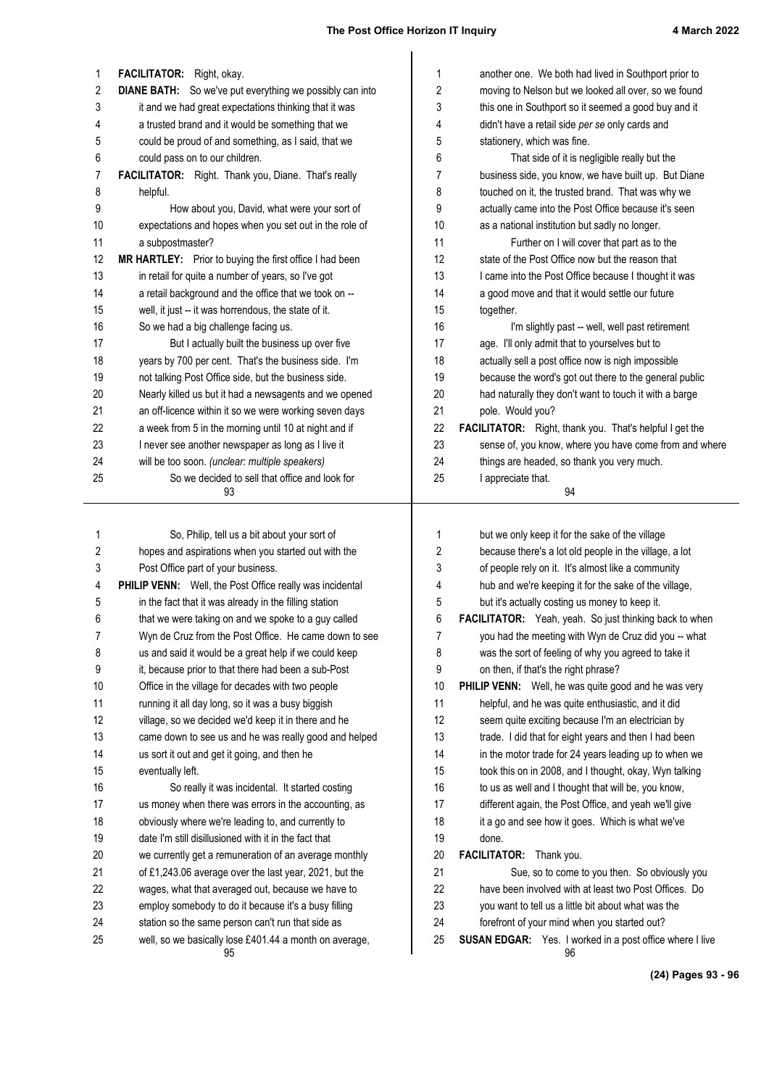| 1          | FACILITATOR: Right, okay.                                       | 1  | another one. We both had lived in Southport prior to            |
|------------|-----------------------------------------------------------------|----|-----------------------------------------------------------------|
| $\sqrt{2}$ | <b>DIANE BATH:</b> So we've put everything we possibly can into | 2  | moving to Nelson but we looked all over, so we found            |
| 3          | it and we had great expectations thinking that it was           | 3  | this one in Southport so it seemed a good buy and it            |
| 4          | a trusted brand and it would be something that we               | 4  | didn't have a retail side per se only cards and                 |
| 5          | could be proud of and something, as I said, that we             | 5  | stationery, which was fine.                                     |
| 6          | could pass on to our children.                                  | 6  | That side of it is negligible really but the                    |
| 7          | FACILITATOR: Right. Thank you, Diane. That's really             | 7  | business side, you know, we have built up. But Diane            |
| 8          | helpful.                                                        | 8  | touched on it, the trusted brand. That was why we               |
| 9          | How about you, David, what were your sort of                    | 9  | actually came into the Post Office because it's seen            |
| 10         | expectations and hopes when you set out in the role of          | 10 | as a national institution but sadly no longer.                  |
| 11         | a subpostmaster?                                                | 11 | Further on I will cover that part as to the                     |
| 12         | MR HARTLEY: Prior to buying the first office I had been         | 12 | state of the Post Office now but the reason that                |
| 13         | in retail for quite a number of years, so I've got              | 13 | I came into the Post Office because I thought it was            |
| 14         | a retail background and the office that we took on --           | 14 | a good move and that it would settle our future                 |
| 15         | well, it just -- it was horrendous, the state of it.            | 15 | together.                                                       |
| 16         | So we had a big challenge facing us.                            | 16 | I'm slightly past -- well, well past retirement                 |
| 17         | But I actually built the business up over five                  | 17 | age. I'll only admit that to yourselves but to                  |
| 18         | years by 700 per cent. That's the business side. I'm            | 18 | actually sell a post office now is nigh impossible              |
| 19         | not talking Post Office side, but the business side.            | 19 | because the word's got out there to the general public          |
| 20         | Nearly killed us but it had a newsagents and we opened          | 20 | had naturally they don't want to touch it with a barge          |
| 21         | an off-licence within it so we were working seven days          | 21 | pole. Would you?                                                |
| 22         | a week from 5 in the morning until 10 at night and if           | 22 | FACILITATOR: Right, thank you. That's helpful I get the         |
| 23         | I never see another newspaper as long as I live it              | 23 | sense of, you know, where you have come from and where          |
| 24         | will be too soon. (unclear: multiple speakers)                  | 24 | things are headed, so thank you very much.                      |
| 25         | So we decided to sell that office and look for                  | 25 | I appreciate that.                                              |
|            | 93                                                              |    | 94                                                              |
| 1          | So, Philip, tell us a bit about your sort of                    | 1  | but we only keep it for the sake of the village                 |
| $\sqrt{2}$ | hopes and aspirations when you started out with the             | 2  | because there's a lot old people in the village, a lot          |
| 3          | Post Office part of your business.                              | 3  | of people rely on it. It's almost like a community              |
| 4          | PHILIP VENN: Well, the Post Office really was incidental        | 4  | hub and we're keeping it for the sake of the village,           |
| 5          | in the fact that it was already in the filling station          | 5  | but it's actually costing us money to keep it.                  |
| 6          | that we were taking on and we spoke to a guy called             | 6  | FACILITATOR: Yeah, yeah. So just thinking back to when          |
| 7          | Wyn de Cruz from the Post Office. He came down to see           | 7  | you had the meeting with Wyn de Cruz did you -- what            |
| 8          | us and said it would be a great help if we could keep           | 8  | was the sort of feeling of why you agreed to take it            |
| 9          | it, because prior to that there had been a sub-Post             | 9  | on then, if that's the right phrase?                            |
| 10         | Office in the village for decades with two people               | 10 | PHILIP VENN: Well, he was quite good and he was very            |
| 11         | running it all day long, so it was a busy biggish               | 11 | helpful, and he was quite enthusiastic, and it did              |
| 12         | village, so we decided we'd keep it in there and he             | 12 | seem quite exciting because I'm an electrician by               |
| 13         | came down to see us and he was really good and helped           | 13 | trade. I did that for eight years and then I had been           |
| 14         | us sort it out and get it going, and then he                    | 14 | in the motor trade for 24 years leading up to when we           |
| 15         | eventually left.                                                | 15 | took this on in 2008, and I thought, okay, Wyn talking          |
| 16         | So really it was incidental. It started costing                 | 16 | to us as well and I thought that will be, you know,             |
| 17         | us money when there was errors in the accounting, as            | 17 | different again, the Post Office, and yeah we'll give           |
| 18         | obviously where we're leading to, and currently to              | 18 | it a go and see how it goes. Which is what we've                |
| 19         | date I'm still disillusioned with it in the fact that           | 19 | done.                                                           |
| 20         | we currently get a remuneration of an average monthly           | 20 | FACILITATOR: Thank you.                                         |
| 21         | of £1,243.06 average over the last year, 2021, but the          | 21 | Sue, so to come to you then. So obviously you                   |
| 22         | wages, what that averaged out, because we have to               | 22 | have been involved with at least two Post Offices. Do           |
| 23         | employ somebody to do it because it's a busy filling            | 23 | you want to tell us a little bit about what was the             |
| 24         | station so the same person can't run that side as               | 24 | forefront of your mind when you started out?                    |
| 25         | well, so we basically lose £401.44 a month on average,          | 25 | <b>SUSAN EDGAR:</b> Yes. I worked in a post office where I live |
|            | 95                                                              |    | 96                                                              |
|            |                                                                 |    | $D = 0.250$                                                     |

**(24) Pages 93 - 96**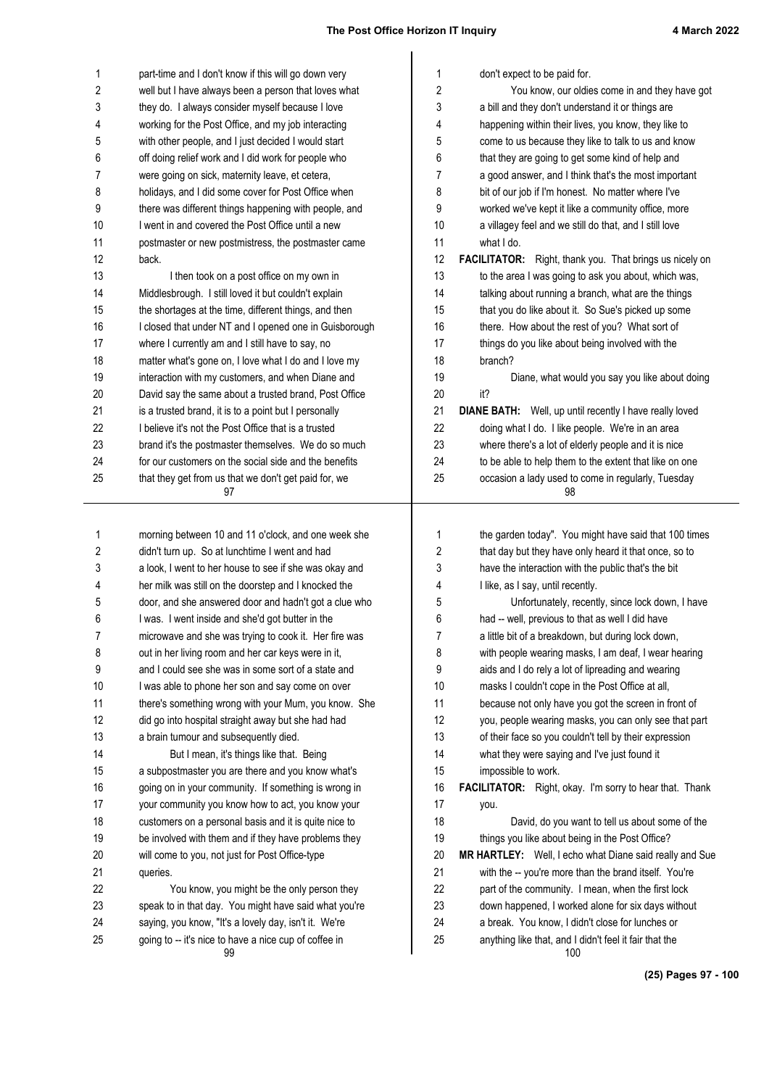| 1  | part-time and I don't know if this will go down very   | 1  | don't expect to be paid for.                                   |
|----|--------------------------------------------------------|----|----------------------------------------------------------------|
| 2  | well but I have always been a person that loves what   | 2  | You know, our oldies come in and they have got                 |
| 3  | they do. I always consider myself because I love       | 3  | a bill and they don't understand it or things are              |
| 4  | working for the Post Office, and my job interacting    | 4  | happening within their lives, you know, they like to           |
| 5  | with other people, and I just decided I would start    | 5  | come to us because they like to talk to us and know            |
| 6  | off doing relief work and I did work for people who    | 6  | that they are going to get some kind of help and               |
| 7  | were going on sick, maternity leave, et cetera,        | 7  | a good answer, and I think that's the most important           |
| 8  | holidays, and I did some cover for Post Office when    | 8  | bit of our job if I'm honest. No matter where I've             |
| 9  | there was different things happening with people, and  | 9  | worked we've kept it like a community office, more             |
| 10 | I went in and covered the Post Office until a new      | 10 | a villagey feel and we still do that, and I still love         |
| 11 | postmaster or new postmistress, the postmaster came    | 11 | what I do.                                                     |
| 12 | back.                                                  | 12 | <b>FACILITATOR:</b> Right, thank you. That brings us nicely on |
| 13 | I then took on a post office on my own in              | 13 | to the area I was going to ask you about, which was,           |
| 14 | Middlesbrough. I still loved it but couldn't explain   | 14 | talking about running a branch, what are the things            |
| 15 | the shortages at the time, different things, and then  | 15 | that you do like about it. So Sue's picked up some             |
| 16 | I closed that under NT and I opened one in Guisborough | 16 | there. How about the rest of you? What sort of                 |
| 17 | where I currently am and I still have to say, no       | 17 | things do you like about being involved with the               |
| 18 | matter what's gone on, I love what I do and I love my  | 18 | branch?                                                        |
| 19 | interaction with my customers, and when Diane and      | 19 | Diane, what would you say you like about doing                 |
| 20 | David say the same about a trusted brand, Post Office  | 20 | it?                                                            |
| 21 | is a trusted brand, it is to a point but I personally  | 21 | DIANE BATH: Well, up until recently I have really loved        |
| 22 | I believe it's not the Post Office that is a trusted   | 22 | doing what I do. I like people. We're in an area               |
| 23 | brand it's the postmaster themselves. We do so much    | 23 | where there's a lot of elderly people and it is nice           |
| 24 | for our customers on the social side and the benefits  | 24 | to be able to help them to the extent that like on one         |
| 25 | that they get from us that we don't get paid for, we   | 25 | occasion a lady used to come in regularly, Tuesday             |
|    | 97                                                     |    | 98                                                             |
| 1  | morning between 10 and 11 o'clock, and one week she    | 1  | the garden today". You might have said that 100 times          |
| 2  | didn't turn up. So at lunchtime I went and had         | 2  | that day but they have only heard it that once, so to          |
| 3  | a look, I went to her house to see if she was okay and | 3  | have the interaction with the public that's the bit            |
| 4  | her milk was still on the doorstep and I knocked the   | 4  | I like, as I say, until recently.                              |
| 5  | door, and she answered door and hadn't got a clue who  | 5  | Unfortunately, recently, since lock down, I have               |
| 6  | I was. I went inside and she'd got butter in the       | 6  | had -- well, previous to that as well I did have               |
| 7  | microwave and she was trying to cook it. Her fire was  | 7  | a little bit of a breakdown, but during lock down,             |
| 8  | out in her living room and her car keys were in it,    | 8  | with people wearing masks, I am deaf, I wear hearing           |
| 9  | and I could see she was in some sort of a state and    | 9  | aids and I do rely a lot of lipreading and wearing             |
| 10 | I was able to phone her son and say come on over       | 10 | masks I couldn't cope in the Post Office at all,               |
| 11 | there's something wrong with your Mum, you know. She   | 11 | because not only have you got the screen in front of           |
| 12 | did go into hospital straight away but she had had     | 12 | you, people wearing masks, you can only see that part          |
| 13 | a brain tumour and subsequently died.                  | 13 | of their face so you couldn't tell by their expression         |
| 14 | But I mean, it's things like that. Being               | 14 | what they were saying and I've just found it                   |
| 15 | a subpostmaster you are there and you know what's      | 15 | impossible to work.                                            |
| 16 | going on in your community. If something is wrong in   | 16 | FACILITATOR: Right, okay. I'm sorry to hear that. Thank        |
| 17 | your community you know how to act, you know your      | 17 | you.                                                           |
| 18 | customers on a personal basis and it is quite nice to  | 18 | David, do you want to tell us about some of the                |
| 19 | be involved with them and if they have problems they   | 19 | things you like about being in the Post Office?                |
| 20 | will come to you, not just for Post Office-type        | 20 | MR HARTLEY: Well, I echo what Diane said really and Sue        |
| 21 | queries.                                               | 21 | with the -- you're more than the brand itself. You're          |
| 22 | You know, you might be the only person they            | 22 | part of the community. I mean, when the first lock             |
| 23 | speak to in that day. You might have said what you're  | 23 | down happened, I worked alone for six days without             |
| 24 | saying, you know, "It's a lovely day, isn't it. We're  | 24 | a break. You know, I didn't close for lunches or               |
| 25 | going to -- it's nice to have a nice cup of coffee in  | 25 | anything like that, and I didn't feel it fair that the         |
|    | 99                                                     |    | 100                                                            |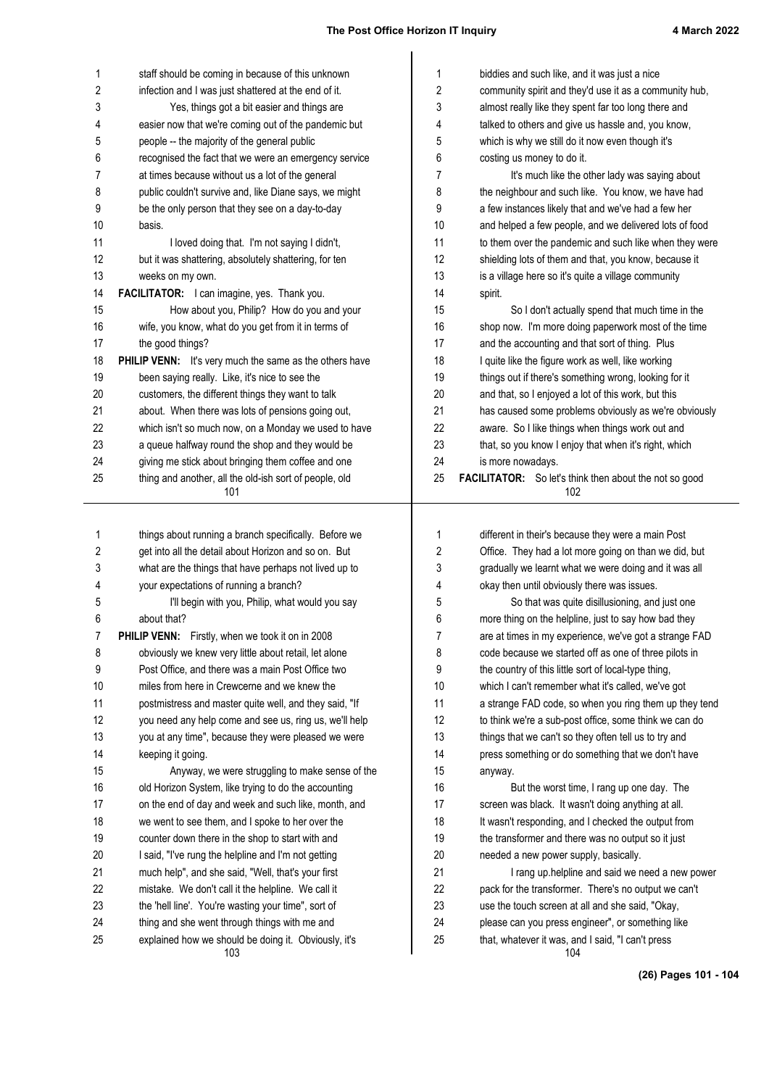| staff should be coming in because of this unknown<br>1<br>biddies and such like, and it was just a nice<br>1<br>2<br>2<br>infection and I was just shattered at the end of it.<br>community spirit and they'd use it as a community hub,<br>3<br>Yes, things got a bit easier and things are<br>almost really like they spent far too long there and<br>3<br>talked to others and give us hassle and, you know,<br>easier now that we're coming out of the pandemic but<br>4<br>4<br>5<br>5<br>people -- the majority of the general public<br>which is why we still do it now even though it's<br>6<br>recognised the fact that we were an emergency service<br>6<br>costing us money to do it.<br>at times because without us a lot of the general<br>7<br>7<br>It's much like the other lady was saying about<br>8<br>public couldn't survive and, like Diane says, we might<br>the neighbour and such like. You know, we have had<br>8<br>9<br>be the only person that they see on a day-to-day<br>9<br>a few instances likely that and we've had a few her<br>10<br>10<br>basis.<br>and helped a few people, and we delivered lots of food<br>11<br>11<br>I loved doing that. I'm not saying I didn't,<br>to them over the pandemic and such like when they were<br>12<br>12<br>shielding lots of them and that, you know, because it<br>but it was shattering, absolutely shattering, for ten<br>13<br>13<br>weeks on my own.<br>is a village here so it's quite a village community<br>14<br>FACILITATOR: I can imagine, yes. Thank you.<br>14<br>spirit.<br>15<br>How about you, Philip? How do you and your<br>15<br>So I don't actually spend that much time in the<br>16<br>16<br>wife, you know, what do you get from it in terms of<br>shop now. I'm more doing paperwork most of the time<br>17<br>the good things?<br>17<br>and the accounting and that sort of thing. Plus<br>18<br>PHILIP VENN: It's very much the same as the others have<br>18<br>I quite like the figure work as well, like working<br>19<br>been saying really. Like, it's nice to see the<br>things out if there's something wrong, looking for it<br>19<br>20<br>customers, the different things they want to talk<br>20<br>and that, so I enjoyed a lot of this work, but this<br>21<br>21<br>has caused some problems obviously as we're obviously<br>about. When there was lots of pensions going out,<br>22<br>22<br>which isn't so much now, on a Monday we used to have<br>aware. So I like things when things work out and<br>23<br>a queue halfway round the shop and they would be<br>23<br>that, so you know I enjoy that when it's right, which<br>giving me stick about bringing them coffee and one<br>24<br>24<br>is more nowadays.<br>thing and another, all the old-ish sort of people, old<br>25<br>25<br><b>FACILITATOR:</b> So let's think then about the not so good<br>101<br>102<br>1<br>things about running a branch specifically. Before we<br>1<br>different in their's because they were a main Post<br>2<br>get into all the detail about Horizon and so on. But<br>2<br>Office. They had a lot more going on than we did, but<br>3<br>gradually we learnt what we were doing and it was all<br>what are the things that have perhaps not lived up to<br>3<br>your expectations of running a branch?<br>okay then until obviously there was issues.<br>4<br>4<br>I'll begin with you, Philip, what would you say<br>So that was quite disillusioning, and just one<br>5<br>5<br>6<br>6<br>more thing on the helpline, just to say how bad they<br>about that?<br>7<br>7<br>PHILIP VENN: Firstly, when we took it on in 2008<br>are at times in my experience, we've got a strange FAD<br>8<br>obviously we knew very little about retail, let alone<br>8<br>code because we started off as one of three pilots in<br>9<br>Post Office, and there was a main Post Office two<br>9<br>the country of this little sort of local-type thing,<br>10<br>miles from here in Crewcerne and we knew the<br>10<br>which I can't remember what it's called, we've got<br>11<br>postmistress and master quite well, and they said, "If<br>a strange FAD code, so when you ring them up they tend<br>11<br>12<br>you need any help come and see us, ring us, we'll help<br>to think we're a sub-post office, some think we can do<br>12<br>13<br>you at any time", because they were pleased we were<br>13<br>things that we can't so they often tell us to try and<br>14<br>press something or do something that we don't have<br>14<br>keeping it going.<br>15<br>Anyway, we were struggling to make sense of the<br>15<br>anyway.<br>16<br>old Horizon System, like trying to do the accounting<br>16<br>But the worst time, I rang up one day. The<br>17<br>on the end of day and week and such like, month, and<br>17<br>screen was black. It wasn't doing anything at all.<br>18<br>we went to see them, and I spoke to her over the<br>18<br>It wasn't responding, and I checked the output from<br>19<br>counter down there in the shop to start with and<br>the transformer and there was no output so it just<br>19<br>20<br>I said, "I've rung the helpline and I'm not getting<br>20<br>needed a new power supply, basically.<br>21<br>21<br>much help", and she said, "Well, that's your first<br>I rang up.helpline and said we need a new power<br>22<br>mistake. We don't call it the helpline. We call it<br>22<br>pack for the transformer. There's no output we can't<br>23<br>the 'hell line'. You're wasting your time", sort of<br>23<br>use the touch screen at all and she said, "Okay, |          |                                                                                                       |          |                                                                                                        |
|-----------------------------------------------------------------------------------------------------------------------------------------------------------------------------------------------------------------------------------------------------------------------------------------------------------------------------------------------------------------------------------------------------------------------------------------------------------------------------------------------------------------------------------------------------------------------------------------------------------------------------------------------------------------------------------------------------------------------------------------------------------------------------------------------------------------------------------------------------------------------------------------------------------------------------------------------------------------------------------------------------------------------------------------------------------------------------------------------------------------------------------------------------------------------------------------------------------------------------------------------------------------------------------------------------------------------------------------------------------------------------------------------------------------------------------------------------------------------------------------------------------------------------------------------------------------------------------------------------------------------------------------------------------------------------------------------------------------------------------------------------------------------------------------------------------------------------------------------------------------------------------------------------------------------------------------------------------------------------------------------------------------------------------------------------------------------------------------------------------------------------------------------------------------------------------------------------------------------------------------------------------------------------------------------------------------------------------------------------------------------------------------------------------------------------------------------------------------------------------------------------------------------------------------------------------------------------------------------------------------------------------------------------------------------------------------------------------------------------------------------------------------------------------------------------------------------------------------------------------------------------------------------------------------------------------------------------------------------------------------------------------------------------------------------------------------------------------------------------------------------------------------------------------------------------------------------------------------------------------------------------------------------------------------------------------------------------------------------------------------------------------------------------------------------------------------------------------------------------------------------------------------------------------------------------------------------------------------------------------------------------------------------------------------------------------------------------------------------------------------------------------------------------------------------------------------------------------------------------------------------------------------------------------------------------------------------------------------------------------------------------------------------------------------------------------------------------------------------------------------------------------------------------------------------------------------------------------------------------------------------------------------------------------------------------------------------------------------------------------------------------------------------------------------------------------------------------------------------------------------------------------------------------------------------------------------------------------------------------------------------------------------------------------------------------------------------------------------------------------------------------------------------------------------------------------------------------------------------------------------------------------------------------------------------------------------------------------------------------------------------------------------------------------------------------------------------------------------------------------------------------------------------------------------------------------------------------------------------------------------------------------------------------------------------------------------------------------------------------------------------------------------------------------------------------------------------------------------------------------------------------------------------------------------------------------------------------------------------------------------------|----------|-------------------------------------------------------------------------------------------------------|----------|--------------------------------------------------------------------------------------------------------|
|                                                                                                                                                                                                                                                                                                                                                                                                                                                                                                                                                                                                                                                                                                                                                                                                                                                                                                                                                                                                                                                                                                                                                                                                                                                                                                                                                                                                                                                                                                                                                                                                                                                                                                                                                                                                                                                                                                                                                                                                                                                                                                                                                                                                                                                                                                                                                                                                                                                                                                                                                                                                                                                                                                                                                                                                                                                                                                                                                                                                                                                                                                                                                                                                                                                                                                                                                                                                                                                                                                                                                                                                                                                                                                                                                                                                                                                                                                                                                                                                                                                                                                                                                                                                                                                                                                                                                                                                                                                                                                                                                                                                                                                                                                                                                                                                                                                                                                                                                                                                                                                                                                                                                                                                                                                                                                                                                                                                                                                                                                                                                                                                                       |          |                                                                                                       |          |                                                                                                        |
|                                                                                                                                                                                                                                                                                                                                                                                                                                                                                                                                                                                                                                                                                                                                                                                                                                                                                                                                                                                                                                                                                                                                                                                                                                                                                                                                                                                                                                                                                                                                                                                                                                                                                                                                                                                                                                                                                                                                                                                                                                                                                                                                                                                                                                                                                                                                                                                                                                                                                                                                                                                                                                                                                                                                                                                                                                                                                                                                                                                                                                                                                                                                                                                                                                                                                                                                                                                                                                                                                                                                                                                                                                                                                                                                                                                                                                                                                                                                                                                                                                                                                                                                                                                                                                                                                                                                                                                                                                                                                                                                                                                                                                                                                                                                                                                                                                                                                                                                                                                                                                                                                                                                                                                                                                                                                                                                                                                                                                                                                                                                                                                                                       |          |                                                                                                       |          |                                                                                                        |
|                                                                                                                                                                                                                                                                                                                                                                                                                                                                                                                                                                                                                                                                                                                                                                                                                                                                                                                                                                                                                                                                                                                                                                                                                                                                                                                                                                                                                                                                                                                                                                                                                                                                                                                                                                                                                                                                                                                                                                                                                                                                                                                                                                                                                                                                                                                                                                                                                                                                                                                                                                                                                                                                                                                                                                                                                                                                                                                                                                                                                                                                                                                                                                                                                                                                                                                                                                                                                                                                                                                                                                                                                                                                                                                                                                                                                                                                                                                                                                                                                                                                                                                                                                                                                                                                                                                                                                                                                                                                                                                                                                                                                                                                                                                                                                                                                                                                                                                                                                                                                                                                                                                                                                                                                                                                                                                                                                                                                                                                                                                                                                                                                       |          |                                                                                                       |          |                                                                                                        |
|                                                                                                                                                                                                                                                                                                                                                                                                                                                                                                                                                                                                                                                                                                                                                                                                                                                                                                                                                                                                                                                                                                                                                                                                                                                                                                                                                                                                                                                                                                                                                                                                                                                                                                                                                                                                                                                                                                                                                                                                                                                                                                                                                                                                                                                                                                                                                                                                                                                                                                                                                                                                                                                                                                                                                                                                                                                                                                                                                                                                                                                                                                                                                                                                                                                                                                                                                                                                                                                                                                                                                                                                                                                                                                                                                                                                                                                                                                                                                                                                                                                                                                                                                                                                                                                                                                                                                                                                                                                                                                                                                                                                                                                                                                                                                                                                                                                                                                                                                                                                                                                                                                                                                                                                                                                                                                                                                                                                                                                                                                                                                                                                                       |          |                                                                                                       |          |                                                                                                        |
|                                                                                                                                                                                                                                                                                                                                                                                                                                                                                                                                                                                                                                                                                                                                                                                                                                                                                                                                                                                                                                                                                                                                                                                                                                                                                                                                                                                                                                                                                                                                                                                                                                                                                                                                                                                                                                                                                                                                                                                                                                                                                                                                                                                                                                                                                                                                                                                                                                                                                                                                                                                                                                                                                                                                                                                                                                                                                                                                                                                                                                                                                                                                                                                                                                                                                                                                                                                                                                                                                                                                                                                                                                                                                                                                                                                                                                                                                                                                                                                                                                                                                                                                                                                                                                                                                                                                                                                                                                                                                                                                                                                                                                                                                                                                                                                                                                                                                                                                                                                                                                                                                                                                                                                                                                                                                                                                                                                                                                                                                                                                                                                                                       |          |                                                                                                       |          |                                                                                                        |
|                                                                                                                                                                                                                                                                                                                                                                                                                                                                                                                                                                                                                                                                                                                                                                                                                                                                                                                                                                                                                                                                                                                                                                                                                                                                                                                                                                                                                                                                                                                                                                                                                                                                                                                                                                                                                                                                                                                                                                                                                                                                                                                                                                                                                                                                                                                                                                                                                                                                                                                                                                                                                                                                                                                                                                                                                                                                                                                                                                                                                                                                                                                                                                                                                                                                                                                                                                                                                                                                                                                                                                                                                                                                                                                                                                                                                                                                                                                                                                                                                                                                                                                                                                                                                                                                                                                                                                                                                                                                                                                                                                                                                                                                                                                                                                                                                                                                                                                                                                                                                                                                                                                                                                                                                                                                                                                                                                                                                                                                                                                                                                                                                       |          |                                                                                                       |          |                                                                                                        |
|                                                                                                                                                                                                                                                                                                                                                                                                                                                                                                                                                                                                                                                                                                                                                                                                                                                                                                                                                                                                                                                                                                                                                                                                                                                                                                                                                                                                                                                                                                                                                                                                                                                                                                                                                                                                                                                                                                                                                                                                                                                                                                                                                                                                                                                                                                                                                                                                                                                                                                                                                                                                                                                                                                                                                                                                                                                                                                                                                                                                                                                                                                                                                                                                                                                                                                                                                                                                                                                                                                                                                                                                                                                                                                                                                                                                                                                                                                                                                                                                                                                                                                                                                                                                                                                                                                                                                                                                                                                                                                                                                                                                                                                                                                                                                                                                                                                                                                                                                                                                                                                                                                                                                                                                                                                                                                                                                                                                                                                                                                                                                                                                                       |          |                                                                                                       |          |                                                                                                        |
|                                                                                                                                                                                                                                                                                                                                                                                                                                                                                                                                                                                                                                                                                                                                                                                                                                                                                                                                                                                                                                                                                                                                                                                                                                                                                                                                                                                                                                                                                                                                                                                                                                                                                                                                                                                                                                                                                                                                                                                                                                                                                                                                                                                                                                                                                                                                                                                                                                                                                                                                                                                                                                                                                                                                                                                                                                                                                                                                                                                                                                                                                                                                                                                                                                                                                                                                                                                                                                                                                                                                                                                                                                                                                                                                                                                                                                                                                                                                                                                                                                                                                                                                                                                                                                                                                                                                                                                                                                                                                                                                                                                                                                                                                                                                                                                                                                                                                                                                                                                                                                                                                                                                                                                                                                                                                                                                                                                                                                                                                                                                                                                                                       |          |                                                                                                       |          |                                                                                                        |
|                                                                                                                                                                                                                                                                                                                                                                                                                                                                                                                                                                                                                                                                                                                                                                                                                                                                                                                                                                                                                                                                                                                                                                                                                                                                                                                                                                                                                                                                                                                                                                                                                                                                                                                                                                                                                                                                                                                                                                                                                                                                                                                                                                                                                                                                                                                                                                                                                                                                                                                                                                                                                                                                                                                                                                                                                                                                                                                                                                                                                                                                                                                                                                                                                                                                                                                                                                                                                                                                                                                                                                                                                                                                                                                                                                                                                                                                                                                                                                                                                                                                                                                                                                                                                                                                                                                                                                                                                                                                                                                                                                                                                                                                                                                                                                                                                                                                                                                                                                                                                                                                                                                                                                                                                                                                                                                                                                                                                                                                                                                                                                                                                       |          |                                                                                                       |          |                                                                                                        |
|                                                                                                                                                                                                                                                                                                                                                                                                                                                                                                                                                                                                                                                                                                                                                                                                                                                                                                                                                                                                                                                                                                                                                                                                                                                                                                                                                                                                                                                                                                                                                                                                                                                                                                                                                                                                                                                                                                                                                                                                                                                                                                                                                                                                                                                                                                                                                                                                                                                                                                                                                                                                                                                                                                                                                                                                                                                                                                                                                                                                                                                                                                                                                                                                                                                                                                                                                                                                                                                                                                                                                                                                                                                                                                                                                                                                                                                                                                                                                                                                                                                                                                                                                                                                                                                                                                                                                                                                                                                                                                                                                                                                                                                                                                                                                                                                                                                                                                                                                                                                                                                                                                                                                                                                                                                                                                                                                                                                                                                                                                                                                                                                                       |          |                                                                                                       |          |                                                                                                        |
|                                                                                                                                                                                                                                                                                                                                                                                                                                                                                                                                                                                                                                                                                                                                                                                                                                                                                                                                                                                                                                                                                                                                                                                                                                                                                                                                                                                                                                                                                                                                                                                                                                                                                                                                                                                                                                                                                                                                                                                                                                                                                                                                                                                                                                                                                                                                                                                                                                                                                                                                                                                                                                                                                                                                                                                                                                                                                                                                                                                                                                                                                                                                                                                                                                                                                                                                                                                                                                                                                                                                                                                                                                                                                                                                                                                                                                                                                                                                                                                                                                                                                                                                                                                                                                                                                                                                                                                                                                                                                                                                                                                                                                                                                                                                                                                                                                                                                                                                                                                                                                                                                                                                                                                                                                                                                                                                                                                                                                                                                                                                                                                                                       |          |                                                                                                       |          |                                                                                                        |
|                                                                                                                                                                                                                                                                                                                                                                                                                                                                                                                                                                                                                                                                                                                                                                                                                                                                                                                                                                                                                                                                                                                                                                                                                                                                                                                                                                                                                                                                                                                                                                                                                                                                                                                                                                                                                                                                                                                                                                                                                                                                                                                                                                                                                                                                                                                                                                                                                                                                                                                                                                                                                                                                                                                                                                                                                                                                                                                                                                                                                                                                                                                                                                                                                                                                                                                                                                                                                                                                                                                                                                                                                                                                                                                                                                                                                                                                                                                                                                                                                                                                                                                                                                                                                                                                                                                                                                                                                                                                                                                                                                                                                                                                                                                                                                                                                                                                                                                                                                                                                                                                                                                                                                                                                                                                                                                                                                                                                                                                                                                                                                                                                       |          |                                                                                                       |          |                                                                                                        |
|                                                                                                                                                                                                                                                                                                                                                                                                                                                                                                                                                                                                                                                                                                                                                                                                                                                                                                                                                                                                                                                                                                                                                                                                                                                                                                                                                                                                                                                                                                                                                                                                                                                                                                                                                                                                                                                                                                                                                                                                                                                                                                                                                                                                                                                                                                                                                                                                                                                                                                                                                                                                                                                                                                                                                                                                                                                                                                                                                                                                                                                                                                                                                                                                                                                                                                                                                                                                                                                                                                                                                                                                                                                                                                                                                                                                                                                                                                                                                                                                                                                                                                                                                                                                                                                                                                                                                                                                                                                                                                                                                                                                                                                                                                                                                                                                                                                                                                                                                                                                                                                                                                                                                                                                                                                                                                                                                                                                                                                                                                                                                                                                                       |          |                                                                                                       |          |                                                                                                        |
|                                                                                                                                                                                                                                                                                                                                                                                                                                                                                                                                                                                                                                                                                                                                                                                                                                                                                                                                                                                                                                                                                                                                                                                                                                                                                                                                                                                                                                                                                                                                                                                                                                                                                                                                                                                                                                                                                                                                                                                                                                                                                                                                                                                                                                                                                                                                                                                                                                                                                                                                                                                                                                                                                                                                                                                                                                                                                                                                                                                                                                                                                                                                                                                                                                                                                                                                                                                                                                                                                                                                                                                                                                                                                                                                                                                                                                                                                                                                                                                                                                                                                                                                                                                                                                                                                                                                                                                                                                                                                                                                                                                                                                                                                                                                                                                                                                                                                                                                                                                                                                                                                                                                                                                                                                                                                                                                                                                                                                                                                                                                                                                                                       |          |                                                                                                       |          |                                                                                                        |
|                                                                                                                                                                                                                                                                                                                                                                                                                                                                                                                                                                                                                                                                                                                                                                                                                                                                                                                                                                                                                                                                                                                                                                                                                                                                                                                                                                                                                                                                                                                                                                                                                                                                                                                                                                                                                                                                                                                                                                                                                                                                                                                                                                                                                                                                                                                                                                                                                                                                                                                                                                                                                                                                                                                                                                                                                                                                                                                                                                                                                                                                                                                                                                                                                                                                                                                                                                                                                                                                                                                                                                                                                                                                                                                                                                                                                                                                                                                                                                                                                                                                                                                                                                                                                                                                                                                                                                                                                                                                                                                                                                                                                                                                                                                                                                                                                                                                                                                                                                                                                                                                                                                                                                                                                                                                                                                                                                                                                                                                                                                                                                                                                       |          |                                                                                                       |          |                                                                                                        |
|                                                                                                                                                                                                                                                                                                                                                                                                                                                                                                                                                                                                                                                                                                                                                                                                                                                                                                                                                                                                                                                                                                                                                                                                                                                                                                                                                                                                                                                                                                                                                                                                                                                                                                                                                                                                                                                                                                                                                                                                                                                                                                                                                                                                                                                                                                                                                                                                                                                                                                                                                                                                                                                                                                                                                                                                                                                                                                                                                                                                                                                                                                                                                                                                                                                                                                                                                                                                                                                                                                                                                                                                                                                                                                                                                                                                                                                                                                                                                                                                                                                                                                                                                                                                                                                                                                                                                                                                                                                                                                                                                                                                                                                                                                                                                                                                                                                                                                                                                                                                                                                                                                                                                                                                                                                                                                                                                                                                                                                                                                                                                                                                                       |          |                                                                                                       |          |                                                                                                        |
|                                                                                                                                                                                                                                                                                                                                                                                                                                                                                                                                                                                                                                                                                                                                                                                                                                                                                                                                                                                                                                                                                                                                                                                                                                                                                                                                                                                                                                                                                                                                                                                                                                                                                                                                                                                                                                                                                                                                                                                                                                                                                                                                                                                                                                                                                                                                                                                                                                                                                                                                                                                                                                                                                                                                                                                                                                                                                                                                                                                                                                                                                                                                                                                                                                                                                                                                                                                                                                                                                                                                                                                                                                                                                                                                                                                                                                                                                                                                                                                                                                                                                                                                                                                                                                                                                                                                                                                                                                                                                                                                                                                                                                                                                                                                                                                                                                                                                                                                                                                                                                                                                                                                                                                                                                                                                                                                                                                                                                                                                                                                                                                                                       |          |                                                                                                       |          |                                                                                                        |
|                                                                                                                                                                                                                                                                                                                                                                                                                                                                                                                                                                                                                                                                                                                                                                                                                                                                                                                                                                                                                                                                                                                                                                                                                                                                                                                                                                                                                                                                                                                                                                                                                                                                                                                                                                                                                                                                                                                                                                                                                                                                                                                                                                                                                                                                                                                                                                                                                                                                                                                                                                                                                                                                                                                                                                                                                                                                                                                                                                                                                                                                                                                                                                                                                                                                                                                                                                                                                                                                                                                                                                                                                                                                                                                                                                                                                                                                                                                                                                                                                                                                                                                                                                                                                                                                                                                                                                                                                                                                                                                                                                                                                                                                                                                                                                                                                                                                                                                                                                                                                                                                                                                                                                                                                                                                                                                                                                                                                                                                                                                                                                                                                       |          |                                                                                                       |          |                                                                                                        |
|                                                                                                                                                                                                                                                                                                                                                                                                                                                                                                                                                                                                                                                                                                                                                                                                                                                                                                                                                                                                                                                                                                                                                                                                                                                                                                                                                                                                                                                                                                                                                                                                                                                                                                                                                                                                                                                                                                                                                                                                                                                                                                                                                                                                                                                                                                                                                                                                                                                                                                                                                                                                                                                                                                                                                                                                                                                                                                                                                                                                                                                                                                                                                                                                                                                                                                                                                                                                                                                                                                                                                                                                                                                                                                                                                                                                                                                                                                                                                                                                                                                                                                                                                                                                                                                                                                                                                                                                                                                                                                                                                                                                                                                                                                                                                                                                                                                                                                                                                                                                                                                                                                                                                                                                                                                                                                                                                                                                                                                                                                                                                                                                                       |          |                                                                                                       |          |                                                                                                        |
|                                                                                                                                                                                                                                                                                                                                                                                                                                                                                                                                                                                                                                                                                                                                                                                                                                                                                                                                                                                                                                                                                                                                                                                                                                                                                                                                                                                                                                                                                                                                                                                                                                                                                                                                                                                                                                                                                                                                                                                                                                                                                                                                                                                                                                                                                                                                                                                                                                                                                                                                                                                                                                                                                                                                                                                                                                                                                                                                                                                                                                                                                                                                                                                                                                                                                                                                                                                                                                                                                                                                                                                                                                                                                                                                                                                                                                                                                                                                                                                                                                                                                                                                                                                                                                                                                                                                                                                                                                                                                                                                                                                                                                                                                                                                                                                                                                                                                                                                                                                                                                                                                                                                                                                                                                                                                                                                                                                                                                                                                                                                                                                                                       |          |                                                                                                       |          |                                                                                                        |
|                                                                                                                                                                                                                                                                                                                                                                                                                                                                                                                                                                                                                                                                                                                                                                                                                                                                                                                                                                                                                                                                                                                                                                                                                                                                                                                                                                                                                                                                                                                                                                                                                                                                                                                                                                                                                                                                                                                                                                                                                                                                                                                                                                                                                                                                                                                                                                                                                                                                                                                                                                                                                                                                                                                                                                                                                                                                                                                                                                                                                                                                                                                                                                                                                                                                                                                                                                                                                                                                                                                                                                                                                                                                                                                                                                                                                                                                                                                                                                                                                                                                                                                                                                                                                                                                                                                                                                                                                                                                                                                                                                                                                                                                                                                                                                                                                                                                                                                                                                                                                                                                                                                                                                                                                                                                                                                                                                                                                                                                                                                                                                                                                       |          |                                                                                                       |          |                                                                                                        |
|                                                                                                                                                                                                                                                                                                                                                                                                                                                                                                                                                                                                                                                                                                                                                                                                                                                                                                                                                                                                                                                                                                                                                                                                                                                                                                                                                                                                                                                                                                                                                                                                                                                                                                                                                                                                                                                                                                                                                                                                                                                                                                                                                                                                                                                                                                                                                                                                                                                                                                                                                                                                                                                                                                                                                                                                                                                                                                                                                                                                                                                                                                                                                                                                                                                                                                                                                                                                                                                                                                                                                                                                                                                                                                                                                                                                                                                                                                                                                                                                                                                                                                                                                                                                                                                                                                                                                                                                                                                                                                                                                                                                                                                                                                                                                                                                                                                                                                                                                                                                                                                                                                                                                                                                                                                                                                                                                                                                                                                                                                                                                                                                                       |          |                                                                                                       |          |                                                                                                        |
|                                                                                                                                                                                                                                                                                                                                                                                                                                                                                                                                                                                                                                                                                                                                                                                                                                                                                                                                                                                                                                                                                                                                                                                                                                                                                                                                                                                                                                                                                                                                                                                                                                                                                                                                                                                                                                                                                                                                                                                                                                                                                                                                                                                                                                                                                                                                                                                                                                                                                                                                                                                                                                                                                                                                                                                                                                                                                                                                                                                                                                                                                                                                                                                                                                                                                                                                                                                                                                                                                                                                                                                                                                                                                                                                                                                                                                                                                                                                                                                                                                                                                                                                                                                                                                                                                                                                                                                                                                                                                                                                                                                                                                                                                                                                                                                                                                                                                                                                                                                                                                                                                                                                                                                                                                                                                                                                                                                                                                                                                                                                                                                                                       |          |                                                                                                       |          |                                                                                                        |
|                                                                                                                                                                                                                                                                                                                                                                                                                                                                                                                                                                                                                                                                                                                                                                                                                                                                                                                                                                                                                                                                                                                                                                                                                                                                                                                                                                                                                                                                                                                                                                                                                                                                                                                                                                                                                                                                                                                                                                                                                                                                                                                                                                                                                                                                                                                                                                                                                                                                                                                                                                                                                                                                                                                                                                                                                                                                                                                                                                                                                                                                                                                                                                                                                                                                                                                                                                                                                                                                                                                                                                                                                                                                                                                                                                                                                                                                                                                                                                                                                                                                                                                                                                                                                                                                                                                                                                                                                                                                                                                                                                                                                                                                                                                                                                                                                                                                                                                                                                                                                                                                                                                                                                                                                                                                                                                                                                                                                                                                                                                                                                                                                       |          |                                                                                                       |          |                                                                                                        |
|                                                                                                                                                                                                                                                                                                                                                                                                                                                                                                                                                                                                                                                                                                                                                                                                                                                                                                                                                                                                                                                                                                                                                                                                                                                                                                                                                                                                                                                                                                                                                                                                                                                                                                                                                                                                                                                                                                                                                                                                                                                                                                                                                                                                                                                                                                                                                                                                                                                                                                                                                                                                                                                                                                                                                                                                                                                                                                                                                                                                                                                                                                                                                                                                                                                                                                                                                                                                                                                                                                                                                                                                                                                                                                                                                                                                                                                                                                                                                                                                                                                                                                                                                                                                                                                                                                                                                                                                                                                                                                                                                                                                                                                                                                                                                                                                                                                                                                                                                                                                                                                                                                                                                                                                                                                                                                                                                                                                                                                                                                                                                                                                                       |          |                                                                                                       |          |                                                                                                        |
|                                                                                                                                                                                                                                                                                                                                                                                                                                                                                                                                                                                                                                                                                                                                                                                                                                                                                                                                                                                                                                                                                                                                                                                                                                                                                                                                                                                                                                                                                                                                                                                                                                                                                                                                                                                                                                                                                                                                                                                                                                                                                                                                                                                                                                                                                                                                                                                                                                                                                                                                                                                                                                                                                                                                                                                                                                                                                                                                                                                                                                                                                                                                                                                                                                                                                                                                                                                                                                                                                                                                                                                                                                                                                                                                                                                                                                                                                                                                                                                                                                                                                                                                                                                                                                                                                                                                                                                                                                                                                                                                                                                                                                                                                                                                                                                                                                                                                                                                                                                                                                                                                                                                                                                                                                                                                                                                                                                                                                                                                                                                                                                                                       |          |                                                                                                       |          |                                                                                                        |
|                                                                                                                                                                                                                                                                                                                                                                                                                                                                                                                                                                                                                                                                                                                                                                                                                                                                                                                                                                                                                                                                                                                                                                                                                                                                                                                                                                                                                                                                                                                                                                                                                                                                                                                                                                                                                                                                                                                                                                                                                                                                                                                                                                                                                                                                                                                                                                                                                                                                                                                                                                                                                                                                                                                                                                                                                                                                                                                                                                                                                                                                                                                                                                                                                                                                                                                                                                                                                                                                                                                                                                                                                                                                                                                                                                                                                                                                                                                                                                                                                                                                                                                                                                                                                                                                                                                                                                                                                                                                                                                                                                                                                                                                                                                                                                                                                                                                                                                                                                                                                                                                                                                                                                                                                                                                                                                                                                                                                                                                                                                                                                                                                       |          |                                                                                                       |          |                                                                                                        |
|                                                                                                                                                                                                                                                                                                                                                                                                                                                                                                                                                                                                                                                                                                                                                                                                                                                                                                                                                                                                                                                                                                                                                                                                                                                                                                                                                                                                                                                                                                                                                                                                                                                                                                                                                                                                                                                                                                                                                                                                                                                                                                                                                                                                                                                                                                                                                                                                                                                                                                                                                                                                                                                                                                                                                                                                                                                                                                                                                                                                                                                                                                                                                                                                                                                                                                                                                                                                                                                                                                                                                                                                                                                                                                                                                                                                                                                                                                                                                                                                                                                                                                                                                                                                                                                                                                                                                                                                                                                                                                                                                                                                                                                                                                                                                                                                                                                                                                                                                                                                                                                                                                                                                                                                                                                                                                                                                                                                                                                                                                                                                                                                                       |          |                                                                                                       |          |                                                                                                        |
|                                                                                                                                                                                                                                                                                                                                                                                                                                                                                                                                                                                                                                                                                                                                                                                                                                                                                                                                                                                                                                                                                                                                                                                                                                                                                                                                                                                                                                                                                                                                                                                                                                                                                                                                                                                                                                                                                                                                                                                                                                                                                                                                                                                                                                                                                                                                                                                                                                                                                                                                                                                                                                                                                                                                                                                                                                                                                                                                                                                                                                                                                                                                                                                                                                                                                                                                                                                                                                                                                                                                                                                                                                                                                                                                                                                                                                                                                                                                                                                                                                                                                                                                                                                                                                                                                                                                                                                                                                                                                                                                                                                                                                                                                                                                                                                                                                                                                                                                                                                                                                                                                                                                                                                                                                                                                                                                                                                                                                                                                                                                                                                                                       |          |                                                                                                       |          |                                                                                                        |
|                                                                                                                                                                                                                                                                                                                                                                                                                                                                                                                                                                                                                                                                                                                                                                                                                                                                                                                                                                                                                                                                                                                                                                                                                                                                                                                                                                                                                                                                                                                                                                                                                                                                                                                                                                                                                                                                                                                                                                                                                                                                                                                                                                                                                                                                                                                                                                                                                                                                                                                                                                                                                                                                                                                                                                                                                                                                                                                                                                                                                                                                                                                                                                                                                                                                                                                                                                                                                                                                                                                                                                                                                                                                                                                                                                                                                                                                                                                                                                                                                                                                                                                                                                                                                                                                                                                                                                                                                                                                                                                                                                                                                                                                                                                                                                                                                                                                                                                                                                                                                                                                                                                                                                                                                                                                                                                                                                                                                                                                                                                                                                                                                       |          |                                                                                                       |          |                                                                                                        |
|                                                                                                                                                                                                                                                                                                                                                                                                                                                                                                                                                                                                                                                                                                                                                                                                                                                                                                                                                                                                                                                                                                                                                                                                                                                                                                                                                                                                                                                                                                                                                                                                                                                                                                                                                                                                                                                                                                                                                                                                                                                                                                                                                                                                                                                                                                                                                                                                                                                                                                                                                                                                                                                                                                                                                                                                                                                                                                                                                                                                                                                                                                                                                                                                                                                                                                                                                                                                                                                                                                                                                                                                                                                                                                                                                                                                                                                                                                                                                                                                                                                                                                                                                                                                                                                                                                                                                                                                                                                                                                                                                                                                                                                                                                                                                                                                                                                                                                                                                                                                                                                                                                                                                                                                                                                                                                                                                                                                                                                                                                                                                                                                                       |          |                                                                                                       |          |                                                                                                        |
|                                                                                                                                                                                                                                                                                                                                                                                                                                                                                                                                                                                                                                                                                                                                                                                                                                                                                                                                                                                                                                                                                                                                                                                                                                                                                                                                                                                                                                                                                                                                                                                                                                                                                                                                                                                                                                                                                                                                                                                                                                                                                                                                                                                                                                                                                                                                                                                                                                                                                                                                                                                                                                                                                                                                                                                                                                                                                                                                                                                                                                                                                                                                                                                                                                                                                                                                                                                                                                                                                                                                                                                                                                                                                                                                                                                                                                                                                                                                                                                                                                                                                                                                                                                                                                                                                                                                                                                                                                                                                                                                                                                                                                                                                                                                                                                                                                                                                                                                                                                                                                                                                                                                                                                                                                                                                                                                                                                                                                                                                                                                                                                                                       |          |                                                                                                       |          |                                                                                                        |
|                                                                                                                                                                                                                                                                                                                                                                                                                                                                                                                                                                                                                                                                                                                                                                                                                                                                                                                                                                                                                                                                                                                                                                                                                                                                                                                                                                                                                                                                                                                                                                                                                                                                                                                                                                                                                                                                                                                                                                                                                                                                                                                                                                                                                                                                                                                                                                                                                                                                                                                                                                                                                                                                                                                                                                                                                                                                                                                                                                                                                                                                                                                                                                                                                                                                                                                                                                                                                                                                                                                                                                                                                                                                                                                                                                                                                                                                                                                                                                                                                                                                                                                                                                                                                                                                                                                                                                                                                                                                                                                                                                                                                                                                                                                                                                                                                                                                                                                                                                                                                                                                                                                                                                                                                                                                                                                                                                                                                                                                                                                                                                                                                       |          |                                                                                                       |          |                                                                                                        |
|                                                                                                                                                                                                                                                                                                                                                                                                                                                                                                                                                                                                                                                                                                                                                                                                                                                                                                                                                                                                                                                                                                                                                                                                                                                                                                                                                                                                                                                                                                                                                                                                                                                                                                                                                                                                                                                                                                                                                                                                                                                                                                                                                                                                                                                                                                                                                                                                                                                                                                                                                                                                                                                                                                                                                                                                                                                                                                                                                                                                                                                                                                                                                                                                                                                                                                                                                                                                                                                                                                                                                                                                                                                                                                                                                                                                                                                                                                                                                                                                                                                                                                                                                                                                                                                                                                                                                                                                                                                                                                                                                                                                                                                                                                                                                                                                                                                                                                                                                                                                                                                                                                                                                                                                                                                                                                                                                                                                                                                                                                                                                                                                                       |          |                                                                                                       |          |                                                                                                        |
|                                                                                                                                                                                                                                                                                                                                                                                                                                                                                                                                                                                                                                                                                                                                                                                                                                                                                                                                                                                                                                                                                                                                                                                                                                                                                                                                                                                                                                                                                                                                                                                                                                                                                                                                                                                                                                                                                                                                                                                                                                                                                                                                                                                                                                                                                                                                                                                                                                                                                                                                                                                                                                                                                                                                                                                                                                                                                                                                                                                                                                                                                                                                                                                                                                                                                                                                                                                                                                                                                                                                                                                                                                                                                                                                                                                                                                                                                                                                                                                                                                                                                                                                                                                                                                                                                                                                                                                                                                                                                                                                                                                                                                                                                                                                                                                                                                                                                                                                                                                                                                                                                                                                                                                                                                                                                                                                                                                                                                                                                                                                                                                                                       |          |                                                                                                       |          |                                                                                                        |
|                                                                                                                                                                                                                                                                                                                                                                                                                                                                                                                                                                                                                                                                                                                                                                                                                                                                                                                                                                                                                                                                                                                                                                                                                                                                                                                                                                                                                                                                                                                                                                                                                                                                                                                                                                                                                                                                                                                                                                                                                                                                                                                                                                                                                                                                                                                                                                                                                                                                                                                                                                                                                                                                                                                                                                                                                                                                                                                                                                                                                                                                                                                                                                                                                                                                                                                                                                                                                                                                                                                                                                                                                                                                                                                                                                                                                                                                                                                                                                                                                                                                                                                                                                                                                                                                                                                                                                                                                                                                                                                                                                                                                                                                                                                                                                                                                                                                                                                                                                                                                                                                                                                                                                                                                                                                                                                                                                                                                                                                                                                                                                                                                       |          |                                                                                                       |          |                                                                                                        |
|                                                                                                                                                                                                                                                                                                                                                                                                                                                                                                                                                                                                                                                                                                                                                                                                                                                                                                                                                                                                                                                                                                                                                                                                                                                                                                                                                                                                                                                                                                                                                                                                                                                                                                                                                                                                                                                                                                                                                                                                                                                                                                                                                                                                                                                                                                                                                                                                                                                                                                                                                                                                                                                                                                                                                                                                                                                                                                                                                                                                                                                                                                                                                                                                                                                                                                                                                                                                                                                                                                                                                                                                                                                                                                                                                                                                                                                                                                                                                                                                                                                                                                                                                                                                                                                                                                                                                                                                                                                                                                                                                                                                                                                                                                                                                                                                                                                                                                                                                                                                                                                                                                                                                                                                                                                                                                                                                                                                                                                                                                                                                                                                                       |          |                                                                                                       |          |                                                                                                        |
|                                                                                                                                                                                                                                                                                                                                                                                                                                                                                                                                                                                                                                                                                                                                                                                                                                                                                                                                                                                                                                                                                                                                                                                                                                                                                                                                                                                                                                                                                                                                                                                                                                                                                                                                                                                                                                                                                                                                                                                                                                                                                                                                                                                                                                                                                                                                                                                                                                                                                                                                                                                                                                                                                                                                                                                                                                                                                                                                                                                                                                                                                                                                                                                                                                                                                                                                                                                                                                                                                                                                                                                                                                                                                                                                                                                                                                                                                                                                                                                                                                                                                                                                                                                                                                                                                                                                                                                                                                                                                                                                                                                                                                                                                                                                                                                                                                                                                                                                                                                                                                                                                                                                                                                                                                                                                                                                                                                                                                                                                                                                                                                                                       |          |                                                                                                       |          |                                                                                                        |
|                                                                                                                                                                                                                                                                                                                                                                                                                                                                                                                                                                                                                                                                                                                                                                                                                                                                                                                                                                                                                                                                                                                                                                                                                                                                                                                                                                                                                                                                                                                                                                                                                                                                                                                                                                                                                                                                                                                                                                                                                                                                                                                                                                                                                                                                                                                                                                                                                                                                                                                                                                                                                                                                                                                                                                                                                                                                                                                                                                                                                                                                                                                                                                                                                                                                                                                                                                                                                                                                                                                                                                                                                                                                                                                                                                                                                                                                                                                                                                                                                                                                                                                                                                                                                                                                                                                                                                                                                                                                                                                                                                                                                                                                                                                                                                                                                                                                                                                                                                                                                                                                                                                                                                                                                                                                                                                                                                                                                                                                                                                                                                                                                       |          |                                                                                                       |          |                                                                                                        |
|                                                                                                                                                                                                                                                                                                                                                                                                                                                                                                                                                                                                                                                                                                                                                                                                                                                                                                                                                                                                                                                                                                                                                                                                                                                                                                                                                                                                                                                                                                                                                                                                                                                                                                                                                                                                                                                                                                                                                                                                                                                                                                                                                                                                                                                                                                                                                                                                                                                                                                                                                                                                                                                                                                                                                                                                                                                                                                                                                                                                                                                                                                                                                                                                                                                                                                                                                                                                                                                                                                                                                                                                                                                                                                                                                                                                                                                                                                                                                                                                                                                                                                                                                                                                                                                                                                                                                                                                                                                                                                                                                                                                                                                                                                                                                                                                                                                                                                                                                                                                                                                                                                                                                                                                                                                                                                                                                                                                                                                                                                                                                                                                                       |          |                                                                                                       |          |                                                                                                        |
|                                                                                                                                                                                                                                                                                                                                                                                                                                                                                                                                                                                                                                                                                                                                                                                                                                                                                                                                                                                                                                                                                                                                                                                                                                                                                                                                                                                                                                                                                                                                                                                                                                                                                                                                                                                                                                                                                                                                                                                                                                                                                                                                                                                                                                                                                                                                                                                                                                                                                                                                                                                                                                                                                                                                                                                                                                                                                                                                                                                                                                                                                                                                                                                                                                                                                                                                                                                                                                                                                                                                                                                                                                                                                                                                                                                                                                                                                                                                                                                                                                                                                                                                                                                                                                                                                                                                                                                                                                                                                                                                                                                                                                                                                                                                                                                                                                                                                                                                                                                                                                                                                                                                                                                                                                                                                                                                                                                                                                                                                                                                                                                                                       |          |                                                                                                       |          |                                                                                                        |
|                                                                                                                                                                                                                                                                                                                                                                                                                                                                                                                                                                                                                                                                                                                                                                                                                                                                                                                                                                                                                                                                                                                                                                                                                                                                                                                                                                                                                                                                                                                                                                                                                                                                                                                                                                                                                                                                                                                                                                                                                                                                                                                                                                                                                                                                                                                                                                                                                                                                                                                                                                                                                                                                                                                                                                                                                                                                                                                                                                                                                                                                                                                                                                                                                                                                                                                                                                                                                                                                                                                                                                                                                                                                                                                                                                                                                                                                                                                                                                                                                                                                                                                                                                                                                                                                                                                                                                                                                                                                                                                                                                                                                                                                                                                                                                                                                                                                                                                                                                                                                                                                                                                                                                                                                                                                                                                                                                                                                                                                                                                                                                                                                       |          |                                                                                                       |          |                                                                                                        |
|                                                                                                                                                                                                                                                                                                                                                                                                                                                                                                                                                                                                                                                                                                                                                                                                                                                                                                                                                                                                                                                                                                                                                                                                                                                                                                                                                                                                                                                                                                                                                                                                                                                                                                                                                                                                                                                                                                                                                                                                                                                                                                                                                                                                                                                                                                                                                                                                                                                                                                                                                                                                                                                                                                                                                                                                                                                                                                                                                                                                                                                                                                                                                                                                                                                                                                                                                                                                                                                                                                                                                                                                                                                                                                                                                                                                                                                                                                                                                                                                                                                                                                                                                                                                                                                                                                                                                                                                                                                                                                                                                                                                                                                                                                                                                                                                                                                                                                                                                                                                                                                                                                                                                                                                                                                                                                                                                                                                                                                                                                                                                                                                                       |          |                                                                                                       |          |                                                                                                        |
|                                                                                                                                                                                                                                                                                                                                                                                                                                                                                                                                                                                                                                                                                                                                                                                                                                                                                                                                                                                                                                                                                                                                                                                                                                                                                                                                                                                                                                                                                                                                                                                                                                                                                                                                                                                                                                                                                                                                                                                                                                                                                                                                                                                                                                                                                                                                                                                                                                                                                                                                                                                                                                                                                                                                                                                                                                                                                                                                                                                                                                                                                                                                                                                                                                                                                                                                                                                                                                                                                                                                                                                                                                                                                                                                                                                                                                                                                                                                                                                                                                                                                                                                                                                                                                                                                                                                                                                                                                                                                                                                                                                                                                                                                                                                                                                                                                                                                                                                                                                                                                                                                                                                                                                                                                                                                                                                                                                                                                                                                                                                                                                                                       |          |                                                                                                       |          |                                                                                                        |
|                                                                                                                                                                                                                                                                                                                                                                                                                                                                                                                                                                                                                                                                                                                                                                                                                                                                                                                                                                                                                                                                                                                                                                                                                                                                                                                                                                                                                                                                                                                                                                                                                                                                                                                                                                                                                                                                                                                                                                                                                                                                                                                                                                                                                                                                                                                                                                                                                                                                                                                                                                                                                                                                                                                                                                                                                                                                                                                                                                                                                                                                                                                                                                                                                                                                                                                                                                                                                                                                                                                                                                                                                                                                                                                                                                                                                                                                                                                                                                                                                                                                                                                                                                                                                                                                                                                                                                                                                                                                                                                                                                                                                                                                                                                                                                                                                                                                                                                                                                                                                                                                                                                                                                                                                                                                                                                                                                                                                                                                                                                                                                                                                       |          |                                                                                                       |          |                                                                                                        |
|                                                                                                                                                                                                                                                                                                                                                                                                                                                                                                                                                                                                                                                                                                                                                                                                                                                                                                                                                                                                                                                                                                                                                                                                                                                                                                                                                                                                                                                                                                                                                                                                                                                                                                                                                                                                                                                                                                                                                                                                                                                                                                                                                                                                                                                                                                                                                                                                                                                                                                                                                                                                                                                                                                                                                                                                                                                                                                                                                                                                                                                                                                                                                                                                                                                                                                                                                                                                                                                                                                                                                                                                                                                                                                                                                                                                                                                                                                                                                                                                                                                                                                                                                                                                                                                                                                                                                                                                                                                                                                                                                                                                                                                                                                                                                                                                                                                                                                                                                                                                                                                                                                                                                                                                                                                                                                                                                                                                                                                                                                                                                                                                                       |          |                                                                                                       |          |                                                                                                        |
|                                                                                                                                                                                                                                                                                                                                                                                                                                                                                                                                                                                                                                                                                                                                                                                                                                                                                                                                                                                                                                                                                                                                                                                                                                                                                                                                                                                                                                                                                                                                                                                                                                                                                                                                                                                                                                                                                                                                                                                                                                                                                                                                                                                                                                                                                                                                                                                                                                                                                                                                                                                                                                                                                                                                                                                                                                                                                                                                                                                                                                                                                                                                                                                                                                                                                                                                                                                                                                                                                                                                                                                                                                                                                                                                                                                                                                                                                                                                                                                                                                                                                                                                                                                                                                                                                                                                                                                                                                                                                                                                                                                                                                                                                                                                                                                                                                                                                                                                                                                                                                                                                                                                                                                                                                                                                                                                                                                                                                                                                                                                                                                                                       |          |                                                                                                       |          |                                                                                                        |
|                                                                                                                                                                                                                                                                                                                                                                                                                                                                                                                                                                                                                                                                                                                                                                                                                                                                                                                                                                                                                                                                                                                                                                                                                                                                                                                                                                                                                                                                                                                                                                                                                                                                                                                                                                                                                                                                                                                                                                                                                                                                                                                                                                                                                                                                                                                                                                                                                                                                                                                                                                                                                                                                                                                                                                                                                                                                                                                                                                                                                                                                                                                                                                                                                                                                                                                                                                                                                                                                                                                                                                                                                                                                                                                                                                                                                                                                                                                                                                                                                                                                                                                                                                                                                                                                                                                                                                                                                                                                                                                                                                                                                                                                                                                                                                                                                                                                                                                                                                                                                                                                                                                                                                                                                                                                                                                                                                                                                                                                                                                                                                                                                       |          |                                                                                                       |          |                                                                                                        |
|                                                                                                                                                                                                                                                                                                                                                                                                                                                                                                                                                                                                                                                                                                                                                                                                                                                                                                                                                                                                                                                                                                                                                                                                                                                                                                                                                                                                                                                                                                                                                                                                                                                                                                                                                                                                                                                                                                                                                                                                                                                                                                                                                                                                                                                                                                                                                                                                                                                                                                                                                                                                                                                                                                                                                                                                                                                                                                                                                                                                                                                                                                                                                                                                                                                                                                                                                                                                                                                                                                                                                                                                                                                                                                                                                                                                                                                                                                                                                                                                                                                                                                                                                                                                                                                                                                                                                                                                                                                                                                                                                                                                                                                                                                                                                                                                                                                                                                                                                                                                                                                                                                                                                                                                                                                                                                                                                                                                                                                                                                                                                                                                                       |          |                                                                                                       |          |                                                                                                        |
|                                                                                                                                                                                                                                                                                                                                                                                                                                                                                                                                                                                                                                                                                                                                                                                                                                                                                                                                                                                                                                                                                                                                                                                                                                                                                                                                                                                                                                                                                                                                                                                                                                                                                                                                                                                                                                                                                                                                                                                                                                                                                                                                                                                                                                                                                                                                                                                                                                                                                                                                                                                                                                                                                                                                                                                                                                                                                                                                                                                                                                                                                                                                                                                                                                                                                                                                                                                                                                                                                                                                                                                                                                                                                                                                                                                                                                                                                                                                                                                                                                                                                                                                                                                                                                                                                                                                                                                                                                                                                                                                                                                                                                                                                                                                                                                                                                                                                                                                                                                                                                                                                                                                                                                                                                                                                                                                                                                                                                                                                                                                                                                                                       |          |                                                                                                       |          |                                                                                                        |
|                                                                                                                                                                                                                                                                                                                                                                                                                                                                                                                                                                                                                                                                                                                                                                                                                                                                                                                                                                                                                                                                                                                                                                                                                                                                                                                                                                                                                                                                                                                                                                                                                                                                                                                                                                                                                                                                                                                                                                                                                                                                                                                                                                                                                                                                                                                                                                                                                                                                                                                                                                                                                                                                                                                                                                                                                                                                                                                                                                                                                                                                                                                                                                                                                                                                                                                                                                                                                                                                                                                                                                                                                                                                                                                                                                                                                                                                                                                                                                                                                                                                                                                                                                                                                                                                                                                                                                                                                                                                                                                                                                                                                                                                                                                                                                                                                                                                                                                                                                                                                                                                                                                                                                                                                                                                                                                                                                                                                                                                                                                                                                                                                       |          |                                                                                                       |          |                                                                                                        |
| 103<br>104                                                                                                                                                                                                                                                                                                                                                                                                                                                                                                                                                                                                                                                                                                                                                                                                                                                                                                                                                                                                                                                                                                                                                                                                                                                                                                                                                                                                                                                                                                                                                                                                                                                                                                                                                                                                                                                                                                                                                                                                                                                                                                                                                                                                                                                                                                                                                                                                                                                                                                                                                                                                                                                                                                                                                                                                                                                                                                                                                                                                                                                                                                                                                                                                                                                                                                                                                                                                                                                                                                                                                                                                                                                                                                                                                                                                                                                                                                                                                                                                                                                                                                                                                                                                                                                                                                                                                                                                                                                                                                                                                                                                                                                                                                                                                                                                                                                                                                                                                                                                                                                                                                                                                                                                                                                                                                                                                                                                                                                                                                                                                                                                            | 24<br>25 | thing and she went through things with me and<br>explained how we should be doing it. Obviously, it's | 24<br>25 | please can you press engineer", or something like<br>that, whatever it was, and I said, "I can't press |

**(26) Pages 101 - 104**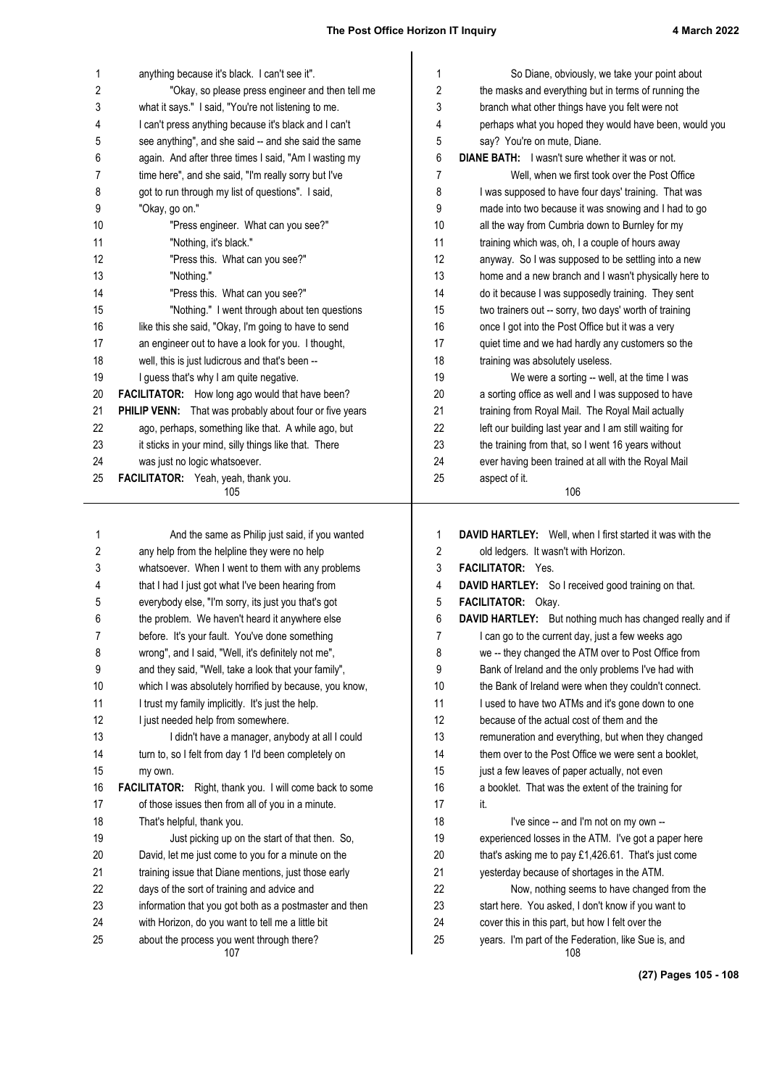| 1        | anything because it's black. I can't see it".                                                    | 1              | So Diane, obviously, we take your point about                             |
|----------|--------------------------------------------------------------------------------------------------|----------------|---------------------------------------------------------------------------|
| 2        | "Okay, so please press engineer and then tell me                                                 | 2              | the masks and everything but in terms of running the                      |
| 3        | what it says." I said, "You're not listening to me.                                              | 3              | branch what other things have you felt were not                           |
| 4        | I can't press anything because it's black and I can't                                            | 4              | perhaps what you hoped they would have been, would you                    |
| 5        | see anything", and she said -- and she said the same                                             | 5              | say? You're on mute, Diane.                                               |
| 6        | again. And after three times I said, "Am I wasting my                                            | 6              | <b>DIANE BATH:</b> I wasn't sure whether it was or not.                   |
| 7        | time here", and she said, "I'm really sorry but I've                                             | 7              | Well, when we first took over the Post Office                             |
| 8        | got to run through my list of questions". I said,                                                | 8              | I was supposed to have four days' training. That was                      |
| 9        | "Okay, go on."                                                                                   | 9              | made into two because it was snowing and I had to go                      |
| 10       | "Press engineer. What can you see?"                                                              | 10             | all the way from Cumbria down to Burnley for my                           |
| 11       | "Nothing, it's black."                                                                           | 11             | training which was, oh, I a couple of hours away                          |
| 12       | "Press this. What can you see?"                                                                  | 12             | anyway. So I was supposed to be settling into a new                       |
| 13       | "Nothing."                                                                                       | 13             | home and a new branch and I wasn't physically here to                     |
| 14       | "Press this. What can you see?"                                                                  | 14             | do it because I was supposedly training. They sent                        |
| 15       | "Nothing." I went through about ten questions                                                    | 15             | two trainers out -- sorry, two days' worth of training                    |
| 16       | like this she said, "Okay, I'm going to have to send                                             | 16             | once I got into the Post Office but it was a very                         |
| 17       | an engineer out to have a look for you. I thought,                                               | 17             | quiet time and we had hardly any customers so the                         |
| 18       | well, this is just ludicrous and that's been --                                                  | 18             | training was absolutely useless.                                          |
| 19       | I guess that's why I am quite negative.                                                          | 19             | We were a sorting -- well, at the time I was                              |
| 20       | FACILITATOR: How long ago would that have been?                                                  | 20             | a sorting office as well and I was supposed to have                       |
| 21       | PHILIP VENN: That was probably about four or five years                                          | 21             | training from Royal Mail. The Royal Mail actually                         |
| 22       | ago, perhaps, something like that. A while ago, but                                              | 22             | left our building last year and I am still waiting for                    |
| 23       | it sticks in your mind, silly things like that. There                                            | 23<br>24       | the training from that, so I went 16 years without                        |
| 24<br>25 | was just no logic whatsoever.<br>FACILITATOR: Yeah, yeah, thank you.                             | 25             | ever having been trained at all with the Royal Mail<br>aspect of it.      |
|          | 105                                                                                              |                | 106                                                                       |
|          |                                                                                                  |                |                                                                           |
| 1        | And the same as Philip just said, if you wanted                                                  | 1              | DAVID HARTLEY: Well, when I first started it was with the                 |
| 2        | any help from the helpline they were no help                                                     | $\overline{2}$ | old ledgers. It wasn't with Horizon.                                      |
| 3        | whatsoever. When I went to them with any problems                                                | 3              | FACILITATOR: Yes.                                                         |
| 4        | that I had I just got what I've been hearing from                                                |                |                                                                           |
| 5        |                                                                                                  | 4              |                                                                           |
|          |                                                                                                  | 5              | DAVID HARTLEY: So I received good training on that.<br>FACILITATOR: Okay. |
| 6        | everybody else, "I'm sorry, its just you that's got                                              | 6              | DAVID HARTLEY: But nothing much has changed really and if                 |
| 7        | the problem. We haven't heard it anywhere else<br>before. It's your fault. You've done something | 7              | I can go to the current day, just a few weeks ago                         |
| 8        | wrong", and I said, "Well, it's definitely not me",                                              | 8              | we -- they changed the ATM over to Post Office from                       |
| 9        | and they said, "Well, take a look that your family",                                             | 9              | Bank of Ireland and the only problems I've had with                       |
| 10       | which I was absolutely horrified by because, you know,                                           | 10             | the Bank of Ireland were when they couldn't connect.                      |
| 11       | I trust my family implicitly. It's just the help.                                                | 11             | I used to have two ATMs and it's gone down to one                         |
| 12       | I just needed help from somewhere.                                                               | 12             | because of the actual cost of them and the                                |
| 13       | I didn't have a manager, anybody at all I could                                                  | 13             | remuneration and everything, but when they changed                        |
| 14       | turn to, so I felt from day 1 I'd been completely on                                             | 14             | them over to the Post Office we were sent a booklet,                      |
| 15       | my own.                                                                                          | 15             | just a few leaves of paper actually, not even                             |
| 16       | FACILITATOR: Right, thank you. I will come back to some                                          | 16             | a booklet. That was the extent of the training for                        |
| 17       | of those issues then from all of you in a minute.                                                | 17             | it.                                                                       |
| 18       | That's helpful, thank you.                                                                       | 18             | I've since -- and I'm not on my own --                                    |
| 19       | Just picking up on the start of that then. So,                                                   | 19             | experienced losses in the ATM. I've got a paper here                      |
| 20       | David, let me just come to you for a minute on the                                               | 20             | that's asking me to pay £1,426.61. That's just come                       |
| 21       | training issue that Diane mentions, just those early                                             | 21             | yesterday because of shortages in the ATM.                                |
| 22       | days of the sort of training and advice and                                                      | 22             | Now, nothing seems to have changed from the                               |
| 23       | information that you got both as a postmaster and then                                           | 23             | start here. You asked, I don't know if you want to                        |
| 24       | with Horizon, do you want to tell me a little bit                                                | 24             | cover this in this part, but how I felt over the                          |

**(27) Pages 105 - 108**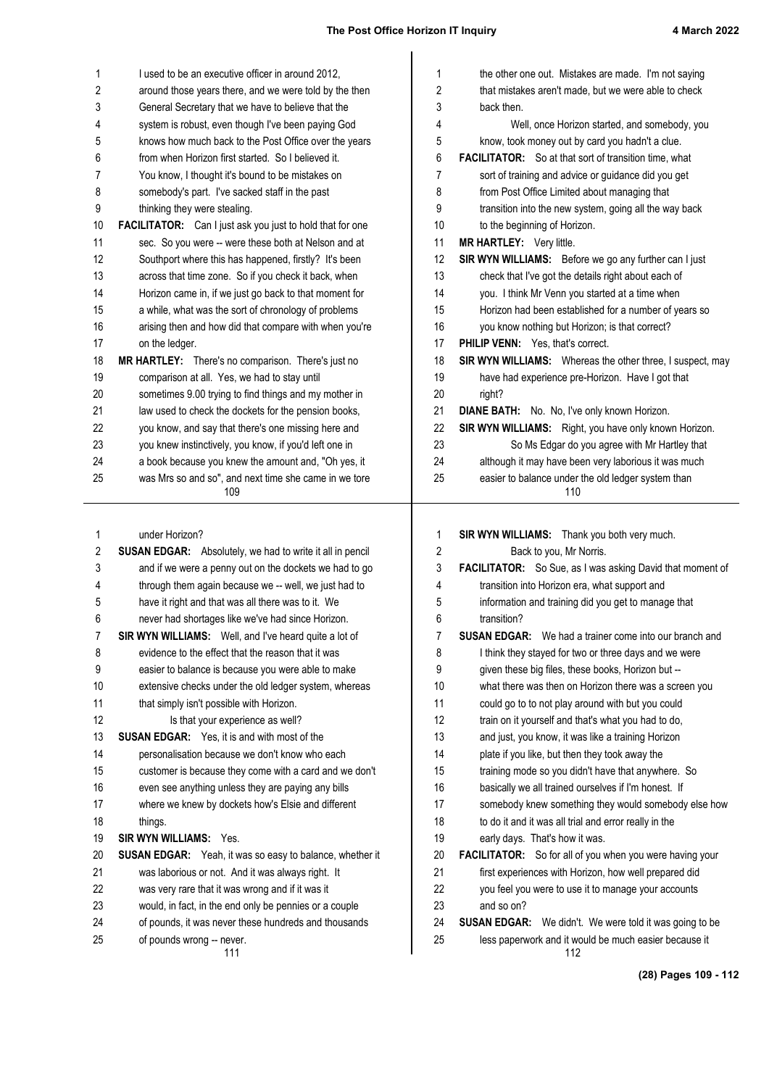| 1<br>I used to be an executive officer in around 2012,<br>$\mathbf 1$<br>the other one out. Mistakes are made. I'm not saying<br>2<br>2<br>around those years there, and we were told by the then<br>that mistakes aren't made, but we were able to check<br>3<br>General Secretary that we have to believe that the<br>3<br>back then.<br>system is robust, even though I've been paying God<br>Well, once Horizon started, and somebody, you<br>4<br>4<br>knows how much back to the Post Office over the years<br>5<br>5<br>know, took money out by card you hadn't a clue.<br>from when Horizon first started. So I believed it.<br>6<br><b>FACILITATOR:</b> So at that sort of transition time, what<br>6<br>7<br>sort of training and advice or guidance did you get<br>7<br>You know, I thought it's bound to be mistakes on<br>somebody's part. I've sacked staff in the past<br>from Post Office Limited about managing that<br>8<br>8<br>thinking they were stealing.<br>9<br>transition into the new system, going all the way back<br>9<br>10<br><b>FACILITATOR:</b> Can I just ask you just to hold that for one<br>10<br>to the beginning of Horizon.<br>11<br>sec. So you were -- were these both at Nelson and at<br>MR HARTLEY: Very little.<br>11<br>12<br>Southport where this has happened, firstly? It's been<br>SIR WYN WILLIAMS: Before we go any further can I just<br>12<br>13<br>across that time zone. So if you check it back, when<br>13<br>check that I've got the details right about each of<br>14<br>you. I think Mr Venn you started at a time when<br>Horizon came in, if we just go back to that moment for<br>14<br>a while, what was the sort of chronology of problems<br>Horizon had been established for a number of years so<br>15<br>15<br>16<br>arising then and how did that compare with when you're<br>16<br>you know nothing but Horizon; is that correct?<br>17<br>on the ledger.<br>17<br>PHILIP VENN: Yes, that's correct.<br>18<br>MR HARTLEY: There's no comparison. There's just no<br>SIR WYN WILLIAMS: Whereas the other three, I suspect, may<br>18<br>19<br>comparison at all. Yes, we had to stay until<br>19<br>have had experience pre-Horizon. Have I got that<br>20<br>sometimes 9.00 trying to find things and my mother in<br>20<br>right?<br>law used to check the dockets for the pension books,<br>DIANE BATH: No. No, I've only known Horizon.<br>21<br>21<br>22<br>22<br>SIR WYN WILLIAMS: Right, you have only known Horizon.<br>you know, and say that there's one missing here and<br>23<br>you knew instinctively, you know, if you'd left one in<br>23<br>So Ms Edgar do you agree with Mr Hartley that<br>a book because you knew the amount and, "Oh yes, it<br>although it may have been very laborious it was much<br>24<br>24<br>25<br>was Mrs so and so", and next time she came in we tore<br>25<br>easier to balance under the old ledger system than<br>109<br>110<br>under Horizon?<br>SIR WYN WILLIAMS: Thank you both very much.<br>1<br>$\mathbf{1}$<br>2<br>2<br>Back to you, Mr Norris.<br><b>SUSAN EDGAR:</b> Absolutely, we had to write it all in pencil<br>and if we were a penny out on the dockets we had to go<br>3<br>FACILITATOR: So Sue, as I was asking David that moment of<br>3<br>through them again because we -- well, we just had to<br>4<br>transition into Horizon era, what support and<br>4<br>5<br>5<br>have it right and that was all there was to it. We<br>information and training did you get to manage that<br>6<br>6<br>never had shortages like we've had since Horizon.<br>transition?<br>7<br>SIR WYN WILLIAMS: Well, and I've heard quite a lot of<br>7<br><b>SUSAN EDGAR:</b> We had a trainer come into our branch and<br>evidence to the effect that the reason that it was<br>8<br>8<br>I think they stayed for two or three days and we were<br>9<br>9<br>easier to balance is because you were able to make<br>given these big files, these books, Horizon but --<br>10<br>extensive checks under the old ledger system, whereas<br>10<br>what there was then on Horizon there was a screen you<br>11<br>could go to to not play around with but you could<br>that simply isn't possible with Horizon.<br>11<br>12<br>12<br>train on it yourself and that's what you had to do,<br>Is that your experience as well?<br>13<br><b>SUSAN EDGAR:</b> Yes, it is and with most of the<br>13<br>and just, you know, it was like a training Horizon<br>14<br>personalisation because we don't know who each<br>14<br>plate if you like, but then they took away the<br>15<br>customer is because they come with a card and we don't<br>15<br>training mode so you didn't have that anywhere. So<br>16<br>16<br>basically we all trained ourselves if I'm honest. If<br>even see anything unless they are paying any bills<br>17<br>where we knew by dockets how's Elsie and different<br>17<br>somebody knew something they would somebody else how<br>18<br>18<br>to do it and it was all trial and error really in the<br>things.<br>19<br><b>SIR WYN WILLIAMS: Yes.</b><br>19<br>early days. That's how it was.<br>20<br><b>SUSAN EDGAR:</b> Yeah, it was so easy to balance, whether it<br>20<br>FACILITATOR: So for all of you when you were having your<br>21<br>21<br>was laborious or not. And it was always right. It<br>first experiences with Horizon, how well prepared did<br>22<br>was very rare that it was wrong and if it was it<br>22<br>you feel you were to use it to manage your accounts<br>23<br>23<br>would, in fact, in the end only be pennies or a couple<br>and so on?<br>24<br>of pounds, it was never these hundreds and thousands<br>24<br><b>SUSAN EDGAR:</b> We didn't. We were told it was going to be<br>25<br>25<br>less paperwork and it would be much easier because it<br>of pounds wrong -- never.<br>111<br>112 |  |  |
|------------------------------------------------------------------------------------------------------------------------------------------------------------------------------------------------------------------------------------------------------------------------------------------------------------------------------------------------------------------------------------------------------------------------------------------------------------------------------------------------------------------------------------------------------------------------------------------------------------------------------------------------------------------------------------------------------------------------------------------------------------------------------------------------------------------------------------------------------------------------------------------------------------------------------------------------------------------------------------------------------------------------------------------------------------------------------------------------------------------------------------------------------------------------------------------------------------------------------------------------------------------------------------------------------------------------------------------------------------------------------------------------------------------------------------------------------------------------------------------------------------------------------------------------------------------------------------------------------------------------------------------------------------------------------------------------------------------------------------------------------------------------------------------------------------------------------------------------------------------------------------------------------------------------------------------------------------------------------------------------------------------------------------------------------------------------------------------------------------------------------------------------------------------------------------------------------------------------------------------------------------------------------------------------------------------------------------------------------------------------------------------------------------------------------------------------------------------------------------------------------------------------------------------------------------------------------------------------------------------------------------------------------------------------------------------------------------------------------------------------------------------------------------------------------------------------------------------------------------------------------------------------------------------------------------------------------------------------------------------------------------------------------------------------------------------------------------------------------------------------------------------------------------------------------------------------------------------------------------------------------------------------------------------------------------------------------------------------------------------------------------------------------------------------------------------------------------------------------------------------------------------------------------------------------------------------------------------------------------------------------------------------------------------------------------------------------------------------------------------------------------------------------------------------------------------------------------------------------------------------------------------------------------------------------------------------------------------------------------------------------------------------------------------------------------------------------------------------------------------------------------------------------------------------------------------------------------------------------------------------------------------------------------------------------------------------------------------------------------------------------------------------------------------------------------------------------------------------------------------------------------------------------------------------------------------------------------------------------------------------------------------------------------------------------------------------------------------------------------------------------------------------------------------------------------------------------------------------------------------------------------------------------------------------------------------------------------------------------------------------------------------------------------------------------------------------------------------------------------------------------------------------------------------------------------------------------------------------------------------------------------------------------------------------------------------------------------------------------------------------------------------------------------------------------------------------------------------------------------------------------------------------------------------------------------------------------------------------------------------------------------------------------------------------------------------------------------------------------------------------------------------------------------------------------------------------------------------------------------------------------------|--|--|
|                                                                                                                                                                                                                                                                                                                                                                                                                                                                                                                                                                                                                                                                                                                                                                                                                                                                                                                                                                                                                                                                                                                                                                                                                                                                                                                                                                                                                                                                                                                                                                                                                                                                                                                                                                                                                                                                                                                                                                                                                                                                                                                                                                                                                                                                                                                                                                                                                                                                                                                                                                                                                                                                                                                                                                                                                                                                                                                                                                                                                                                                                                                                                                                                                                                                                                                                                                                                                                                                                                                                                                                                                                                                                                                                                                                                                                                                                                                                                                                                                                                                                                                                                                                                                                                                                                                                                                                                                                                                                                                                                                                                                                                                                                                                                                                                                                                                                                                                                                                                                                                                                                                                                                                                                                                                                                                                                                                                                                                                                                                                                                                                                                                                                                                                                                                                                                                                                    |  |  |
|                                                                                                                                                                                                                                                                                                                                                                                                                                                                                                                                                                                                                                                                                                                                                                                                                                                                                                                                                                                                                                                                                                                                                                                                                                                                                                                                                                                                                                                                                                                                                                                                                                                                                                                                                                                                                                                                                                                                                                                                                                                                                                                                                                                                                                                                                                                                                                                                                                                                                                                                                                                                                                                                                                                                                                                                                                                                                                                                                                                                                                                                                                                                                                                                                                                                                                                                                                                                                                                                                                                                                                                                                                                                                                                                                                                                                                                                                                                                                                                                                                                                                                                                                                                                                                                                                                                                                                                                                                                                                                                                                                                                                                                                                                                                                                                                                                                                                                                                                                                                                                                                                                                                                                                                                                                                                                                                                                                                                                                                                                                                                                                                                                                                                                                                                                                                                                                                                    |  |  |
|                                                                                                                                                                                                                                                                                                                                                                                                                                                                                                                                                                                                                                                                                                                                                                                                                                                                                                                                                                                                                                                                                                                                                                                                                                                                                                                                                                                                                                                                                                                                                                                                                                                                                                                                                                                                                                                                                                                                                                                                                                                                                                                                                                                                                                                                                                                                                                                                                                                                                                                                                                                                                                                                                                                                                                                                                                                                                                                                                                                                                                                                                                                                                                                                                                                                                                                                                                                                                                                                                                                                                                                                                                                                                                                                                                                                                                                                                                                                                                                                                                                                                                                                                                                                                                                                                                                                                                                                                                                                                                                                                                                                                                                                                                                                                                                                                                                                                                                                                                                                                                                                                                                                                                                                                                                                                                                                                                                                                                                                                                                                                                                                                                                                                                                                                                                                                                                                                    |  |  |
|                                                                                                                                                                                                                                                                                                                                                                                                                                                                                                                                                                                                                                                                                                                                                                                                                                                                                                                                                                                                                                                                                                                                                                                                                                                                                                                                                                                                                                                                                                                                                                                                                                                                                                                                                                                                                                                                                                                                                                                                                                                                                                                                                                                                                                                                                                                                                                                                                                                                                                                                                                                                                                                                                                                                                                                                                                                                                                                                                                                                                                                                                                                                                                                                                                                                                                                                                                                                                                                                                                                                                                                                                                                                                                                                                                                                                                                                                                                                                                                                                                                                                                                                                                                                                                                                                                                                                                                                                                                                                                                                                                                                                                                                                                                                                                                                                                                                                                                                                                                                                                                                                                                                                                                                                                                                                                                                                                                                                                                                                                                                                                                                                                                                                                                                                                                                                                                                                    |  |  |
|                                                                                                                                                                                                                                                                                                                                                                                                                                                                                                                                                                                                                                                                                                                                                                                                                                                                                                                                                                                                                                                                                                                                                                                                                                                                                                                                                                                                                                                                                                                                                                                                                                                                                                                                                                                                                                                                                                                                                                                                                                                                                                                                                                                                                                                                                                                                                                                                                                                                                                                                                                                                                                                                                                                                                                                                                                                                                                                                                                                                                                                                                                                                                                                                                                                                                                                                                                                                                                                                                                                                                                                                                                                                                                                                                                                                                                                                                                                                                                                                                                                                                                                                                                                                                                                                                                                                                                                                                                                                                                                                                                                                                                                                                                                                                                                                                                                                                                                                                                                                                                                                                                                                                                                                                                                                                                                                                                                                                                                                                                                                                                                                                                                                                                                                                                                                                                                                                    |  |  |
|                                                                                                                                                                                                                                                                                                                                                                                                                                                                                                                                                                                                                                                                                                                                                                                                                                                                                                                                                                                                                                                                                                                                                                                                                                                                                                                                                                                                                                                                                                                                                                                                                                                                                                                                                                                                                                                                                                                                                                                                                                                                                                                                                                                                                                                                                                                                                                                                                                                                                                                                                                                                                                                                                                                                                                                                                                                                                                                                                                                                                                                                                                                                                                                                                                                                                                                                                                                                                                                                                                                                                                                                                                                                                                                                                                                                                                                                                                                                                                                                                                                                                                                                                                                                                                                                                                                                                                                                                                                                                                                                                                                                                                                                                                                                                                                                                                                                                                                                                                                                                                                                                                                                                                                                                                                                                                                                                                                                                                                                                                                                                                                                                                                                                                                                                                                                                                                                                    |  |  |
|                                                                                                                                                                                                                                                                                                                                                                                                                                                                                                                                                                                                                                                                                                                                                                                                                                                                                                                                                                                                                                                                                                                                                                                                                                                                                                                                                                                                                                                                                                                                                                                                                                                                                                                                                                                                                                                                                                                                                                                                                                                                                                                                                                                                                                                                                                                                                                                                                                                                                                                                                                                                                                                                                                                                                                                                                                                                                                                                                                                                                                                                                                                                                                                                                                                                                                                                                                                                                                                                                                                                                                                                                                                                                                                                                                                                                                                                                                                                                                                                                                                                                                                                                                                                                                                                                                                                                                                                                                                                                                                                                                                                                                                                                                                                                                                                                                                                                                                                                                                                                                                                                                                                                                                                                                                                                                                                                                                                                                                                                                                                                                                                                                                                                                                                                                                                                                                                                    |  |  |
|                                                                                                                                                                                                                                                                                                                                                                                                                                                                                                                                                                                                                                                                                                                                                                                                                                                                                                                                                                                                                                                                                                                                                                                                                                                                                                                                                                                                                                                                                                                                                                                                                                                                                                                                                                                                                                                                                                                                                                                                                                                                                                                                                                                                                                                                                                                                                                                                                                                                                                                                                                                                                                                                                                                                                                                                                                                                                                                                                                                                                                                                                                                                                                                                                                                                                                                                                                                                                                                                                                                                                                                                                                                                                                                                                                                                                                                                                                                                                                                                                                                                                                                                                                                                                                                                                                                                                                                                                                                                                                                                                                                                                                                                                                                                                                                                                                                                                                                                                                                                                                                                                                                                                                                                                                                                                                                                                                                                                                                                                                                                                                                                                                                                                                                                                                                                                                                                                    |  |  |
|                                                                                                                                                                                                                                                                                                                                                                                                                                                                                                                                                                                                                                                                                                                                                                                                                                                                                                                                                                                                                                                                                                                                                                                                                                                                                                                                                                                                                                                                                                                                                                                                                                                                                                                                                                                                                                                                                                                                                                                                                                                                                                                                                                                                                                                                                                                                                                                                                                                                                                                                                                                                                                                                                                                                                                                                                                                                                                                                                                                                                                                                                                                                                                                                                                                                                                                                                                                                                                                                                                                                                                                                                                                                                                                                                                                                                                                                                                                                                                                                                                                                                                                                                                                                                                                                                                                                                                                                                                                                                                                                                                                                                                                                                                                                                                                                                                                                                                                                                                                                                                                                                                                                                                                                                                                                                                                                                                                                                                                                                                                                                                                                                                                                                                                                                                                                                                                                                    |  |  |
|                                                                                                                                                                                                                                                                                                                                                                                                                                                                                                                                                                                                                                                                                                                                                                                                                                                                                                                                                                                                                                                                                                                                                                                                                                                                                                                                                                                                                                                                                                                                                                                                                                                                                                                                                                                                                                                                                                                                                                                                                                                                                                                                                                                                                                                                                                                                                                                                                                                                                                                                                                                                                                                                                                                                                                                                                                                                                                                                                                                                                                                                                                                                                                                                                                                                                                                                                                                                                                                                                                                                                                                                                                                                                                                                                                                                                                                                                                                                                                                                                                                                                                                                                                                                                                                                                                                                                                                                                                                                                                                                                                                                                                                                                                                                                                                                                                                                                                                                                                                                                                                                                                                                                                                                                                                                                                                                                                                                                                                                                                                                                                                                                                                                                                                                                                                                                                                                                    |  |  |
|                                                                                                                                                                                                                                                                                                                                                                                                                                                                                                                                                                                                                                                                                                                                                                                                                                                                                                                                                                                                                                                                                                                                                                                                                                                                                                                                                                                                                                                                                                                                                                                                                                                                                                                                                                                                                                                                                                                                                                                                                                                                                                                                                                                                                                                                                                                                                                                                                                                                                                                                                                                                                                                                                                                                                                                                                                                                                                                                                                                                                                                                                                                                                                                                                                                                                                                                                                                                                                                                                                                                                                                                                                                                                                                                                                                                                                                                                                                                                                                                                                                                                                                                                                                                                                                                                                                                                                                                                                                                                                                                                                                                                                                                                                                                                                                                                                                                                                                                                                                                                                                                                                                                                                                                                                                                                                                                                                                                                                                                                                                                                                                                                                                                                                                                                                                                                                                                                    |  |  |
|                                                                                                                                                                                                                                                                                                                                                                                                                                                                                                                                                                                                                                                                                                                                                                                                                                                                                                                                                                                                                                                                                                                                                                                                                                                                                                                                                                                                                                                                                                                                                                                                                                                                                                                                                                                                                                                                                                                                                                                                                                                                                                                                                                                                                                                                                                                                                                                                                                                                                                                                                                                                                                                                                                                                                                                                                                                                                                                                                                                                                                                                                                                                                                                                                                                                                                                                                                                                                                                                                                                                                                                                                                                                                                                                                                                                                                                                                                                                                                                                                                                                                                                                                                                                                                                                                                                                                                                                                                                                                                                                                                                                                                                                                                                                                                                                                                                                                                                                                                                                                                                                                                                                                                                                                                                                                                                                                                                                                                                                                                                                                                                                                                                                                                                                                                                                                                                                                    |  |  |
|                                                                                                                                                                                                                                                                                                                                                                                                                                                                                                                                                                                                                                                                                                                                                                                                                                                                                                                                                                                                                                                                                                                                                                                                                                                                                                                                                                                                                                                                                                                                                                                                                                                                                                                                                                                                                                                                                                                                                                                                                                                                                                                                                                                                                                                                                                                                                                                                                                                                                                                                                                                                                                                                                                                                                                                                                                                                                                                                                                                                                                                                                                                                                                                                                                                                                                                                                                                                                                                                                                                                                                                                                                                                                                                                                                                                                                                                                                                                                                                                                                                                                                                                                                                                                                                                                                                                                                                                                                                                                                                                                                                                                                                                                                                                                                                                                                                                                                                                                                                                                                                                                                                                                                                                                                                                                                                                                                                                                                                                                                                                                                                                                                                                                                                                                                                                                                                                                    |  |  |
|                                                                                                                                                                                                                                                                                                                                                                                                                                                                                                                                                                                                                                                                                                                                                                                                                                                                                                                                                                                                                                                                                                                                                                                                                                                                                                                                                                                                                                                                                                                                                                                                                                                                                                                                                                                                                                                                                                                                                                                                                                                                                                                                                                                                                                                                                                                                                                                                                                                                                                                                                                                                                                                                                                                                                                                                                                                                                                                                                                                                                                                                                                                                                                                                                                                                                                                                                                                                                                                                                                                                                                                                                                                                                                                                                                                                                                                                                                                                                                                                                                                                                                                                                                                                                                                                                                                                                                                                                                                                                                                                                                                                                                                                                                                                                                                                                                                                                                                                                                                                                                                                                                                                                                                                                                                                                                                                                                                                                                                                                                                                                                                                                                                                                                                                                                                                                                                                                    |  |  |
|                                                                                                                                                                                                                                                                                                                                                                                                                                                                                                                                                                                                                                                                                                                                                                                                                                                                                                                                                                                                                                                                                                                                                                                                                                                                                                                                                                                                                                                                                                                                                                                                                                                                                                                                                                                                                                                                                                                                                                                                                                                                                                                                                                                                                                                                                                                                                                                                                                                                                                                                                                                                                                                                                                                                                                                                                                                                                                                                                                                                                                                                                                                                                                                                                                                                                                                                                                                                                                                                                                                                                                                                                                                                                                                                                                                                                                                                                                                                                                                                                                                                                                                                                                                                                                                                                                                                                                                                                                                                                                                                                                                                                                                                                                                                                                                                                                                                                                                                                                                                                                                                                                                                                                                                                                                                                                                                                                                                                                                                                                                                                                                                                                                                                                                                                                                                                                                                                    |  |  |
|                                                                                                                                                                                                                                                                                                                                                                                                                                                                                                                                                                                                                                                                                                                                                                                                                                                                                                                                                                                                                                                                                                                                                                                                                                                                                                                                                                                                                                                                                                                                                                                                                                                                                                                                                                                                                                                                                                                                                                                                                                                                                                                                                                                                                                                                                                                                                                                                                                                                                                                                                                                                                                                                                                                                                                                                                                                                                                                                                                                                                                                                                                                                                                                                                                                                                                                                                                                                                                                                                                                                                                                                                                                                                                                                                                                                                                                                                                                                                                                                                                                                                                                                                                                                                                                                                                                                                                                                                                                                                                                                                                                                                                                                                                                                                                                                                                                                                                                                                                                                                                                                                                                                                                                                                                                                                                                                                                                                                                                                                                                                                                                                                                                                                                                                                                                                                                                                                    |  |  |
|                                                                                                                                                                                                                                                                                                                                                                                                                                                                                                                                                                                                                                                                                                                                                                                                                                                                                                                                                                                                                                                                                                                                                                                                                                                                                                                                                                                                                                                                                                                                                                                                                                                                                                                                                                                                                                                                                                                                                                                                                                                                                                                                                                                                                                                                                                                                                                                                                                                                                                                                                                                                                                                                                                                                                                                                                                                                                                                                                                                                                                                                                                                                                                                                                                                                                                                                                                                                                                                                                                                                                                                                                                                                                                                                                                                                                                                                                                                                                                                                                                                                                                                                                                                                                                                                                                                                                                                                                                                                                                                                                                                                                                                                                                                                                                                                                                                                                                                                                                                                                                                                                                                                                                                                                                                                                                                                                                                                                                                                                                                                                                                                                                                                                                                                                                                                                                                                                    |  |  |
|                                                                                                                                                                                                                                                                                                                                                                                                                                                                                                                                                                                                                                                                                                                                                                                                                                                                                                                                                                                                                                                                                                                                                                                                                                                                                                                                                                                                                                                                                                                                                                                                                                                                                                                                                                                                                                                                                                                                                                                                                                                                                                                                                                                                                                                                                                                                                                                                                                                                                                                                                                                                                                                                                                                                                                                                                                                                                                                                                                                                                                                                                                                                                                                                                                                                                                                                                                                                                                                                                                                                                                                                                                                                                                                                                                                                                                                                                                                                                                                                                                                                                                                                                                                                                                                                                                                                                                                                                                                                                                                                                                                                                                                                                                                                                                                                                                                                                                                                                                                                                                                                                                                                                                                                                                                                                                                                                                                                                                                                                                                                                                                                                                                                                                                                                                                                                                                                                    |  |  |
|                                                                                                                                                                                                                                                                                                                                                                                                                                                                                                                                                                                                                                                                                                                                                                                                                                                                                                                                                                                                                                                                                                                                                                                                                                                                                                                                                                                                                                                                                                                                                                                                                                                                                                                                                                                                                                                                                                                                                                                                                                                                                                                                                                                                                                                                                                                                                                                                                                                                                                                                                                                                                                                                                                                                                                                                                                                                                                                                                                                                                                                                                                                                                                                                                                                                                                                                                                                                                                                                                                                                                                                                                                                                                                                                                                                                                                                                                                                                                                                                                                                                                                                                                                                                                                                                                                                                                                                                                                                                                                                                                                                                                                                                                                                                                                                                                                                                                                                                                                                                                                                                                                                                                                                                                                                                                                                                                                                                                                                                                                                                                                                                                                                                                                                                                                                                                                                                                    |  |  |
|                                                                                                                                                                                                                                                                                                                                                                                                                                                                                                                                                                                                                                                                                                                                                                                                                                                                                                                                                                                                                                                                                                                                                                                                                                                                                                                                                                                                                                                                                                                                                                                                                                                                                                                                                                                                                                                                                                                                                                                                                                                                                                                                                                                                                                                                                                                                                                                                                                                                                                                                                                                                                                                                                                                                                                                                                                                                                                                                                                                                                                                                                                                                                                                                                                                                                                                                                                                                                                                                                                                                                                                                                                                                                                                                                                                                                                                                                                                                                                                                                                                                                                                                                                                                                                                                                                                                                                                                                                                                                                                                                                                                                                                                                                                                                                                                                                                                                                                                                                                                                                                                                                                                                                                                                                                                                                                                                                                                                                                                                                                                                                                                                                                                                                                                                                                                                                                                                    |  |  |
|                                                                                                                                                                                                                                                                                                                                                                                                                                                                                                                                                                                                                                                                                                                                                                                                                                                                                                                                                                                                                                                                                                                                                                                                                                                                                                                                                                                                                                                                                                                                                                                                                                                                                                                                                                                                                                                                                                                                                                                                                                                                                                                                                                                                                                                                                                                                                                                                                                                                                                                                                                                                                                                                                                                                                                                                                                                                                                                                                                                                                                                                                                                                                                                                                                                                                                                                                                                                                                                                                                                                                                                                                                                                                                                                                                                                                                                                                                                                                                                                                                                                                                                                                                                                                                                                                                                                                                                                                                                                                                                                                                                                                                                                                                                                                                                                                                                                                                                                                                                                                                                                                                                                                                                                                                                                                                                                                                                                                                                                                                                                                                                                                                                                                                                                                                                                                                                                                    |  |  |
|                                                                                                                                                                                                                                                                                                                                                                                                                                                                                                                                                                                                                                                                                                                                                                                                                                                                                                                                                                                                                                                                                                                                                                                                                                                                                                                                                                                                                                                                                                                                                                                                                                                                                                                                                                                                                                                                                                                                                                                                                                                                                                                                                                                                                                                                                                                                                                                                                                                                                                                                                                                                                                                                                                                                                                                                                                                                                                                                                                                                                                                                                                                                                                                                                                                                                                                                                                                                                                                                                                                                                                                                                                                                                                                                                                                                                                                                                                                                                                                                                                                                                                                                                                                                                                                                                                                                                                                                                                                                                                                                                                                                                                                                                                                                                                                                                                                                                                                                                                                                                                                                                                                                                                                                                                                                                                                                                                                                                                                                                                                                                                                                                                                                                                                                                                                                                                                                                    |  |  |
|                                                                                                                                                                                                                                                                                                                                                                                                                                                                                                                                                                                                                                                                                                                                                                                                                                                                                                                                                                                                                                                                                                                                                                                                                                                                                                                                                                                                                                                                                                                                                                                                                                                                                                                                                                                                                                                                                                                                                                                                                                                                                                                                                                                                                                                                                                                                                                                                                                                                                                                                                                                                                                                                                                                                                                                                                                                                                                                                                                                                                                                                                                                                                                                                                                                                                                                                                                                                                                                                                                                                                                                                                                                                                                                                                                                                                                                                                                                                                                                                                                                                                                                                                                                                                                                                                                                                                                                                                                                                                                                                                                                                                                                                                                                                                                                                                                                                                                                                                                                                                                                                                                                                                                                                                                                                                                                                                                                                                                                                                                                                                                                                                                                                                                                                                                                                                                                                                    |  |  |
|                                                                                                                                                                                                                                                                                                                                                                                                                                                                                                                                                                                                                                                                                                                                                                                                                                                                                                                                                                                                                                                                                                                                                                                                                                                                                                                                                                                                                                                                                                                                                                                                                                                                                                                                                                                                                                                                                                                                                                                                                                                                                                                                                                                                                                                                                                                                                                                                                                                                                                                                                                                                                                                                                                                                                                                                                                                                                                                                                                                                                                                                                                                                                                                                                                                                                                                                                                                                                                                                                                                                                                                                                                                                                                                                                                                                                                                                                                                                                                                                                                                                                                                                                                                                                                                                                                                                                                                                                                                                                                                                                                                                                                                                                                                                                                                                                                                                                                                                                                                                                                                                                                                                                                                                                                                                                                                                                                                                                                                                                                                                                                                                                                                                                                                                                                                                                                                                                    |  |  |
|                                                                                                                                                                                                                                                                                                                                                                                                                                                                                                                                                                                                                                                                                                                                                                                                                                                                                                                                                                                                                                                                                                                                                                                                                                                                                                                                                                                                                                                                                                                                                                                                                                                                                                                                                                                                                                                                                                                                                                                                                                                                                                                                                                                                                                                                                                                                                                                                                                                                                                                                                                                                                                                                                                                                                                                                                                                                                                                                                                                                                                                                                                                                                                                                                                                                                                                                                                                                                                                                                                                                                                                                                                                                                                                                                                                                                                                                                                                                                                                                                                                                                                                                                                                                                                                                                                                                                                                                                                                                                                                                                                                                                                                                                                                                                                                                                                                                                                                                                                                                                                                                                                                                                                                                                                                                                                                                                                                                                                                                                                                                                                                                                                                                                                                                                                                                                                                                                    |  |  |
|                                                                                                                                                                                                                                                                                                                                                                                                                                                                                                                                                                                                                                                                                                                                                                                                                                                                                                                                                                                                                                                                                                                                                                                                                                                                                                                                                                                                                                                                                                                                                                                                                                                                                                                                                                                                                                                                                                                                                                                                                                                                                                                                                                                                                                                                                                                                                                                                                                                                                                                                                                                                                                                                                                                                                                                                                                                                                                                                                                                                                                                                                                                                                                                                                                                                                                                                                                                                                                                                                                                                                                                                                                                                                                                                                                                                                                                                                                                                                                                                                                                                                                                                                                                                                                                                                                                                                                                                                                                                                                                                                                                                                                                                                                                                                                                                                                                                                                                                                                                                                                                                                                                                                                                                                                                                                                                                                                                                                                                                                                                                                                                                                                                                                                                                                                                                                                                                                    |  |  |
|                                                                                                                                                                                                                                                                                                                                                                                                                                                                                                                                                                                                                                                                                                                                                                                                                                                                                                                                                                                                                                                                                                                                                                                                                                                                                                                                                                                                                                                                                                                                                                                                                                                                                                                                                                                                                                                                                                                                                                                                                                                                                                                                                                                                                                                                                                                                                                                                                                                                                                                                                                                                                                                                                                                                                                                                                                                                                                                                                                                                                                                                                                                                                                                                                                                                                                                                                                                                                                                                                                                                                                                                                                                                                                                                                                                                                                                                                                                                                                                                                                                                                                                                                                                                                                                                                                                                                                                                                                                                                                                                                                                                                                                                                                                                                                                                                                                                                                                                                                                                                                                                                                                                                                                                                                                                                                                                                                                                                                                                                                                                                                                                                                                                                                                                                                                                                                                                                    |  |  |
|                                                                                                                                                                                                                                                                                                                                                                                                                                                                                                                                                                                                                                                                                                                                                                                                                                                                                                                                                                                                                                                                                                                                                                                                                                                                                                                                                                                                                                                                                                                                                                                                                                                                                                                                                                                                                                                                                                                                                                                                                                                                                                                                                                                                                                                                                                                                                                                                                                                                                                                                                                                                                                                                                                                                                                                                                                                                                                                                                                                                                                                                                                                                                                                                                                                                                                                                                                                                                                                                                                                                                                                                                                                                                                                                                                                                                                                                                                                                                                                                                                                                                                                                                                                                                                                                                                                                                                                                                                                                                                                                                                                                                                                                                                                                                                                                                                                                                                                                                                                                                                                                                                                                                                                                                                                                                                                                                                                                                                                                                                                                                                                                                                                                                                                                                                                                                                                                                    |  |  |
|                                                                                                                                                                                                                                                                                                                                                                                                                                                                                                                                                                                                                                                                                                                                                                                                                                                                                                                                                                                                                                                                                                                                                                                                                                                                                                                                                                                                                                                                                                                                                                                                                                                                                                                                                                                                                                                                                                                                                                                                                                                                                                                                                                                                                                                                                                                                                                                                                                                                                                                                                                                                                                                                                                                                                                                                                                                                                                                                                                                                                                                                                                                                                                                                                                                                                                                                                                                                                                                                                                                                                                                                                                                                                                                                                                                                                                                                                                                                                                                                                                                                                                                                                                                                                                                                                                                                                                                                                                                                                                                                                                                                                                                                                                                                                                                                                                                                                                                                                                                                                                                                                                                                                                                                                                                                                                                                                                                                                                                                                                                                                                                                                                                                                                                                                                                                                                                                                    |  |  |
|                                                                                                                                                                                                                                                                                                                                                                                                                                                                                                                                                                                                                                                                                                                                                                                                                                                                                                                                                                                                                                                                                                                                                                                                                                                                                                                                                                                                                                                                                                                                                                                                                                                                                                                                                                                                                                                                                                                                                                                                                                                                                                                                                                                                                                                                                                                                                                                                                                                                                                                                                                                                                                                                                                                                                                                                                                                                                                                                                                                                                                                                                                                                                                                                                                                                                                                                                                                                                                                                                                                                                                                                                                                                                                                                                                                                                                                                                                                                                                                                                                                                                                                                                                                                                                                                                                                                                                                                                                                                                                                                                                                                                                                                                                                                                                                                                                                                                                                                                                                                                                                                                                                                                                                                                                                                                                                                                                                                                                                                                                                                                                                                                                                                                                                                                                                                                                                                                    |  |  |
|                                                                                                                                                                                                                                                                                                                                                                                                                                                                                                                                                                                                                                                                                                                                                                                                                                                                                                                                                                                                                                                                                                                                                                                                                                                                                                                                                                                                                                                                                                                                                                                                                                                                                                                                                                                                                                                                                                                                                                                                                                                                                                                                                                                                                                                                                                                                                                                                                                                                                                                                                                                                                                                                                                                                                                                                                                                                                                                                                                                                                                                                                                                                                                                                                                                                                                                                                                                                                                                                                                                                                                                                                                                                                                                                                                                                                                                                                                                                                                                                                                                                                                                                                                                                                                                                                                                                                                                                                                                                                                                                                                                                                                                                                                                                                                                                                                                                                                                                                                                                                                                                                                                                                                                                                                                                                                                                                                                                                                                                                                                                                                                                                                                                                                                                                                                                                                                                                    |  |  |
|                                                                                                                                                                                                                                                                                                                                                                                                                                                                                                                                                                                                                                                                                                                                                                                                                                                                                                                                                                                                                                                                                                                                                                                                                                                                                                                                                                                                                                                                                                                                                                                                                                                                                                                                                                                                                                                                                                                                                                                                                                                                                                                                                                                                                                                                                                                                                                                                                                                                                                                                                                                                                                                                                                                                                                                                                                                                                                                                                                                                                                                                                                                                                                                                                                                                                                                                                                                                                                                                                                                                                                                                                                                                                                                                                                                                                                                                                                                                                                                                                                                                                                                                                                                                                                                                                                                                                                                                                                                                                                                                                                                                                                                                                                                                                                                                                                                                                                                                                                                                                                                                                                                                                                                                                                                                                                                                                                                                                                                                                                                                                                                                                                                                                                                                                                                                                                                                                    |  |  |
|                                                                                                                                                                                                                                                                                                                                                                                                                                                                                                                                                                                                                                                                                                                                                                                                                                                                                                                                                                                                                                                                                                                                                                                                                                                                                                                                                                                                                                                                                                                                                                                                                                                                                                                                                                                                                                                                                                                                                                                                                                                                                                                                                                                                                                                                                                                                                                                                                                                                                                                                                                                                                                                                                                                                                                                                                                                                                                                                                                                                                                                                                                                                                                                                                                                                                                                                                                                                                                                                                                                                                                                                                                                                                                                                                                                                                                                                                                                                                                                                                                                                                                                                                                                                                                                                                                                                                                                                                                                                                                                                                                                                                                                                                                                                                                                                                                                                                                                                                                                                                                                                                                                                                                                                                                                                                                                                                                                                                                                                                                                                                                                                                                                                                                                                                                                                                                                                                    |  |  |
|                                                                                                                                                                                                                                                                                                                                                                                                                                                                                                                                                                                                                                                                                                                                                                                                                                                                                                                                                                                                                                                                                                                                                                                                                                                                                                                                                                                                                                                                                                                                                                                                                                                                                                                                                                                                                                                                                                                                                                                                                                                                                                                                                                                                                                                                                                                                                                                                                                                                                                                                                                                                                                                                                                                                                                                                                                                                                                                                                                                                                                                                                                                                                                                                                                                                                                                                                                                                                                                                                                                                                                                                                                                                                                                                                                                                                                                                                                                                                                                                                                                                                                                                                                                                                                                                                                                                                                                                                                                                                                                                                                                                                                                                                                                                                                                                                                                                                                                                                                                                                                                                                                                                                                                                                                                                                                                                                                                                                                                                                                                                                                                                                                                                                                                                                                                                                                                                                    |  |  |
|                                                                                                                                                                                                                                                                                                                                                                                                                                                                                                                                                                                                                                                                                                                                                                                                                                                                                                                                                                                                                                                                                                                                                                                                                                                                                                                                                                                                                                                                                                                                                                                                                                                                                                                                                                                                                                                                                                                                                                                                                                                                                                                                                                                                                                                                                                                                                                                                                                                                                                                                                                                                                                                                                                                                                                                                                                                                                                                                                                                                                                                                                                                                                                                                                                                                                                                                                                                                                                                                                                                                                                                                                                                                                                                                                                                                                                                                                                                                                                                                                                                                                                                                                                                                                                                                                                                                                                                                                                                                                                                                                                                                                                                                                                                                                                                                                                                                                                                                                                                                                                                                                                                                                                                                                                                                                                                                                                                                                                                                                                                                                                                                                                                                                                                                                                                                                                                                                    |  |  |
|                                                                                                                                                                                                                                                                                                                                                                                                                                                                                                                                                                                                                                                                                                                                                                                                                                                                                                                                                                                                                                                                                                                                                                                                                                                                                                                                                                                                                                                                                                                                                                                                                                                                                                                                                                                                                                                                                                                                                                                                                                                                                                                                                                                                                                                                                                                                                                                                                                                                                                                                                                                                                                                                                                                                                                                                                                                                                                                                                                                                                                                                                                                                                                                                                                                                                                                                                                                                                                                                                                                                                                                                                                                                                                                                                                                                                                                                                                                                                                                                                                                                                                                                                                                                                                                                                                                                                                                                                                                                                                                                                                                                                                                                                                                                                                                                                                                                                                                                                                                                                                                                                                                                                                                                                                                                                                                                                                                                                                                                                                                                                                                                                                                                                                                                                                                                                                                                                    |  |  |
|                                                                                                                                                                                                                                                                                                                                                                                                                                                                                                                                                                                                                                                                                                                                                                                                                                                                                                                                                                                                                                                                                                                                                                                                                                                                                                                                                                                                                                                                                                                                                                                                                                                                                                                                                                                                                                                                                                                                                                                                                                                                                                                                                                                                                                                                                                                                                                                                                                                                                                                                                                                                                                                                                                                                                                                                                                                                                                                                                                                                                                                                                                                                                                                                                                                                                                                                                                                                                                                                                                                                                                                                                                                                                                                                                                                                                                                                                                                                                                                                                                                                                                                                                                                                                                                                                                                                                                                                                                                                                                                                                                                                                                                                                                                                                                                                                                                                                                                                                                                                                                                                                                                                                                                                                                                                                                                                                                                                                                                                                                                                                                                                                                                                                                                                                                                                                                                                                    |  |  |
|                                                                                                                                                                                                                                                                                                                                                                                                                                                                                                                                                                                                                                                                                                                                                                                                                                                                                                                                                                                                                                                                                                                                                                                                                                                                                                                                                                                                                                                                                                                                                                                                                                                                                                                                                                                                                                                                                                                                                                                                                                                                                                                                                                                                                                                                                                                                                                                                                                                                                                                                                                                                                                                                                                                                                                                                                                                                                                                                                                                                                                                                                                                                                                                                                                                                                                                                                                                                                                                                                                                                                                                                                                                                                                                                                                                                                                                                                                                                                                                                                                                                                                                                                                                                                                                                                                                                                                                                                                                                                                                                                                                                                                                                                                                                                                                                                                                                                                                                                                                                                                                                                                                                                                                                                                                                                                                                                                                                                                                                                                                                                                                                                                                                                                                                                                                                                                                                                    |  |  |
|                                                                                                                                                                                                                                                                                                                                                                                                                                                                                                                                                                                                                                                                                                                                                                                                                                                                                                                                                                                                                                                                                                                                                                                                                                                                                                                                                                                                                                                                                                                                                                                                                                                                                                                                                                                                                                                                                                                                                                                                                                                                                                                                                                                                                                                                                                                                                                                                                                                                                                                                                                                                                                                                                                                                                                                                                                                                                                                                                                                                                                                                                                                                                                                                                                                                                                                                                                                                                                                                                                                                                                                                                                                                                                                                                                                                                                                                                                                                                                                                                                                                                                                                                                                                                                                                                                                                                                                                                                                                                                                                                                                                                                                                                                                                                                                                                                                                                                                                                                                                                                                                                                                                                                                                                                                                                                                                                                                                                                                                                                                                                                                                                                                                                                                                                                                                                                                                                    |  |  |
|                                                                                                                                                                                                                                                                                                                                                                                                                                                                                                                                                                                                                                                                                                                                                                                                                                                                                                                                                                                                                                                                                                                                                                                                                                                                                                                                                                                                                                                                                                                                                                                                                                                                                                                                                                                                                                                                                                                                                                                                                                                                                                                                                                                                                                                                                                                                                                                                                                                                                                                                                                                                                                                                                                                                                                                                                                                                                                                                                                                                                                                                                                                                                                                                                                                                                                                                                                                                                                                                                                                                                                                                                                                                                                                                                                                                                                                                                                                                                                                                                                                                                                                                                                                                                                                                                                                                                                                                                                                                                                                                                                                                                                                                                                                                                                                                                                                                                                                                                                                                                                                                                                                                                                                                                                                                                                                                                                                                                                                                                                                                                                                                                                                                                                                                                                                                                                                                                    |  |  |
|                                                                                                                                                                                                                                                                                                                                                                                                                                                                                                                                                                                                                                                                                                                                                                                                                                                                                                                                                                                                                                                                                                                                                                                                                                                                                                                                                                                                                                                                                                                                                                                                                                                                                                                                                                                                                                                                                                                                                                                                                                                                                                                                                                                                                                                                                                                                                                                                                                                                                                                                                                                                                                                                                                                                                                                                                                                                                                                                                                                                                                                                                                                                                                                                                                                                                                                                                                                                                                                                                                                                                                                                                                                                                                                                                                                                                                                                                                                                                                                                                                                                                                                                                                                                                                                                                                                                                                                                                                                                                                                                                                                                                                                                                                                                                                                                                                                                                                                                                                                                                                                                                                                                                                                                                                                                                                                                                                                                                                                                                                                                                                                                                                                                                                                                                                                                                                                                                    |  |  |
|                                                                                                                                                                                                                                                                                                                                                                                                                                                                                                                                                                                                                                                                                                                                                                                                                                                                                                                                                                                                                                                                                                                                                                                                                                                                                                                                                                                                                                                                                                                                                                                                                                                                                                                                                                                                                                                                                                                                                                                                                                                                                                                                                                                                                                                                                                                                                                                                                                                                                                                                                                                                                                                                                                                                                                                                                                                                                                                                                                                                                                                                                                                                                                                                                                                                                                                                                                                                                                                                                                                                                                                                                                                                                                                                                                                                                                                                                                                                                                                                                                                                                                                                                                                                                                                                                                                                                                                                                                                                                                                                                                                                                                                                                                                                                                                                                                                                                                                                                                                                                                                                                                                                                                                                                                                                                                                                                                                                                                                                                                                                                                                                                                                                                                                                                                                                                                                                                    |  |  |
|                                                                                                                                                                                                                                                                                                                                                                                                                                                                                                                                                                                                                                                                                                                                                                                                                                                                                                                                                                                                                                                                                                                                                                                                                                                                                                                                                                                                                                                                                                                                                                                                                                                                                                                                                                                                                                                                                                                                                                                                                                                                                                                                                                                                                                                                                                                                                                                                                                                                                                                                                                                                                                                                                                                                                                                                                                                                                                                                                                                                                                                                                                                                                                                                                                                                                                                                                                                                                                                                                                                                                                                                                                                                                                                                                                                                                                                                                                                                                                                                                                                                                                                                                                                                                                                                                                                                                                                                                                                                                                                                                                                                                                                                                                                                                                                                                                                                                                                                                                                                                                                                                                                                                                                                                                                                                                                                                                                                                                                                                                                                                                                                                                                                                                                                                                                                                                                                                    |  |  |
|                                                                                                                                                                                                                                                                                                                                                                                                                                                                                                                                                                                                                                                                                                                                                                                                                                                                                                                                                                                                                                                                                                                                                                                                                                                                                                                                                                                                                                                                                                                                                                                                                                                                                                                                                                                                                                                                                                                                                                                                                                                                                                                                                                                                                                                                                                                                                                                                                                                                                                                                                                                                                                                                                                                                                                                                                                                                                                                                                                                                                                                                                                                                                                                                                                                                                                                                                                                                                                                                                                                                                                                                                                                                                                                                                                                                                                                                                                                                                                                                                                                                                                                                                                                                                                                                                                                                                                                                                                                                                                                                                                                                                                                                                                                                                                                                                                                                                                                                                                                                                                                                                                                                                                                                                                                                                                                                                                                                                                                                                                                                                                                                                                                                                                                                                                                                                                                                                    |  |  |
|                                                                                                                                                                                                                                                                                                                                                                                                                                                                                                                                                                                                                                                                                                                                                                                                                                                                                                                                                                                                                                                                                                                                                                                                                                                                                                                                                                                                                                                                                                                                                                                                                                                                                                                                                                                                                                                                                                                                                                                                                                                                                                                                                                                                                                                                                                                                                                                                                                                                                                                                                                                                                                                                                                                                                                                                                                                                                                                                                                                                                                                                                                                                                                                                                                                                                                                                                                                                                                                                                                                                                                                                                                                                                                                                                                                                                                                                                                                                                                                                                                                                                                                                                                                                                                                                                                                                                                                                                                                                                                                                                                                                                                                                                                                                                                                                                                                                                                                                                                                                                                                                                                                                                                                                                                                                                                                                                                                                                                                                                                                                                                                                                                                                                                                                                                                                                                                                                    |  |  |
|                                                                                                                                                                                                                                                                                                                                                                                                                                                                                                                                                                                                                                                                                                                                                                                                                                                                                                                                                                                                                                                                                                                                                                                                                                                                                                                                                                                                                                                                                                                                                                                                                                                                                                                                                                                                                                                                                                                                                                                                                                                                                                                                                                                                                                                                                                                                                                                                                                                                                                                                                                                                                                                                                                                                                                                                                                                                                                                                                                                                                                                                                                                                                                                                                                                                                                                                                                                                                                                                                                                                                                                                                                                                                                                                                                                                                                                                                                                                                                                                                                                                                                                                                                                                                                                                                                                                                                                                                                                                                                                                                                                                                                                                                                                                                                                                                                                                                                                                                                                                                                                                                                                                                                                                                                                                                                                                                                                                                                                                                                                                                                                                                                                                                                                                                                                                                                                                                    |  |  |
|                                                                                                                                                                                                                                                                                                                                                                                                                                                                                                                                                                                                                                                                                                                                                                                                                                                                                                                                                                                                                                                                                                                                                                                                                                                                                                                                                                                                                                                                                                                                                                                                                                                                                                                                                                                                                                                                                                                                                                                                                                                                                                                                                                                                                                                                                                                                                                                                                                                                                                                                                                                                                                                                                                                                                                                                                                                                                                                                                                                                                                                                                                                                                                                                                                                                                                                                                                                                                                                                                                                                                                                                                                                                                                                                                                                                                                                                                                                                                                                                                                                                                                                                                                                                                                                                                                                                                                                                                                                                                                                                                                                                                                                                                                                                                                                                                                                                                                                                                                                                                                                                                                                                                                                                                                                                                                                                                                                                                                                                                                                                                                                                                                                                                                                                                                                                                                                                                    |  |  |
|                                                                                                                                                                                                                                                                                                                                                                                                                                                                                                                                                                                                                                                                                                                                                                                                                                                                                                                                                                                                                                                                                                                                                                                                                                                                                                                                                                                                                                                                                                                                                                                                                                                                                                                                                                                                                                                                                                                                                                                                                                                                                                                                                                                                                                                                                                                                                                                                                                                                                                                                                                                                                                                                                                                                                                                                                                                                                                                                                                                                                                                                                                                                                                                                                                                                                                                                                                                                                                                                                                                                                                                                                                                                                                                                                                                                                                                                                                                                                                                                                                                                                                                                                                                                                                                                                                                                                                                                                                                                                                                                                                                                                                                                                                                                                                                                                                                                                                                                                                                                                                                                                                                                                                                                                                                                                                                                                                                                                                                                                                                                                                                                                                                                                                                                                                                                                                                                                    |  |  |
|                                                                                                                                                                                                                                                                                                                                                                                                                                                                                                                                                                                                                                                                                                                                                                                                                                                                                                                                                                                                                                                                                                                                                                                                                                                                                                                                                                                                                                                                                                                                                                                                                                                                                                                                                                                                                                                                                                                                                                                                                                                                                                                                                                                                                                                                                                                                                                                                                                                                                                                                                                                                                                                                                                                                                                                                                                                                                                                                                                                                                                                                                                                                                                                                                                                                                                                                                                                                                                                                                                                                                                                                                                                                                                                                                                                                                                                                                                                                                                                                                                                                                                                                                                                                                                                                                                                                                                                                                                                                                                                                                                                                                                                                                                                                                                                                                                                                                                                                                                                                                                                                                                                                                                                                                                                                                                                                                                                                                                                                                                                                                                                                                                                                                                                                                                                                                                                                                    |  |  |
|                                                                                                                                                                                                                                                                                                                                                                                                                                                                                                                                                                                                                                                                                                                                                                                                                                                                                                                                                                                                                                                                                                                                                                                                                                                                                                                                                                                                                                                                                                                                                                                                                                                                                                                                                                                                                                                                                                                                                                                                                                                                                                                                                                                                                                                                                                                                                                                                                                                                                                                                                                                                                                                                                                                                                                                                                                                                                                                                                                                                                                                                                                                                                                                                                                                                                                                                                                                                                                                                                                                                                                                                                                                                                                                                                                                                                                                                                                                                                                                                                                                                                                                                                                                                                                                                                                                                                                                                                                                                                                                                                                                                                                                                                                                                                                                                                                                                                                                                                                                                                                                                                                                                                                                                                                                                                                                                                                                                                                                                                                                                                                                                                                                                                                                                                                                                                                                                                    |  |  |
|                                                                                                                                                                                                                                                                                                                                                                                                                                                                                                                                                                                                                                                                                                                                                                                                                                                                                                                                                                                                                                                                                                                                                                                                                                                                                                                                                                                                                                                                                                                                                                                                                                                                                                                                                                                                                                                                                                                                                                                                                                                                                                                                                                                                                                                                                                                                                                                                                                                                                                                                                                                                                                                                                                                                                                                                                                                                                                                                                                                                                                                                                                                                                                                                                                                                                                                                                                                                                                                                                                                                                                                                                                                                                                                                                                                                                                                                                                                                                                                                                                                                                                                                                                                                                                                                                                                                                                                                                                                                                                                                                                                                                                                                                                                                                                                                                                                                                                                                                                                                                                                                                                                                                                                                                                                                                                                                                                                                                                                                                                                                                                                                                                                                                                                                                                                                                                                                                    |  |  |
|                                                                                                                                                                                                                                                                                                                                                                                                                                                                                                                                                                                                                                                                                                                                                                                                                                                                                                                                                                                                                                                                                                                                                                                                                                                                                                                                                                                                                                                                                                                                                                                                                                                                                                                                                                                                                                                                                                                                                                                                                                                                                                                                                                                                                                                                                                                                                                                                                                                                                                                                                                                                                                                                                                                                                                                                                                                                                                                                                                                                                                                                                                                                                                                                                                                                                                                                                                                                                                                                                                                                                                                                                                                                                                                                                                                                                                                                                                                                                                                                                                                                                                                                                                                                                                                                                                                                                                                                                                                                                                                                                                                                                                                                                                                                                                                                                                                                                                                                                                                                                                                                                                                                                                                                                                                                                                                                                                                                                                                                                                                                                                                                                                                                                                                                                                                                                                                                                    |  |  |

**(28) Pages 109 - 112**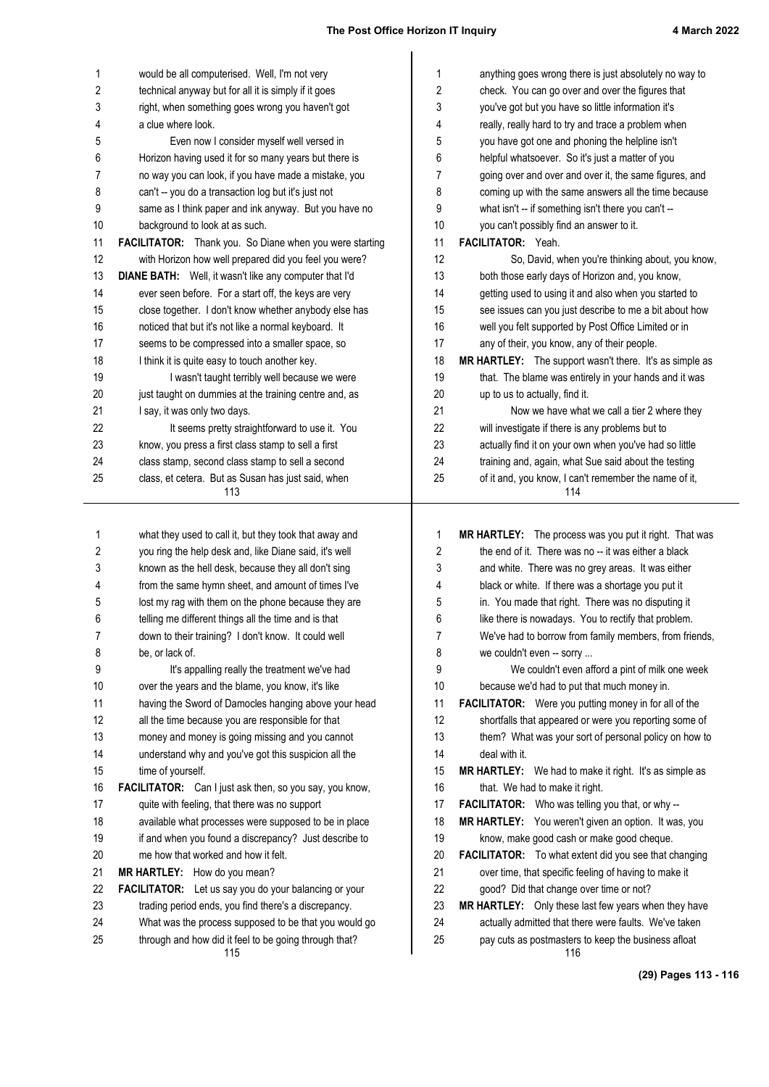| 1          | would be all computerised. Well, I'm not very                                                                  | 1        | anything goes wrong there is just absolutely no way to                                                       |
|------------|----------------------------------------------------------------------------------------------------------------|----------|--------------------------------------------------------------------------------------------------------------|
| 2          | technical anyway but for all it is simply if it goes                                                           | 2        | check. You can go over and over the figures that                                                             |
| 3          | right, when something goes wrong you haven't got                                                               | 3        | you've got but you have so little information it's                                                           |
| 4          | a clue where look.                                                                                             | 4        | really, really hard to try and trace a problem when                                                          |
| 5          | Even now I consider myself well versed in                                                                      | 5        | you have got one and phoning the helpline isn't                                                              |
| 6          | Horizon having used it for so many years but there is                                                          | 6        | helpful whatsoever. So it's just a matter of you                                                             |
| 7          | no way you can look, if you have made a mistake, you                                                           | 7        | going over and over and over it, the same figures, and                                                       |
| 8          | can't -- you do a transaction log but it's just not                                                            | 8        | coming up with the same answers all the time because                                                         |
| 9          | same as I think paper and ink anyway. But you have no                                                          | 9        | what isn't -- if something isn't there you can't --                                                          |
| 10         | background to look at as such.                                                                                 | 10       | you can't possibly find an answer to it.                                                                     |
| 11         | FACILITATOR: Thank you. So Diane when you were starting                                                        | 11       | FACILITATOR: Yeah.                                                                                           |
| 12         | with Horizon how well prepared did you feel you were?                                                          | 12       | So, David, when you're thinking about, you know,                                                             |
| 13         | DIANE BATH: Well, it wasn't like any computer that I'd                                                         | 13       | both those early days of Horizon and, you know,                                                              |
| 14         | ever seen before. For a start off, the keys are very                                                           | 14       | getting used to using it and also when you started to                                                        |
| 15         | close together. I don't know whether anybody else has                                                          | 15       | see issues can you just describe to me a bit about how                                                       |
| 16         | noticed that but it's not like a normal keyboard. It                                                           | 16       | well you felt supported by Post Office Limited or in                                                         |
| 17         | seems to be compressed into a smaller space, so                                                                | 17       | any of their, you know, any of their people.                                                                 |
| 18         | I think it is quite easy to touch another key.<br>I wasn't taught terribly well because we were                | 18       | MR HARTLEY: The support wasn't there. It's as simple as                                                      |
| 19<br>20   |                                                                                                                | 19<br>20 | that. The blame was entirely in your hands and it was                                                        |
| 21         | just taught on dummies at the training centre and, as                                                          | 21       | up to us to actually, find it.<br>Now we have what we call a tier 2 where they                               |
| 22         | I say, it was only two days.<br>It seems pretty straightforward to use it. You                                 | 22       | will investigate if there is any problems but to                                                             |
| 23         | know, you press a first class stamp to sell a first                                                            | 23       | actually find it on your own when you've had so little                                                       |
| 24         | class stamp, second class stamp to sell a second                                                               | 24       | training and, again, what Sue said about the testing                                                         |
| 25         | class, et cetera. But as Susan has just said, when                                                             | 25       | of it and, you know, I can't remember the name of it,                                                        |
|            | 113                                                                                                            |          | 114                                                                                                          |
|            |                                                                                                                |          |                                                                                                              |
| 1          |                                                                                                                |          |                                                                                                              |
|            | what they used to call it, but they took that away and                                                         | 1        | MR HARTLEY: The process was you put it right. That was                                                       |
| $\sqrt{2}$ | you ring the help desk and, like Diane said, it's well                                                         | 2        | the end of it. There was no -- it was either a black                                                         |
| 3          | known as the hell desk, because they all don't sing                                                            | 3        | and white. There was no grey areas. It was either                                                            |
| 4          | from the same hymn sheet, and amount of times I've                                                             | 4        | black or white. If there was a shortage you put it                                                           |
| 5          | lost my rag with them on the phone because they are                                                            | 5        | in. You made that right. There was no disputing it                                                           |
| 6          | telling me different things all the time and is that                                                           | 6        | like there is nowadays. You to rectify that problem.                                                         |
| 7          | down to their training? I don't know. It could well                                                            | 7        | We've had to borrow from family members, from friends,                                                       |
| 8          | be, or lack of.                                                                                                | 8        | we couldn't even -- sorry                                                                                    |
| 9          | It's appalling really the treatment we've had                                                                  | 9        | We couldn't even afford a pint of milk one week                                                              |
| 10         | over the years and the blame, you know, it's like                                                              | 10       | because we'd had to put that much money in.                                                                  |
| 11         | having the Sword of Damocles hanging above your head                                                           | 11       | FACILITATOR: Were you putting money in for all of the                                                        |
| 12         | all the time because you are responsible for that                                                              | 12       | shortfalls that appeared or were you reporting some of                                                       |
| 13         | money and money is going missing and you cannot                                                                | 13       | them? What was your sort of personal policy on how to                                                        |
| 14         | understand why and you've got this suspicion all the                                                           | 14       | deal with it.                                                                                                |
| 15         | time of yourself.                                                                                              | 15       | MR HARTLEY: We had to make it right. It's as simple as                                                       |
| 16         | FACILITATOR: Can I just ask then, so you say, you know,                                                        | 16       | that. We had to make it right.                                                                               |
| 17         | quite with feeling, that there was no support                                                                  | 17       | FACILITATOR: Who was telling you that, or why --                                                             |
| 18         | available what processes were supposed to be in place                                                          | 18       | MR HARTLEY: You weren't given an option. It was, you                                                         |
| 19         | if and when you found a discrepancy? Just describe to                                                          | 19       | know, make good cash or make good cheque.                                                                    |
| 20         | me how that worked and how it felt.                                                                            | 20       | FACILITATOR: To what extent did you see that changing                                                        |
| 21         | MR HARTLEY: How do you mean?                                                                                   | 21       | over time, that specific feeling of having to make it                                                        |
| 22         | FACILITATOR: Let us say you do your balancing or your                                                          | 22       | good? Did that change over time or not?                                                                      |
| 23         | trading period ends, you find there's a discrepancy.                                                           | 23       | MR HARTLEY: Only these last few years when they have                                                         |
| 24<br>25   | What was the process supposed to be that you would go<br>through and how did it feel to be going through that? | 24<br>25 | actually admitted that there were faults. We've taken<br>pay cuts as postmasters to keep the business afloat |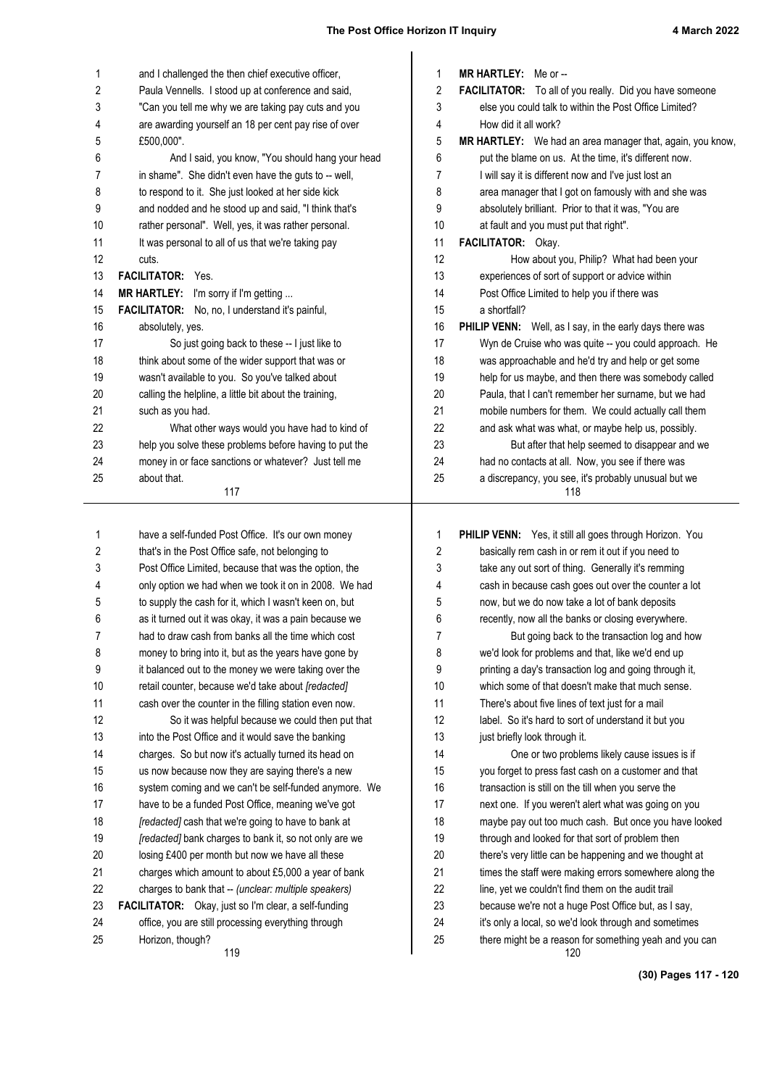| 1        | and I challenged the then chief executive officer,                                                        | 1        | MR HARTLEY: Me or --                                                                                            |
|----------|-----------------------------------------------------------------------------------------------------------|----------|-----------------------------------------------------------------------------------------------------------------|
| 2        | Paula Vennells. I stood up at conference and said,                                                        | 2        | FACILITATOR: To all of you really. Did you have someone                                                         |
| 3        | "Can you tell me why we are taking pay cuts and you                                                       | 3        | else you could talk to within the Post Office Limited?                                                          |
| 4        | are awarding yourself an 18 per cent pay rise of over                                                     | 4        | How did it all work?                                                                                            |
| 5        | £500,000".                                                                                                | 5        | MR HARTLEY: We had an area manager that, again, you know                                                        |
| 6<br>7   | And I said, you know, "You should hang your head<br>in shame". She didn't even have the guts to -- well,  | 6<br>7   | put the blame on us. At the time, it's different now.<br>I will say it is different now and I've just lost an   |
| 8        | to respond to it. She just looked at her side kick                                                        | 8        | area manager that I got on famously with and she was                                                            |
| 9        | and nodded and he stood up and said, "I think that's                                                      | 9        | absolutely brilliant. Prior to that it was, "You are                                                            |
| 10       | rather personal". Well, yes, it was rather personal.                                                      | 10       | at fault and you must put that right".                                                                          |
| 11       | It was personal to all of us that we're taking pay                                                        | 11       | FACILITATOR: Okay.                                                                                              |
| 12       | cuts.                                                                                                     | 12       | How about you, Philip? What had been your                                                                       |
| 13       | FACILITATOR: Yes.                                                                                         | 13       | experiences of sort of support or advice within                                                                 |
| 14       | MR HARTLEY: I'm sorry if I'm getting                                                                      | 14       | Post Office Limited to help you if there was                                                                    |
| 15       | FACILITATOR: No, no, I understand it's painful,                                                           | 15       | a shortfall?                                                                                                    |
| 16       | absolutely, yes.                                                                                          | 16       | PHILIP VENN: Well, as I say, in the early days there was                                                        |
| 17       | So just going back to these -- I just like to                                                             | 17       | Wyn de Cruise who was quite -- you could approach. He                                                           |
| 18       | think about some of the wider support that was or                                                         | 18       | was approachable and he'd try and help or get some                                                              |
| 19       | wasn't available to you. So you've talked about                                                           | 19       | help for us maybe, and then there was somebody called                                                           |
| 20       | calling the helpline, a little bit about the training,                                                    | 20       | Paula, that I can't remember her surname, but we had                                                            |
| 21       | such as you had.                                                                                          | 21       | mobile numbers for them. We could actually call them                                                            |
| 22       | What other ways would you have had to kind of                                                             | 22       | and ask what was what, or maybe help us, possibly.                                                              |
| 23       | help you solve these problems before having to put the                                                    | 23       | But after that help seemed to disappear and we                                                                  |
| 24       | money in or face sanctions or whatever? Just tell me                                                      | 24       | had no contacts at all. Now, you see if there was                                                               |
| 25       | about that.                                                                                               | 25       | a discrepancy, you see, it's probably unusual but we                                                            |
|          | 117                                                                                                       |          | 118                                                                                                             |
|          |                                                                                                           |          |                                                                                                                 |
|          |                                                                                                           |          |                                                                                                                 |
| 1        | have a self-funded Post Office. It's our own money                                                        | 1<br>2   | PHILIP VENN: Yes, it still all goes through Horizon. You                                                        |
| 2<br>3   | that's in the Post Office safe, not belonging to<br>Post Office Limited, because that was the option, the | 3        | basically rem cash in or rem it out if you need to                                                              |
| 4        | only option we had when we took it on in 2008. We had                                                     | 4        | take any out sort of thing. Generally it's remming<br>cash in because cash goes out over the counter a lot      |
| 5        | to supply the cash for it, which I wasn't keen on, but                                                    | 5        | now, but we do now take a lot of bank deposits                                                                  |
| 6        | as it turned out it was okay, it was a pain because we                                                    | 6        | recently, now all the banks or closing everywhere.                                                              |
| 7        | had to draw cash from banks all the time which cost                                                       | 7        | But going back to the transaction log and how                                                                   |
| 8        | money to bring into it, but as the years have gone by                                                     | 8        | we'd look for problems and that, like we'd end up                                                               |
| 9        | it balanced out to the money we were taking over the                                                      | 9        | printing a day's transaction log and going through it,                                                          |
| 10       | retail counter, because we'd take about [redacted]                                                        | 10       | which some of that doesn't make that much sense.                                                                |
| 11       | cash over the counter in the filling station even now.                                                    | 11       | There's about five lines of text just for a mail                                                                |
| 12       | So it was helpful because we could then put that                                                          | 12       | label. So it's hard to sort of understand it but you                                                            |
| 13       | into the Post Office and it would save the banking                                                        | 13       | just briefly look through it.                                                                                   |
| 14       | charges. So but now it's actually turned its head on                                                      | 14       | One or two problems likely cause issues is if                                                                   |
| 15       | us now because now they are saying there's a new                                                          | 15       | you forget to press fast cash on a customer and that                                                            |
| 16       | system coming and we can't be self-funded anymore. We                                                     | 16       | transaction is still on the till when you serve the                                                             |
| 17       | have to be a funded Post Office, meaning we've got                                                        | 17       | next one. If you weren't alert what was going on you                                                            |
| 18       | [redacted] cash that we're going to have to bank at                                                       | 18       | maybe pay out too much cash. But once you have looked                                                           |
| 19       | [redacted] bank charges to bank it, so not only are we                                                    | 19       | through and looked for that sort of problem then                                                                |
| 20       | losing £400 per month but now we have all these                                                           | 20       | there's very little can be happening and we thought at                                                          |
| 21       | charges which amount to about £5,000 a year of bank                                                       | 21       | times the staff were making errors somewhere along the                                                          |
| 22       | charges to bank that -- (unclear: multiple speakers)                                                      | 22       | line, yet we couldn't find them on the audit trail                                                              |
| 23       | FACILITATOR: Okay, just so I'm clear, a self-funding                                                      | 23       | because we're not a huge Post Office but, as I say,                                                             |
| 24<br>25 | office, you are still processing everything through<br>Horizon, though?                                   | 24<br>25 | it's only a local, so we'd look through and sometimes<br>there might be a reason for something yeah and you can |

**(30) Pages 117 - 120**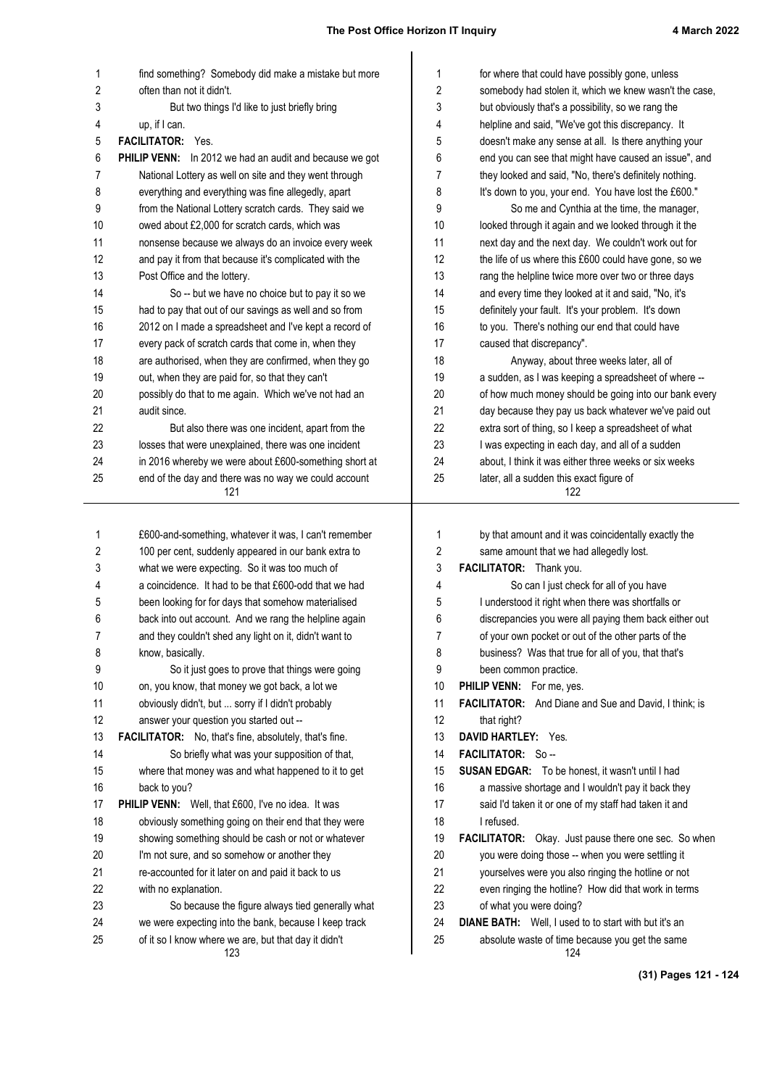| 1  | find something? Somebody did make a mistake but more           | $\mathbf{1}$   | for where that could have possibly gone, unless              |
|----|----------------------------------------------------------------|----------------|--------------------------------------------------------------|
| 2  | often than not it didn't.                                      | $\overline{c}$ | somebody had stolen it, which we knew wasn't the case,       |
| 3  | But two things I'd like to just briefly bring                  | 3              | but obviously that's a possibility, so we rang the           |
| 4  | up, if I can.                                                  | 4              | helpline and said, "We've got this discrepancy. It           |
| 5  | <b>FACILITATOR:</b> Yes.                                       | 5              | doesn't make any sense at all. Is there anything your        |
| 6  | <b>PHILIP VENN:</b> In 2012 we had an audit and because we got | 6              | end you can see that might have caused an issue", and        |
| 7  | National Lottery as well on site and they went through         | 7              | they looked and said, "No, there's definitely nothing.       |
| 8  | everything and everything was fine allegedly, apart            | 8              | It's down to you, your end. You have lost the £600."         |
| 9  | from the National Lottery scratch cards. They said we          | 9              | So me and Cynthia at the time, the manager,                  |
| 10 | owed about £2,000 for scratch cards, which was                 | 10             | looked through it again and we looked through it the         |
| 11 | nonsense because we always do an invoice every week            | 11             | next day and the next day. We couldn't work out for          |
| 12 | and pay it from that because it's complicated with the         | 12             | the life of us where this £600 could have gone, so we        |
| 13 | Post Office and the lottery.                                   | 13             | rang the helpline twice more over two or three days          |
| 14 | So -- but we have no choice but to pay it so we                | 14             | and every time they looked at it and said, "No, it's         |
| 15 | had to pay that out of our savings as well and so from         | 15             | definitely your fault. It's your problem. It's down          |
| 16 | 2012 on I made a spreadsheet and I've kept a record of         | 16             | to you. There's nothing our end that could have              |
|    |                                                                | 17             |                                                              |
| 17 | every pack of scratch cards that come in, when they            |                | caused that discrepancy".                                    |
| 18 | are authorised, when they are confirmed, when they go          | 18             | Anyway, about three weeks later, all of                      |
| 19 | out, when they are paid for, so that they can't                | 19             | a sudden, as I was keeping a spreadsheet of where --         |
| 20 | possibly do that to me again. Which we've not had an           | 20             | of how much money should be going into our bank every        |
| 21 | audit since.                                                   | 21             | day because they pay us back whatever we've paid out         |
| 22 | But also there was one incident, apart from the                | 22             | extra sort of thing, so I keep a spreadsheet of what         |
| 23 | losses that were unexplained, there was one incident           | 23             | I was expecting in each day, and all of a sudden             |
| 24 | in 2016 whereby we were about £600-something short at          | 24             | about, I think it was either three weeks or six weeks        |
| 25 | end of the day and there was no way we could account<br>121    | 25             | later, all a sudden this exact figure of<br>122              |
|    |                                                                |                |                                                              |
| 1  | £600-and-something, whatever it was, I can't remember          | 1              | by that amount and it was coincidentally exactly the         |
| 2  | 100 per cent, suddenly appeared in our bank extra to           | 2              | same amount that we had allegedly lost.                      |
| 3  | what we were expecting. So it was too much of                  | 3              | FACILITATOR: Thank you.                                      |
| 4  | a coincidence. It had to be that £600-odd that we had          | 4              | So can I just check for all of you have                      |
| 5  | been looking for for days that somehow materialised            | 5              | I understood it right when there was shortfalls or           |
| 6  | back into out account. And we rang the helpline again          | 6              | discrepancies you were all paying them back either out       |
| 7  | and they couldn't shed any light on it, didn't want to         | 7              | of your own pocket or out of the other parts of the          |
| 8  | know, basically.                                               | 8              | business? Was that true for all of you, that that's          |
| 9  | So it just goes to prove that things were going                | 9              | been common practice.                                        |
| 10 | on, you know, that money we got back, a lot we                 | 10             | PHILIP VENN: For me, yes.                                    |
| 11 | obviously didn't, but  sorry if I didn't probably              | 11             | <b>FACILITATOR:</b> And Diane and Sue and David, I think; is |
| 12 | answer your question you started out --                        | 12             | that right?                                                  |
| 13 | FACILITATOR: No, that's fine, absolutely, that's fine.         | 13             | DAVID HARTLEY: Yes.                                          |
| 14 | So briefly what was your supposition of that,                  | 14             | FACILITATOR: So-                                             |
| 15 | where that money was and what happened to it to get            | 15             | <b>SUSAN EDGAR:</b> To be honest, it wasn't until I had      |
| 16 | back to you?                                                   | 16             | a massive shortage and I wouldn't pay it back they           |
| 17 | PHILIP VENN: Well, that £600, I've no idea. It was             | 17             | said I'd taken it or one of my staff had taken it and        |
| 18 | obviously something going on their end that they were          | 18             | I refused.                                                   |
| 19 | showing something should be cash or not or whatever            | 19             | FACILITATOR: Okay. Just pause there one sec. So when         |
| 20 | I'm not sure, and so somehow or another they                   | 20             | you were doing those -- when you were settling it            |
| 21 | re-accounted for it later on and paid it back to us            | 21             | yourselves were you also ringing the hotline or not          |
| 22 | with no explanation.                                           | 22             | even ringing the hotline? How did that work in terms         |
| 23 | So because the figure always tied generally what               | 23             | of what you were doing?                                      |
| 24 | we were expecting into the bank, because I keep track          | 24             | <b>DIANE BATH:</b> Well, I used to to start with but it's an |
|    |                                                                |                |                                                              |
| 25 | of it so I know where we are, but that day it didn't           | 25             | absolute waste of time because you get the same              |

**(31) Pages 121 - 124**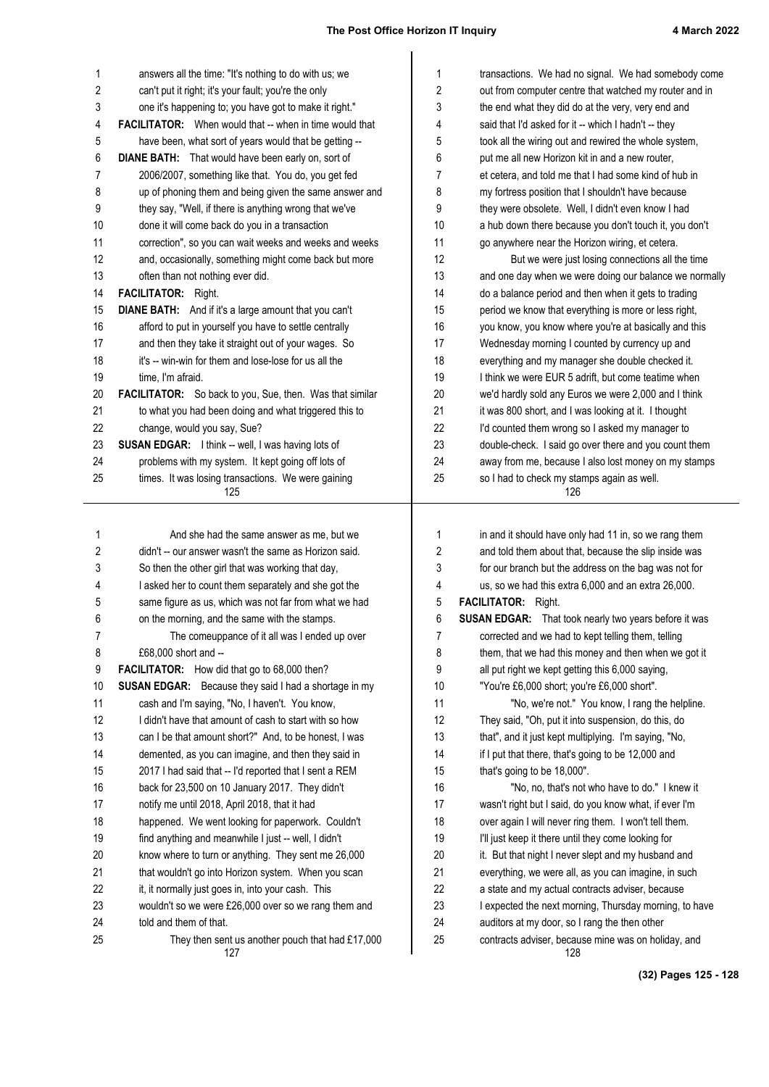| 1        | answers all the time: "It's nothing to do with us; we                      | 1        | transactions. We had no signal. We had somebody come                                                 |
|----------|----------------------------------------------------------------------------|----------|------------------------------------------------------------------------------------------------------|
| 2        | can't put it right; it's your fault; you're the only                       | 2        | out from computer centre that watched my router and in                                               |
| 3        | one it's happening to; you have got to make it right."                     | 3        | the end what they did do at the very, very end and                                                   |
| 4        | <b>FACILITATOR:</b> When would that -- when in time would that             | 4        | said that I'd asked for it -- which I hadn't -- they                                                 |
| 5        | have been, what sort of years would that be getting --                     | 5        | took all the wiring out and rewired the whole system,                                                |
| 6        | <b>DIANE BATH:</b> That would have been early on, sort of                  | 6        | put me all new Horizon kit in and a new router,                                                      |
| 7        | 2006/2007, something like that. You do, you get fed                        | 7        | et cetera, and told me that I had some kind of hub in                                                |
| 8        | up of phoning them and being given the same answer and                     | 8        | my fortress position that I shouldn't have because                                                   |
| 9        | they say, "Well, if there is anything wrong that we've                     | 9        | they were obsolete. Well, I didn't even know I had                                                   |
| 10       | done it will come back do you in a transaction                             | 10       | a hub down there because you don't touch it, you don't                                               |
| 11       | correction", so you can wait weeks and weeks and weeks                     | 11       | go anywhere near the Horizon wiring, et cetera.                                                      |
| 12       | and, occasionally, something might come back but more                      | 12       | But we were just losing connections all the time                                                     |
| 13       | often than not nothing ever did.                                           | 13       | and one day when we were doing our balance we normally                                               |
| 14       | FACILITATOR: Right.                                                        | 14       | do a balance period and then when it gets to trading                                                 |
| 15       | <b>DIANE BATH:</b> And if it's a large amount that you can't               | 15       | period we know that everything is more or less right,                                                |
| 16       | afford to put in yourself you have to settle centrally                     | 16       | you know, you know where you're at basically and this                                                |
| 17       | and then they take it straight out of your wages. So                       | 17       | Wednesday morning I counted by currency up and                                                       |
| 18       | it's -- win-win for them and lose-lose for us all the                      | 18       | everything and my manager she double checked it.                                                     |
| 19       | time, I'm afraid.                                                          | 19       | I think we were EUR 5 adrift, but come teatime when                                                  |
| 20       | FACILITATOR: So back to you, Sue, then. Was that similar                   | 20       | we'd hardly sold any Euros we were 2,000 and I think                                                 |
| 21       | to what you had been doing and what triggered this to                      | 21       | it was 800 short, and I was looking at it. I thought                                                 |
| 22       | change, would you say, Sue?                                                | 22       | I'd counted them wrong so I asked my manager to                                                      |
| 23       | SUSAN EDGAR: I think -- well, I was having lots of                         | 23       | double-check. I said go over there and you count them                                                |
| 24       | problems with my system. It kept going off lots of                         | 24       | away from me, because I also lost money on my stamps                                                 |
| 25       | times. It was losing transactions. We were gaining                         | 25       | so I had to check my stamps again as well.<br>126                                                    |
|          | 125                                                                        |          |                                                                                                      |
|          |                                                                            |          |                                                                                                      |
|          |                                                                            |          |                                                                                                      |
| 1        | And she had the same answer as me, but we                                  | 1        | in and it should have only had 11 in, so we rang them                                                |
| 2        | didn't -- our answer wasn't the same as Horizon said.                      | 2        | and told them about that, because the slip inside was                                                |
| 3        | So then the other girl that was working that day,                          | 3        | for our branch but the address on the bag was not for                                                |
| 4        | I asked her to count them separately and she got the                       | 4        | us, so we had this extra 6,000 and an extra 26,000.                                                  |
| 5        | same figure as us, which was not far from what we had                      | 5        | <b>FACILITATOR:</b> Right.                                                                           |
| 6        | on the morning, and the same with the stamps.                              | 6        | <b>SUSAN EDGAR:</b> That took nearly two years before it was                                         |
| 7        | The comeuppance of it all was I ended up over                              | 7        | corrected and we had to kept telling them, telling                                                   |
| 8        | £68,000 short and --                                                       | 8        | them, that we had this money and then when we got it                                                 |
| 9        | FACILITATOR: How did that go to 68,000 then?                               | 9        | all put right we kept getting this 6,000 saying,                                                     |
| 10       | <b>SUSAN EDGAR:</b> Because they said I had a shortage in my               | 10       | "You're £6,000 short; you're £6,000 short".                                                          |
| 11       | cash and I'm saying, "No, I haven't. You know,                             | 11       | "No, we're not." You know, I rang the helpline.                                                      |
| 12       | I didn't have that amount of cash to start with so how                     | 12       | They said, "Oh, put it into suspension, do this, do                                                  |
| 13       | can I be that amount short?" And, to be honest, I was                      | 13       | that", and it just kept multiplying. I'm saying, "No,                                                |
| 14       | demented, as you can imagine, and then they said in                        | 14       | if I put that there, that's going to be 12,000 and                                                   |
| 15       | 2017 I had said that -- I'd reported that I sent a REM                     | 15       | that's going to be 18,000".                                                                          |
| 16       | back for 23,500 on 10 January 2017. They didn't                            | 16       | "No, no, that's not who have to do." I knew it                                                       |
| 17       | notify me until 2018, April 2018, that it had                              | 17       | wasn't right but I said, do you know what, if ever I'm                                               |
| 18       | happened. We went looking for paperwork. Couldn't                          | 18       | over again I will never ring them. I won't tell them.                                                |
| 19       | find anything and meanwhile I just -- well, I didn't                       | 19       | I'll just keep it there until they come looking for                                                  |
| 20       | know where to turn or anything. They sent me 26,000                        | 20       | it. But that night I never slept and my husband and                                                  |
| 21       | that wouldn't go into Horizon system. When you scan                        | 21       | everything, we were all, as you can imagine, in such                                                 |
| 22       | it, it normally just goes in, into your cash. This                         | 22       | a state and my actual contracts adviser, because                                                     |
| 23       | wouldn't so we were £26,000 over so we rang them and                       | 23       | I expected the next morning, Thursday morning, to have                                               |
| 24<br>25 | told and them of that.<br>They then sent us another pouch that had £17,000 | 24<br>25 | auditors at my door, so I rang the then other<br>contracts adviser, because mine was on holiday, and |

**(32) Pages 125 - 128**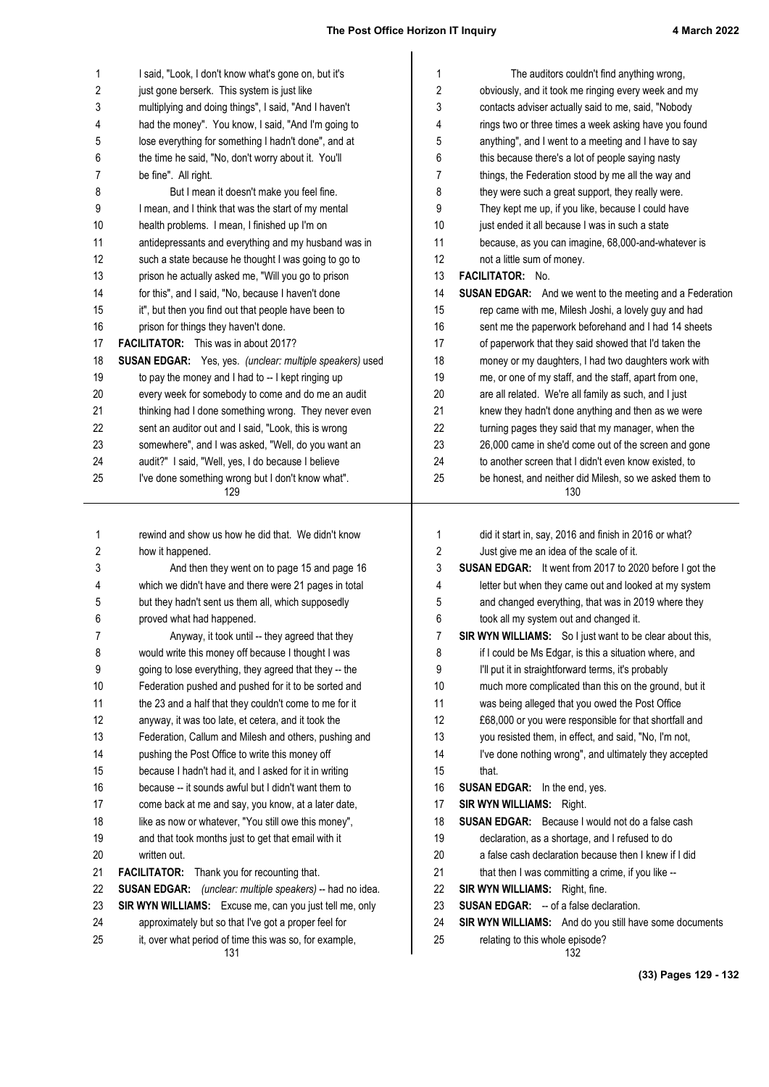| 1        | I said, "Look, I don't know what's gone on, but it's                                                           | 1              | The auditors couldn't find anything wrong,                                                |
|----------|----------------------------------------------------------------------------------------------------------------|----------------|-------------------------------------------------------------------------------------------|
| 2        | just gone berserk. This system is just like                                                                    | 2              | obviously, and it took me ringing every week and my                                       |
| 3        | multiplying and doing things", I said, "And I haven't                                                          | 3              | contacts adviser actually said to me, said, "Nobody                                       |
| 4        | had the money". You know, I said, "And I'm going to                                                            | 4              | rings two or three times a week asking have you found                                     |
| 5        | lose everything for something I hadn't done", and at                                                           | 5              | anything", and I went to a meeting and I have to say                                      |
| 6        | the time he said, "No, don't worry about it. You'll                                                            | 6              | this because there's a lot of people saying nasty                                         |
| 7        | be fine". All right.                                                                                           | 7              | things, the Federation stood by me all the way and                                        |
| 8        | But I mean it doesn't make you feel fine.                                                                      | 8              | they were such a great support, they really were.                                         |
| 9        | I mean, and I think that was the start of my mental                                                            | 9              | They kept me up, if you like, because I could have                                        |
| 10       | health problems. I mean, I finished up I'm on                                                                  | 10             | just ended it all because I was in such a state                                           |
| 11       | antidepressants and everything and my husband was in                                                           | 11             | because, as you can imagine, 68,000-and-whatever is                                       |
| 12       | such a state because he thought I was going to go to                                                           | 12             | not a little sum of money.                                                                |
| 13       | prison he actually asked me, "Will you go to prison                                                            | 13             | FACILITATOR: No.                                                                          |
| 14       | for this", and I said, "No, because I haven't done                                                             | 14             | <b>SUSAN EDGAR:</b> And we went to the meeting and a Federation                           |
| 15       | it", but then you find out that people have been to                                                            | 15             | rep came with me, Milesh Joshi, a lovely guy and had                                      |
| 16       | prison for things they haven't done.                                                                           | 16             | sent me the paperwork beforehand and I had 14 sheets                                      |
| 17       | <b>FACILITATOR:</b> This was in about 2017?                                                                    | 17             | of paperwork that they said showed that I'd taken the                                     |
| 18       | SUSAN EDGAR: Yes, yes. (unclear: multiple speakers) used                                                       | 18             | money or my daughters, I had two daughters work with                                      |
| 19       | to pay the money and I had to -- I kept ringing up                                                             | 19             | me, or one of my staff, and the staff, apart from one,                                    |
| 20       | every week for somebody to come and do me an audit                                                             | 20             | are all related. We're all family as such, and I just                                     |
| 21       | thinking had I done something wrong. They never even                                                           | 21             | knew they hadn't done anything and then as we were                                        |
| 22       | sent an auditor out and I said, "Look, this is wrong                                                           | 22             | turning pages they said that my manager, when the                                         |
| 23       | somewhere", and I was asked, "Well, do you want an                                                             | 23             | 26,000 came in she'd come out of the screen and gone                                      |
| 24       | audit?" I said, "Well, yes, I do because I believe                                                             | 24             | to another screen that I didn't even know existed, to                                     |
| 25       | I've done something wrong but I don't know what".<br>129                                                       | 25             | be honest, and neither did Milesh, so we asked them to<br>130                             |
|          |                                                                                                                |                |                                                                                           |
|          |                                                                                                                |                |                                                                                           |
|          |                                                                                                                |                |                                                                                           |
| 1        | rewind and show us how he did that. We didn't know                                                             | 1              | did it start in, say, 2016 and finish in 2016 or what?                                    |
| 2        | how it happened.                                                                                               | $\overline{c}$ | Just give me an idea of the scale of it.                                                  |
| 3        | And then they went on to page 15 and page 16                                                                   | 3              | <b>SUSAN EDGAR:</b> It went from 2017 to 2020 before I got the                            |
| 4        | which we didn't have and there were 21 pages in total                                                          | 4              | letter but when they came out and looked at my system                                     |
| 5        | but they hadn't sent us them all, which supposedly                                                             | 5              | and changed everything, that was in 2019 where they                                       |
| 6        | proved what had happened.                                                                                      | 6              | took all my system out and changed it.                                                    |
| 7        | Anyway, it took until -- they agreed that they                                                                 | 7              | SIR WYN WILLIAMS: So I just want to be clear about this,                                  |
| 8        | would write this money off because I thought I was                                                             | 8              | if I could be Ms Edgar, is this a situation where, and                                    |
| 9        | going to lose everything, they agreed that they -- the                                                         | 9              | I'll put it in straightforward terms, it's probably                                       |
| 10       | Federation pushed and pushed for it to be sorted and                                                           | 10             | much more complicated than this on the ground, but it                                     |
| 11       | the 23 and a half that they couldn't come to me for it                                                         | 11             | was being alleged that you owed the Post Office                                           |
| 12       | anyway, it was too late, et cetera, and it took the                                                            | 12             | £68,000 or you were responsible for that shortfall and                                    |
| 13       | Federation, Callum and Milesh and others, pushing and                                                          | 13             | you resisted them, in effect, and said, "No, I'm not,                                     |
| 14       | pushing the Post Office to write this money off                                                                | 14             | I've done nothing wrong", and ultimately they accepted                                    |
| 15       | because I hadn't had it, and I asked for it in writing                                                         | 15             | that.                                                                                     |
| 16       | because -- it sounds awful but I didn't want them to                                                           | 16             | <b>SUSAN EDGAR:</b> In the end, yes.                                                      |
| 17       | come back at me and say, you know, at a later date,                                                            | 17             | <b>SIR WYN WILLIAMS: Right.</b>                                                           |
| 18       | like as now or whatever, "You still owe this money",                                                           | 18             | <b>SUSAN EDGAR:</b> Because I would not do a false cash                                   |
| 19       | and that took months just to get that email with it                                                            | 19             | declaration, as a shortage, and I refused to do                                           |
| 20       | written out.                                                                                                   | 20             | a false cash declaration because then I knew if I did                                     |
| 21       | <b>FACILITATOR:</b> Thank you for recounting that.                                                             | 21             | that then I was committing a crime, if you like --                                        |
| 22       | SUSAN EDGAR: (unclear: multiple speakers) -- had no idea.                                                      | 22             | SIR WYN WILLIAMS: Right, fine.                                                            |
| 23       | SIR WYN WILLIAMS: Excuse me, can you just tell me, only                                                        | 23             | <b>SUSAN EDGAR:</b> -- of a false declaration.                                            |
| 24<br>25 | approximately but so that I've got a proper feel for<br>it, over what period of time this was so, for example, | 24<br>25       | SIR WYN WILLIAMS: And do you still have some documents<br>relating to this whole episode? |

**(33) Pages 129 - 132**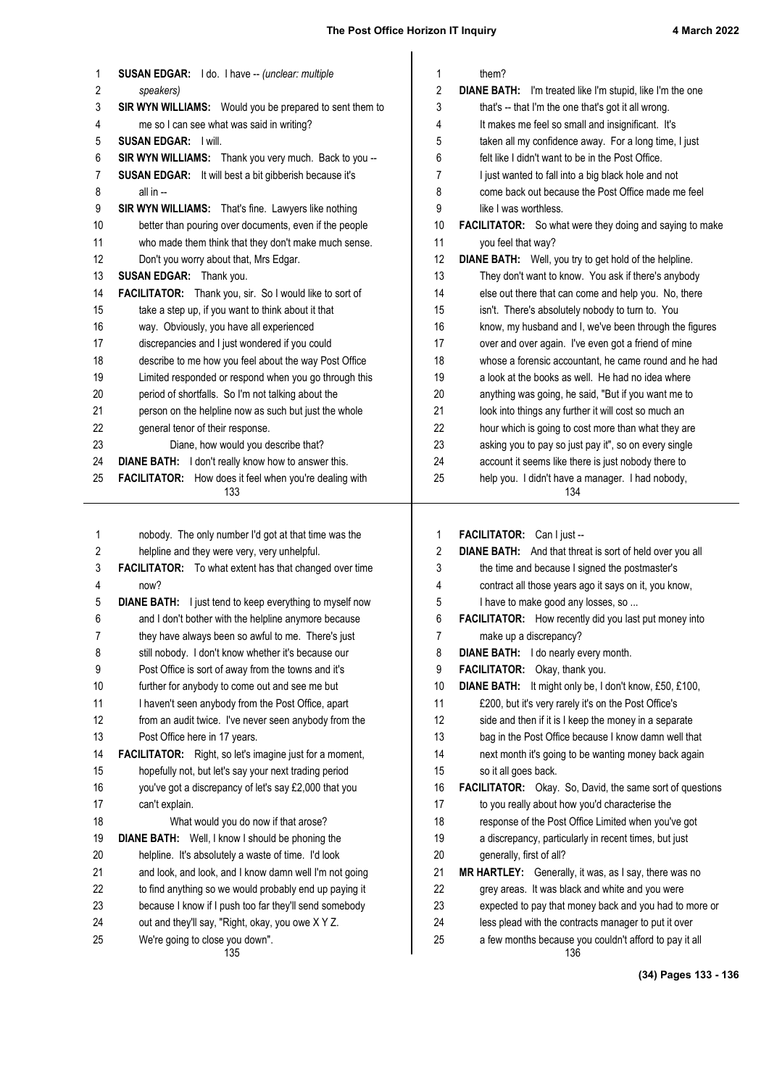| them?<br>1<br><b>SUSAN EDGAR:</b> I do. I have -- (unclear: multiple<br>1<br>$\boldsymbol{2}$<br>2<br>DIANE BATH: I'm treated like I'm stupid, like I'm the one<br>speakers)<br>3<br>3<br>SIR WYN WILLIAMS: Would you be prepared to sent them to<br>that's -- that I'm the one that's got it all wrong.<br>me so I can see what was said in writing?<br>4<br>4<br>It makes me feel so small and insignificant. It's<br>5<br><b>SUSAN EDGAR: I will.</b><br>5<br>taken all my confidence away. For a long time, I just<br>6<br>SIR WYN WILLIAMS: Thank you very much. Back to you --<br>6<br>felt like I didn't want to be in the Post Office.<br>SUSAN EDGAR: It will best a bit gibberish because it's<br>7<br>7<br>I just wanted to fall into a big black hole and not<br>8<br>8<br>come back out because the Post Office made me feel<br>all in --<br>9<br>9<br>SIR WYN WILLIAMS: That's fine. Lawyers like nothing<br>like I was worthless.<br>10<br>better than pouring over documents, even if the people<br>10<br>FACILITATOR: So what were they doing and saying to make<br>who made them think that they don't make much sense.<br>11<br>11<br>you feel that way?<br>12<br>12<br><b>DIANE BATH:</b> Well, you try to get hold of the helpline.<br>Don't you worry about that, Mrs Edgar.<br>13<br>13<br>They don't want to know. You ask if there's anybody<br><b>SUSAN EDGAR:</b> Thank you.<br>14<br>FACILITATOR: Thank you, sir. So I would like to sort of<br>14<br>else out there that can come and help you. No, there<br>15<br>take a step up, if you want to think about it that<br>15<br>isn't. There's absolutely nobody to turn to. You<br>16<br>16<br>way. Obviously, you have all experienced<br>know, my husband and I, we've been through the figures<br>17<br>17<br>discrepancies and I just wondered if you could<br>over and over again. I've even got a friend of mine<br>18<br>describe to me how you feel about the way Post Office<br>18<br>whose a forensic accountant, he came round and he had<br>19<br>Limited responded or respond when you go through this<br>19<br>a look at the books as well. He had no idea where<br>20<br>period of shortfalls. So I'm not talking about the<br>20<br>anything was going, he said, "But if you want me to<br>21<br>person on the helpline now as such but just the whole<br>21<br>look into things any further it will cost so much an<br>22<br>22<br>general tenor of their response.<br>hour which is going to cost more than what they are<br>23<br>23<br>Diane, how would you describe that?<br>asking you to pay so just pay it", so on every single<br>24<br><b>DIANE BATH:</b> I don't really know how to answer this.<br>24<br>account it seems like there is just nobody there to<br>25<br>FACILITATOR: How does it feel when you're dealing with<br>25<br>help you. I didn't have a manager. I had nobody,<br>133<br>134<br>1<br>nobody. The only number I'd got at that time was the<br>FACILITATOR: Can I just --<br>1<br>2<br>helpline and they were very, very unhelpful.<br>2<br>DIANE BATH: And that threat is sort of held over you all<br>3<br>FACILITATOR: To what extent has that changed over time<br>3<br>the time and because I signed the postmaster's<br>contract all those years ago it says on it, you know,<br>4<br>now?<br>4<br><b>DIANE BATH:</b> I just tend to keep everything to myself now<br>5<br>I have to make good any losses, so<br>5<br>6<br>6<br>and I don't bother with the helpline anymore because<br><b>FACILITATOR:</b> How recently did you last put money into<br>7<br>7<br>make up a discrepancy?<br>they have always been so awful to me. There's just<br>8<br>8<br>DIANE BATH: I do nearly every month.<br>still nobody. I don't know whether it's because our<br>9<br>9<br>Post Office is sort of away from the towns and it's<br>FACILITATOR: Okay, thank you.<br>10<br>further for anybody to come out and see me but<br>10<br>DIANE BATH: It might only be, I don't know, £50, £100,<br>11<br>11<br>I haven't seen anybody from the Post Office, apart<br>£200, but it's very rarely it's on the Post Office's<br>12<br>12<br>from an audit twice. I've never seen anybody from the<br>side and then if it is I keep the money in a separate<br>13<br>Post Office here in 17 years.<br>13<br>bag in the Post Office because I know damn well that<br>14<br><b>FACILITATOR:</b> Right, so let's imagine just for a moment,<br>14<br>next month it's going to be wanting money back again<br>15<br>hopefully not, but let's say your next trading period<br>15<br>so it all goes back.<br>16<br>you've got a discrepancy of let's say £2,000 that you<br>16<br>FACILITATOR: Okay. So, David, the same sort of questions<br>17<br>17<br>to you really about how you'd characterise the<br>can't explain.<br>18<br>18<br>response of the Post Office Limited when you've got<br>What would you do now if that arose?<br>19<br>DIANE BATH: Well, I know I should be phoning the<br>19<br>a discrepancy, particularly in recent times, but just<br>20<br>20<br>helpline. It's absolutely a waste of time. I'd look<br>generally, first of all?<br>21<br>and look, and look, and I know damn well I'm not going<br>21<br>MR HARTLEY: Generally, it was, as I say, there was no<br>22<br>22<br>to find anything so we would probably end up paying it<br>grey areas. It was black and white and you were<br>23<br>23<br>because I know if I push too far they'll send somebody<br>expected to pay that money back and you had to more or<br>24<br>out and they'll say, "Right, okay, you owe X Y Z.<br>24<br>less plead with the contracts manager to put it over<br>25<br>We're going to close you down".<br>25<br>a few months because you couldn't afford to pay it all<br>135<br>136 |  |  |
|--------------------------------------------------------------------------------------------------------------------------------------------------------------------------------------------------------------------------------------------------------------------------------------------------------------------------------------------------------------------------------------------------------------------------------------------------------------------------------------------------------------------------------------------------------------------------------------------------------------------------------------------------------------------------------------------------------------------------------------------------------------------------------------------------------------------------------------------------------------------------------------------------------------------------------------------------------------------------------------------------------------------------------------------------------------------------------------------------------------------------------------------------------------------------------------------------------------------------------------------------------------------------------------------------------------------------------------------------------------------------------------------------------------------------------------------------------------------------------------------------------------------------------------------------------------------------------------------------------------------------------------------------------------------------------------------------------------------------------------------------------------------------------------------------------------------------------------------------------------------------------------------------------------------------------------------------------------------------------------------------------------------------------------------------------------------------------------------------------------------------------------------------------------------------------------------------------------------------------------------------------------------------------------------------------------------------------------------------------------------------------------------------------------------------------------------------------------------------------------------------------------------------------------------------------------------------------------------------------------------------------------------------------------------------------------------------------------------------------------------------------------------------------------------------------------------------------------------------------------------------------------------------------------------------------------------------------------------------------------------------------------------------------------------------------------------------------------------------------------------------------------------------------------------------------------------------------------------------------------------------------------------------------------------------------------------------------------------------------------------------------------------------------------------------------------------------------------------------------------------------------------------------------------------------------------------------------------------------------------------------------------------------------------------------------------------------------------------------------------------------------------------------------------------------------------------------------------------------------------------------------------------------------------------------------------------------------------------------------------------------------------------------------------------------------------------------------------------------------------------------------------------------------------------------------------------------------------------------------------------------------------------------------------------------------------------------------------------------------------------------------------------------------------------------------------------------------------------------------------------------------------------------------------------------------------------------------------------------------------------------------------------------------------------------------------------------------------------------------------------------------------------------------------------------------------------------------------------------------------------------------------------------------------------------------------------------------------------------------------------------------------------------------------------------------------------------------------------------------------------------------------------------------------------------------------------------------------------------------------------------------------------------------------------------------------------------------------------------------------------------------------------------------------------------------------------------------------------------------------------------------------------------------------------------------------------------------------------------------------------------------------------------------------------------------------------------------------------------------------------------------------------------------------------------------------------|--|--|
|                                                                                                                                                                                                                                                                                                                                                                                                                                                                                                                                                                                                                                                                                                                                                                                                                                                                                                                                                                                                                                                                                                                                                                                                                                                                                                                                                                                                                                                                                                                                                                                                                                                                                                                                                                                                                                                                                                                                                                                                                                                                                                                                                                                                                                                                                                                                                                                                                                                                                                                                                                                                                                                                                                                                                                                                                                                                                                                                                                                                                                                                                                                                                                                                                                                                                                                                                                                                                                                                                                                                                                                                                                                                                                                                                                                                                                                                                                                                                                                                                                                                                                                                                                                                                                                                                                                                                                                                                                                                                                                                                                                                                                                                                                                                                                                                                                                                                                                                                                                                                                                                                                                                                                                                                                                                                                                                                                                                                                                                                                                                                                                                                                                                                                                                                                                                                    |  |  |
|                                                                                                                                                                                                                                                                                                                                                                                                                                                                                                                                                                                                                                                                                                                                                                                                                                                                                                                                                                                                                                                                                                                                                                                                                                                                                                                                                                                                                                                                                                                                                                                                                                                                                                                                                                                                                                                                                                                                                                                                                                                                                                                                                                                                                                                                                                                                                                                                                                                                                                                                                                                                                                                                                                                                                                                                                                                                                                                                                                                                                                                                                                                                                                                                                                                                                                                                                                                                                                                                                                                                                                                                                                                                                                                                                                                                                                                                                                                                                                                                                                                                                                                                                                                                                                                                                                                                                                                                                                                                                                                                                                                                                                                                                                                                                                                                                                                                                                                                                                                                                                                                                                                                                                                                                                                                                                                                                                                                                                                                                                                                                                                                                                                                                                                                                                                                                    |  |  |
|                                                                                                                                                                                                                                                                                                                                                                                                                                                                                                                                                                                                                                                                                                                                                                                                                                                                                                                                                                                                                                                                                                                                                                                                                                                                                                                                                                                                                                                                                                                                                                                                                                                                                                                                                                                                                                                                                                                                                                                                                                                                                                                                                                                                                                                                                                                                                                                                                                                                                                                                                                                                                                                                                                                                                                                                                                                                                                                                                                                                                                                                                                                                                                                                                                                                                                                                                                                                                                                                                                                                                                                                                                                                                                                                                                                                                                                                                                                                                                                                                                                                                                                                                                                                                                                                                                                                                                                                                                                                                                                                                                                                                                                                                                                                                                                                                                                                                                                                                                                                                                                                                                                                                                                                                                                                                                                                                                                                                                                                                                                                                                                                                                                                                                                                                                                                                    |  |  |
|                                                                                                                                                                                                                                                                                                                                                                                                                                                                                                                                                                                                                                                                                                                                                                                                                                                                                                                                                                                                                                                                                                                                                                                                                                                                                                                                                                                                                                                                                                                                                                                                                                                                                                                                                                                                                                                                                                                                                                                                                                                                                                                                                                                                                                                                                                                                                                                                                                                                                                                                                                                                                                                                                                                                                                                                                                                                                                                                                                                                                                                                                                                                                                                                                                                                                                                                                                                                                                                                                                                                                                                                                                                                                                                                                                                                                                                                                                                                                                                                                                                                                                                                                                                                                                                                                                                                                                                                                                                                                                                                                                                                                                                                                                                                                                                                                                                                                                                                                                                                                                                                                                                                                                                                                                                                                                                                                                                                                                                                                                                                                                                                                                                                                                                                                                                                                    |  |  |
|                                                                                                                                                                                                                                                                                                                                                                                                                                                                                                                                                                                                                                                                                                                                                                                                                                                                                                                                                                                                                                                                                                                                                                                                                                                                                                                                                                                                                                                                                                                                                                                                                                                                                                                                                                                                                                                                                                                                                                                                                                                                                                                                                                                                                                                                                                                                                                                                                                                                                                                                                                                                                                                                                                                                                                                                                                                                                                                                                                                                                                                                                                                                                                                                                                                                                                                                                                                                                                                                                                                                                                                                                                                                                                                                                                                                                                                                                                                                                                                                                                                                                                                                                                                                                                                                                                                                                                                                                                                                                                                                                                                                                                                                                                                                                                                                                                                                                                                                                                                                                                                                                                                                                                                                                                                                                                                                                                                                                                                                                                                                                                                                                                                                                                                                                                                                                    |  |  |
|                                                                                                                                                                                                                                                                                                                                                                                                                                                                                                                                                                                                                                                                                                                                                                                                                                                                                                                                                                                                                                                                                                                                                                                                                                                                                                                                                                                                                                                                                                                                                                                                                                                                                                                                                                                                                                                                                                                                                                                                                                                                                                                                                                                                                                                                                                                                                                                                                                                                                                                                                                                                                                                                                                                                                                                                                                                                                                                                                                                                                                                                                                                                                                                                                                                                                                                                                                                                                                                                                                                                                                                                                                                                                                                                                                                                                                                                                                                                                                                                                                                                                                                                                                                                                                                                                                                                                                                                                                                                                                                                                                                                                                                                                                                                                                                                                                                                                                                                                                                                                                                                                                                                                                                                                                                                                                                                                                                                                                                                                                                                                                                                                                                                                                                                                                                                                    |  |  |
|                                                                                                                                                                                                                                                                                                                                                                                                                                                                                                                                                                                                                                                                                                                                                                                                                                                                                                                                                                                                                                                                                                                                                                                                                                                                                                                                                                                                                                                                                                                                                                                                                                                                                                                                                                                                                                                                                                                                                                                                                                                                                                                                                                                                                                                                                                                                                                                                                                                                                                                                                                                                                                                                                                                                                                                                                                                                                                                                                                                                                                                                                                                                                                                                                                                                                                                                                                                                                                                                                                                                                                                                                                                                                                                                                                                                                                                                                                                                                                                                                                                                                                                                                                                                                                                                                                                                                                                                                                                                                                                                                                                                                                                                                                                                                                                                                                                                                                                                                                                                                                                                                                                                                                                                                                                                                                                                                                                                                                                                                                                                                                                                                                                                                                                                                                                                                    |  |  |
|                                                                                                                                                                                                                                                                                                                                                                                                                                                                                                                                                                                                                                                                                                                                                                                                                                                                                                                                                                                                                                                                                                                                                                                                                                                                                                                                                                                                                                                                                                                                                                                                                                                                                                                                                                                                                                                                                                                                                                                                                                                                                                                                                                                                                                                                                                                                                                                                                                                                                                                                                                                                                                                                                                                                                                                                                                                                                                                                                                                                                                                                                                                                                                                                                                                                                                                                                                                                                                                                                                                                                                                                                                                                                                                                                                                                                                                                                                                                                                                                                                                                                                                                                                                                                                                                                                                                                                                                                                                                                                                                                                                                                                                                                                                                                                                                                                                                                                                                                                                                                                                                                                                                                                                                                                                                                                                                                                                                                                                                                                                                                                                                                                                                                                                                                                                                                    |  |  |
|                                                                                                                                                                                                                                                                                                                                                                                                                                                                                                                                                                                                                                                                                                                                                                                                                                                                                                                                                                                                                                                                                                                                                                                                                                                                                                                                                                                                                                                                                                                                                                                                                                                                                                                                                                                                                                                                                                                                                                                                                                                                                                                                                                                                                                                                                                                                                                                                                                                                                                                                                                                                                                                                                                                                                                                                                                                                                                                                                                                                                                                                                                                                                                                                                                                                                                                                                                                                                                                                                                                                                                                                                                                                                                                                                                                                                                                                                                                                                                                                                                                                                                                                                                                                                                                                                                                                                                                                                                                                                                                                                                                                                                                                                                                                                                                                                                                                                                                                                                                                                                                                                                                                                                                                                                                                                                                                                                                                                                                                                                                                                                                                                                                                                                                                                                                                                    |  |  |
|                                                                                                                                                                                                                                                                                                                                                                                                                                                                                                                                                                                                                                                                                                                                                                                                                                                                                                                                                                                                                                                                                                                                                                                                                                                                                                                                                                                                                                                                                                                                                                                                                                                                                                                                                                                                                                                                                                                                                                                                                                                                                                                                                                                                                                                                                                                                                                                                                                                                                                                                                                                                                                                                                                                                                                                                                                                                                                                                                                                                                                                                                                                                                                                                                                                                                                                                                                                                                                                                                                                                                                                                                                                                                                                                                                                                                                                                                                                                                                                                                                                                                                                                                                                                                                                                                                                                                                                                                                                                                                                                                                                                                                                                                                                                                                                                                                                                                                                                                                                                                                                                                                                                                                                                                                                                                                                                                                                                                                                                                                                                                                                                                                                                                                                                                                                                                    |  |  |
|                                                                                                                                                                                                                                                                                                                                                                                                                                                                                                                                                                                                                                                                                                                                                                                                                                                                                                                                                                                                                                                                                                                                                                                                                                                                                                                                                                                                                                                                                                                                                                                                                                                                                                                                                                                                                                                                                                                                                                                                                                                                                                                                                                                                                                                                                                                                                                                                                                                                                                                                                                                                                                                                                                                                                                                                                                                                                                                                                                                                                                                                                                                                                                                                                                                                                                                                                                                                                                                                                                                                                                                                                                                                                                                                                                                                                                                                                                                                                                                                                                                                                                                                                                                                                                                                                                                                                                                                                                                                                                                                                                                                                                                                                                                                                                                                                                                                                                                                                                                                                                                                                                                                                                                                                                                                                                                                                                                                                                                                                                                                                                                                                                                                                                                                                                                                                    |  |  |
|                                                                                                                                                                                                                                                                                                                                                                                                                                                                                                                                                                                                                                                                                                                                                                                                                                                                                                                                                                                                                                                                                                                                                                                                                                                                                                                                                                                                                                                                                                                                                                                                                                                                                                                                                                                                                                                                                                                                                                                                                                                                                                                                                                                                                                                                                                                                                                                                                                                                                                                                                                                                                                                                                                                                                                                                                                                                                                                                                                                                                                                                                                                                                                                                                                                                                                                                                                                                                                                                                                                                                                                                                                                                                                                                                                                                                                                                                                                                                                                                                                                                                                                                                                                                                                                                                                                                                                                                                                                                                                                                                                                                                                                                                                                                                                                                                                                                                                                                                                                                                                                                                                                                                                                                                                                                                                                                                                                                                                                                                                                                                                                                                                                                                                                                                                                                                    |  |  |
|                                                                                                                                                                                                                                                                                                                                                                                                                                                                                                                                                                                                                                                                                                                                                                                                                                                                                                                                                                                                                                                                                                                                                                                                                                                                                                                                                                                                                                                                                                                                                                                                                                                                                                                                                                                                                                                                                                                                                                                                                                                                                                                                                                                                                                                                                                                                                                                                                                                                                                                                                                                                                                                                                                                                                                                                                                                                                                                                                                                                                                                                                                                                                                                                                                                                                                                                                                                                                                                                                                                                                                                                                                                                                                                                                                                                                                                                                                                                                                                                                                                                                                                                                                                                                                                                                                                                                                                                                                                                                                                                                                                                                                                                                                                                                                                                                                                                                                                                                                                                                                                                                                                                                                                                                                                                                                                                                                                                                                                                                                                                                                                                                                                                                                                                                                                                                    |  |  |
|                                                                                                                                                                                                                                                                                                                                                                                                                                                                                                                                                                                                                                                                                                                                                                                                                                                                                                                                                                                                                                                                                                                                                                                                                                                                                                                                                                                                                                                                                                                                                                                                                                                                                                                                                                                                                                                                                                                                                                                                                                                                                                                                                                                                                                                                                                                                                                                                                                                                                                                                                                                                                                                                                                                                                                                                                                                                                                                                                                                                                                                                                                                                                                                                                                                                                                                                                                                                                                                                                                                                                                                                                                                                                                                                                                                                                                                                                                                                                                                                                                                                                                                                                                                                                                                                                                                                                                                                                                                                                                                                                                                                                                                                                                                                                                                                                                                                                                                                                                                                                                                                                                                                                                                                                                                                                                                                                                                                                                                                                                                                                                                                                                                                                                                                                                                                                    |  |  |
|                                                                                                                                                                                                                                                                                                                                                                                                                                                                                                                                                                                                                                                                                                                                                                                                                                                                                                                                                                                                                                                                                                                                                                                                                                                                                                                                                                                                                                                                                                                                                                                                                                                                                                                                                                                                                                                                                                                                                                                                                                                                                                                                                                                                                                                                                                                                                                                                                                                                                                                                                                                                                                                                                                                                                                                                                                                                                                                                                                                                                                                                                                                                                                                                                                                                                                                                                                                                                                                                                                                                                                                                                                                                                                                                                                                                                                                                                                                                                                                                                                                                                                                                                                                                                                                                                                                                                                                                                                                                                                                                                                                                                                                                                                                                                                                                                                                                                                                                                                                                                                                                                                                                                                                                                                                                                                                                                                                                                                                                                                                                                                                                                                                                                                                                                                                                                    |  |  |
|                                                                                                                                                                                                                                                                                                                                                                                                                                                                                                                                                                                                                                                                                                                                                                                                                                                                                                                                                                                                                                                                                                                                                                                                                                                                                                                                                                                                                                                                                                                                                                                                                                                                                                                                                                                                                                                                                                                                                                                                                                                                                                                                                                                                                                                                                                                                                                                                                                                                                                                                                                                                                                                                                                                                                                                                                                                                                                                                                                                                                                                                                                                                                                                                                                                                                                                                                                                                                                                                                                                                                                                                                                                                                                                                                                                                                                                                                                                                                                                                                                                                                                                                                                                                                                                                                                                                                                                                                                                                                                                                                                                                                                                                                                                                                                                                                                                                                                                                                                                                                                                                                                                                                                                                                                                                                                                                                                                                                                                                                                                                                                                                                                                                                                                                                                                                                    |  |  |
|                                                                                                                                                                                                                                                                                                                                                                                                                                                                                                                                                                                                                                                                                                                                                                                                                                                                                                                                                                                                                                                                                                                                                                                                                                                                                                                                                                                                                                                                                                                                                                                                                                                                                                                                                                                                                                                                                                                                                                                                                                                                                                                                                                                                                                                                                                                                                                                                                                                                                                                                                                                                                                                                                                                                                                                                                                                                                                                                                                                                                                                                                                                                                                                                                                                                                                                                                                                                                                                                                                                                                                                                                                                                                                                                                                                                                                                                                                                                                                                                                                                                                                                                                                                                                                                                                                                                                                                                                                                                                                                                                                                                                                                                                                                                                                                                                                                                                                                                                                                                                                                                                                                                                                                                                                                                                                                                                                                                                                                                                                                                                                                                                                                                                                                                                                                                                    |  |  |
|                                                                                                                                                                                                                                                                                                                                                                                                                                                                                                                                                                                                                                                                                                                                                                                                                                                                                                                                                                                                                                                                                                                                                                                                                                                                                                                                                                                                                                                                                                                                                                                                                                                                                                                                                                                                                                                                                                                                                                                                                                                                                                                                                                                                                                                                                                                                                                                                                                                                                                                                                                                                                                                                                                                                                                                                                                                                                                                                                                                                                                                                                                                                                                                                                                                                                                                                                                                                                                                                                                                                                                                                                                                                                                                                                                                                                                                                                                                                                                                                                                                                                                                                                                                                                                                                                                                                                                                                                                                                                                                                                                                                                                                                                                                                                                                                                                                                                                                                                                                                                                                                                                                                                                                                                                                                                                                                                                                                                                                                                                                                                                                                                                                                                                                                                                                                                    |  |  |
|                                                                                                                                                                                                                                                                                                                                                                                                                                                                                                                                                                                                                                                                                                                                                                                                                                                                                                                                                                                                                                                                                                                                                                                                                                                                                                                                                                                                                                                                                                                                                                                                                                                                                                                                                                                                                                                                                                                                                                                                                                                                                                                                                                                                                                                                                                                                                                                                                                                                                                                                                                                                                                                                                                                                                                                                                                                                                                                                                                                                                                                                                                                                                                                                                                                                                                                                                                                                                                                                                                                                                                                                                                                                                                                                                                                                                                                                                                                                                                                                                                                                                                                                                                                                                                                                                                                                                                                                                                                                                                                                                                                                                                                                                                                                                                                                                                                                                                                                                                                                                                                                                                                                                                                                                                                                                                                                                                                                                                                                                                                                                                                                                                                                                                                                                                                                                    |  |  |
|                                                                                                                                                                                                                                                                                                                                                                                                                                                                                                                                                                                                                                                                                                                                                                                                                                                                                                                                                                                                                                                                                                                                                                                                                                                                                                                                                                                                                                                                                                                                                                                                                                                                                                                                                                                                                                                                                                                                                                                                                                                                                                                                                                                                                                                                                                                                                                                                                                                                                                                                                                                                                                                                                                                                                                                                                                                                                                                                                                                                                                                                                                                                                                                                                                                                                                                                                                                                                                                                                                                                                                                                                                                                                                                                                                                                                                                                                                                                                                                                                                                                                                                                                                                                                                                                                                                                                                                                                                                                                                                                                                                                                                                                                                                                                                                                                                                                                                                                                                                                                                                                                                                                                                                                                                                                                                                                                                                                                                                                                                                                                                                                                                                                                                                                                                                                                    |  |  |
|                                                                                                                                                                                                                                                                                                                                                                                                                                                                                                                                                                                                                                                                                                                                                                                                                                                                                                                                                                                                                                                                                                                                                                                                                                                                                                                                                                                                                                                                                                                                                                                                                                                                                                                                                                                                                                                                                                                                                                                                                                                                                                                                                                                                                                                                                                                                                                                                                                                                                                                                                                                                                                                                                                                                                                                                                                                                                                                                                                                                                                                                                                                                                                                                                                                                                                                                                                                                                                                                                                                                                                                                                                                                                                                                                                                                                                                                                                                                                                                                                                                                                                                                                                                                                                                                                                                                                                                                                                                                                                                                                                                                                                                                                                                                                                                                                                                                                                                                                                                                                                                                                                                                                                                                                                                                                                                                                                                                                                                                                                                                                                                                                                                                                                                                                                                                                    |  |  |
|                                                                                                                                                                                                                                                                                                                                                                                                                                                                                                                                                                                                                                                                                                                                                                                                                                                                                                                                                                                                                                                                                                                                                                                                                                                                                                                                                                                                                                                                                                                                                                                                                                                                                                                                                                                                                                                                                                                                                                                                                                                                                                                                                                                                                                                                                                                                                                                                                                                                                                                                                                                                                                                                                                                                                                                                                                                                                                                                                                                                                                                                                                                                                                                                                                                                                                                                                                                                                                                                                                                                                                                                                                                                                                                                                                                                                                                                                                                                                                                                                                                                                                                                                                                                                                                                                                                                                                                                                                                                                                                                                                                                                                                                                                                                                                                                                                                                                                                                                                                                                                                                                                                                                                                                                                                                                                                                                                                                                                                                                                                                                                                                                                                                                                                                                                                                                    |  |  |
|                                                                                                                                                                                                                                                                                                                                                                                                                                                                                                                                                                                                                                                                                                                                                                                                                                                                                                                                                                                                                                                                                                                                                                                                                                                                                                                                                                                                                                                                                                                                                                                                                                                                                                                                                                                                                                                                                                                                                                                                                                                                                                                                                                                                                                                                                                                                                                                                                                                                                                                                                                                                                                                                                                                                                                                                                                                                                                                                                                                                                                                                                                                                                                                                                                                                                                                                                                                                                                                                                                                                                                                                                                                                                                                                                                                                                                                                                                                                                                                                                                                                                                                                                                                                                                                                                                                                                                                                                                                                                                                                                                                                                                                                                                                                                                                                                                                                                                                                                                                                                                                                                                                                                                                                                                                                                                                                                                                                                                                                                                                                                                                                                                                                                                                                                                                                                    |  |  |
|                                                                                                                                                                                                                                                                                                                                                                                                                                                                                                                                                                                                                                                                                                                                                                                                                                                                                                                                                                                                                                                                                                                                                                                                                                                                                                                                                                                                                                                                                                                                                                                                                                                                                                                                                                                                                                                                                                                                                                                                                                                                                                                                                                                                                                                                                                                                                                                                                                                                                                                                                                                                                                                                                                                                                                                                                                                                                                                                                                                                                                                                                                                                                                                                                                                                                                                                                                                                                                                                                                                                                                                                                                                                                                                                                                                                                                                                                                                                                                                                                                                                                                                                                                                                                                                                                                                                                                                                                                                                                                                                                                                                                                                                                                                                                                                                                                                                                                                                                                                                                                                                                                                                                                                                                                                                                                                                                                                                                                                                                                                                                                                                                                                                                                                                                                                                                    |  |  |
|                                                                                                                                                                                                                                                                                                                                                                                                                                                                                                                                                                                                                                                                                                                                                                                                                                                                                                                                                                                                                                                                                                                                                                                                                                                                                                                                                                                                                                                                                                                                                                                                                                                                                                                                                                                                                                                                                                                                                                                                                                                                                                                                                                                                                                                                                                                                                                                                                                                                                                                                                                                                                                                                                                                                                                                                                                                                                                                                                                                                                                                                                                                                                                                                                                                                                                                                                                                                                                                                                                                                                                                                                                                                                                                                                                                                                                                                                                                                                                                                                                                                                                                                                                                                                                                                                                                                                                                                                                                                                                                                                                                                                                                                                                                                                                                                                                                                                                                                                                                                                                                                                                                                                                                                                                                                                                                                                                                                                                                                                                                                                                                                                                                                                                                                                                                                                    |  |  |
|                                                                                                                                                                                                                                                                                                                                                                                                                                                                                                                                                                                                                                                                                                                                                                                                                                                                                                                                                                                                                                                                                                                                                                                                                                                                                                                                                                                                                                                                                                                                                                                                                                                                                                                                                                                                                                                                                                                                                                                                                                                                                                                                                                                                                                                                                                                                                                                                                                                                                                                                                                                                                                                                                                                                                                                                                                                                                                                                                                                                                                                                                                                                                                                                                                                                                                                                                                                                                                                                                                                                                                                                                                                                                                                                                                                                                                                                                                                                                                                                                                                                                                                                                                                                                                                                                                                                                                                                                                                                                                                                                                                                                                                                                                                                                                                                                                                                                                                                                                                                                                                                                                                                                                                                                                                                                                                                                                                                                                                                                                                                                                                                                                                                                                                                                                                                                    |  |  |
|                                                                                                                                                                                                                                                                                                                                                                                                                                                                                                                                                                                                                                                                                                                                                                                                                                                                                                                                                                                                                                                                                                                                                                                                                                                                                                                                                                                                                                                                                                                                                                                                                                                                                                                                                                                                                                                                                                                                                                                                                                                                                                                                                                                                                                                                                                                                                                                                                                                                                                                                                                                                                                                                                                                                                                                                                                                                                                                                                                                                                                                                                                                                                                                                                                                                                                                                                                                                                                                                                                                                                                                                                                                                                                                                                                                                                                                                                                                                                                                                                                                                                                                                                                                                                                                                                                                                                                                                                                                                                                                                                                                                                                                                                                                                                                                                                                                                                                                                                                                                                                                                                                                                                                                                                                                                                                                                                                                                                                                                                                                                                                                                                                                                                                                                                                                                                    |  |  |
|                                                                                                                                                                                                                                                                                                                                                                                                                                                                                                                                                                                                                                                                                                                                                                                                                                                                                                                                                                                                                                                                                                                                                                                                                                                                                                                                                                                                                                                                                                                                                                                                                                                                                                                                                                                                                                                                                                                                                                                                                                                                                                                                                                                                                                                                                                                                                                                                                                                                                                                                                                                                                                                                                                                                                                                                                                                                                                                                                                                                                                                                                                                                                                                                                                                                                                                                                                                                                                                                                                                                                                                                                                                                                                                                                                                                                                                                                                                                                                                                                                                                                                                                                                                                                                                                                                                                                                                                                                                                                                                                                                                                                                                                                                                                                                                                                                                                                                                                                                                                                                                                                                                                                                                                                                                                                                                                                                                                                                                                                                                                                                                                                                                                                                                                                                                                                    |  |  |
|                                                                                                                                                                                                                                                                                                                                                                                                                                                                                                                                                                                                                                                                                                                                                                                                                                                                                                                                                                                                                                                                                                                                                                                                                                                                                                                                                                                                                                                                                                                                                                                                                                                                                                                                                                                                                                                                                                                                                                                                                                                                                                                                                                                                                                                                                                                                                                                                                                                                                                                                                                                                                                                                                                                                                                                                                                                                                                                                                                                                                                                                                                                                                                                                                                                                                                                                                                                                                                                                                                                                                                                                                                                                                                                                                                                                                                                                                                                                                                                                                                                                                                                                                                                                                                                                                                                                                                                                                                                                                                                                                                                                                                                                                                                                                                                                                                                                                                                                                                                                                                                                                                                                                                                                                                                                                                                                                                                                                                                                                                                                                                                                                                                                                                                                                                                                                    |  |  |
|                                                                                                                                                                                                                                                                                                                                                                                                                                                                                                                                                                                                                                                                                                                                                                                                                                                                                                                                                                                                                                                                                                                                                                                                                                                                                                                                                                                                                                                                                                                                                                                                                                                                                                                                                                                                                                                                                                                                                                                                                                                                                                                                                                                                                                                                                                                                                                                                                                                                                                                                                                                                                                                                                                                                                                                                                                                                                                                                                                                                                                                                                                                                                                                                                                                                                                                                                                                                                                                                                                                                                                                                                                                                                                                                                                                                                                                                                                                                                                                                                                                                                                                                                                                                                                                                                                                                                                                                                                                                                                                                                                                                                                                                                                                                                                                                                                                                                                                                                                                                                                                                                                                                                                                                                                                                                                                                                                                                                                                                                                                                                                                                                                                                                                                                                                                                                    |  |  |
|                                                                                                                                                                                                                                                                                                                                                                                                                                                                                                                                                                                                                                                                                                                                                                                                                                                                                                                                                                                                                                                                                                                                                                                                                                                                                                                                                                                                                                                                                                                                                                                                                                                                                                                                                                                                                                                                                                                                                                                                                                                                                                                                                                                                                                                                                                                                                                                                                                                                                                                                                                                                                                                                                                                                                                                                                                                                                                                                                                                                                                                                                                                                                                                                                                                                                                                                                                                                                                                                                                                                                                                                                                                                                                                                                                                                                                                                                                                                                                                                                                                                                                                                                                                                                                                                                                                                                                                                                                                                                                                                                                                                                                                                                                                                                                                                                                                                                                                                                                                                                                                                                                                                                                                                                                                                                                                                                                                                                                                                                                                                                                                                                                                                                                                                                                                                                    |  |  |
|                                                                                                                                                                                                                                                                                                                                                                                                                                                                                                                                                                                                                                                                                                                                                                                                                                                                                                                                                                                                                                                                                                                                                                                                                                                                                                                                                                                                                                                                                                                                                                                                                                                                                                                                                                                                                                                                                                                                                                                                                                                                                                                                                                                                                                                                                                                                                                                                                                                                                                                                                                                                                                                                                                                                                                                                                                                                                                                                                                                                                                                                                                                                                                                                                                                                                                                                                                                                                                                                                                                                                                                                                                                                                                                                                                                                                                                                                                                                                                                                                                                                                                                                                                                                                                                                                                                                                                                                                                                                                                                                                                                                                                                                                                                                                                                                                                                                                                                                                                                                                                                                                                                                                                                                                                                                                                                                                                                                                                                                                                                                                                                                                                                                                                                                                                                                                    |  |  |
|                                                                                                                                                                                                                                                                                                                                                                                                                                                                                                                                                                                                                                                                                                                                                                                                                                                                                                                                                                                                                                                                                                                                                                                                                                                                                                                                                                                                                                                                                                                                                                                                                                                                                                                                                                                                                                                                                                                                                                                                                                                                                                                                                                                                                                                                                                                                                                                                                                                                                                                                                                                                                                                                                                                                                                                                                                                                                                                                                                                                                                                                                                                                                                                                                                                                                                                                                                                                                                                                                                                                                                                                                                                                                                                                                                                                                                                                                                                                                                                                                                                                                                                                                                                                                                                                                                                                                                                                                                                                                                                                                                                                                                                                                                                                                                                                                                                                                                                                                                                                                                                                                                                                                                                                                                                                                                                                                                                                                                                                                                                                                                                                                                                                                                                                                                                                                    |  |  |
|                                                                                                                                                                                                                                                                                                                                                                                                                                                                                                                                                                                                                                                                                                                                                                                                                                                                                                                                                                                                                                                                                                                                                                                                                                                                                                                                                                                                                                                                                                                                                                                                                                                                                                                                                                                                                                                                                                                                                                                                                                                                                                                                                                                                                                                                                                                                                                                                                                                                                                                                                                                                                                                                                                                                                                                                                                                                                                                                                                                                                                                                                                                                                                                                                                                                                                                                                                                                                                                                                                                                                                                                                                                                                                                                                                                                                                                                                                                                                                                                                                                                                                                                                                                                                                                                                                                                                                                                                                                                                                                                                                                                                                                                                                                                                                                                                                                                                                                                                                                                                                                                                                                                                                                                                                                                                                                                                                                                                                                                                                                                                                                                                                                                                                                                                                                                                    |  |  |
|                                                                                                                                                                                                                                                                                                                                                                                                                                                                                                                                                                                                                                                                                                                                                                                                                                                                                                                                                                                                                                                                                                                                                                                                                                                                                                                                                                                                                                                                                                                                                                                                                                                                                                                                                                                                                                                                                                                                                                                                                                                                                                                                                                                                                                                                                                                                                                                                                                                                                                                                                                                                                                                                                                                                                                                                                                                                                                                                                                                                                                                                                                                                                                                                                                                                                                                                                                                                                                                                                                                                                                                                                                                                                                                                                                                                                                                                                                                                                                                                                                                                                                                                                                                                                                                                                                                                                                                                                                                                                                                                                                                                                                                                                                                                                                                                                                                                                                                                                                                                                                                                                                                                                                                                                                                                                                                                                                                                                                                                                                                                                                                                                                                                                                                                                                                                                    |  |  |
|                                                                                                                                                                                                                                                                                                                                                                                                                                                                                                                                                                                                                                                                                                                                                                                                                                                                                                                                                                                                                                                                                                                                                                                                                                                                                                                                                                                                                                                                                                                                                                                                                                                                                                                                                                                                                                                                                                                                                                                                                                                                                                                                                                                                                                                                                                                                                                                                                                                                                                                                                                                                                                                                                                                                                                                                                                                                                                                                                                                                                                                                                                                                                                                                                                                                                                                                                                                                                                                                                                                                                                                                                                                                                                                                                                                                                                                                                                                                                                                                                                                                                                                                                                                                                                                                                                                                                                                                                                                                                                                                                                                                                                                                                                                                                                                                                                                                                                                                                                                                                                                                                                                                                                                                                                                                                                                                                                                                                                                                                                                                                                                                                                                                                                                                                                                                                    |  |  |
|                                                                                                                                                                                                                                                                                                                                                                                                                                                                                                                                                                                                                                                                                                                                                                                                                                                                                                                                                                                                                                                                                                                                                                                                                                                                                                                                                                                                                                                                                                                                                                                                                                                                                                                                                                                                                                                                                                                                                                                                                                                                                                                                                                                                                                                                                                                                                                                                                                                                                                                                                                                                                                                                                                                                                                                                                                                                                                                                                                                                                                                                                                                                                                                                                                                                                                                                                                                                                                                                                                                                                                                                                                                                                                                                                                                                                                                                                                                                                                                                                                                                                                                                                                                                                                                                                                                                                                                                                                                                                                                                                                                                                                                                                                                                                                                                                                                                                                                                                                                                                                                                                                                                                                                                                                                                                                                                                                                                                                                                                                                                                                                                                                                                                                                                                                                                                    |  |  |
|                                                                                                                                                                                                                                                                                                                                                                                                                                                                                                                                                                                                                                                                                                                                                                                                                                                                                                                                                                                                                                                                                                                                                                                                                                                                                                                                                                                                                                                                                                                                                                                                                                                                                                                                                                                                                                                                                                                                                                                                                                                                                                                                                                                                                                                                                                                                                                                                                                                                                                                                                                                                                                                                                                                                                                                                                                                                                                                                                                                                                                                                                                                                                                                                                                                                                                                                                                                                                                                                                                                                                                                                                                                                                                                                                                                                                                                                                                                                                                                                                                                                                                                                                                                                                                                                                                                                                                                                                                                                                                                                                                                                                                                                                                                                                                                                                                                                                                                                                                                                                                                                                                                                                                                                                                                                                                                                                                                                                                                                                                                                                                                                                                                                                                                                                                                                                    |  |  |
|                                                                                                                                                                                                                                                                                                                                                                                                                                                                                                                                                                                                                                                                                                                                                                                                                                                                                                                                                                                                                                                                                                                                                                                                                                                                                                                                                                                                                                                                                                                                                                                                                                                                                                                                                                                                                                                                                                                                                                                                                                                                                                                                                                                                                                                                                                                                                                                                                                                                                                                                                                                                                                                                                                                                                                                                                                                                                                                                                                                                                                                                                                                                                                                                                                                                                                                                                                                                                                                                                                                                                                                                                                                                                                                                                                                                                                                                                                                                                                                                                                                                                                                                                                                                                                                                                                                                                                                                                                                                                                                                                                                                                                                                                                                                                                                                                                                                                                                                                                                                                                                                                                                                                                                                                                                                                                                                                                                                                                                                                                                                                                                                                                                                                                                                                                                                                    |  |  |
|                                                                                                                                                                                                                                                                                                                                                                                                                                                                                                                                                                                                                                                                                                                                                                                                                                                                                                                                                                                                                                                                                                                                                                                                                                                                                                                                                                                                                                                                                                                                                                                                                                                                                                                                                                                                                                                                                                                                                                                                                                                                                                                                                                                                                                                                                                                                                                                                                                                                                                                                                                                                                                                                                                                                                                                                                                                                                                                                                                                                                                                                                                                                                                                                                                                                                                                                                                                                                                                                                                                                                                                                                                                                                                                                                                                                                                                                                                                                                                                                                                                                                                                                                                                                                                                                                                                                                                                                                                                                                                                                                                                                                                                                                                                                                                                                                                                                                                                                                                                                                                                                                                                                                                                                                                                                                                                                                                                                                                                                                                                                                                                                                                                                                                                                                                                                                    |  |  |
|                                                                                                                                                                                                                                                                                                                                                                                                                                                                                                                                                                                                                                                                                                                                                                                                                                                                                                                                                                                                                                                                                                                                                                                                                                                                                                                                                                                                                                                                                                                                                                                                                                                                                                                                                                                                                                                                                                                                                                                                                                                                                                                                                                                                                                                                                                                                                                                                                                                                                                                                                                                                                                                                                                                                                                                                                                                                                                                                                                                                                                                                                                                                                                                                                                                                                                                                                                                                                                                                                                                                                                                                                                                                                                                                                                                                                                                                                                                                                                                                                                                                                                                                                                                                                                                                                                                                                                                                                                                                                                                                                                                                                                                                                                                                                                                                                                                                                                                                                                                                                                                                                                                                                                                                                                                                                                                                                                                                                                                                                                                                                                                                                                                                                                                                                                                                                    |  |  |
|                                                                                                                                                                                                                                                                                                                                                                                                                                                                                                                                                                                                                                                                                                                                                                                                                                                                                                                                                                                                                                                                                                                                                                                                                                                                                                                                                                                                                                                                                                                                                                                                                                                                                                                                                                                                                                                                                                                                                                                                                                                                                                                                                                                                                                                                                                                                                                                                                                                                                                                                                                                                                                                                                                                                                                                                                                                                                                                                                                                                                                                                                                                                                                                                                                                                                                                                                                                                                                                                                                                                                                                                                                                                                                                                                                                                                                                                                                                                                                                                                                                                                                                                                                                                                                                                                                                                                                                                                                                                                                                                                                                                                                                                                                                                                                                                                                                                                                                                                                                                                                                                                                                                                                                                                                                                                                                                                                                                                                                                                                                                                                                                                                                                                                                                                                                                                    |  |  |
|                                                                                                                                                                                                                                                                                                                                                                                                                                                                                                                                                                                                                                                                                                                                                                                                                                                                                                                                                                                                                                                                                                                                                                                                                                                                                                                                                                                                                                                                                                                                                                                                                                                                                                                                                                                                                                                                                                                                                                                                                                                                                                                                                                                                                                                                                                                                                                                                                                                                                                                                                                                                                                                                                                                                                                                                                                                                                                                                                                                                                                                                                                                                                                                                                                                                                                                                                                                                                                                                                                                                                                                                                                                                                                                                                                                                                                                                                                                                                                                                                                                                                                                                                                                                                                                                                                                                                                                                                                                                                                                                                                                                                                                                                                                                                                                                                                                                                                                                                                                                                                                                                                                                                                                                                                                                                                                                                                                                                                                                                                                                                                                                                                                                                                                                                                                                                    |  |  |
|                                                                                                                                                                                                                                                                                                                                                                                                                                                                                                                                                                                                                                                                                                                                                                                                                                                                                                                                                                                                                                                                                                                                                                                                                                                                                                                                                                                                                                                                                                                                                                                                                                                                                                                                                                                                                                                                                                                                                                                                                                                                                                                                                                                                                                                                                                                                                                                                                                                                                                                                                                                                                                                                                                                                                                                                                                                                                                                                                                                                                                                                                                                                                                                                                                                                                                                                                                                                                                                                                                                                                                                                                                                                                                                                                                                                                                                                                                                                                                                                                                                                                                                                                                                                                                                                                                                                                                                                                                                                                                                                                                                                                                                                                                                                                                                                                                                                                                                                                                                                                                                                                                                                                                                                                                                                                                                                                                                                                                                                                                                                                                                                                                                                                                                                                                                                                    |  |  |
|                                                                                                                                                                                                                                                                                                                                                                                                                                                                                                                                                                                                                                                                                                                                                                                                                                                                                                                                                                                                                                                                                                                                                                                                                                                                                                                                                                                                                                                                                                                                                                                                                                                                                                                                                                                                                                                                                                                                                                                                                                                                                                                                                                                                                                                                                                                                                                                                                                                                                                                                                                                                                                                                                                                                                                                                                                                                                                                                                                                                                                                                                                                                                                                                                                                                                                                                                                                                                                                                                                                                                                                                                                                                                                                                                                                                                                                                                                                                                                                                                                                                                                                                                                                                                                                                                                                                                                                                                                                                                                                                                                                                                                                                                                                                                                                                                                                                                                                                                                                                                                                                                                                                                                                                                                                                                                                                                                                                                                                                                                                                                                                                                                                                                                                                                                                                                    |  |  |
|                                                                                                                                                                                                                                                                                                                                                                                                                                                                                                                                                                                                                                                                                                                                                                                                                                                                                                                                                                                                                                                                                                                                                                                                                                                                                                                                                                                                                                                                                                                                                                                                                                                                                                                                                                                                                                                                                                                                                                                                                                                                                                                                                                                                                                                                                                                                                                                                                                                                                                                                                                                                                                                                                                                                                                                                                                                                                                                                                                                                                                                                                                                                                                                                                                                                                                                                                                                                                                                                                                                                                                                                                                                                                                                                                                                                                                                                                                                                                                                                                                                                                                                                                                                                                                                                                                                                                                                                                                                                                                                                                                                                                                                                                                                                                                                                                                                                                                                                                                                                                                                                                                                                                                                                                                                                                                                                                                                                                                                                                                                                                                                                                                                                                                                                                                                                                    |  |  |
|                                                                                                                                                                                                                                                                                                                                                                                                                                                                                                                                                                                                                                                                                                                                                                                                                                                                                                                                                                                                                                                                                                                                                                                                                                                                                                                                                                                                                                                                                                                                                                                                                                                                                                                                                                                                                                                                                                                                                                                                                                                                                                                                                                                                                                                                                                                                                                                                                                                                                                                                                                                                                                                                                                                                                                                                                                                                                                                                                                                                                                                                                                                                                                                                                                                                                                                                                                                                                                                                                                                                                                                                                                                                                                                                                                                                                                                                                                                                                                                                                                                                                                                                                                                                                                                                                                                                                                                                                                                                                                                                                                                                                                                                                                                                                                                                                                                                                                                                                                                                                                                                                                                                                                                                                                                                                                                                                                                                                                                                                                                                                                                                                                                                                                                                                                                                                    |  |  |
|                                                                                                                                                                                                                                                                                                                                                                                                                                                                                                                                                                                                                                                                                                                                                                                                                                                                                                                                                                                                                                                                                                                                                                                                                                                                                                                                                                                                                                                                                                                                                                                                                                                                                                                                                                                                                                                                                                                                                                                                                                                                                                                                                                                                                                                                                                                                                                                                                                                                                                                                                                                                                                                                                                                                                                                                                                                                                                                                                                                                                                                                                                                                                                                                                                                                                                                                                                                                                                                                                                                                                                                                                                                                                                                                                                                                                                                                                                                                                                                                                                                                                                                                                                                                                                                                                                                                                                                                                                                                                                                                                                                                                                                                                                                                                                                                                                                                                                                                                                                                                                                                                                                                                                                                                                                                                                                                                                                                                                                                                                                                                                                                                                                                                                                                                                                                                    |  |  |
|                                                                                                                                                                                                                                                                                                                                                                                                                                                                                                                                                                                                                                                                                                                                                                                                                                                                                                                                                                                                                                                                                                                                                                                                                                                                                                                                                                                                                                                                                                                                                                                                                                                                                                                                                                                                                                                                                                                                                                                                                                                                                                                                                                                                                                                                                                                                                                                                                                                                                                                                                                                                                                                                                                                                                                                                                                                                                                                                                                                                                                                                                                                                                                                                                                                                                                                                                                                                                                                                                                                                                                                                                                                                                                                                                                                                                                                                                                                                                                                                                                                                                                                                                                                                                                                                                                                                                                                                                                                                                                                                                                                                                                                                                                                                                                                                                                                                                                                                                                                                                                                                                                                                                                                                                                                                                                                                                                                                                                                                                                                                                                                                                                                                                                                                                                                                                    |  |  |
|                                                                                                                                                                                                                                                                                                                                                                                                                                                                                                                                                                                                                                                                                                                                                                                                                                                                                                                                                                                                                                                                                                                                                                                                                                                                                                                                                                                                                                                                                                                                                                                                                                                                                                                                                                                                                                                                                                                                                                                                                                                                                                                                                                                                                                                                                                                                                                                                                                                                                                                                                                                                                                                                                                                                                                                                                                                                                                                                                                                                                                                                                                                                                                                                                                                                                                                                                                                                                                                                                                                                                                                                                                                                                                                                                                                                                                                                                                                                                                                                                                                                                                                                                                                                                                                                                                                                                                                                                                                                                                                                                                                                                                                                                                                                                                                                                                                                                                                                                                                                                                                                                                                                                                                                                                                                                                                                                                                                                                                                                                                                                                                                                                                                                                                                                                                                                    |  |  |
|                                                                                                                                                                                                                                                                                                                                                                                                                                                                                                                                                                                                                                                                                                                                                                                                                                                                                                                                                                                                                                                                                                                                                                                                                                                                                                                                                                                                                                                                                                                                                                                                                                                                                                                                                                                                                                                                                                                                                                                                                                                                                                                                                                                                                                                                                                                                                                                                                                                                                                                                                                                                                                                                                                                                                                                                                                                                                                                                                                                                                                                                                                                                                                                                                                                                                                                                                                                                                                                                                                                                                                                                                                                                                                                                                                                                                                                                                                                                                                                                                                                                                                                                                                                                                                                                                                                                                                                                                                                                                                                                                                                                                                                                                                                                                                                                                                                                                                                                                                                                                                                                                                                                                                                                                                                                                                                                                                                                                                                                                                                                                                                                                                                                                                                                                                                                                    |  |  |
|                                                                                                                                                                                                                                                                                                                                                                                                                                                                                                                                                                                                                                                                                                                                                                                                                                                                                                                                                                                                                                                                                                                                                                                                                                                                                                                                                                                                                                                                                                                                                                                                                                                                                                                                                                                                                                                                                                                                                                                                                                                                                                                                                                                                                                                                                                                                                                                                                                                                                                                                                                                                                                                                                                                                                                                                                                                                                                                                                                                                                                                                                                                                                                                                                                                                                                                                                                                                                                                                                                                                                                                                                                                                                                                                                                                                                                                                                                                                                                                                                                                                                                                                                                                                                                                                                                                                                                                                                                                                                                                                                                                                                                                                                                                                                                                                                                                                                                                                                                                                                                                                                                                                                                                                                                                                                                                                                                                                                                                                                                                                                                                                                                                                                                                                                                                                                    |  |  |

**(34) Pages 133 - 136**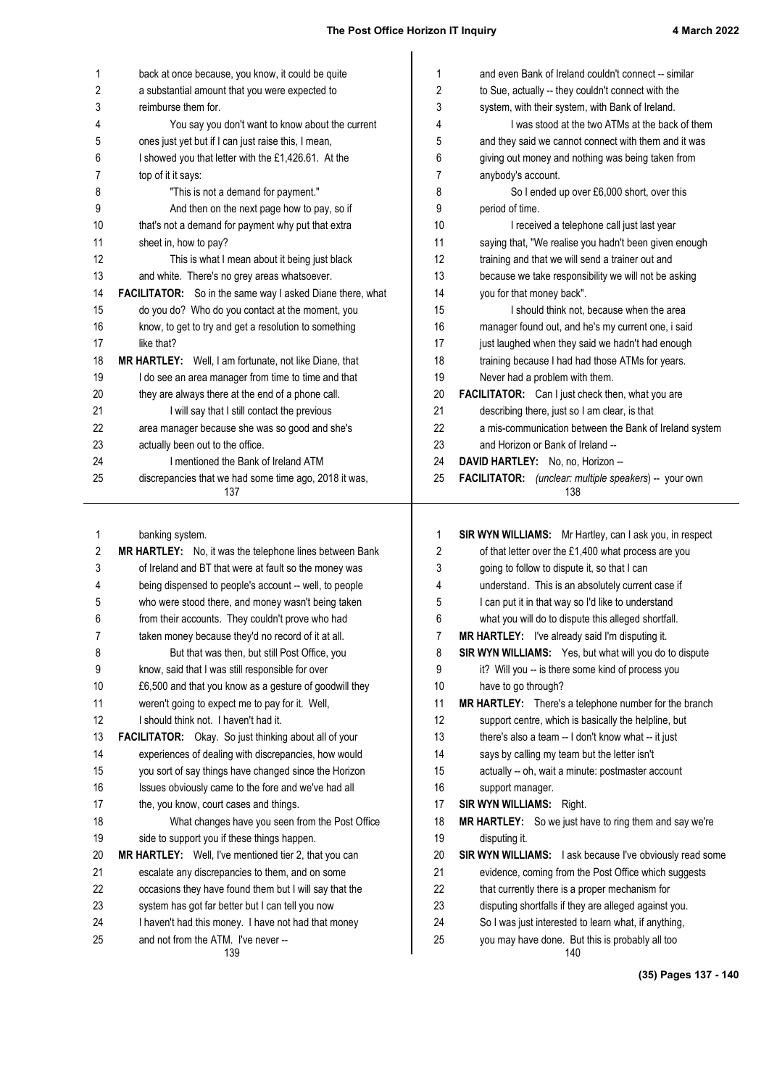| 1        | back at once because, you know, it could be quite<br>a substantial amount that you were expected to | 1<br>2 | and even Bank of Ireland couldn't connect -- similar                                                           |
|----------|-----------------------------------------------------------------------------------------------------|--------|----------------------------------------------------------------------------------------------------------------|
| 2        |                                                                                                     |        | to Sue, actually -- they couldn't connect with the                                                             |
| 3        | reimburse them for.                                                                                 | 3      | system, with their system, with Bank of Ireland.                                                               |
| 4        | You say you don't want to know about the current                                                    | 4      | I was stood at the two ATMs at the back of them                                                                |
| 5        | ones just yet but if I can just raise this, I mean,                                                 | 5      | and they said we cannot connect with them and it was                                                           |
| 6        | I showed you that letter with the £1,426.61. At the                                                 | 6      | giving out money and nothing was being taken from                                                              |
| 7        | top of it it says:                                                                                  | 7      | anybody's account.                                                                                             |
| 8        | "This is not a demand for payment."                                                                 | 8      | So I ended up over £6,000 short, over this                                                                     |
| 9        | And then on the next page how to pay, so if                                                         | 9      | period of time.                                                                                                |
| 10       | that's not a demand for payment why put that extra                                                  | 10     | I received a telephone call just last year                                                                     |
| 11       | sheet in, how to pay?                                                                               | 11     | saying that, "We realise you hadn't been given enough                                                          |
| 12       | This is what I mean about it being just black                                                       | 12     | training and that we will send a trainer out and                                                               |
| 13       | and white. There's no grey areas whatsoever.                                                        | 13     | because we take responsibility we will not be asking                                                           |
| 14       | FACILITATOR: So in the same way I asked Diane there, what                                           | 14     | you for that money back".                                                                                      |
| 15       | do you do? Who do you contact at the moment, you                                                    | 15     | I should think not, because when the area                                                                      |
| 16       | know, to get to try and get a resolution to something                                               | 16     | manager found out, and he's my current one, i said                                                             |
| 17       | like that?                                                                                          | 17     | just laughed when they said we hadn't had enough                                                               |
| 18       | MR HARTLEY: Well, I am fortunate, not like Diane, that                                              | 18     | training because I had had those ATMs for years.                                                               |
| 19       | I do see an area manager from time to time and that                                                 | 19     | Never had a problem with them.                                                                                 |
| 20       | they are always there at the end of a phone call.                                                   | 20     | FACILITATOR: Can I just check then, what you are                                                               |
| 21       | I will say that I still contact the previous                                                        | 21     | describing there, just so I am clear, is that                                                                  |
| 22       | area manager because she was so good and she's                                                      | 22     | a mis-communication between the Bank of Ireland system                                                         |
| 23       | actually been out to the office.                                                                    | 23     | and Horizon or Bank of Ireland --                                                                              |
| 24       | I mentioned the Bank of Ireland ATM                                                                 | 24     | DAVID HARTLEY: No, no, Horizon --                                                                              |
| 25       | discrepancies that we had some time ago, 2018 it was,<br>137                                        | 25     | FACILITATOR: (unclear: multiple speakers) -- your own<br>138                                                   |
| 1<br>2   | banking system.<br>MR HARTLEY: No, it was the telephone lines between Bank                          | 1<br>2 | SIR WYN WILLIAMS: Mr Hartley, can I ask you, in respect<br>of that letter over the £1,400 what process are you |
| 3        | of Ireland and BT that were at fault so the money was                                               | 3      | going to follow to dispute it, so that I can                                                                   |
| 4        | being dispensed to people's account -- well, to people                                              | 4      | understand. This is an absolutely current case if                                                              |
| 5        | who were stood there, and money wasn't being taken                                                  | 5      | I can put it in that way so I'd like to understand                                                             |
| 6        | from their accounts. They couldn't prove who had                                                    | 6      | what you will do to dispute this alleged shortfall.                                                            |
| 7        | taken money because they'd no record of it at all.                                                  | 7      | MR HARTLEY: I've already said I'm disputing it.                                                                |
| 8        | But that was then, but still Post Office, you                                                       | 8      | SIR WYN WILLIAMS: Yes, but what will you do to dispute                                                         |
| 9        | know, said that I was still responsible for over                                                    | 9      | it? Will you -- is there some kind of process you                                                              |
| 10       | £6,500 and that you know as a gesture of goodwill they                                              | 10     | have to go through?                                                                                            |
| 11       | weren't going to expect me to pay for it. Well,                                                     | 11     | MR HARTLEY: There's a telephone number for the branch                                                          |
| 12       | I should think not. I haven't had it.                                                               | 12     | support centre, which is basically the helpline, but                                                           |
| 13       | FACILITATOR: Okay. So just thinking about all of your                                               | 13     | there's also a team -- I don't know what -- it just                                                            |
| 14       | experiences of dealing with discrepancies, how would                                                | 14     | says by calling my team but the letter isn't                                                                   |
| 15       | you sort of say things have changed since the Horizon                                               | 15     | actually -- oh, wait a minute: postmaster account                                                              |
| 16       | Issues obviously came to the fore and we've had all                                                 | 16     | support manager.                                                                                               |
| 17       | the, you know, court cases and things.                                                              | 17     | <b>SIR WYN WILLIAMS: Right.</b>                                                                                |
| 18       | What changes have you seen from the Post Office                                                     | 18     | MR HARTLEY: So we just have to ring them and say we're                                                         |
| 19       | side to support you if these things happen.                                                         | 19     | disputing it.                                                                                                  |
| 20       | MR HARTLEY: Well, I've mentioned tier 2, that you can                                               | 20     | SIR WYN WILLIAMS: I ask because I've obviously read some                                                       |
| 21       | escalate any discrepancies to them, and on some                                                     | 21     | evidence, coming from the Post Office which suggests                                                           |
| 22       | occasions they have found them but I will say that the                                              | 22     | that currently there is a proper mechanism for                                                                 |
| 23       | system has got far better but I can tell you now                                                    | 23     | disputing shortfalls if they are alleged against you.                                                          |
|          | I haven't had this money. I have not had that money                                                 | 24     | So I was just interested to learn what, if anything,                                                           |
|          |                                                                                                     |        |                                                                                                                |
| 24<br>25 | and not from the ATM. I've never --                                                                 | 25     | you may have done. But this is probably all too                                                                |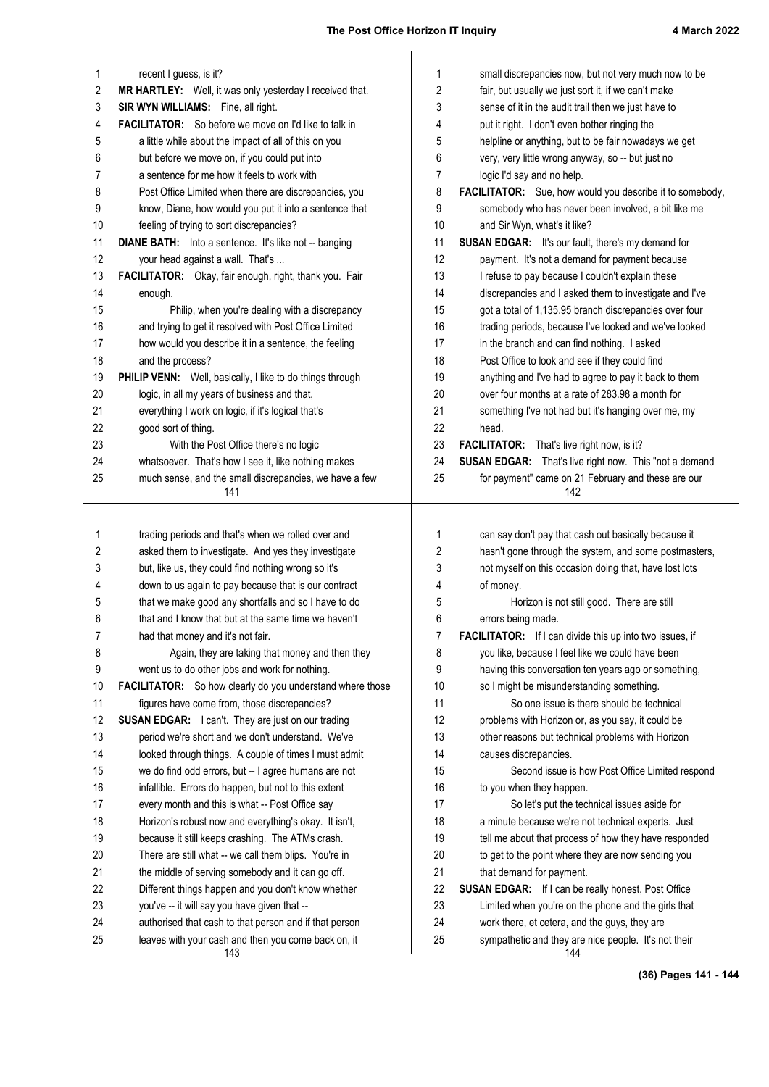| 1        | recent I guess, is it?                                                                                        | 1        | small discrepancies now, but not very much now to be                                   |
|----------|---------------------------------------------------------------------------------------------------------------|----------|----------------------------------------------------------------------------------------|
| 2        | MR HARTLEY: Well, it was only yesterday I received that.                                                      | 2        | fair, but usually we just sort it, if we can't make                                    |
| 3        | SIR WYN WILLIAMS: Fine, all right.                                                                            | 3        | sense of it in the audit trail then we just have to                                    |
| 4        | <b>FACILITATOR:</b> So before we move on I'd like to talk in                                                  | 4        | put it right. I don't even bother ringing the                                          |
| 5        | a little while about the impact of all of this on you                                                         | 5        | helpline or anything, but to be fair nowadays we get                                   |
| 6        | but before we move on, if you could put into                                                                  | 6        | very, very little wrong anyway, so -- but just no                                      |
| 7        | a sentence for me how it feels to work with                                                                   | 7        | logic I'd say and no help.                                                             |
| 8        | Post Office Limited when there are discrepancies, you                                                         | 8        | FACILITATOR: Sue, how would you describe it to somebody,                               |
| 9        | know, Diane, how would you put it into a sentence that                                                        | 9        | somebody who has never been involved, a bit like me                                    |
| 10       | feeling of trying to sort discrepancies?                                                                      | 10       | and Sir Wyn, what's it like?                                                           |
| 11       | <b>DIANE BATH:</b> Into a sentence. It's like not -- banging                                                  | 11       | <b>SUSAN EDGAR:</b> It's our fault, there's my demand for                              |
| 12       | your head against a wall. That's                                                                              | 12       | payment. It's not a demand for payment because                                         |
| 13       | FACILITATOR: Okay, fair enough, right, thank you. Fair                                                        | 13       | I refuse to pay because I couldn't explain these                                       |
| 14       | enough.                                                                                                       | 14       | discrepancies and I asked them to investigate and I've                                 |
| 15       | Philip, when you're dealing with a discrepancy                                                                | 15       | got a total of 1,135.95 branch discrepancies over four                                 |
| 16       | and trying to get it resolved with Post Office Limited                                                        | 16       | trading periods, because I've looked and we've looked                                  |
| 17       | how would you describe it in a sentence, the feeling                                                          | 17       | in the branch and can find nothing. I asked                                            |
| 18       | and the process?                                                                                              | 18       | Post Office to look and see if they could find                                         |
| 19       | PHILIP VENN: Well, basically, I like to do things through                                                     | 19       | anything and I've had to agree to pay it back to them                                  |
| 20       | logic, in all my years of business and that,                                                                  | 20       | over four months at a rate of 283.98 a month for                                       |
| 21       | everything I work on logic, if it's logical that's                                                            | 21       | something I've not had but it's hanging over me, my                                    |
| 22       | good sort of thing.                                                                                           | 22       | head.                                                                                  |
| 23       | With the Post Office there's no logic                                                                         | 23       | <b>FACILITATOR:</b> That's live right now, is it?                                      |
| 24       | whatsoever. That's how I see it, like nothing makes                                                           | 24       | SUSAN EDGAR: That's live right now. This "not a demand                                 |
| 25       | much sense, and the small discrepancies, we have a few<br>141                                                 | 25       | for payment" came on 21 February and these are our<br>142                              |
|          |                                                                                                               |          |                                                                                        |
|          |                                                                                                               |          |                                                                                        |
|          |                                                                                                               |          |                                                                                        |
| 1        | trading periods and that's when we rolled over and                                                            | 1        | can say don't pay that cash out basically because it                                   |
| 2        | asked them to investigate. And yes they investigate                                                           | 2        | hasn't gone through the system, and some postmasters,                                  |
| 3        | but, like us, they could find nothing wrong so it's                                                           | 3        | not myself on this occasion doing that, have lost lots                                 |
| 4        | down to us again to pay because that is our contract                                                          | 4        | of money.                                                                              |
| 5        | that we make good any shortfalls and so I have to do                                                          | 5        | Horizon is not still good. There are still                                             |
| 6        | that and I know that but at the same time we haven't                                                          | 6        | errors being made.                                                                     |
| 7        | had that money and it's not fair.                                                                             | 7        | <b>FACILITATOR:</b> If I can divide this up into two issues, if                        |
| 8        | Again, they are taking that money and then they                                                               | 8        | you like, because I feel like we could have been                                       |
| 9        | went us to do other jobs and work for nothing.                                                                | 9        | having this conversation ten years ago or something,                                   |
| 10       | FACILITATOR: So how clearly do you understand where those                                                     | 10<br>11 | so I might be misunderstanding something.<br>So one issue is there should be technical |
| 11       | figures have come from, those discrepancies?                                                                  | 12       |                                                                                        |
| 12<br>13 | <b>SUSAN EDGAR:</b> I can't. They are just on our trading                                                     | 13       | problems with Horizon or, as you say, it could be                                      |
| 14       | period we're short and we don't understand. We've                                                             | 14       | other reasons but technical problems with Horizon<br>causes discrepancies.             |
| 15       | looked through things. A couple of times I must admit<br>we do find odd errors, but -- I agree humans are not | 15       | Second issue is how Post Office Limited respond                                        |
| 16       | infallible. Errors do happen, but not to this extent                                                          | 16       | to you when they happen.                                                               |
| 17       | every month and this is what -- Post Office say                                                               | 17       | So let's put the technical issues aside for                                            |
| 18       | Horizon's robust now and everything's okay. It isn't,                                                         | 18       | a minute because we're not technical experts. Just                                     |
| 19       | because it still keeps crashing. The ATMs crash.                                                              | 19       | tell me about that process of how they have responded                                  |
| 20       | There are still what -- we call them blips. You're in                                                         | 20       | to get to the point where they are now sending you                                     |
| 21       | the middle of serving somebody and it can go off.                                                             | 21       | that demand for payment.                                                               |
| 22       | Different things happen and you don't know whether                                                            | 22       | <b>SUSAN EDGAR:</b> If I can be really honest, Post Office                             |
| 23       | you've -- it will say you have given that --                                                                  | 23       | Limited when you're on the phone and the girls that                                    |
| 24       | authorised that cash to that person and if that person                                                        | 24       | work there, et cetera, and the guys, they are                                          |
| 25       | leaves with your cash and then you come back on, it<br>143                                                    | 25       | sympathetic and they are nice people. It's not their<br>144                            |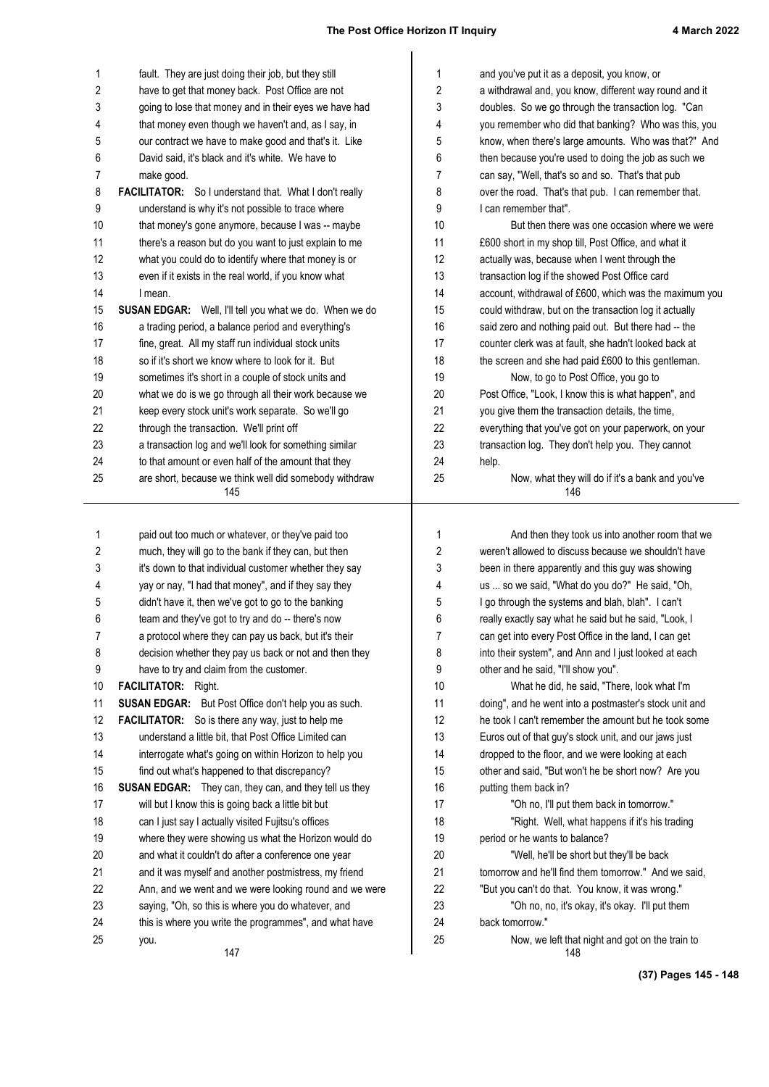| 1          | fault. They are just doing their job, but they still          | 1  | and you've put it as a deposit, you know, or                                                         |
|------------|---------------------------------------------------------------|----|------------------------------------------------------------------------------------------------------|
| $\sqrt{2}$ | have to get that money back. Post Office are not              | 2  | a withdrawal and, you know, different way round and it                                               |
| 3          | going to lose that money and in their eyes we have had        | 3  | doubles. So we go through the transaction log. "Can                                                  |
| 4          | that money even though we haven't and, as I say, in           | 4  | you remember who did that banking? Who was this, you                                                 |
| 5          | our contract we have to make good and that's it. Like         | 5  | know, when there's large amounts. Who was that?" And                                                 |
| 6          | David said, it's black and it's white. We have to             | 6  | then because you're used to doing the job as such we                                                 |
| 7          | make good.                                                    | 7  | can say, "Well, that's so and so. That's that pub                                                    |
| 8          | FACILITATOR: So I understand that. What I don't really        | 8  | over the road. That's that pub. I can remember that.                                                 |
| 9          | understand is why it's not possible to trace where            | 9  | I can remember that".                                                                                |
| 10         | that money's gone anymore, because I was -- maybe             | 10 | But then there was one occasion where we were                                                        |
| 11         | there's a reason but do you want to just explain to me        | 11 | £600 short in my shop till, Post Office, and what it                                                 |
| 12         | what you could do to identify where that money is or          | 12 | actually was, because when I went through the                                                        |
| 13         | even if it exists in the real world, if you know what         | 13 | transaction log if the showed Post Office card                                                       |
| 14         | I mean.                                                       | 14 | account, withdrawal of £600, which was the maximum you                                               |
| 15         | SUSAN EDGAR: Well, I'll tell you what we do. When we do       | 15 | could withdraw, but on the transaction log it actually                                               |
| 16         | a trading period, a balance period and everything's           | 16 | said zero and nothing paid out. But there had -- the                                                 |
| 17         | fine, great. All my staff run individual stock units          | 17 | counter clerk was at fault, she hadn't looked back at                                                |
| 18         | so if it's short we know where to look for it. But            | 18 | the screen and she had paid £600 to this gentleman.                                                  |
| 19         | sometimes it's short in a couple of stock units and           | 19 | Now, to go to Post Office, you go to                                                                 |
| 20         | what we do is we go through all their work because we         | 20 | Post Office, "Look, I know this is what happen", and                                                 |
| 21         | keep every stock unit's work separate. So we'll go            | 21 | you give them the transaction details, the time,                                                     |
| 22         | through the transaction. We'll print off                      | 22 | everything that you've got on your paperwork, on your                                                |
| 23         | a transaction log and we'll look for something similar        | 23 | transaction log. They don't help you. They cannot                                                    |
| 24         | to that amount or even half of the amount that they           | 24 | help.                                                                                                |
| 25         | are short, because we think well did somebody withdraw        | 25 | Now, what they will do if it's a bank and you've                                                     |
|            | 145                                                           |    | 146                                                                                                  |
|            |                                                               |    |                                                                                                      |
| 1          | paid out too much or whatever, or they've paid too            | 1  | And then they took us into another room that we                                                      |
| 2          | much, they will go to the bank if they can, but then          | 2  | weren't allowed to discuss because we shouldn't have                                                 |
| 3          | it's down to that individual customer whether they say        | 3  | been in there apparently and this guy was showing<br>us  so we said, "What do you do?" He said, "Oh, |
| 4          | yay or nay, "I had that money", and if they say they          | 4  |                                                                                                      |
| 5          | didn't have it, then we've got to go to the banking           | 5  | I go through the systems and blah, blah". I can't                                                    |
| 6          | team and they've got to try and do -- there's now             | 6  | really exactly say what he said but he said, "Look, I                                                |
| 7          | a protocol where they can pay us back, but it's their         | 7  | can get into every Post Office in the land, I can get                                                |
| 8          | decision whether they pay us back or not and then they        | 8  | into their system", and Ann and I just looked at each                                                |
| 9          | have to try and claim from the customer.                      | 9  | other and he said, "I'll show you".                                                                  |
| 10         | <b>FACILITATOR:</b> Right.                                    | 10 | What he did, he said, "There, look what I'm                                                          |
| 11         | <b>SUSAN EDGAR:</b> But Post Office don't help you as such.   | 11 | doing", and he went into a postmaster's stock unit and                                               |
| 12         | <b>FACILITATOR:</b> So is there any way, just to help me      | 12 | he took I can't remember the amount but he took some                                                 |
| 13         | understand a little bit, that Post Office Limited can         | 13 | Euros out of that guy's stock unit, and our jaws just                                                |
| 14         | interrogate what's going on within Horizon to help you        | 14 | dropped to the floor, and we were looking at each                                                    |
| 15         | find out what's happened to that discrepancy?                 | 15 | other and said, "But won't he be short now? Are you                                                  |
| 16         | <b>SUSAN EDGAR:</b> They can, they can, and they tell us they | 16 | putting them back in?                                                                                |
| 17         | will but I know this is going back a little bit but           | 17 | "Oh no, I'll put them back in tomorrow."                                                             |
| 18         | can I just say I actually visited Fujitsu's offices           | 18 | "Right. Well, what happens if it's his trading                                                       |
| 19         | where they were showing us what the Horizon would do          | 19 | period or he wants to balance?                                                                       |
| 20         | and what it couldn't do after a conference one year           | 20 | "Well, he'll be short but they'll be back                                                            |
| 21         | and it was myself and another postmistress, my friend         | 21 | tomorrow and he'll find them tomorrow." And we said,                                                 |
| 22         | Ann, and we went and we were looking round and we were        | 22 | "But you can't do that. You know, it was wrong."                                                     |
| 23         | saying, "Oh, so this is where you do whatever, and            | 23 | "Oh no, no, it's okay, it's okay. I'll put them                                                      |
| 24         | this is where you write the programmes", and what have        | 24 | back tomorrow."                                                                                      |
| 25         | you.<br>147                                                   | 25 | Now, we left that night and got on the train to<br>148                                               |

**(37) Pages 145 - 148**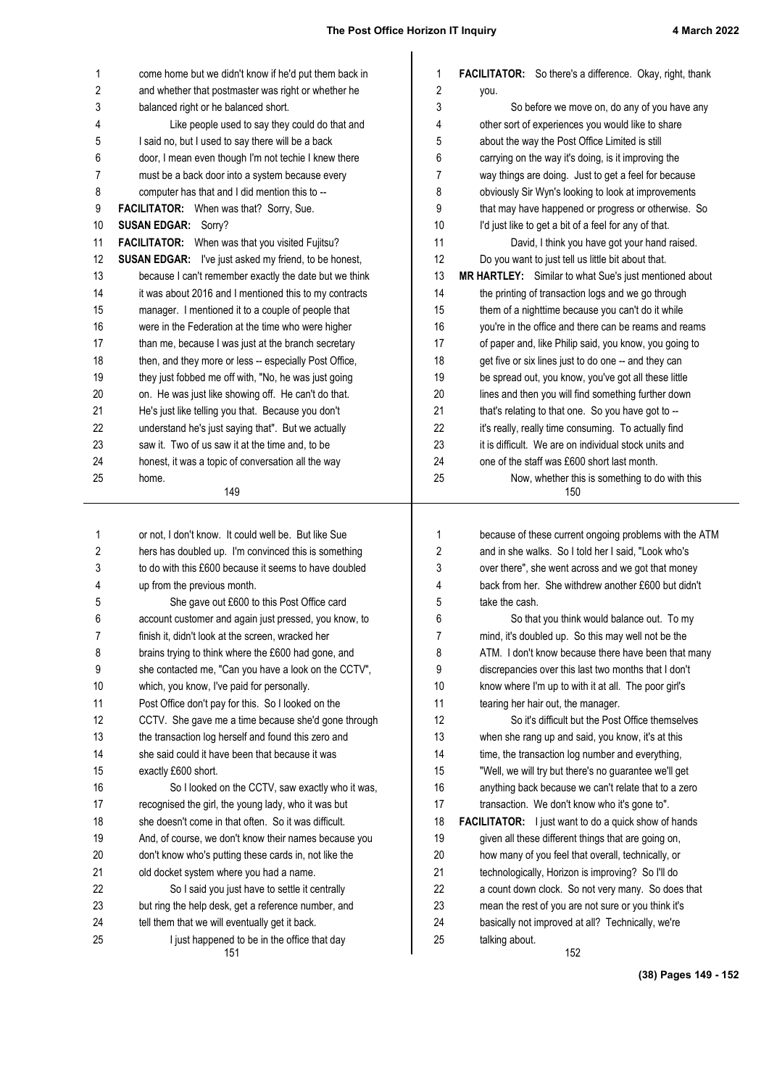**(38) Pages 149 - 152**

| 1          | come home but we didn't know if he'd put them back in                                                         | 1        | <b>FACILITATOR:</b> So there's a difference. Okay, right, thank                                               |
|------------|---------------------------------------------------------------------------------------------------------------|----------|---------------------------------------------------------------------------------------------------------------|
| $\sqrt{2}$ | and whether that postmaster was right or whether he                                                           | 2        | you.                                                                                                          |
| 3          | balanced right or he balanced short.                                                                          | 3        | So before we move on, do any of you have any                                                                  |
| 4          | Like people used to say they could do that and                                                                | 4        | other sort of experiences you would like to share                                                             |
| 5          | I said no, but I used to say there will be a back                                                             | 5        | about the way the Post Office Limited is still                                                                |
| 6          | door, I mean even though I'm not techie I knew there                                                          | 6        | carrying on the way it's doing, is it improving the                                                           |
| 7          | must be a back door into a system because every                                                               | 7        | way things are doing. Just to get a feel for because                                                          |
| 8          | computer has that and I did mention this to --                                                                | 8        | obviously Sir Wyn's looking to look at improvements                                                           |
| 9          | FACILITATOR: When was that? Sorry, Sue.                                                                       | 9        | that may have happened or progress or otherwise. So                                                           |
| 10         | <b>SUSAN EDGAR: Sorry?</b>                                                                                    | 10       | I'd just like to get a bit of a feel for any of that.                                                         |
| 11         | FACILITATOR: When was that you visited Fujitsu?                                                               | 11       | David, I think you have got your hand raised.                                                                 |
| 12         | <b>SUSAN EDGAR:</b> I've just asked my friend, to be honest,                                                  | 12       | Do you want to just tell us little bit about that.                                                            |
| 13         | because I can't remember exactly the date but we think                                                        | 13       | MR HARTLEY: Similar to what Sue's just mentioned about                                                        |
| 14         | it was about 2016 and I mentioned this to my contracts                                                        | 14       | the printing of transaction logs and we go through                                                            |
| 15         | manager. I mentioned it to a couple of people that                                                            | 15       | them of a nighttime because you can't do it while                                                             |
| 16         | were in the Federation at the time who were higher                                                            | 16       | you're in the office and there can be reams and reams                                                         |
| 17         | than me, because I was just at the branch secretary                                                           | 17       | of paper and, like Philip said, you know, you going to                                                        |
| 18         | then, and they more or less -- especially Post Office,                                                        | 18       | get five or six lines just to do one -- and they can                                                          |
| 19         | they just fobbed me off with, "No, he was just going                                                          | 19       | be spread out, you know, you've got all these little                                                          |
| 20         | on. He was just like showing off. He can't do that.                                                           | 20       | lines and then you will find something further down                                                           |
| 21         | He's just like telling you that. Because you don't                                                            | 21       | that's relating to that one. So you have got to --                                                            |
| 22<br>23   | understand he's just saying that". But we actually                                                            | 22<br>23 | it's really, really time consuming. To actually find<br>it is difficult. We are on individual stock units and |
| 24         | saw it. Two of us saw it at the time and, to be                                                               | 24       | one of the staff was £600 short last month.                                                                   |
| 25         | honest, it was a topic of conversation all the way<br>home.                                                   | 25       | Now, whether this is something to do with this                                                                |
|            | 149                                                                                                           |          | 150                                                                                                           |
|            |                                                                                                               |          |                                                                                                               |
| 1          | or not, I don't know. It could well be. But like Sue                                                          | 1        | because of these current ongoing problems with the ATM                                                        |
| 2          | hers has doubled up. I'm convinced this is something                                                          | 2        | and in she walks. So I told her I said, "Look who's                                                           |
| 3          | to do with this £600 because it seems to have doubled                                                         | 3        | over there", she went across and we got that money                                                            |
| 4          | up from the previous month.                                                                                   | 4        | back from her. She withdrew another £600 but didn't                                                           |
| 5          | She gave out £600 to this Post Office card                                                                    | 5        | take the cash.                                                                                                |
| 6          | account customer and again just pressed, you know, to                                                         | 6        | So that you think would balance out. To my                                                                    |
| 7          | finish it, didn't look at the screen, wracked her                                                             | 7        | mind, it's doubled up. So this may well not be the                                                            |
| 8          | brains trying to think where the £600 had gone, and                                                           | 8        | ATM. I don't know because there have been that many                                                           |
| 9          | she contacted me, "Can you have a look on the CCTV",                                                          | 9        | discrepancies over this last two months that I don't                                                          |
| 10         | which, you know, I've paid for personally.                                                                    | 10       | know where I'm up to with it at all. The poor girl's                                                          |
| 11         | Post Office don't pay for this. So I looked on the                                                            | 11       | tearing her hair out, the manager.                                                                            |
| 12         | CCTV. She gave me a time because she'd gone through                                                           | 12       | So it's difficult but the Post Office themselves                                                              |
| 13         | the transaction log herself and found this zero and                                                           | 13       | when she rang up and said, you know, it's at this                                                             |
| 14         | she said could it have been that because it was                                                               | 14       | time, the transaction log number and everything,                                                              |
| 15         | exactly £600 short.                                                                                           | 15       | "Well, we will try but there's no guarantee we'll get<br>anything back because we can't relate that to a zero |
| 16         | So I looked on the CCTV, saw exactly who it was,                                                              | 16       |                                                                                                               |
| 17         | recognised the girl, the young lady, who it was but                                                           | 17       | transaction. We don't know who it's gone to".                                                                 |
| 18<br>19   | she doesn't come in that often. So it was difficult.<br>And, of course, we don't know their names because you | 18<br>19 | <b>FACILITATOR:</b> I just want to do a quick show of hands                                                   |
| 20         |                                                                                                               |          | given all these different things that are going on,                                                           |
| 21         | don't know who's putting these cards in, not like the                                                         | 20<br>21 | how many of you feel that overall, technically, or                                                            |
| 22         | old docket system where you had a name.                                                                       | 22       | technologically, Horizon is improving? So I'll do                                                             |
| 23         | So I said you just have to settle it centrally<br>but ring the help desk, get a reference number, and         | 23       | a count down clock. So not very many. So does that<br>mean the rest of you are not sure or you think it's     |
| 24         | tell them that we will eventually get it back.                                                                | 24       | basically not improved at all? Technically, we're                                                             |
| 25         | I just happened to be in the office that day                                                                  | 25       | talking about.                                                                                                |
|            | 151                                                                                                           |          | 152                                                                                                           |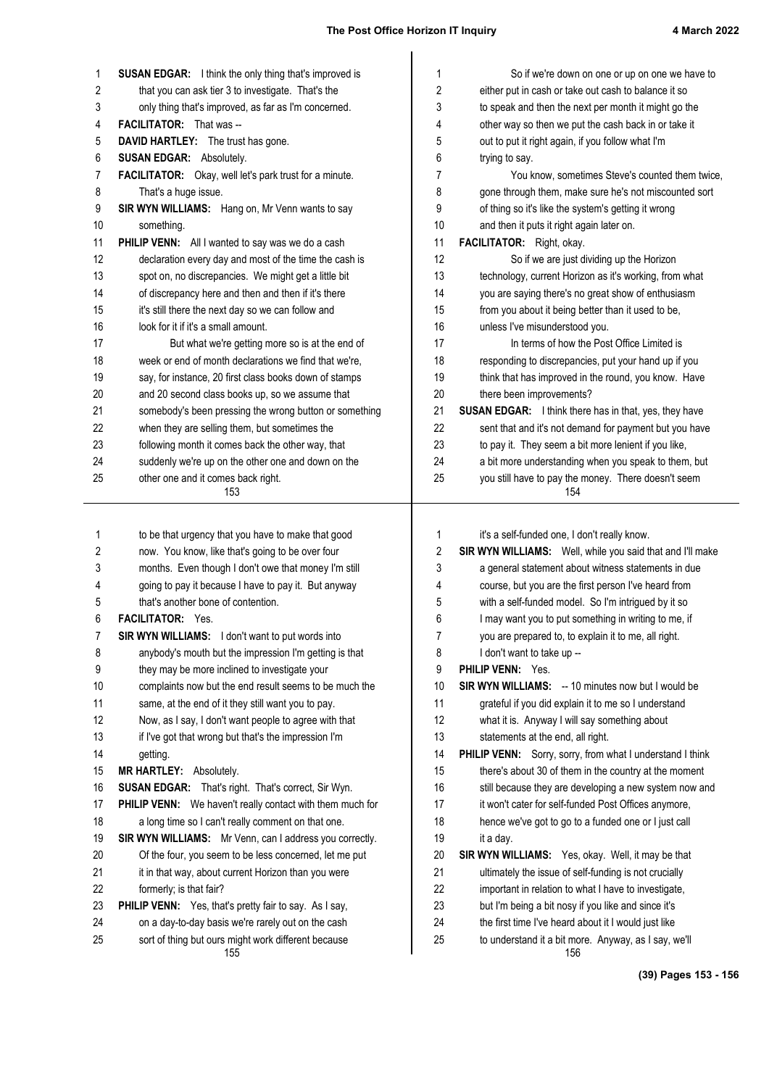| 1        | <b>SUSAN EDGAR:</b> I think the only thing that's improved is                                             | 1        | So if we're down on one or up on one we have to                                                              |
|----------|-----------------------------------------------------------------------------------------------------------|----------|--------------------------------------------------------------------------------------------------------------|
| 2        | that you can ask tier 3 to investigate. That's the                                                        | 2        | either put in cash or take out cash to balance it so                                                         |
| 3        | only thing that's improved, as far as I'm concerned.                                                      | 3        | to speak and then the next per month it might go the                                                         |
| 4        | <b>FACILITATOR:</b> That was --                                                                           | 4        | other way so then we put the cash back in or take it                                                         |
| 5        | DAVID HARTLEY: The trust has gone.                                                                        | 5        | out to put it right again, if you follow what I'm                                                            |
| 6        | <b>SUSAN EDGAR:</b> Absolutely.                                                                           | 6        | trying to say.                                                                                               |
| 7        | FACILITATOR: Okay, well let's park trust for a minute.                                                    | 7        | You know, sometimes Steve's counted them twice,                                                              |
| 8        | That's a huge issue.                                                                                      | 8        | gone through them, make sure he's not miscounted sort                                                        |
| 9        | SIR WYN WILLIAMS: Hang on, Mr Venn wants to say                                                           | 9        | of thing so it's like the system's getting it wrong                                                          |
| 10       | something.                                                                                                | 10       | and then it puts it right again later on.                                                                    |
| 11       | PHILIP VENN: All I wanted to say was we do a cash                                                         | 11       | FACILITATOR: Right, okay.                                                                                    |
| 12       | declaration every day and most of the time the cash is                                                    | 12       | So if we are just dividing up the Horizon                                                                    |
| 13       | spot on, no discrepancies. We might get a little bit                                                      | 13       | technology, current Horizon as it's working, from what                                                       |
| 14       | of discrepancy here and then and then if it's there                                                       | 14       | you are saying there's no great show of enthusiasm                                                           |
| 15       | it's still there the next day so we can follow and                                                        | 15       | from you about it being better than it used to be,                                                           |
| 16       | look for it if it's a small amount.                                                                       | 16       | unless I've misunderstood you.                                                                               |
| 17       | But what we're getting more so is at the end of                                                           | 17       | In terms of how the Post Office Limited is                                                                   |
| 18       | week or end of month declarations we find that we're,                                                     | 18       | responding to discrepancies, put your hand up if you                                                         |
| 19       | say, for instance, 20 first class books down of stamps                                                    | 19       | think that has improved in the round, you know. Have                                                         |
| 20       | and 20 second class books up, so we assume that                                                           | 20       | there been improvements?                                                                                     |
| 21       | somebody's been pressing the wrong button or something                                                    | 21       | SUSAN EDGAR: I think there has in that, yes, they have                                                       |
| 22       | when they are selling them, but sometimes the                                                             | 22       | sent that and it's not demand for payment but you have                                                       |
| 23       | following month it comes back the other way, that                                                         | 23       | to pay it. They seem a bit more lenient if you like,                                                         |
| 24       | suddenly we're up on the other one and down on the                                                        | 24       | a bit more understanding when you speak to them, but                                                         |
| 25       | other one and it comes back right.                                                                        | 25       | you still have to pay the money. There doesn't seem                                                          |
|          | 153                                                                                                       |          | 154                                                                                                          |
|          |                                                                                                           |          |                                                                                                              |
|          |                                                                                                           |          |                                                                                                              |
| 1        | to be that urgency that you have to make that good                                                        | 1        | it's a self-funded one, I don't really know.                                                                 |
| 2        | now. You know, like that's going to be over four                                                          | 2        | SIR WYN WILLIAMS: Well, while you said that and I'll make                                                    |
| 3        | months. Even though I don't owe that money I'm still                                                      | 3        | a general statement about witness statements in due                                                          |
| 4        | going to pay it because I have to pay it. But anyway                                                      | 4        | course, but you are the first person I've heard from                                                         |
| 5        | that's another bone of contention.                                                                        | 5        | with a self-funded model. So I'm intrigued by it so                                                          |
| 6        | FACILITATOR: Yes.                                                                                         | 6        | I may want you to put something in writing to me, if                                                         |
| 7        | <b>SIR WYN WILLIAMS:</b> I don't want to put words into                                                   | 7        | you are prepared to, to explain it to me, all right.                                                         |
| 8        | anybody's mouth but the impression I'm getting is that                                                    | 8        | I don't want to take up --                                                                                   |
| 9        | they may be more inclined to investigate your                                                             | 9        | PHILIP VENN: Yes.                                                                                            |
| 10       | complaints now but the end result seems to be much the                                                    | 10       | <b>SIR WYN WILLIAMS:</b> -- 10 minutes now but I would be                                                    |
| 11       | same, at the end of it they still want you to pay.                                                        | 11       | grateful if you did explain it to me so I understand                                                         |
| 12       | Now, as I say, I don't want people to agree with that                                                     | 12       | what it is. Anyway I will say something about                                                                |
| 13       | if I've got that wrong but that's the impression I'm                                                      | 13       | statements at the end, all right.                                                                            |
| 14       | getting.                                                                                                  | 14       | PHILIP VENN: Sorry, sorry, from what I understand I think                                                    |
| 15       | <b>MR HARTLEY: Absolutely.</b>                                                                            | 15       | there's about 30 of them in the country at the moment                                                        |
| 16       | <b>SUSAN EDGAR:</b> That's right. That's correct, Sir Wyn.                                                | 16       | still because they are developing a new system now and                                                       |
| 17       | PHILIP VENN: We haven't really contact with them much for                                                 | 17       | it won't cater for self-funded Post Offices anymore,                                                         |
| 18       | a long time so I can't really comment on that one.                                                        | 18       | hence we've got to go to a funded one or I just call                                                         |
| 19       | SIR WYN WILLIAMS: Mr Venn, can I address you correctly.                                                   | 19       | it a day.                                                                                                    |
| 20       | Of the four, you seem to be less concerned, let me put                                                    | 20       | SIR WYN WILLIAMS: Yes, okay. Well, it may be that                                                            |
| 21       | it in that way, about current Horizon than you were                                                       | 21       | ultimately the issue of self-funding is not crucially                                                        |
| 22       | formerly; is that fair?                                                                                   | 22       | important in relation to what I have to investigate,                                                         |
| 23       | PHILIP VENN: Yes, that's pretty fair to say. As I say,                                                    | 23       | but I'm being a bit nosy if you like and since it's                                                          |
| 24<br>25 | on a day-to-day basis we're rarely out on the cash<br>sort of thing but ours might work different because | 24<br>25 | the first time I've heard about it I would just like<br>to understand it a bit more. Anyway, as I say, we'll |

**(39) Pages 153 - 156**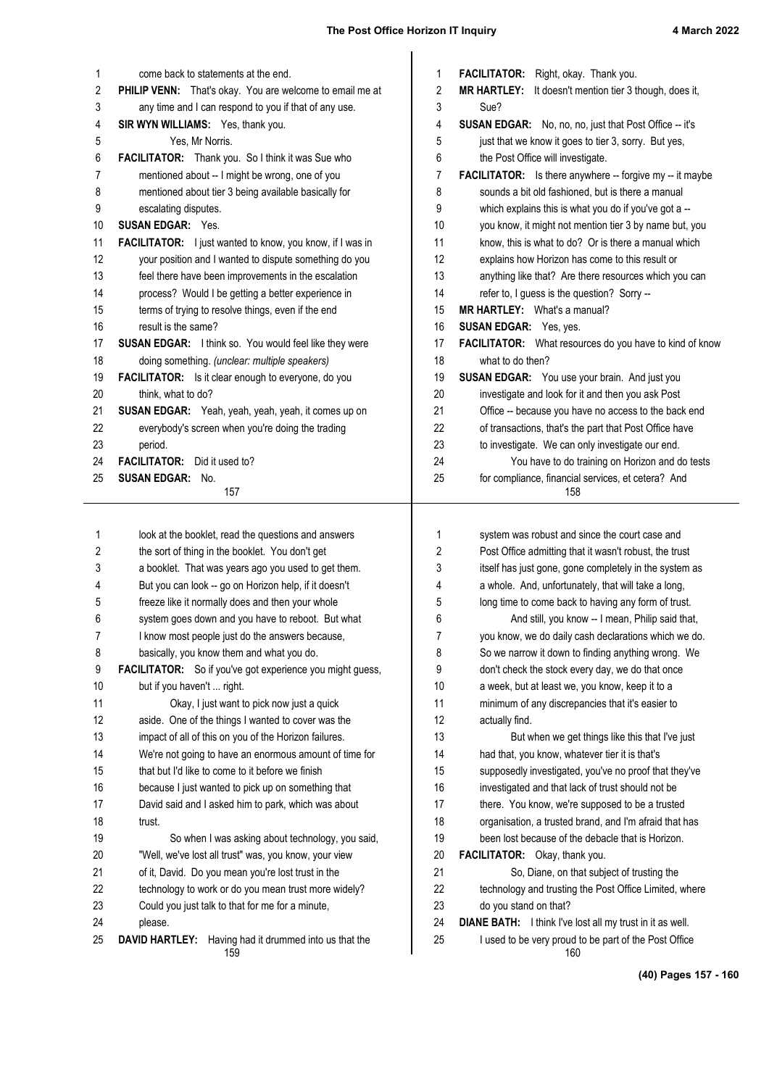| 1                       | come back to statements at the end.                              | 1                | FACILITATOR: Right, okay. Thank you.                             |
|-------------------------|------------------------------------------------------------------|------------------|------------------------------------------------------------------|
| $\overline{\mathbf{c}}$ | PHILIP VENN: That's okay. You are welcome to email me at         | $\boldsymbol{2}$ | MR HARTLEY: It doesn't mention tier 3 though, does it,           |
| 3                       | any time and I can respond to you if that of any use.            | 3                | Sue?                                                             |
| 4                       | SIR WYN WILLIAMS: Yes, thank you.                                | 4                | <b>SUSAN EDGAR:</b> No, no, no, just that Post Office -- it's    |
| 5                       | Yes, Mr Norris.                                                  | 5                | just that we know it goes to tier 3, sorry. But yes,             |
| 6                       | FACILITATOR: Thank you. So I think it was Sue who                | 6                | the Post Office will investigate.                                |
| 7                       | mentioned about -- I might be wrong, one of you                  | 7                | <b>FACILITATOR:</b> Is there anywhere -- forgive my -- it maybe  |
| 8                       | mentioned about tier 3 being available basically for             | 8                | sounds a bit old fashioned, but is there a manual                |
| 9                       | escalating disputes.                                             | 9                | which explains this is what you do if you've got a --            |
| 10                      | <b>SUSAN EDGAR: Yes.</b>                                         | 10               | you know, it might not mention tier 3 by name but, you           |
| 11                      | <b>FACILITATOR:</b> I just wanted to know, you know, if I was in | 11               | know, this is what to do? Or is there a manual which             |
| 12                      | your position and I wanted to dispute something do you           | 12               | explains how Horizon has come to this result or                  |
| 13                      | feel there have been improvements in the escalation              | 13               | anything like that? Are there resources which you can            |
| 14                      | process? Would I be getting a better experience in               | 14               | refer to, I guess is the question? Sorry --                      |
| 15                      | terms of trying to resolve things, even if the end               | 15               | <b>MR HARTLEY:</b> What's a manual?                              |
| 16                      | result is the same?                                              | 16               | <b>SUSAN EDGAR: Yes, yes.</b>                                    |
| 17                      | SUSAN EDGAR: I think so. You would feel like they were           | 17               | FACILITATOR: What resources do you have to kind of know          |
| 18                      | doing something. (unclear: multiple speakers)                    | 18               | what to do then?                                                 |
| 19                      | <b>FACILITATOR:</b> Is it clear enough to everyone, do you       | 19               | SUSAN EDGAR: You use your brain. And just you                    |
| 20                      | think, what to do?                                               | 20               | investigate and look for it and then you ask Post                |
| 21                      | SUSAN EDGAR: Yeah, yeah, yeah, yeah, it comes up on              | 21               | Office -- because you have no access to the back end             |
| 22                      | everybody's screen when you're doing the trading                 | 22               | of transactions, that's the part that Post Office have           |
| 23                      | period.                                                          | 23               | to investigate. We can only investigate our end.                 |
| 24                      | <b>FACILITATOR:</b> Did it used to?                              | 24               | You have to do training on Horizon and do tests                  |
| 25                      | <b>SUSAN EDGAR: No.</b><br>157                                   | 25               | for compliance, financial services, et cetera? And<br>158        |
|                         |                                                                  |                  |                                                                  |
| 1                       | look at the booklet, read the questions and answers              | 1                | system was robust and since the court case and                   |
| 2                       | the sort of thing in the booklet. You don't get                  | 2                | Post Office admitting that it wasn't robust, the trust           |
| 3                       | a booklet. That was years ago you used to get them.              | 3                | itself has just gone, gone completely in the system as           |
| 4                       | But you can look -- go on Horizon help, if it doesn't            | 4                | a whole. And, unfortunately, that will take a long,              |
| 5                       | freeze like it normally does and then your whole                 | 5                | long time to come back to having any form of trust.              |
| 6                       | system goes down and you have to reboot. But what                | 6                | And still, you know -- I mean, Philip said that,                 |
| 7                       | I know most people just do the answers because,                  | 7                | you know, we do daily cash declarations which we do.             |
| 8                       | basically, you know them and what you do.                        | 8                | So we narrow it down to finding anything wrong. We               |
| 9                       | FACILITATOR: So if you've got experience you might guess,        | 9                | don't check the stock every day, we do that once                 |
| 10                      | but if you haven't  right.                                       | 10               | a week, but at least we, you know, keep it to a                  |
| 11                      | Okay, I just want to pick now just a quick                       | 11               | minimum of any discrepancies that it's easier to                 |
| 12                      | aside. One of the things I wanted to cover was the               | 12               | actually find.                                                   |
| 13                      | impact of all of this on you of the Horizon failures.            | 13               | But when we get things like this that I've just                  |
| 14                      | We're not going to have an enormous amount of time for           | 14               | had that, you know, whatever tier it is that's                   |
| 15                      | that but I'd like to come to it before we finish                 | 15               | supposedly investigated, you've no proof that they've            |
| 16                      | because I just wanted to pick up on something that               | 16               | investigated and that lack of trust should not be                |
| 17                      | David said and I asked him to park, which was about              | 17               | there. You know, we're supposed to be a trusted                  |
| 18                      | trust.                                                           | 18               | organisation, a trusted brand, and I'm afraid that has           |
| 19                      | So when I was asking about technology, you said,                 | 19               | been lost because of the debacle that is Horizon.                |
| 20                      | "Well, we've lost all trust" was, you know, your view            | 20               | FACILITATOR: Okay, thank you.                                    |
| 21                      | of it, David. Do you mean you're lost trust in the               | 21               | So, Diane, on that subject of trusting the                       |
| 22                      | technology to work or do you mean trust more widely?             | 22               | technology and trusting the Post Office Limited, where           |
| 23                      | Could you just talk to that for me for a minute,                 | 23               | do you stand on that?                                            |
| 24                      | please.                                                          | 24               | <b>DIANE BATH:</b> I think I've lost all my trust in it as well. |
| 25                      | DAVID HARTLEY:<br>Having had it drummed into us that the         | 25               | I used to be very proud to be part of the Post Office<br>160     |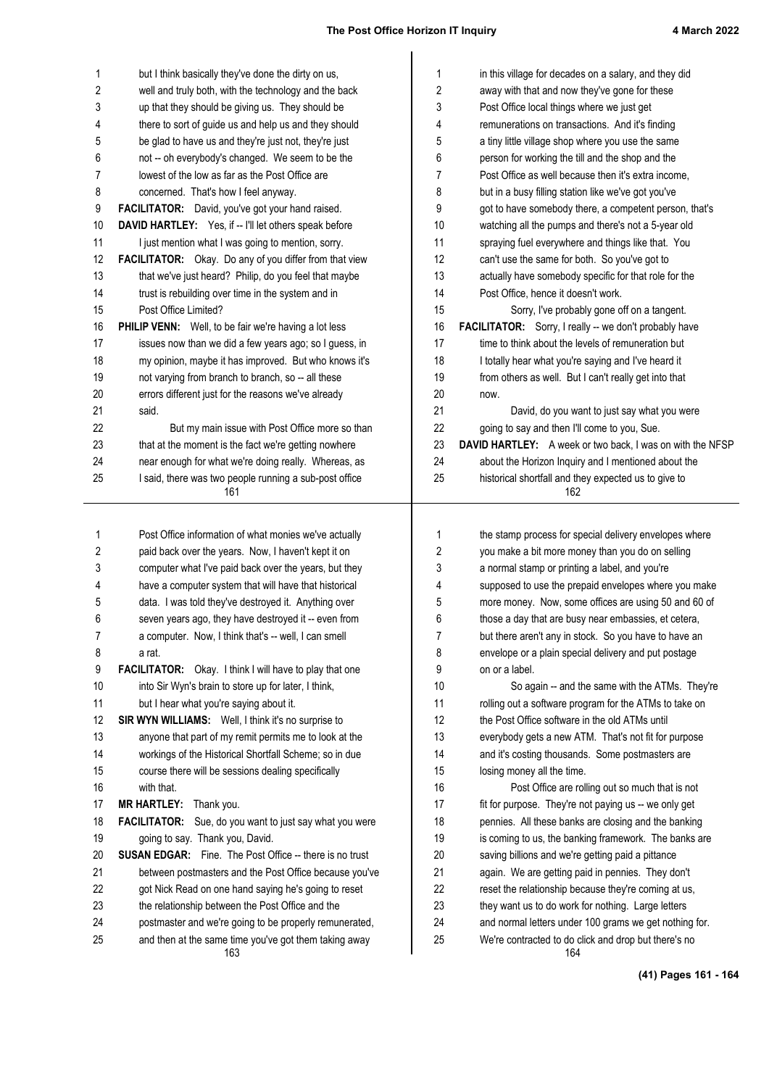| 1        | but I think basically they've done the dirty on us,                                        | $\mathbf{1}$   | in this village for decades on a salary, and they did                                                         |
|----------|--------------------------------------------------------------------------------------------|----------------|---------------------------------------------------------------------------------------------------------------|
| 2        | well and truly both, with the technology and the back                                      | $\overline{c}$ | away with that and now they've gone for these                                                                 |
| 3        | up that they should be giving us. They should be                                           | 3              | Post Office local things where we just get                                                                    |
| 4        | there to sort of guide us and help us and they should                                      | 4              | remunerations on transactions. And it's finding                                                               |
| 5        | be glad to have us and they're just not, they're just                                      | 5              | a tiny little village shop where you use the same                                                             |
| 6        | not -- oh everybody's changed. We seem to be the                                           | 6              | person for working the till and the shop and the                                                              |
| 7        | lowest of the low as far as the Post Office are                                            | 7              | Post Office as well because then it's extra income,                                                           |
| 8        | concerned. That's how I feel anyway.                                                       | 8              | but in a busy filling station like we've got you've                                                           |
| 9        | FACILITATOR: David, you've got your hand raised.                                           | 9              | got to have somebody there, a competent person, that's                                                        |
| 10       | DAVID HARTLEY: Yes, if -- I'll let others speak before                                     | 10             | watching all the pumps and there's not a 5-year old                                                           |
| 11       | I just mention what I was going to mention, sorry.                                         | 11             | spraying fuel everywhere and things like that. You                                                            |
| 12       | FACILITATOR: Okay. Do any of you differ from that view                                     | 12             | can't use the same for both. So you've got to                                                                 |
| 13       | that we've just heard? Philip, do you feel that maybe                                      | 13             | actually have somebody specific for that role for the                                                         |
| 14       | trust is rebuilding over time in the system and in                                         | 14             | Post Office, hence it doesn't work.                                                                           |
| 15<br>16 | Post Office Limited?<br>PHILIP VENN: Well, to be fair we're having a lot less              | 15<br>16       | Sorry, I've probably gone off on a tangent.<br>FACILITATOR: Sorry, I really -- we don't probably have         |
| 17       | issues now than we did a few years ago; so I guess, in                                     | 17             | time to think about the levels of remuneration but                                                            |
| 18       | my opinion, maybe it has improved. But who knows it's                                      | 18             | I totally hear what you're saying and I've heard it                                                           |
| 19       | not varying from branch to branch, so -- all these                                         | 19             | from others as well. But I can't really get into that                                                         |
| 20       | errors different just for the reasons we've already                                        | 20             | now.                                                                                                          |
| 21       | said.                                                                                      | 21             | David, do you want to just say what you were                                                                  |
| 22       | But my main issue with Post Office more so than                                            | 22             | going to say and then I'll come to you, Sue.                                                                  |
| 23       | that at the moment is the fact we're getting nowhere                                       | 23             | DAVID HARTLEY: A week or two back, I was on with the NFSP                                                     |
| 24       | near enough for what we're doing really. Whereas, as                                       | 24             | about the Horizon Inquiry and I mentioned about the                                                           |
| 25       | I said, there was two people running a sub-post office                                     | 25             | historical shortfall and they expected us to give to                                                          |
|          | 161                                                                                        |                | 162                                                                                                           |
|          |                                                                                            |                |                                                                                                               |
| 1        | Post Office information of what monies we've actually                                      | $\mathbf{1}$   | the stamp process for special delivery envelopes where                                                        |
| 2        | paid back over the years. Now, I haven't kept it on                                        | 2              | you make a bit more money than you do on selling                                                              |
| 3        | computer what I've paid back over the years, but they                                      | 3              | a normal stamp or printing a label, and you're                                                                |
| 4        | have a computer system that will have that historical                                      | 4              | supposed to use the prepaid envelopes where you make                                                          |
| 5        | data. I was told they've destroyed it. Anything over                                       | 5              | more money. Now, some offices are using 50 and 60 of                                                          |
|          |                                                                                            |                |                                                                                                               |
| 6        | seven years ago, they have destroyed it -- even from                                       | 6              | those a day that are busy near embassies, et cetera,                                                          |
| 7        | a computer. Now, I think that's -- well, I can smell                                       | 7              | but there aren't any in stock. So you have to have an                                                         |
| 8        | a rat.                                                                                     | 8              | envelope or a plain special delivery and put postage                                                          |
| 9        | FACILITATOR: Okay. I think I will have to play that one                                    | 9              | on or a label.                                                                                                |
| 10       | into Sir Wyn's brain to store up for later, I think,                                       | 10             | So again -- and the same with the ATMs. They're                                                               |
| 11       | but I hear what you're saying about it.                                                    | 11             | rolling out a software program for the ATMs to take on                                                        |
| 12       | SIR WYN WILLIAMS: Well, I think it's no surprise to                                        | 12             | the Post Office software in the old ATMs until                                                                |
| 13       | anyone that part of my remit permits me to look at the                                     | 13             | everybody gets a new ATM. That's not fit for purpose                                                          |
| 14       | workings of the Historical Shortfall Scheme; so in due                                     | 14             | and it's costing thousands. Some postmasters are                                                              |
| 15       | course there will be sessions dealing specifically<br>with that.                           | 15             | losing money all the time.                                                                                    |
| 16       |                                                                                            | 16<br>17       | Post Office are rolling out so much that is not                                                               |
| 17<br>18 | MR HARTLEY: Thank you.                                                                     | 18             | fit for purpose. They're not paying us -- we only get                                                         |
| 19       | FACILITATOR: Sue, do you want to just say what you were<br>going to say. Thank you, David. | 19             | pennies. All these banks are closing and the banking<br>is coming to us, the banking framework. The banks are |
| 20       | <b>SUSAN EDGAR:</b> Fine. The Post Office -- there is no trust                             | 20             | saving billions and we're getting paid a pittance                                                             |
| 21       | between postmasters and the Post Office because you've                                     | 21             | again. We are getting paid in pennies. They don't                                                             |
| 22       | got Nick Read on one hand saying he's going to reset                                       | 22             | reset the relationship because they're coming at us,                                                          |
| 23       | the relationship between the Post Office and the                                           | 23             | they want us to do work for nothing. Large letters                                                            |
| 24       | postmaster and we're going to be properly remunerated,                                     | 24             | and normal letters under 100 grams we get nothing for.                                                        |

**(41) Pages 161 - 164**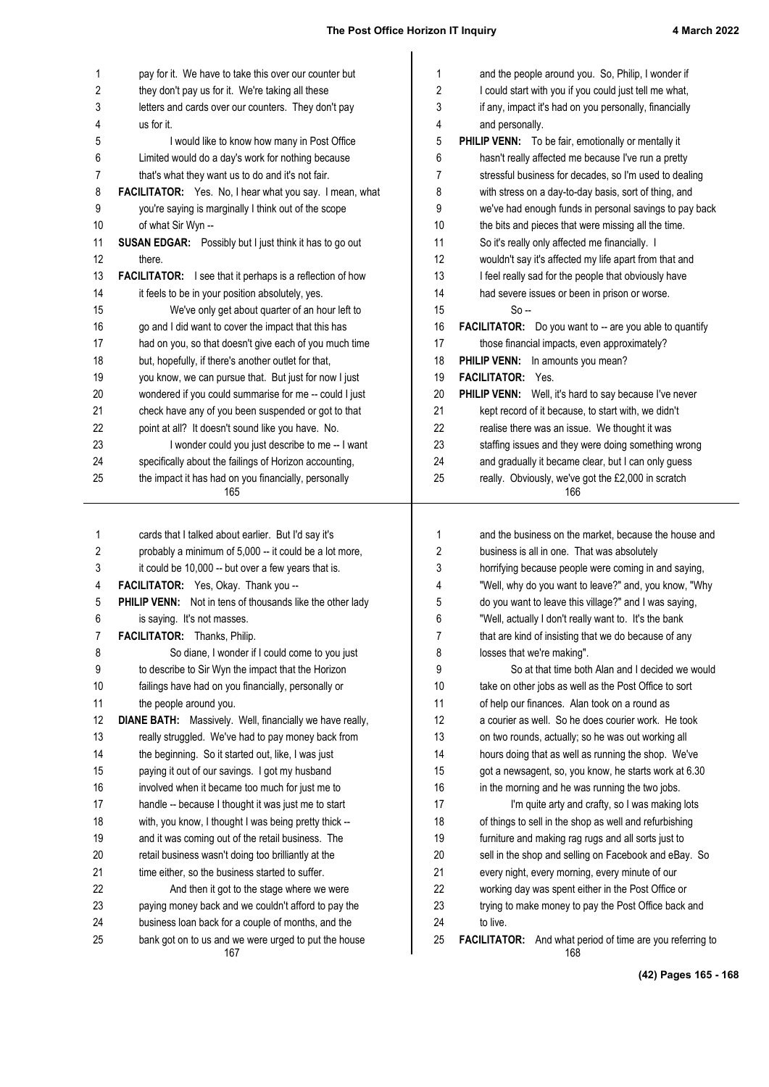| 1          | pay for it. We have to take this over our counter but                                                         | and the people around you. So, Philip, I wonder if<br>1                                                                 |
|------------|---------------------------------------------------------------------------------------------------------------|-------------------------------------------------------------------------------------------------------------------------|
| $\sqrt{2}$ | they don't pay us for it. We're taking all these                                                              | 2<br>I could start with you if you could just tell me what,                                                             |
| 3          | letters and cards over our counters. They don't pay                                                           | 3<br>if any, impact it's had on you personally, financially                                                             |
| 4          | us for it.                                                                                                    | 4<br>and personally.                                                                                                    |
| 5          | I would like to know how many in Post Office                                                                  | 5<br><b>PHILIP VENN:</b> To be fair, emotionally or mentally it                                                         |
| 6          | Limited would do a day's work for nothing because                                                             | 6<br>hasn't really affected me because I've run a pretty                                                                |
| 7          | that's what they want us to do and it's not fair.                                                             | stressful business for decades, so I'm used to dealing<br>7                                                             |
| 8          | FACILITATOR: Yes. No, I hear what you say. I mean, what                                                       | 8<br>with stress on a day-to-day basis, sort of thing, and                                                              |
| 9          | you're saying is marginally I think out of the scope                                                          | 9<br>we've had enough funds in personal savings to pay back                                                             |
| 10         | of what Sir Wyn --                                                                                            | 10<br>the bits and pieces that were missing all the time.                                                               |
| 11         | <b>SUSAN EDGAR:</b> Possibly but I just think it has to go out                                                | So it's really only affected me financially. I<br>11                                                                    |
| 12         | there.                                                                                                        | 12<br>wouldn't say it's affected my life apart from that and                                                            |
| 13         | <b>FACILITATOR:</b> I see that it perhaps is a reflection of how                                              | 13<br>I feel really sad for the people that obviously have                                                              |
| 14         | it feels to be in your position absolutely, yes.                                                              | 14<br>had severe issues or been in prison or worse.                                                                     |
| 15         | We've only get about quarter of an hour left to                                                               | 15<br>$So -$                                                                                                            |
| 16         | go and I did want to cover the impact that this has                                                           | 16<br><b>FACILITATOR:</b> Do you want to -- are you able to quantify                                                    |
| 17         | had on you, so that doesn't give each of you much time                                                        | those financial impacts, even approximately?<br>17                                                                      |
| 18         | but, hopefully, if there's another outlet for that,                                                           | 18<br>PHILIP VENN: In amounts you mean?                                                                                 |
| 19         | you know, we can pursue that. But just for now I just                                                         | 19<br>FACILITATOR: Yes.                                                                                                 |
| 20         | wondered if you could summarise for me -- could I just                                                        | 20<br>PHILIP VENN: Well, it's hard to say because I've never                                                            |
| 21         | check have any of you been suspended or got to that                                                           | 21<br>kept record of it because, to start with, we didn't                                                               |
| 22         | point at all? It doesn't sound like you have. No.                                                             | 22<br>realise there was an issue. We thought it was                                                                     |
| 23         | I wonder could you just describe to me -- I want                                                              | 23<br>staffing issues and they were doing something wrong                                                               |
| 24         | specifically about the failings of Horizon accounting,                                                        | and gradually it became clear, but I can only guess<br>24                                                               |
| 25         | the impact it has had on you financially, personally<br>165                                                   | 25<br>really. Obviously, we've got the £2,000 in scratch<br>166                                                         |
|            |                                                                                                               |                                                                                                                         |
|            |                                                                                                               |                                                                                                                         |
| 1          | cards that I talked about earlier. But I'd say it's<br>probably a minimum of 5,000 -- it could be a lot more, | 1<br>and the business on the market, because the house and<br>business is all in one. That was absolutely               |
| 2          | it could be 10,000 -- but over a few years that is.                                                           | 2                                                                                                                       |
| 3<br>4     | FACILITATOR: Yes, Okay. Thank you --                                                                          | 3<br>horrifying because people were coming in and saying,<br>"Well, why do you want to leave?" and, you know, "Why<br>4 |
| 5          | PHILIP VENN: Not in tens of thousands like the other lady                                                     | do you want to leave this village?" and I was saying,                                                                   |
| 6          | is saying. It's not masses.                                                                                   | 5<br>6<br>"Well, actually I don't really want to. It's the bank                                                         |
| 7          | <b>FACILITATOR:</b> Thanks, Philip.                                                                           | 7<br>that are kind of insisting that we do because of any                                                               |
| 8          | So diane, I wonder if I could come to you just                                                                | losses that we're making".<br>8                                                                                         |
| 9          | to describe to Sir Wyn the impact that the Horizon                                                            | So at that time both Alan and I decided we would<br>9                                                                   |
| 10         | failings have had on you financially, personally or                                                           | 10<br>take on other jobs as well as the Post Office to sort                                                             |
| 11         | the people around you.                                                                                        | 11<br>of help our finances. Alan took on a round as                                                                     |
| 12         | DIANE BATH: Massively. Well, financially we have really,                                                      | 12<br>a courier as well. So he does courier work. He took                                                               |
| 13         | really struggled. We've had to pay money back from                                                            | 13<br>on two rounds, actually; so he was out working all                                                                |
| 14         | the beginning. So it started out, like, I was just                                                            | 14<br>hours doing that as well as running the shop. We've                                                               |
| 15         | paying it out of our savings. I got my husband                                                                | 15<br>got a newsagent, so, you know, he starts work at 6.30                                                             |
| 16         | involved when it became too much for just me to                                                               | 16<br>in the morning and he was running the two jobs.                                                                   |
| 17         | handle -- because I thought it was just me to start                                                           | 17<br>I'm quite arty and crafty, so I was making lots                                                                   |
| 18         | with, you know, I thought I was being pretty thick --                                                         | 18<br>of things to sell in the shop as well and refurbishing                                                            |
| 19         | and it was coming out of the retail business. The                                                             | 19<br>furniture and making rag rugs and all sorts just to                                                               |
| 20         | retail business wasn't doing too brilliantly at the                                                           | 20<br>sell in the shop and selling on Facebook and eBay. So                                                             |
| 21         | time either, so the business started to suffer.                                                               | 21<br>every night, every morning, every minute of our                                                                   |
| 22         | And then it got to the stage where we were                                                                    | 22<br>working day was spent either in the Post Office or                                                                |
| 23         | paying money back and we couldn't afford to pay the                                                           | 23<br>trying to make money to pay the Post Office back and                                                              |
|            |                                                                                                               |                                                                                                                         |
|            |                                                                                                               |                                                                                                                         |
| 24<br>25   | business loan back for a couple of months, and the<br>bank got on to us and we were urged to put the house    | 24<br>to live.<br>25<br>FACILITATOR: And what period of time are you referring to                                       |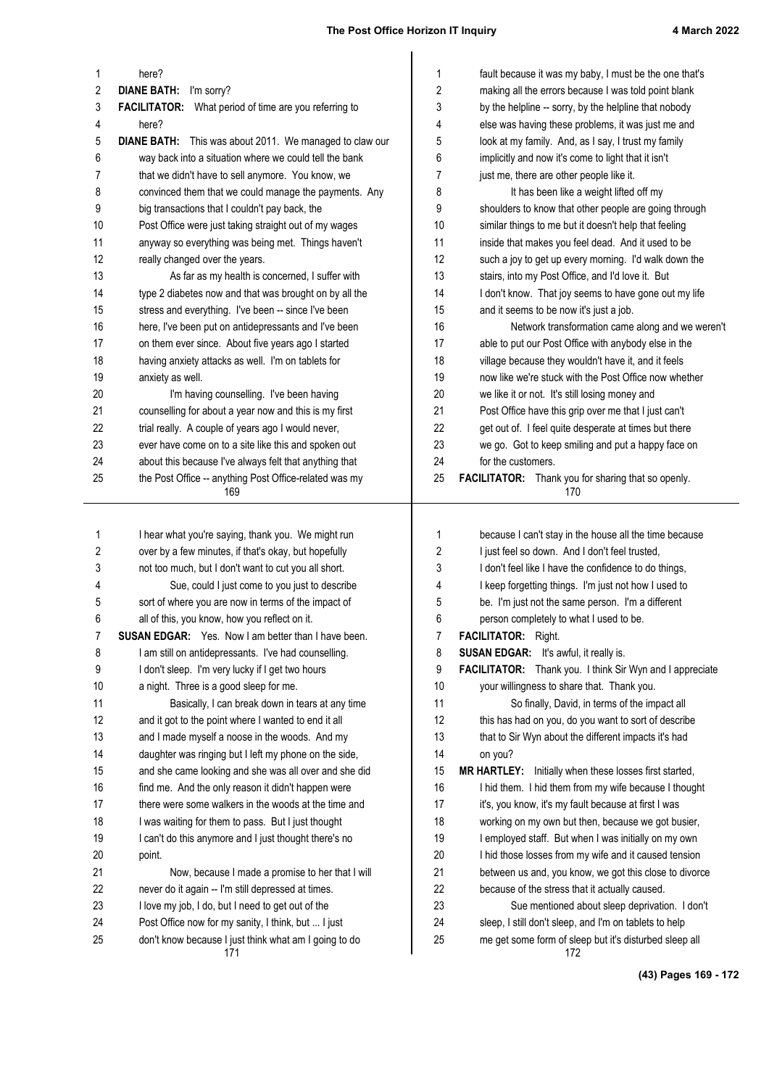| 1        | here?                                                                                                        | 1        | fault because it was my baby, I must be the one that's                                                           |
|----------|--------------------------------------------------------------------------------------------------------------|----------|------------------------------------------------------------------------------------------------------------------|
| 2        | <b>DIANE BATH:</b><br>I'm sorry?                                                                             | 2        | making all the errors because I was told point blank                                                             |
| 3        | <b>FACILITATOR:</b> What period of time are you referring to                                                 | 3        | by the helpline -- sorry, by the helpline that nobody                                                            |
| 4        | here?                                                                                                        | 4        | else was having these problems, it was just me and                                                               |
| 5        | DIANE BATH: This was about 2011. We managed to claw our                                                      | 5        | look at my family. And, as I say, I trust my family                                                              |
| 6        | way back into a situation where we could tell the bank                                                       | 6        | implicitly and now it's come to light that it isn't                                                              |
| 7        | that we didn't have to sell anymore. You know, we                                                            | 7        | just me, there are other people like it.                                                                         |
| 8        | convinced them that we could manage the payments. Any                                                        | 8        | It has been like a weight lifted off my                                                                          |
| 9        | big transactions that I couldn't pay back, the                                                               | 9        | shoulders to know that other people are going through                                                            |
| 10       | Post Office were just taking straight out of my wages                                                        | 10       | similar things to me but it doesn't help that feeling                                                            |
| 11       | anyway so everything was being met. Things haven't                                                           | 11       | inside that makes you feel dead. And it used to be                                                               |
| 12       | really changed over the years.                                                                               | 12       | such a joy to get up every morning. I'd walk down the                                                            |
| 13       | As far as my health is concerned, I suffer with                                                              | 13       | stairs, into my Post Office, and I'd love it. But                                                                |
| 14<br>15 | type 2 diabetes now and that was brought on by all the                                                       | 14       | I don't know. That joy seems to have gone out my life                                                            |
| 16       | stress and everything. I've been -- since I've been<br>here, I've been put on antidepressants and I've been  | 15<br>16 | and it seems to be now it's just a job.<br>Network transformation came along and we weren't                      |
| 17       | on them ever since. About five years ago I started                                                           | 17       | able to put our Post Office with anybody else in the                                                             |
| 18       | having anxiety attacks as well. I'm on tablets for                                                           | 18       | village because they wouldn't have it, and it feels                                                              |
| 19       | anxiety as well.                                                                                             | 19       | now like we're stuck with the Post Office now whether                                                            |
| 20       | I'm having counselling. I've been having                                                                     | 20       | we like it or not. It's still losing money and                                                                   |
| 21       | counselling for about a year now and this is my first                                                        | 21       | Post Office have this grip over me that I just can't                                                             |
| 22       | trial really. A couple of years ago I would never,                                                           | 22       | get out of. I feel quite desperate at times but there                                                            |
| 23       | ever have come on to a site like this and spoken out                                                         | 23       | we go. Got to keep smiling and put a happy face on                                                               |
| 24       | about this because I've always felt that anything that                                                       | 24       | for the customers.                                                                                               |
| 25       | the Post Office -- anything Post Office-related was my                                                       | 25       | FACILITATOR: Thank you for sharing that so openly.                                                               |
|          | 169                                                                                                          |          | 170                                                                                                              |
|          |                                                                                                              |          |                                                                                                                  |
|          |                                                                                                              |          |                                                                                                                  |
| 1        | I hear what you're saying, thank you. We might run                                                           | 1        | because I can't stay in the house all the time because                                                           |
| 2        | over by a few minutes, if that's okay, but hopefully                                                         | 2        | I just feel so down. And I don't feel trusted,                                                                   |
| 3        | not too much, but I don't want to cut you all short.                                                         | 3        | I don't feel like I have the confidence to do things,                                                            |
| 4        | Sue, could I just come to you just to describe                                                               | 4        | I keep forgetting things. I'm just not how I used to                                                             |
| 5        | sort of where you are now in terms of the impact of                                                          | 5        | be. I'm just not the same person. I'm a different                                                                |
| 6        | all of this, you know, how you reflect on it.                                                                | 6        | person completely to what I used to be.                                                                          |
| 7        | <b>SUSAN EDGAR:</b> Yes. Now I am better than I have been.                                                   | 7        | <b>FACILITATOR:</b> Right.                                                                                       |
| 8        | I am still on antidepressants. I've had counselling.                                                         | 8        | <b>SUSAN EDGAR:</b> It's awful, it really is.                                                                    |
| 9        | I don't sleep. I'm very lucky if I get two hours                                                             | 9        | FACILITATOR: Thank you. I think Sir Wyn and I appreciate                                                         |
| 10       | a night. Three is a good sleep for me.                                                                       | 10       | your willingness to share that. Thank you.                                                                       |
| 11       | Basically, I can break down in tears at any time                                                             | 11       | So finally, David, in terms of the impact all                                                                    |
| 12       | and it got to the point where I wanted to end it all                                                         | 12       | this has had on you, do you want to sort of describe                                                             |
| 13       | and I made myself a noose in the woods. And my                                                               | 13       | that to Sir Wyn about the different impacts it's had                                                             |
| 14       | daughter was ringing but I left my phone on the side,                                                        | 14       | on you?                                                                                                          |
| 15       | and she came looking and she was all over and she did                                                        | 15       | MR HARTLEY: Initially when these losses first started,                                                           |
| 16       | find me. And the only reason it didn't happen were                                                           | 16       | I hid them. I hid them from my wife because I thought                                                            |
| 17       | there were some walkers in the woods at the time and                                                         | 17       | it's, you know, it's my fault because at first I was                                                             |
| 18       | I was waiting for them to pass. But I just thought                                                           | 18       | working on my own but then, because we got busier,                                                               |
| 19       | I can't do this anymore and I just thought there's no                                                        | 19       | I employed staff. But when I was initially on my own                                                             |
| 20       | point.                                                                                                       | 20       | I hid those losses from my wife and it caused tension                                                            |
| 21       | Now, because I made a promise to her that I will                                                             | 21       | between us and, you know, we got this close to divorce                                                           |
| 22       | never do it again -- I'm still depressed at times.                                                           | 22       | because of the stress that it actually caused.                                                                   |
| 23       | I love my job, I do, but I need to get out of the                                                            | 23       | Sue mentioned about sleep deprivation. I don't                                                                   |
| 24<br>25 | Post Office now for my sanity, I think, but  I just<br>don't know because I just think what am I going to do | 24<br>25 | sleep, I still don't sleep, and I'm on tablets to help<br>me get some form of sleep but it's disturbed sleep all |

**(43) Pages 169 - 172**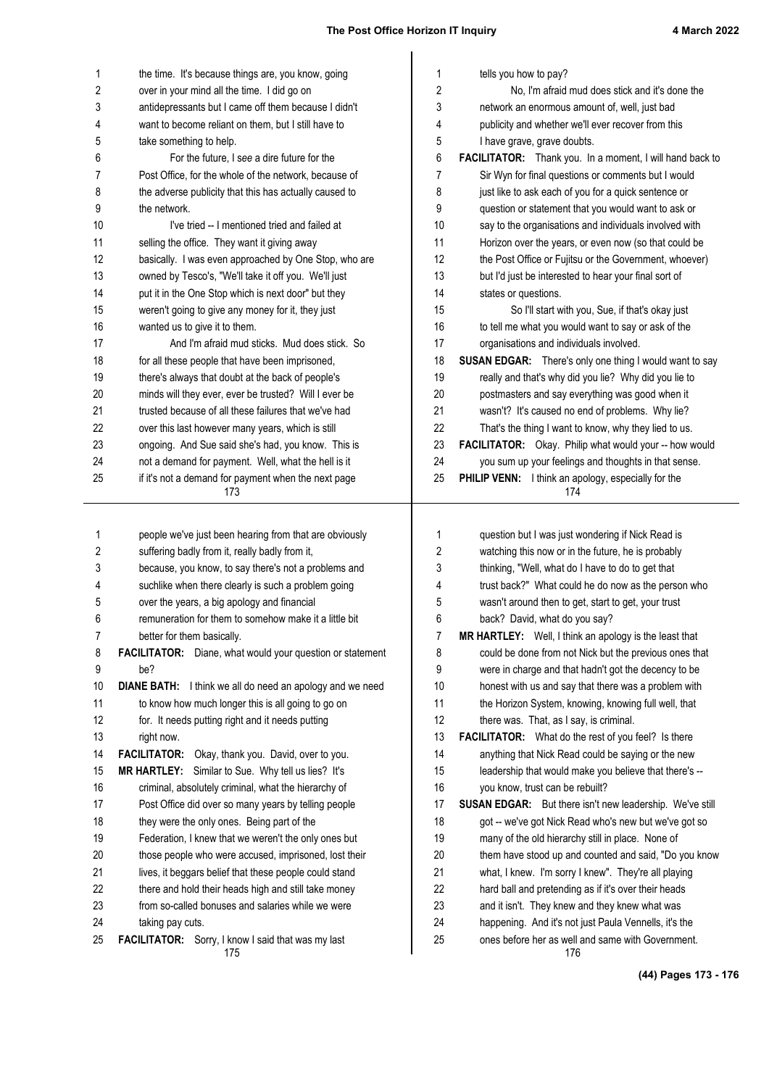| tells you how to pay?<br>1<br>the time. It's because things are, you know, going<br>1<br>2<br>over in your mind all the time. I did go on<br>2<br>No, I'm afraid mud does stick and it's done the<br>3<br>antidepressants but I came off them because I didn't<br>3<br>network an enormous amount of, well, just bad<br>4<br>4<br>want to become reliant on them, but I still have to<br>publicity and whether we'll ever recover from this<br>5<br>5<br>take something to help.<br>I have grave, grave doubts.<br>6<br>6<br>FACILITATOR: Thank you. In a moment, I will hand back to<br>For the future, I see a dire future for the<br>7<br>Post Office, for the whole of the network, because of<br>7<br>Sir Wyn for final questions or comments but I would<br>8<br>the adverse publicity that this has actually caused to<br>8<br>just like to ask each of you for a quick sentence or<br>9<br>9<br>the network.<br>question or statement that you would want to ask or<br>10<br>10<br>I've tried -- I mentioned tried and failed at<br>say to the organisations and individuals involved with<br>11<br>11<br>selling the office. They want it giving away<br>Horizon over the years, or even now (so that could be<br>12<br>12<br>basically. I was even approached by One Stop, who are<br>the Post Office or Fujitsu or the Government, whoever)<br>13<br>owned by Tesco's, "We'll take it off you. We'll just<br>13<br>but I'd just be interested to hear your final sort of<br>14<br>put it in the One Stop which is next door" but they<br>14<br>states or questions.<br>15<br>15<br>weren't going to give any money for it, they just<br>So I'll start with you, Sue, if that's okay just<br>16<br>16<br>wanted us to give it to them.<br>to tell me what you would want to say or ask of the<br>17<br>And I'm afraid mud sticks. Mud does stick. So<br>17<br>organisations and individuals involved.<br>18<br>18<br>for all these people that have been imprisoned,<br><b>SUSAN EDGAR:</b> There's only one thing I would want to say<br>19<br>19<br>really and that's why did you lie? Why did you lie to<br>there's always that doubt at the back of people's<br>20<br>minds will they ever, ever be trusted? Will I ever be<br>postmasters and say everything was good when it<br>20<br>21<br>trusted because of all these failures that we've had<br>21<br>wasn't? It's caused no end of problems. Why lie?<br>22<br>22<br>over this last however many years, which is still<br>That's the thing I want to know, why they lied to us.<br>23<br>23<br>ongoing. And Sue said she's had, you know. This is<br>FACILITATOR: Okay. Philip what would your -- how would<br>24<br>24<br>you sum up your feelings and thoughts in that sense.<br>not a demand for payment. Well, what the hell is it<br>25<br>if it's not a demand for payment when the next page<br>25<br>PHILIP VENN: I think an apology, especially for the<br>173<br>174<br>1<br>1<br>people we've just been hearing from that are obviously<br>question but I was just wondering if Nick Read is<br>2<br>2<br>watching this now or in the future, he is probably<br>suffering badly from it, really badly from it,<br>3<br>3<br>because, you know, to say there's not a problems and<br>thinking, "Well, what do I have to do to get that<br>suchlike when there clearly is such a problem going<br>trust back?" What could he do now as the person who<br>4<br>4<br>over the years, a big apology and financial<br>5<br>wasn't around then to get, start to get, your trust<br>5<br>6<br>6<br>remuneration for them to somehow make it a little bit<br>back? David, what do you say?<br>7<br>7<br>better for them basically.<br>MR HARTLEY: Well, I think an apology is the least that<br>8<br>FACILITATOR: Diane, what would your question or statement<br>8<br>could be done from not Nick but the previous ones that<br>9<br>be?<br>9<br>were in charge and that hadn't got the decency to be<br>10<br><b>DIANE BATH:</b> I think we all do need an apology and we need<br>10<br>honest with us and say that there was a problem with<br>11<br>to know how much longer this is all going to go on<br>11<br>the Horizon System, knowing, knowing full well, that<br>12<br>12<br>for. It needs putting right and it needs putting<br>there was. That, as I say, is criminal.<br>13<br>13<br>FACILITATOR: What do the rest of you feel? Is there<br>right now.<br>14<br>14<br>FACILITATOR: Okay, thank you. David, over to you.<br>anything that Nick Read could be saying or the new<br>15<br>MR HARTLEY: Similar to Sue. Why tell us lies? It's<br>15<br>leadership that would make you believe that there's --<br>16<br>criminal, absolutely criminal, what the hierarchy of<br>16<br>you know, trust can be rebuilt?<br>17<br>Post Office did over so many years by telling people<br>17<br><b>SUSAN EDGAR:</b> But there isn't new leadership. We've still<br>18<br>they were the only ones. Being part of the<br>18<br>got -- we've got Nick Read who's new but we've got so<br>19<br>Federation, I knew that we weren't the only ones but<br>19<br>many of the old hierarchy still in place. None of<br>20<br>those people who were accused, imprisoned, lost their<br>20<br>them have stood up and counted and said, "Do you know<br>21<br>21<br>lives, it beggars belief that these people could stand<br>what, I knew. I'm sorry I knew". They're all playing<br>22<br>22<br>hard ball and pretending as if it's over their heads<br>there and hold their heads high and still take money<br>23<br>23<br>from so-called bonuses and salaries while we were<br>and it isn't. They knew and they knew what was<br>24<br>24<br>happening. And it's not just Paula Vennells, it's the<br>taking pay cuts.<br>25<br>FACILITATOR: Sorry, I know I said that was my last<br>25<br>ones before her as well and same with Government.<br>176<br>175 |  |  |
|-----------------------------------------------------------------------------------------------------------------------------------------------------------------------------------------------------------------------------------------------------------------------------------------------------------------------------------------------------------------------------------------------------------------------------------------------------------------------------------------------------------------------------------------------------------------------------------------------------------------------------------------------------------------------------------------------------------------------------------------------------------------------------------------------------------------------------------------------------------------------------------------------------------------------------------------------------------------------------------------------------------------------------------------------------------------------------------------------------------------------------------------------------------------------------------------------------------------------------------------------------------------------------------------------------------------------------------------------------------------------------------------------------------------------------------------------------------------------------------------------------------------------------------------------------------------------------------------------------------------------------------------------------------------------------------------------------------------------------------------------------------------------------------------------------------------------------------------------------------------------------------------------------------------------------------------------------------------------------------------------------------------------------------------------------------------------------------------------------------------------------------------------------------------------------------------------------------------------------------------------------------------------------------------------------------------------------------------------------------------------------------------------------------------------------------------------------------------------------------------------------------------------------------------------------------------------------------------------------------------------------------------------------------------------------------------------------------------------------------------------------------------------------------------------------------------------------------------------------------------------------------------------------------------------------------------------------------------------------------------------------------------------------------------------------------------------------------------------------------------------------------------------------------------------------------------------------------------------------------------------------------------------------------------------------------------------------------------------------------------------------------------------------------------------------------------------------------------------------------------------------------------------------------------------------------------------------------------------------------------------------------------------------------------------------------------------------------------------------------------------------------------------------------------------------------------------------------------------------------------------------------------------------------------------------------------------------------------------------------------------------------------------------------------------------------------------------------------------------------------------------------------------------------------------------------------------------------------------------------------------------------------------------------------------------------------------------------------------------------------------------------------------------------------------------------------------------------------------------------------------------------------------------------------------------------------------------------------------------------------------------------------------------------------------------------------------------------------------------------------------------------------------------------------------------------------------------------------------------------------------------------------------------------------------------------------------------------------------------------------------------------------------------------------------------------------------------------------------------------------------------------------------------------------------------------------------------------------------------------------------------------------------------------------------------------------------------------------------------------------------------------------------------------------------------------------------------------------------------------------------------------------------------------------------------------------------------------------------------------------------------------------------------------------------------------------------------------------------------------------------------------------------------------------------------------------------------------------------------------------------------------------------------------------------------------|--|--|
|                                                                                                                                                                                                                                                                                                                                                                                                                                                                                                                                                                                                                                                                                                                                                                                                                                                                                                                                                                                                                                                                                                                                                                                                                                                                                                                                                                                                                                                                                                                                                                                                                                                                                                                                                                                                                                                                                                                                                                                                                                                                                                                                                                                                                                                                                                                                                                                                                                                                                                                                                                                                                                                                                                                                                                                                                                                                                                                                                                                                                                                                                                                                                                                                                                                                                                                                                                                                                                                                                                                                                                                                                                                                                                                                                                                                                                                                                                                                                                                                                                                                                                                                                                                                                                                                                                                                                                                                                                                                                                                                                                                                                                                                                                                                                                                                                                                                                                                                                                                                                                                                                                                                                                                                                                                                                                                                                                                                                                                                                                                                                                                                                                                                                                                                                                                                                                                                                                                                   |  |  |
|                                                                                                                                                                                                                                                                                                                                                                                                                                                                                                                                                                                                                                                                                                                                                                                                                                                                                                                                                                                                                                                                                                                                                                                                                                                                                                                                                                                                                                                                                                                                                                                                                                                                                                                                                                                                                                                                                                                                                                                                                                                                                                                                                                                                                                                                                                                                                                                                                                                                                                                                                                                                                                                                                                                                                                                                                                                                                                                                                                                                                                                                                                                                                                                                                                                                                                                                                                                                                                                                                                                                                                                                                                                                                                                                                                                                                                                                                                                                                                                                                                                                                                                                                                                                                                                                                                                                                                                                                                                                                                                                                                                                                                                                                                                                                                                                                                                                                                                                                                                                                                                                                                                                                                                                                                                                                                                                                                                                                                                                                                                                                                                                                                                                                                                                                                                                                                                                                                                                   |  |  |
|                                                                                                                                                                                                                                                                                                                                                                                                                                                                                                                                                                                                                                                                                                                                                                                                                                                                                                                                                                                                                                                                                                                                                                                                                                                                                                                                                                                                                                                                                                                                                                                                                                                                                                                                                                                                                                                                                                                                                                                                                                                                                                                                                                                                                                                                                                                                                                                                                                                                                                                                                                                                                                                                                                                                                                                                                                                                                                                                                                                                                                                                                                                                                                                                                                                                                                                                                                                                                                                                                                                                                                                                                                                                                                                                                                                                                                                                                                                                                                                                                                                                                                                                                                                                                                                                                                                                                                                                                                                                                                                                                                                                                                                                                                                                                                                                                                                                                                                                                                                                                                                                                                                                                                                                                                                                                                                                                                                                                                                                                                                                                                                                                                                                                                                                                                                                                                                                                                                                   |  |  |
|                                                                                                                                                                                                                                                                                                                                                                                                                                                                                                                                                                                                                                                                                                                                                                                                                                                                                                                                                                                                                                                                                                                                                                                                                                                                                                                                                                                                                                                                                                                                                                                                                                                                                                                                                                                                                                                                                                                                                                                                                                                                                                                                                                                                                                                                                                                                                                                                                                                                                                                                                                                                                                                                                                                                                                                                                                                                                                                                                                                                                                                                                                                                                                                                                                                                                                                                                                                                                                                                                                                                                                                                                                                                                                                                                                                                                                                                                                                                                                                                                                                                                                                                                                                                                                                                                                                                                                                                                                                                                                                                                                                                                                                                                                                                                                                                                                                                                                                                                                                                                                                                                                                                                                                                                                                                                                                                                                                                                                                                                                                                                                                                                                                                                                                                                                                                                                                                                                                                   |  |  |
|                                                                                                                                                                                                                                                                                                                                                                                                                                                                                                                                                                                                                                                                                                                                                                                                                                                                                                                                                                                                                                                                                                                                                                                                                                                                                                                                                                                                                                                                                                                                                                                                                                                                                                                                                                                                                                                                                                                                                                                                                                                                                                                                                                                                                                                                                                                                                                                                                                                                                                                                                                                                                                                                                                                                                                                                                                                                                                                                                                                                                                                                                                                                                                                                                                                                                                                                                                                                                                                                                                                                                                                                                                                                                                                                                                                                                                                                                                                                                                                                                                                                                                                                                                                                                                                                                                                                                                                                                                                                                                                                                                                                                                                                                                                                                                                                                                                                                                                                                                                                                                                                                                                                                                                                                                                                                                                                                                                                                                                                                                                                                                                                                                                                                                                                                                                                                                                                                                                                   |  |  |
|                                                                                                                                                                                                                                                                                                                                                                                                                                                                                                                                                                                                                                                                                                                                                                                                                                                                                                                                                                                                                                                                                                                                                                                                                                                                                                                                                                                                                                                                                                                                                                                                                                                                                                                                                                                                                                                                                                                                                                                                                                                                                                                                                                                                                                                                                                                                                                                                                                                                                                                                                                                                                                                                                                                                                                                                                                                                                                                                                                                                                                                                                                                                                                                                                                                                                                                                                                                                                                                                                                                                                                                                                                                                                                                                                                                                                                                                                                                                                                                                                                                                                                                                                                                                                                                                                                                                                                                                                                                                                                                                                                                                                                                                                                                                                                                                                                                                                                                                                                                                                                                                                                                                                                                                                                                                                                                                                                                                                                                                                                                                                                                                                                                                                                                                                                                                                                                                                                                                   |  |  |
|                                                                                                                                                                                                                                                                                                                                                                                                                                                                                                                                                                                                                                                                                                                                                                                                                                                                                                                                                                                                                                                                                                                                                                                                                                                                                                                                                                                                                                                                                                                                                                                                                                                                                                                                                                                                                                                                                                                                                                                                                                                                                                                                                                                                                                                                                                                                                                                                                                                                                                                                                                                                                                                                                                                                                                                                                                                                                                                                                                                                                                                                                                                                                                                                                                                                                                                                                                                                                                                                                                                                                                                                                                                                                                                                                                                                                                                                                                                                                                                                                                                                                                                                                                                                                                                                                                                                                                                                                                                                                                                                                                                                                                                                                                                                                                                                                                                                                                                                                                                                                                                                                                                                                                                                                                                                                                                                                                                                                                                                                                                                                                                                                                                                                                                                                                                                                                                                                                                                   |  |  |
|                                                                                                                                                                                                                                                                                                                                                                                                                                                                                                                                                                                                                                                                                                                                                                                                                                                                                                                                                                                                                                                                                                                                                                                                                                                                                                                                                                                                                                                                                                                                                                                                                                                                                                                                                                                                                                                                                                                                                                                                                                                                                                                                                                                                                                                                                                                                                                                                                                                                                                                                                                                                                                                                                                                                                                                                                                                                                                                                                                                                                                                                                                                                                                                                                                                                                                                                                                                                                                                                                                                                                                                                                                                                                                                                                                                                                                                                                                                                                                                                                                                                                                                                                                                                                                                                                                                                                                                                                                                                                                                                                                                                                                                                                                                                                                                                                                                                                                                                                                                                                                                                                                                                                                                                                                                                                                                                                                                                                                                                                                                                                                                                                                                                                                                                                                                                                                                                                                                                   |  |  |
|                                                                                                                                                                                                                                                                                                                                                                                                                                                                                                                                                                                                                                                                                                                                                                                                                                                                                                                                                                                                                                                                                                                                                                                                                                                                                                                                                                                                                                                                                                                                                                                                                                                                                                                                                                                                                                                                                                                                                                                                                                                                                                                                                                                                                                                                                                                                                                                                                                                                                                                                                                                                                                                                                                                                                                                                                                                                                                                                                                                                                                                                                                                                                                                                                                                                                                                                                                                                                                                                                                                                                                                                                                                                                                                                                                                                                                                                                                                                                                                                                                                                                                                                                                                                                                                                                                                                                                                                                                                                                                                                                                                                                                                                                                                                                                                                                                                                                                                                                                                                                                                                                                                                                                                                                                                                                                                                                                                                                                                                                                                                                                                                                                                                                                                                                                                                                                                                                                                                   |  |  |
|                                                                                                                                                                                                                                                                                                                                                                                                                                                                                                                                                                                                                                                                                                                                                                                                                                                                                                                                                                                                                                                                                                                                                                                                                                                                                                                                                                                                                                                                                                                                                                                                                                                                                                                                                                                                                                                                                                                                                                                                                                                                                                                                                                                                                                                                                                                                                                                                                                                                                                                                                                                                                                                                                                                                                                                                                                                                                                                                                                                                                                                                                                                                                                                                                                                                                                                                                                                                                                                                                                                                                                                                                                                                                                                                                                                                                                                                                                                                                                                                                                                                                                                                                                                                                                                                                                                                                                                                                                                                                                                                                                                                                                                                                                                                                                                                                                                                                                                                                                                                                                                                                                                                                                                                                                                                                                                                                                                                                                                                                                                                                                                                                                                                                                                                                                                                                                                                                                                                   |  |  |
|                                                                                                                                                                                                                                                                                                                                                                                                                                                                                                                                                                                                                                                                                                                                                                                                                                                                                                                                                                                                                                                                                                                                                                                                                                                                                                                                                                                                                                                                                                                                                                                                                                                                                                                                                                                                                                                                                                                                                                                                                                                                                                                                                                                                                                                                                                                                                                                                                                                                                                                                                                                                                                                                                                                                                                                                                                                                                                                                                                                                                                                                                                                                                                                                                                                                                                                                                                                                                                                                                                                                                                                                                                                                                                                                                                                                                                                                                                                                                                                                                                                                                                                                                                                                                                                                                                                                                                                                                                                                                                                                                                                                                                                                                                                                                                                                                                                                                                                                                                                                                                                                                                                                                                                                                                                                                                                                                                                                                                                                                                                                                                                                                                                                                                                                                                                                                                                                                                                                   |  |  |
|                                                                                                                                                                                                                                                                                                                                                                                                                                                                                                                                                                                                                                                                                                                                                                                                                                                                                                                                                                                                                                                                                                                                                                                                                                                                                                                                                                                                                                                                                                                                                                                                                                                                                                                                                                                                                                                                                                                                                                                                                                                                                                                                                                                                                                                                                                                                                                                                                                                                                                                                                                                                                                                                                                                                                                                                                                                                                                                                                                                                                                                                                                                                                                                                                                                                                                                                                                                                                                                                                                                                                                                                                                                                                                                                                                                                                                                                                                                                                                                                                                                                                                                                                                                                                                                                                                                                                                                                                                                                                                                                                                                                                                                                                                                                                                                                                                                                                                                                                                                                                                                                                                                                                                                                                                                                                                                                                                                                                                                                                                                                                                                                                                                                                                                                                                                                                                                                                                                                   |  |  |
|                                                                                                                                                                                                                                                                                                                                                                                                                                                                                                                                                                                                                                                                                                                                                                                                                                                                                                                                                                                                                                                                                                                                                                                                                                                                                                                                                                                                                                                                                                                                                                                                                                                                                                                                                                                                                                                                                                                                                                                                                                                                                                                                                                                                                                                                                                                                                                                                                                                                                                                                                                                                                                                                                                                                                                                                                                                                                                                                                                                                                                                                                                                                                                                                                                                                                                                                                                                                                                                                                                                                                                                                                                                                                                                                                                                                                                                                                                                                                                                                                                                                                                                                                                                                                                                                                                                                                                                                                                                                                                                                                                                                                                                                                                                                                                                                                                                                                                                                                                                                                                                                                                                                                                                                                                                                                                                                                                                                                                                                                                                                                                                                                                                                                                                                                                                                                                                                                                                                   |  |  |
|                                                                                                                                                                                                                                                                                                                                                                                                                                                                                                                                                                                                                                                                                                                                                                                                                                                                                                                                                                                                                                                                                                                                                                                                                                                                                                                                                                                                                                                                                                                                                                                                                                                                                                                                                                                                                                                                                                                                                                                                                                                                                                                                                                                                                                                                                                                                                                                                                                                                                                                                                                                                                                                                                                                                                                                                                                                                                                                                                                                                                                                                                                                                                                                                                                                                                                                                                                                                                                                                                                                                                                                                                                                                                                                                                                                                                                                                                                                                                                                                                                                                                                                                                                                                                                                                                                                                                                                                                                                                                                                                                                                                                                                                                                                                                                                                                                                                                                                                                                                                                                                                                                                                                                                                                                                                                                                                                                                                                                                                                                                                                                                                                                                                                                                                                                                                                                                                                                                                   |  |  |
|                                                                                                                                                                                                                                                                                                                                                                                                                                                                                                                                                                                                                                                                                                                                                                                                                                                                                                                                                                                                                                                                                                                                                                                                                                                                                                                                                                                                                                                                                                                                                                                                                                                                                                                                                                                                                                                                                                                                                                                                                                                                                                                                                                                                                                                                                                                                                                                                                                                                                                                                                                                                                                                                                                                                                                                                                                                                                                                                                                                                                                                                                                                                                                                                                                                                                                                                                                                                                                                                                                                                                                                                                                                                                                                                                                                                                                                                                                                                                                                                                                                                                                                                                                                                                                                                                                                                                                                                                                                                                                                                                                                                                                                                                                                                                                                                                                                                                                                                                                                                                                                                                                                                                                                                                                                                                                                                                                                                                                                                                                                                                                                                                                                                                                                                                                                                                                                                                                                                   |  |  |
|                                                                                                                                                                                                                                                                                                                                                                                                                                                                                                                                                                                                                                                                                                                                                                                                                                                                                                                                                                                                                                                                                                                                                                                                                                                                                                                                                                                                                                                                                                                                                                                                                                                                                                                                                                                                                                                                                                                                                                                                                                                                                                                                                                                                                                                                                                                                                                                                                                                                                                                                                                                                                                                                                                                                                                                                                                                                                                                                                                                                                                                                                                                                                                                                                                                                                                                                                                                                                                                                                                                                                                                                                                                                                                                                                                                                                                                                                                                                                                                                                                                                                                                                                                                                                                                                                                                                                                                                                                                                                                                                                                                                                                                                                                                                                                                                                                                                                                                                                                                                                                                                                                                                                                                                                                                                                                                                                                                                                                                                                                                                                                                                                                                                                                                                                                                                                                                                                                                                   |  |  |
|                                                                                                                                                                                                                                                                                                                                                                                                                                                                                                                                                                                                                                                                                                                                                                                                                                                                                                                                                                                                                                                                                                                                                                                                                                                                                                                                                                                                                                                                                                                                                                                                                                                                                                                                                                                                                                                                                                                                                                                                                                                                                                                                                                                                                                                                                                                                                                                                                                                                                                                                                                                                                                                                                                                                                                                                                                                                                                                                                                                                                                                                                                                                                                                                                                                                                                                                                                                                                                                                                                                                                                                                                                                                                                                                                                                                                                                                                                                                                                                                                                                                                                                                                                                                                                                                                                                                                                                                                                                                                                                                                                                                                                                                                                                                                                                                                                                                                                                                                                                                                                                                                                                                                                                                                                                                                                                                                                                                                                                                                                                                                                                                                                                                                                                                                                                                                                                                                                                                   |  |  |
|                                                                                                                                                                                                                                                                                                                                                                                                                                                                                                                                                                                                                                                                                                                                                                                                                                                                                                                                                                                                                                                                                                                                                                                                                                                                                                                                                                                                                                                                                                                                                                                                                                                                                                                                                                                                                                                                                                                                                                                                                                                                                                                                                                                                                                                                                                                                                                                                                                                                                                                                                                                                                                                                                                                                                                                                                                                                                                                                                                                                                                                                                                                                                                                                                                                                                                                                                                                                                                                                                                                                                                                                                                                                                                                                                                                                                                                                                                                                                                                                                                                                                                                                                                                                                                                                                                                                                                                                                                                                                                                                                                                                                                                                                                                                                                                                                                                                                                                                                                                                                                                                                                                                                                                                                                                                                                                                                                                                                                                                                                                                                                                                                                                                                                                                                                                                                                                                                                                                   |  |  |
|                                                                                                                                                                                                                                                                                                                                                                                                                                                                                                                                                                                                                                                                                                                                                                                                                                                                                                                                                                                                                                                                                                                                                                                                                                                                                                                                                                                                                                                                                                                                                                                                                                                                                                                                                                                                                                                                                                                                                                                                                                                                                                                                                                                                                                                                                                                                                                                                                                                                                                                                                                                                                                                                                                                                                                                                                                                                                                                                                                                                                                                                                                                                                                                                                                                                                                                                                                                                                                                                                                                                                                                                                                                                                                                                                                                                                                                                                                                                                                                                                                                                                                                                                                                                                                                                                                                                                                                                                                                                                                                                                                                                                                                                                                                                                                                                                                                                                                                                                                                                                                                                                                                                                                                                                                                                                                                                                                                                                                                                                                                                                                                                                                                                                                                                                                                                                                                                                                                                   |  |  |
|                                                                                                                                                                                                                                                                                                                                                                                                                                                                                                                                                                                                                                                                                                                                                                                                                                                                                                                                                                                                                                                                                                                                                                                                                                                                                                                                                                                                                                                                                                                                                                                                                                                                                                                                                                                                                                                                                                                                                                                                                                                                                                                                                                                                                                                                                                                                                                                                                                                                                                                                                                                                                                                                                                                                                                                                                                                                                                                                                                                                                                                                                                                                                                                                                                                                                                                                                                                                                                                                                                                                                                                                                                                                                                                                                                                                                                                                                                                                                                                                                                                                                                                                                                                                                                                                                                                                                                                                                                                                                                                                                                                                                                                                                                                                                                                                                                                                                                                                                                                                                                                                                                                                                                                                                                                                                                                                                                                                                                                                                                                                                                                                                                                                                                                                                                                                                                                                                                                                   |  |  |
|                                                                                                                                                                                                                                                                                                                                                                                                                                                                                                                                                                                                                                                                                                                                                                                                                                                                                                                                                                                                                                                                                                                                                                                                                                                                                                                                                                                                                                                                                                                                                                                                                                                                                                                                                                                                                                                                                                                                                                                                                                                                                                                                                                                                                                                                                                                                                                                                                                                                                                                                                                                                                                                                                                                                                                                                                                                                                                                                                                                                                                                                                                                                                                                                                                                                                                                                                                                                                                                                                                                                                                                                                                                                                                                                                                                                                                                                                                                                                                                                                                                                                                                                                                                                                                                                                                                                                                                                                                                                                                                                                                                                                                                                                                                                                                                                                                                                                                                                                                                                                                                                                                                                                                                                                                                                                                                                                                                                                                                                                                                                                                                                                                                                                                                                                                                                                                                                                                                                   |  |  |
|                                                                                                                                                                                                                                                                                                                                                                                                                                                                                                                                                                                                                                                                                                                                                                                                                                                                                                                                                                                                                                                                                                                                                                                                                                                                                                                                                                                                                                                                                                                                                                                                                                                                                                                                                                                                                                                                                                                                                                                                                                                                                                                                                                                                                                                                                                                                                                                                                                                                                                                                                                                                                                                                                                                                                                                                                                                                                                                                                                                                                                                                                                                                                                                                                                                                                                                                                                                                                                                                                                                                                                                                                                                                                                                                                                                                                                                                                                                                                                                                                                                                                                                                                                                                                                                                                                                                                                                                                                                                                                                                                                                                                                                                                                                                                                                                                                                                                                                                                                                                                                                                                                                                                                                                                                                                                                                                                                                                                                                                                                                                                                                                                                                                                                                                                                                                                                                                                                                                   |  |  |
|                                                                                                                                                                                                                                                                                                                                                                                                                                                                                                                                                                                                                                                                                                                                                                                                                                                                                                                                                                                                                                                                                                                                                                                                                                                                                                                                                                                                                                                                                                                                                                                                                                                                                                                                                                                                                                                                                                                                                                                                                                                                                                                                                                                                                                                                                                                                                                                                                                                                                                                                                                                                                                                                                                                                                                                                                                                                                                                                                                                                                                                                                                                                                                                                                                                                                                                                                                                                                                                                                                                                                                                                                                                                                                                                                                                                                                                                                                                                                                                                                                                                                                                                                                                                                                                                                                                                                                                                                                                                                                                                                                                                                                                                                                                                                                                                                                                                                                                                                                                                                                                                                                                                                                                                                                                                                                                                                                                                                                                                                                                                                                                                                                                                                                                                                                                                                                                                                                                                   |  |  |
|                                                                                                                                                                                                                                                                                                                                                                                                                                                                                                                                                                                                                                                                                                                                                                                                                                                                                                                                                                                                                                                                                                                                                                                                                                                                                                                                                                                                                                                                                                                                                                                                                                                                                                                                                                                                                                                                                                                                                                                                                                                                                                                                                                                                                                                                                                                                                                                                                                                                                                                                                                                                                                                                                                                                                                                                                                                                                                                                                                                                                                                                                                                                                                                                                                                                                                                                                                                                                                                                                                                                                                                                                                                                                                                                                                                                                                                                                                                                                                                                                                                                                                                                                                                                                                                                                                                                                                                                                                                                                                                                                                                                                                                                                                                                                                                                                                                                                                                                                                                                                                                                                                                                                                                                                                                                                                                                                                                                                                                                                                                                                                                                                                                                                                                                                                                                                                                                                                                                   |  |  |
|                                                                                                                                                                                                                                                                                                                                                                                                                                                                                                                                                                                                                                                                                                                                                                                                                                                                                                                                                                                                                                                                                                                                                                                                                                                                                                                                                                                                                                                                                                                                                                                                                                                                                                                                                                                                                                                                                                                                                                                                                                                                                                                                                                                                                                                                                                                                                                                                                                                                                                                                                                                                                                                                                                                                                                                                                                                                                                                                                                                                                                                                                                                                                                                                                                                                                                                                                                                                                                                                                                                                                                                                                                                                                                                                                                                                                                                                                                                                                                                                                                                                                                                                                                                                                                                                                                                                                                                                                                                                                                                                                                                                                                                                                                                                                                                                                                                                                                                                                                                                                                                                                                                                                                                                                                                                                                                                                                                                                                                                                                                                                                                                                                                                                                                                                                                                                                                                                                                                   |  |  |
|                                                                                                                                                                                                                                                                                                                                                                                                                                                                                                                                                                                                                                                                                                                                                                                                                                                                                                                                                                                                                                                                                                                                                                                                                                                                                                                                                                                                                                                                                                                                                                                                                                                                                                                                                                                                                                                                                                                                                                                                                                                                                                                                                                                                                                                                                                                                                                                                                                                                                                                                                                                                                                                                                                                                                                                                                                                                                                                                                                                                                                                                                                                                                                                                                                                                                                                                                                                                                                                                                                                                                                                                                                                                                                                                                                                                                                                                                                                                                                                                                                                                                                                                                                                                                                                                                                                                                                                                                                                                                                                                                                                                                                                                                                                                                                                                                                                                                                                                                                                                                                                                                                                                                                                                                                                                                                                                                                                                                                                                                                                                                                                                                                                                                                                                                                                                                                                                                                                                   |  |  |
|                                                                                                                                                                                                                                                                                                                                                                                                                                                                                                                                                                                                                                                                                                                                                                                                                                                                                                                                                                                                                                                                                                                                                                                                                                                                                                                                                                                                                                                                                                                                                                                                                                                                                                                                                                                                                                                                                                                                                                                                                                                                                                                                                                                                                                                                                                                                                                                                                                                                                                                                                                                                                                                                                                                                                                                                                                                                                                                                                                                                                                                                                                                                                                                                                                                                                                                                                                                                                                                                                                                                                                                                                                                                                                                                                                                                                                                                                                                                                                                                                                                                                                                                                                                                                                                                                                                                                                                                                                                                                                                                                                                                                                                                                                                                                                                                                                                                                                                                                                                                                                                                                                                                                                                                                                                                                                                                                                                                                                                                                                                                                                                                                                                                                                                                                                                                                                                                                                                                   |  |  |
|                                                                                                                                                                                                                                                                                                                                                                                                                                                                                                                                                                                                                                                                                                                                                                                                                                                                                                                                                                                                                                                                                                                                                                                                                                                                                                                                                                                                                                                                                                                                                                                                                                                                                                                                                                                                                                                                                                                                                                                                                                                                                                                                                                                                                                                                                                                                                                                                                                                                                                                                                                                                                                                                                                                                                                                                                                                                                                                                                                                                                                                                                                                                                                                                                                                                                                                                                                                                                                                                                                                                                                                                                                                                                                                                                                                                                                                                                                                                                                                                                                                                                                                                                                                                                                                                                                                                                                                                                                                                                                                                                                                                                                                                                                                                                                                                                                                                                                                                                                                                                                                                                                                                                                                                                                                                                                                                                                                                                                                                                                                                                                                                                                                                                                                                                                                                                                                                                                                                   |  |  |
|                                                                                                                                                                                                                                                                                                                                                                                                                                                                                                                                                                                                                                                                                                                                                                                                                                                                                                                                                                                                                                                                                                                                                                                                                                                                                                                                                                                                                                                                                                                                                                                                                                                                                                                                                                                                                                                                                                                                                                                                                                                                                                                                                                                                                                                                                                                                                                                                                                                                                                                                                                                                                                                                                                                                                                                                                                                                                                                                                                                                                                                                                                                                                                                                                                                                                                                                                                                                                                                                                                                                                                                                                                                                                                                                                                                                                                                                                                                                                                                                                                                                                                                                                                                                                                                                                                                                                                                                                                                                                                                                                                                                                                                                                                                                                                                                                                                                                                                                                                                                                                                                                                                                                                                                                                                                                                                                                                                                                                                                                                                                                                                                                                                                                                                                                                                                                                                                                                                                   |  |  |
|                                                                                                                                                                                                                                                                                                                                                                                                                                                                                                                                                                                                                                                                                                                                                                                                                                                                                                                                                                                                                                                                                                                                                                                                                                                                                                                                                                                                                                                                                                                                                                                                                                                                                                                                                                                                                                                                                                                                                                                                                                                                                                                                                                                                                                                                                                                                                                                                                                                                                                                                                                                                                                                                                                                                                                                                                                                                                                                                                                                                                                                                                                                                                                                                                                                                                                                                                                                                                                                                                                                                                                                                                                                                                                                                                                                                                                                                                                                                                                                                                                                                                                                                                                                                                                                                                                                                                                                                                                                                                                                                                                                                                                                                                                                                                                                                                                                                                                                                                                                                                                                                                                                                                                                                                                                                                                                                                                                                                                                                                                                                                                                                                                                                                                                                                                                                                                                                                                                                   |  |  |
|                                                                                                                                                                                                                                                                                                                                                                                                                                                                                                                                                                                                                                                                                                                                                                                                                                                                                                                                                                                                                                                                                                                                                                                                                                                                                                                                                                                                                                                                                                                                                                                                                                                                                                                                                                                                                                                                                                                                                                                                                                                                                                                                                                                                                                                                                                                                                                                                                                                                                                                                                                                                                                                                                                                                                                                                                                                                                                                                                                                                                                                                                                                                                                                                                                                                                                                                                                                                                                                                                                                                                                                                                                                                                                                                                                                                                                                                                                                                                                                                                                                                                                                                                                                                                                                                                                                                                                                                                                                                                                                                                                                                                                                                                                                                                                                                                                                                                                                                                                                                                                                                                                                                                                                                                                                                                                                                                                                                                                                                                                                                                                                                                                                                                                                                                                                                                                                                                                                                   |  |  |
|                                                                                                                                                                                                                                                                                                                                                                                                                                                                                                                                                                                                                                                                                                                                                                                                                                                                                                                                                                                                                                                                                                                                                                                                                                                                                                                                                                                                                                                                                                                                                                                                                                                                                                                                                                                                                                                                                                                                                                                                                                                                                                                                                                                                                                                                                                                                                                                                                                                                                                                                                                                                                                                                                                                                                                                                                                                                                                                                                                                                                                                                                                                                                                                                                                                                                                                                                                                                                                                                                                                                                                                                                                                                                                                                                                                                                                                                                                                                                                                                                                                                                                                                                                                                                                                                                                                                                                                                                                                                                                                                                                                                                                                                                                                                                                                                                                                                                                                                                                                                                                                                                                                                                                                                                                                                                                                                                                                                                                                                                                                                                                                                                                                                                                                                                                                                                                                                                                                                   |  |  |
|                                                                                                                                                                                                                                                                                                                                                                                                                                                                                                                                                                                                                                                                                                                                                                                                                                                                                                                                                                                                                                                                                                                                                                                                                                                                                                                                                                                                                                                                                                                                                                                                                                                                                                                                                                                                                                                                                                                                                                                                                                                                                                                                                                                                                                                                                                                                                                                                                                                                                                                                                                                                                                                                                                                                                                                                                                                                                                                                                                                                                                                                                                                                                                                                                                                                                                                                                                                                                                                                                                                                                                                                                                                                                                                                                                                                                                                                                                                                                                                                                                                                                                                                                                                                                                                                                                                                                                                                                                                                                                                                                                                                                                                                                                                                                                                                                                                                                                                                                                                                                                                                                                                                                                                                                                                                                                                                                                                                                                                                                                                                                                                                                                                                                                                                                                                                                                                                                                                                   |  |  |
|                                                                                                                                                                                                                                                                                                                                                                                                                                                                                                                                                                                                                                                                                                                                                                                                                                                                                                                                                                                                                                                                                                                                                                                                                                                                                                                                                                                                                                                                                                                                                                                                                                                                                                                                                                                                                                                                                                                                                                                                                                                                                                                                                                                                                                                                                                                                                                                                                                                                                                                                                                                                                                                                                                                                                                                                                                                                                                                                                                                                                                                                                                                                                                                                                                                                                                                                                                                                                                                                                                                                                                                                                                                                                                                                                                                                                                                                                                                                                                                                                                                                                                                                                                                                                                                                                                                                                                                                                                                                                                                                                                                                                                                                                                                                                                                                                                                                                                                                                                                                                                                                                                                                                                                                                                                                                                                                                                                                                                                                                                                                                                                                                                                                                                                                                                                                                                                                                                                                   |  |  |
|                                                                                                                                                                                                                                                                                                                                                                                                                                                                                                                                                                                                                                                                                                                                                                                                                                                                                                                                                                                                                                                                                                                                                                                                                                                                                                                                                                                                                                                                                                                                                                                                                                                                                                                                                                                                                                                                                                                                                                                                                                                                                                                                                                                                                                                                                                                                                                                                                                                                                                                                                                                                                                                                                                                                                                                                                                                                                                                                                                                                                                                                                                                                                                                                                                                                                                                                                                                                                                                                                                                                                                                                                                                                                                                                                                                                                                                                                                                                                                                                                                                                                                                                                                                                                                                                                                                                                                                                                                                                                                                                                                                                                                                                                                                                                                                                                                                                                                                                                                                                                                                                                                                                                                                                                                                                                                                                                                                                                                                                                                                                                                                                                                                                                                                                                                                                                                                                                                                                   |  |  |
|                                                                                                                                                                                                                                                                                                                                                                                                                                                                                                                                                                                                                                                                                                                                                                                                                                                                                                                                                                                                                                                                                                                                                                                                                                                                                                                                                                                                                                                                                                                                                                                                                                                                                                                                                                                                                                                                                                                                                                                                                                                                                                                                                                                                                                                                                                                                                                                                                                                                                                                                                                                                                                                                                                                                                                                                                                                                                                                                                                                                                                                                                                                                                                                                                                                                                                                                                                                                                                                                                                                                                                                                                                                                                                                                                                                                                                                                                                                                                                                                                                                                                                                                                                                                                                                                                                                                                                                                                                                                                                                                                                                                                                                                                                                                                                                                                                                                                                                                                                                                                                                                                                                                                                                                                                                                                                                                                                                                                                                                                                                                                                                                                                                                                                                                                                                                                                                                                                                                   |  |  |
|                                                                                                                                                                                                                                                                                                                                                                                                                                                                                                                                                                                                                                                                                                                                                                                                                                                                                                                                                                                                                                                                                                                                                                                                                                                                                                                                                                                                                                                                                                                                                                                                                                                                                                                                                                                                                                                                                                                                                                                                                                                                                                                                                                                                                                                                                                                                                                                                                                                                                                                                                                                                                                                                                                                                                                                                                                                                                                                                                                                                                                                                                                                                                                                                                                                                                                                                                                                                                                                                                                                                                                                                                                                                                                                                                                                                                                                                                                                                                                                                                                                                                                                                                                                                                                                                                                                                                                                                                                                                                                                                                                                                                                                                                                                                                                                                                                                                                                                                                                                                                                                                                                                                                                                                                                                                                                                                                                                                                                                                                                                                                                                                                                                                                                                                                                                                                                                                                                                                   |  |  |
|                                                                                                                                                                                                                                                                                                                                                                                                                                                                                                                                                                                                                                                                                                                                                                                                                                                                                                                                                                                                                                                                                                                                                                                                                                                                                                                                                                                                                                                                                                                                                                                                                                                                                                                                                                                                                                                                                                                                                                                                                                                                                                                                                                                                                                                                                                                                                                                                                                                                                                                                                                                                                                                                                                                                                                                                                                                                                                                                                                                                                                                                                                                                                                                                                                                                                                                                                                                                                                                                                                                                                                                                                                                                                                                                                                                                                                                                                                                                                                                                                                                                                                                                                                                                                                                                                                                                                                                                                                                                                                                                                                                                                                                                                                                                                                                                                                                                                                                                                                                                                                                                                                                                                                                                                                                                                                                                                                                                                                                                                                                                                                                                                                                                                                                                                                                                                                                                                                                                   |  |  |
|                                                                                                                                                                                                                                                                                                                                                                                                                                                                                                                                                                                                                                                                                                                                                                                                                                                                                                                                                                                                                                                                                                                                                                                                                                                                                                                                                                                                                                                                                                                                                                                                                                                                                                                                                                                                                                                                                                                                                                                                                                                                                                                                                                                                                                                                                                                                                                                                                                                                                                                                                                                                                                                                                                                                                                                                                                                                                                                                                                                                                                                                                                                                                                                                                                                                                                                                                                                                                                                                                                                                                                                                                                                                                                                                                                                                                                                                                                                                                                                                                                                                                                                                                                                                                                                                                                                                                                                                                                                                                                                                                                                                                                                                                                                                                                                                                                                                                                                                                                                                                                                                                                                                                                                                                                                                                                                                                                                                                                                                                                                                                                                                                                                                                                                                                                                                                                                                                                                                   |  |  |
|                                                                                                                                                                                                                                                                                                                                                                                                                                                                                                                                                                                                                                                                                                                                                                                                                                                                                                                                                                                                                                                                                                                                                                                                                                                                                                                                                                                                                                                                                                                                                                                                                                                                                                                                                                                                                                                                                                                                                                                                                                                                                                                                                                                                                                                                                                                                                                                                                                                                                                                                                                                                                                                                                                                                                                                                                                                                                                                                                                                                                                                                                                                                                                                                                                                                                                                                                                                                                                                                                                                                                                                                                                                                                                                                                                                                                                                                                                                                                                                                                                                                                                                                                                                                                                                                                                                                                                                                                                                                                                                                                                                                                                                                                                                                                                                                                                                                                                                                                                                                                                                                                                                                                                                                                                                                                                                                                                                                                                                                                                                                                                                                                                                                                                                                                                                                                                                                                                                                   |  |  |
|                                                                                                                                                                                                                                                                                                                                                                                                                                                                                                                                                                                                                                                                                                                                                                                                                                                                                                                                                                                                                                                                                                                                                                                                                                                                                                                                                                                                                                                                                                                                                                                                                                                                                                                                                                                                                                                                                                                                                                                                                                                                                                                                                                                                                                                                                                                                                                                                                                                                                                                                                                                                                                                                                                                                                                                                                                                                                                                                                                                                                                                                                                                                                                                                                                                                                                                                                                                                                                                                                                                                                                                                                                                                                                                                                                                                                                                                                                                                                                                                                                                                                                                                                                                                                                                                                                                                                                                                                                                                                                                                                                                                                                                                                                                                                                                                                                                                                                                                                                                                                                                                                                                                                                                                                                                                                                                                                                                                                                                                                                                                                                                                                                                                                                                                                                                                                                                                                                                                   |  |  |
|                                                                                                                                                                                                                                                                                                                                                                                                                                                                                                                                                                                                                                                                                                                                                                                                                                                                                                                                                                                                                                                                                                                                                                                                                                                                                                                                                                                                                                                                                                                                                                                                                                                                                                                                                                                                                                                                                                                                                                                                                                                                                                                                                                                                                                                                                                                                                                                                                                                                                                                                                                                                                                                                                                                                                                                                                                                                                                                                                                                                                                                                                                                                                                                                                                                                                                                                                                                                                                                                                                                                                                                                                                                                                                                                                                                                                                                                                                                                                                                                                                                                                                                                                                                                                                                                                                                                                                                                                                                                                                                                                                                                                                                                                                                                                                                                                                                                                                                                                                                                                                                                                                                                                                                                                                                                                                                                                                                                                                                                                                                                                                                                                                                                                                                                                                                                                                                                                                                                   |  |  |
|                                                                                                                                                                                                                                                                                                                                                                                                                                                                                                                                                                                                                                                                                                                                                                                                                                                                                                                                                                                                                                                                                                                                                                                                                                                                                                                                                                                                                                                                                                                                                                                                                                                                                                                                                                                                                                                                                                                                                                                                                                                                                                                                                                                                                                                                                                                                                                                                                                                                                                                                                                                                                                                                                                                                                                                                                                                                                                                                                                                                                                                                                                                                                                                                                                                                                                                                                                                                                                                                                                                                                                                                                                                                                                                                                                                                                                                                                                                                                                                                                                                                                                                                                                                                                                                                                                                                                                                                                                                                                                                                                                                                                                                                                                                                                                                                                                                                                                                                                                                                                                                                                                                                                                                                                                                                                                                                                                                                                                                                                                                                                                                                                                                                                                                                                                                                                                                                                                                                   |  |  |
|                                                                                                                                                                                                                                                                                                                                                                                                                                                                                                                                                                                                                                                                                                                                                                                                                                                                                                                                                                                                                                                                                                                                                                                                                                                                                                                                                                                                                                                                                                                                                                                                                                                                                                                                                                                                                                                                                                                                                                                                                                                                                                                                                                                                                                                                                                                                                                                                                                                                                                                                                                                                                                                                                                                                                                                                                                                                                                                                                                                                                                                                                                                                                                                                                                                                                                                                                                                                                                                                                                                                                                                                                                                                                                                                                                                                                                                                                                                                                                                                                                                                                                                                                                                                                                                                                                                                                                                                                                                                                                                                                                                                                                                                                                                                                                                                                                                                                                                                                                                                                                                                                                                                                                                                                                                                                                                                                                                                                                                                                                                                                                                                                                                                                                                                                                                                                                                                                                                                   |  |  |
|                                                                                                                                                                                                                                                                                                                                                                                                                                                                                                                                                                                                                                                                                                                                                                                                                                                                                                                                                                                                                                                                                                                                                                                                                                                                                                                                                                                                                                                                                                                                                                                                                                                                                                                                                                                                                                                                                                                                                                                                                                                                                                                                                                                                                                                                                                                                                                                                                                                                                                                                                                                                                                                                                                                                                                                                                                                                                                                                                                                                                                                                                                                                                                                                                                                                                                                                                                                                                                                                                                                                                                                                                                                                                                                                                                                                                                                                                                                                                                                                                                                                                                                                                                                                                                                                                                                                                                                                                                                                                                                                                                                                                                                                                                                                                                                                                                                                                                                                                                                                                                                                                                                                                                                                                                                                                                                                                                                                                                                                                                                                                                                                                                                                                                                                                                                                                                                                                                                                   |  |  |
|                                                                                                                                                                                                                                                                                                                                                                                                                                                                                                                                                                                                                                                                                                                                                                                                                                                                                                                                                                                                                                                                                                                                                                                                                                                                                                                                                                                                                                                                                                                                                                                                                                                                                                                                                                                                                                                                                                                                                                                                                                                                                                                                                                                                                                                                                                                                                                                                                                                                                                                                                                                                                                                                                                                                                                                                                                                                                                                                                                                                                                                                                                                                                                                                                                                                                                                                                                                                                                                                                                                                                                                                                                                                                                                                                                                                                                                                                                                                                                                                                                                                                                                                                                                                                                                                                                                                                                                                                                                                                                                                                                                                                                                                                                                                                                                                                                                                                                                                                                                                                                                                                                                                                                                                                                                                                                                                                                                                                                                                                                                                                                                                                                                                                                                                                                                                                                                                                                                                   |  |  |
|                                                                                                                                                                                                                                                                                                                                                                                                                                                                                                                                                                                                                                                                                                                                                                                                                                                                                                                                                                                                                                                                                                                                                                                                                                                                                                                                                                                                                                                                                                                                                                                                                                                                                                                                                                                                                                                                                                                                                                                                                                                                                                                                                                                                                                                                                                                                                                                                                                                                                                                                                                                                                                                                                                                                                                                                                                                                                                                                                                                                                                                                                                                                                                                                                                                                                                                                                                                                                                                                                                                                                                                                                                                                                                                                                                                                                                                                                                                                                                                                                                                                                                                                                                                                                                                                                                                                                                                                                                                                                                                                                                                                                                                                                                                                                                                                                                                                                                                                                                                                                                                                                                                                                                                                                                                                                                                                                                                                                                                                                                                                                                                                                                                                                                                                                                                                                                                                                                                                   |  |  |
|                                                                                                                                                                                                                                                                                                                                                                                                                                                                                                                                                                                                                                                                                                                                                                                                                                                                                                                                                                                                                                                                                                                                                                                                                                                                                                                                                                                                                                                                                                                                                                                                                                                                                                                                                                                                                                                                                                                                                                                                                                                                                                                                                                                                                                                                                                                                                                                                                                                                                                                                                                                                                                                                                                                                                                                                                                                                                                                                                                                                                                                                                                                                                                                                                                                                                                                                                                                                                                                                                                                                                                                                                                                                                                                                                                                                                                                                                                                                                                                                                                                                                                                                                                                                                                                                                                                                                                                                                                                                                                                                                                                                                                                                                                                                                                                                                                                                                                                                                                                                                                                                                                                                                                                                                                                                                                                                                                                                                                                                                                                                                                                                                                                                                                                                                                                                                                                                                                                                   |  |  |
|                                                                                                                                                                                                                                                                                                                                                                                                                                                                                                                                                                                                                                                                                                                                                                                                                                                                                                                                                                                                                                                                                                                                                                                                                                                                                                                                                                                                                                                                                                                                                                                                                                                                                                                                                                                                                                                                                                                                                                                                                                                                                                                                                                                                                                                                                                                                                                                                                                                                                                                                                                                                                                                                                                                                                                                                                                                                                                                                                                                                                                                                                                                                                                                                                                                                                                                                                                                                                                                                                                                                                                                                                                                                                                                                                                                                                                                                                                                                                                                                                                                                                                                                                                                                                                                                                                                                                                                                                                                                                                                                                                                                                                                                                                                                                                                                                                                                                                                                                                                                                                                                                                                                                                                                                                                                                                                                                                                                                                                                                                                                                                                                                                                                                                                                                                                                                                                                                                                                   |  |  |
|                                                                                                                                                                                                                                                                                                                                                                                                                                                                                                                                                                                                                                                                                                                                                                                                                                                                                                                                                                                                                                                                                                                                                                                                                                                                                                                                                                                                                                                                                                                                                                                                                                                                                                                                                                                                                                                                                                                                                                                                                                                                                                                                                                                                                                                                                                                                                                                                                                                                                                                                                                                                                                                                                                                                                                                                                                                                                                                                                                                                                                                                                                                                                                                                                                                                                                                                                                                                                                                                                                                                                                                                                                                                                                                                                                                                                                                                                                                                                                                                                                                                                                                                                                                                                                                                                                                                                                                                                                                                                                                                                                                                                                                                                                                                                                                                                                                                                                                                                                                                                                                                                                                                                                                                                                                                                                                                                                                                                                                                                                                                                                                                                                                                                                                                                                                                                                                                                                                                   |  |  |
|                                                                                                                                                                                                                                                                                                                                                                                                                                                                                                                                                                                                                                                                                                                                                                                                                                                                                                                                                                                                                                                                                                                                                                                                                                                                                                                                                                                                                                                                                                                                                                                                                                                                                                                                                                                                                                                                                                                                                                                                                                                                                                                                                                                                                                                                                                                                                                                                                                                                                                                                                                                                                                                                                                                                                                                                                                                                                                                                                                                                                                                                                                                                                                                                                                                                                                                                                                                                                                                                                                                                                                                                                                                                                                                                                                                                                                                                                                                                                                                                                                                                                                                                                                                                                                                                                                                                                                                                                                                                                                                                                                                                                                                                                                                                                                                                                                                                                                                                                                                                                                                                                                                                                                                                                                                                                                                                                                                                                                                                                                                                                                                                                                                                                                                                                                                                                                                                                                                                   |  |  |
|                                                                                                                                                                                                                                                                                                                                                                                                                                                                                                                                                                                                                                                                                                                                                                                                                                                                                                                                                                                                                                                                                                                                                                                                                                                                                                                                                                                                                                                                                                                                                                                                                                                                                                                                                                                                                                                                                                                                                                                                                                                                                                                                                                                                                                                                                                                                                                                                                                                                                                                                                                                                                                                                                                                                                                                                                                                                                                                                                                                                                                                                                                                                                                                                                                                                                                                                                                                                                                                                                                                                                                                                                                                                                                                                                                                                                                                                                                                                                                                                                                                                                                                                                                                                                                                                                                                                                                                                                                                                                                                                                                                                                                                                                                                                                                                                                                                                                                                                                                                                                                                                                                                                                                                                                                                                                                                                                                                                                                                                                                                                                                                                                                                                                                                                                                                                                                                                                                                                   |  |  |

**(44) Pages 173 - 176**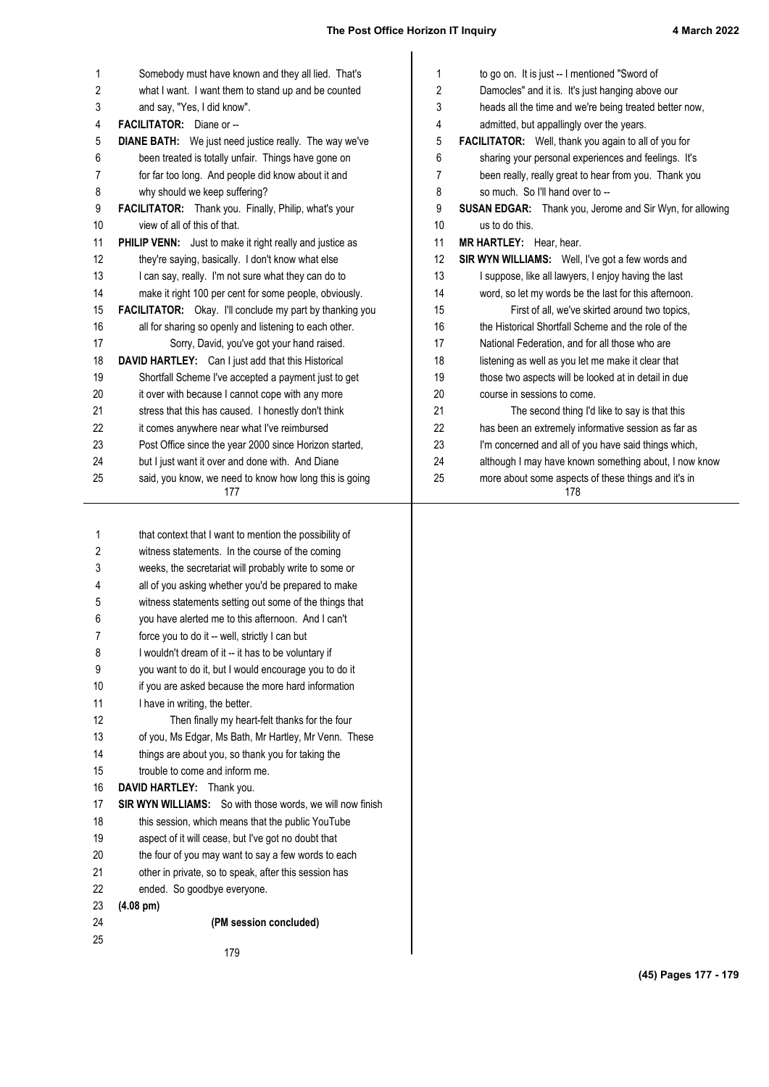# **The Post Office Horizon IT Inquiry 4 March 2022**  $\mathbf{I}$

| $\mathbf{1}$ | Somebody must have known and they all lied. That's            | 1  | to go on. It is just -- I mentioned "Sword of              |
|--------------|---------------------------------------------------------------|----|------------------------------------------------------------|
| 2            | what I want. I want them to stand up and be counted           | 2  | Damocles" and it is. It's just hanging above our           |
| 3            | and say, "Yes, I did know".                                   | 3  | heads all the time and we're being treated better now,     |
| 4            | FACILITATOR: Diane or --                                      | 4  | admitted, but appallingly over the years.                  |
| 5            | <b>DIANE BATH:</b> We just need justice really. The way we've | 5  | FACILITATOR: Well, thank you again to all of you for       |
| 6            | been treated is totally unfair. Things have gone on           | 6  | sharing your personal experiences and feelings. It's       |
| 7            | for far too long. And people did know about it and            | 7  | been really, really great to hear from you. Thank you      |
| 8            | why should we keep suffering?                                 | 8  | so much. So I'll hand over to --                           |
| 9            | FACILITATOR: Thank you. Finally, Philip, what's your          | 9  | SUSAN EDGAR: Thank you, Jerome and Sir Wyn, for allowing   |
| 10           | view of all of this of that.                                  | 10 | us to do this.                                             |
| 11           | PHILIP VENN: Just to make it right really and justice as      | 11 | MR HARTLEY: Hear, hear.                                    |
| 12           | they're saying, basically. I don't know what else             | 12 | SIR WYN WILLIAMS: Well, I've got a few words and           |
| 13           | I can say, really. I'm not sure what they can do to           | 13 | I suppose, like all lawyers, I enjoy having the last       |
| 14           | make it right 100 per cent for some people, obviously.        | 14 | word, so let my words be the last for this afternoon.      |
| 15           | FACILITATOR: Okay. I'll conclude my part by thanking you      | 15 | First of all, we've skirted around two topics,             |
| 16           | all for sharing so openly and listening to each other.        | 16 | the Historical Shortfall Scheme and the role of the        |
| 17           | Sorry, David, you've got your hand raised.                    | 17 | National Federation, and for all those who are             |
| 18           | DAVID HARTLEY: Can I just add that this Historical            | 18 | listening as well as you let me make it clear that         |
| 19           | Shortfall Scheme I've accepted a payment just to get          | 19 | those two aspects will be looked at in detail in due       |
| 20           | it over with because I cannot cope with any more              | 20 | course in sessions to come.                                |
| 21           | stress that this has caused. I honestly don't think           | 21 | The second thing I'd like to say is that this              |
| 22           | it comes anywhere near what I've reimbursed                   | 22 | has been an extremely informative session as far as        |
| 23           | Post Office since the year 2000 since Horizon started,        | 23 | I'm concerned and all of you have said things which,       |
| 24           | but I just want it over and done with. And Diane              | 24 | although I may have known something about, I now know      |
| 25           | said, you know, we need to know how long this is going<br>177 | 25 | more about some aspects of these things and it's in<br>178 |
| 1            | that context that I want to mention the possibility of        |    |                                                            |
| 2            | witness statements. In the course of the coming               |    |                                                            |
| 3            | weeks, the secretariat will probably write to some or         |    |                                                            |
| 4            | all of you asking whether you'd be prepared to make           |    |                                                            |
| 5            | witness statements setting out some of the things that        |    |                                                            |
| 6            | you have alerted me to this afternoon. And I can't            |    |                                                            |
| 7            | force you to do it -- well, strictly I can but                |    |                                                            |
| 8            | I wouldn't dream of it -- it has to be voluntary if           |    |                                                            |

I wouldn't dream of it -- it has to be voluntary if you want to do it, but I would encourage you to do it if you are asked because the more hard information I have in writing, the better. Then finally my heart-felt thanks for the four of you, Ms Edgar, Ms Bath, Mr Hartley, Mr Venn. These things are about you, so thank you for taking the trouble to come and inform me. **DAVID HARTLEY:** Thank you. **SIR WYN WILLIAMS:** So with those words, we will now finish this session, which means that the public YouTube aspect of it will cease, but I've got no doubt that the four of you may want to say a few words to each other in private, so to speak, after this session has ended. So goodbye everyone. 8 9 10 11 12 13 14 15 16 17 18 19 20 21 22

- **(4.08 pm)** 23
- **(PM session concluded)** 24 25

179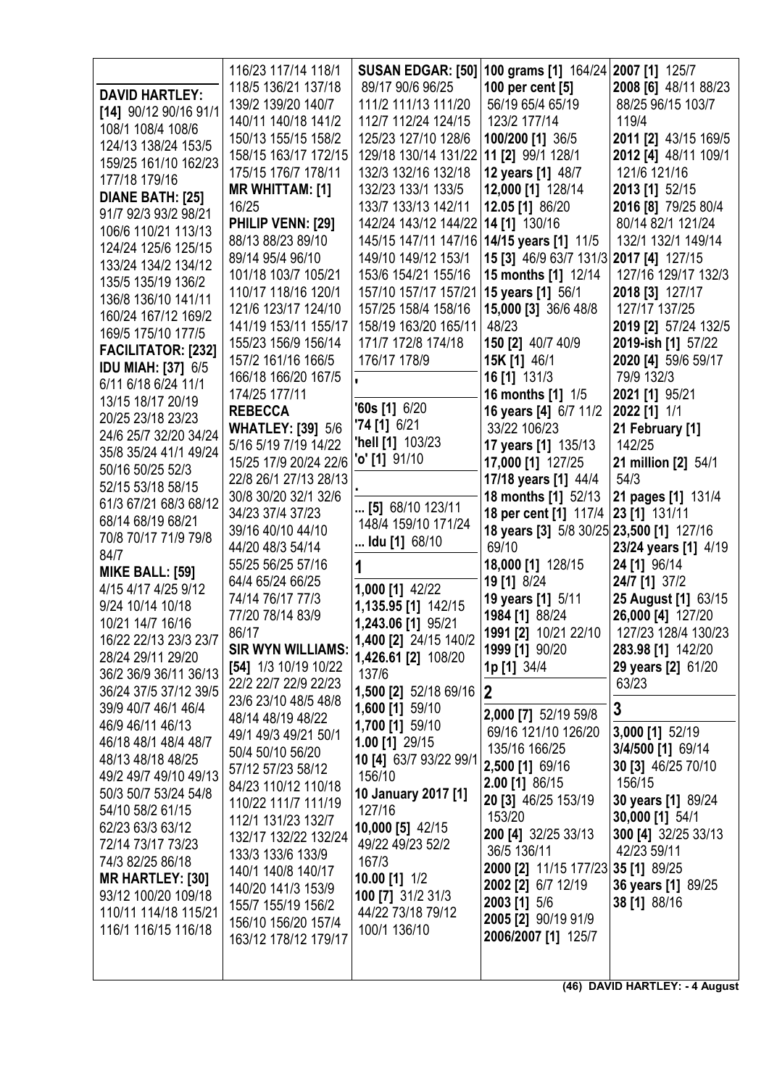| <b>DAVID HARTLEY:</b><br>[14] 90/12 90/16 91/1<br>108/1 108/4 108/6<br>124/13 138/24 153/5<br>159/25 161/10 162/23<br>177/18 179/16                                                                         | 116/23 117/14 118/1<br>118/5 136/21 137/18<br>139/2 139/20 140/7<br>140/11 140/18 141/2<br>150/13 155/15 158/2<br>158/15 163/17 172/15<br>175/15 176/7 178/11<br><b>MR WHITTAM: [1]</b>                                        | 89/17 90/6 96/25<br>111/2 111/13 111/20<br>112/7 112/24 124/15<br>125/23 127/10 128/6<br>129/18 130/14 131/22 11 [2] 99/1 128/1<br>132/3 132/16 132/18<br>132/23 133/1 133/5                                                        | SUSAN EDGAR: [50] 100 grams [1] 164/24 2007 [1] 125/7<br>100 per cent [5]<br>56/19 65/4 65/19<br>123/2 177/14<br>100/200 [1] 36/5<br>12 years [1] 48/7<br>12,000 [1] 128/14                                     | 2008 [6] 48/11 88/23<br>88/25 96/15 103/7<br>119/4<br>2011 [2] 43/15 169/5<br>2012 [4] 48/11 109/1<br>121/6 121/16<br>2013 [1] 52/15                                    |
|-------------------------------------------------------------------------------------------------------------------------------------------------------------------------------------------------------------|--------------------------------------------------------------------------------------------------------------------------------------------------------------------------------------------------------------------------------|-------------------------------------------------------------------------------------------------------------------------------------------------------------------------------------------------------------------------------------|-----------------------------------------------------------------------------------------------------------------------------------------------------------------------------------------------------------------|-------------------------------------------------------------------------------------------------------------------------------------------------------------------------|
| DIANE BATH: [25]<br>91/7 92/3 93/2 98/21<br>106/6 110/21 113/13<br>124/24 125/6 125/15<br>133/24 134/2 134/12<br>135/5 135/19 136/2<br>136/8 136/10 141/11<br>160/24 167/12 169/2<br>169/5 175/10 177/5     | 16/25<br>PHILIP VENN: [29]<br>88/13 88/23 89/10<br>89/14 95/4 96/10<br>101/18 103/7 105/21<br>110/17 118/16 120/1<br>121/6 123/17 124/10<br>141/19 153/11 155/17<br>155/23 156/9 156/14                                        | 133/7 133/13 142/11<br>142/24 143/12 144/22<br>145/15 147/11 147/16 14/15 years [1] 11/5<br>149/10 149/12 153/1<br>153/6 154/21 155/16<br>157/10 157/17 157/21<br>157/25 158/4 158/16<br>158/19 163/20 165/11<br>171/7 172/8 174/18 | 12.05 [1] 86/20<br>14 [1] 130/16<br>15 [3] 46/9 63/7 131/3 2017 [4] 127/15<br>15 months [1] 12/14<br>15 years [1] 56/1<br>15,000 [3] 36/6 48/8<br>48/23<br>150 [2] 40/7 40/9                                    | 2016 [8] 79/25 80/4<br>80/14 82/1 121/24<br>132/1 132/1 149/14<br>127/16 129/17 132/3<br>2018 [3] 127/17<br>127/17 137/25<br>2019 [2] 57/24 132/5<br>2019-ish [1] 57/22 |
| <b>FACILITATOR: [232]</b><br>IDU MIAH: [37] 6/5<br>6/11 6/18 6/24 11/1<br>13/15 18/17 20/19<br>20/25 23/18 23/23<br>24/6 25/7 32/20 34/24<br>35/8 35/24 41/1 49/24<br>50/16 50/25 52/3<br>52/15 53/18 58/15 | 157/2 161/16 166/5<br>166/18 166/20 167/5<br>174/25 177/11<br><b>REBECCA</b><br><b>WHATLEY: [39] 5/6</b><br>5/16 5/19 7/19 14/22<br>15/25 17/9 20/24 22/6<br>22/8 26/1 27/13 28/13<br>30/8 30/20 32/1 32/6                     | 176/17 178/9<br>$'60s$ [1] $6/20$<br>$74$ [1] 6/21<br>"hell [1] 103/23<br><b>'o' [1]</b> 91/10                                                                                                                                      | 15K [1] 46/1<br>16 [1] 131/3<br>16 months [1] 1/5<br>16 years [4] 6/7 11/2<br>33/22 106/23<br>17 years [1] 135/13<br>17,000 [1] 127/25<br>17/18 years [1] 44/4<br>18 months [1] 52/13                           | 2020 [4] 59/6 59/17<br>79/9 132/3<br>2021 [1] 95/21<br>2022 [1] 1/1<br>21 February [1]<br>142/25<br>21 million [2] 54/1<br>54/3<br>21 pages [1] 131/4                   |
| 61/3 67/21 68/3 68/12<br>68/14 68/19 68/21<br>70/8 70/17 71/9 79/8<br>84/7<br><b>MIKE BALL: [59]</b><br>4/15 4/17 4/25 9/12<br>9/24 10/14 10/18<br>10/21 14/7 16/16<br>16/22 22/13 23/3 23/7                | 34/23 37/4 37/23<br>39/16 40/10 44/10<br>44/20 48/3 54/14<br>55/25 56/25 57/16<br>64/4 65/24 66/25<br>74/14 76/17 77/3<br>77/20 78/14 83/9<br>86/17                                                                            | [5] 68/10 123/11<br>148/4 159/10 171/24<br>Idu [1] 68/10<br>1<br>1,000 [1] 42/22<br>1,135.95 [1] 142/15<br>1,243.06 [1] 95/21<br>1,400 [2] 24/15 140/2                                                                              | 18 per cent [1] 117/4<br>18 years [3] 5/8 30/25 23,500 [1] 127/16<br>69/10<br>18,000 [1] 128/15<br>19 [1] 8/24<br>19 years [1] 5/11<br>1984 [1] 88/24<br>1991 [2] 10/21 22/10                                   | 23 [1] 131/11<br>23/24 years [1] 4/19<br>24 [1] 96/14<br>24/7 [1] 37/2<br>25 August [1] 63/15<br>26,000 [4] 127/20<br>127/23 128/4 130/23                               |
| 28/24 29/11 29/20<br>36/2 36/9 36/11 36/13<br>36/24 37/5 37/12 39/5<br>39/9 40/7 46/1 46/4<br>46/9 46/11 46/13<br>46/18 48/1 48/4 48/7<br>48/13 48/18 48/25<br>49/2 49/7 49/10 49/13                        | <b>SIR WYN WILLIAMS:</b><br>[54] 1/3 10/19 10/22<br>22/2 22/7 22/9 22/23<br>23/6 23/10 48/5 48/8<br>48/14 48/19 48/22<br>49/1 49/3 49/21 50/1<br>50/4 50/10 56/20<br>57/12 57/23 58/12                                         | 1,426.61 [2] 108/20<br>137/6<br>1,500 [2] 52/18 69/16<br>1,600 [1] 59/10<br>1,700 [1] 59/10<br>1.00 [1] 29/15<br>10 [4] 63/7 93/22 99/1<br>156/10                                                                                   | 1999 [1] 90/20<br>1p [1] 34/4<br> 2 <br>2,000 [7] 52/19 59/8<br>69/16 121/10 126/20<br>135/16 166/25<br>2,500 [1] 69/16                                                                                         | 283.98 [1] 142/20<br>29 years [2] 61/20<br>63/23<br>3<br>3,000 [1] 52/19<br>3/4/500 [1] 69/14<br>30 [3] 46/25 70/10                                                     |
| 50/3 50/7 53/24 54/8<br>54/10 58/2 61/15<br>62/23 63/3 63/12<br>72/14 73/17 73/23<br>74/3 82/25 86/18<br><b>MR HARTLEY: [30]</b><br>93/12 100/20 109/18<br>110/11 114/18 115/21<br>116/1 116/15 116/18      | 84/23 110/12 110/18<br>110/22 111/7 111/19<br>112/1 131/23 132/7<br>132/17 132/22 132/24<br>133/3 133/6 133/9<br>140/1 140/8 140/17<br>140/20 141/3 153/9<br>155/7 155/19 156/2<br>156/10 156/20 157/4<br>163/12 178/12 179/17 | 10 January 2017 [1]<br>127/16<br>10,000 [5] 42/15<br>49/22 49/23 52/2<br>167/3<br>10.00 [1] 1/2<br>100 [7] 31/2 31/3<br>44/22 73/18 79/12<br>100/1 136/10                                                                           | 2.00 [1] 86/15<br>20 [3] 46/25 153/19<br>153/20<br>200 [4] 32/25 33/13<br>36/5 136/11<br>2000 [2] 11/15 177/23 35 [1] 89/25<br>2002 [2] 6/7 12/19<br>2003 [1] 5/6<br>2005 [2] 90/19 91/9<br>2006/2007 [1] 125/7 | 156/15<br>30 years [1] 89/24<br>30,000 [1] 54/1<br>300 [4] 32/25 33/13<br>42/23 59/11<br>36 years [1] 89/25<br>38 [1] 88/16                                             |

**(46) DAVID HARTLEY: - 4 August**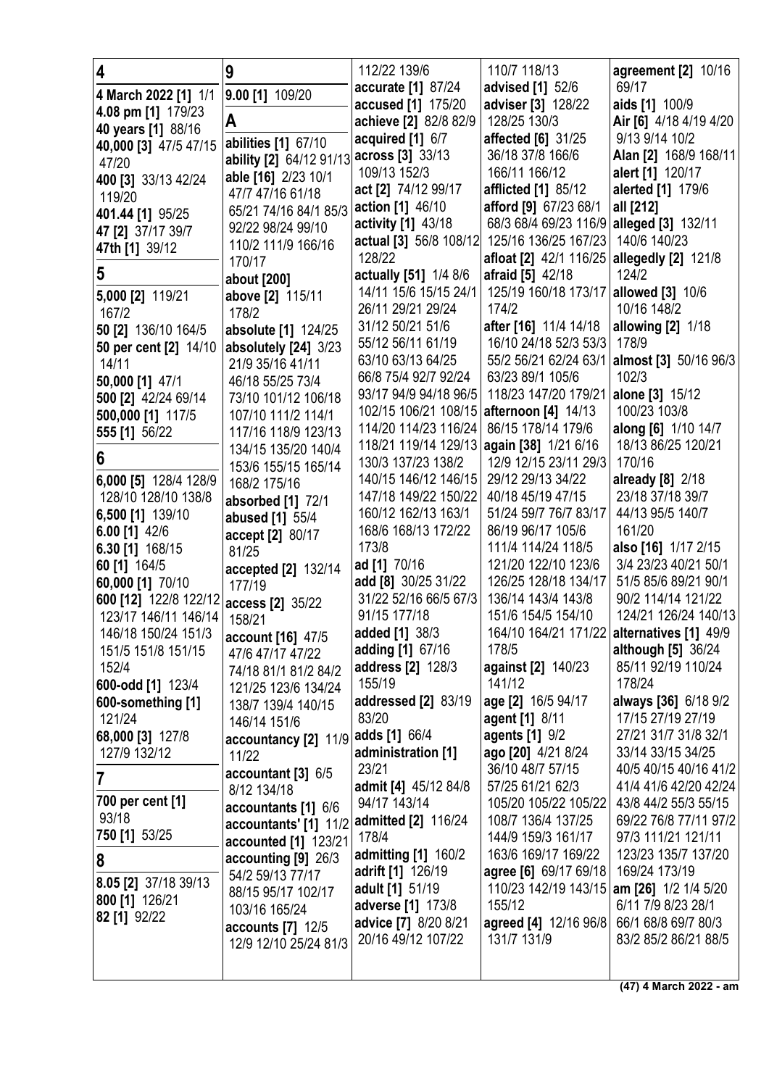| $\overline{\mathbf{4}}$ | 9                                       | 112/22 139/6                               | 110/7 118/13                                  | agreement [2] 10/16                           |
|-------------------------|-----------------------------------------|--------------------------------------------|-----------------------------------------------|-----------------------------------------------|
| 4 March 2022 [1] 1/1    | 9.00 [1] 109/20                         | accurate [1] 87/24                         | advised [1] 52/6                              | 69/17                                         |
| 4.08 pm [1] 179/23      |                                         | accused [1] 175/20                         | adviser [3] 128/22                            | aids [1] 100/9                                |
| 40 years [1] 88/16      | A                                       | achieve [2] 82/8 82/9                      | 128/25 130/3                                  | Air [6] 4/18 4/19 4/20                        |
| 40,000 [3] 47/5 47/15   | abilities [1] 67/10                     | acquired [1] 6/7                           | affected [6] 31/25                            | 9/13 9/14 10/2                                |
| 47/20                   | ability [2] 64/12 91/13                 | across [3] 33/13                           | 36/18 37/8 166/6                              | Alan [2] 168/9 168/11                         |
| 400 [3] 33/13 42/24     | able [16] 2/23 10/1                     | 109/13 152/3                               | 166/11 166/12                                 | alert [1] 120/17                              |
| 119/20                  | 47/7 47/16 61/18                        | act [2] 74/12 99/17                        | afflicted [1] 85/12                           | alerted [1] 179/6                             |
| 401.44 [1] 95/25        | 65/21 74/16 84/1 85/3                   | action [1] 46/10                           | afford [9] 67/23 68/1                         | all [212]                                     |
| 47 [2] 37/17 39/7       | 92/22 98/24 99/10                       | activity [1] 43/18                         | 68/3 68/4 69/23 116/9 alleged [3] 132/11      |                                               |
| 47th [1] 39/12          | 110/2 111/9 166/16                      | actual [3] 56/8 108/12                     | 125/16 136/25 167/23 140/6 140/23             |                                               |
|                         | 170/17                                  | 128/22                                     | afloat [2] 42/1 116/25 allegedly [2] 121/8    |                                               |
| 5                       | about [200]                             | actually [51] 1/4 8/6                      | afraid [5] 42/18                              | 124/2                                         |
| 5,000 [2] 119/21        | above [2] 115/11                        | 14/11 15/6 15/15 24/1                      | 125/19 160/18 173/17                          | allowed [3] 10/6                              |
| 167/2                   | 178/2                                   | 26/11 29/21 29/24                          | 174/2                                         | 10/16 148/2                                   |
| 50 [2] 136/10 164/5     | absolute [1] 124/25                     | 31/12 50/21 51/6                           | after [16] 11/4 14/18                         | allowing [2] 1/18                             |
| 50 per cent [2] 14/10   | absolutely [24] 3/23                    | 55/12 56/11 61/19                          | 16/10 24/18 52/3 53/3                         | 178/9                                         |
| 14/11                   | 21/9 35/16 41/11                        | 63/10 63/13 64/25                          | 55/2 56/21 62/24 63/1                         | <b>almost</b> [3] 50/16 96/3                  |
| 50,000 [1] 47/1         | 46/18 55/25 73/4                        | 66/8 75/4 92/7 92/24                       | 63/23 89/1 105/6                              | 102/3                                         |
| 500 [2] 42/24 69/14     | 73/10 101/12 106/18                     | 93/17 94/9 94/18 96/5                      | 118/23 147/20 179/21                          | alone [3] 15/12                               |
| 500,000 [1] 117/5       | 107/10 111/2 114/1                      | 102/15 106/21 108/15 afternoon [4] 14/13   |                                               | 100/23 103/8                                  |
| 555 [1] 56/22           | 117/16 118/9 123/13                     | 114/20 114/23 116/24                       | 86/15 178/14 179/6                            | along [6] 1/10 14/7                           |
| 6                       | 134/15 135/20 140/4                     | 118/21 119/14 129/13<br>130/3 137/23 138/2 | again [38] 1/21 6/16<br>12/9 12/15 23/11 29/3 | 18/13 86/25 120/21<br>170/16                  |
| 6,000 [5] 128/4 128/9   | 153/6 155/15 165/14                     | 140/15 146/12 146/15                       | 29/12 29/13 34/22                             | already [8] 2/18                              |
| 128/10 128/10 138/8     | 168/2 175/16                            | 147/18 149/22 150/22                       | 40/18 45/19 47/15                             | 23/18 37/18 39/7                              |
| 6,500 [1] 139/10        | absorbed [1] 72/1                       | 160/12 162/13 163/1                        | 51/24 59/7 76/7 83/17                         | 44/13 95/5 140/7                              |
| 6.00 $[1]$ 42/6         | abused [1] 55/4                         | 168/6 168/13 172/22                        | 86/19 96/17 105/6                             | 161/20                                        |
| 6.30 [1] 168/15         | accept [2] 80/17<br>81/25               | 173/8                                      | 111/4 114/24 118/5                            | also [16] 1/17 2/15                           |
| 60 [1] 164/5            | accepted [2] 132/14                     | ad [1] 70/16                               | 121/20 122/10 123/6                           | 3/4 23/23 40/21 50/1                          |
| 60,000 [1] 70/10        | 177/19                                  | add [8] 30/25 31/22                        | 126/25 128/18 134/17                          | 51/5 85/6 89/21 90/1                          |
| 600 [12] 122/8 122/12   | access [2] 35/22                        | 31/22 52/16 66/5 67/3                      | 136/14 143/4 143/8                            | 90/2 114/14 121/22                            |
| 123/17 146/11 146/14    | 158/21                                  | 91/15 177/18                               | 151/6 154/5 154/10                            | 124/21 126/24 140/13                          |
| 146/18 150/24 151/3     | account [16] 47/5                       | <b>added</b> [1] 38/3                      |                                               | 164/10 164/21 171/22 alternatives [1] 49/9    |
| 151/5 151/8 151/15      | 47/6 47/17 47/22                        | adding [1] 67/16                           | 178/5                                         | although [5] 36/24                            |
| 152/4                   | 74/18 81/1 81/2 84/2                    | address [2] 128/3                          | against [2] 140/23                            | 85/11 92/19 110/24                            |
| 600-odd [1] 123/4       | 121/25 123/6 134/24                     | 155/19                                     | 141/12                                        | 178/24                                        |
| 600-something [1]       | 138/7 139/4 140/15                      | addressed [2] 83/19                        | age [2] 16/5 94/17                            | always [36] 6/18 9/2                          |
| 121/24                  | 146/14 151/6                            | 83/20                                      | agent [1] 8/11                                | 17/15 27/19 27/19                             |
| 68,000 [3] 127/8        | accountancy [2] 11/9                    | adds [1] 66/4                              | agents [1] 9/2                                | 27/21 31/7 31/8 32/1                          |
| 127/9 132/12            | 11/22                                   | administration [1]                         | ago [20] 4/21 8/24                            | 33/14 33/15 34/25                             |
| 7                       | accountant [3] 6/5                      | 23/21                                      | 36/10 48/7 57/15                              | 40/5 40/15 40/16 41/2                         |
| 700 per cent [1]        | 8/12 134/18                             | admit [4] 45/12 84/8<br>94/17 143/14       | 57/25 61/21 62/3                              | 41/4 41/6 42/20 42/24                         |
| 93/18                   | accountants [1] 6/6                     | admitted [2] 116/24                        | 105/20 105/22 105/22<br>108/7 136/4 137/25    | 43/8 44/2 55/3 55/15<br>69/22 76/8 77/11 97/2 |
| 750 [1] 53/25           | accountants' [1] 11/2                   | 178/4                                      | 144/9 159/3 161/17                            | 97/3 111/21 121/11                            |
|                         | accounted [1] 123/21                    | <b>admitting [1]</b> 160/2                 | 163/6 169/17 169/22                           | 123/23 135/7 137/20                           |
| 8                       | accounting [9] 26/3<br>54/2 59/13 77/17 | <b>adrift</b> [1] 126/19                   | agree [6] 69/17 69/18                         | 169/24 173/19                                 |
| 8.05 [2] 37/18 39/13    | 88/15 95/17 102/17                      | adult [1] 51/19                            | 110/23 142/19 143/15                          | am [26] 1/2 1/4 5/20                          |
| 800 [1] 126/21          | 103/16 165/24                           | adverse [1] 173/8                          | 155/12                                        | 6/11 7/9 8/23 28/1                            |
| 82 [1] 92/22            | <b>accounts</b> [7] 12/5                | advice [7] 8/20 8/21                       | agreed [4] 12/16 96/8                         | 66/1 68/8 69/7 80/3                           |
|                         | 12/9 12/10 25/24 81/3                   | 20/16 49/12 107/22                         | 131/7 131/9                                   | 83/2 85/2 86/21 88/5                          |
|                         |                                         |                                            |                                               |                                               |
|                         |                                         |                                            |                                               |                                               |

**(47) 4 March 2022 - am**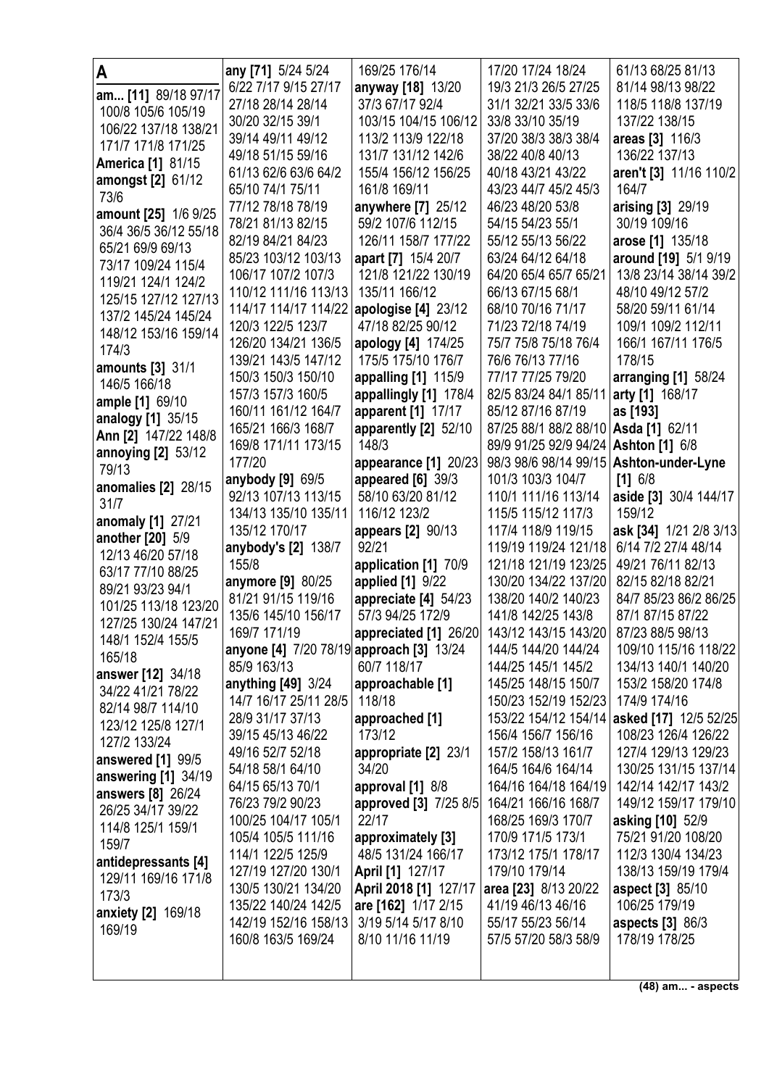| Α                                      | any [71] 5/24 5/24                                      | 169/25 176/14                          | 17/20 17/24 18/24                                                 | 61/13 68/25 81/13                           |
|----------------------------------------|---------------------------------------------------------|----------------------------------------|-------------------------------------------------------------------|---------------------------------------------|
| am [11] 89/18 97/17                    | 6/22 7/17 9/15 27/17                                    | anyway [18] 13/20                      | 19/3 21/3 26/5 27/25                                              | 81/14 98/13 98/22                           |
| 100/8 105/6 105/19                     | 27/18 28/14 28/14                                       | 37/3 67/17 92/4                        | 31/1 32/21 33/5 33/6                                              | 118/5 118/8 137/19                          |
| 106/22 137/18 138/21                   | 30/20 32/15 39/1                                        | 103/15 104/15 106/12                   | 33/8 33/10 35/19                                                  | 137/22 138/15                               |
| 171/7 171/8 171/25                     | 39/14 49/11 49/12                                       | 113/2 113/9 122/18                     | 37/20 38/3 38/3 38/4                                              | areas [3] 116/3                             |
| <b>America [1] 81/15</b>               | 49/18 51/15 59/16                                       | 131/7 131/12 142/6                     | 38/22 40/8 40/13                                                  | 136/22 137/13                               |
| amongst [2] 61/12                      | 61/13 62/6 63/6 64/2                                    | 155/4 156/12 156/25                    | 40/18 43/21 43/22                                                 | aren't [3] 11/16 110/2                      |
| 73/6                                   | 65/10 74/1 75/11                                        | 161/8 169/11                           | 43/23 44/7 45/2 45/3                                              | 164/7                                       |
| amount [25] 1/6 9/25                   | 77/12 78/18 78/19                                       | anywhere [7] 25/12                     | 46/23 48/20 53/8                                                  | arising [3] 29/19                           |
| 36/4 36/5 36/12 55/18                  | 78/21 81/13 82/15                                       | 59/2 107/6 112/15                      | 54/15 54/23 55/1                                                  | 30/19 109/16                                |
| 65/21 69/9 69/13                       | 82/19 84/21 84/23                                       | 126/11 158/7 177/22                    | 55/12 55/13 56/22                                                 | arose [1] 135/18                            |
| 73/17 109/24 115/4                     | 85/23 103/12 103/13                                     | apart [7] 15/4 20/7                    | 63/24 64/12 64/18                                                 | around [19] 5/1 9/19                        |
| 119/21 124/1 124/2                     | 106/17 107/2 107/3                                      | 121/8 121/22 130/19                    | 64/20 65/4 65/7 65/21<br>66/13 67/15 68/1                         | 13/8 23/14 38/14 39/2                       |
| 125/15 127/12 127/13                   | 110/12 111/16 113/13<br>114/17 114/17 114/22            | 135/11 166/12<br>apologise $[4]$ 23/12 | 68/10 70/16 71/17                                                 | 48/10 49/12 57/2<br>58/20 59/11 61/14       |
| 137/2 145/24 145/24                    | 120/3 122/5 123/7                                       | 47/18 82/25 90/12                      | 71/23 72/18 74/19                                                 | 109/1 109/2 112/11                          |
| 148/12 153/16 159/14                   | 126/20 134/21 136/5                                     | apology [4] 174/25                     | 75/7 75/8 75/18 76/4                                              | 166/1 167/11 176/5                          |
| 174/3                                  | 139/21 143/5 147/12                                     | 175/5 175/10 176/7                     | 76/6 76/13 77/16                                                  | 178/15                                      |
| <b>amounts</b> [3] 31/1                | 150/3 150/3 150/10                                      | appalling [1] 115/9                    | 77/17 77/25 79/20                                                 | arranging $[1]$ 58/24                       |
| 146/5 166/18                           | 157/3 157/3 160/5                                       | appallingly [1] 178/4                  | 82/5 83/24 84/1 85/11                                             | arty [1] 168/17                             |
| ample [1] 69/10                        | 160/11 161/12 164/7                                     | apparent [1] 17/17                     | 85/12 87/16 87/19                                                 | as [193]                                    |
| analogy [1] 35/15                      | 165/21 166/3 168/7                                      | apparently [2] 52/10                   | 87/25 88/1 88/2 88/10   Asda [1] 62/11                            |                                             |
| Ann [2] 147/22 148/8                   | 169/8 171/11 173/15                                     | 148/3                                  | 89/9 91/25 92/9 94/24                                             | <b>Ashton</b> [1] 6/8                       |
| <b>annoying [2] 53/12</b><br>79/13     | 177/20                                                  | appearance [1] 20/23                   | 98/3 98/6 98/14 99/15                                             | Ashton-under-Lyne                           |
| anomalies [2] 28/15                    | anybody [9] 69/5                                        | appeared [6] 39/3                      | 101/3 103/3 104/7                                                 | [1] 6/8                                     |
| 31/7                                   | 92/13 107/13 113/15                                     | 58/10 63/20 81/12                      | 110/1 111/16 113/14                                               | aside [3] 30/4 144/17                       |
| anomaly [1] 27/21                      | 134/13 135/10 135/11                                    | 116/12 123/2                           | 115/5 115/12 117/3                                                | 159/12                                      |
| another [20] 5/9                       | 135/12 170/17                                           | <b>appears [2] 90/13</b>               | 117/4 118/9 119/15                                                | ask [34] 1/21 2/8 3/13                      |
| 12/13 46/20 57/18                      | anybody's [2] 138/7                                     | 92/21                                  | 119/19 119/24 121/18                                              | 6/14 7/2 27/4 48/14                         |
| 63/17 77/10 88/25                      | 155/8                                                   | application [1] 70/9                   | 121/18 121/19 123/25                                              | 49/21 76/11 82/13                           |
| 89/21 93/23 94/1                       | anymore [9] 80/25                                       | applied [1] 9/22                       | 130/20 134/22 137/20                                              | 82/15 82/18 82/21                           |
| 101/25 113/18 123/20                   | 81/21 91/15 119/16                                      | appreciate [4] 54/23                   | 138/20 140/2 140/23                                               | 84/7 85/23 86/2 86/25                       |
| 127/25 130/24 147/21                   | 135/6 145/10 156/17                                     | 57/3 94/25 172/9                       | 141/8 142/25 143/8                                                | 87/1 87/15 87/22                            |
| 148/1 152/4 155/5                      | 169/7 171/19                                            |                                        | appreciated [1] 26/20 143/12 143/15 143/20<br>144/5 144/20 144/24 | 87/23 88/5 98/13                            |
| 165/18                                 | anyone [4] 7/20 78/19 approach [3] 13/24<br>85/9 163/13 | 60/7 118/17                            | 144/25 145/1 145/2                                                | 109/10 115/16 118/22<br>134/13 140/1 140/20 |
| answer [12] 34/18                      | anything [49] 3/24                                      | approachable [1]                       | 145/25 148/15 150/7                                               | 153/2 158/20 174/8                          |
| 34/22 41/21 78/22                      | 14/7 16/17 25/11 28/5                                   | 118/18                                 | 150/23 152/19 152/23                                              | 174/9 174/16                                |
| 82/14 98/7 114/10                      | 28/9 31/17 37/13                                        | approached [1]                         | 153/22 154/12 154/14                                              | asked [17] 12/5 52/25                       |
| 123/12 125/8 127/1                     | 39/15 45/13 46/22                                       | 173/12                                 | 156/4 156/7 156/16                                                | 108/23 126/4 126/22                         |
| 127/2 133/24                           | 49/16 52/7 52/18                                        | appropriate [2] 23/1                   | 157/2 158/13 161/7                                                | 127/4 129/13 129/23                         |
| answered [1] 99/5                      | 54/18 58/1 64/10                                        | 34/20                                  | 164/5 164/6 164/14                                                | 130/25 131/15 137/14                        |
| answering [1] 34/19                    | 64/15 65/13 70/1                                        | approval [1] 8/8                       | 164/16 164/18 164/19                                              | 142/14 142/17 143/2                         |
| answers [8] 26/24<br>26/25 34/17 39/22 | 76/23 79/2 90/23                                        | approved [3] 7/25 8/5                  | 164/21 166/16 168/7                                               | 149/12 159/17 179/10                        |
| 114/8 125/1 159/1                      | 100/25 104/17 105/1                                     | 22/17                                  | 168/25 169/3 170/7                                                | asking [10] 52/9                            |
| 159/7                                  | 105/4 105/5 111/16                                      | approximately [3]                      | 170/9 171/5 173/1                                                 | 75/21 91/20 108/20                          |
| antidepressants [4]                    | 114/1 122/5 125/9                                       | 48/5 131/24 166/17                     | 173/12 175/1 178/17                                               | 112/3 130/4 134/23                          |
| 129/11 169/16 171/8                    | 127/19 127/20 130/1                                     | <b>April [1] 127/17</b>                | 179/10 179/14                                                     | 138/13 159/19 179/4                         |
| 173/3                                  | 130/5 130/21 134/20                                     | April 2018 [1] 127/17                  | area [23] 8/13 20/22                                              | aspect [3] 85/10                            |
| <b>anxiety</b> [2] 169/18              | 135/22 140/24 142/5                                     | are [162] 1/17 2/15                    | 41/19 46/13 46/16                                                 | 106/25 179/19                               |
| 169/19                                 | 142/19 152/16 158/13                                    | 3/19 5/14 5/17 8/10                    | 55/17 55/23 56/14                                                 | <b>aspects</b> [3] 86/3                     |
|                                        | 160/8 163/5 169/24                                      | 8/10 11/16 11/19                       | 57/5 57/20 58/3 58/9                                              | 178/19 178/25                               |
|                                        |                                                         |                                        |                                                                   |                                             |

(48) am... - aspects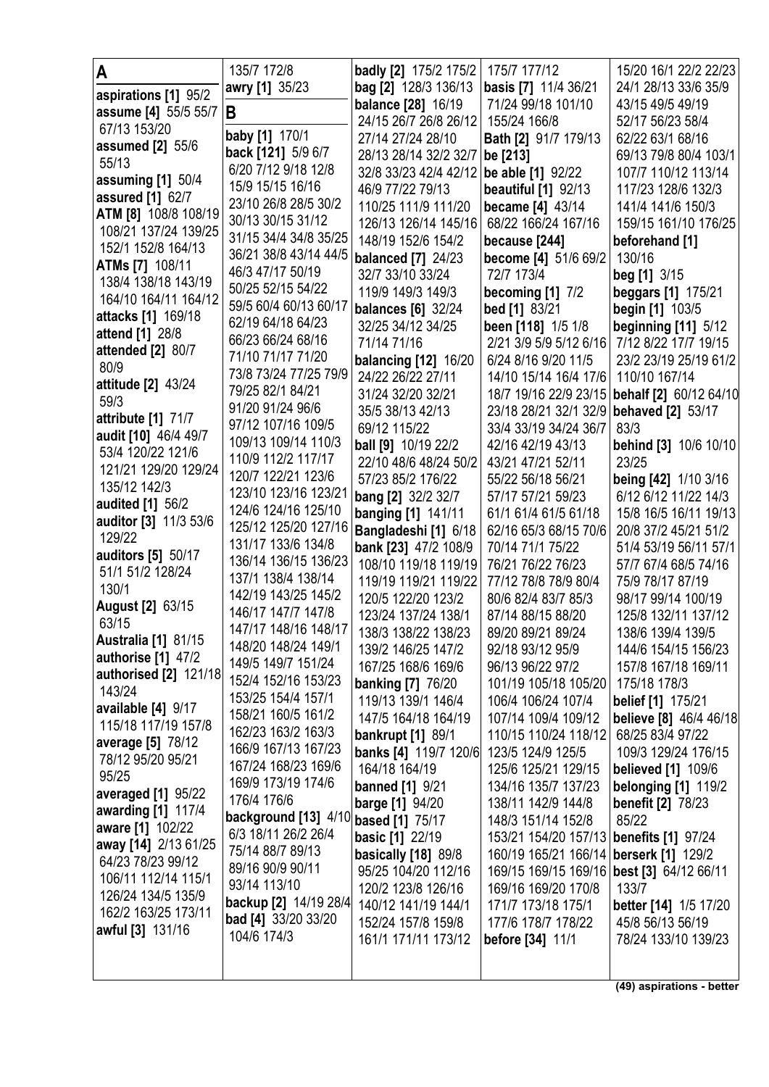| A                                             | 135/7 172/8                                | badly [2] 175/2 175/2                      | 175/7 177/12                                | 15/20 16/1 22/2 22/23                   |
|-----------------------------------------------|--------------------------------------------|--------------------------------------------|---------------------------------------------|-----------------------------------------|
|                                               | awry [1] 35/23                             | bag [2] 128/3 136/13                       | basis [7] 11/4 36/21                        | 24/1 28/13 33/6 35/9                    |
| aspirations [1] 95/2                          |                                            | <b>balance</b> [28] 16/19                  | 71/24 99/18 101/10                          | 43/15 49/5 49/19                        |
| assume [4] 55/5 55/7                          | B                                          | 24/15 26/7 26/8 26/12                      | 155/24 166/8                                | 52/17 56/23 58/4                        |
| 67/13 153/20                                  | baby [1] 170/1                             | 27/14 27/24 28/10                          | Bath [2] 91/7 179/13                        | 62/22 63/1 68/16                        |
| assumed [2] 55/6                              | back [121] 5/9 6/7                         | 28/13 28/14 32/2 32/7                      | be [213]                                    | 69/13 79/8 80/4 103/1                   |
| 55/13                                         | 6/20 7/12 9/18 12/8                        | 32/8 33/23 42/4 42/12                      | be able [1] 92/22                           | 107/7 110/12 113/14                     |
| assuming $[1]$ 50/4                           | 15/9 15/15 16/16                           | 46/9 77/22 79/13                           | <b>beautiful</b> [1] 92/13                  | 117/23 128/6 132/3                      |
| <b>assured</b> [1] 62/7                       | 23/10 26/8 28/5 30/2                       | 110/25 111/9 111/20                        | became [4] 43/14                            | 141/4 141/6 150/3                       |
| ATM [8] 108/8 108/19<br>108/21 137/24 139/25  | 30/13 30/15 31/12                          | 126/13 126/14 145/16                       | 68/22 166/24 167/16                         | 159/15 161/10 176/25                    |
| 152/1 152/8 164/13                            | 31/15 34/4 34/8 35/25                      | 148/19 152/6 154/2                         | because [244]                               | beforehand [1]                          |
|                                               | 36/21 38/8 43/14 44/5                      | <b>balanced</b> [7] 24/23                  | become [4] 51/6 69/2                        | 130/16                                  |
| <b>ATMs [7] 108/11</b><br>138/4 138/18 143/19 | 46/3 47/17 50/19                           | 32/7 33/10 33/24                           | 72/7 173/4                                  | beg $[1]$ 3/15                          |
| 164/10 164/11 164/12                          | 50/25 52/15 54/22                          | 119/9 149/3 149/3                          | becoming $[1]$ $7/2$                        | <b>beggars</b> [1] 175/21               |
|                                               | 59/5 60/4 60/13 60/17                      | <b>balances</b> [6] 32/24                  | bed [1] 83/21                               | begin [1] 103/5                         |
| attacks [1] 169/18                            | 62/19 64/18 64/23                          | 32/25 34/12 34/25                          | been [118] 1/5 1/8                          | beginning [11] 5/12                     |
| attend [1] 28/8                               | 66/23 66/24 68/16                          | 71/14 71/16                                | 2/21 3/9 5/9 5/12 6/16                      | 7/12 8/22 17/7 19/15                    |
| attended [2] 80/7<br>80/9                     | 71/10 71/17 71/20                          | <b>balancing [12] 16/20</b>                | 6/24 8/16 9/20 11/5                         | 23/2 23/19 25/19 61/2                   |
| attitude [2] 43/24                            | 73/8 73/24 77/25 79/9                      | 24/22 26/22 27/11                          | 14/10 15/14 16/4 17/6                       | 110/10 167/14                           |
| 59/3                                          | 79/25 82/1 84/21                           | 31/24 32/20 32/21                          | 18/7 19/16 22/9 23/15                       | behalf [2] 60/12 64/10                  |
| attribute [1] 71/7                            | 91/20 91/24 96/6                           | 35/5 38/13 42/13                           | 23/18 28/21 32/1 32/9                       | <b>behaved</b> [2] 53/17                |
| audit [10] 46/4 49/7                          | 97/12 107/16 109/5                         | 69/12 115/22                               | 33/4 33/19 34/24 36/7                       | 83/3                                    |
| 53/4 120/22 121/6                             | 109/13 109/14 110/3                        | ball [9] 10/19 22/2                        | 42/16 42/19 43/13                           | <b>behind</b> [3] 10/6 10/10            |
| 121/21 129/20 129/24                          | 110/9 112/2 117/17                         | 22/10 48/6 48/24 50/2                      | 43/21 47/21 52/11                           | 23/25                                   |
| 135/12 142/3                                  | 120/7 122/21 123/6<br>123/10 123/16 123/21 | 57/23 85/2 176/22                          | 55/22 56/18 56/21                           | being [42] 1/10 3/16                    |
| <b>audited</b> [1] 56/2                       | 124/6 124/16 125/10                        | bang [2] 32/2 32/7                         | 57/17 57/21 59/23                           | 6/12 6/12 11/22 14/3                    |
| auditor [3] 11/3 53/6                         | 125/12 125/20 127/16                       | banging [1] 141/11                         | 61/1 61/4 61/5 61/18                        | 15/8 16/5 16/11 19/13                   |
| 129/22                                        | 131/17 133/6 134/8                         | Bangladeshi [1] 6/18                       | 62/16 65/3 68/15 70/6                       | 20/8 37/2 45/21 51/2                    |
| auditors [5] 50/17                            | 136/14 136/15 136/23                       | bank [23] 47/2 108/9                       | 70/14 71/1 75/22                            | 51/4 53/19 56/11 57/1                   |
| 51/1 51/2 128/24                              | 137/1 138/4 138/14                         | 108/10 119/18 119/19                       | 76/21 76/22 76/23                           | 57/7 67/4 68/5 74/16                    |
| 130/1                                         | 142/19 143/25 145/2                        | 119/19 119/21 119/22<br>120/5 122/20 123/2 | 77/12 78/8 78/9 80/4<br>80/6 82/4 83/7 85/3 | 75/9 78/17 87/19<br>98/17 99/14 100/19  |
| <b>August [2] 63/15</b>                       | 146/17 147/7 147/8                         | 123/24 137/24 138/1                        | 87/14 88/15 88/20                           | 125/8 132/11 137/12                     |
| 63/15                                         | 147/17 148/16 148/17                       | 138/3 138/22 138/23                        | 89/20 89/21 89/24                           | 138/6 139/4 139/5                       |
| Australia [1] 81/15                           | 148/20 148/24 149/1                        | 139/2 146/25 147/2                         | 92/18 93/12 95/9                            | 144/6 154/15 156/23                     |
| <b>authorise</b> [1] 47/2                     | 149/5 149/7 151/24                         | 167/25 168/6 169/6                         | 96/13 96/22 97/2                            | 157/8 167/18 169/11                     |
| authorised [2] 121/18                         | 152/4 152/16 153/23                        | <b>banking [7] 76/20</b>                   | 101/19 105/18 105/20                        | 175/18 178/3                            |
| 143/24                                        | 153/25 154/4 157/1                         | 119/13 139/1 146/4                         | 106/4 106/24 107/4                          | <b>belief</b> [1] 175/21                |
| available [4] 9/17<br>115/18 117/19 157/8     | 158/21 160/5 161/2                         | 147/5 164/18 164/19                        | 107/14 109/4 109/12                         | believe [8] 46/4 46/18                  |
| average [5] 78/12                             | 162/23 163/2 163/3                         | <b>bankrupt</b> [1] 89/1                   | 110/15 110/24 118/12                        | 68/25 83/4 97/22                        |
| 78/12 95/20 95/21                             | 166/9 167/13 167/23                        | banks [4] 119/7 120/6                      | 123/5 124/9 125/5                           | 109/3 129/24 176/15                     |
| 95/25                                         | 167/24 168/23 169/6                        | 164/18 164/19                              | 125/6 125/21 129/15                         | <b>believed</b> [1] 109/6               |
| averaged [1] 95/22                            | 169/9 173/19 174/6                         | <b>banned</b> [1] 9/21                     | 134/16 135/7 137/23                         | belonging [1] 119/2                     |
| awarding [1] 117/4                            | 176/4 176/6                                | <b>barge</b> [1] 94/20                     | 138/11 142/9 144/8                          | <b>benefit [2] 78/23</b>                |
| aware [1] 102/22                              | background [13] 4/10 based [1] 75/17       |                                            | 148/3 151/14 152/8                          | 85/22                                   |
| away [14] 2/13 61/25                          | 6/3 18/11 26/2 26/4                        | <b>basic</b> [1] 22/19                     | 153/21 154/20 157/13                        | <b>benefits</b> [1] 97/24               |
| 64/23 78/23 99/12                             | 75/14 88/7 89/13<br>89/16 90/9 90/11       | basically [18] 89/8                        | 160/19 165/21 166/14                        | <b>berserk</b> [1] 129/2                |
| 106/11 112/14 115/1                           | 93/14 113/10                               | 95/25 104/20 112/16                        | 169/15 169/15 169/16                        | best [3] 64/12 66/11                    |
| 126/24 134/5 135/9                            | backup [2] 14/19 28/4                      | 120/2 123/8 126/16                         | 169/16 169/20 170/8                         | 133/7                                   |
| 162/2 163/25 173/11                           | <b>bad [4]</b> 33/20 33/20                 | 140/12 141/19 144/1<br>152/24 157/8 159/8  | 171/7 173/18 175/1<br>177/6 178/7 178/22    | better [14] 1/5 17/20                   |
| awful [3] 131/16                              | 104/6 174/3                                | 161/1 171/11 173/12                        | before [34] 11/1                            | 45/8 56/13 56/19<br>78/24 133/10 139/23 |
|                                               |                                            |                                            |                                             |                                         |
|                                               |                                            |                                            |                                             |                                         |

**(49) aspirations - better**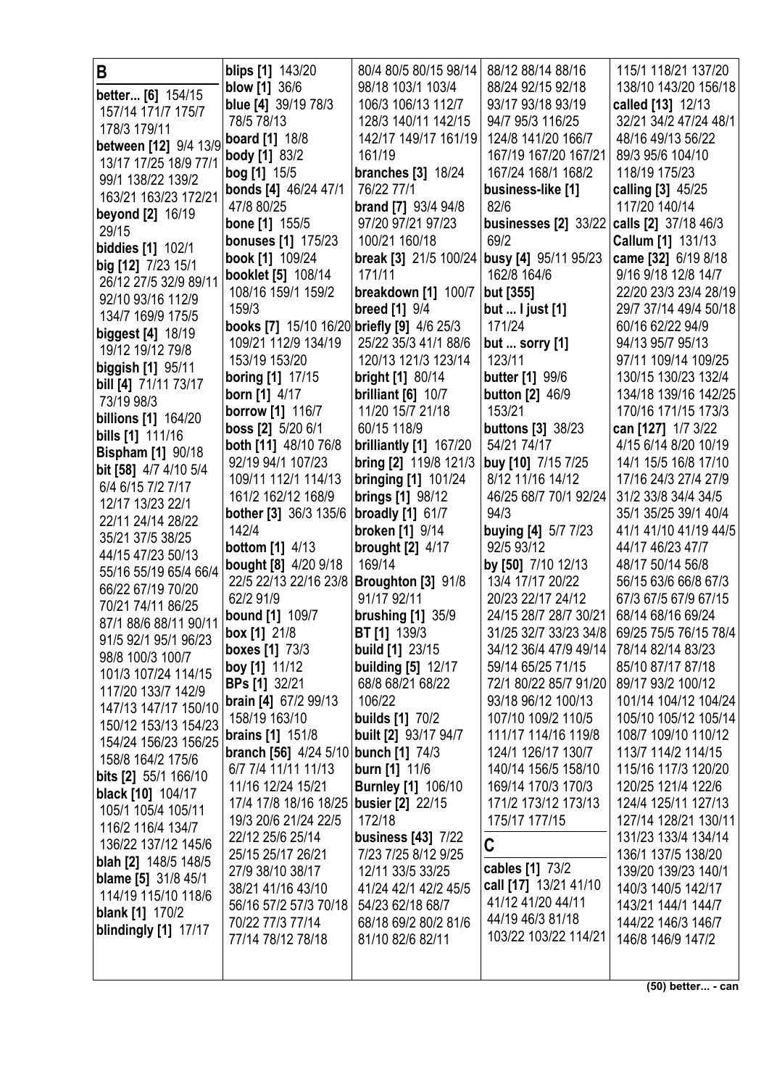| B                                           | <b>blips [1] 143/20</b>                            | 80/4 80/5 80/15 98/14                                | 88/12 88/14 88/16                          | 115/1 118/21 137/20                        |
|---------------------------------------------|----------------------------------------------------|------------------------------------------------------|--------------------------------------------|--------------------------------------------|
| better [6] 154/15                           | blow [1] 36/6                                      | 98/18 103/1 103/4                                    | 88/24 92/15 92/18                          | 138/10 143/20 156/18                       |
| 157/14 171/7 175/7                          | blue [4] 39/19 78/3                                | 106/3 106/13 112/7                                   | 93/17 93/18 93/19                          | called [13] 12/13                          |
| 178/3 179/11                                | 78/5 78/13                                         | 128/3 140/11 142/15                                  | 94/7 95/3 116/25                           | 32/21 34/2 47/24 48/1                      |
| between [12] 9/4 13/9                       | <b>board</b> [1] 18/8                              | 142/17 149/17 161/19                                 | 124/8 141/20 166/7                         | 48/16 49/13 56/22                          |
| 13/17 17/25 18/9 77/1                       | <b>body</b> [1] 83/2                               | 161/19                                               | 167/19 167/20 167/21                       | 89/3 95/6 104/10                           |
| 99/1 138/22 139/2                           | bog [1] 15/5                                       | <b>branches</b> [3] 18/24                            | 167/24 168/1 168/2                         | 118/19 175/23                              |
| 163/21 163/23 172/21                        | bonds [4] 46/24 47/1                               | 76/22 77/1                                           | business-like [1]                          | calling [3] 45/25                          |
| beyond [2] 16/19                            | 47/8 80/25                                         | <b>brand [7] 93/4 94/8</b>                           | 82/6                                       | 117/20 140/14                              |
| 29/15                                       | <b>bone</b> [1] 155/5                              | 97/20 97/21 97/23                                    | businesses $[2]$ 33/22                     | calls [2] 37/18 46/3                       |
| <b>biddies</b> [1] 102/1                    | <b>bonuses</b> [1] 175/23                          | 100/21 160/18                                        | 69/2                                       | Callum [1] 131/13                          |
| big [12] 7/23 15/1                          | book [1] 109/24                                    | break [3] 21/5 100/24 busy [4] 95/11 95/23<br>171/11 | 162/8 164/6                                | came [32] 6/19 8/18<br>9/16 9/18 12/8 14/7 |
| 26/12 27/5 32/9 89/11                       | booklet [5] 108/14<br>108/16 159/1 159/2           | breakdown [1] 100/7                                  | but [355]                                  | 22/20 23/3 23/4 28/19                      |
| 92/10 93/16 112/9                           | 159/3                                              | <b>breed</b> [1] 9/4                                 | but  I just $[1]$                          | 29/7 37/14 49/4 50/18                      |
| 134/7 169/9 175/5                           | books [7] 15/10 16/20 briefly [9] 4/6 25/3         |                                                      | 171/24                                     | 60/16 62/22 94/9                           |
| <b>biggest</b> [4] 18/19                    | 109/21 112/9 134/19                                | 25/22 35/3 41/1 88/6                                 | but  sorry [1]                             | 94/13 95/7 95/13                           |
| 19/12 19/12 79/8                            | 153/19 153/20                                      | 120/13 121/3 123/14                                  | 123/11                                     | 97/11 109/14 109/25                        |
| biggish [1] 95/11                           | boring [1] 17/15                                   | <b>bright [1] 80/14</b>                              | <b>butter</b> [1] 99/6                     | 130/15 130/23 132/4                        |
| bill [4] 71/11 73/17                        | <b>born</b> [1] $4/17$                             | brilliant $[6]$ 10/7                                 | <b>button</b> [2] 46/9                     | 134/18 139/16 142/25                       |
| 73/19 98/3                                  | <b>borrow</b> [1] 116/7                            | 11/20 15/7 21/18                                     | 153/21                                     | 170/16 171/15 173/3                        |
| <b>billions</b> [1] 164/20                  | boss [2] 5/20 6/1                                  | 60/15 118/9                                          | <b>buttons</b> [3] 38/23                   | can [127] 1/7 3/22                         |
| bills [1] 111/16                            | both [11] 48/10 76/8                               | brilliantly [1] 167/20                               | 54/21 74/17                                | 4/15 6/14 8/20 10/19                       |
| <b>Bispham [1] 90/18</b>                    | 92/19 94/1 107/23                                  | bring [2] 119/8 121/3                                | buy [10] 7/15 7/25                         | 14/1 15/5 16/8 17/10                       |
| bit [58] 4/7 4/10 5/4<br>6/4 6/15 7/2 7/17  | 109/11 112/1 114/13                                | <b>bringing [1] 101/24</b>                           | 8/12 11/16 14/12                           | 17/16 24/3 27/4 27/9                       |
| 12/17 13/23 22/1                            | 161/2 162/12 168/9                                 | <b>brings [1] 98/12</b>                              | 46/25 68/7 70/1 92/24                      | 31/2 33/8 34/4 34/5                        |
| 22/11 24/14 28/22                           | <b>bother [3] 36/3 135/6</b>                       | <b>broadly</b> [1] 61/7                              | 94/3                                       | 35/1 35/25 39/1 40/4                       |
| 35/21 37/5 38/25                            | 142/4                                              | <b>broken</b> [1] 9/14                               | <b>buying [4] 5/7 7/23</b>                 | 41/1 41/10 41/19 44/5                      |
| 44/15 47/23 50/13                           | <b>bottom</b> [1] 4/13                             | <b>brought [2] 4/17</b>                              | 92/5 93/12                                 | 44/17 46/23 47/7                           |
| 55/16 55/19 65/4 66/4                       | <b>bought [8] 4/20 9/18</b>                        | 169/14                                               | by [50] 7/10 12/13                         | 48/17 50/14 56/8                           |
| 66/22 67/19 70/20                           | 22/5 22/13 22/16 23/8 Broughton [3] 91/8           |                                                      | 13/4 17/17 20/22                           | 56/15 63/6 66/8 67/3                       |
| 70/21 74/11 86/25                           | 62/2 91/9                                          | 91/17 92/11                                          | 20/23 22/17 24/12                          | 67/3 67/5 67/9 67/15                       |
| 87/1 88/6 88/11 90/11                       | bound [1] 109/7                                    | brushing $[1]$ 35/9                                  | 24/15 28/7 28/7 30/21                      | 68/14 68/16 69/24                          |
| 91/5 92/1 95/1 96/23                        | <b>box</b> [1] 21/8                                | <b>BT [1]</b> 139/3                                  | 31/25 32/7 33/23 34/8                      | 69/25 75/5 76/15 78/4                      |
| 98/8 100/3 100/7                            | <b>boxes</b> [1] 73/3                              | <b>build [1] 23/15</b>                               | 34/12 36/4 47/9 49/14                      | 78/14 82/14 83/23                          |
| 101/3 107/24 114/15                         | boy [1] 11/12                                      | <b>building [5] 12/17</b>                            | 59/14 65/25 71/15<br>72/1 80/22 85/7 91/20 | 85/10 87/17 87/18                          |
| 117/20 133/7 142/9                          | <b>BPs [1] 32/21</b><br>brain [4] 67/2 99/13       | 68/8 68/21 68/22<br>106/22                           | 93/18 96/12 100/13                         | 89/17 93/2 100/12<br>101/14 104/12 104/24  |
| 147/13 147/17 150/10                        | 158/19 163/10                                      | <b>builds</b> [1] 70/2                               | 107/10 109/2 110/5                         | 105/10 105/12 105/14                       |
| 150/12 153/13 154/23                        | <b>brains</b> [1] 151/8                            | built [2] 93/17 94/7                                 | 111/17 114/16 119/8                        | 108/7 109/10 110/12                        |
| 154/24 156/23 156/25                        | <b>branch [56]</b> 4/24 5/10 <b>bunch [1]</b> 74/3 |                                                      | 124/1 126/17 130/7                         | 113/7 114/2 114/15                         |
| 158/8 164/2 175/6                           | 6/7 7/4 11/11 11/13                                | <b>burn</b> [1] 11/6                                 | 140/14 156/5 158/10                        | 115/16 117/3 120/20                        |
| bits [2] 55/1 166/10                        | 11/16 12/24 15/21                                  | <b>Burnley [1] 106/10</b>                            | 169/14 170/3 170/3                         | 120/25 121/4 122/6                         |
| black [10] 104/17                           | 17/4 17/8 18/16 18/25 busier [2] 22/15             |                                                      | 171/2 173/12 173/13                        | 124/4 125/11 127/13                        |
| 105/1 105/4 105/11                          | 19/3 20/6 21/24 22/5                               | 172/18                                               | 175/17 177/15                              | 127/14 128/21 130/11                       |
| 116/2 116/4 134/7                           | 22/12 25/6 25/14                                   | business [43] 7/22                                   |                                            | 131/23 133/4 134/14                        |
| 136/22 137/12 145/6<br>blah [2] 148/5 148/5 | 25/15 25/17 26/21                                  | 7/23 7/25 8/12 9/25                                  | C                                          | 136/1 137/5 138/20                         |
| <b>blame</b> [5] 31/8 45/1                  | 27/9 38/10 38/17                                   | 12/11 33/5 33/25                                     | cables [1] 73/2                            | 139/20 139/23 140/1                        |
| 114/19 115/10 118/6                         | 38/21 41/16 43/10                                  | 41/24 42/1 42/2 45/5                                 | call [17] 13/21 41/10                      | 140/3 140/5 142/17                         |
| <b>blank</b> [1] 170/2                      | 56/16 57/2 57/3 70/18                              | 54/23 62/18 68/7                                     | 41/12 41/20 44/11                          | 143/21 144/1 144/7                         |
| blindingly [1] 17/17                        | 70/22 77/3 77/14                                   | 68/18 69/2 80/2 81/6                                 | 44/19 46/3 81/18                           | 144/22 146/3 146/7                         |
|                                             | 77/14 78/12 78/18                                  | 81/10 82/6 82/11                                     | 103/22 103/22 114/21                       | 146/8 146/9 147/2                          |
|                                             |                                                    |                                                      |                                            |                                            |
|                                             |                                                    |                                                      |                                            |                                            |

**(50) better... - can**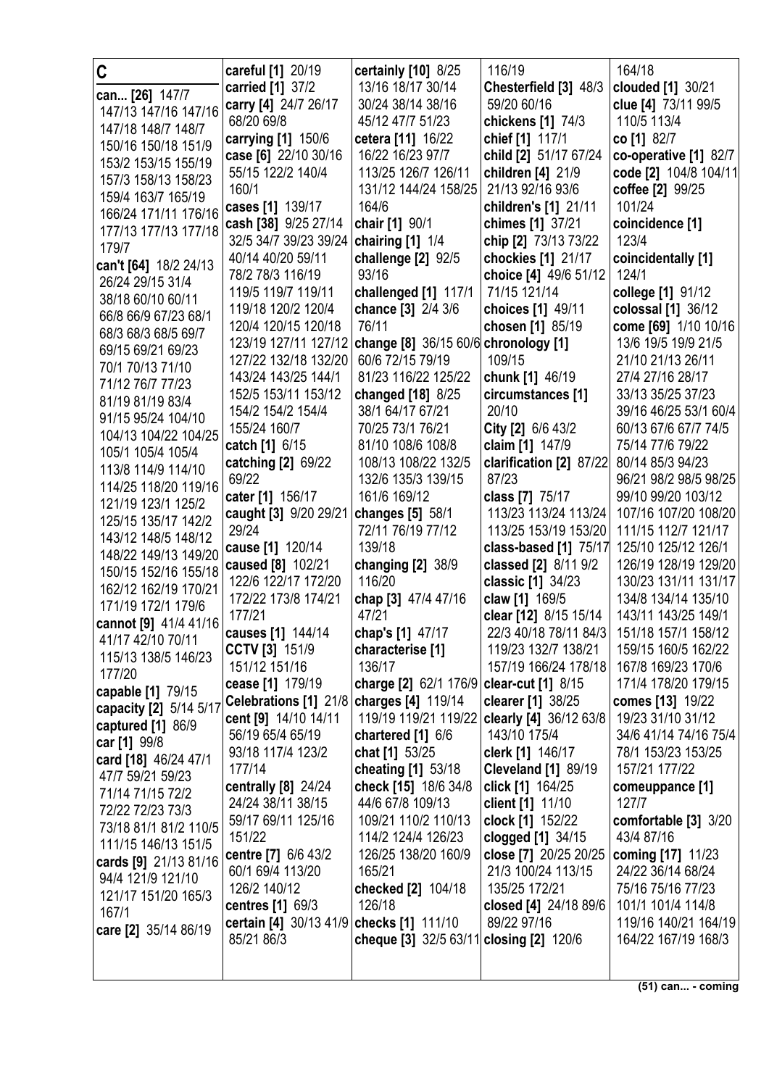| C                                          | careful [1] 20/19                        | certainly [10] 8/25                       | 116/19                                      | 164/18                                   |
|--------------------------------------------|------------------------------------------|-------------------------------------------|---------------------------------------------|------------------------------------------|
|                                            | carried [1] 37/2                         | 13/16 18/17 30/14                         | Chesterfield [3] 48/3                       | clouded [1] 30/21                        |
| can [26] 147/7<br>147/13 147/16 147/16     | carry [4] 24/7 26/17                     | 30/24 38/14 38/16                         | 59/20 60/16                                 | clue [4] 73/11 99/5                      |
| 147/18 148/7 148/7                         | 68/20 69/8                               | 45/12 47/7 51/23                          | chickens [1] 74/3                           | 110/5 113/4                              |
| 150/16 150/18 151/9                        | carrying [1] 150/6                       | cetera [11] 16/22                         | chief [1] 117/1                             | co [1] 82/7                              |
| 153/2 153/15 155/19                        | case [6] 22/10 30/16                     | 16/22 16/23 97/7                          | child [2] 51/17 67/24                       | co-operative [1] 82/7                    |
| 157/3 158/13 158/23                        | 55/15 122/2 140/4                        | 113/25 126/7 126/11                       | children [4] 21/9                           | code [2] 104/8 104/11                    |
| 159/4 163/7 165/19                         | 160/1                                    | 131/12 144/24 158/25                      | 21/13 92/16 93/6                            | coffee [2] 99/25                         |
| 166/24 171/11 176/16                       | cases [1] 139/17                         | 164/6                                     | children's [1] 21/11                        | 101/24                                   |
| 177/13 177/13 177/18                       | cash [38] 9/25 27/14                     | chair [1] 90/1                            | chimes [1] 37/21                            | coincidence [1]                          |
| 179/7                                      | 32/5 34/7 39/23 39/24   chairing [1] 1/4 |                                           | chip [2] 73/13 73/22                        | 123/4                                    |
| can't [64] 18/2 24/13                      | 40/14 40/20 59/11                        | challenge [2] 92/5                        | chockies [1] 21/17                          | coincidentally [1]                       |
| 26/24 29/15 31/4                           | 78/2 78/3 116/19                         | 93/16                                     | choice [4] 49/6 51/12                       | 124/1                                    |
| 38/18 60/10 60/11                          | 119/5 119/7 119/11                       | challenged [1] 117/1                      | 71/15 121/14                                | college [1] 91/12                        |
| 66/8 66/9 67/23 68/1                       | 119/18 120/2 120/4                       | chance [3] 2/4 3/6                        | choices [1] 49/11                           | colossal [1] 36/12                       |
| 68/3 68/3 68/5 69/7                        | 120/4 120/15 120/18                      | 76/11                                     | chosen [1] 85/19                            | come [69] 1/10 10/16                     |
| 69/15 69/21 69/23                          | 123/19 127/11 127/12                     | change [8] 36/15 60/6 chronology [1]      |                                             | 13/6 19/5 19/9 21/5                      |
| 70/1 70/13 71/10                           | 127/22 132/18 132/20                     | 60/6 72/15 79/19                          | 109/15                                      | 21/10 21/13 26/11                        |
| 71/12 76/7 77/23                           | 143/24 143/25 144/1                      | 81/23 116/22 125/22                       | chunk [1] 46/19                             | 27/4 27/16 28/17                         |
| 81/19 81/19 83/4                           | 152/5 153/11 153/12                      | changed [18] 8/25                         | circumstances [1]<br>20/10                  | 33/13 35/25 37/23                        |
| 91/15 95/24 104/10                         | 154/2 154/2 154/4<br>155/24 160/7        | 38/1 64/17 67/21<br>70/25 73/1 76/21      |                                             | 39/16 46/25 53/1 60/4                    |
| 104/13 104/22 104/25                       |                                          | 81/10 108/6 108/8                         | City [2] 6/6 43/2                           | 60/13 67/6 67/7 74/5<br>75/14 77/6 79/22 |
| 105/1 105/4 105/4                          | catch [1] 6/15<br>catching [2] 69/22     | 108/13 108/22 132/5                       | claim [1] 147/9<br>clarification [2] 87/22  | 80/14 85/3 94/23                         |
| 113/8 114/9 114/10                         | 69/22                                    | 132/6 135/3 139/15                        | 87/23                                       | 96/21 98/2 98/5 98/25                    |
| 114/25 118/20 119/16                       | cater [1] 156/17                         | 161/6 169/12                              | class [7] 75/17                             | 99/10 99/20 103/12                       |
| 121/19 123/1 125/2                         | caught [3] 9/20 29/21                    | changes [5] 58/1                          | 113/23 113/24 113/24                        | 107/16 107/20 108/20                     |
| 125/15 135/17 142/2                        | 29/24                                    | 72/11 76/19 77/12                         | 113/25 153/19 153/20                        | 111/15 112/7 121/17                      |
| 143/12 148/5 148/12                        | cause [1] 120/14                         | 139/18                                    | class-based [1] 75/17                       | 125/10 125/12 126/1                      |
| 148/22 149/13 149/20                       | caused [8] 102/21                        | changing $[2]$ 38/9                       | classed [2] 8/11 9/2                        | 126/19 128/19 129/20                     |
| 150/15 152/16 155/18                       | 122/6 122/17 172/20                      | 116/20                                    | classic [1] 34/23                           | 130/23 131/11 131/17                     |
| 162/12 162/19 170/21<br>171/19 172/1 179/6 | 172/22 173/8 174/21                      | chap [3] 47/4 47/16                       | claw [1] 169/5                              | 134/8 134/14 135/10                      |
| cannot [9] 41/4 41/16                      | 177/21                                   | 47/21                                     | clear [12] 8/15 15/14                       | 143/11 143/25 149/1                      |
| 41/17 42/10 70/11                          | causes [1] 144/14                        | chap's [1] 47/17                          | 22/3 40/18 78/11 84/3 151/18 157/1 158/12   |                                          |
| 115/13 138/5 146/23                        | CCTV [3] 151/9                           | characterise [1]                          | 119/23 132/7 138/21                         | 159/15 160/5 162/22                      |
| 177/20                                     | 151/12 151/16                            | 136/17                                    | 157/19 166/24 178/18                        | 167/8 169/23 170/6                       |
| capable [1] 79/15                          | cease [1] 179/19                         | charge [2] 62/1 176/9 clear-cut [1] 8/15  |                                             | 171/4 178/20 179/15                      |
| capacity [2] 5/14 5/17                     | Celebrations [1] 21/8                    | charges [4] 119/14                        | clearer [1] 38/25                           | comes [13] 19/22                         |
| captured [1] 86/9                          | cent [9] 14/10 14/11                     | 119/19 119/21 119/22                      | clearly [4] 36/12 63/8                      | 19/23 31/10 31/12                        |
| car [1] 99/8                               | 56/19 65/4 65/19                         | chartered [1] 6/6                         | 143/10 175/4                                | 34/6 41/14 74/16 75/4                    |
| card [18] 46/24 47/1                       | 93/18 117/4 123/2                        | chat [1] 53/25                            | clerk [1] 146/17                            | 78/1 153/23 153/25                       |
| 47/7 59/21 59/23                           | 177/14                                   | cheating [1] 53/18                        | <b>Cleveland [1] 89/19</b>                  | 157/21 177/22                            |
| 71/14 71/15 72/2                           | centrally [8] 24/24                      | check [15] 18/6 34/8                      | click [1] 164/25                            | comeuppance [1]                          |
| 72/22 72/23 73/3                           | 24/24 38/11 38/15                        | 44/6 67/8 109/13                          | client [1] 11/10                            | 127/7                                    |
| 73/18 81/1 81/2 110/5                      | 59/17 69/11 125/16                       | 109/21 110/2 110/13                       | clock [1] 152/22                            | comfortable [3] 3/20                     |
| 111/15 146/13 151/5                        | 151/22<br>centre [7] 6/6 43/2            | 114/2 124/4 126/23<br>126/25 138/20 160/9 | clogged [1] 34/15                           | 43/4 87/16                               |
| cards [9] 21/13 81/16                      | 60/1 69/4 113/20                         | 165/21                                    | close [7] 20/25 20/25<br>21/3 100/24 113/15 | coming [17] 11/23<br>24/22 36/14 68/24   |
| 94/4 121/9 121/10                          | 126/2 140/12                             | checked [2] 104/18                        | 135/25 172/21                               | 75/16 75/16 77/23                        |
| 121/17 151/20 165/3                        | centres [1] 69/3                         | 126/18                                    | closed [4] 24/18 89/6                       | 101/1 101/4 114/8                        |
| 167/1                                      | certain [4] 30/13 41/9 checks [1] 111/10 |                                           | 89/22 97/16                                 | 119/16 140/21 164/19                     |
| care [2] 35/14 86/19                       | 85/21 86/3                               | cheque [3] 32/5 63/11 closing [2] 120/6   |                                             | 164/22 167/19 168/3                      |
|                                            |                                          |                                           |                                             |                                          |
|                                            |                                          |                                           |                                             |                                          |

**(51) can... - coming**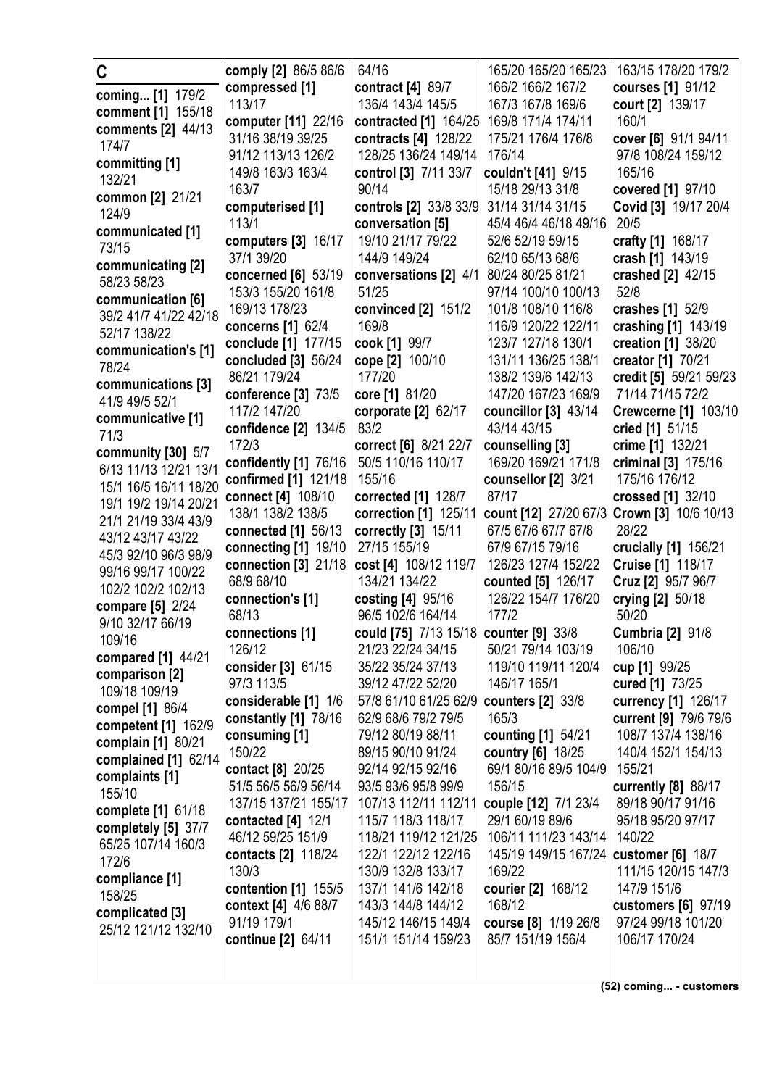| C                                         | comply [2] 86/5 86/6      | 64/16                                  | 165/20 165/20 165/23                      | 163/15 178/20 179/2                        |
|-------------------------------------------|---------------------------|----------------------------------------|-------------------------------------------|--------------------------------------------|
| coming [1] 179/2                          | compressed [1]            | contract [4] 89/7                      | 166/2 166/2 167/2                         | courses [1] 91/12                          |
| comment [1] 155/18                        | 113/17                    | 136/4 143/4 145/5                      | 167/3 167/8 169/6                         | court [2] 139/17                           |
| comments [2] 44/13                        | computer [11] 22/16       | contracted [1] 164/25                  | 169/8 171/4 174/11                        | 160/1                                      |
| 174/7                                     | 31/16 38/19 39/25         | contracts [4] 128/22                   | 175/21 176/4 176/8                        | cover [6] 91/1 94/11                       |
| committing [1]                            | 91/12 113/13 126/2        | 128/25 136/24 149/14                   | 176/14                                    | 97/8 108/24 159/12                         |
| 132/21                                    | 149/8 163/3 163/4         | control [3] 7/11 33/7                  | couldn't [41] 9/15                        | 165/16                                     |
| common [2] 21/21                          | 163/7                     | 90/14                                  | 15/18 29/13 31/8                          | covered [1] 97/10                          |
| 124/9                                     | computerised [1]          | controls [2] 33/8 33/9                 | 31/14 31/14 31/15                         | Covid [3] 19/17 20/4                       |
| communicated [1]                          | 113/1                     | conversation [5]                       | 45/4 46/4 46/18 49/16                     | 20/5                                       |
| 73/15                                     | computers [3] 16/17       | 19/10 21/17 79/22                      | 52/6 52/19 59/15                          | crafty [1] 168/17                          |
| communicating [2]                         | 37/1 39/20                | 144/9 149/24                           | 62/10 65/13 68/6                          | crash [1] 143/19                           |
| 58/23 58/23                               | concerned [6] 53/19       | conversations [2] 4/1                  | 80/24 80/25 81/21                         | crashed [2] 42/15                          |
| communication [6]                         | 153/3 155/20 161/8        | 51/25                                  | 97/14 100/10 100/13                       | 52/8                                       |
| 39/2 41/7 41/22 42/18                     | 169/13 178/23             | convinced [2] 151/2                    | 101/8 108/10 116/8                        | crashes [1] 52/9                           |
| 52/17 138/22                              | concerns [1] 62/4         | 169/8                                  | 116/9 120/22 122/11                       | crashing [1] 143/19                        |
| communication's [1]                       | conclude [1] 177/15       | cook [1] 99/7                          | 123/7 127/18 130/1                        | creation [1] 38/20                         |
| 78/24                                     | concluded [3] 56/24       | cope [2] 100/10                        | 131/11 136/25 138/1                       | creator [1] 70/21                          |
| communications [3]                        | 86/21 179/24              | 177/20                                 | 138/2 139/6 142/13                        | credit [5] 59/21 59/23                     |
| 41/9 49/5 52/1                            | conference [3] 73/5       | core [1] 81/20                         | 147/20 167/23 169/9                       | 71/14 71/15 72/2                           |
| communicative [1]                         | 117/2 147/20              | corporate [2] 62/17                    | councillor $[3]$ 43/14                    | <b>Crewcerne [1] 103/10</b>                |
| 71/3                                      | confidence [2] 134/5      | 83/2                                   | 43/14 43/15                               | cried [1] 51/15                            |
| community [30] 5/7                        | 172/3                     | correct [6] 8/21 22/7                  | counselling [3]                           | crime [1] 132/21                           |
| 6/13 11/13 12/21 13/1                     | confidently [1] 76/16     | 50/5 110/16 110/17                     | 169/20 169/21 171/8                       | criminal [3] 175/16                        |
| 15/1 16/5 16/11 18/20                     | confirmed [1] 121/18      | 155/16                                 | counsellor [2] 3/21                       | 175/16 176/12                              |
| 19/1 19/2 19/14 20/21                     | connect [4] 108/10        | corrected [1] 128/7                    | 87/17                                     | crossed [1] 32/10                          |
| 21/1 21/19 33/4 43/9                      | 138/1 138/2 138/5         | correction [1] 125/11                  |                                           | count [12] 27/20 67/3 Crown [3] 10/6 10/13 |
| 43/12 43/17 43/22                         | connected [1] 56/13       | correctly [3] 15/11                    | 67/5 67/6 67/7 67/8                       | 28/22                                      |
| 45/3 92/10 96/3 98/9                      | connecting [1] 19/10      | 27/15 155/19                           | 67/9 67/15 79/16                          | crucially [1] 156/21                       |
| 99/16 99/17 100/22                        | connection $[3]$ 21/18    | cost [4] 108/12 119/7<br>134/21 134/22 | 126/23 127/4 152/22                       | <b>Cruise [1] 118/17</b>                   |
| 102/2 102/2 102/13                        | 68/9 68/10                |                                        | counted [5] 126/17<br>126/22 154/7 176/20 | Cruz [2] 95/7 96/7                         |
| compare [5] 2/24                          | connection's [1]<br>68/13 | costing [4] 95/16<br>96/5 102/6 164/14 | 177/2                                     | crying [2] 50/18<br>50/20                  |
| 9/10 32/17 66/19                          | connections [1]           | could [75] 7/13 15/18 counter [9] 33/8 |                                           | <b>Cumbria [2] 91/8</b>                    |
| 109/16                                    | 126/12                    | 21/23 22/24 34/15                      | 50/21 79/14 103/19                        | 106/10                                     |
| compared [1] 44/21                        | consider [3] 61/15        | 35/22 35/24 37/13                      | 119/10 119/11 120/4                       | cup [1] 99/25                              |
| comparison [2]                            | 97/3 113/5                | 39/12 47/22 52/20                      | 146/17 165/1                              | cured [1] 73/25                            |
| 109/18 109/19                             | considerable [1] 1/6      | 57/8 61/10 61/25 62/9                  | <b>counters [2] 33/8</b>                  | currency [1] 126/17                        |
| compel [1] 86/4                           | constantly [1] 78/16      | 62/9 68/6 79/2 79/5                    | 165/3                                     | current [9] 79/6 79/6                      |
| competent [1] 162/9                       | consuming [1]             | 79/12 80/19 88/11                      | counting [1] 54/21                        | 108/7 137/4 138/16                         |
| complain [1] 80/21                        | 150/22                    | 89/15 90/10 91/24                      | country [6] 18/25                         | 140/4 152/1 154/13                         |
| complained [1] 62/14                      | contact [8] 20/25         | 92/14 92/15 92/16                      | 69/1 80/16 89/5 104/9                     | 155/21                                     |
| complaints [1]                            | 51/5 56/5 56/9 56/14      | 93/5 93/6 95/8 99/9                    | 156/15                                    | currently [8] 88/17                        |
| 155/10                                    | 137/15 137/21 155/17      | 107/13 112/11 112/11                   | couple [12] 7/1 23/4                      | 89/18 90/17 91/16                          |
| complete [1] 61/18                        | contacted $[4]$ 12/1      | 115/7 118/3 118/17                     | 29/1 60/19 89/6                           | 95/18 95/20 97/17                          |
| completely [5] 37/7<br>65/25 107/14 160/3 | 46/12 59/25 151/9         | 118/21 119/12 121/25                   | 106/11 111/23 143/14                      | 140/22                                     |
| 172/6                                     | contacts [2] 118/24       | 122/1 122/12 122/16                    | 145/19 149/15 167/24   customer [6] 18/7  |                                            |
| compliance [1]                            | 130/3                     | 130/9 132/8 133/17                     | 169/22                                    | 111/15 120/15 147/3                        |
| 158/25                                    | contention [1] 155/5      | 137/1 141/6 142/18                     | courier [2] 168/12                        | 147/9 151/6                                |
| complicated [3]                           | context [4] 4/6 88/7      | 143/3 144/8 144/12                     | 168/12                                    | customers [6] 97/19                        |
| 25/12 121/12 132/10                       | 91/19 179/1               | 145/12 146/15 149/4                    | course [8] 1/19 26/8                      | 97/24 99/18 101/20                         |
|                                           | continue [2] 64/11        | 151/1 151/14 159/23                    | 85/7 151/19 156/4                         | 106/17 170/24                              |
|                                           |                           |                                        |                                           |                                            |
|                                           |                           |                                        |                                           |                                            |

**(52) coming... - customers**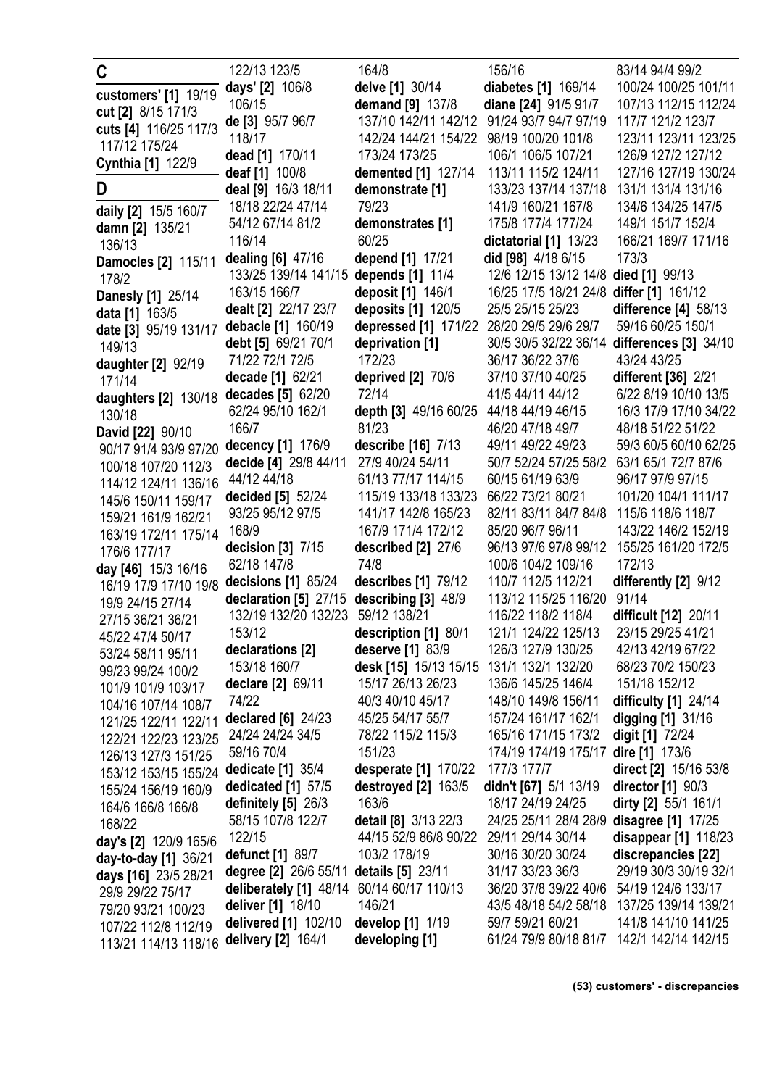| C                                           | 122/13 123/5                          | 164/8                                      | 156/16                                | 83/14 94/4 99/2                         |
|---------------------------------------------|---------------------------------------|--------------------------------------------|---------------------------------------|-----------------------------------------|
|                                             | days' [2] 106/8                       | delve [1] 30/14                            | diabetes [1] 169/14                   | 100/24 100/25 101/11                    |
| customers' [1] 19/19                        | 106/15                                | demand [9] 137/8                           | diane [24] 91/5 91/7                  | 107/13 112/15 112/24                    |
| cut [2] 8/15 171/3<br>cuts [4] 116/25 117/3 | de [3] 95/7 96/7                      | 137/10 142/11 142/12                       | 91/24 93/7 94/7 97/19                 | 117/7 121/2 123/7                       |
| 117/12 175/24                               | 118/17                                | 142/24 144/21 154/22                       | 98/19 100/20 101/8                    | 123/11 123/11 123/25                    |
|                                             | dead [1] 170/11                       | 173/24 173/25                              | 106/1 106/5 107/21                    | 126/9 127/2 127/12                      |
| Cynthia [1] 122/9                           | deaf [1] 100/8                        | demented [1] 127/14                        | 113/11 115/2 124/11                   | 127/16 127/19 130/24                    |
| D                                           | deal [9] 16/3 18/11                   | demonstrate [1]                            | 133/23 137/14 137/18                  | 131/1 131/4 131/16                      |
| daily [2] 15/5 160/7                        | 18/18 22/24 47/14                     | 79/23                                      | 141/9 160/21 167/8                    | 134/6 134/25 147/5                      |
| <b>damn [2]</b> 135/21                      | 54/12 67/14 81/2                      | demonstrates [1]                           | 175/8 177/4 177/24                    | 149/1 151/7 152/4                       |
| 136/13                                      | 116/14                                | 60/25                                      | dictatorial [1] 13/23                 | 166/21 169/7 171/16                     |
| Damocles [2] 115/11                         | dealing [6] 47/16                     | depend [1] 17/21                           | did [98] 4/18 6/15                    | 173/3                                   |
| 178/2                                       | 133/25 139/14 141/15                  | depends [1] 11/4                           | 12/6 12/15 13/12 14/8                 | died [1] 99/13                          |
| <b>Danesly [1] 25/14</b>                    | 163/15 166/7                          | deposit [1] 146/1                          | 16/25 17/5 18/21 24/8                 | differ [1] 161/12                       |
| data [1] 163/5                              | dealt [2] 22/17 23/7                  | deposits [1] 120/5                         | 25/5 25/15 25/23                      | difference [4] 58/13                    |
| date [3] 95/19 131/17                       | debacle [1] 160/19                    | depressed [1] 171/22                       | 28/20 29/5 29/6 29/7                  | 59/16 60/25 150/1                       |
| 149/13                                      | debt [5] 69/21 70/1                   | deprivation [1]                            | 30/5 30/5 32/22 36/14                 | differences $[3]$ 34/10                 |
| daughter [2] 92/19                          | 71/22 72/1 72/5                       | 172/23                                     | 36/17 36/22 37/6                      | 43/24 43/25                             |
| 171/14                                      | decade [1] 62/21                      | deprived [2] 70/6                          | 37/10 37/10 40/25                     | <b>different</b> [36] 2/21              |
| daughters [2] 130/18                        | decades [5] 62/20                     | 72/14                                      | 41/5 44/11 44/12                      | 6/22 8/19 10/10 13/5                    |
| 130/18                                      | 62/24 95/10 162/1                     | depth [3] 49/16 60/25                      | 44/18 44/19 46/15                     | 16/3 17/9 17/10 34/22                   |
| David [22] 90/10                            | 166/7                                 | 81/23                                      | 46/20 47/18 49/7                      | 48/18 51/22 51/22                       |
| 90/17 91/4 93/9 97/20                       | decency [1] 176/9                     | describe [16] 7/13                         | 49/11 49/22 49/23                     | 59/3 60/5 60/10 62/25                   |
| 100/18 107/20 112/3                         | decide [4] 29/8 44/11<br>44/12 44/18  | 27/9 40/24 54/11                           | 50/7 52/24 57/25 58/2                 | 63/1 65/1 72/7 87/6                     |
| 114/12 124/11 136/16                        |                                       | 61/13 77/17 114/15<br>115/19 133/18 133/23 | 60/15 61/19 63/9<br>66/22 73/21 80/21 | 96/17 97/9 97/15<br>101/20 104/1 111/17 |
| 145/6 150/11 159/17                         | decided [5] 52/24<br>93/25 95/12 97/5 | 141/17 142/8 165/23                        | 82/11 83/11 84/7 84/8                 | 115/6 118/6 118/7                       |
| 159/21 161/9 162/21                         | 168/9                                 | 167/9 171/4 172/12                         | 85/20 96/7 96/11                      | 143/22 146/2 152/19                     |
| 163/19 172/11 175/14                        | decision [3] 7/15                     | described [2] 27/6                         | 96/13 97/6 97/8 99/12                 | 155/25 161/20 172/5                     |
| 176/6 177/17                                | 62/18 147/8                           | 74/8                                       | 100/6 104/2 109/16                    | 172/13                                  |
| day [46] 15/3 16/16                         | decisions $[1]$ 85/24                 | describes [1] 79/12                        | 110/7 112/5 112/21                    | differently [2] 9/12                    |
| 16/19 17/9 17/10 19/8                       | declaration [5] 27/15                 | describing [3] 48/9                        | 113/12 115/25 116/20                  | 91/14                                   |
| 19/9 24/15 27/14<br>27/15 36/21 36/21       | 132/19 132/20 132/23                  | 59/12 138/21                               | 116/22 118/2 118/4                    | difficult [12] 20/11                    |
| 45/22 47/4 50/17                            | 153/12                                | description [1] 80/1                       | 121/1 124/22 125/13                   | 23/15 29/25 41/21                       |
| 53/24 58/11 95/11                           | declarations [2]                      | deserve [1] 83/9                           | 126/3 127/9 130/25                    | 42/13 42/19 67/22                       |
| 99/23 99/24 100/2                           | 153/18 160/7                          | desk [15] 15/13 15/15                      | 131/1 132/1 132/20                    | 68/23 70/2 150/23                       |
| 101/9 101/9 103/17                          | declare [2] 69/11                     | 15/17 26/13 26/23                          | 136/6 145/25 146/4                    | 151/18 152/12                           |
| 104/16 107/14 108/7                         | 74/22                                 | 40/3 40/10 45/17                           | 148/10 149/8 156/11                   | difficulty $[1]$ 24/14                  |
| 121/25 122/11 122/11                        | declared [6] 24/23                    | 45/25 54/17 55/7                           | 157/24 161/17 162/1                   | digging [1] 31/16                       |
| 122/21 122/23 123/25                        | 24/24 24/24 34/5                      | 78/22 115/2 115/3                          | 165/16 171/15 173/2                   | digit [1] 72/24                         |
| 126/13 127/3 151/25                         | 59/16 70/4                            | 151/23                                     | 174/19 174/19 175/17                  | dire [1] 173/6                          |
| 153/12 153/15 155/24                        | dedicate [1] 35/4                     | desperate [1] 170/22                       | 177/3 177/7                           | direct [2] 15/16 53/8                   |
| 155/24 156/19 160/9                         | dedicated [1] 57/5                    | destroyed $[2]$ 163/5                      | didn't [67] 5/1 13/19                 | director $[1]$ 90/3                     |
| 164/6 166/8 166/8                           | definitely [5] 26/3                   | 163/6                                      | 18/17 24/19 24/25                     | dirty [2] 55/1 161/1                    |
| 168/22                                      | 58/15 107/8 122/7                     | detail [8] 3/13 22/3                       | 24/25 25/11 28/4 28/9                 | disagree [1] 17/25                      |
| day's [2] 120/9 165/6                       | 122/15                                | 44/15 52/9 86/8 90/22                      | 29/11 29/14 30/14                     | disappear [1] 118/23                    |
| day-to-day [1] 36/21                        | defunct [1] 89/7                      | 103/2 178/19                               | 30/16 30/20 30/24                     | discrepancies [22]                      |
| days [16] 23/5 28/21                        | degree [2] 26/6 55/11                 | details [5] 23/11                          | 31/17 33/23 36/3                      | 29/19 30/3 30/19 32/1                   |
| 29/9 29/22 75/17                            | deliberately [1] 48/14                | 60/14 60/17 110/13                         | 36/20 37/8 39/22 40/6                 | 54/19 124/6 133/17                      |
| 79/20 93/21 100/23                          | deliver [1] 18/10                     | 146/21                                     | 43/5 48/18 54/2 58/18                 | 137/25 139/14 139/21                    |
| 107/22 112/8 112/19                         | delivered [1] 102/10                  | develop [1] 1/19                           | 59/7 59/21 60/21                      | 141/8 141/10 141/25                     |
| 113/21 114/13 118/16                        | delivery [2] 164/1                    | developing [1]                             | 61/24 79/9 80/18 81/7                 | 142/1 142/14 142/15                     |
|                                             |                                       |                                            |                                       |                                         |
|                                             |                                       |                                            |                                       |                                         |

(53) customers' - discrepancies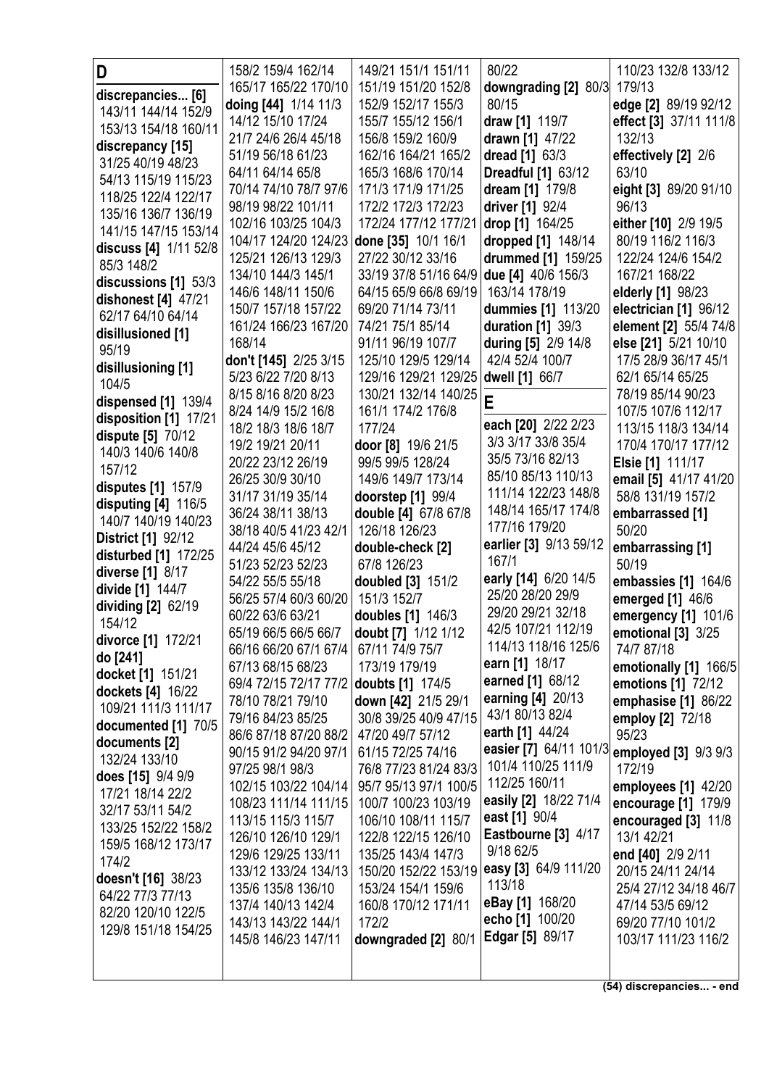| D                              | 158/2 159/4 162/14                        | 149/21 151/1 151/11             | 80/22                                     | 110/23 132/8 133/12                         |
|--------------------------------|-------------------------------------------|---------------------------------|-------------------------------------------|---------------------------------------------|
| discrepancies [6]              | 165/17 165/22 170/10                      | 151/19 151/20 152/8             | downgrading [2] 80/3                      | 179/13                                      |
| 143/11 144/14 152/9            | doing [44] 1/14 11/3                      | 152/9 152/17 155/3              | 80/15                                     | edge [2] 89/19 92/12                        |
| 153/13 154/18 160/11           | 14/12 15/10 17/24                         | 155/7 155/12 156/1              | draw [1] 119/7                            | effect [3] 37/11 111/8                      |
| discrepancy [15]               | 21/7 24/6 26/4 45/18                      | 156/8 159/2 160/9               | drawn [1] 47/22                           | 132/13                                      |
| 31/25 40/19 48/23              | 51/19 56/18 61/23                         | 162/16 164/21 165/2             | dread [1] 63/3                            | effectively [2] 2/6                         |
| 54/13 115/19 115/23            | 64/11 64/14 65/8                          | 165/3 168/6 170/14              | <b>Dreadful [1] 63/12</b>                 | 63/10                                       |
| 118/25 122/4 122/17            | 70/14 74/10 78/7 97/6                     | 171/3 171/9 171/25              | dream [1] 179/8                           | eight [3] 89/20 91/10                       |
| 135/16 136/7 136/19            | 98/19 98/22 101/11                        | 172/2 172/3 172/23              | driver [1] 92/4                           | 96/13                                       |
| 141/15 147/15 153/14           | 102/16 103/25 104/3                       | 172/24 177/12 177/21            | drop [1] 164/25                           | either [10] 2/9 19/5                        |
| discuss [4] 1/11 52/8          | 104/17 124/20 124/23 done [35] 10/1 16/1  |                                 | dropped [1] 148/14                        | 80/19 116/2 116/3                           |
| 85/3 148/2                     | 125/21 126/13 129/3                       | 27/22 30/12 33/16               | drummed [1] 159/25                        | 122/24 124/6 154/2                          |
| discussions [1] 53/3           | 134/10 144/3 145/1                        | 33/19 37/8 51/16 64/9           | due [4] 40/6 156/3                        | 167/21 168/22                               |
| dishonest [4] 47/21            | 146/6 148/11 150/6                        | 64/15 65/9 66/8 69/19           | 163/14 178/19                             | elderly [1] 98/23                           |
| 62/17 64/10 64/14              | 150/7 157/18 157/22                       | 69/20 71/14 73/11               | dummies [1] 113/20                        | electrician [1] 96/12                       |
| disillusioned [1]              | 161/24 166/23 167/20                      | 74/21 75/1 85/14                | duration $[1]$ 39/3                       | element [2] 55/4 74/8                       |
| 95/19                          | 168/14                                    | 91/11 96/19 107/7               | during [5] 2/9 14/8                       | else [21] 5/21 10/10                        |
| disillusioning [1]             | don't [145] 2/25 3/15                     | 125/10 129/5 129/14             | 42/4 52/4 100/7                           | 17/5 28/9 36/17 45/1                        |
| 104/5                          | 5/23 6/22 7/20 8/13                       | 129/16 129/21 129/25            | dwell [1] 66/7                            | 62/1 65/14 65/25                            |
| dispensed [1] 139/4            | 8/15 8/16 8/20 8/23                       | 130/21 132/14 140/25            | E                                         | 78/19 85/14 90/23                           |
| disposition [1] 17/21          | 8/24 14/9 15/2 16/8                       | 161/1 174/2 176/8               |                                           | 107/5 107/6 112/17                          |
| dispute [5] 70/12              | 18/2 18/3 18/6 18/7                       | 177/24                          | each [20] 2/22 2/23<br>3/3 3/17 33/8 35/4 | 113/15 118/3 134/14                         |
| 140/3 140/6 140/8              | 19/2 19/21 20/11                          | door [8] 19/6 21/5              | 35/5 73/16 82/13                          | 170/4 170/17 177/12                         |
| 157/12                         | 20/22 23/12 26/19                         | 99/5 99/5 128/24                | 85/10 85/13 110/13                        | Elsie [1] 111/17                            |
| disputes [1] 157/9             | 26/25 30/9 30/10                          | 149/6 149/7 173/14              | 111/14 122/23 148/8                       | email [5] 41/17 41/20                       |
| disputing $[4]$ 116/5          | 31/17 31/19 35/14                         | doorstep [1] 99/4               | 148/14 165/17 174/8                       | 58/8 131/19 157/2                           |
| 140/7 140/19 140/23            | 36/24 38/11 38/13                         | double [4] 67/8 67/8            | 177/16 179/20                             | embarrassed [1]                             |
| <b>District [1] 92/12</b>      | 38/18 40/5 41/23 42/1<br>44/24 45/6 45/12 | 126/18 126/23                   | earlier [3] 9/13 59/12                    | 50/20                                       |
| disturbed [1] 172/25           | 51/23 52/23 52/23                         | double-check [2]<br>67/8 126/23 | 167/1                                     | embarrassing [1]<br>50/19                   |
| diverse [1] 8/17               | 54/22 55/5 55/18                          | doubled [3] 151/2               | early [14] 6/20 14/5                      | embassies [1] 164/6                         |
| divide [1] 144/7               | 56/25 57/4 60/3 60/20                     | 151/3 152/7                     | 25/20 28/20 29/9                          | emerged [1] 46/6                            |
| dividing $[2]$ 62/19           | 60/22 63/6 63/21                          | doubles [1] 146/3               | 29/20 29/21 32/18                         | emergency [1] 101/6                         |
| 154/12                         | 65/19 66/5 66/5 66/7                      | doubt [7] 1/12 1/12             | 42/5 107/21 112/19                        | emotional $[3]$ 3/25                        |
| divorce [1] 172/21             | 66/16 66/20 67/1 67/4                     | 67/11 74/9 75/7                 | 114/13 118/16 125/6                       | 74/7 87/18                                  |
| do [241]                       | 67/13 68/15 68/23                         | 173/19 179/19                   | earn [1] 18/17                            | emotionally [1] 166/5                       |
| docket [1] 151/21              | 69/4 72/15 72/17 77/2 doubts [1] 174/5    |                                 | earned [1] 68/12                          | emotions [1] 72/12                          |
| dockets [4] 16/22              | 78/10 78/21 79/10                         | down [42] 21/5 29/1             | earning [4] 20/13                         | emphasise [1] 86/22                         |
| 109/21 111/3 111/17            | 79/16 84/23 85/25                         | 30/8 39/25 40/9 47/15           | 43/1 80/13 82/4                           | employ [2] 72/18                            |
| documented [1] 70/5            | 86/6 87/18 87/20 88/2                     | 47/20 49/7 57/12                | earth [1] 44/24                           | 95/23                                       |
| documents [2]<br>132/24 133/10 | 90/15 91/2 94/20 97/1                     | 61/15 72/25 74/16               |                                           | easier [7] 64/11 101/3 employed [3] 9/3 9/3 |
| does [15] 9/4 9/9              | 97/25 98/1 98/3                           | 76/8 77/23 81/24 83/3           | 101/4 110/25 111/9                        | 172/19                                      |
| 17/21 18/14 22/2               | 102/15 103/22 104/14                      | 95/7 95/13 97/1 100/5           | 112/25 160/11                             | employees [1] 42/20                         |
| 32/17 53/11 54/2               | 108/23 111/14 111/15                      | 100/7 100/23 103/19             | easily [2] 18/22 71/4                     | encourage [1] 179/9                         |
| 133/25 152/22 158/2            | 113/15 115/3 115/7                        | 106/10 108/11 115/7             | east [1] 90/4                             | encouraged [3] 11/8                         |
| 159/5 168/12 173/17            | 126/10 126/10 129/1                       | 122/8 122/15 126/10             | Eastbourne [3] 4/17                       | 13/1 42/21                                  |
| 174/2                          | 129/6 129/25 133/11                       | 135/25 143/4 147/3              | 9/18 62/5                                 | end [40] 2/9 2/11                           |
| doesn't [16] 38/23             | 133/12 133/24 134/13                      |                                 | 150/20 152/22 153/19 easy [3] 64/9 111/20 | 20/15 24/11 24/14                           |
| 64/22 77/3 77/13               | 135/6 135/8 136/10                        | 153/24 154/1 159/6              | 113/18                                    | 25/4 27/12 34/18 46/7                       |
| 82/20 120/10 122/5             | 137/4 140/13 142/4                        | 160/8 170/12 171/11             | eBay [1] 168/20                           | 47/14 53/5 69/12                            |
| 129/8 151/18 154/25            | 143/13 143/22 144/1                       | 172/2                           | echo [1] 100/20                           | 69/20 77/10 101/2                           |
|                                | 145/8 146/23 147/11                       | downgraded [2] 80/1             | <b>Edgar</b> [5] 89/17                    | 103/17 111/23 116/2                         |
|                                |                                           |                                 |                                           |                                             |
|                                |                                           |                                 |                                           | (54) discrepancies - end                    |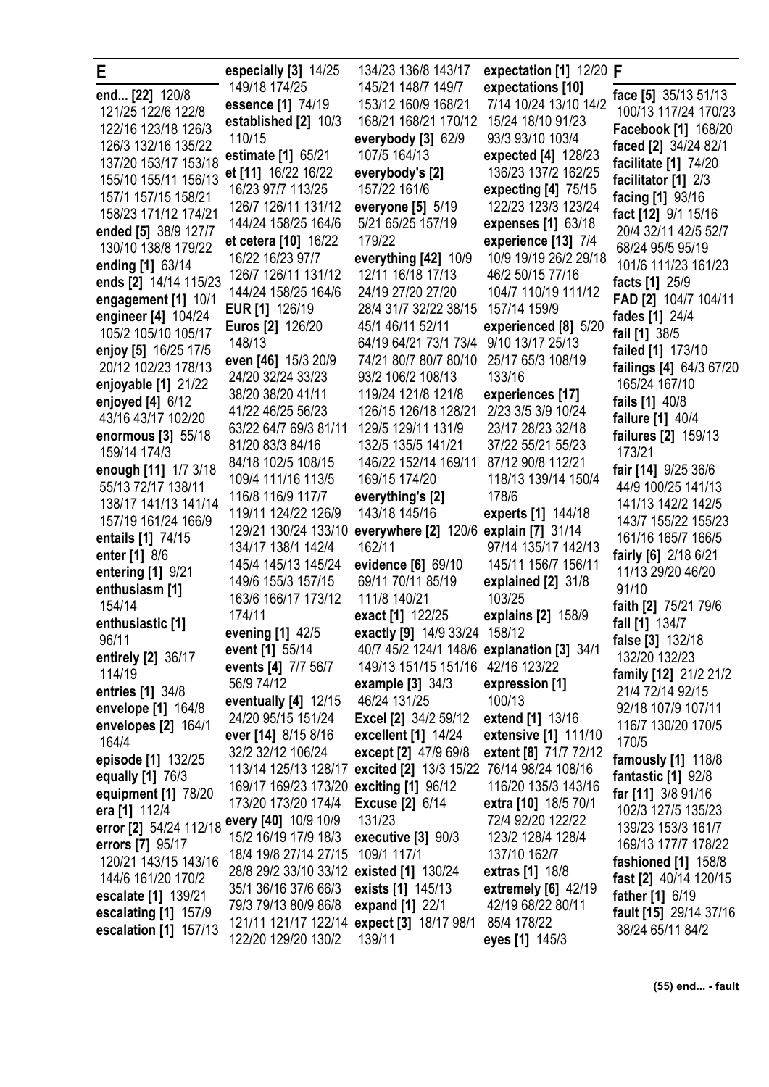| E                                          | especially [3] 14/25                    | 134/23 136/8 143/17                        | expectation [1] $12/20$ F |                                           |
|--------------------------------------------|-----------------------------------------|--------------------------------------------|---------------------------|-------------------------------------------|
|                                            | 149/18 174/25                           | 145/21 148/7 149/7                         | expectations [10]         |                                           |
| end [22] 120/8                             | essence [1] 74/19                       | 153/12 160/9 168/21                        | 7/14 10/24 13/10 14/2     | face [5] 35/13 51/13                      |
| 121/25 122/6 122/8                         | established [2] 10/3                    | 168/21 168/21 170/12                       | 15/24 18/10 91/23         | 100/13 117/24 170/23                      |
| 122/16 123/18 126/3                        | 110/15                                  | everybody $[3]$ 62/9                       | 93/3 93/10 103/4          | Facebook [1] 168/20                       |
| 126/3 132/16 135/22                        | estimate [1] 65/21                      | 107/5 164/13                               | expected [4] 128/23       | faced [2] 34/24 82/1                      |
| 137/20 153/17 153/18                       | et [11] 16/22 16/22                     | everybody's [2]                            | 136/23 137/2 162/25       | facilitate [1] 74/20                      |
| 155/10 155/11 156/13                       | 16/23 97/7 113/25                       | 157/22 161/6                               | expecting $[4]$ 75/15     | facilitator [1] 2/3                       |
| 157/1 157/15 158/21                        | 126/7 126/11 131/12                     | everyone [5] 5/19                          | 122/23 123/3 123/24       | facing [1] 93/16                          |
| 158/23 171/12 174/21                       | 144/24 158/25 164/6                     | 5/21 65/25 157/19                          | <b>expenses</b> [1] 63/18 | fact [12] 9/1 15/16                       |
| ended [5] 38/9 127/7                       | et cetera [10] 16/22                    | 179/22                                     | experience [13] 7/4       | 20/4 32/11 42/5 52/7                      |
| 130/10 138/8 179/22                        | 16/22 16/23 97/7                        | everything [42] 10/9                       | 10/9 19/19 26/2 29/18     | 68/24 95/5 95/19                          |
| ending [1] 63/14                           | 126/7 126/11 131/12                     | 12/11 16/18 17/13                          | 46/2 50/15 77/16          | 101/6 111/23 161/23                       |
| ends [2] 14/14 115/23                      | 144/24 158/25 164/6                     | 24/19 27/20 27/20                          | 104/7 110/19 111/12       | facts [1] 25/9                            |
| engagement [1] 10/1                        | EUR [1] 126/19                          | 28/4 31/7 32/22 38/15                      | 157/14 159/9              | FAD [2] 104/7 104/11                      |
| engineer [4] 104/24                        | <b>Euros [2] 126/20</b>                 | 45/1 46/11 52/11                           | experienced [8] 5/20      | fades [1] 24/4                            |
| 105/2 105/10 105/17                        | 148/13                                  | 64/19 64/21 73/1 73/4                      | 9/10 13/17 25/13          | fail [1] 38/5                             |
| enjoy [5] 16/25 17/5                       | even [46] 15/3 20/9                     | 74/21 80/7 80/7 80/10                      | 25/17 65/3 108/19         | failed [1] 173/10                         |
| 20/12 102/23 178/13                        | 24/20 32/24 33/23                       | 93/2 106/2 108/13                          | 133/16                    | failings [4] 64/3 67/20                   |
| enjoyable [1] 21/22                        | 38/20 38/20 41/11                       | 119/24 121/8 121/8                         | experiences [17]          | 165/24 167/10                             |
| enjoyed $[4]$ 6/12                         | 41/22 46/25 56/23                       | 126/15 126/18 128/21                       | 2/23 3/5 3/9 10/24        | fails [1] 40/8                            |
| 43/16 43/17 102/20                         | 63/22 64/7 69/3 81/11                   | 129/5 129/11 131/9                         | 23/17 28/23 32/18         | failure [1] 40/4                          |
| enormous [3] 55/18                         | 81/20 83/3 84/16                        | 132/5 135/5 141/21                         | 37/22 55/21 55/23         | failures [2] 159/13                       |
| 159/14 174/3                               | 84/18 102/5 108/15                      | 146/22 152/14 169/11                       | 87/12 90/8 112/21         | 173/21                                    |
| enough [11] 1/7 3/18<br>55/13 72/17 138/11 | 109/4 111/16 113/5                      | 169/15 174/20                              | 118/13 139/14 150/4       | fair [14] 9/25 36/6<br>44/9 100/25 141/13 |
| 138/17 141/13 141/14                       | 116/8 116/9 117/7                       | everything's [2]                           | 178/6                     |                                           |
| 157/19 161/24 166/9                        | 119/11 124/22 126/9                     | 143/18 145/16                              | experts [1] 144/18        | 141/13 142/2 142/5<br>143/7 155/22 155/23 |
|                                            | 129/21 130/24 133/10                    | everywhere [2] 120/6 explain [7] 31/14     |                           | 161/16 165/7 166/5                        |
| entails [1] 74/15                          | 134/17 138/1 142/4                      | 162/11                                     | 97/14 135/17 142/13       |                                           |
| enter [1] 8/6                              | 145/4 145/13 145/24                     | evidence [6] 69/10                         | 145/11 156/7 156/11       | fairly [6] 2/18 6/21<br>11/13 29/20 46/20 |
| entering [1] 9/21<br>enthusiasm [1]        | 149/6 155/3 157/15                      | 69/11 70/11 85/19                          | explained [2] 31/8        | 91/10                                     |
| 154/14                                     | 163/6 166/17 173/12                     | 111/8 140/21                               | 103/25                    | faith [2] 75/21 79/6                      |
| enthusiastic [1]                           | 174/11                                  | exact [1] 122/25                           | explains [2] 158/9        | fall [1] 134/7                            |
| 96/11                                      | evening [1] 42/5                        | exactly [9] 14/9 33/24 158/12              |                           | false [3] 132/18                          |
| entirely [2] 36/17                         | event [1] 55/14                         | 40/7 45/2 124/1 148/6 explanation [3] 34/1 |                           | 132/20 132/23                             |
| 114/19                                     | events [4] 7/7 56/7                     | 149/13 151/15 151/16                       | 42/16 123/22              | <b>family [12]</b> 21/2 21/2              |
| entries [1] 34/8                           | 56/9 74/12                              | example $[3]$ 34/3                         | expression [1]            | 21/4 72/14 92/15                          |
| envelope [1] 164/8                         | eventually $[4]$ 12/15                  | 46/24 131/25                               | 100/13                    | 92/18 107/9 107/11                        |
| envelopes [2] 164/1                        | 24/20 95/15 151/24                      | <b>Excel [2] 34/2 59/12</b>                | extend [1] 13/16          | 116/7 130/20 170/5                        |
| 164/4                                      | ever [14] 8/15 8/16                     | excellent [1] 14/24                        | extensive [1] 111/10      | 170/5                                     |
| episode [1] 132/25                         | 32/2 32/12 106/24                       | except [2] 47/9 69/8                       | extent [8] 71/7 72/12     | <b>famously</b> [1] 118/8                 |
| equally [1] 76/3                           | 113/14 125/13 128/17                    | excited [2] 13/3 15/22 76/14 98/24 108/16  |                           | fantastic $[1]$ 92/8                      |
| equipment [1] 78/20                        | 169/17 169/23 173/20 exciting [1] 96/12 |                                            | 116/20 135/3 143/16       | far [11] 3/8 91/16                        |
| era [1] 112/4                              | 173/20 173/20 174/4                     | <b>Excuse [2] 6/14</b>                     | extra [10] 18/5 70/1      | 102/3 127/5 135/23                        |
| error [2] 54/24 112/18                     | every [40] 10/9 10/9                    | 131/23                                     | 72/4 92/20 122/22         | 139/23 153/3 161/7                        |
| errors [7] 95/17                           | 15/2 16/19 17/9 18/3                    | executive [3] 90/3                         | 123/2 128/4 128/4         | 169/13 177/7 178/22                       |
| 120/21 143/15 143/16                       | 18/4 19/8 27/14 27/15                   | 109/1 117/1                                | 137/10 162/7              | <b>fashioned</b> [1] 158/8                |
| 144/6 161/20 170/2                         | 28/8 29/2 33/10 33/12                   | existed [1] 130/24                         | <b>extras</b> [1] 18/8    | fast [2] 40/14 120/15                     |
| escalate [1] 139/21                        | 35/1 36/16 37/6 66/3                    | exists [1] 145/13                          | extremely [6] 42/19       | father [1] 6/19                           |
| escalating [1] 157/9                       | 79/3 79/13 80/9 86/8                    | expand [1] 22/1                            | 42/19 68/22 80/11         | fault [15] 29/14 37/16                    |
| escalation [1] 157/13                      |                                         | 121/11 121/17 122/14 expect [3] 18/17 98/1 | 85/4 178/22               | 38/24 65/11 84/2                          |
|                                            | 122/20 129/20 130/2                     | 139/11                                     | eyes [1] 145/3            |                                           |
|                                            |                                         |                                            |                           |                                           |

(55) end... - fault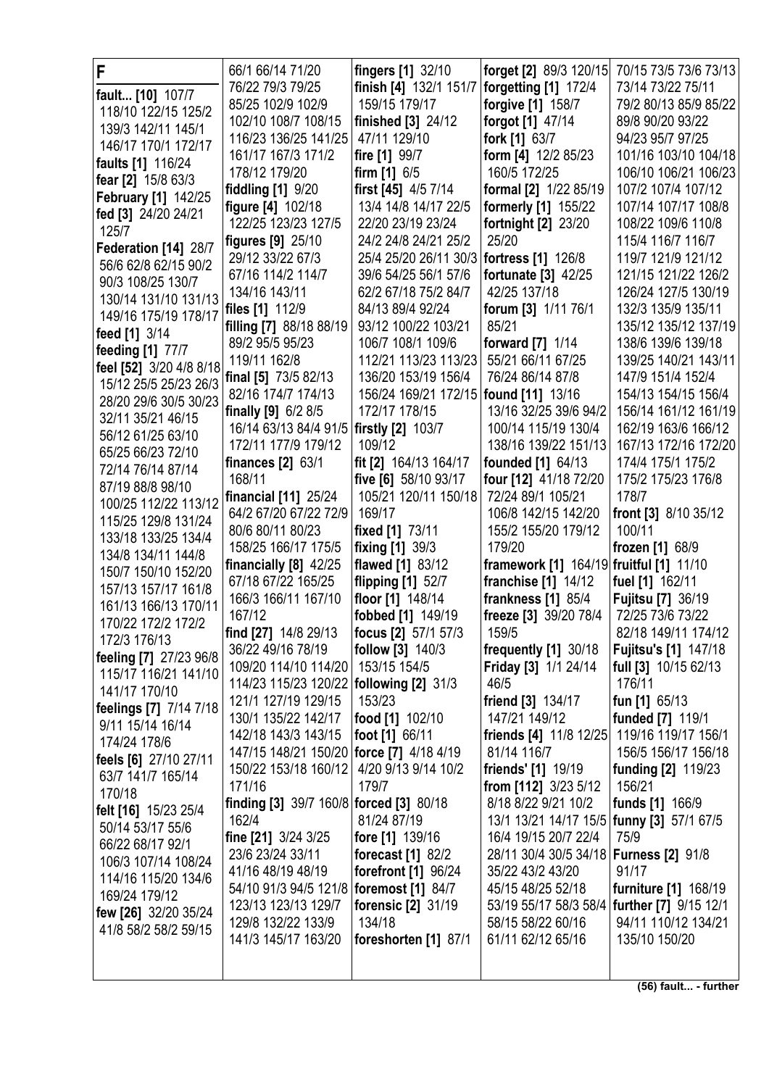| F                                           | 66/1 66/14 71/20                           | fingers [1] 32/10                          | forget [2] 89/3 120/15                      | 70/15 73/5 73/6 73/13                      |
|---------------------------------------------|--------------------------------------------|--------------------------------------------|---------------------------------------------|--------------------------------------------|
| fault [10] 107/7                            | 76/22 79/3 79/25                           | finish [4] 132/1 151/7                     | forgetting [1] 172/4                        | 73/14 73/22 75/11                          |
| 118/10 122/15 125/2                         | 85/25 102/9 102/9                          | 159/15 179/17                              | forgive [1] 158/7                           | 79/2 80/13 85/9 85/22                      |
| 139/3 142/11 145/1                          | 102/10 108/7 108/15                        | finished [3] 24/12                         | forgot [1] 47/14                            | 89/8 90/20 93/22                           |
| 146/17 170/1 172/17                         | 116/23 136/25 141/25                       | 47/11 129/10                               | fork [1] 63/7                               | 94/23 95/7 97/25                           |
| faults [1] 116/24                           | 161/17 167/3 171/2                         | fire [1] 99/7                              | form [4] 12/2 85/23                         | 101/16 103/10 104/18                       |
| fear [2] 15/8 63/3                          | 178/12 179/20                              | firm $[1]$ 6/5                             | 160/5 172/25                                | 106/10 106/21 106/23                       |
| <b>February [1] 142/25</b>                  | fiddling [1] 9/20                          | first $[45]$ 4/5 7/14                      | formal [2] 1/22 85/19                       | 107/2 107/4 107/12                         |
| fed [3] 24/20 24/21                         | figure [4] 102/18                          | 13/4 14/8 14/17 22/5                       | formerly [1] 155/22                         | 107/14 107/17 108/8                        |
| 125/7                                       | 122/25 123/23 127/5                        | 22/20 23/19 23/24                          | <b>fortnight [2] 23/20</b>                  | 108/22 109/6 110/8                         |
| Federation [14] 28/7                        | figures [9] 25/10                          | 24/2 24/8 24/21 25/2                       | 25/20                                       | 115/4 116/7 116/7                          |
| 56/6 62/8 62/15 90/2                        | 29/12 33/22 67/3                           | 25/4 25/20 26/11 30/3   fortress [1] 126/8 |                                             | 119/7 121/9 121/12                         |
| 90/3 108/25 130/7                           | 67/16 114/2 114/7                          | 39/6 54/25 56/1 57/6                       | fortunate [3] 42/25                         | 121/15 121/22 126/2                        |
| 130/14 131/10 131/13                        | 134/16 143/11                              | 62/2 67/18 75/2 84/7                       | 42/25 137/18                                | 126/24 127/5 130/19                        |
| 149/16 175/19 178/17                        | files [1] 112/9<br>filling [7] 88/18 88/19 | 84/13 89/4 92/24<br>93/12 100/22 103/21    | forum [3] 1/11 76/1<br>85/21                | 132/3 135/9 135/11<br>135/12 135/12 137/19 |
| feed [1] 3/14                               | 89/2 95/5 95/23                            | 106/7 108/1 109/6                          | forward [7] 1/14                            | 138/6 139/6 139/18                         |
| feeding [1] 77/7                            | 119/11 162/8                               | 112/21 113/23 113/23                       | 55/21 66/11 67/25                           | 139/25 140/21 143/11                       |
| feel [52] 3/20 4/8 8/18                     | final [5] 73/5 82/13                       | 136/20 153/19 156/4                        | 76/24 86/14 87/8                            | 147/9 151/4 152/4                          |
| 15/12 25/5 25/23 26/3                       | 82/16 174/7 174/13                         | 156/24 169/21 172/15   found [11] 13/16    |                                             | 154/13 154/15 156/4                        |
| 28/20 29/6 30/5 30/23                       | finally [9] 6/2 8/5                        | 172/17 178/15                              | 13/16 32/25 39/6 94/2                       | 156/14 161/12 161/19                       |
| 32/11 35/21 46/15                           | 16/14 63/13 84/4 91/5   firstly [2] 103/7  |                                            | 100/14 115/19 130/4                         | 162/19 163/6 166/12                        |
| 56/12 61/25 63/10                           | 172/11 177/9 179/12                        | 109/12                                     | 138/16 139/22 151/13                        | 167/13 172/16 172/20                       |
| 65/25 66/23 72/10                           | finances $[2]$ 63/1                        | fit [2] 164/13 164/17                      | founded [1] 64/13                           | 174/4 175/1 175/2                          |
| 72/14 76/14 87/14                           | 168/11                                     | five [6] 58/10 93/17                       | four [12] 41/18 72/20                       | 175/2 175/23 176/8                         |
| 87/19 88/8 98/10                            | financial [11] 25/24                       | 105/21 120/11 150/18                       | 72/24 89/1 105/21                           | 178/7                                      |
| 100/25 112/22 113/12<br>115/25 129/8 131/24 | 64/2 67/20 67/22 72/9                      | 169/17                                     | 106/8 142/15 142/20                         | front [3] 8/10 35/12                       |
| 133/18 133/25 134/4                         | 80/6 80/11 80/23                           | fixed [1] 73/11                            | 155/2 155/20 179/12                         | 100/11                                     |
| 134/8 134/11 144/8                          | 158/25 166/17 175/5                        | fixing [1] 39/3                            | 179/20                                      | frozen [1] 68/9                            |
| 150/7 150/10 152/20                         | financially $[8]$ 42/25                    | flawed [1] 83/12                           | framework [1] 164/19 fruitful [1] 11/10     |                                            |
| 157/13 157/17 161/8                         | 67/18 67/22 165/25                         | flipping [1] 52/7                          | franchise $[1]$ 14/12                       | fuel [1] 162/11                            |
| 161/13 166/13 170/11                        | 166/3 166/11 167/10                        | floor [1] 148/14                           | frankness $[1]$ 85/4                        | Fujitsu [7] 36/19                          |
| 170/22 172/2 172/2                          | 167/12                                     | fobbed [1] 149/19                          | freeze [3] 39/20 78/4                       | 72/25 73/6 73/22                           |
| 172/3 176/13                                | find [27] 14/8 29/13                       | focus [2] 57/1 57/3                        | 159/5                                       | 82/18 149/11 174/12                        |
| feeling [7] 27/23 96/8                      | 36/22 49/16 78/19                          | follow [3] 140/3                           | frequently [1] 30/18                        | <b>Fujitsu's [1] 147/18</b>                |
| 115/17 116/21 141/10                        | 109/20 114/10 114/20                       | 153/15 154/5                               | Friday [3] 1/1 24/14                        | full [3] 10/15 62/13                       |
| 141/17 170/10                               | 114/23 115/23 120/22   following [2] 31/3  |                                            | 46/5                                        | 176/11                                     |
| feelings [7] 7/14 7/18                      | 121/1 127/19 129/15<br>130/1 135/22 142/17 | 153/23<br>food [1] 102/10                  | friend [3] 134/17<br>147/21 149/12          | fun [1] 65/13<br>funded [7] 119/1          |
| 9/11 15/14 16/14                            | 142/18 143/3 143/15                        | foot [1] 66/11                             | friends [4] 11/8 12/25                      | 119/16 119/17 156/1                        |
| 174/24 178/6                                | 147/15 148/21 150/20   force [7] 4/18 4/19 |                                            | 81/14 116/7                                 | 156/5 156/17 156/18                        |
| feels [6] 27/10 27/11                       | 150/22 153/18 160/12                       | 4/20 9/13 9/14 10/2                        | friends' [1] 19/19                          | <b>funding [2] 119/23</b>                  |
| 63/7 141/7 165/14                           | 171/16                                     | 179/7                                      | from [112] 3/23 5/12                        | 156/21                                     |
| 170/18                                      | finding [3] 39/7 160/8 forced [3] 80/18    |                                            | 8/18 8/22 9/21 10/2                         | funds [1] 166/9                            |
| felt [16] 15/23 25/4                        | 162/4                                      | 81/24 87/19                                | 13/1 13/21 14/17 15/5   funny [3] 57/1 67/5 |                                            |
| 50/14 53/17 55/6                            | fine [21] 3/24 3/25                        | fore [1] 139/16                            | 16/4 19/15 20/7 22/4                        | 75/9                                       |
| 66/22 68/17 92/1<br>106/3 107/14 108/24     | 23/6 23/24 33/11                           | forecast [1] 82/2                          | 28/11 30/4 30/5 34/18   Furness [2] 91/8    |                                            |
| 114/16 115/20 134/6                         | 41/16 48/19 48/19                          | forefront [1] 96/24                        | 35/22 43/2 43/20                            | 91/17                                      |
| 169/24 179/12                               | 54/10 91/3 94/5 121/8   foremost [1] 84/7  |                                            | 45/15 48/25 52/18                           | furniture [1] 168/19                       |
| few [26] 32/20 35/24                        | 123/13 123/13 129/7                        | forensic [2] 31/19                         | 53/19 55/17 58/3 58/4                       | further [7] 9/15 12/1                      |
| 41/8 58/2 58/2 59/15                        | 129/8 132/22 133/9                         | 134/18                                     | 58/15 58/22 60/16                           | 94/11 110/12 134/21                        |
|                                             | 141/3 145/17 163/20                        | foreshorten [1] 87/1                       | 61/11 62/12 65/16                           | 135/10 150/20                              |
|                                             |                                            |                                            |                                             |                                            |
|                                             |                                            |                                            |                                             |                                            |

**(56) fault... - further**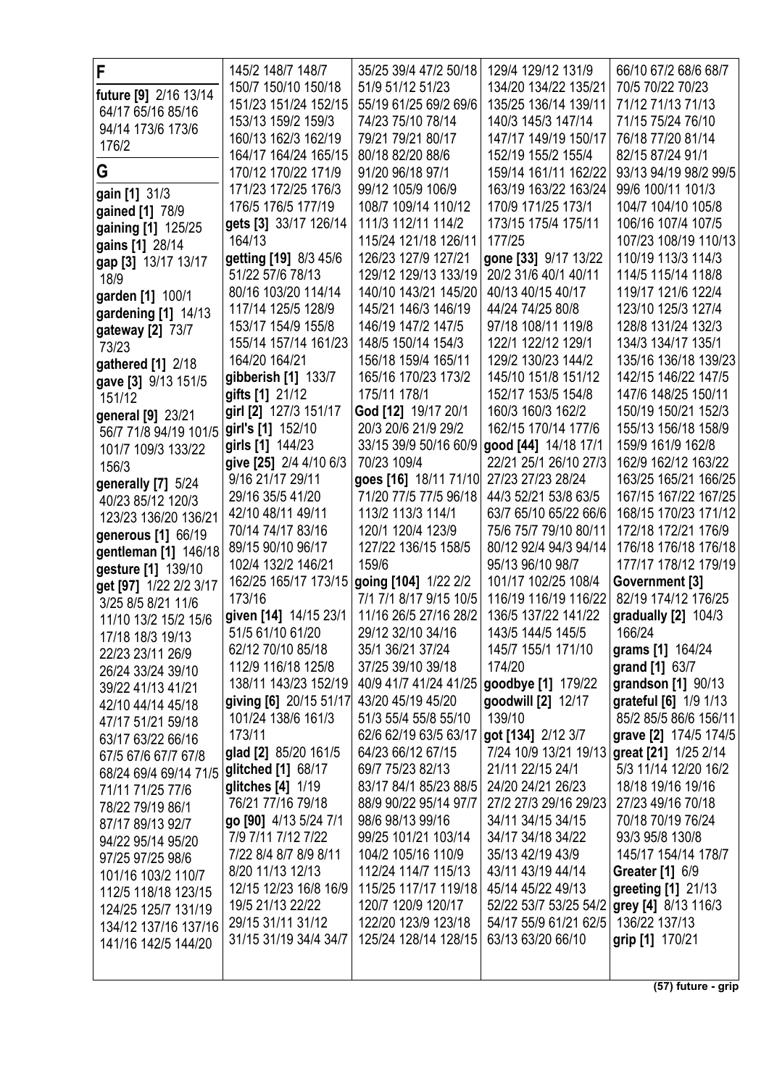| F                      | 145/2 148/7 148/7      | 35/25 39/4 47/2 50/18                    | 129/4 129/12 131/9    | 66/10 67/2 68/6 68/7   |
|------------------------|------------------------|------------------------------------------|-----------------------|------------------------|
| future [9] 2/16 13/14  | 150/7 150/10 150/18    | 51/9 51/12 51/23                         | 134/20 134/22 135/21  | 70/5 70/22 70/23       |
| 64/17 65/16 85/16      | 151/23 151/24 152/15   | 55/19 61/25 69/2 69/6                    | 135/25 136/14 139/11  | 71/12 71/13 71/13      |
| 94/14 173/6 173/6      | 153/13 159/2 159/3     | 74/23 75/10 78/14                        | 140/3 145/3 147/14    | 71/15 75/24 76/10      |
|                        | 160/13 162/3 162/19    | 79/21 79/21 80/17                        | 147/17 149/19 150/17  | 76/18 77/20 81/14      |
| 176/2                  | 164/17 164/24 165/15   | 80/18 82/20 88/6                         | 152/19 155/2 155/4    | 82/15 87/24 91/1       |
| G                      | 170/12 170/22 171/9    | 91/20 96/18 97/1                         | 159/14 161/11 162/22  | 93/13 94/19 98/2 99/5  |
| gain [1] 31/3          | 171/23 172/25 176/3    | 99/12 105/9 106/9                        | 163/19 163/22 163/24  | 99/6 100/11 101/3      |
| gained [1] 78/9        | 176/5 176/5 177/19     | 108/7 109/14 110/12                      | 170/9 171/25 173/1    | 104/7 104/10 105/8     |
| gaining [1] 125/25     | gets [3] 33/17 126/14  | 111/3 112/11 114/2                       | 173/15 175/4 175/11   | 106/16 107/4 107/5     |
| gains [1] 28/14        | 164/13                 | 115/24 121/18 126/11                     | 177/25                | 107/23 108/19 110/13   |
| gap [3] 13/17 13/17    | getting [19] 8/3 45/6  | 126/23 127/9 127/21                      | gone [33] 9/17 13/22  | 110/19 113/3 114/3     |
| 18/9                   | 51/22 57/6 78/13       | 129/12 129/13 133/19                     | 20/2 31/6 40/1 40/11  | 114/5 115/14 118/8     |
| garden [1] 100/1       | 80/16 103/20 114/14    | 140/10 143/21 145/20                     | 40/13 40/15 40/17     | 119/17 121/6 122/4     |
| gardening [1] 14/13    | 117/14 125/5 128/9     | 145/21 146/3 146/19                      | 44/24 74/25 80/8      | 123/10 125/3 127/4     |
| gateway [2] 73/7       | 153/17 154/9 155/8     | 146/19 147/2 147/5                       | 97/18 108/11 119/8    | 128/8 131/24 132/3     |
| 73/23                  | 155/14 157/14 161/23   | 148/5 150/14 154/3                       | 122/1 122/12 129/1    | 134/3 134/17 135/1     |
| gathered [1] 2/18      | 164/20 164/21          | 156/18 159/4 165/11                      | 129/2 130/23 144/2    | 135/16 136/18 139/23   |
| gave [3] 9/13 151/5    | gibberish [1] 133/7    | 165/16 170/23 173/2                      | 145/10 151/8 151/12   | 142/15 146/22 147/5    |
| 151/12                 | gifts [1] 21/12        | 175/11 178/1                             | 152/17 153/5 154/8    | 147/6 148/25 150/11    |
| general [9] 23/21      | girl [2] 127/3 151/17  | God [12] 19/17 20/1                      | 160/3 160/3 162/2     | 150/19 150/21 152/3    |
| 56/7 71/8 94/19 101/5  | girl's [1] 152/10      | 20/3 20/6 21/9 29/2                      | 162/15 170/14 177/6   | 155/13 156/18 158/9    |
| 101/7 109/3 133/22     | girls [1] 144/23       | 33/15 39/9 50/16 60/9                    | good [44] 14/18 17/1  | 159/9 161/9 162/8      |
| 156/3                  | give [25] 2/4 4/10 6/3 | 70/23 109/4                              | 22/21 25/1 26/10 27/3 | 162/9 162/12 163/22    |
| generally [7] 5/24     | 9/16 21/17 29/11       | goes [16] 18/11 71/10                    | 27/23 27/23 28/24     | 163/25 165/21 166/25   |
| 40/23 85/12 120/3      | 29/16 35/5 41/20       | 71/20 77/5 77/5 96/18                    | 44/3 52/21 53/8 63/5  | 167/15 167/22 167/25   |
| 123/23 136/20 136/21   | 42/10 48/11 49/11      | 113/2 113/3 114/1                        | 63/7 65/10 65/22 66/6 | 168/15 170/23 171/12   |
| generous [1] 66/19     | 70/14 74/17 83/16      | 120/1 120/4 123/9                        | 75/6 75/7 79/10 80/11 | 172/18 172/21 176/9    |
| gentleman [1] 146/18   | 89/15 90/10 96/17      | 127/22 136/15 158/5                      | 80/12 92/4 94/3 94/14 | 176/18 176/18 176/18   |
| gesture [1] 139/10     | 102/4 132/2 146/21     | 159/6                                    | 95/13 96/10 98/7      | 177/17 178/12 179/19   |
| get [97] 1/22 2/2 3/17 | 162/25 165/17 173/15   | going [104] 1/22 2/2                     | 101/17 102/25 108/4   | Government [3]         |
| 3/25 8/5 8/21 11/6     | 173/16                 | 7/1 7/1 8/17 9/15 10/5                   | 116/19 116/19 116/22  | 82/19 174/12 176/25    |
| 11/10 13/2 15/2 15/6   | given [14] 14/15 23/1  | 11/16 26/5 27/16 28/2                    | 136/5 137/22 141/22   | gradually $[2]$ 104/3  |
| 17/18 18/3 19/13       | 51/5 61/10 61/20       | 29/12 32/10 34/16                        | 143/5 144/5 145/5     | 166/24                 |
| 22/23 23/11 26/9       | 62/12 70/10 85/18      | 35/1 36/21 37/24                         | 145/7 155/1 171/10    | grams [1] 164/24       |
| 26/24 33/24 39/10      | 112/9 116/18 125/8     | 37/25 39/10 39/18                        | 174/20                | grand [1] 63/7         |
| 39/22 41/13 41/21      | 138/11 143/23 152/19   | 40/9 41/7 41/24 41/25 goodbye [1] 179/22 |                       | grandson [1] 90/13     |
| 42/10 44/14 45/18      | giving [6] 20/15 51/17 | 43/20 45/19 45/20                        | goodwill [2] 12/17    | grateful [6] 1/9 1/13  |
| 47/17 51/21 59/18      | 101/24 138/6 161/3     | 51/3 55/4 55/8 55/10                     | 139/10                | 85/2 85/5 86/6 156/11  |
| 63/17 63/22 66/16      | 173/11                 | 62/6 62/19 63/5 63/17                    | got [134] 2/12 3/7    | grave [2] 174/5 174/5  |
| 67/5 67/6 67/7 67/8    | glad [2] 85/20 161/5   | 64/23 66/12 67/15                        | 7/24 10/9 13/21 19/13 | great [21] 1/25 2/14   |
| 68/24 69/4 69/14 71/5  | glitched [1] 68/17     | 69/7 75/23 82/13                         | 21/11 22/15 24/1      | 5/3 11/14 12/20 16/2   |
| 71/11 71/25 77/6       | glitches [4] 1/19      | 83/17 84/1 85/23 88/5                    | 24/20 24/21 26/23     | 18/18 19/16 19/16      |
| 78/22 79/19 86/1       | 76/21 77/16 79/18      | 88/9 90/22 95/14 97/7                    | 27/2 27/3 29/16 29/23 | 27/23 49/16 70/18      |
| 87/17 89/13 92/7       | go [90] 4/13 5/24 7/1  | 98/6 98/13 99/16                         | 34/11 34/15 34/15     | 70/18 70/19 76/24      |
| 94/22 95/14 95/20      | 7/9 7/11 7/12 7/22     | 99/25 101/21 103/14                      | 34/17 34/18 34/22     | 93/3 95/8 130/8        |
| 97/25 97/25 98/6       | 7/22 8/4 8/7 8/9 8/11  | 104/2 105/16 110/9                       | 35/13 42/19 43/9      | 145/17 154/14 178/7    |
| 101/16 103/2 110/7     | 8/20 11/13 12/13       | 112/24 114/7 115/13                      | 43/11 43/19 44/14     | <b>Greater</b> [1] 6/9 |
| 112/5 118/18 123/15    | 12/15 12/23 16/8 16/9  | 115/25 117/17 119/18                     | 45/14 45/22 49/13     | greeting [1] 21/13     |
| 124/25 125/7 131/19    | 19/5 21/13 22/22       | 120/7 120/9 120/17                       | 52/22 53/7 53/25 54/2 | grey [4] 8/13 116/3    |
| 134/12 137/16 137/16   | 29/15 31/11 31/12      | 122/20 123/9 123/18                      | 54/17 55/9 61/21 62/5 | 136/22 137/13          |
| 141/16 142/5 144/20    | 31/15 31/19 34/4 34/7  | 125/24 128/14 128/15                     | 63/13 63/20 66/10     | grip [1] 170/21        |
|                        |                        |                                          |                       |                        |
|                        |                        |                                          |                       |                        |

**(57) future - grip**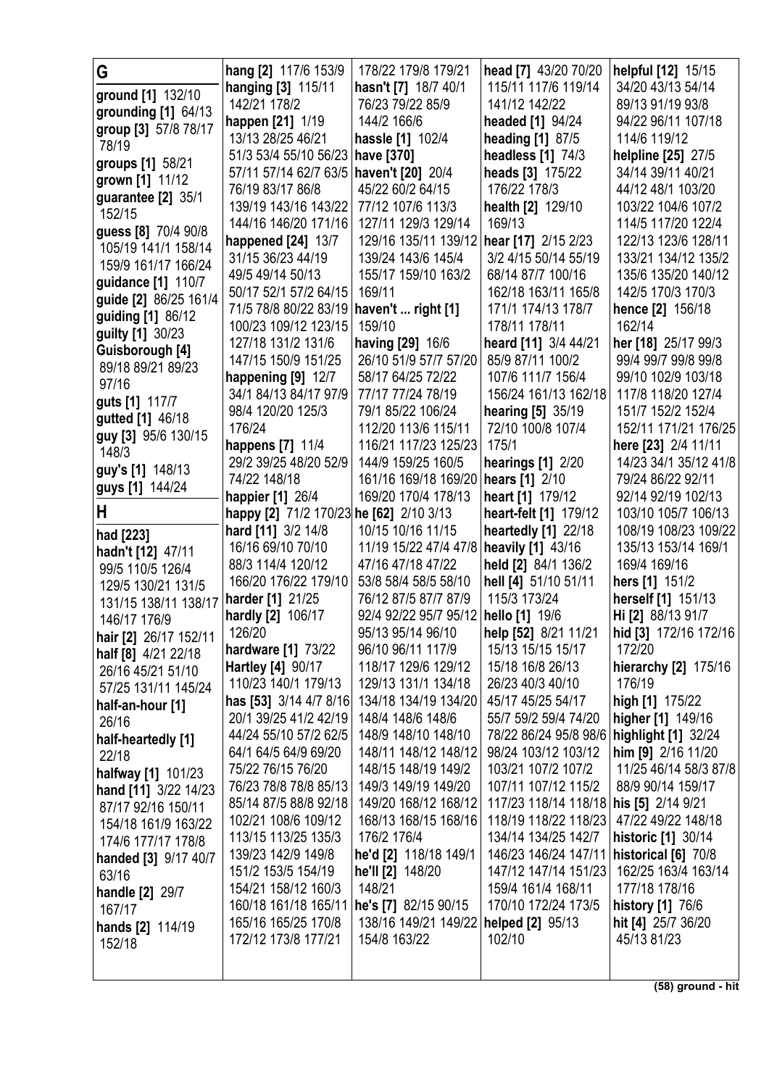| G                                          | hang [2] 117/6 153/9                                        | 178/22 179/8 179/21                       | head [7] 43/20 70/20                                               | helpful [12] 15/15                         |
|--------------------------------------------|-------------------------------------------------------------|-------------------------------------------|--------------------------------------------------------------------|--------------------------------------------|
| ground [1] 132/10                          | hanging [3] 115/11                                          | hasn't [7] 18/7 40/1                      | 115/11 117/6 119/14                                                | 34/20 43/13 54/14                          |
| grounding [1] 64/13                        | 142/21 178/2                                                | 76/23 79/22 85/9                          | 141/12 142/22                                                      | 89/13 91/19 93/8                           |
| group [3] 57/8 78/17                       | <b>happen</b> [21] 1/19                                     | 144/2 166/6                               | headed [1] 94/24                                                   | 94/22 96/11 107/18                         |
| 78/19                                      | 13/13 28/25 46/21                                           | hassle [1] 102/4                          | heading [1] 87/5                                                   | 114/6 119/12                               |
| groups [1] 58/21                           | 51/3 53/4 55/10 56/23 have [370]                            |                                           | headless [1] 74/3                                                  | helpline [25] 27/5                         |
| grown [1] 11/12                            | 57/11 57/14 62/7 63/5 haven't [20] 20/4                     |                                           | heads [3] 175/22                                                   | 34/14 39/11 40/21                          |
| guarantee [2] 35/1                         | 76/19 83/17 86/8                                            | 45/22 60/2 64/15                          | 176/22 178/3                                                       | 44/12 48/1 103/20                          |
| 152/15                                     | 139/19 143/16 143/22                                        | 77/12 107/6 113/3                         | health [2] 129/10                                                  | 103/22 104/6 107/2                         |
| guess [8] 70/4 90/8                        | 144/16 146/20 171/16                                        | 127/11 129/3 129/14                       | 169/13                                                             | 114/5 117/20 122/4                         |
| 105/19 141/1 158/14                        | happened [24] 13/7<br>31/15 36/23 44/19                     | 129/16 135/11 139/12 hear [17] 2/15 2/23  | 3/2 4/15 50/14 55/19                                               | 122/13 123/6 128/11<br>133/21 134/12 135/2 |
| 159/9 161/17 166/24                        | 49/5 49/14 50/13                                            | 139/24 143/6 145/4<br>155/17 159/10 163/2 | 68/14 87/7 100/16                                                  | 135/6 135/20 140/12                        |
| guidance [1] 110/7                         | 50/17 52/1 57/2 64/15                                       | 169/11                                    | 162/18 163/11 165/8                                                | 142/5 170/3 170/3                          |
| guide [2] 86/25 161/4                      | 71/5 78/8 80/22 83/19                                       | haven't  right [1]                        | 171/1 174/13 178/7                                                 | hence [2] 156/18                           |
| guiding [1] 86/12                          | 100/23 109/12 123/15                                        | 159/10                                    | 178/11 178/11                                                      | 162/14                                     |
| guilty [1] 30/23                           | 127/18 131/2 131/6                                          | having [29] 16/6                          | heard [11] 3/4 44/21                                               | her [18] 25/17 99/3                        |
| Guisborough [4]                            | 147/15 150/9 151/25                                         | 26/10 51/9 57/7 57/20                     | 85/9 87/11 100/2                                                   | 99/4 99/7 99/8 99/8                        |
| 89/18 89/21 89/23<br>97/16                 | happening [9] 12/7                                          | 58/17 64/25 72/22                         | 107/6 111/7 156/4                                                  | 99/10 102/9 103/18                         |
| guts [1] 117/7                             | 34/1 84/13 84/17 97/9                                       | 77/17 77/24 78/19                         | 156/24 161/13 162/18                                               | 117/8 118/20 127/4                         |
| gutted [1] 46/18                           | 98/4 120/20 125/3                                           | 79/1 85/22 106/24                         | hearing [5] 35/19                                                  | 151/7 152/2 152/4                          |
| guy [3] 95/6 130/15                        | 176/24                                                      | 112/20 113/6 115/11                       | 72/10 100/8 107/4                                                  | 152/11 171/21 176/25                       |
| 148/3                                      | happens [7] 11/4                                            | 116/21 117/23 125/23                      | 175/1                                                              | here [23] 2/4 11/11                        |
| guy's [1] 148/13                           | 29/2 39/25 48/20 52/9                                       | 144/9 159/25 160/5                        | hearings $[1]$ 2/20                                                | 14/23 34/1 35/12 41/8                      |
| guys [1] 144/24                            | 74/22 148/18                                                | 161/16 169/18 169/20   hears [1] 2/10     |                                                                    | 79/24 86/22 92/11                          |
| H                                          | happier [1] 26/4<br>happy [2] 71/2 170/23 he [62] 2/10 3/13 | 169/20 170/4 178/13                       | heart [1] 179/12<br>heart-felt [1] 179/12                          | 92/14 92/19 102/13<br>103/10 105/7 106/13  |
|                                            | hard [11] 3/2 14/8                                          | 10/15 10/16 11/15                         | heartedly [1] 22/18                                                | 108/19 108/23 109/22                       |
| had [223]                                  | 16/16 69/10 70/10                                           | 11/19 15/22 47/4 47/8                     | heavily [1] 43/16                                                  | 135/13 153/14 169/1                        |
| hadn't [12] 47/11<br>99/5 110/5 126/4      | 88/3 114/4 120/12                                           | 47/16 47/18 47/22                         | held [2] 84/1 136/2                                                | 169/4 169/16                               |
| 129/5 130/21 131/5                         | 166/20 176/22 179/10                                        | 53/8 58/4 58/5 58/10                      | hell [4] 51/10 51/11                                               | hers [1] 151/2                             |
| 131/15 138/11 138/17                       | harder [1] 21/25                                            | 76/12 87/5 87/7 87/9                      | 115/3 173/24                                                       | herself [1] 151/13                         |
| 146/17 176/9                               | hardly [2] 106/17                                           | 92/4 92/22 95/7 95/12                     | hello [1] 19/6                                                     | Hi [2] 88/13 91/7                          |
| hair [2] 26/17 152/11                      | 126/20                                                      | 95/13 95/14 96/10                         | help [52] 8/21 11/21                                               | hid [3] 172/16 172/16                      |
| half [8] 4/21 22/18                        | hardware [1] 73/22                                          | 96/10 96/11 117/9                         | 15/13 15/15 15/17                                                  | 172/20                                     |
| 26/16 45/21 51/10                          | Hartley [4] 90/17                                           | 118/17 129/6 129/12                       | 15/18 16/8 26/13                                                   | hierarchy [2] 175/16                       |
| 57/25 131/11 145/24                        | 110/23 140/1 179/13                                         | 129/13 131/1 134/18                       | 26/23 40/3 40/10                                                   | 176/19                                     |
| half-an-hour [1]                           | has [53] 3/14 4/7 8/16                                      | 134/18 134/19 134/20                      | 45/17 45/25 54/17                                                  | high [1] 175/22                            |
| 26/16                                      | 20/1 39/25 41/2 42/19<br>44/24 55/10 57/2 62/5              | 148/4 148/6 148/6<br>148/9 148/10 148/10  | 55/7 59/2 59/4 74/20                                               | higher [1] 149/16                          |
| half-heartedly [1]                         | 64/1 64/5 64/9 69/20                                        | 148/11 148/12 148/12                      | 78/22 86/24 95/8 98/6   highlight [1] 32/24<br>98/24 103/12 103/12 | him [9] 2/16 11/20                         |
| 22/18                                      | 75/22 76/15 76/20                                           | 148/15 148/19 149/2                       | 103/21 107/2 107/2                                                 | 11/25 46/14 58/3 87/8                      |
| halfway [1] 101/23<br>hand [11] 3/22 14/23 | 76/23 78/8 78/8 85/13                                       | 149/3 149/19 149/20                       | 107/11 107/12 115/2                                                | 88/9 90/14 159/17                          |
| 87/17 92/16 150/11                         | 85/14 87/5 88/8 92/18                                       | 149/20 168/12 168/12                      | 117/23 118/14 118/18 his [5] 2/14 9/21                             |                                            |
| 154/18 161/9 163/22                        | 102/21 108/6 109/12                                         | 168/13 168/15 168/16                      | 118/19 118/22 118/23 47/22 49/22 148/18                            |                                            |
| 174/6 177/17 178/8                         | 113/15 113/25 135/3                                         | 176/2 176/4                               | 134/14 134/25 142/7                                                | historic [1] 30/14                         |
| handed [3] 9/17 40/7                       | 139/23 142/9 149/8                                          | he'd [2] 118/18 149/1                     | 146/23 146/24 147/11                                               | historical [6] 70/8                        |
| 63/16                                      | 151/2 153/5 154/19                                          | he'll [2] 148/20                          | 147/12 147/14 151/23                                               | 162/25 163/4 163/14                        |
| handle [2] 29/7                            | 154/21 158/12 160/3                                         | 148/21                                    | 159/4 161/4 168/11                                                 | 177/18 178/16                              |
| 167/17                                     | 160/18 161/18 165/11   he's [7] 82/15 90/15                 |                                           | 170/10 172/24 173/5                                                | history [1] 76/6                           |
| hands [2] 114/19                           | 165/16 165/25 170/8                                         | 138/16 149/21 149/22   helped [2] 95/13   |                                                                    | hit [4] 25/7 36/20                         |
| 152/18                                     | 172/12 173/8 177/21                                         | 154/8 163/22                              | 102/10                                                             | 45/13 81/23                                |
|                                            |                                                             |                                           |                                                                    |                                            |

**(58) ground - hit**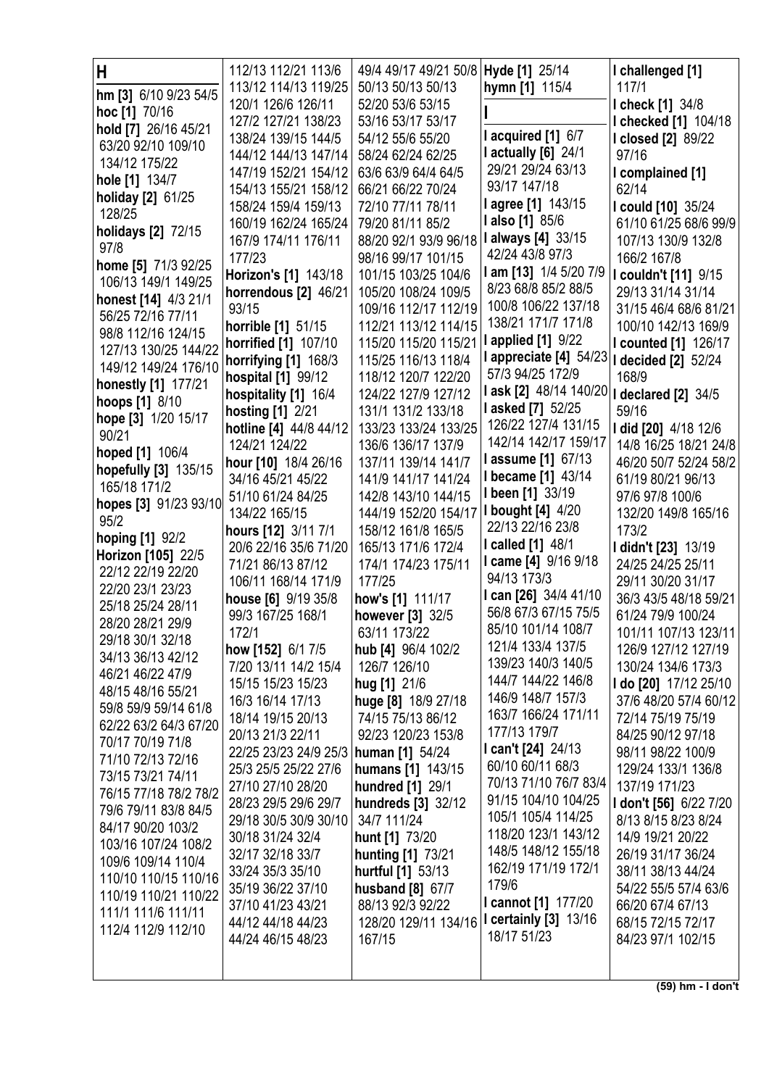| Н                     | 112/13 112/21 113/6                   | 49/4 49/17 49/21 50/8   Hyde [1] 25/14 |                                              | I challenged [1]           |
|-----------------------|---------------------------------------|----------------------------------------|----------------------------------------------|----------------------------|
| hm [3] 6/10 9/23 54/5 | 113/12 114/13 119/25                  | 50/13 50/13 50/13                      | hymn [1] 115/4                               | 117/1                      |
| hoc [1] 70/16         | 120/1 126/6 126/11                    | 52/20 53/6 53/15                       |                                              | <b>I check [1] 34/8</b>    |
| hold [7] 26/16 45/21  | 127/2 127/21 138/23                   | 53/16 53/17 53/17                      |                                              | I checked [1] 104/18       |
| 63/20 92/10 109/10    | 138/24 139/15 144/5                   | 54/12 55/6 55/20                       | I acquired [1] 6/7                           | I closed [2] 89/22         |
| 134/12 175/22         | 144/12 144/13 147/14                  | 58/24 62/24 62/25                      | <b>l</b> actually [6] 24/1                   | 97/16                      |
| hole [1] 134/7        | 147/19 152/21 154/12                  | 63/6 63/9 64/4 64/5                    | 29/21 29/24 63/13                            | I complained [1]           |
| holiday [2] 61/25     | 154/13 155/21 158/12                  | 66/21 66/22 70/24                      | 93/17 147/18                                 | 62/14                      |
| 128/25                | 158/24 159/4 159/13                   | 72/10 77/11 78/11                      | l agree [1] 143/15                           | I could [10] 35/24         |
| holidays [2] 72/15    | 160/19 162/24 165/24                  | 79/20 81/11 85/2                       | <b>lalso</b> [1] 85/6                        | 61/10 61/25 68/6 99/9      |
| 97/8                  | 167/9 174/11 176/11                   | 88/20 92/1 93/9 96/18                  | I always [4] 33/15                           | 107/13 130/9 132/8         |
| home [5] 71/3 92/25   | 177/23                                | 98/16 99/17 101/15                     | 42/24 43/8 97/3                              | 166/2 167/8                |
| 106/13 149/1 149/25   | Horizon's [1] 143/18                  | 101/15 103/25 104/6                    | I am [13] 1/4 5/20 7/9                       | I couldn't [11] 9/15       |
| honest [14] 4/3 21/1  | horrendous [2] 46/21                  | 105/20 108/24 109/5                    | 8/23 68/8 85/2 88/5                          | 29/13 31/14 31/14          |
| 56/25 72/16 77/11     | 93/15                                 | 109/16 112/17 112/19                   | 100/8 106/22 137/18                          | 31/15 46/4 68/6 81/21      |
| 98/8 112/16 124/15    | horrible [1] 51/15                    | 112/21 113/12 114/15                   | 138/21 171/7 171/8                           | 100/10 142/13 169/9        |
| 127/13 130/25 144/22  | <b>horrified</b> [1] 107/10           | 115/20 115/20 115/21                   | <b>l</b> applied [1] 9/22                    | I counted [1] 126/17       |
| 149/12 149/24 176/10  | horrifying [1] 168/3                  | 115/25 116/13 118/4                    | I appreciate [4] 54/23   I decided [2] 52/24 |                            |
| honestly [1] 177/21   | hospital [1] 99/12                    | 118/12 120/7 122/20                    | 57/3 94/25 172/9                             | 168/9                      |
| <b>hoops [1] 8/10</b> | hospitality [1] 16/4                  | 124/22 127/9 127/12                    | l ask [2] 48/14 140/20                       | <b>I declared [2] 34/5</b> |
| hope [3] 1/20 15/17   | hosting [1] 2/21                      | 131/1 131/2 133/18                     | <b>lasked [7] 52/25</b>                      | 59/16                      |
| 90/21                 | hotline [4] 44/8 44/12                | 133/23 133/24 133/25                   | 126/22 127/4 131/15                          | I did [20] 4/18 12/6       |
| hoped [1] 106/4       | 124/21 124/22                         | 136/6 136/17 137/9                     | 142/14 142/17 159/17                         | 14/8 16/25 18/21 24/8      |
| hopefully [3] 135/15  | hour [10] 18/4 26/16                  | 137/11 139/14 141/7                    | <b>lassume [1] 67/13</b>                     | 46/20 50/7 52/24 58/2      |
| 165/18 171/2          | 34/16 45/21 45/22                     | 141/9 141/17 141/24                    | <b>I became [1] 43/14</b>                    | 61/19 80/21 96/13          |
| hopes [3] 91/23 93/10 | 51/10 61/24 84/25                     | 142/8 143/10 144/15                    | I been [1] 33/19                             | 97/6 97/8 100/6            |
| 95/2                  | 134/22 165/15                         | 144/19 152/20 154/17                   | <b>I bought [4] 4/20</b>                     | 132/20 149/8 165/16        |
| hoping [1] 92/2       | hours [12] 3/11 7/1                   | 158/12 161/8 165/5                     | 22/13 22/16 23/8                             | 173/2                      |
| Horizon [105] 22/5    | 20/6 22/16 35/6 71/20                 | 165/13 171/6 172/4                     | <b>I called [1] 48/1</b>                     | I didn't [23] 13/19        |
| 22/12 22/19 22/20     | 71/21 86/13 87/12                     | 174/1 174/23 175/11                    | I came [4] 9/16 9/18                         | 24/25 24/25 25/11          |
| 22/20 23/1 23/23      | 106/11 168/14 171/9                   | 177/25                                 | 94/13 173/3                                  | 29/11 30/20 31/17          |
| 25/18 25/24 28/11     | house [6] 9/19 35/8                   | how's [1] 111/17                       | I can [26] 34/4 41/10                        | 36/3 43/5 48/18 59/21      |
| 28/20 28/21 29/9      | 99/3 167/25 168/1                     | however [3] 32/5                       | 56/8 67/3 67/15 75/5                         | 61/24 79/9 100/24          |
| 29/18 30/1 32/18      | 172/1                                 | 63/11 173/22                           | 85/10 101/14 108/7                           | 101/11 107/13 123/11       |
| 34/13 36/13 42/12     | how [152] 6/1 7/5                     | hub [4] 96/4 102/2                     | 121/4 133/4 137/5                            | 126/9 127/12 127/19        |
| 46/21 46/22 47/9      | 7/20 13/11 14/2 15/4                  | 126/7 126/10                           | 139/23 140/3 140/5                           | 130/24 134/6 173/3         |
| 48/15 48/16 55/21     | 15/15 15/23 15/23                     | hug [1] 21/6                           | 144/7 144/22 146/8                           | I do [20] 17/12 25/10      |
| 59/8 59/9 59/14 61/8  | 16/3 16/14 17/13                      | huge [8] 18/9 27/18                    | 146/9 148/7 157/3<br>163/7 166/24 171/11     | 37/6 48/20 57/4 60/12      |
| 62/22 63/2 64/3 67/20 | 18/14 19/15 20/13                     | 74/15 75/13 86/12                      |                                              | 72/14 75/19 75/19          |
| 70/17 70/19 71/8      | 20/13 21/3 22/11                      | 92/23 120/23 153/8                     | 177/13 179/7                                 | 84/25 90/12 97/18          |
| 71/10 72/13 72/16     | 22/25 23/23 24/9 25/3 human [1] 54/24 |                                        | I can't $[24]$ 24/13                         | 98/11 98/22 100/9          |
| 73/15 73/21 74/11     | 25/3 25/5 25/22 27/6                  | humans [1] 143/15                      | 60/10 60/11 68/3                             | 129/24 133/1 136/8         |
| 76/15 77/18 78/2 78/2 | 27/10 27/10 28/20                     | hundred [1] 29/1                       | 70/13 71/10 76/7 83/4                        | 137/19 171/23              |
| 79/6 79/11 83/8 84/5  | 28/23 29/5 29/6 29/7                  | hundreds [3] 32/12                     | 91/15 104/10 104/25                          | I don't [56] 6/22 7/20     |
| 84/17 90/20 103/2     | 29/18 30/5 30/9 30/10                 | 34/7 111/24                            | 105/1 105/4 114/25                           | 8/13 8/15 8/23 8/24        |
| 103/16 107/24 108/2   | 30/18 31/24 32/4                      | hunt [1] 73/20                         | 118/20 123/1 143/12                          | 14/9 19/21 20/22           |
| 109/6 109/14 110/4    | 32/17 32/18 33/7                      | hunting [1] 73/21                      | 148/5 148/12 155/18                          | 26/19 31/17 36/24          |
| 110/10 110/15 110/16  | 33/24 35/3 35/10                      | hurtful [1] 53/13                      | 162/19 171/19 172/1                          | 38/11 38/13 44/24          |
| 110/19 110/21 110/22  | 35/19 36/22 37/10                     | husband [8] 67/7                       | 179/6                                        | 54/22 55/5 57/4 63/6       |
| 111/1 111/6 111/11    | 37/10 41/23 43/21                     | 88/13 92/3 92/22                       | <b>I cannot [1] 177/20</b>                   | 66/20 67/4 67/13           |
| 112/4 112/9 112/10    | 44/12 44/18 44/23                     | 128/20 129/11 134/16                   | <b>I certainly [3] 13/16</b>                 | 68/15 72/15 72/17          |
|                       | 44/24 46/15 48/23                     | 167/15                                 | 18/17 51/23                                  | 84/23 97/1 102/15          |
|                       |                                       |                                        |                                              |                            |
|                       |                                       |                                        |                                              |                            |

 $(59)$  hm - I don't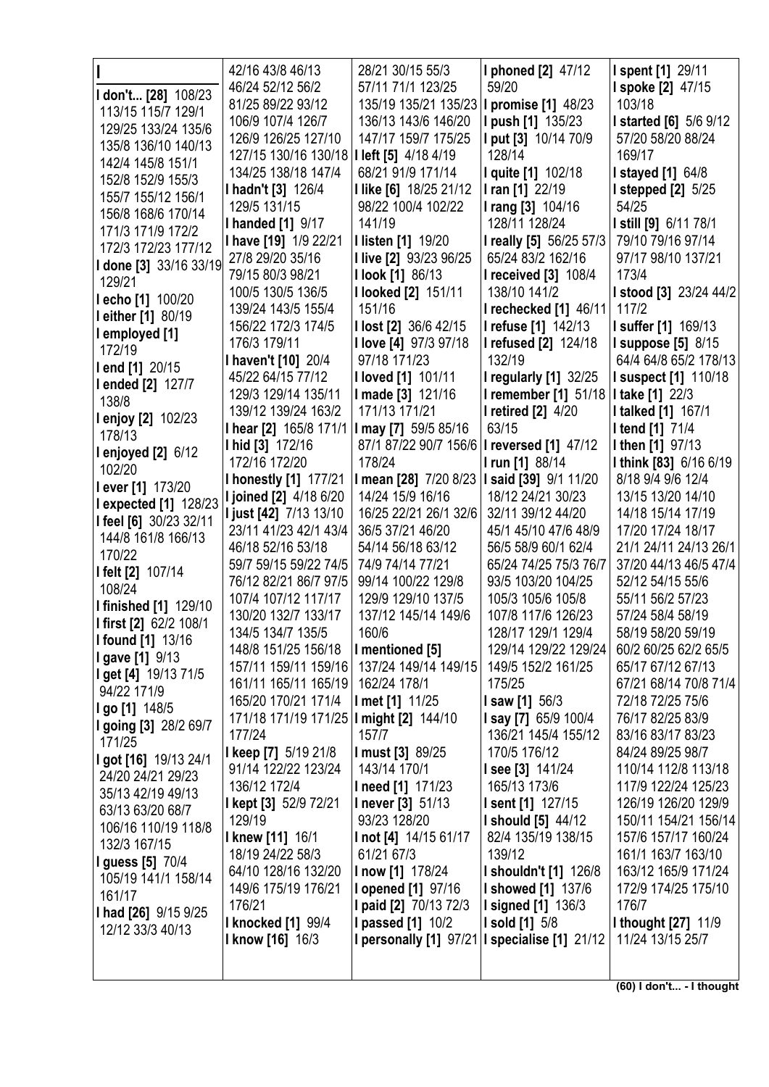| I don't [28] 108/23<br>113/15 115/7 129/1                             | 42/16 43/8 46/13<br>46/24 52/12 56/2<br>81/25 89/22 93/12                                   | 28/21 30/15 55/3<br>57/11 71/1 123/25<br>135/19 135/21 135/23   I promise [1] 48/23                     | I phoned [2] 47/12<br>59/20                                          | I spent [1] 29/11<br><b>I spoke [2] 47/15</b><br>103/18                           |
|-----------------------------------------------------------------------|---------------------------------------------------------------------------------------------|---------------------------------------------------------------------------------------------------------|----------------------------------------------------------------------|-----------------------------------------------------------------------------------|
| 129/25 133/24 135/6<br>135/8 136/10 140/13                            | 106/9 107/4 126/7<br>126/9 126/25 127/10<br>127/15 130/16 130/18   I left [5] 4/18 4/19     | 136/13 143/6 146/20<br>147/17 159/7 175/25                                                              | <b>I push [1] 135/23</b><br>I put [3] 10/14 70/9<br>128/14           | <b>I started [6]</b> 5/6 9/12<br>57/20 58/20 88/24<br>169/17                      |
| 142/4 145/8 151/1<br>152/8 152/9 155/3<br>155/7 155/12 156/1          | 134/25 138/18 147/4<br>I hadn't [3] 126/4                                                   | 68/21 91/9 171/14<br>I like [6] 18/25 21/12                                                             | I quite [1] 102/18<br>I ran [1] 22/19                                | <b>I stayed [1] 64/8</b><br><b>I stepped [2]</b> 5/25                             |
| 156/8 168/6 170/14<br>171/3 171/9 172/2<br>172/3 172/23 177/12        | 129/5 131/15<br><b>I handed [1] 9/17</b><br>I have [19] 1/9 22/21                           | 98/22 100/4 102/22<br>141/19<br><b>Ilisten [1] 19/20</b>                                                | I rang [3] 104/16<br>128/11 128/24<br>I really [5] 56/25 57/3        | 54/25<br>I still [9] 6/11 78/1<br>79/10 79/16 97/14                               |
| I done [3] 33/16 33/19<br>129/21                                      | 27/8 29/20 35/16<br>79/15 80/3 98/21<br>100/5 130/5 136/5                                   | I live [2] 93/23 96/25<br><b>I look [1] 86/13</b><br><b>I looked [2] 151/11</b>                         | 65/24 83/2 162/16<br><b>I received [3] 108/4</b><br>138/10 141/2     | 97/17 98/10 137/21<br>173/4<br><b>I stood [3] 23/24 44/2</b>                      |
| I echo [1] 100/20<br><b>leither</b> [1] 80/19<br>I employed [1]       | 139/24 143/5 155/4<br>156/22 172/3 174/5                                                    | 151/16<br>I lost [2] 36/6 42/15                                                                         | I rechecked [1] 46/11<br>I refuse [1] 142/13                         | 117/2<br>I suffer [1] 169/13                                                      |
| 172/19<br>I end [1] 20/15<br>I ended [2] 127/7                        | 176/3 179/11<br>I haven't [10] 20/4<br>45/22 64/15 77/12                                    | I love [4] 97/3 97/18<br>97/18 171/23<br><b>I loved [1] 101/11</b>                                      | I refused [2] 124/18<br>132/19<br><b>I regularly [1] 32/25</b>       | <b>I suppose [5] 8/15</b><br>64/4 64/8 65/2 178/13<br><b>I suspect [1] 110/18</b> |
| 138/8<br>I enjoy [2] 102/23                                           | 129/3 129/14 135/11<br>139/12 139/24 163/2<br>I hear [2] 165/8 171/1   I may [7] 59/5 85/16 | I made [3] 121/16<br>171/13 171/21                                                                      | I remember [1] 51/18<br><b>I</b> retired [2] 4/20<br>63/15           | I take [1] 22/3<br><b>I talked [1] 167/1</b><br><b>I tend [1] 71/4</b>            |
| 178/13<br><b>l</b> enjoyed [2] 6/12<br>102/20                         | I hid [3] 172/16<br>172/16 172/20<br><b>I honestly [1] 177/21</b>                           | 87/1 87/22 90/7 156/6   I reversed [1] 47/12<br>178/24<br>I mean [28] 7/20 8/23   I said [39] 9/1 11/20 | I run [1] 88/14                                                      | I then [1] 97/13<br>I think [83] 6/16 6/19<br>8/18 9/4 9/6 12/4                   |
| l ever [1] 173/20<br>I expected [1] 128/23<br>I feel [6] 30/23 32/11  | <b>I joined [2] 4/18 6/20</b><br><b>I just [42]</b> 7/13 13/10                              | 14/24 15/9 16/16<br>16/25 22/21 26/1 32/6                                                               | 18/12 24/21 30/23<br>32/11 39/12 44/20                               | 13/15 13/20 14/10<br>14/18 15/14 17/19                                            |
| 144/8 161/8 166/13<br>170/22<br>I felt [2] 107/14                     | 23/11 41/23 42/1 43/4<br>46/18 52/16 53/18<br>59/7 59/15 59/22 74/5                         | 36/5 37/21 46/20<br>54/14 56/18 63/12<br>74/9 74/14 77/21                                               | 45/1 45/10 47/6 48/9<br>56/5 58/9 60/1 62/4<br>65/24 74/25 75/3 76/7 | 17/20 17/24 18/17<br>21/1 24/11 24/13 26/1<br>37/20 44/13 46/5 47/4               |
| 108/24<br><b>I finished [1] 129/10</b>                                | 76/12 82/21 86/7 97/5<br>107/4 107/12 117/17<br>130/20 132/7 133/17                         | 99/14 100/22 129/8<br>129/9 129/10 137/5<br>137/12 145/14 149/6                                         | 93/5 103/20 104/25<br>105/3 105/6 105/8<br>107/8 117/6 126/23        | 52/12 54/15 55/6<br>55/11 56/2 57/23<br>57/24 58/4 58/19                          |
| I first [2] 62/2 108/1<br><b>I found [1] 13/16</b><br>I gave [1] 9/13 | 134/5 134/7 135/5<br>148/8 151/25 156/18<br>157/11 159/11 159/16                            | 160/6<br>I mentioned [5]<br>137/24 149/14 149/15                                                        | 128/17 129/1 129/4<br>129/14 129/22 129/24<br>149/5 152/2 161/25     | 58/19 58/20 59/19<br>60/2 60/25 62/2 65/5<br>65/17 67/12 67/13                    |
| I get [4] 19/13 71/5<br>94/22 171/9<br>I go [1] 148/5                 | 161/11 165/11 165/19<br>165/20 170/21 171/4                                                 | 162/24 178/1<br>I met [1] 11/25                                                                         | 175/25<br><b>I saw [1]</b> $56/3$                                    | 67/21 68/14 70/8 71/4<br>72/18 72/25 75/6                                         |
| I going [3] 28/2 69/7<br>171/25<br>I got [16] 19/13 24/1              | 171/18 171/19 171/25   I might [2] 144/10<br>177/24<br>I keep [7] 5/19 21/8                 | 157/7<br>I must [3] 89/25                                                                               | I say [7] 65/9 100/4<br>136/21 145/4 155/12<br>170/5 176/12          | 76/17 82/25 83/9<br>83/16 83/17 83/23<br>84/24 89/25 98/7                         |
| 24/20 24/21 29/23<br>35/13 42/19 49/13                                | 91/14 122/22 123/24<br>136/12 172/4<br>I kept [3] 52/9 72/21                                | 143/14 170/1<br>I need [1] 171/23<br><b>I</b> never [3] 51/13                                           | <b>I see [3] 141/24</b><br>165/13 173/6<br>I sent [1] 127/15         | 110/14 112/8 113/18<br>117/9 122/24 125/23<br>126/19 126/20 129/9                 |
| 63/13 63/20 68/7<br>106/16 110/19 118/8<br>132/3 167/15               | 129/19<br><b>I knew [11] 16/1</b><br>18/19 24/22 58/3                                       | 93/23 128/20<br>I not [4] 14/15 61/17<br>61/21 67/3                                                     | <b>I should [5] 44/12</b><br>82/4 135/19 138/15<br>139/12            | 150/11 154/21 156/14<br>157/6 157/17 160/24<br>161/1 163/7 163/10                 |
| <b>I guess [5] 70/4</b><br>105/19 141/1 158/14<br>161/17              | 64/10 128/16 132/20<br>149/6 175/19 176/21                                                  | <b>I now [1] 178/24</b><br><b>I</b> opened [1] 97/16                                                    | <b>I shouldn't [1] 126/8</b><br><b>I showed [1] 137/6</b>            | 163/12 165/9 171/24<br>172/9 174/25 175/10<br>176/7                               |
| I had [26] 9/15 9/25<br>12/12 33/3 40/13                              | 176/21<br><b>I knocked [1] 99/4</b><br><b>I know [16] 16/3</b>                              | I paid [2] 70/13 72/3<br><b>I</b> passed [1] 10/2<br>I personally [1] 97/21   I specialise [1] 21/12    | <b>I signed [1] 136/3</b><br><b>I sold [1]</b> 5/8                   | <b>I thought [27] 11/9</b><br>11/24 13/15 25/7                                    |
|                                                                       |                                                                                             |                                                                                                         |                                                                      |                                                                                   |

(60) I don't... - I thought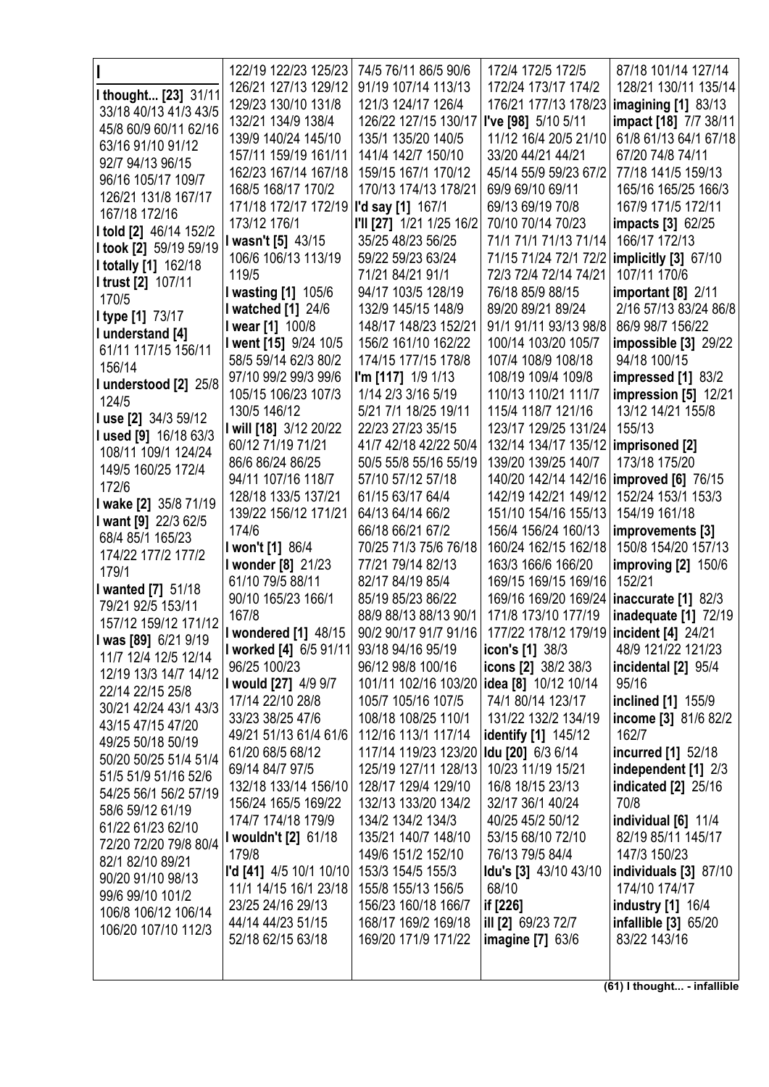|                                                   | 122/19 122/23 125/23                          | 74/5 76/11 86/5 90/6                                           | 172/4 172/5 172/5                         | 87/18 101/14 127/14          |
|---------------------------------------------------|-----------------------------------------------|----------------------------------------------------------------|-------------------------------------------|------------------------------|
|                                                   | 126/21 127/13 129/12                          | 91/19 107/14 113/13                                            | 172/24 173/17 174/2                       | 128/21 130/11 135/14         |
| I thought [23] 31/11                              | 129/23 130/10 131/8                           | 121/3 124/17 126/4                                             | 176/21 177/13 178/23                      | imagining $[1]$ 83/13        |
| 33/18 40/13 41/3 43/5                             | 132/21 134/9 138/4                            | 126/22 127/15 130/17                                           | I've [98] 5/10 5/11                       | impact [18] 7/7 38/11        |
| 45/8 60/9 60/11 62/16                             | 139/9 140/24 145/10                           | 135/1 135/20 140/5                                             | 11/12 16/4 20/5 21/10                     | 61/8 61/13 64/1 67/18        |
| 63/16 91/10 91/12                                 | 157/11 159/19 161/11                          | 141/4 142/7 150/10                                             | 33/20 44/21 44/21                         | 67/20 74/8 74/11             |
| 92/7 94/13 96/15                                  | 162/23 167/14 167/18                          | 159/15 167/1 170/12                                            | 45/14 55/9 59/23 67/2                     | 77/18 141/5 159/13           |
| 96/16 105/17 109/7                                | 168/5 168/17 170/2                            | 170/13 174/13 178/21                                           | 69/9 69/10 69/11                          | 165/16 165/25 166/3          |
| 126/21 131/8 167/17                               | 171/18 172/17 172/19 <b>I'd say [1]</b> 167/1 |                                                                | 69/13 69/19 70/8                          | 167/9 171/5 172/11           |
| 167/18 172/16                                     | 173/12 176/1                                  | I'll [27] 1/21 1/25 16/2                                       | 70/10 70/14 70/23                         | <b>impacts</b> [3] 62/25     |
| I told [2] 46/14 152/2                            | <b>I wasn't [5] 43/15</b>                     | 35/25 48/23 56/25                                              | 71/1 71/1 71/13 71/14                     | 166/17 172/13                |
| I took [2] 59/19 59/19                            | 106/6 106/13 113/19                           | 59/22 59/23 63/24                                              | 71/15 71/24 72/1 72/2                     | implicitly [3] 67/10         |
| <b>I totally [1] 162/18</b><br>I trust [2] 107/11 | 119/5                                         | 71/21 84/21 91/1                                               | 72/3 72/4 72/14 74/21                     | 107/11 170/6                 |
| 170/5                                             | I wasting [1] 105/6                           | 94/17 103/5 128/19                                             | 76/18 85/9 88/15                          | important $[8]$ 2/11         |
|                                                   | I watched [1] 24/6                            | 132/9 145/15 148/9                                             | 89/20 89/21 89/24                         | 2/16 57/13 83/24 86/8        |
| I type [1] 73/17                                  | I wear [1] 100/8                              | 148/17 148/23 152/21                                           | 91/1 91/11 93/13 98/8                     | 86/9 98/7 156/22             |
| I understand [4]<br>61/11 117/15 156/11           | I went [15] 9/24 10/5                         | 156/2 161/10 162/22                                            | 100/14 103/20 105/7                       | impossible [3] 29/22         |
| 156/14                                            | 58/5 59/14 62/3 80/2                          | 174/15 177/15 178/8                                            | 107/4 108/9 108/18                        | 94/18 100/15                 |
| I understood [2] 25/8                             | 97/10 99/2 99/3 99/6                          | I'm [117] 1/9 1/13                                             | 108/19 109/4 109/8                        | impressed [1] 83/2           |
| 124/5                                             | 105/15 106/23 107/3                           | 1/14 2/3 3/16 5/19                                             | 110/13 110/21 111/7                       | impression [5] 12/21         |
| I use [2] 34/3 59/12                              | 130/5 146/12                                  | 5/21 7/1 18/25 19/11                                           | 115/4 118/7 121/16                        | 13/12 14/21 155/8            |
| I used [9] 16/18 63/3                             | I will [18] 3/12 20/22                        | 22/23 27/23 35/15                                              | 123/17 129/25 131/24                      | 155/13                       |
| 108/11 109/1 124/24                               | 60/12 71/19 71/21                             | 41/7 42/18 42/22 50/4                                          | 132/14 134/17 135/12                      | imprisoned [2]               |
| 149/5 160/25 172/4                                | 86/6 86/24 86/25                              | 50/5 55/8 55/16 55/19                                          | 139/20 139/25 140/7                       | 173/18 175/20                |
| 172/6                                             | 94/11 107/16 118/7                            | 57/10 57/12 57/18                                              | 140/20 142/14 142/16                      | $\text{improved}$ [6] 76/15  |
| I wake [2] 35/8 71/19                             | 128/18 133/5 137/21                           | 61/15 63/17 64/4                                               | 142/19 142/21 149/12                      | 152/24 153/1 153/3           |
| I want [9] 22/3 62/5                              | 139/22 156/12 171/21                          | 64/13 64/14 66/2                                               | 151/10 154/16 155/13                      | 154/19 161/18                |
| 68/4 85/1 165/23                                  | 174/6                                         | 66/18 66/21 67/2                                               | 156/4 156/24 160/13                       | improvements [3]             |
| 174/22 177/2 177/2                                | I won't [1] 86/4                              | 70/25 71/3 75/6 76/18                                          | 160/24 162/15 162/18                      | 150/8 154/20 157/13          |
| 179/1                                             | I wonder [8] 21/23                            | 77/21 79/14 82/13                                              | 163/3 166/6 166/20                        | improving $[2]$ 150/6        |
| I wanted [7] 51/18                                | 61/10 79/5 88/11                              | 82/17 84/19 85/4                                               | 169/15 169/15 169/16                      | 152/21                       |
| 79/21 92/5 153/11                                 | 90/10 165/23 166/1                            | 85/19 85/23 86/22                                              | 169/16 169/20 169/24                      | inaccurate $[1]$ 82/3        |
| 157/12 159/12 171/12                              | 167/8                                         | 88/9 88/13 88/13 90/1                                          | 171/8 173/10 177/19                       | <b>inadequate</b> [1] 72/19  |
| I was [89] 6/21 9/19                              | <b>I</b> wondered [1] 48/15                   | 90/2 90/17 91/7 91/16                                          | 177/22 178/12 179/19   incident [4] 24/21 |                              |
| 11/7 12/4 12/5 12/14                              | I worked [4] 6/5 91/11                        | 93/18 94/16 95/19                                              | <b>icon's [1]</b> 38/3                    | 48/9 121/22 121/23           |
| 12/19 13/3 14/7 14/12                             | 96/25 100/23                                  | 96/12 98/8 100/16<br>101/11 102/16 103/20 idea [8] 10/12 10/14 | icons [2] 38/2 38/3                       | incidental [2] 95/4<br>95/16 |
| 22/14 22/15 25/8                                  | I would [27] 4/9 9/7<br>17/14 22/10 28/8      | 105/7 105/16 107/5                                             | 74/1 80/14 123/17                         | inclined [1] 155/9           |
| 30/21 42/24 43/1 43/3                             | 33/23 38/25 47/6                              | 108/18 108/25 110/1                                            | 131/22 132/2 134/19                       | income [3] 81/6 82/2         |
| 43/15 47/15 47/20                                 | 49/21 51/13 61/4 61/6                         | 112/16 113/1 117/14                                            | identify [1] 145/12                       | 162/7                        |
| 49/25 50/18 50/19                                 | 61/20 68/5 68/12                              | 117/14 119/23 123/20 <b>Idu [20]</b> 6/3 6/14                  |                                           | incurred [1] 52/18           |
| 50/20 50/25 51/4 51/4                             | 69/14 84/7 97/5                               | 125/19 127/11 128/13                                           | 10/23 11/19 15/21                         | independent [1] 2/3          |
| 51/5 51/9 51/16 52/6                              | 132/18 133/14 156/10                          | 128/17 129/4 129/10                                            | 16/8 18/15 23/13                          | <b>indicated</b> [2] 25/16   |
| 54/25 56/1 56/2 57/19                             | 156/24 165/5 169/22                           | 132/13 133/20 134/2                                            | 32/17 36/1 40/24                          | 70/8                         |
| 58/6 59/12 61/19                                  | 174/7 174/18 179/9                            | 134/2 134/2 134/3                                              | 40/25 45/2 50/12                          | individual [6] 11/4          |
| 61/22 61/23 62/10                                 | I wouldn't [2] 61/18                          | 135/21 140/7 148/10                                            | 53/15 68/10 72/10                         | 82/19 85/11 145/17           |
| 72/20 72/20 79/8 80/4                             | 179/8                                         | 149/6 151/2 152/10                                             | 76/13 79/5 84/4                           | 147/3 150/23                 |
| 82/1 82/10 89/21                                  | <b>I'd [41]</b> 4/5 10/1 10/10                | 153/3 154/5 155/3                                              | Idu's [3] 43/10 43/10                     | individuals [3] 87/10        |
| 90/20 91/10 98/13                                 | 11/1 14/15 16/1 23/18                         | 155/8 155/13 156/5                                             | 68/10                                     | 174/10 174/17                |
| 99/6 99/10 101/2                                  | 23/25 24/16 29/13                             | 156/23 160/18 166/7                                            | if [226]                                  | industry [1] 16/4            |
| 106/8 106/12 106/14                               | 44/14 44/23 51/15                             | 168/17 169/2 169/18                                            | ill [2] 69/23 72/7                        | infallible [3] 65/20         |
| 106/20 107/10 112/3                               | 52/18 62/15 63/18                             | 169/20 171/9 171/22                                            | imagine $[7]$ 63/6                        | 83/22 143/16                 |
|                                                   |                                               |                                                                |                                           |                              |
|                                                   |                                               |                                                                |                                           |                              |
|                                                   |                                               |                                                                |                                           | (61) I thought - infallible  |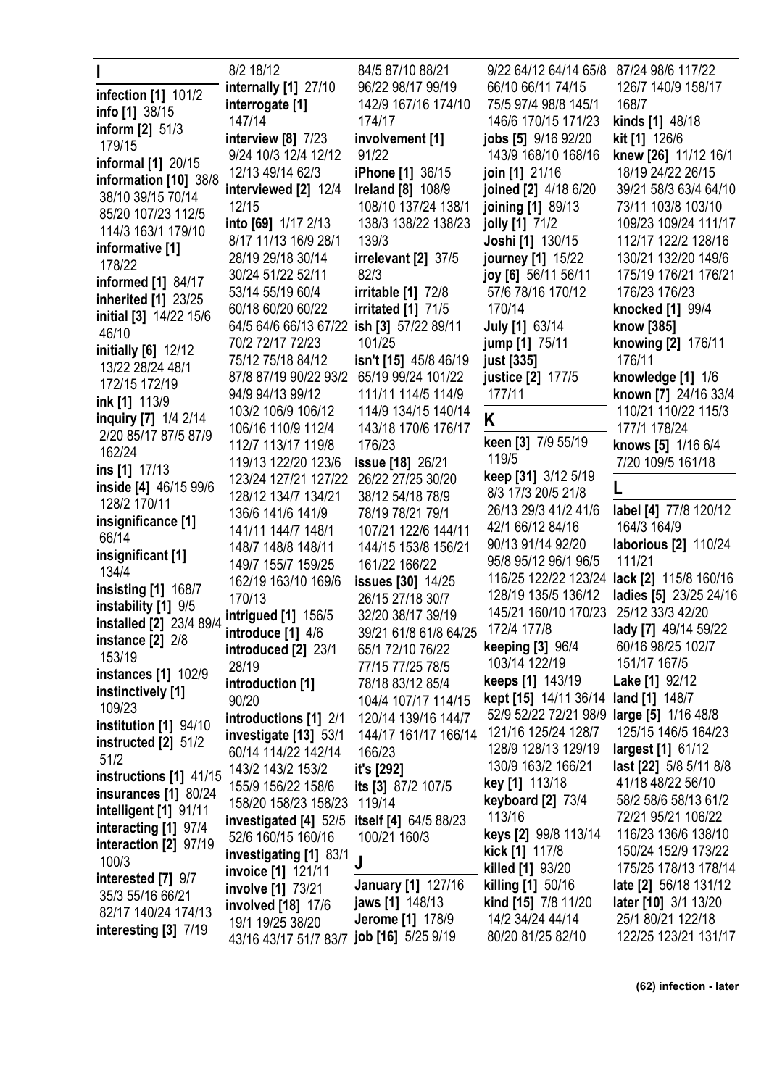|                            | 8/2 18/12                                     | 84/5 87/10 88/21          | 9/22 64/12 64/14 65/8                       | 87/24 98/6 117/22           |
|----------------------------|-----------------------------------------------|---------------------------|---------------------------------------------|-----------------------------|
|                            | internally [1] 27/10                          | 96/22 98/17 99/19         | 66/10 66/11 74/15                           | 126/7 140/9 158/17          |
| <b>infection</b> [1] 101/2 | interrogate [1]                               | 142/9 167/16 174/10       | 75/5 97/4 98/8 145/1                        | 168/7                       |
| info $[1]$ 38/15           | 147/14                                        | 174/17                    | 146/6 170/15 171/23                         | kinds [1] 48/18             |
| inform $[2]$ 51/3          | interview $[8]$ 7/23                          | involvement [1]           | jobs [5] 9/16 92/20                         | kit [1] 126/6               |
| 179/15                     |                                               | 91/22                     |                                             |                             |
| informal [1] 20/15         | 9/24 10/3 12/4 12/12                          |                           | 143/9 168/10 168/16                         | knew [26] 11/12 16/1        |
| information [10] 38/8      | 12/13 49/14 62/3                              | <b>iPhone [1] 36/15</b>   | join [1] 21/16                              | 18/19 24/22 26/15           |
| 38/10 39/15 70/14          | interviewed [2] 12/4                          | <b>Ireland</b> [8] 108/9  | joined [2] 4/18 6/20                        | 39/21 58/3 63/4 64/10       |
| 85/20 107/23 112/5         | 12/15                                         | 108/10 137/24 138/1       | joining [1] 89/13                           | 73/11 103/8 103/10          |
| 114/3 163/1 179/10         | into [69] 1/17 2/13                           | 138/3 138/22 138/23       | jolly [1] 71/2                              | 109/23 109/24 111/17        |
| informative [1]            | 8/17 11/13 16/9 28/1                          | 139/3                     | Joshi [1] 130/15                            | 112/17 122/2 128/16         |
| 178/22                     | 28/19 29/18 30/14                             | irrelevant [2] 37/5       | journey [1] 15/22                           | 130/21 132/20 149/6         |
|                            | 30/24 51/22 52/11                             | 82/3                      | joy [6] 56/11 56/11                         | 175/19 176/21 176/21        |
| informed [1] 84/17         | 53/14 55/19 60/4                              | irritable $[1]$ 72/8      | 57/6 78/16 170/12                           | 176/23 176/23               |
| inherited [1] 23/25        | 60/18 60/20 60/22                             | <b>irritated</b> [1] 71/5 | 170/14                                      | knocked [1] 99/4            |
| initial [3] 14/22 15/6     | 64/5 64/6 66/13 67/22 ish [3] 57/22 89/11     |                           | <b>July [1] 63/14</b>                       | know [385]                  |
| 46/10                      | 70/2 72/17 72/23                              | 101/25                    | jump [1] 75/11                              | knowing [2] 176/11          |
| initially [6] 12/12        | 75/12 75/18 84/12                             | isn't [15] 45/8 46/19     | just [335]                                  | 176/11                      |
| 13/22 28/24 48/1           | 87/8 87/19 90/22 93/2                         | 65/19 99/24 101/22        | justice [2] 177/5                           | knowledge [1] 1/6           |
| 172/15 172/19              |                                               |                           |                                             |                             |
| ink [1] 113/9              | 94/9 94/13 99/12                              | 111/11 114/5 114/9        | 177/11                                      | known [7] 24/16 33/4        |
| inquiry [7] 1/4 2/14       | 103/2 106/9 106/12                            | 114/9 134/15 140/14       | Κ                                           | 110/21 110/22 115/3         |
| 2/20 85/17 87/5 87/9       | 106/16 110/9 112/4                            | 143/18 170/6 176/17       |                                             | 177/1 178/24                |
| 162/24                     | 112/7 113/17 119/8                            | 176/23                    | keen [3] 7/9 55/19                          | knows [5] 1/16 6/4          |
| ins [1] 17/13              | 119/13 122/20 123/6                           | <b>issue [18] 26/21</b>   | 119/5                                       | 7/20 109/5 161/18           |
| inside [4] 46/15 99/6      | 123/24 127/21 127/22                          | 26/22 27/25 30/20         | keep [31] 3/12 5/19                         |                             |
| 128/2 170/11               | 128/12 134/7 134/21                           | 38/12 54/18 78/9          | 8/3 17/3 20/5 21/8                          |                             |
|                            | 136/6 141/6 141/9                             | 78/19 78/21 79/1          | 26/13 29/3 41/2 41/6                        | label [4] 77/8 120/12       |
| insignificance [1]         | 141/11 144/7 148/1                            | 107/21 122/6 144/11       | 42/1 66/12 84/16                            | 164/3 164/9                 |
| 66/14                      | 148/7 148/8 148/11                            | 144/15 153/8 156/21       | 90/13 91/14 92/20                           | <b>laborious [2] 110/24</b> |
| insignificant [1]          | 149/7 155/7 159/25                            | 161/22 166/22             | 95/8 95/12 96/1 96/5                        | 111/21                      |
| 134/4                      | 162/19 163/10 169/6                           | issues [30] 14/25         | 116/25 122/22 123/24                        | lack [2] 115/8 160/16       |
| <b>insisting [1] 168/7</b> | 170/13                                        | 26/15 27/18 30/7          | 128/19 135/5 136/12                         | ladies [5] 23/25 24/16      |
| instability [1] 9/5        | intrigued [1] 156/5                           | 32/20 38/17 39/19         | 145/21 160/10 170/23                        | 25/12 33/3 42/20            |
| installed [2] 23/4 89/4    |                                               | 39/21 61/8 61/8 64/25     | 172/4 177/8                                 | lady [7] 49/14 59/22        |
| instance $[2]$ 2/8         | introduce [1] 4/6                             |                           | keeping [3] 96/4                            | 60/16 98/25 102/7           |
| 153/19                     | introduced [2] 23/1                           | 65/1 72/10 76/22          | 103/14 122/19                               | 151/17 167/5                |
| <b>instances</b> [1] 102/9 | 28/19                                         | 77/15 77/25 78/5          | keeps [1] 143/19                            | Lake [1] 92/12              |
| instinctively [1]          | introduction [1]                              | 78/18 83/12 85/4          | kept [15] 14/11 36/14                       |                             |
| 109/23                     | 90/20                                         | 104/4 107/17 114/15       |                                             | land [1] 148/7              |
| institution [1] 94/10      | introductions [1] 2/1                         | 120/14 139/16 144/7       | 52/9 52/22 72/21 98/9   large [5] 1/16 48/8 |                             |
| instructed $[2]$ 51/2      | investigate [13] 53/1                         | 144/17 161/17 166/14      | 121/16 125/24 128/7                         | 125/15 146/5 164/23         |
| 51/2                       | 60/14 114/22 142/14                           | 166/23                    | 128/9 128/13 129/19                         | largest [1] 61/12           |
| instructions [1] 41/15     | 143/2 143/2 153/2                             | it's [292]                | 130/9 163/2 166/21                          | last [22] 5/8 5/11 8/8      |
| insurances [1] 80/24       | 155/9 156/22 158/6                            | its [3] 87/2 107/5        | key [1] 113/18                              | 41/18 48/22 56/10           |
|                            | 158/20 158/23 158/23                          | 119/14                    | keyboard [2] 73/4                           | 58/2 58/6 58/13 61/2        |
| intelligent [1] 91/11      | investigated [4] 52/5   itself [4] 64/5 88/23 |                           | 113/16                                      | 72/21 95/21 106/22          |
| interacting [1] 97/4       | 52/6 160/15 160/16                            | 100/21 160/3              | keys [2] 99/8 113/14                        | 116/23 136/6 138/10         |
| interaction [2] 97/19      | investigating [1] 83/1                        |                           | kick [1] 117/8                              | 150/24 152/9 173/22         |
| 100/3                      | invoice [1] 121/11                            | J                         | killed [1] 93/20                            | 175/25 178/13 178/14        |
| interested [7] 9/7         | involve [1] 73/21                             | <b>January [1] 127/16</b> | killing [1] 50/16                           | late [2] 56/18 131/12       |
| 35/3 55/16 66/21           | involved [18] 17/6                            | jaws [1] 148/13           | kind [15] 7/8 11/20                         | later [10] 3/1 13/20        |
| 82/17 140/24 174/13        | 19/1 19/25 38/20                              | <b>Jerome [1] 178/9</b>   | 14/2 34/24 44/14                            | 25/1 80/21 122/18           |
| interesting [3] 7/19       | 43/16 43/17 51/7 83/7                         | job [16] 5/25 9/19        | 80/20 81/25 82/10                           | 122/25 123/21 131/17        |
|                            |                                               |                           |                                             |                             |
|                            |                                               |                           |                                             |                             |
|                            |                                               |                           |                                             |                             |

**(62) infection - later**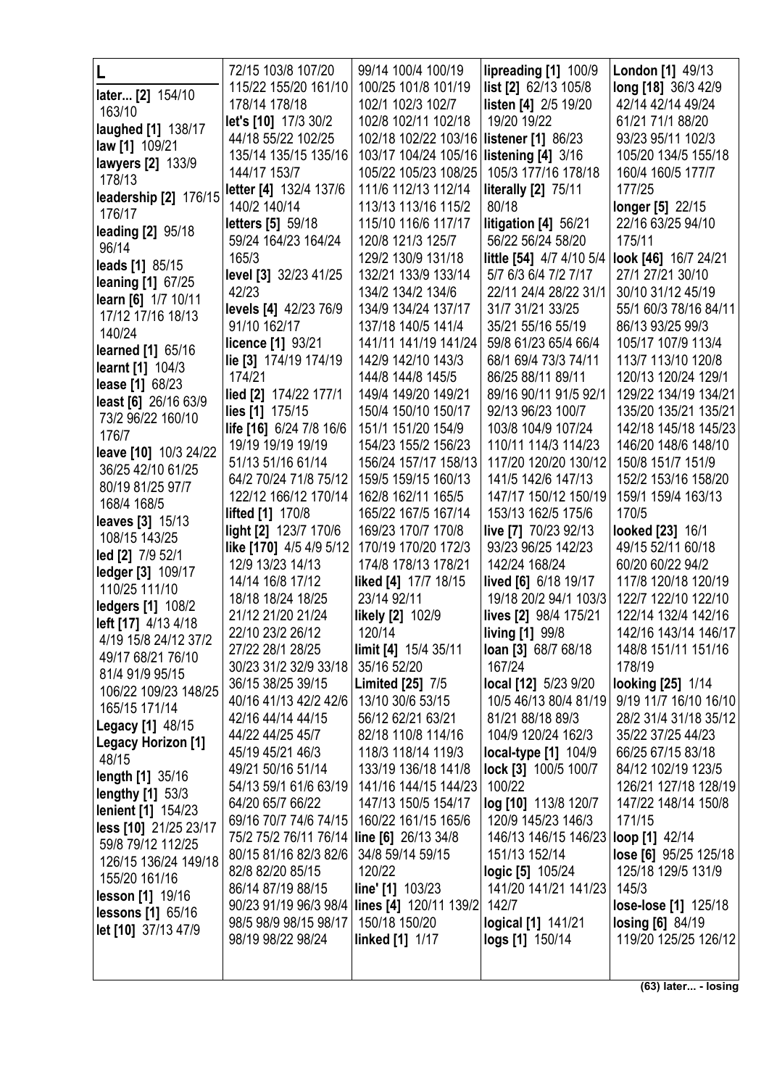|                           | 72/15 103/8 107/20                        | 99/14 100/4 100/19                             | lipreading [1] 100/9                         | <b>London</b> [1] 49/13      |
|---------------------------|-------------------------------------------|------------------------------------------------|----------------------------------------------|------------------------------|
|                           | 115/22 155/20 161/10                      | 100/25 101/8 101/19                            | list [2] 62/13 105/8                         | long [18] 36/3 42/9          |
| later [2] 154/10          | 178/14 178/18                             | 102/1 102/3 102/7                              | listen [4] 2/5 19/20                         | 42/14 42/14 49/24            |
| 163/10                    | let's [10] 17/3 30/2                      | 102/8 102/11 102/18                            | 19/20 19/22                                  | 61/21 71/1 88/20             |
| laughed [1] 138/17        | 44/18 55/22 102/25                        | 102/18 102/22 103/16                           | <b>listener</b> [1] 86/23                    | 93/23 95/11 102/3            |
| <b>law</b> [1] 109/21     | 135/14 135/15 135/16                      | 103/17 104/24 105/16 listening [4] 3/16        |                                              | 105/20 134/5 155/18          |
| lawyers [2] 133/9         | 144/17 153/7                              | 105/22 105/23 108/25                           | 105/3 177/16 178/18                          | 160/4 160/5 177/7            |
| 178/13                    |                                           |                                                |                                              |                              |
| leadership [2] 176/15     | letter [4] 132/4 137/6                    | 111/6 112/13 112/14                            | <b>literally [2] 75/11</b>                   | 177/25                       |
| 176/17                    | 140/2 140/14                              | 113/13 113/16 115/2                            | 80/18                                        | longer [5] 22/15             |
| <b>leading [2] 95/18</b>  | <b>letters</b> [5] 59/18                  | 115/10 116/6 117/17                            | litigation [4] 56/21                         | 22/16 63/25 94/10            |
| 96/14                     | 59/24 164/23 164/24                       | 120/8 121/3 125/7                              | 56/22 56/24 58/20                            | 175/11                       |
| leads [1] 85/15           | 165/3                                     | 129/2 130/9 131/18                             | little [54] 4/7 4/10 5/4                     | look [46] 16/7 24/21         |
| <b>leaning [1] 67/25</b>  | level [3] 32/23 41/25                     | 132/21 133/9 133/14                            | 5/7 6/3 6/4 7/2 7/17                         | 27/1 27/21 30/10             |
| learn [6] 1/7 10/11       | 42/23                                     | 134/2 134/2 134/6                              | 22/11 24/4 28/22 31/1                        | 30/10 31/12 45/19            |
| 17/12 17/16 18/13         | levels [4] 42/23 76/9                     | 134/9 134/24 137/17                            | 31/7 31/21 33/25                             | 55/1 60/3 78/16 84/11        |
| 140/24                    | 91/10 162/17                              | 137/18 140/5 141/4                             | 35/21 55/16 55/19                            | 86/13 93/25 99/3             |
| learned [1] 65/16         | licence [1] 93/21                         | 141/11 141/19 141/24                           | 59/8 61/23 65/4 66/4                         | 105/17 107/9 113/4           |
| learnt [1] 104/3          | lie [3] 174/19 174/19                     | 142/9 142/10 143/3                             | 68/1 69/4 73/3 74/11                         | 113/7 113/10 120/8           |
| lease [1] 68/23           | 174/21                                    | 144/8 144/8 145/5                              | 86/25 88/11 89/11                            | 120/13 120/24 129/1          |
| least [6] 26/16 63/9      | lied [2] 174/22 177/1                     | 149/4 149/20 149/21                            | 89/16 90/11 91/5 92/1                        | 129/22 134/19 134/21         |
| 73/2 96/22 160/10         | lies [1] 175/15                           | 150/4 150/10 150/17                            | 92/13 96/23 100/7                            | 135/20 135/21 135/21         |
| 176/7                     | life [16] 6/24 7/8 16/6                   | 151/1 151/20 154/9                             | 103/8 104/9 107/24                           | 142/18 145/18 145/23         |
|                           | 19/19 19/19 19/19                         | 154/23 155/2 156/23                            | 110/11 114/3 114/23                          | 146/20 148/6 148/10          |
| leave [10] 10/3 24/22     | 51/13 51/16 61/14                         | 156/24 157/17 158/13                           | 117/20 120/20 130/12                         | 150/8 151/7 151/9            |
| 36/25 42/10 61/25         | 64/2 70/24 71/8 75/12                     | 159/5 159/15 160/13                            | 141/5 142/6 147/13                           | 152/2 153/16 158/20          |
| 80/19 81/25 97/7          | 122/12 166/12 170/14                      | 162/8 162/11 165/5                             | 147/17 150/12 150/19                         | 159/1 159/4 163/13           |
| 168/4 168/5               | <b>lifted</b> [1] 170/8                   | 165/22 167/5 167/14                            | 153/13 162/5 175/6                           | 170/5                        |
| <b>leaves</b> [3] 15/13   | light [2] 123/7 170/6                     | 169/23 170/7 170/8                             | live [7] 70/23 92/13                         | looked [23] 16/1             |
| 108/15 143/25             | like [170] 4/5 4/9 5/12                   | 170/19 170/20 172/3                            | 93/23 96/25 142/23                           | 49/15 52/11 60/18            |
| led [2] 7/9 52/1          | 12/9 13/23 14/13                          | 174/8 178/13 178/21                            | 142/24 168/24                                | 60/20 60/22 94/2             |
| ledger [3] 109/17         | 14/14 16/8 17/12                          | liked [4] 17/7 18/15                           | lived [6] 6/18 19/17                         | 117/8 120/18 120/19          |
| 110/25 111/10             | 18/18 18/24 18/25                         | 23/14 92/11                                    | 19/18 20/2 94/1 103/3                        | 122/7 122/10 122/10          |
| <b>ledgers [1] 108/2</b>  | 21/12 21/20 21/24                         | <b>likely [2]</b> 102/9                        | lives [2] 98/4 175/21                        | 122/14 132/4 142/16          |
| left [17] 4/13 4/18       | 22/10 23/2 26/12                          | 120/14                                         | <b>living [1] 99/8</b>                       | 142/16 143/14 146/17         |
| 4/19 15/8 24/12 37/2      | 27/22 28/1 28/25                          | limit [4] 15/4 35/11                           | loan [3] 68/7 68/18                          | 148/8 151/11 151/16          |
| 49/17 68/21 76/10         | 30/23 31/2 32/9 33/18                     | 35/16 52/20                                    | 167/24                                       | 178/19                       |
| 81/4 91/9 95/15           | 36/15 38/25 39/15                         | <b>Limited [25] 7/5</b>                        | local [12] 5/23 9/20                         | looking [25] 1/14            |
| 106/22 109/23 148/25      | 40/16 41/13 42/2 42/6                     | 13/10 30/6 53/15                               | 10/5 46/13 80/4 81/19                        | 9/19 11/7 16/10 16/10        |
| 165/15 171/14             | 42/16 44/14 44/15                         | 56/12 62/21 63/21                              | 81/21 88/18 89/3                             | 28/2 31/4 31/18 35/12        |
| <b>Legacy</b> [1] 48/15   | 44/22 44/25 45/7                          | 82/18 110/8 114/16                             | 104/9 120/24 162/3                           | 35/22 37/25 44/23            |
| <b>Legacy Horizon [1]</b> | 45/19 45/21 46/3                          | 118/3 118/14 119/3                             |                                              | 66/25 67/15 83/18            |
| 48/15                     | 49/21 50/16 51/14                         | 133/19 136/18 141/8                            | local-type [1] 104/9<br>lock [3] 100/5 100/7 | 84/12 102/19 123/5           |
| <b>length [1] 35/16</b>   | 54/13 59/1 61/6 63/19                     | 141/16 144/15 144/23                           | 100/22                                       | 126/21 127/18 128/19         |
| <b>lengthy</b> [1] 53/3   |                                           |                                                |                                              |                              |
| <b>lenient</b> [1] 154/23 | 64/20 65/7 66/22                          | 147/13 150/5 154/17                            | log [10] 113/8 120/7                         | 147/22 148/14 150/8          |
| less [10] 21/25 23/17     | 69/16 70/7 74/6 74/15                     | 160/22 161/15 165/6                            | 120/9 145/23 146/3                           | 171/15                       |
| 59/8 79/12 112/25         | 75/2 75/2 76/11 76/14 line [6] 26/13 34/8 |                                                | 146/13 146/15 146/23                         | loop [1] 42/14               |
| 126/15 136/24 149/18      | 80/15 81/16 82/3 82/6                     | 34/8 59/14 59/15                               | 151/13 152/14                                | <b>lose [6]</b> 95/25 125/18 |
| 155/20 161/16             | 82/8 82/20 85/15                          | 120/22                                         | <b>logic [5]</b> 105/24                      | 125/18 129/5 131/9           |
| lesson [1] 19/16          | 86/14 87/19 88/15                         | line' [1] 103/23                               | 141/20 141/21 141/23                         | 145/3                        |
| <b>lessons</b> [1] 65/16  |                                           | 90/23 91/19 96/3 98/4   lines [4] 120/11 139/2 | 142/7                                        | lose-lose [1] 125/18         |
| let [10] 37/13 47/9       | 98/5 98/9 98/15 98/17                     | 150/18 150/20                                  | <b>logical</b> [1] 141/21                    | <b>losing [6] 84/19</b>      |
|                           | 98/19 98/22 98/24                         | <b>linked</b> [1] 1/17                         | logs [1] 150/14                              | 119/20 125/25 126/12         |
|                           |                                           |                                                |                                              |                              |
|                           |                                           |                                                |                                              |                              |

**(63) later... - losing**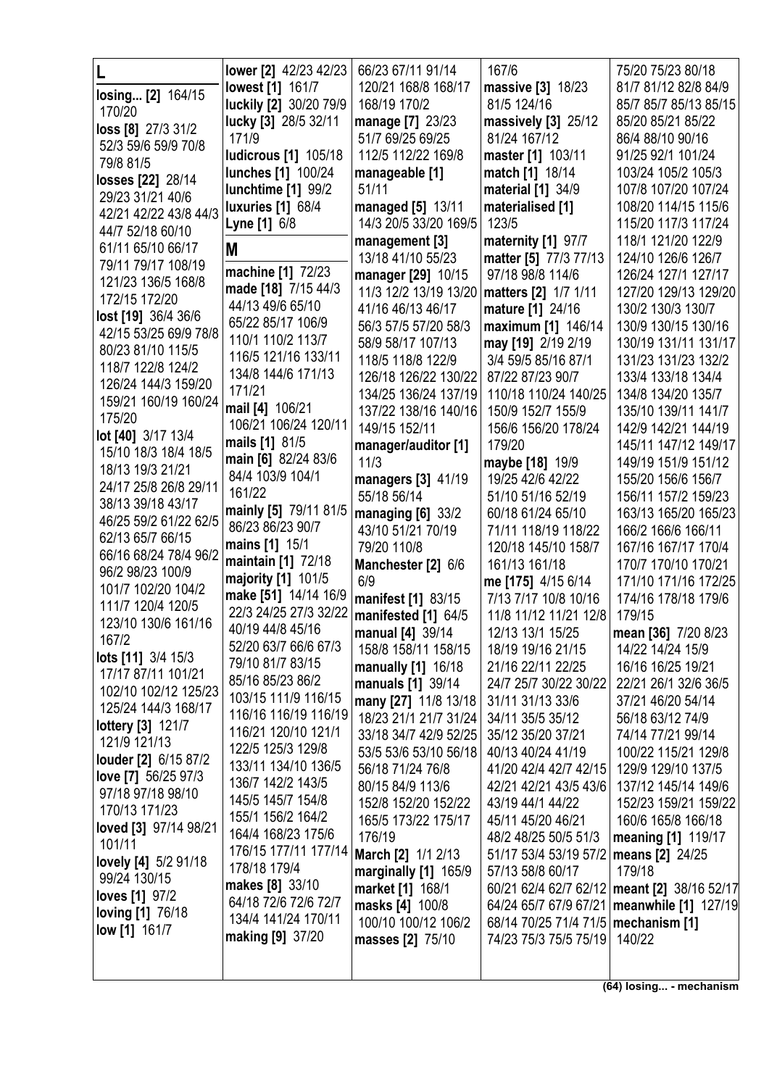|                                            | <b>lower</b> [2] 42/23 42/23             | 66/23 67/11 91/14                          | 167/6                                     | 75/20 75/23 80/18                            |
|--------------------------------------------|------------------------------------------|--------------------------------------------|-------------------------------------------|----------------------------------------------|
| losing [2] 164/15                          | <b>lowest</b> [1] 161/7                  | 120/21 168/8 168/17                        | massive [3] 18/23                         | 81/7 81/12 82/8 84/9                         |
| 170/20                                     | luckily [2] 30/20 79/9                   | 168/19 170/2                               | 81/5 124/16                               | 85/7 85/7 85/13 85/15                        |
| loss [8] 27/3 31/2                         | lucky [3] 28/5 32/11                     | manage [7] 23/23                           | massively [3] 25/12                       | 85/20 85/21 85/22                            |
| 52/3 59/6 59/9 70/8                        | 171/9                                    | 51/7 69/25 69/25                           | 81/24 167/12                              | 86/4 88/10 90/16                             |
| 79/8 81/5                                  | ludicrous [1] 105/18                     | 112/5 112/22 169/8                         | master [1] 103/11                         | 91/25 92/1 101/24                            |
| losses [22] 28/14                          | lunches [1] 100/24                       | manageable [1]                             | match [1] 18/14                           | 103/24 105/2 105/3                           |
| 29/23 31/21 40/6                           | lunchtime [1] 99/2                       | 51/11                                      | material [1] 34/9                         | 107/8 107/20 107/24                          |
| 42/21 42/22 43/8 44/3                      | <b>luxuries</b> [1] 68/4                 | managed [5] 13/11                          | materialised [1]                          | 108/20 114/15 115/6                          |
| 44/7 52/18 60/10                           | Lyne [1] 6/8                             | 14/3 20/5 33/20 169/5                      | 123/5                                     | 115/20 117/3 117/24                          |
| 61/11 65/10 66/17                          | M                                        | management [3]                             | maternity [1] 97/7                        | 118/1 121/20 122/9                           |
| 79/11 79/17 108/19                         | machine [1] 72/23                        | 13/18 41/10 55/23                          | matter [5] 77/3 77/13                     | 124/10 126/6 126/7                           |
| 121/23 136/5 168/8                         | made [18] 7/15 44/3                      | manager [29] 10/15                         | 97/18 98/8 114/6                          | 126/24 127/1 127/17                          |
| 172/15 172/20                              | 44/13 49/6 65/10                         | 11/3 12/2 13/19 13/20<br>41/16 46/13 46/17 | matters [2] 1/7 1/11<br>mature [1] 24/16  | 127/20 129/13 129/20<br>130/2 130/3 130/7    |
| lost [19] 36/4 36/6                        | 65/22 85/17 106/9                        | 56/3 57/5 57/20 58/3                       | maximum [1] 146/14                        | 130/9 130/15 130/16                          |
| 42/15 53/25 69/9 78/8                      | 110/1 110/2 113/7                        | 58/9 58/17 107/13                          | may [19] 2/19 2/19                        | 130/19 131/11 131/17                         |
| 80/23 81/10 115/5                          | 116/5 121/16 133/11                      | 118/5 118/8 122/9                          | 3/4 59/5 85/16 87/1                       | 131/23 131/23 132/2                          |
| 118/7 122/8 124/2                          | 134/8 144/6 171/13                       | 126/18 126/22 130/22                       | 87/22 87/23 90/7                          | 133/4 133/18 134/4                           |
| 126/24 144/3 159/20                        | 171/21                                   | 134/25 136/24 137/19                       | 110/18 110/24 140/25                      | 134/8 134/20 135/7                           |
| 159/21 160/19 160/24                       | mail [4] 106/21                          | 137/22 138/16 140/16                       | 150/9 152/7 155/9                         | 135/10 139/11 141/7                          |
| 175/20                                     | 106/21 106/24 120/11                     | 149/15 152/11                              | 156/6 156/20 178/24                       | 142/9 142/21 144/19                          |
| lot [40] 3/17 13/4<br>15/10 18/3 18/4 18/5 | mails [1] 81/5                           | manager/auditor [1]                        | 179/20                                    | 145/11 147/12 149/17                         |
| 18/13 19/3 21/21                           | main [6] 82/24 83/6                      | 11/3                                       | maybe [18] 19/9                           | 149/19 151/9 151/12                          |
| 24/17 25/8 26/8 29/11                      | 84/4 103/9 104/1                         | managers [3] 41/19                         | 19/25 42/6 42/22                          | 155/20 156/6 156/7                           |
| 38/13 39/18 43/17                          | 161/22                                   | 55/18 56/14                                | 51/10 51/16 52/19                         | 156/11 157/2 159/23                          |
| 46/25 59/2 61/22 62/5                      | mainly [5] 79/11 81/5                    | managing $[6]$ 33/2                        | 60/18 61/24 65/10                         | 163/13 165/20 165/23                         |
| 62/13 65/7 66/15                           | 86/23 86/23 90/7                         | 43/10 51/21 70/19                          | 71/11 118/19 118/22                       | 166/2 166/6 166/11                           |
| 66/16 68/24 78/4 96/2                      | mains [1] 15/1                           | 79/20 110/8                                | 120/18 145/10 158/7                       | 167/16 167/17 170/4                          |
| 96/2 98/23 100/9                           | maintain [1] 72/18<br>majority [1] 101/5 | Manchester [2] 6/6                         | 161/13 161/18                             | 170/7 170/10 170/21                          |
| 101/7 102/20 104/2                         | make [51] 14/14 16/9                     | 6/9                                        | me [175] 4/15 6/14                        | 171/10 171/16 172/25                         |
| 111/7 120/4 120/5                          | 22/3 24/25 27/3 32/22                    | manifest [1] 83/15                         | 7/13 7/17 10/8 10/16                      | 174/16 178/18 179/6<br>179/15                |
| 123/10 130/6 161/16                        | 40/19 44/8 45/16                         | manifested [1] 64/5                        | 11/8 11/12 11/21 12/8<br>12/13 13/1 15/25 | mean [36] 7/20 8/23                          |
| 167/2                                      | 52/20 63/7 66/6 67/3                     | manual [4] 39/14<br>158/8 158/11 158/15    | 18/19 19/16 21/15                         | 14/22 14/24 15/9                             |
| <b>lots [11]</b> 3/4 15/3                  | 79/10 81/7 83/15                         | manually [1] 16/18                         | 21/16 22/11 22/25                         | 16/16 16/25 19/21                            |
| 17/17 87/11 101/21                         | 85/16 85/23 86/2                         | manuals [1] 39/14                          | 24/7 25/7 30/22 30/22                     | 22/21 26/1 32/6 36/5                         |
| 102/10 102/12 125/23                       | 103/15 111/9 116/15                      | many [27] 11/8 13/18                       | 31/11 31/13 33/6                          | 37/21 46/20 54/14                            |
| 125/24 144/3 168/17                        | 116/16 116/19 116/19                     | 18/23 21/1 21/7 31/24                      | 34/11 35/5 35/12                          | 56/18 63/12 74/9                             |
| <b>lottery</b> [3] 121/7                   | 116/21 120/10 121/1                      | 33/18 34/7 42/9 52/25                      | 35/12 35/20 37/21                         | 74/14 77/21 99/14                            |
| 121/9 121/13<br>louder [2] 6/15 87/2       | 122/5 125/3 129/8                        | 53/5 53/6 53/10 56/18                      | 40/13 40/24 41/19                         | 100/22 115/21 129/8                          |
| love [7] 56/25 97/3                        | 133/11 134/10 136/5                      | 56/18 71/24 76/8                           | 41/20 42/4 42/7 42/15                     | 129/9 129/10 137/5                           |
| 97/18 97/18 98/10                          | 136/7 142/2 143/5                        | 80/15 84/9 113/6                           | 42/21 42/21 43/5 43/6                     | 137/12 145/14 149/6                          |
| 170/13 171/23                              | 145/5 145/7 154/8                        | 152/8 152/20 152/22                        | 43/19 44/1 44/22                          | 152/23 159/21 159/22                         |
| loved [3] 97/14 98/21                      | 155/1 156/2 164/2                        | 165/5 173/22 175/17                        | 45/11 45/20 46/21                         | 160/6 165/8 166/18                           |
| 101/11                                     | 164/4 168/23 175/6                       | 176/19                                     | 48/2 48/25 50/5 51/3                      | meaning [1] 119/17                           |
| <b>lovely [4]</b> 5/2 91/18                | 176/15 177/11 177/14                     | <b>March [2] 1/1 2/13</b>                  | 51/17 53/4 53/19 57/2   means [2] 24/25   |                                              |
| 99/24 130/15                               | 178/18 179/4<br>makes [8] 33/10          | marginally [1] 165/9                       | 57/13 58/8 60/17                          | 179/18                                       |
| loves [1] 97/2                             | 64/18 72/6 72/6 72/7                     | market [1] 168/1                           |                                           | 60/21 62/4 62/7 62/12 meant [2] 38/16 52/17  |
| <b>loving [1] 76/18</b>                    | 134/4 141/24 170/11                      | masks [4] 100/8                            | 68/14 70/25 71/4 71/5   mechanism [1]     | 64/24 65/7 67/9 67/21   meanwhile [1] 127/19 |
| <b>low [1]</b> 161/7                       | making [9] 37/20                         | 100/10 100/12 106/2<br>masses [2] 75/10    | 74/23 75/3 75/5 75/19 140/22              |                                              |
|                                            |                                          |                                            |                                           |                                              |
|                                            |                                          |                                            |                                           |                                              |

**(64) losing... - mechanism**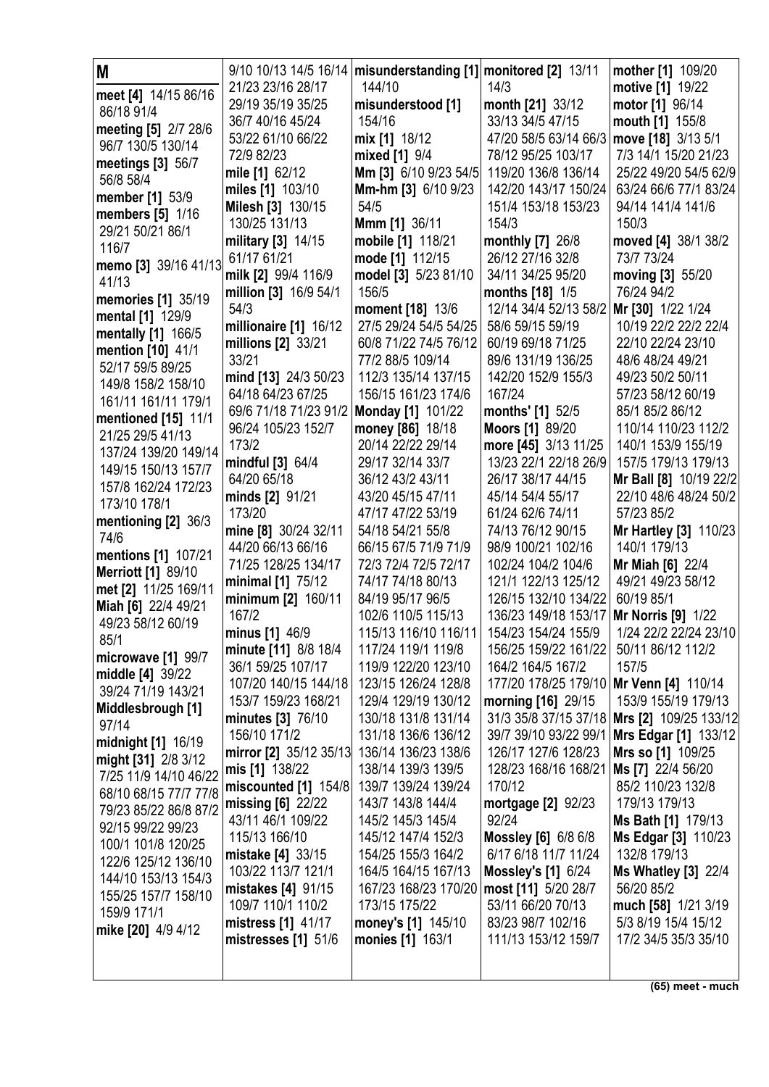| M                                       |                        | 9/10 10/13 14/5 16/14   misunderstanding [1]   monitored [2] 13/11 |                                         | mother [1] 109/20            |
|-----------------------------------------|------------------------|--------------------------------------------------------------------|-----------------------------------------|------------------------------|
| meet [4] 14/15 86/16                    | 21/23 23/16 28/17      | 144/10                                                             | 14/3                                    | motive [1] 19/22             |
| 86/18 91/4                              | 29/19 35/19 35/25      | misunderstood [1]                                                  | month [21] 33/12                        | motor [1] 96/14              |
| meeting [5] 2/7 28/6                    | 36/7 40/16 45/24       | 154/16                                                             | 33/13 34/5 47/15                        | mouth [1] 155/8              |
| 96/7 130/5 130/14                       | 53/22 61/10 66/22      | mix [1] 18/12                                                      | 47/20 58/5 63/14 66/3                   | move [18] 3/13 5/1           |
| meetings [3] 56/7                       | 72/9 82/23             | mixed [1] 9/4                                                      | 78/12 95/25 103/17                      | 7/3 14/1 15/20 21/23         |
| 56/8 58/4                               | mile [1] 62/12         | Mm [3] 6/10 9/23 54/5                                              | 119/20 136/8 136/14                     | 25/22 49/20 54/5 62/9        |
| member [1] 53/9                         | miles [1] 103/10       | Mm-hm [3] 6/10 9/23                                                | 142/20 143/17 150/24                    | 63/24 66/6 77/1 83/24        |
| members [5] 1/16                        | Milesh [3] 130/15      | 54/5                                                               | 151/4 153/18 153/23                     | 94/14 141/4 141/6            |
| 29/21 50/21 86/1                        | 130/25 131/13          | Mmm [1] 36/11                                                      | 154/3                                   | 150/3                        |
| 116/7                                   | military [3] 14/15     | mobile [1] 118/21                                                  | monthly [7] 26/8                        | moved [4] 38/1 38/2          |
| memo [3] 39/16 41/13                    | 61/17 61/21            | mode [1] 112/15                                                    | 26/12 27/16 32/8                        | 73/7 73/24                   |
| 41/13                                   | milk [2] 99/4 116/9    | model [3] 5/23 81/10                                               | 34/11 34/25 95/20                       | moving [3] 55/20             |
| <b>memories</b> [1] 35/19               | million [3] 16/9 54/1  | 156/5                                                              | months [18] 1/5                         | 76/24 94/2                   |
| mental [1] 129/9                        | 54/3                   | moment [18] 13/6                                                   | 12/14 34/4 52/13 58/2                   | Mr [30] 1/22 1/24            |
| mentally [1] 166/5                      | millionaire [1] 16/12  | 27/5 29/24 54/5 54/25                                              | 58/6 59/15 59/19                        | 10/19 22/2 22/2 22/4         |
| mention [10] 41/1                       | millions [2] 33/21     | 60/8 71/22 74/5 76/12                                              | 60/19 69/18 71/25                       | 22/10 22/24 23/10            |
| 52/17 59/5 89/25                        | 33/21                  | 77/2 88/5 109/14                                                   | 89/6 131/19 136/25                      | 48/6 48/24 49/21             |
| 149/8 158/2 158/10                      | mind [13] 24/3 50/23   | 112/3 135/14 137/15                                                | 142/20 152/9 155/3                      | 49/23 50/2 50/11             |
| 161/11 161/11 179/1                     | 64/18 64/23 67/25      | 156/15 161/23 174/6                                                | 167/24                                  | 57/23 58/12 60/19            |
|                                         | 69/6 71/18 71/23 91/2  | Monday [1] 101/22                                                  | months' [1] 52/5                        | 85/1 85/2 86/12              |
| mentioned [15] 11/1<br>21/25 29/5 41/13 | 96/24 105/23 152/7     | money [86] 18/18                                                   | <b>Moors [1] 89/20</b>                  | 110/14 110/23 112/2          |
| 137/24 139/20 149/14                    | 173/2                  | 20/14 22/22 29/14                                                  | more [45] 3/13 11/25                    | 140/1 153/9 155/19           |
| 149/15 150/13 157/7                     | mindful [3] 64/4       | 29/17 32/14 33/7                                                   | 13/23 22/1 22/18 26/9                   | 157/5 179/13 179/13          |
| 157/8 162/24 172/23                     | 64/20 65/18            | 36/12 43/2 43/11                                                   | 26/17 38/17 44/15                       | Mr Ball [8] 10/19 22/2       |
| 173/10 178/1                            | minds [2] 91/21        | 43/20 45/15 47/11                                                  | 45/14 54/4 55/17                        | 22/10 48/6 48/24 50/2        |
| mentioning [2] 36/3                     | 173/20                 | 47/17 47/22 53/19                                                  | 61/24 62/6 74/11                        | 57/23 85/2                   |
| 74/6                                    | mine [8] 30/24 32/11   | 54/18 54/21 55/8                                                   | 74/13 76/12 90/15                       | <b>Mr Hartley [3] 110/23</b> |
| mentions [1] 107/21                     | 44/20 66/13 66/16      | 66/15 67/5 71/9 71/9                                               | 98/9 100/21 102/16                      | 140/1 179/13                 |
| <b>Merriott [1] 89/10</b>               | 71/25 128/25 134/17    | 72/3 72/4 72/5 72/17                                               | 102/24 104/2 104/6                      | Mr Miah [6] 22/4             |
| met [2] 11/25 169/11                    | minimal [1] 75/12      | 74/17 74/18 80/13                                                  | 121/1 122/13 125/12                     | 49/21 49/23 58/12            |
| Miah [6] 22/4 49/21                     | minimum [2] 160/11     | 84/19 95/17 96/5                                                   | 126/15 132/10 134/22                    | 60/19 85/1                   |
| 49/23 58/12 60/19                       | 167/2                  | 102/6 110/5 115/13                                                 | 136/23 149/18 153/17                    | <b>Mr Norris [9] 1/22</b>    |
| 85/1                                    | minus [1] 46/9         | 115/13 116/10 116/11                                               | 154/23 154/24 155/9                     | 1/24 22/2 22/24 23/10        |
| microwave [1] 99/7                      | minute [11] 8/8 18/4   | 117/24 119/1 119/8                                                 | 156/25 159/22 161/22                    | 50/11 86/12 112/2            |
| middle [4] 39/22                        | 36/1 59/25 107/17      | 119/9 122/20 123/10                                                | 164/2 164/5 167/2                       | 157/5                        |
| 39/24 71/19 143/21                      | 107/20 140/15 144/18   | 123/15 126/24 128/8                                                | 177/20 178/25 179/10 Mr Venn [4] 110/14 |                              |
| Middlesbrough [1]                       | 153/7 159/23 168/21    | 129/4 129/19 130/12                                                | morning [16] 29/15                      | 153/9 155/19 179/13          |
| 97/14                                   | minutes [3] 76/10      | 130/18 131/8 131/14                                                | 31/3 35/8 37/15 37/18                   | Mrs [2] 109/25 133/12        |
| midnight [1] 16/19                      | 156/10 171/2           | 131/18 136/6 136/12                                                | 39/7 39/10 93/22 99/1                   | Mrs Edgar [1] 133/12         |
| might [31] 2/8 3/12                     | mirror [2] 35/12 35/13 | 136/14 136/23 138/6                                                | 126/17 127/6 128/23                     | Mrs so [1] 109/25            |
| 7/25 11/9 14/10 46/22                   | mis [1] 138/22         | 138/14 139/3 139/5                                                 | 128/23 168/16 168/21                    | Ms [7] 22/4 56/20            |
| 68/10 68/15 77/7 77/8                   | miscounted [1] 154/8   | 139/7 139/24 139/24                                                | 170/12                                  | 85/2 110/23 132/8            |
| 79/23 85/22 86/8 87/2                   | missing $[6]$ 22/22    | 143/7 143/8 144/4                                                  | <b>mortgage [2] 92/23</b>               | 179/13 179/13                |
| 92/15 99/22 99/23                       | 43/11 46/1 109/22      | 145/2 145/3 145/4                                                  | 92/24                                   | Ms Bath [1] 179/13           |
| 100/1 101/8 120/25                      | 115/13 166/10          | 145/12 147/4 152/3                                                 | <b>Mossley [6] 6/8 6/8</b>              | Ms Edgar [3] 110/23          |
| 122/6 125/12 136/10                     | mistake [4] 33/15      | 154/25 155/3 164/2                                                 | 6/17 6/18 11/7 11/24                    | 132/8 179/13                 |
| 144/10 153/13 154/3                     | 103/22 113/7 121/1     | 164/5 164/15 167/13                                                | <b>Mossley's [1] 6/24</b>               | <b>Ms Whatley [3] 22/4</b>   |
| 155/25 157/7 158/10                     | mistakes [4] 91/15     | 167/23 168/23 170/20                                               | most [11] 5/20 28/7                     | 56/20 85/2                   |
| 159/9 171/1                             | 109/7 110/1 110/2      | 173/15 175/22                                                      | 53/11 66/20 70/13                       | much [58] 1/21 3/19          |
| mike [20] 4/9 4/12                      | mistress [1] 41/17     | money's [1] 145/10                                                 | 83/23 98/7 102/16                       | 5/3 8/19 15/4 15/12          |
|                                         | mistresses $[1]$ 51/6  | monies [1] 163/1                                                   | 111/13 153/12 159/7                     | 17/2 34/5 35/3 35/10         |
|                                         |                        |                                                                    |                                         |                              |
|                                         |                        |                                                                    |                                         |                              |

**(65) meet - much**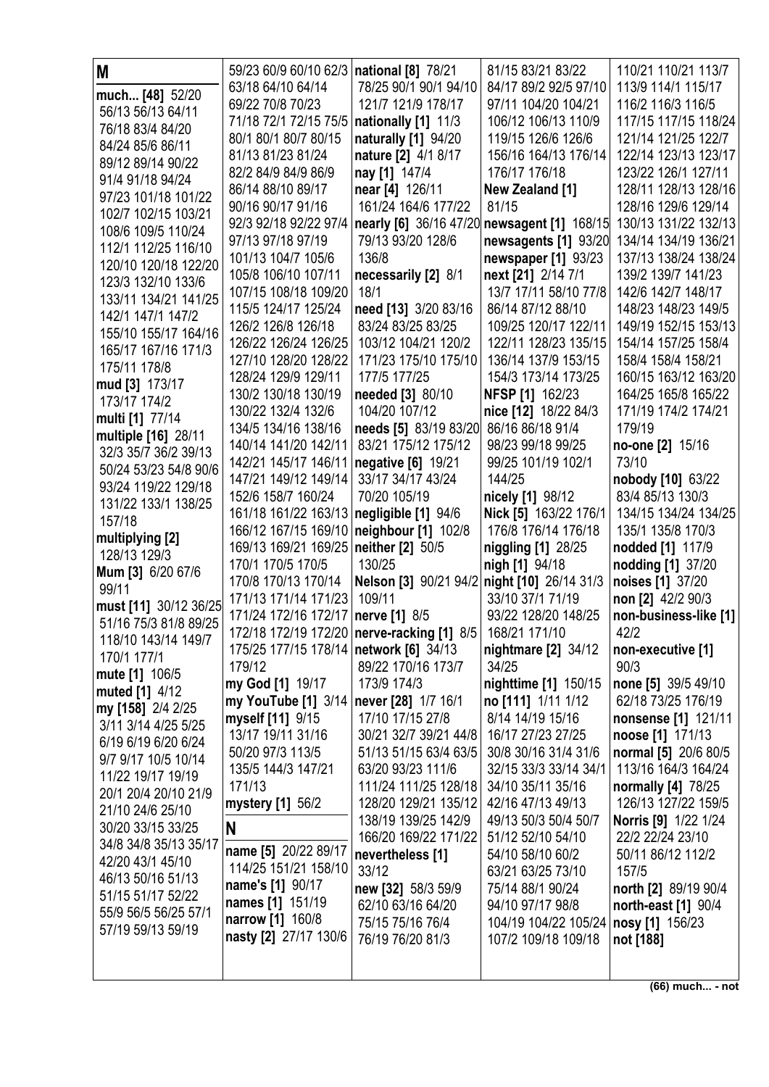| M                                      | 59/23 60/9 60/10 62/3   national [8] 78/21 |                                                              | 81/15 83/21 83/22                          | 110/21 110/21 113/7                       |
|----------------------------------------|--------------------------------------------|--------------------------------------------------------------|--------------------------------------------|-------------------------------------------|
| much [48] 52/20                        | 63/18 64/10 64/14                          | 78/25 90/1 90/1 94/10                                        | 84/17 89/2 92/5 97/10                      | 113/9 114/1 115/17                        |
| 56/13 56/13 64/11                      | 69/22 70/8 70/23                           | 121/7 121/9 178/17                                           | 97/11 104/20 104/21                        | 116/2 116/3 116/5                         |
| 76/18 83/4 84/20                       | 71/18 72/1 72/15 75/5                      | nationally [1] 11/3                                          | 106/12 106/13 110/9                        | 117/15 117/15 118/24                      |
| 84/24 85/6 86/11                       | 80/1 80/1 80/7 80/15                       | naturally [1] 94/20                                          | 119/15 126/6 126/6                         | 121/14 121/25 122/7                       |
| 89/12 89/14 90/22                      | 81/13 81/23 81/24                          | nature [2] 4/1 8/17                                          | 156/16 164/13 176/14                       | 122/14 123/13 123/17                      |
| 91/4 91/18 94/24                       | 82/2 84/9 84/9 86/9                        | nay [1] 147/4                                                | 176/17 176/18                              | 123/22 126/1 127/11                       |
| 97/23 101/18 101/22                    | 86/14 88/10 89/17                          | near [4] 126/11                                              | New Zealand [1]                            | 128/11 128/13 128/16                      |
| 102/7 102/15 103/21                    | 90/16 90/17 91/16                          | 161/24 164/6 177/22                                          | 81/15                                      | 128/16 129/6 129/14                       |
| 108/6 109/5 110/24                     | 92/3 92/18 92/22 97/4                      | nearly [6] 36/16 47/20                                       | newsagent [1] 168/15                       | 130/13 131/22 132/13                      |
| 112/1 112/25 116/10                    | 97/13 97/18 97/19                          | 79/13 93/20 128/6                                            | newsagents [1] 93/20                       | 134/14 134/19 136/21                      |
| 120/10 120/18 122/20                   | 101/13 104/7 105/6                         | 136/8                                                        | newspaper [1] 93/23                        | 137/13 138/24 138/24                      |
| 123/3 132/10 133/6                     | 105/8 106/10 107/11                        | necessarily [2] 8/1                                          | next [21] 2/14 7/1                         | 139/2 139/7 141/23                        |
| 133/11 134/21 141/25                   | 107/15 108/18 109/20                       | 18/1                                                         | 13/7 17/11 58/10 77/8                      | 142/6 142/7 148/17                        |
| 142/1 147/1 147/2                      | 115/5 124/17 125/24                        | need [13] 3/20 83/16                                         | 86/14 87/12 88/10                          | 148/23 148/23 149/5                       |
| 155/10 155/17 164/16                   | 126/2 126/8 126/18                         | 83/24 83/25 83/25                                            | 109/25 120/17 122/11                       | 149/19 152/15 153/13                      |
| 165/17 167/16 171/3                    | 126/22 126/24 126/25                       | 103/12 104/21 120/2                                          | 122/11 128/23 135/15                       | 154/14 157/25 158/4                       |
| 175/11 178/8                           | 127/10 128/20 128/22                       | 171/23 175/10 175/10                                         | 136/14 137/9 153/15                        | 158/4 158/4 158/21                        |
| mud [3] 173/17                         | 128/24 129/9 129/11                        | 177/5 177/25                                                 | 154/3 173/14 173/25                        | 160/15 163/12 163/20                      |
| 173/17 174/2                           | 130/2 130/18 130/19                        | needed [3] 80/10                                             | <b>NFSP [1] 162/23</b>                     | 164/25 165/8 165/22                       |
| multi [1] 77/14                        | 130/22 132/4 132/6                         | 104/20 107/12                                                | nice [12] 18/22 84/3                       | 171/19 174/2 174/21                       |
| multiple [16] 28/11                    | 134/5 134/16 138/16                        | needs [5] 83/19 83/20 86/16 86/18 91/4                       |                                            | 179/19                                    |
| 32/3 35/7 36/2 39/13                   | 140/14 141/20 142/11                       | 83/21 175/12 175/12                                          | 98/23 99/18 99/25                          | no-one [2] 15/16                          |
| 50/24 53/23 54/8 90/6                  | 142/21 145/17 146/11                       | negative [6] 19/21                                           | 99/25 101/19 102/1                         | 73/10                                     |
| 93/24 119/22 129/18                    | 147/21 149/12 149/14                       | 33/17 34/17 43/24                                            | 144/25                                     | nobody [10] 63/22                         |
| 131/22 133/1 138/25                    | 152/6 158/7 160/24                         | 70/20 105/19                                                 | nicely [1] 98/12                           | 83/4 85/13 130/3                          |
| 157/18                                 | 161/18 161/22 163/13 negligible [1] 94/6   |                                                              | Nick [5] 163/22 176/1                      | 134/15 134/24 134/25                      |
| multiplying [2]                        | 166/12 167/15 169/10   neighbour [1] 102/8 |                                                              | 176/8 176/14 176/18                        | 135/1 135/8 170/3                         |
| 128/13 129/3                           | 169/13 169/21 169/25                       | neither [2] 50/5                                             | niggling [1] 28/25                         | nodded [1] 117/9                          |
| Mum [3] 6/20 67/6                      | 170/1 170/5 170/5                          | 130/25                                                       | nigh [1] 94/18                             | nodding [1] 37/20                         |
| 99/11                                  | 170/8 170/13 170/14                        | Nelson [3] 90/21 94/2 night [10] 26/14 31/3                  |                                            | noises [1] 37/20                          |
| must [11] 30/12 36/25                  | 171/13 171/14 171/23 109/11                |                                                              | 33/10 37/1 71/19                           | non [2] 42/2 90/3                         |
| 51/16 75/3 81/8 89/25                  | 171/24 172/16 172/17   nerve [1] 8/5       |                                                              | 93/22 128/20 148/25                        | non-business-like [1]                     |
| 118/10 143/14 149/7                    |                                            | 172/18 172/19 172/20   nerve-racking [1] 8/5   168/21 171/10 |                                            | 42/2                                      |
| 170/1 177/1                            | 175/25 177/15 178/14   network [6] 34/13   |                                                              | nightmare [2] 34/12                        | non-executive [1]                         |
| mute [1] 106/5                         | 179/12                                     | 89/22 170/16 173/7<br>173/9 174/3                            | 34/25                                      | 90/3                                      |
| muted [1] 4/12                         | my God [1] 19/17<br>my YouTube [1] 3/14    | never [28] 1/7 16/1                                          | nighttime [1] 150/15<br>no [111] 1/11 1/12 | none [5] 39/5 49/10<br>62/18 73/25 176/19 |
| my [158] 2/4 2/25                      | myself [11] 9/15                           | 17/10 17/15 27/8                                             | 8/14 14/19 15/16                           | nonsense [1] 121/11                       |
| 3/11 3/14 4/25 5/25                    | 13/17 19/11 31/16                          | 30/21 32/7 39/21 44/8                                        | 16/17 27/23 27/25                          | noose [1] 171/13                          |
| 6/19 6/19 6/20 6/24                    | 50/20 97/3 113/5                           | 51/13 51/15 63/4 63/5                                        | 30/8 30/16 31/4 31/6                       | normal [5] 20/6 80/5                      |
| 9/7 9/17 10/5 10/14                    | 135/5 144/3 147/21                         | 63/20 93/23 111/6                                            | 32/15 33/3 33/14 34/1                      | 113/16 164/3 164/24                       |
| 11/22 19/17 19/19                      | 171/13                                     | 111/24 111/25 128/18                                         | 34/10 35/11 35/16                          | normally [4] 78/25                        |
| 20/1 20/4 20/10 21/9                   | mystery [1] 56/2                           | 128/20 129/21 135/12                                         | 42/16 47/13 49/13                          | 126/13 127/22 159/5                       |
| 21/10 24/6 25/10                       |                                            | 138/19 139/25 142/9                                          | 49/13 50/3 50/4 50/7                       | Norris [9] 1/22 1/24                      |
| 30/20 33/15 33/25                      | N                                          | 166/20 169/22 171/22                                         | 51/12 52/10 54/10                          | 22/2 22/24 23/10                          |
| 34/8 34/8 35/13 35/17                  | name [5] 20/22 89/17                       | nevertheless [1]                                             | 54/10 58/10 60/2                           | 50/11 86/12 112/2                         |
| 42/20 43/1 45/10                       | 114/25 151/21 158/10                       | 33/12                                                        | 63/21 63/25 73/10                          | 157/5                                     |
| 46/13 50/16 51/13<br>51/15 51/17 52/22 | name's [1] 90/17                           | new [32] 58/3 59/9                                           | 75/14 88/1 90/24                           | north [2] 89/19 90/4                      |
| 55/9 56/5 56/25 57/1                   | names [1] 151/19                           | 62/10 63/16 64/20                                            | 94/10 97/17 98/8                           | north-east [1] 90/4                       |
| 57/19 59/13 59/19                      | narrow [1] 160/8                           | 75/15 75/16 76/4                                             | 104/19 104/22 105/24                       | nosy [1] 156/23                           |
|                                        | nasty [2] 27/17 130/6                      | 76/19 76/20 81/3                                             | 107/2 109/18 109/18                        | not [188]                                 |
|                                        |                                            |                                                              |                                            |                                           |
|                                        |                                            |                                                              |                                            |                                           |

 $(66)$  much... - not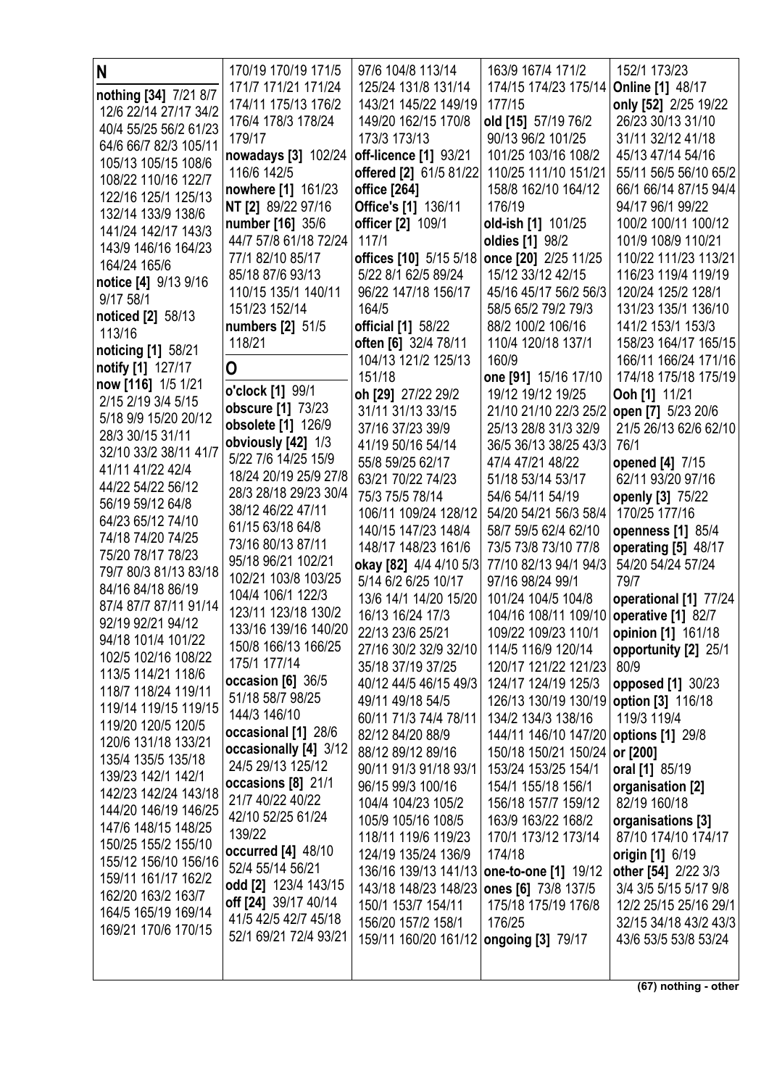| N                                            | 170/19 170/19 171/5                           | 97/6 104/8 113/14                           | 163/9 167/4 171/2                            | 152/1 173/23                              |
|----------------------------------------------|-----------------------------------------------|---------------------------------------------|----------------------------------------------|-------------------------------------------|
| nothing [34] 7/21 8/7                        | 171/7 171/21 171/24                           | 125/24 131/8 131/14                         | 174/15 174/23 175/14                         | <b>Online [1] 48/17</b>                   |
| 12/6 22/14 27/17 34/2                        | 174/11 175/13 176/2                           | 143/21 145/22 149/19                        | 177/15                                       | only [52] 2/25 19/22                      |
| 40/4 55/25 56/2 61/23                        | 176/4 178/3 178/24                            | 149/20 162/15 170/8                         | old [15] 57/19 76/2                          | 26/23 30/13 31/10                         |
| 64/6 66/7 82/3 105/11                        | 179/17                                        | 173/3 173/13                                | 90/13 96/2 101/25                            | 31/11 32/12 41/18                         |
| 105/13 105/15 108/6                          | nowadays [3] 102/24                           | off-licence [1] 93/21                       | 101/25 103/16 108/2                          | 45/13 47/14 54/16                         |
| 108/22 110/16 122/7                          | 116/6 142/5                                   | offered [2] 61/5 81/22                      | 110/25 111/10 151/21                         | 55/11 56/5 56/10 65/2                     |
| 122/16 125/1 125/13                          | nowhere [1] 161/23                            | office [264]                                | 158/8 162/10 164/12                          | 66/1 66/14 87/15 94/4                     |
| 132/14 133/9 138/6                           | NT [2] 89/22 97/16                            | Office's [1] 136/11                         | 176/19                                       | 94/17 96/1 99/22                          |
| 141/24 142/17 143/3                          | number [16] 35/6                              | officer [2] 109/1                           | old-ish [1] 101/25                           | 100/2 100/11 100/12                       |
| 143/9 146/16 164/23                          | 44/7 57/8 61/18 72/24                         | 117/1                                       | oldies [1] 98/2                              | 101/9 108/9 110/21                        |
| 164/24 165/6                                 | 77/1 82/10 85/17                              | offices [10] 5/15 5/18 once [20] 2/25 11/25 |                                              | 110/22 111/23 113/21                      |
| notice [4] 9/13 9/16                         | 85/18 87/6 93/13                              | 5/22 8/1 62/5 89/24                         | 15/12 33/12 42/15                            | 116/23 119/4 119/19                       |
| 9/17 58/1                                    | 110/15 135/1 140/11<br>151/23 152/14          | 96/22 147/18 156/17<br>164/5                | 45/16 45/17 56/2 56/3<br>58/5 65/2 79/2 79/3 | 120/24 125/2 128/1<br>131/23 135/1 136/10 |
| noticed [2] 58/13                            | numbers [2] 51/5                              | official [1] 58/22                          | 88/2 100/2 106/16                            | 141/2 153/1 153/3                         |
| 113/16                                       | 118/21                                        | often [6] 32/4 78/11                        | 110/4 120/18 137/1                           | 158/23 164/17 165/15                      |
| noticing [1] 58/21                           |                                               | 104/13 121/2 125/13                         | 160/9                                        | 166/11 166/24 171/16                      |
| notify [1] 127/17                            | O                                             | 151/18                                      | one [91] 15/16 17/10                         | 174/18 175/18 175/19                      |
| now [116] 1/5 1/21                           | o'clock [1] 99/1                              | oh [29] 27/22 29/2                          | 19/12 19/12 19/25                            | Ooh [1] 11/21                             |
| 2/15 2/19 3/4 5/15                           | obscure [1] 73/23                             | 31/11 31/13 33/15                           | 21/10 21/10 22/3 25/2   open [7] 5/23 20/6   |                                           |
| 5/18 9/9 15/20 20/12                         | obsolete [1] 126/9                            | 37/16 37/23 39/9                            | 25/13 28/8 31/3 32/9                         | 21/5 26/13 62/6 62/10                     |
| 28/3 30/15 31/11                             | obviously [42] 1/3                            | 41/19 50/16 54/14                           | 36/5 36/13 38/25 43/3                        | 76/1                                      |
| 32/10 33/2 38/11 41/7                        | 5/22 7/6 14/25 15/9                           | 55/8 59/25 62/17                            | 47/4 47/21 48/22                             | opened [4] 7/15                           |
| 41/11 41/22 42/4<br>44/22 54/22 56/12        | 18/24 20/19 25/9 27/8                         | 63/21 70/22 74/23                           | 51/18 53/14 53/17                            | 62/11 93/20 97/16                         |
| 56/19 59/12 64/8                             | 28/3 28/18 29/23 30/4                         | 75/3 75/5 78/14                             | 54/6 54/11 54/19                             | openly [3] 75/22                          |
| 64/23 65/12 74/10                            | 38/12 46/22 47/11                             | 106/11 109/24 128/12                        | 54/20 54/21 56/3 58/4                        | 170/25 177/16                             |
| 74/18 74/20 74/25                            | 61/15 63/18 64/8                              | 140/15 147/23 148/4                         | 58/7 59/5 62/4 62/10                         | openness [1] 85/4                         |
| 75/20 78/17 78/23                            | 73/16 80/13 87/11                             | 148/17 148/23 161/6                         | 73/5 73/8 73/10 77/8                         | operating [5] 48/17                       |
| 79/7 80/3 81/13 83/18                        | 95/18 96/21 102/21                            | okay [82] 4/4 4/10 5/3                      | 77/10 82/13 94/1 94/3                        | 54/20 54/24 57/24                         |
| 84/16 84/18 86/19                            | 102/21 103/8 103/25<br>104/4 106/1 122/3      | 5/14 6/2 6/25 10/17                         | 97/16 98/24 99/1                             | 79/7                                      |
| 87/4 87/7 87/11 91/14                        | 123/11 123/18 130/2                           | 13/6 14/1 14/20 15/20                       | 101/24 104/5 104/8                           | operational [1] 77/24                     |
| 92/19 92/21 94/12                            | 133/16 139/16 140/20                          | 16/13 16/24 17/3                            | 104/16 108/11 109/10                         | operative [1] 82/7                        |
| 94/18 101/4 101/22                           | 150/8 166/13 166/25                           | 22/13 23/6 25/21                            | 109/22 109/23 110/1                          | opinion [1] 161/18                        |
| 102/5 102/16 108/22                          | 175/1 177/14                                  | 27/16 30/2 32/9 32/10<br>35/18 37/19 37/25  | 114/5 116/9 120/14<br>120/17 121/22 121/23   | opportunity [2] 25/1<br>80/9              |
| 113/5 114/21 118/6                           | occasion [6] 36/5                             | 40/12 44/5 46/15 49/3                       | 124/17 124/19 125/3                          | opposed [1] 30/23                         |
| 118/7 118/24 119/11                          | 51/18 58/7 98/25                              | 49/11 49/18 54/5                            | 126/13 130/19 130/19   option [3] 116/18     |                                           |
| 119/14 119/15 119/15                         | 144/3 146/10                                  | 60/11 71/3 74/4 78/11                       | 134/2 134/3 138/16                           | 119/3 119/4                               |
| 119/20 120/5 120/5                           | occasional [1] 28/6                           | 82/12 84/20 88/9                            | 144/11 146/10 147/20                         | options [1] 29/8                          |
| 120/6 131/18 133/21                          | occasionally [4] 3/12                         | 88/12 89/12 89/16                           | 150/18 150/21 150/24                         | or [200]                                  |
| 135/4 135/5 135/18                           | 24/5 29/13 125/12                             | 90/11 91/3 91/18 93/1                       | 153/24 153/25 154/1                          | oral [1] 85/19                            |
| 139/23 142/1 142/1                           | occasions [8] 21/1                            | 96/15 99/3 100/16                           | 154/1 155/18 156/1                           | organisation [2]                          |
| 142/23 142/24 143/18<br>144/20 146/19 146/25 | 21/7 40/22 40/22                              | 104/4 104/23 105/2                          | 156/18 157/7 159/12                          | 82/19 160/18                              |
| 147/6 148/15 148/25                          | 42/10 52/25 61/24                             | 105/9 105/16 108/5                          | 163/9 163/22 168/2                           | organisations [3]                         |
| 150/25 155/2 155/10                          | 139/22                                        | 118/11 119/6 119/23                         | 170/1 173/12 173/14                          | 87/10 174/10 174/17                       |
| 155/12 156/10 156/16                         | occurred [4] 48/10                            | 124/19 135/24 136/9                         | 174/18                                       | origin [1] 6/19                           |
| 159/11 161/17 162/2                          | 52/4 55/14 56/21                              | 136/16 139/13 141/13                        | one-to-one [1] 19/12                         | other [54] 2/22 3/3                       |
| 162/20 163/2 163/7                           | odd [2] 123/4 143/15                          | 143/18 148/23 148/23                        | ones [6] 73/8 137/5                          | 3/4 3/5 5/15 5/17 9/8                     |
| 164/5 165/19 169/14                          | off [24] 39/17 40/14                          | 150/1 153/7 154/11                          | 175/18 175/19 176/8                          | 12/2 25/15 25/16 29/1                     |
| 169/21 170/6 170/15                          | 41/5 42/5 42/7 45/18<br>52/1 69/21 72/4 93/21 | 156/20 157/2 158/1                          | 176/25                                       | 32/15 34/18 43/2 43/3                     |
|                                              |                                               | 159/11 160/20 161/12 ongoing [3] 79/17      |                                              | 43/6 53/5 53/8 53/24                      |
|                                              |                                               |                                             |                                              |                                           |
|                                              |                                               |                                             |                                              |                                           |

**(67) nothing - other**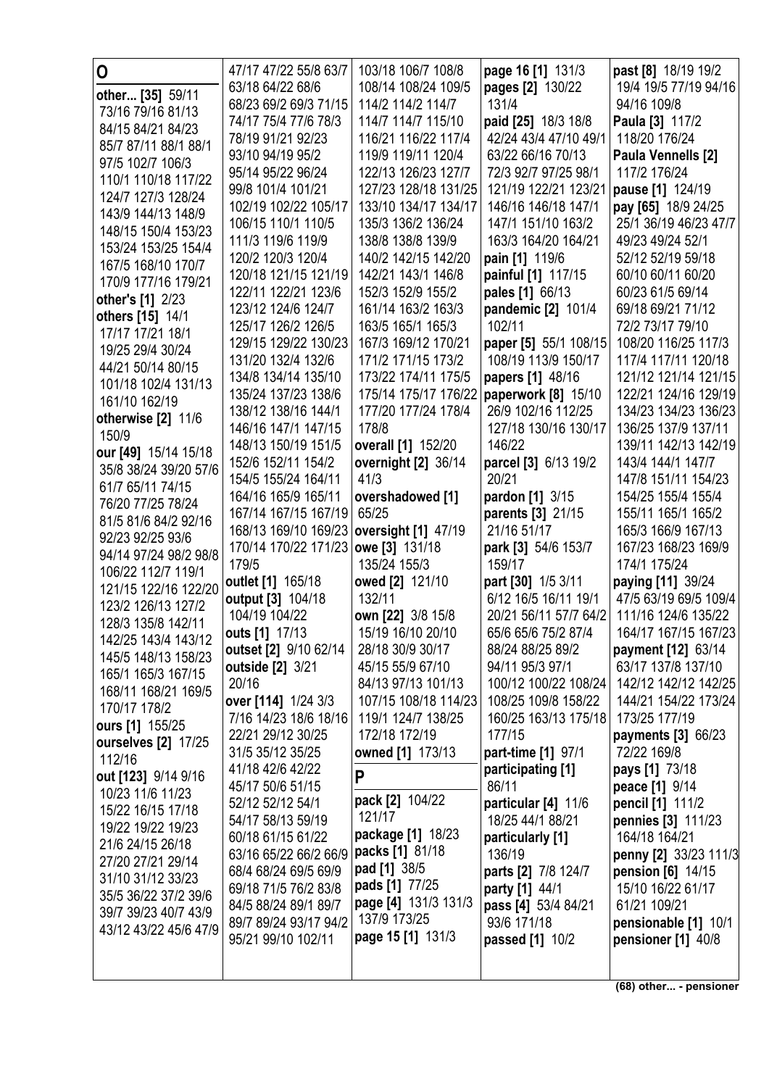| 0                                             | 47/17 47/22 55/8 63/7                     | 103/18 106/7 108/8                        | page 16 [1] 131/3                       | past [8] 18/19 19/2                        |
|-----------------------------------------------|-------------------------------------------|-------------------------------------------|-----------------------------------------|--------------------------------------------|
| other [35] 59/11                              | 63/18 64/22 68/6                          | 108/14 108/24 109/5                       | pages [2] 130/22                        | 19/4 19/5 77/19 94/16                      |
| 73/16 79/16 81/13                             | 68/23 69/2 69/3 71/15                     | 114/2 114/2 114/7                         | 131/4                                   | 94/16 109/8                                |
| 84/15 84/21 84/23                             | 74/17 75/4 77/6 78/3                      | 114/7 114/7 115/10                        | paid [25] 18/3 18/8                     | Paula [3] 117/2                            |
| 85/7 87/11 88/1 88/1                          | 78/19 91/21 92/23                         | 116/21 116/22 117/4                       | 42/24 43/4 47/10 49/1                   | 118/20 176/24                              |
| 97/5 102/7 106/3                              | 93/10 94/19 95/2                          | 119/9 119/11 120/4                        | 63/22 66/16 70/13                       | Paula Vennells [2]                         |
| 110/1 110/18 117/22                           | 95/14 95/22 96/24                         | 122/13 126/23 127/7                       | 72/3 92/7 97/25 98/1                    | 117/2 176/24                               |
| 124/7 127/3 128/24                            | 99/8 101/4 101/21                         | 127/23 128/18 131/25                      | 121/19 122/21 123/21                    | pause [1] 124/19                           |
| 143/9 144/13 148/9                            | 102/19 102/22 105/17                      | 133/10 134/17 134/17                      | 146/16 146/18 147/1                     | pay [65] 18/9 24/25                        |
| 148/15 150/4 153/23                           | 106/15 110/1 110/5                        | 135/3 136/2 136/24                        | 147/1 151/10 163/2                      | 25/1 36/19 46/23 47/7                      |
| 153/24 153/25 154/4                           | 111/3 119/6 119/9                         | 138/8 138/8 139/9                         | 163/3 164/20 164/21                     | 49/23 49/24 52/1                           |
| 167/5 168/10 170/7                            | 120/2 120/3 120/4<br>120/18 121/15 121/19 | 140/2 142/15 142/20<br>142/21 143/1 146/8 | pain [1] 119/6                          | 52/12 52/19 59/18<br>60/10 60/11 60/20     |
| 170/9 177/16 179/21                           | 122/11 122/21 123/6                       | 152/3 152/9 155/2                         | painful [1] 117/15<br>pales [1] 66/13   | 60/23 61/5 69/14                           |
| other's [1] 2/23                              | 123/12 124/6 124/7                        | 161/14 163/2 163/3                        | pandemic [2] 101/4                      | 69/18 69/21 71/12                          |
| others [15] 14/1                              | 125/17 126/2 126/5                        | 163/5 165/1 165/3                         | 102/11                                  | 72/2 73/17 79/10                           |
| 17/17 17/21 18/1                              | 129/15 129/22 130/23                      | 167/3 169/12 170/21                       | paper [5] 55/1 108/15                   | 108/20 116/25 117/3                        |
| 19/25 29/4 30/24                              | 131/20 132/4 132/6                        | 171/2 171/15 173/2                        | 108/19 113/9 150/17                     | 117/4 117/11 120/18                        |
| 44/21 50/14 80/15                             | 134/8 134/14 135/10                       | 173/22 174/11 175/5                       | papers [1] 48/16                        | 121/12 121/14 121/15                       |
| 101/18 102/4 131/13                           | 135/24 137/23 138/6                       | 175/14 175/17 176/22                      | paperwork [8] 15/10                     | 122/21 124/16 129/19                       |
| 161/10 162/19                                 | 138/12 138/16 144/1                       | 177/20 177/24 178/4                       | 26/9 102/16 112/25                      | 134/23 134/23 136/23                       |
| otherwise [2] 11/6                            | 146/16 147/1 147/15                       | 178/8                                     | 127/18 130/16 130/17                    | 136/25 137/9 137/11                        |
| 150/9                                         | 148/13 150/19 151/5                       | overall [1] 152/20                        | 146/22                                  | 139/11 142/13 142/19                       |
| our [49] 15/14 15/18<br>35/8 38/24 39/20 57/6 | 152/6 152/11 154/2                        | overnight [2] 36/14                       | parcel [3] 6/13 19/2                    | 143/4 144/1 147/7                          |
| 61/7 65/11 74/15                              | 154/5 155/24 164/11                       | 41/3                                      | 20/21                                   | 147/8 151/11 154/23                        |
| 76/20 77/25 78/24                             | 164/16 165/9 165/11                       | overshadowed [1]                          | pardon [1] 3/15                         | 154/25 155/4 155/4                         |
| 81/5 81/6 84/2 92/16                          | 167/14 167/15 167/19                      | 65/25                                     | parents [3] 21/15                       | 155/11 165/1 165/2                         |
| 92/23 92/25 93/6                              | 168/13 169/10 169/23                      | oversight [1] 47/19                       | 21/16 51/17                             | 165/3 166/9 167/13                         |
| 94/14 97/24 98/2 98/8                         | 170/14 170/22 171/23                      | owe [3] 131/18                            | park [3] 54/6 153/7                     | 167/23 168/23 169/9                        |
| 106/22 112/7 119/1                            | 179/5                                     | 135/24 155/3                              | 159/17                                  | 174/1 175/24                               |
| 121/15 122/16 122/20                          | outlet [1] 165/18                         | owed [2] 121/10                           | part [30] 1/5 3/11                      | paying [11] 39/24                          |
| 123/2 126/13 127/2                            | output [3] 104/18                         | 132/11                                    | 6/12 16/5 16/11 19/1                    | 47/5 63/19 69/5 109/4                      |
| 128/3 135/8 142/11                            | 104/19 104/22                             | own [22] 3/8 15/8                         | 20/21 56/11 57/7 64/2                   | 111/16 124/6 135/22                        |
| 142/25 143/4 143/12                           | outs [1] 17/13                            | 15/19 16/10 20/10                         | 65/6 65/6 75/2 87/4                     | 164/17 167/15 167/23                       |
| 145/5 148/13 158/23                           | outset [2] 9/10 62/14                     | 28/18 30/9 30/17                          | 88/24 88/25 89/2                        | payment [12] 63/14                         |
| 165/1 165/3 167/15                            | outside [2] 3/21<br>20/16                 | 45/15 55/9 67/10<br>84/13 97/13 101/13    | 94/11 95/3 97/1<br>100/12 100/22 108/24 | 63/17 137/8 137/10<br>142/12 142/12 142/25 |
| 168/11 168/21 169/5                           | over [114] 1/24 3/3                       | 107/15 108/18 114/23                      | 108/25 109/8 158/22                     | 144/21 154/22 173/24                       |
| 170/17 178/2                                  | 7/16 14/23 18/6 18/16                     | 119/1 124/7 138/25                        | 160/25 163/13 175/18                    | 173/25 177/19                              |
| ours [1] 155/25                               | 22/21 29/12 30/25                         | 172/18 172/19                             | 177/15                                  | payments [3] 66/23                         |
| ourselves [2] 17/25                           | 31/5 35/12 35/25                          | owned [1] 173/13                          | part-time [1] 97/1                      | 72/22 169/8                                |
| 112/16                                        | 41/18 42/6 42/22                          |                                           | participating [1]                       | pays [1] 73/18                             |
| out [123] 9/14 9/16                           | 45/17 50/6 51/15                          | P                                         | 86/11                                   | peace [1] 9/14                             |
| 10/23 11/6 11/23                              | 52/12 52/12 54/1                          | pack [2] 104/22                           | particular [4] 11/6                     | pencil [1] 111/2                           |
| 15/22 16/15 17/18<br>19/22 19/22 19/23        | 54/17 58/13 59/19                         | 121/17                                    | 18/25 44/1 88/21                        | pennies [3] 111/23                         |
| 21/6 24/15 26/18                              | 60/18 61/15 61/22                         | package [1] 18/23                         | particularly [1]                        | 164/18 164/21                              |
| 27/20 27/21 29/14                             | 63/16 65/22 66/2 66/9                     | packs [1] 81/18                           | 136/19                                  | penny [2] 33/23 111/3                      |
| 31/10 31/12 33/23                             | 68/4 68/24 69/5 69/9                      | pad [1] 38/5                              | parts [2] 7/8 124/7                     | <b>pension [6] 14/15</b>                   |
| 35/5 36/22 37/2 39/6                          | 69/18 71/5 76/2 83/8                      | pads [1] 77/25                            | party [1] 44/1                          | 15/10 16/22 61/17                          |
| 39/7 39/23 40/7 43/9                          | 84/5 88/24 89/1 89/7                      | page [4] 131/3 131/3                      | pass [4] 53/4 84/21                     | 61/21 109/21                               |
| 43/12 43/22 45/6 47/9                         | 89/7 89/24 93/17 94/2                     | 137/9 173/25<br>page 15 [1] 131/3         | 93/6 171/18                             | pensionable [1] 10/1                       |
|                                               | 95/21 99/10 102/11                        |                                           | passed [1] 10/2                         | pensioner [1] 40/8                         |
|                                               |                                           |                                           |                                         |                                            |
|                                               |                                           |                                           |                                         |                                            |

(68) other... - pensioner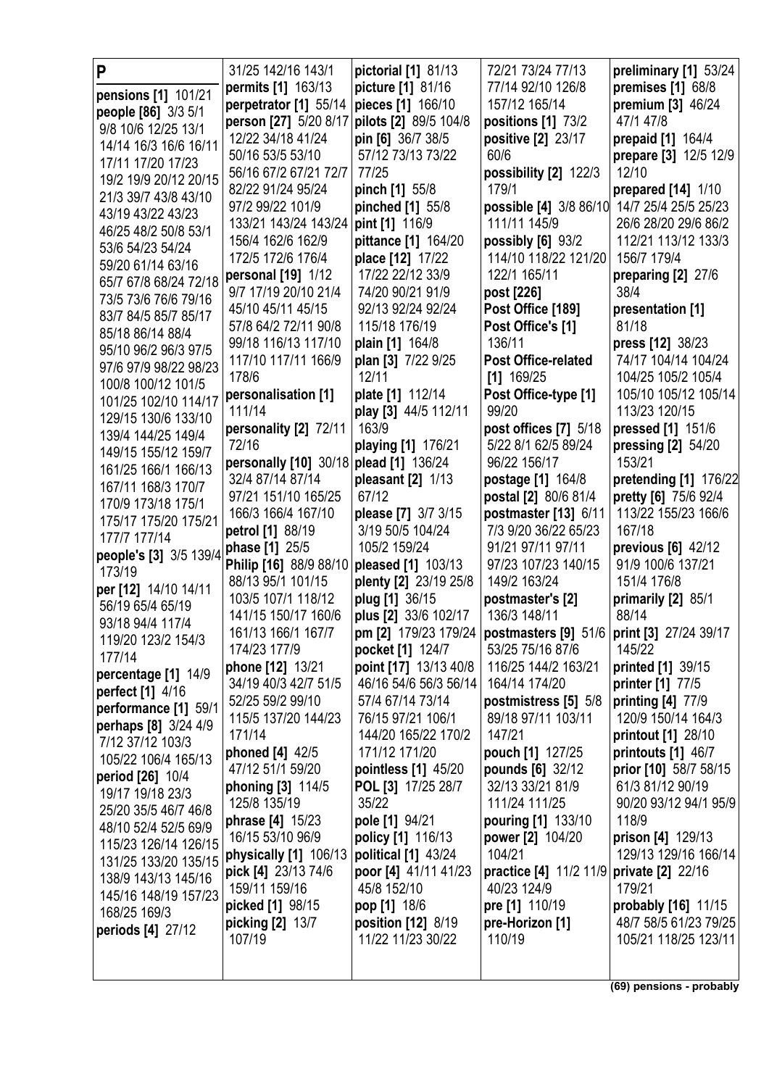| P                                           | 31/25 142/16 143/1                        | pictorial [1] 81/13                      | 72/21 73/24 77/13                                                   | preliminary [1] 53/24                           |
|---------------------------------------------|-------------------------------------------|------------------------------------------|---------------------------------------------------------------------|-------------------------------------------------|
| pensions [1] 101/21                         | permits [1] 163/13                        | picture [1] 81/16                        | 77/14 92/10 126/8                                                   | premises [1] 68/8                               |
| people [86] 3/3 5/1                         | perpetrator [1] 55/14                     | pieces [1] 166/10                        | 157/12 165/14                                                       | premium [3] 46/24                               |
| 9/8 10/6 12/25 13/1                         | person [27] 5/20 8/17                     | pilots [2] 89/5 104/8                    | positions [1] 73/2                                                  | 47/1 47/8                                       |
| 14/14 16/3 16/6 16/11                       | 12/22 34/18 41/24                         | pin [6] 36/7 38/5                        | positive [2] 23/17                                                  | prepaid [1] 164/4                               |
| 17/11 17/20 17/23                           | 50/16 53/5 53/10                          | 57/12 73/13 73/22                        | 60/6                                                                | prepare [3] 12/5 12/9                           |
| 19/2 19/9 20/12 20/15                       | 56/16 67/2 67/21 72/7                     | 77/25                                    | possibility [2] 122/3                                               | 12/10                                           |
| 21/3 39/7 43/8 43/10                        | 82/22 91/24 95/24                         | pinch [1] 55/8                           | 179/1                                                               | prepared [14] 1/10                              |
| 43/19 43/22 43/23                           | 97/2 99/22 101/9                          | pinched [1] 55/8                         | possible [4] 3/8 86/10                                              | 14/7 25/4 25/5 25/23                            |
| 46/25 48/2 50/8 53/1                        | 133/21 143/24 143/24                      | pint [1] 116/9                           | 111/11 145/9                                                        | 26/6 28/20 29/6 86/2                            |
| 53/6 54/23 54/24                            | 156/4 162/6 162/9                         | pittance [1] 164/20                      | possibly $[6]$ 93/2                                                 | 112/21 113/12 133/3                             |
| 59/20 61/14 63/16                           | 172/5 172/6 176/4                         | place [12] 17/22                         | 114/10 118/22 121/20                                                | 156/7 179/4                                     |
| 65/7 67/8 68/24 72/18                       | personal [19] 1/12                        | 17/22 22/12 33/9                         | 122/1 165/11                                                        | preparing [2] 27/6                              |
| 73/5 73/6 76/6 79/16                        | 9/7 17/19 20/10 21/4<br>45/10 45/11 45/15 | 74/20 90/21 91/9<br>92/13 92/24 92/24    | post [226]                                                          | 38/4                                            |
| 83/7 84/5 85/7 85/17                        | 57/8 64/2 72/11 90/8                      | 115/18 176/19                            | Post Office [189]<br>Post Office's [1]                              | presentation [1]<br>81/18                       |
| 85/18 86/14 88/4                            | 99/18 116/13 117/10                       | plain [1] 164/8                          | 136/11                                                              | press [12] 38/23                                |
| 95/10 96/2 96/3 97/5                        | 117/10 117/11 166/9                       | plan [3] 7/22 9/25                       | Post Office-related                                                 | 74/17 104/14 104/24                             |
| 97/6 97/9 98/22 98/23                       | 178/6                                     | 12/11                                    | $[1]$ 169/25                                                        | 104/25 105/2 105/4                              |
| 100/8 100/12 101/5                          | personalisation [1]                       | plate [1] 112/14                         | Post Office-type [1]                                                | 105/10 105/12 105/14                            |
| 101/25 102/10 114/17                        | 111/14                                    | play [3] 44/5 112/11                     | 99/20                                                               | 113/23 120/15                                   |
| 129/15 130/6 133/10                         | personality [2] 72/11                     | 163/9                                    | post offices [7] 5/18                                               | pressed [1] 151/6                               |
| 139/4 144/25 149/4                          | 72/16                                     | playing [1] 176/21                       | 5/22 8/1 62/5 89/24                                                 | pressing [2] 54/20                              |
| 149/15 155/12 159/7                         | personally [10] 30/18                     | plead [1] 136/24                         | 96/22 156/17                                                        | 153/21                                          |
| 161/25 166/1 166/13                         | 32/4 87/14 87/14                          | pleasant [2] 1/13                        | <b>postage</b> [1] 164/8                                            | pretending [1] 176/22                           |
| 167/11 168/3 170/7                          | 97/21 151/10 165/25                       | 67/12                                    | postal [2] 80/6 81/4                                                | pretty [6] 75/6 92/4                            |
| 170/9 173/18 175/1                          | 166/3 166/4 167/10                        | please [7] 3/7 3/15                      | postmaster [13] 6/11                                                | 113/22 155/23 166/6                             |
| 175/17 175/20 175/21<br>177/7 177/14        | petrol [1] 88/19                          | 3/19 50/5 104/24                         | 7/3 9/20 36/22 65/23                                                | 167/18                                          |
| people's [3] 3/5 139/4                      | phase [1] 25/5                            | 105/2 159/24                             | 91/21 97/11 97/11                                                   | previous [6] 42/12                              |
| 173/19                                      | Philip [16] 88/9 88/10                    | pleased [1] 103/13                       | 97/23 107/23 140/15                                                 | 91/9 100/6 137/21                               |
| per [12] 14/10 14/11                        | 88/13 95/1 101/15                         | plenty [2] 23/19 25/8                    | 149/2 163/24                                                        | 151/4 176/8                                     |
| 56/19 65/4 65/19                            | 103/5 107/1 118/12                        | plug [1] 36/15                           | postmaster's [2]                                                    | primarily [2] 85/1                              |
| 93/18 94/4 117/4                            | 141/15 150/17 160/6                       | plus [2] 33/6 102/17                     | 136/3 148/11                                                        | 88/14                                           |
| 119/20 123/2 154/3                          | 161/13 166/1 167/7                        |                                          | pm [2] 179/23 179/24   postmasters [9] 51/6   print [3] 27/24 39/17 |                                                 |
| 177/14                                      | 174/23 177/9                              | pocket [1] 124/7                         | 53/25 75/16 87/6                                                    | 145/22                                          |
| percentage [1] 14/9                         | phone [12] 13/21                          | point [17] 13/13 40/8                    | 116/25 144/2 163/21                                                 | printed [1] 39/15                               |
| <b>perfect</b> [1] 4/16                     | 34/19 40/3 42/7 51/5                      | 46/16 54/6 56/3 56/14                    | 164/14 174/20                                                       | printer [1] 77/5                                |
| performance [1] 59/1                        | 52/25 59/2 99/10                          | 57/4 67/14 73/14                         | postmistress [5] 5/8                                                | printing $[4]$ 77/9                             |
| perhaps [8] 3/24 4/9                        | 115/5 137/20 144/23                       | 76/15 97/21 106/1<br>144/20 165/22 170/2 | 89/18 97/11 103/11                                                  | 120/9 150/14 164/3                              |
| 7/12 37/12 103/3                            | 171/14<br>phoned [4] 42/5                 | 171/12 171/20                            | 147/21<br>pouch [1] 127/25                                          | <b>printout</b> [1] 28/10<br>printouts [1] 46/7 |
| 105/22 106/4 165/13                         | 47/12 51/1 59/20                          | pointless [1] 45/20                      | pounds [6] 32/12                                                    | prior [10] 58/7 58/15                           |
| period [26] 10/4                            | phoning [3] 114/5                         | POL [3] 17/25 28/7                       | 32/13 33/21 81/9                                                    | 61/3 81/12 90/19                                |
| 19/17 19/18 23/3                            | 125/8 135/19                              | 35/22                                    | 111/24 111/25                                                       | 90/20 93/12 94/1 95/9                           |
| 25/20 35/5 46/7 46/8                        | phrase [4] 15/23                          | pole [1] 94/21                           | pouring [1] 133/10                                                  | 118/9                                           |
| 48/10 52/4 52/5 69/9                        | 16/15 53/10 96/9                          | policy [1] 116/13                        | power [2] 104/20                                                    | prison [4] 129/13                               |
| 115/23 126/14 126/15                        | physically [1] 106/13                     | political [1] 43/24                      | 104/21                                                              | 129/13 129/16 166/14                            |
| 131/25 133/20 135/15                        | pick [4] 23/13 74/6                       | poor [4] 41/11 41/23                     | practice [4] 11/2 11/9 private [2] 22/16                            |                                                 |
| 138/9 143/13 145/16<br>145/16 148/19 157/23 | 159/11 159/16                             | 45/8 152/10                              | 40/23 124/9                                                         | 179/21                                          |
| 168/25 169/3                                | picked [1] 98/15                          | pop [1] 18/6                             | pre [1] 110/19                                                      | probably [16] 11/15                             |
| periods [4] 27/12                           | picking [2] 13/7                          | position [12] 8/19                       | pre-Horizon [1]                                                     | 48/7 58/5 61/23 79/25                           |
|                                             | 107/19                                    | 11/22 11/23 30/22                        | 110/19                                                              | 105/21 118/25 123/11                            |
|                                             |                                           |                                          |                                                                     |                                                 |
|                                             |                                           |                                          |                                                                     |                                                 |

**(69) pensions - probably**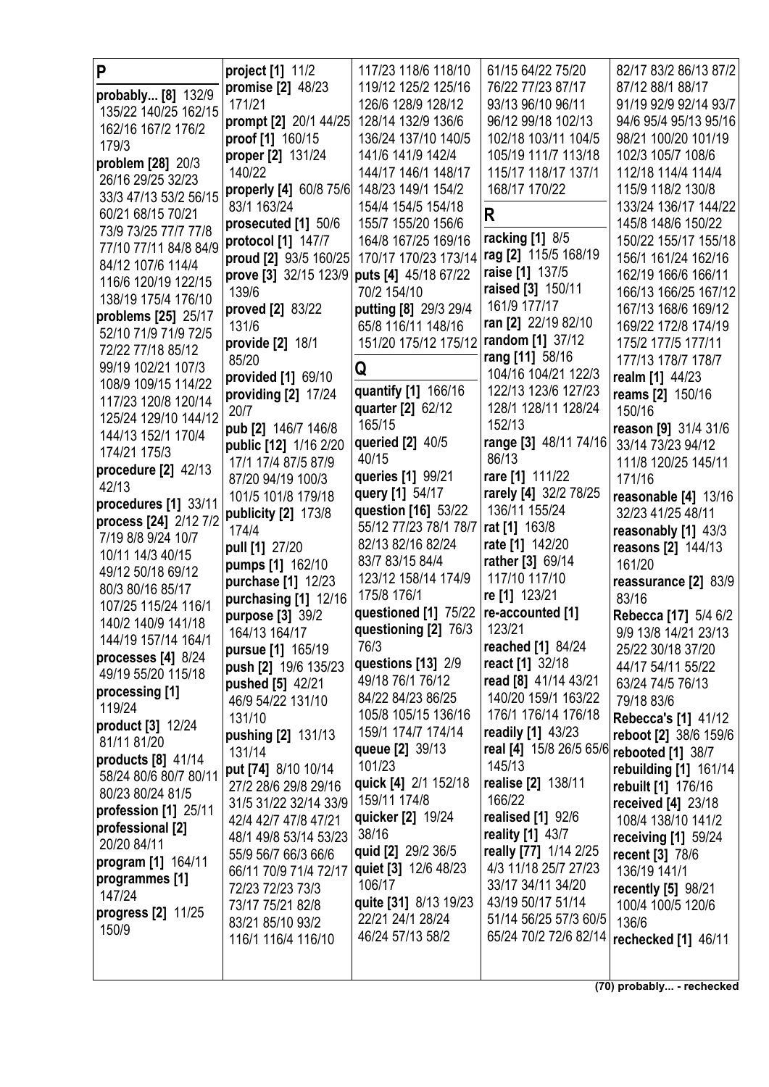| P                               | project [1] 11/2                           | 117/23 118/6 118/10                        | 61/15 64/22 75/20                         | 82/17 83/2 86/13 87/2                     |
|---------------------------------|--------------------------------------------|--------------------------------------------|-------------------------------------------|-------------------------------------------|
| probably [8] 132/9              | promise [2] 48/23                          | 119/12 125/2 125/16                        | 76/22 77/23 87/17                         | 87/12 88/1 88/17                          |
| 135/22 140/25 162/15            | 171/21                                     | 126/6 128/9 128/12                         | 93/13 96/10 96/11                         | 91/19 92/9 92/14 93/7                     |
| 162/16 167/2 176/2              | prompt [2] 20/1 44/25                      | 128/14 132/9 136/6                         | 96/12 99/18 102/13                        | 94/6 95/4 95/13 95/16                     |
| 179/3                           | proof [1] 160/15                           | 136/24 137/10 140/5                        | 102/18 103/11 104/5                       | 98/21 100/20 101/19                       |
| problem [28] 20/3               | proper [2] 131/24                          | 141/6 141/9 142/4                          | 105/19 111/7 113/18                       | 102/3 105/7 108/6                         |
| 26/16 29/25 32/23               | 140/22                                     | 144/17 146/1 148/17                        | 115/17 118/17 137/1                       | 112/18 114/4 114/4                        |
| 33/3 47/13 53/2 56/15           | properly [4] 60/8 75/6                     | 148/23 149/1 154/2                         | 168/17 170/22                             | 115/9 118/2 130/8                         |
| 60/21 68/15 70/21               | 83/1 163/24                                | 154/4 154/5 154/18                         | R                                         | 133/24 136/17 144/22                      |
| 73/9 73/25 77/7 77/8            | prosecuted [1] 50/6                        | 155/7 155/20 156/6                         |                                           | 145/8 148/6 150/22                        |
| 77/10 77/11 84/8 84/9           | protocol [1] 147/7                         | 164/8 167/25 169/16                        | racking [1] 8/5                           | 150/22 155/17 155/18                      |
| 84/12 107/6 114/4               | proud [2] 93/5 160/25                      | 170/17 170/23 173/14                       | rag [2] 115/5 168/19                      | 156/1 161/24 162/16                       |
| 116/6 120/19 122/15             | prove [3] 32/15 123/9 puts [4] 45/18 67/22 |                                            | raise [1] 137/5                           | 162/19 166/6 166/11                       |
| 138/19 175/4 176/10             | 139/6                                      | 70/2 154/10                                | raised [3] 150/11                         | 166/13 166/25 167/12                      |
| problems [25] 25/17             | proved [2] 83/22                           | putting [8] 29/3 29/4                      | 161/9 177/17                              | 167/13 168/6 169/12                       |
| 52/10 71/9 71/9 72/5            | 131/6                                      | 65/8 116/11 148/16                         | ran [2] 22/19 82/10                       | 169/22 172/8 174/19                       |
| 72/22 77/18 85/12               | provide [2] 18/1                           | 151/20 175/12 175/12                       | random [1] 37/12                          | 175/2 177/5 177/11                        |
| 99/19 102/21 107/3              | 85/20                                      | Q                                          | rang [11] 58/16                           | 177/13 178/7 178/7                        |
| 108/9 109/15 114/22             | provided [1] 69/10                         |                                            | 104/16 104/21 122/3                       | realm [1] 44/23                           |
| 117/23 120/8 120/14             | providing [2] 17/24                        | quantify [1] 166/16                        | 122/13 123/6 127/23                       | <b>reams</b> [2] 150/16                   |
| 125/24 129/10 144/12            | 20/7                                       | quarter [2] 62/12                          | 128/1 128/11 128/24                       | 150/16                                    |
| 144/13 152/1 170/4              | pub [2] 146/7 146/8                        | 165/15                                     | 152/13                                    | reason [9] 31/4 31/6                      |
| 174/21 175/3                    | public [12] 1/16 2/20                      | queried [2] 40/5                           | range [3] 48/11 74/16                     | 33/14 73/23 94/12                         |
| procedure $[2]$ 42/13           | 17/1 17/4 87/5 87/9                        | 40/15                                      | 86/13                                     | 111/8 120/25 145/11                       |
| 42/13                           | 87/20 94/19 100/3                          | queries [1] 99/21                          | rare [1] 111/22                           | 171/16                                    |
| procedures [1] 33/11            | 101/5 101/8 179/18                         | query [1] 54/17                            | rarely [4] 32/2 78/25                     | reasonable [4] 13/16                      |
| process [24] 2/12 7/2           | publicity [2] 173/8                        | question [16] 53/22                        | 136/11 155/24                             | 32/23 41/25 48/11                         |
| 7/19 8/8 9/24 10/7              | 174/4                                      | 55/12 77/23 78/1 78/7<br>82/13 82/16 82/24 | rat [1] 163/8<br>rate [1] 142/20          | reasonably [1] 43/3                       |
| 10/11 14/3 40/15                | pull [1] 27/20                             | 83/7 83/15 84/4                            | rather [3] 69/14                          | reasons [2] 144/13                        |
| 49/12 50/18 69/12               | pumps [1] 162/10                           | 123/12 158/14 174/9                        | 117/10 117/10                             | 161/20                                    |
| 80/3 80/16 85/17                | purchase [1] 12/23                         | 175/8 176/1                                | re [1] 123/21                             | reassurance [2] 83/9                      |
| 107/25 115/24 116/1             | purchasing [1] 12/16                       | questioned [1] 75/22                       | re-accounted [1]                          | 83/16                                     |
| 140/2 140/9 141/18              | purpose [3] 39/2                           | questioning [2] 76/3                       | 123/21                                    | Rebecca [17] 5/4 6/2                      |
| 144/19 157/14 164/1             | 164/13 164/17                              | 76/3                                       | reached [1] 84/24                         | 9/9 13/8 14/21 23/13<br>25/22 30/18 37/20 |
| processes [4] 8/24              | pursue [1] 165/19<br>push [2] 19/6 135/23  | questions [13] 2/9                         | react [1] 32/18                           | 44/17 54/11 55/22                         |
| 49/19 55/20 115/18              | pushed [5] 42/21                           | 49/18 76/1 76/12                           | read [8] 41/14 43/21                      | 63/24 74/5 76/13                          |
| processing [1]                  | 46/9 54/22 131/10                          | 84/22 84/23 86/25                          | 140/20 159/1 163/22                       | 79/18 83/6                                |
| 119/24                          | 131/10                                     | 105/8 105/15 136/16                        | 176/1 176/14 176/18                       | <b>Rebecca's [1] 41/12</b>                |
| product [3] 12/24               | pushing [2] 131/13                         | 159/1 174/7 174/14                         | readily [1] 43/23                         | reboot [2] 38/6 159/6                     |
| 81/11 81/20                     | 131/14                                     | queue [2] 39/13                            | real [4] 15/8 26/5 65/6 rebooted [1] 38/7 |                                           |
| products [8] 41/14              | put [74] 8/10 10/14                        | 101/23                                     | 145/13                                    | rebuilding [1] 161/14                     |
| 58/24 80/6 80/7 80/11           | 27/2 28/6 29/8 29/16                       | quick [4] 2/1 152/18                       | realise [2] 138/11                        | rebuilt [1] 176/16                        |
| 80/23 80/24 81/5                | 31/5 31/22 32/14 33/9                      | 159/11 174/8                               | 166/22                                    | received [4] 23/18                        |
| profession [1] 25/11            | 42/4 42/7 47/8 47/21                       | quicker [2] 19/24                          | <b>realised</b> [1] 92/6                  | 108/4 138/10 141/2                        |
| professional [2]<br>20/20 84/11 | 48/1 49/8 53/14 53/23                      | 38/16                                      | reality [1] 43/7                          | receiving $[1]$ 59/24                     |
| program [1] 164/11              | 55/9 56/7 66/3 66/6                        | quid [2] 29/2 36/5                         | really [77] 1/14 2/25                     | recent [3] 78/6                           |
| programmes [1]                  | 66/11 70/9 71/4 72/17                      | quiet [3] 12/6 48/23                       | 4/3 11/18 25/7 27/23                      | 136/19 141/1                              |
| 147/24                          | 72/23 72/23 73/3                           | 106/17                                     | 33/17 34/11 34/20                         | <b>recently [5] 98/21</b>                 |
| progress [2] 11/25              | 73/17 75/21 82/8                           | quite [31] 8/13 19/23                      | 43/19 50/17 51/14                         | 100/4 100/5 120/6                         |
| 150/9                           | 83/21 85/10 93/2                           | 22/21 24/1 28/24                           | 51/14 56/25 57/3 60/5                     | 136/6                                     |
|                                 | 116/1 116/4 116/10                         | 46/24 57/13 58/2                           | 65/24 70/2 72/6 82/14                     | rechecked [1] 46/11                       |
|                                 |                                            |                                            |                                           |                                           |
|                                 |                                            |                                            |                                           |                                           |

**(70) probably... - rechecked**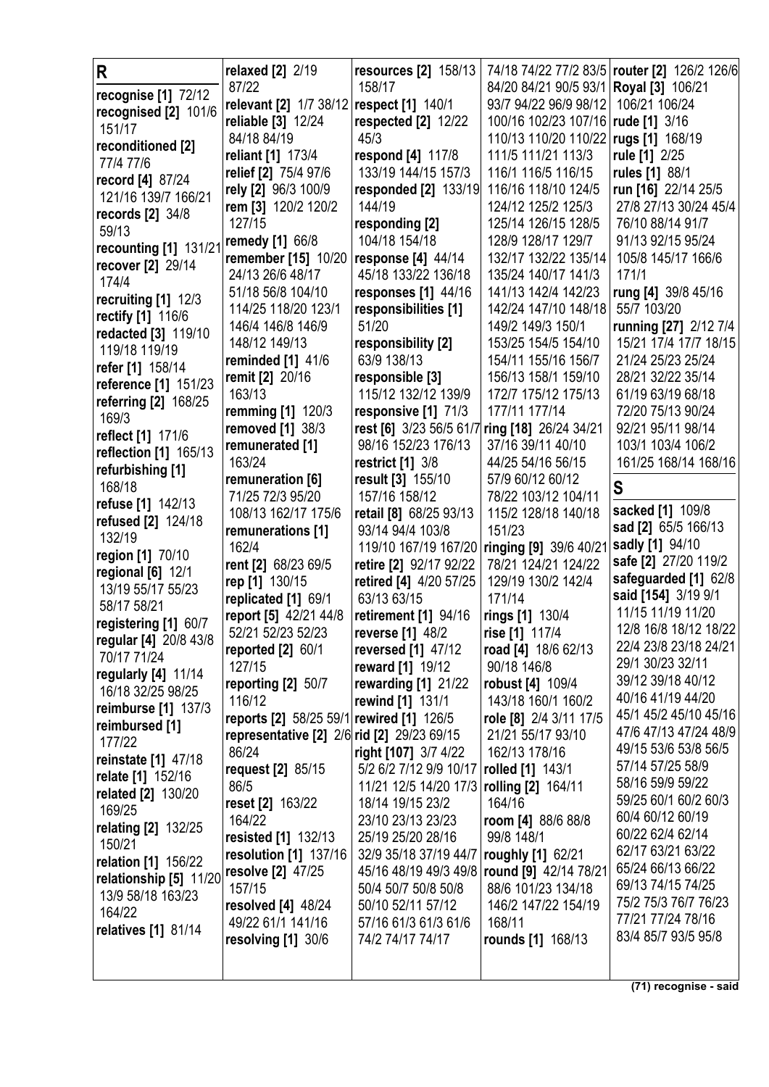| R                                    | relaxed [2] 2/19                           | resources [2] 158/13    |                         | 74/18 74/22 77/2 83/5   router [2] 126/2 126/6 |
|--------------------------------------|--------------------------------------------|-------------------------|-------------------------|------------------------------------------------|
| recognise [1] 72/12                  | 87/22                                      | 158/17                  | 84/20 84/21 90/5 93/1   | <b>Royal [3] 106/21</b>                        |
| recognised [2] 101/6                 | relevant [2] 1/7 38/12                     | respect [1] 140/1       | 93/7 94/22 96/9 98/12   | 106/21 106/24                                  |
| 151/17                               | reliable [3] 12/24                         | respected $[2]$ 12/22   | 100/16 102/23 107/16    | rude [1] 3/16                                  |
| reconditioned [2]                    | 84/18 84/19                                | 45/3                    | 110/13 110/20 110/22    | rugs [1] 168/19                                |
| 77/4 77/6                            | reliant [1] 173/4                          | respond [4] 117/8       | 111/5 111/21 113/3      | rule [1] 2/25                                  |
| record [4] 87/24                     | relief [2] 75/4 97/6                       | 133/19 144/15 157/3     | 116/1 116/5 116/15      | rules [1] 88/1                                 |
| 121/16 139/7 166/21                  | rely [2] 96/3 100/9                        | responded [2] 133/19    | 116/16 118/10 124/5     | run [16] 22/14 25/5                            |
| records [2] 34/8                     | rem [3] 120/2 120/2                        | 144/19                  | 124/12 125/2 125/3      | 27/8 27/13 30/24 45/4                          |
| 59/13                                | 127/15                                     | responding [2]          | 125/14 126/15 128/5     | 76/10 88/14 91/7                               |
| recounting [1] 131/21                | remedy [1] 66/8                            | 104/18 154/18           | 128/9 128/17 129/7      | 91/13 92/15 95/24                              |
| recover [2] 29/14                    | remember [15] 10/20   response [4] 44/14   |                         | 132/17 132/22 135/14    | 105/8 145/17 166/6                             |
| 174/4                                | 24/13 26/6 48/17                           | 45/18 133/22 136/18     | 135/24 140/17 141/3     | 171/1                                          |
| recruiting $[1]$ 12/3                | 51/18 56/8 104/10                          | responses $[1]$ 44/16   | 141/13 142/4 142/23     | rung [4] 39/8 45/16                            |
| rectify [1] 116/6                    | 114/25 118/20 123/1                        | responsibilities [1]    | 142/24 147/10 148/18    | 55/7 103/20                                    |
| redacted [3] 119/10                  | 146/4 146/8 146/9                          | 51/20                   | 149/2 149/3 150/1       | running [27] 2/12 7/4                          |
| 119/18 119/19                        | 148/12 149/13                              | responsibility [2]      | 153/25 154/5 154/10     | 15/21 17/4 17/7 18/15                          |
| refer [1] 158/14                     | reminded [1] 41/6                          | 63/9 138/13             | 154/11 155/16 156/7     | 21/24 25/23 25/24                              |
| reference [1] 151/23                 | remit [2] 20/16                            | responsible [3]         | 156/13 158/1 159/10     | 28/21 32/22 35/14                              |
| referring [2] 168/25                 | 163/13                                     | 115/12 132/12 139/9     | 172/7 175/12 175/13     | 61/19 63/19 68/18                              |
| 169/3                                | remming [1] 120/3                          | responsive [1] 71/3     | 177/11 177/14           | 72/20 75/13 90/24                              |
| reflect [1] 171/6                    | removed [1] 38/3                           | rest [6] 3/23 56/5 61/7 | ring [18] 26/24 34/21   | 92/21 95/11 98/14                              |
| reflection [1] 165/13                | remunerated [1]                            | 98/16 152/23 176/13     | 37/16 39/11 40/10       | 103/1 103/4 106/2                              |
| refurbishing [1]                     | 163/24                                     | restrict $[1]$ 3/8      | 44/25 54/16 56/15       | 161/25 168/14 168/16                           |
| 168/18                               | remuneration [6]                           | result [3] 155/10       | 57/9 60/12 60/12        | S                                              |
| refuse [1] 142/13                    | 71/25 72/3 95/20                           | 157/16 158/12           | 78/22 103/12 104/11     |                                                |
| refused [2] 124/18                   | 108/13 162/17 175/6                        | retail [8] 68/25 93/13  | 115/2 128/18 140/18     | sacked [1] 109/8                               |
|                                      |                                            |                         |                         |                                                |
|                                      | remunerations [1]                          | 93/14 94/4 103/8        | 151/23                  | sad [2] 65/5 166/13                            |
| 132/19                               | 162/4                                      | 119/10 167/19 167/20    | ringing [9] 39/6 40/21  | sadly [1] 94/10                                |
| region [1] 70/10                     | rent [2] 68/23 69/5                        | retire [2] 92/17 92/22  | 78/21 124/21 124/22     | safe [2] 27/20 119/2                           |
| regional [6] 12/1                    | rep [1] 130/15                             | retired [4] 4/20 57/25  | 129/19 130/2 142/4      | safeguarded [1] 62/8                           |
| 13/19 55/17 55/23<br>58/17 58/21     | replicated [1] 69/1                        | 63/13 63/15             | 171/14                  | said [154] 3/19 9/1                            |
|                                      | report [5] 42/21 44/8                      | retirement [1] 94/16    | rings [1] 130/4         | 11/15 11/19 11/20                              |
| registering [1] 60/7                 | 52/21 52/23 52/23                          | <b>reverse</b> [1] 48/2 | rise [1] 117/4          | 12/8 16/8 18/12 18/22                          |
| regular [4] 20/8 43/8<br>70/17 71/24 | reported $[2]$ 60/1                        | reversed [1] 47/12      | road [4] 18/6 62/13     | 22/4 23/8 23/18 24/21                          |
| regularly [4] 11/14                  | 127/15                                     | reward [1] 19/12        | 90/18 146/8             | 29/1 30/23 32/11                               |
| 16/18 32/25 98/25                    | reporting [2] 50/7                         | rewarding [1] 21/22     | <b>robust</b> [4] 109/4 | 39/12 39/18 40/12                              |
| <b>reimburse</b> [1] 137/3           | 116/12                                     | rewind [1] 131/1        | 143/18 160/1 160/2      | 40/16 41/19 44/20                              |
| reimbursed [1]                       | reports [2] 58/25 59/1 rewired [1] 126/5   |                         | role [8] 2/4 3/11 17/5  | 45/1 45/2 45/10 45/16                          |
| 177/22                               | representative [2] 2/6 rid [2] 29/23 69/15 |                         | 21/21 55/17 93/10       | 47/6 47/13 47/24 48/9                          |
| reinstate [1] 47/18                  | 86/24                                      | right [107] 3/7 4/22    | 162/13 178/16           | 49/15 53/6 53/8 56/5                           |
| relate [1] 152/16                    | request [2] 85/15                          | 5/2 6/2 7/12 9/9 10/17  | rolled [1] 143/1        | 57/14 57/25 58/9                               |
| <b>related [2] 130/20</b>            | 86/5                                       | 11/21 12/5 14/20 17/3   | rolling [2] 164/11      | 58/16 59/9 59/22                               |
| 169/25                               | <b>reset [2] 163/22</b>                    | 18/14 19/15 23/2        | 164/16                  | 59/25 60/1 60/2 60/3<br>60/4 60/12 60/19       |
| <b>relating [2] 132/25</b>           | 164/22                                     | 23/10 23/13 23/23       | room [4] 88/6 88/8      | 60/22 62/4 62/14                               |
| 150/21                               | resisted [1] 132/13                        | 25/19 25/20 28/16       | 99/8 148/1              | 62/17 63/21 63/22                              |
| <b>relation</b> [1] 156/22           | resolution [1] 137/16                      | 32/9 35/18 37/19 44/7   | roughly [1] 62/21       | 65/24 66/13 66/22                              |
| relationship [5] 11/20               | resolve [2] 47/25                          | 45/16 48/19 49/3 49/8   | round [9] 42/14 78/21   | 69/13 74/15 74/25                              |
| 13/9 58/18 163/23                    | 157/15                                     | 50/4 50/7 50/8 50/8     | 88/6 101/23 134/18      | 75/2 75/3 76/7 76/23                           |
| 164/22                               | resolved $[4]$ 48/24                       | 50/10 52/11 57/12       | 146/2 147/22 154/19     | 77/21 77/24 78/16                              |
| relatives [1] 81/14                  | 49/22 61/1 141/16                          | 57/16 61/3 61/3 61/6    | 168/11                  | 83/4 85/7 93/5 95/8                            |
|                                      | resolving [1] 30/6                         | 74/2 74/17 74/17        | rounds [1] 168/13       |                                                |

**(71) recognise - said**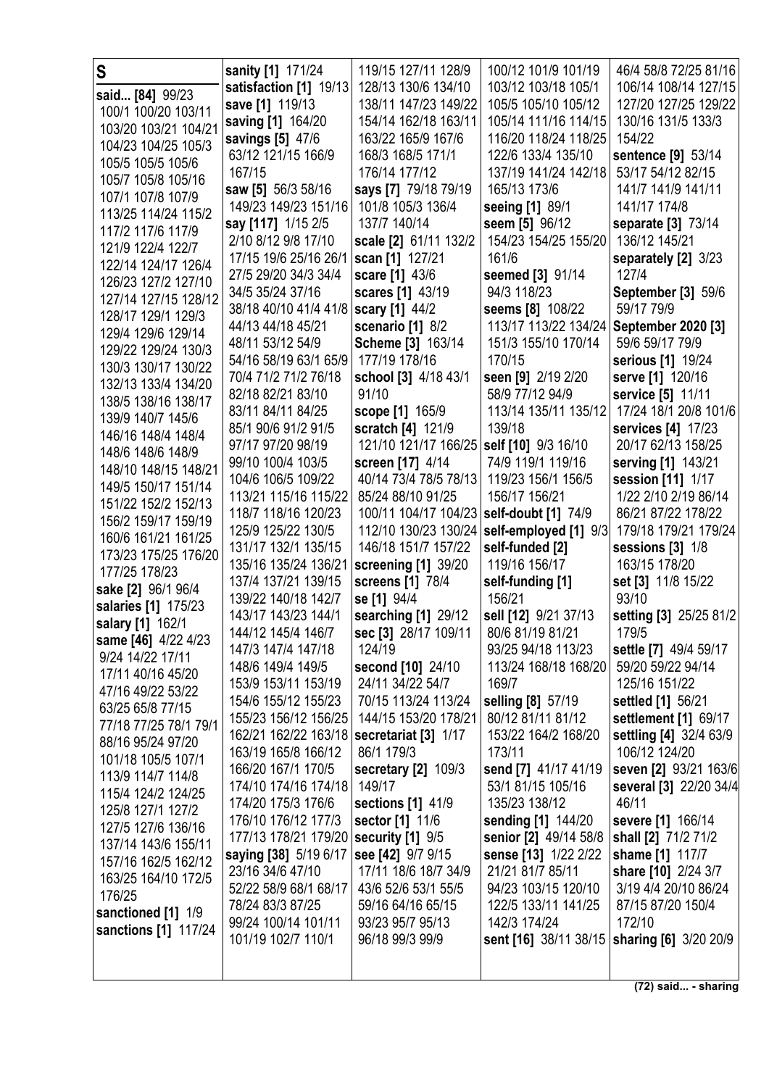| S                                          | sanity [1] 171/24                        | 119/15 127/11 128/9            | 100/12 101/9 101/19                    | 46/4 58/8 72/25 81/16                         |
|--------------------------------------------|------------------------------------------|--------------------------------|----------------------------------------|-----------------------------------------------|
| said [84] 99/23                            | satisfaction [1] 19/13                   | 128/13 130/6 134/10            | 103/12 103/18 105/1                    | 106/14 108/14 127/15                          |
| 100/1 100/20 103/11                        | save [1] 119/13                          | 138/11 147/23 149/22           | 105/5 105/10 105/12                    | 127/20 127/25 129/22                          |
| 103/20 103/21 104/21                       | saving [1] 164/20                        | 154/14 162/18 163/11           | 105/14 111/16 114/15                   | 130/16 131/5 133/3                            |
| 104/23 104/25 105/3                        | savings [5] 47/6                         | 163/22 165/9 167/6             | 116/20 118/24 118/25                   | 154/22                                        |
| 105/5 105/5 105/6                          | 63/12 121/15 166/9                       | 168/3 168/5 171/1              | 122/6 133/4 135/10                     | sentence [9] 53/14                            |
| 105/7 105/8 105/16                         | 167/15                                   | 176/14 177/12                  | 137/19 141/24 142/18                   | 53/17 54/12 82/15                             |
| 107/1 107/8 107/9                          | saw [5] 56/3 58/16                       | says [7] 79/18 79/19           | 165/13 173/6                           | 141/7 141/9 141/11                            |
| 113/25 114/24 115/2                        | 149/23 149/23 151/16                     | 101/8 105/3 136/4              | seeing [1] 89/1                        | 141/17 174/8                                  |
| 117/2 117/6 117/9                          | say [117] 1/15 2/5                       | 137/7 140/14                   | seem [5] 96/12                         | separate [3] 73/14                            |
| 121/9 122/4 122/7                          | 2/10 8/12 9/8 17/10                      | scale [2] 61/11 132/2          | 154/23 154/25 155/20                   | 136/12 145/21                                 |
| 122/14 124/17 126/4                        | 17/15 19/6 25/16 26/1                    | scan [1] 127/21                | 161/6                                  | separately [2] 3/23                           |
| 126/23 127/2 127/10                        | 27/5 29/20 34/3 34/4                     | scare [1] 43/6                 | seemed [3] 91/14                       | 127/4                                         |
| 127/14 127/15 128/12                       | 34/5 35/24 37/16                         | scares [1] 43/19               | 94/3 118/23                            | <b>September [3] 59/6</b>                     |
| 128/17 129/1 129/3                         | 38/18 40/10 41/4 41/8 scary [1] 44/2     |                                | seems [8] 108/22                       | 59/17 79/9                                    |
| 129/4 129/6 129/14                         | 44/13 44/18 45/21                        | scenario [1] 8/2               | 113/17 113/22 134/24                   | September 2020 [3]                            |
| 129/22 129/24 130/3                        | 48/11 53/12 54/9                         | Scheme [3] 163/14              | 151/3 155/10 170/14                    | 59/6 59/17 79/9                               |
| 130/3 130/17 130/22                        | 54/16 58/19 63/1 65/9                    | 177/19 178/16                  | 170/15                                 | serious [1] 19/24                             |
| 132/13 133/4 134/20                        | 70/4 71/2 71/2 76/18                     | school [3] 4/18 43/1           | seen [9] 2/19 2/20                     | serve [1] 120/16                              |
| 138/5 138/16 138/17                        | 82/18 82/21 83/10                        | 91/10                          | 58/9 77/12 94/9                        | service [5] 11/11                             |
| 139/9 140/7 145/6                          | 83/11 84/11 84/25                        | scope [1] 165/9                | 113/14 135/11 135/12                   | 17/24 18/1 20/8 101/6                         |
| 146/16 148/4 148/4                         | 85/1 90/6 91/2 91/5                      | scratch [4] 121/9              | 139/18                                 | services [4] 17/23                            |
| 148/6 148/6 148/9                          | 97/17 97/20 98/19                        | 121/10 121/17 166/25           | self [10] 9/3 16/10                    | 20/17 62/13 158/25                            |
| 148/10 148/15 148/21                       | 99/10 100/4 103/5                        | screen [17] 4/14               | 74/9 119/1 119/16                      | serving [1] 143/21                            |
| 149/5 150/17 151/14                        | 104/6 106/5 109/22                       | 40/14 73/4 78/5 78/13          | 119/23 156/1 156/5                     | session [11] 1/17                             |
| 151/22 152/2 152/13                        | 113/21 115/16 115/22                     | 85/24 88/10 91/25              | 156/17 156/21                          | 1/22 2/10 2/19 86/14                          |
| 156/2 159/17 159/19                        | 118/7 118/16 120/23                      | 100/11 104/17 104/23           | self-doubt [1] 74/9                    | 86/21 87/22 178/22                            |
| 160/6 161/21 161/25                        | 125/9 125/22 130/5                       | 112/10 130/23 130/24           | self-employed [1] 9/3                  | 179/18 179/21 179/24                          |
| 173/23 175/25 176/20                       | 131/17 132/1 135/15                      | 146/18 151/7 157/22            | self-funded [2]                        | sessions $[3]$ $1/8$                          |
| 177/25 178/23                              | 135/16 135/24 136/21                     | screening [1] 39/20            | 119/16 156/17                          | 163/15 178/20                                 |
| sake [2] 96/1 96/4                         | 137/4 137/21 139/15                      | screens [1] 78/4               | self-funding [1]                       | set [3] 11/8 15/22                            |
| salaries [1] 175/23                        | 139/22 140/18 142/7                      | se [1] 94/4                    | 156/21                                 | 93/10                                         |
| salary [1] 162/1                           | 143/17 143/23 144/1                      | searching [1] 29/12            | sell [12] 9/21 37/13                   | setting [3] 25/25 81/2<br>179/5               |
| same [46] 4/22 4/23                        | 144/12 145/4 146/7<br>147/3 147/4 147/18 | sec [3] 28/17 109/11<br>124/19 | 80/6 81/19 81/21<br>93/25 94/18 113/23 | settle [7] 49/4 59/17                         |
| 9/24 14/22 17/11                           | 148/6 149/4 149/5                        | second [10] 24/10              | 113/24 168/18 168/20                   | 59/20 59/22 94/14                             |
| 17/11 40/16 45/20                          | 153/9 153/11 153/19                      | 24/11 34/22 54/7               | 169/7                                  | 125/16 151/22                                 |
| 47/16 49/22 53/22                          | 154/6 155/12 155/23                      | 70/15 113/24 113/24            | selling [8] 57/19                      | settled [1] 56/21                             |
| 63/25 65/8 77/15                           | 155/23 156/12 156/25                     | 144/15 153/20 178/21           | 80/12 81/11 81/12                      | settlement [1] 69/17                          |
| 77/18 77/25 78/1 79/1                      | 162/21 162/22 163/18                     | secretariat [3] 1/17           | 153/22 164/2 168/20                    | settling [4] 32/4 63/9                        |
| 88/16 95/24 97/20                          | 163/19 165/8 166/12                      | 86/1 179/3                     | 173/11                                 | 106/12 124/20                                 |
| 101/18 105/5 107/1                         | 166/20 167/1 170/5                       | secretary $[2]$ 109/3          | send [7] 41/17 41/19                   | seven [2] 93/21 163/6                         |
| 113/9 114/7 114/8                          | 174/10 174/16 174/18                     | 149/17                         | 53/1 81/15 105/16                      | several [3] 22/20 34/4                        |
| 115/4 124/2 124/25                         | 174/20 175/3 176/6                       | sections [1] 41/9              | 135/23 138/12                          | 46/11                                         |
| 125/8 127/1 127/2                          | 176/10 176/12 177/3                      | sector [1] 11/6                | sending [1] 144/20                     | severe [1] 166/14                             |
| 127/5 127/6 136/16                         | 177/13 178/21 179/20   security [1] 9/5  |                                | senior [2] 49/14 58/8                  | shall [2] 71/2 71/2                           |
| 137/14 143/6 155/11<br>157/16 162/5 162/12 | saying [38] 5/19 6/17                    | see [42] 9/7 9/15              | sense [13] 1/22 2/22                   | shame [1] 117/7                               |
| 163/25 164/10 172/5                        | 23/16 34/6 47/10                         | 17/11 18/6 18/7 34/9           | 21/21 81/7 85/11                       | share [10] 2/24 3/7                           |
| 176/25                                     | 52/22 58/9 68/1 68/17                    | 43/6 52/6 53/1 55/5            | 94/23 103/15 120/10                    | 3/19 4/4 20/10 86/24                          |
| sanctioned [1] 1/9                         | 78/24 83/3 87/25                         | 59/16 64/16 65/15              | 122/5 133/11 141/25                    | 87/15 87/20 150/4                             |
| sanctions [1] 117/24                       | 99/24 100/14 101/11                      | 93/23 95/7 95/13               | 142/3 174/24                           | 172/10                                        |
|                                            | 101/19 102/7 110/1                       | 96/18 99/3 99/9                |                                        | sent [16] 38/11 38/15   sharing [6] 3/20 20/9 |
|                                            |                                          |                                |                                        |                                               |
|                                            |                                          |                                |                                        |                                               |

**(72) said... - sharing**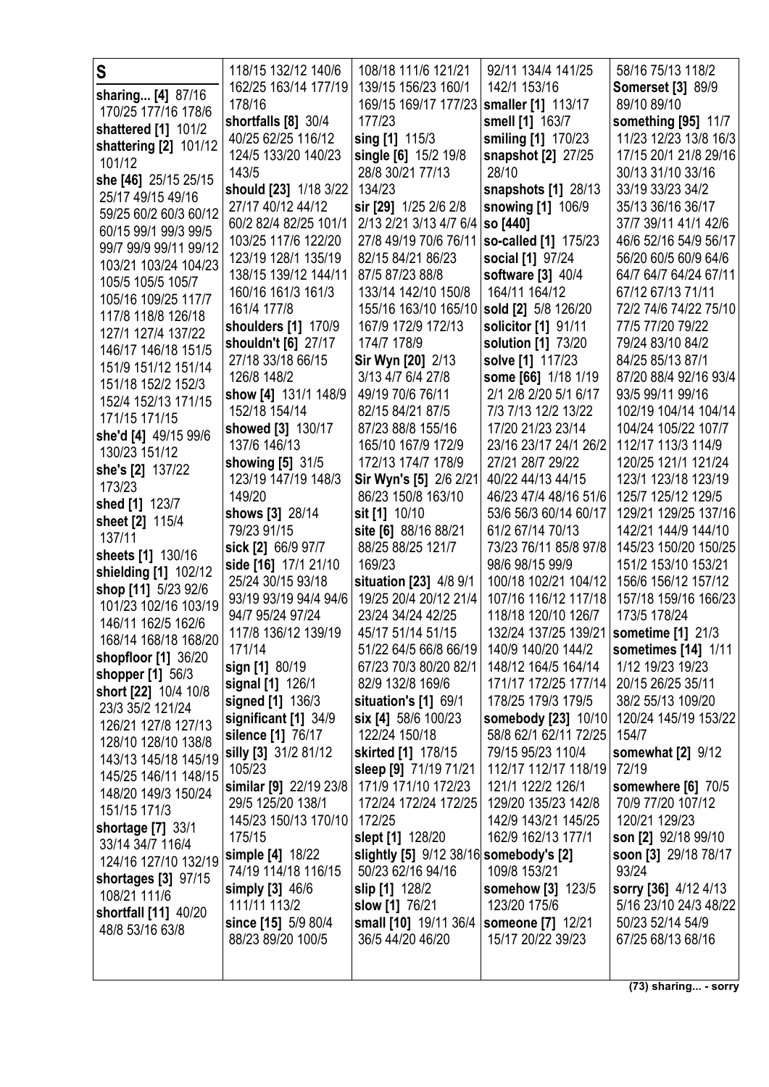| S                                            | 118/15 132/12 140/6                      | 108/18 111/6 121/21                         | 92/11 134/4 141/25                         | 58/16 75/13 118/2                         |
|----------------------------------------------|------------------------------------------|---------------------------------------------|--------------------------------------------|-------------------------------------------|
| sharing [4] 87/16                            | 162/25 163/14 177/19                     | 139/15 156/23 160/1                         | 142/1 153/16                               | <b>Somerset [3] 89/9</b>                  |
| 170/25 177/16 178/6                          | 178/16                                   | 169/15 169/17 177/23                        | smaller [1] 113/17                         | 89/10 89/10                               |
| shattered [1] 101/2                          | shortfalls [8] 30/4                      | 177/23                                      | smell [1] 163/7                            | something [95] 11/7                       |
| shattering [2] 101/12                        | 40/25 62/25 116/12                       | sing [1] 115/3                              | smiling [1] 170/23                         | 11/23 12/23 13/8 16/3                     |
| 101/12                                       | 124/5 133/20 140/23                      | single [6] 15/2 19/8                        | snapshot [2] 27/25                         | 17/15 20/1 21/8 29/16                     |
| she [46] 25/15 25/15                         | 143/5                                    | 28/8 30/21 77/13                            | 28/10                                      | 30/13 31/10 33/16                         |
| 25/17 49/15 49/16                            | should [23] 1/18 3/22                    | 134/23                                      | snapshots [1] 28/13                        | 33/19 33/23 34/2                          |
| 59/25 60/2 60/3 60/12                        | 27/17 40/12 44/12                        | sir [29] 1/25 2/6 2/8                       | snowing [1] 106/9                          | 35/13 36/16 36/17                         |
| 60/15 99/1 99/3 99/5                         | 60/2 82/4 82/25 101/1                    | 2/13 2/21 3/13 4/7 6/4                      | so [440]                                   | 37/7 39/11 41/1 42/6                      |
| 99/7 99/9 99/11 99/12                        | 103/25 117/6 122/20                      | 27/8 49/19 70/6 76/11                       | so-called [1] 175/23                       | 46/6 52/16 54/9 56/17                     |
| 103/21 103/24 104/23                         | 123/19 128/1 135/19                      | 82/15 84/21 86/23                           | social [1] 97/24                           | 56/20 60/5 60/9 64/6                      |
| 105/5 105/5 105/7                            | 138/15 139/12 144/11                     | 87/5 87/23 88/8                             | software [3] 40/4                          | 64/7 64/7 64/24 67/11                     |
| 105/16 109/25 117/7                          | 160/16 161/3 161/3                       | 133/14 142/10 150/8                         | 164/11 164/12                              | 67/12 67/13 71/11                         |
| 117/8 118/8 126/18                           | 161/4 177/8                              | 155/16 163/10 165/10<br>167/9 172/9 172/13  | sold [2] 5/8 126/20                        | 72/2 74/6 74/22 75/10<br>77/5 77/20 79/22 |
| 127/1 127/4 137/22                           | shoulders [1] 170/9                      | 174/7 178/9                                 | solicitor [1] 91/11<br>solution [1] 73/20  | 79/24 83/10 84/2                          |
| 146/17 146/18 151/5                          | shouldn't [6] 27/17<br>27/18 33/18 66/15 | Sir Wyn [20] 2/13                           | solve [1] 117/23                           | 84/25 85/13 87/1                          |
| 151/9 151/12 151/14                          | 126/8 148/2                              | 3/13 4/7 6/4 27/8                           | some [66] 1/18 1/19                        | 87/20 88/4 92/16 93/4                     |
| 151/18 152/2 152/3                           | show [4] 131/1 148/9                     | 49/19 70/6 76/11                            | 2/1 2/8 2/20 5/1 6/17                      | 93/5 99/11 99/16                          |
| 152/4 152/13 171/15                          | 152/18 154/14                            | 82/15 84/21 87/5                            | 7/3 7/13 12/2 13/22                        | 102/19 104/14 104/14                      |
| 171/15 171/15                                | showed [3] 130/17                        | 87/23 88/8 155/16                           | 17/20 21/23 23/14                          | 104/24 105/22 107/7                       |
| she'd [4] 49/15 99/6                         | 137/6 146/13                             | 165/10 167/9 172/9                          | 23/16 23/17 24/1 26/2                      | 112/17 113/3 114/9                        |
| 130/23 151/12                                | showing [5] 31/5                         | 172/13 174/7 178/9                          | 27/21 28/7 29/22                           | 120/25 121/1 121/24                       |
| she's [2] 137/22                             | 123/19 147/19 148/3                      | Sir Wyn's [5] 2/6 2/21                      | 40/22 44/13 44/15                          | 123/1 123/18 123/19                       |
| 173/23                                       | 149/20                                   | 86/23 150/8 163/10                          | 46/23 47/4 48/16 51/6                      | 125/7 125/12 129/5                        |
| shed [1] 123/7                               | shows [3] 28/14                          | sit [1] 10/10                               | 53/6 56/3 60/14 60/17                      | 129/21 129/25 137/16                      |
| sheet [2] 115/4<br>137/11                    | 79/23 91/15                              | site [6] 88/16 88/21                        | 61/2 67/14 70/13                           | 142/21 144/9 144/10                       |
| sheets [1] 130/16                            | sick [2] 66/9 97/7                       | 88/25 88/25 121/7                           | 73/23 76/11 85/8 97/8                      | 145/23 150/20 150/25                      |
| shielding [1] 102/12                         | side [16] 17/1 21/10                     | 169/23                                      | 98/6 98/15 99/9                            | 151/2 153/10 153/21                       |
| shop [11] 5/23 92/6                          | 25/24 30/15 93/18                        | situation [23] 4/8 9/1                      | 100/18 102/21 104/12                       | 156/6 156/12 157/12                       |
| 101/23 102/16 103/19                         | 93/19 93/19 94/4 94/6                    | 19/25 20/4 20/12 21/4                       | 107/16 116/12 117/18                       | 157/18 159/16 166/23                      |
| 146/11 162/5 162/6                           | 94/7 95/24 97/24                         | 23/24 34/24 42/25                           | 118/18 120/10 126/7                        | 173/5 178/24                              |
| 168/14 168/18 168/20                         | 117/8 136/12 139/19                      | 45/17 51/14 51/15                           | 132/24 137/25 139/21                       | sometime [1] 21/3                         |
| <b>shopfloor</b> [1] 36/20                   | 171/14                                   | 51/22 64/5 66/8 66/19                       | 140/9 140/20 144/2                         | sometimes [14] 1/11                       |
| shopper [1] 56/3                             | sign [1] 80/19                           | 67/23 70/3 80/20 82/1                       | 148/12 164/5 164/14                        | 1/12 19/23 19/23                          |
| short [22] 10/4 10/8                         | signal [1] 126/1                         | 82/9 132/8 169/6                            | 171/17 172/25 177/14<br>178/25 179/3 179/5 | 20/15 26/25 35/11<br>38/2 55/13 109/20    |
| 23/3 35/2 121/24                             | signed [1] 136/3<br>significant [1] 34/9 | situation's [1] 69/1<br>six [4] 58/6 100/23 | somebody [23] 10/10                        | 120/24 145/19 153/22                      |
| 126/21 127/8 127/13                          | silence [1] 76/17                        | 122/24 150/18                               | 58/8 62/1 62/11 72/25                      | 154/7                                     |
| 128/10 128/10 138/8                          | silly [3] 31/2 81/12                     | skirted [1] 178/15                          | 79/15 95/23 110/4                          | somewhat [2] 9/12                         |
| 143/13 145/18 145/19                         | 105/23                                   | sleep [9] 71/19 71/21                       | 112/17 112/17 118/19                       | 72/19                                     |
| 145/25 146/11 148/15                         | similar [9] 22/19 23/8                   | 171/9 171/10 172/23                         | 121/1 122/2 126/1                          | somewhere [6] 70/5                        |
| 148/20 149/3 150/24                          | 29/5 125/20 138/1                        | 172/24 172/24 172/25                        | 129/20 135/23 142/8                        | 70/9 77/20 107/12                         |
| 151/15 171/3                                 | 145/23 150/13 170/10                     | 172/25                                      | 142/9 143/21 145/25                        | 120/21 129/23                             |
| <b>shortage</b> [7] 33/1<br>33/14 34/7 116/4 | 175/15                                   | slept [1] 128/20                            | 162/9 162/13 177/1                         | son [2] 92/18 99/10                       |
| 124/16 127/10 132/19                         | simple [4] 18/22                         | slightly [5] 9/12 38/16 somebody's [2]      |                                            | soon [3] 29/18 78/17                      |
| shortages [3] 97/15                          | 74/19 114/18 116/15                      | 50/23 62/16 94/16                           | 109/8 153/21                               | 93/24                                     |
| 108/21 111/6                                 | simply [3] 46/6                          | slip [1] 128/2                              | somehow [3] 123/5                          | sorry [36] 4/12 4/13                      |
| shortfall [11] 40/20                         | 111/11 113/2                             | slow [1] 76/21                              | 123/20 175/6                               | 5/16 23/10 24/3 48/22                     |
| 48/8 53/16 63/8                              | since [15] 5/9 80/4                      | small [10] 19/11 36/4                       | someone [7] 12/21                          | 50/23 52/14 54/9                          |
|                                              | 88/23 89/20 100/5                        | 36/5 44/20 46/20                            | 15/17 20/22 39/23                          | 67/25 68/13 68/16                         |
|                                              |                                          |                                             |                                            |                                           |
|                                              |                                          |                                             |                                            |                                           |

**(73) sharing... - sorry**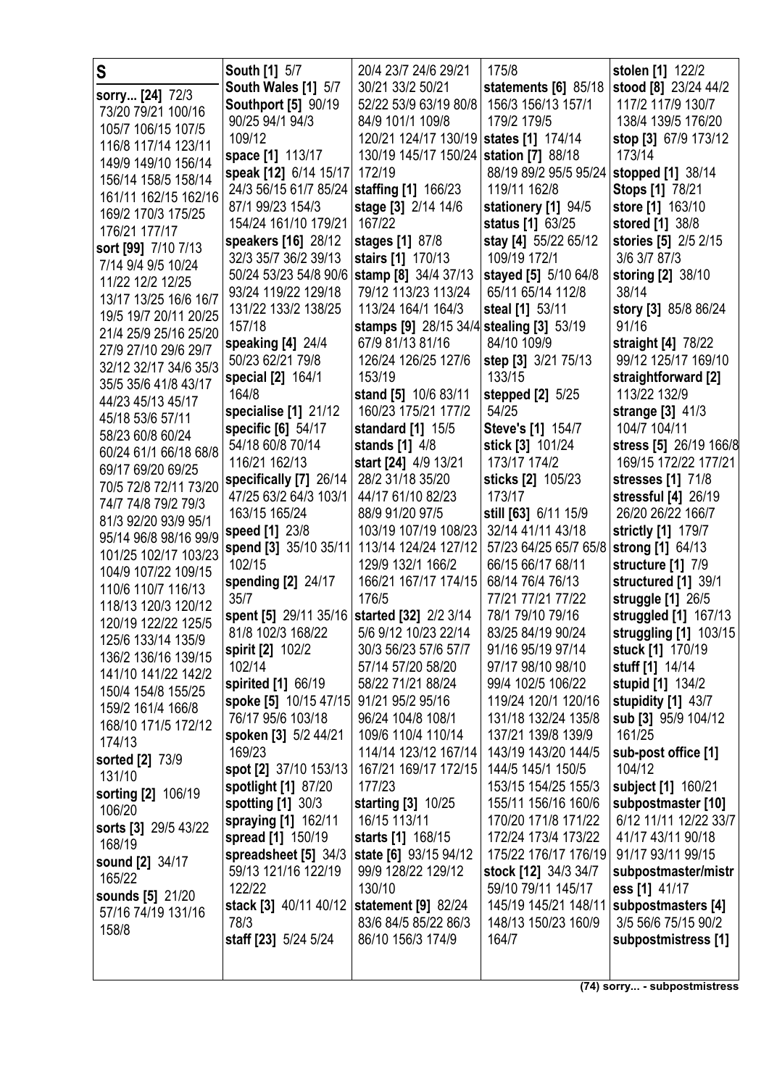|                        |                                             |                                          | 175/8                    |                          |
|------------------------|---------------------------------------------|------------------------------------------|--------------------------|--------------------------|
| S                      | <b>South [1] 5/7</b>                        | 20/4 23/7 24/6 29/21                     |                          | stolen [1] 122/2         |
| sorry [24] 72/3        | South Wales [1] 5/7                         | 30/21 33/2 50/21                         | statements [6] 85/18     | stood [8] 23/24 44/2     |
| 73/20 79/21 100/16     | <b>Southport [5] 90/19</b>                  | 52/22 53/9 63/19 80/8                    | 156/3 156/13 157/1       | 117/2 117/9 130/7        |
|                        | 90/25 94/1 94/3                             | 84/9 101/1 109/8                         | 179/2 179/5              | 138/4 139/5 176/20       |
| 105/7 106/15 107/5     | 109/12                                      | 120/21 124/17 130/19 states [1] 174/14   |                          | stop [3] 67/9 173/12     |
| 116/8 117/14 123/11    | space [1] 113/17                            | 130/19 145/17 150/24 station [7] 88/18   |                          | 173/14                   |
| 149/9 149/10 156/14    | speak [12] 6/14 15/17                       | 172/19                                   | 88/19 89/2 95/5 95/24    |                          |
| 156/14 158/5 158/14    |                                             |                                          |                          | <b>stopped</b> [1] 38/14 |
| 161/11 162/15 162/16   | 24/3 56/15 61/7 85/24                       | staffing [1] 166/23                      | 119/11 162/8             | <b>Stops [1] 78/21</b>   |
| 169/2 170/3 175/25     | 87/1 99/23 154/3                            | stage [3] 2/14 14/6                      | stationery [1] 94/5      | store [1] 163/10         |
| 176/21 177/17          | 154/24 161/10 179/21                        | 167/22                                   | status [1] 63/25         | stored [1] 38/8          |
| sort [99] 7/10 7/13    | speakers [16] 28/12                         | stages [1] 87/8                          | stay [4] 55/22 65/12     | stories [5] 2/5 2/15     |
|                        | 32/3 35/7 36/2 39/13                        | stairs [1] 170/13                        | 109/19 172/1             | 3/6 3/7 87/3             |
| 7/14 9/4 9/5 10/24     | 50/24 53/23 54/8 90/6                       | stamp [8] 34/4 37/13                     | stayed [5] 5/10 64/8     | storing [2] 38/10        |
| 11/22 12/2 12/25       | 93/24 119/22 129/18                         | 79/12 113/23 113/24                      | 65/11 65/14 112/8        | 38/14                    |
| 13/17 13/25 16/6 16/7  | 131/22 133/2 138/25                         | 113/24 164/1 164/3                       | steal [1] 53/11          | story [3] 85/8 86/24     |
| 19/5 19/7 20/11 20/25  | 157/18                                      |                                          |                          | 91/16                    |
| 21/4 25/9 25/16 25/20  |                                             | stamps [9] 28/15 34/4 stealing [3] 53/19 |                          |                          |
| 27/9 27/10 29/6 29/7   | speaking [4] 24/4                           | 67/9 81/13 81/16                         | 84/10 109/9              | straight [4] 78/22       |
| 32/12 32/17 34/6 35/3  | 50/23 62/21 79/8                            | 126/24 126/25 127/6                      | step [3] 3/21 75/13      | 99/12 125/17 169/10      |
| 35/5 35/6 41/8 43/17   | special [2] 164/1                           | 153/19                                   | 133/15                   | straightforward [2]      |
| 44/23 45/13 45/17      | 164/8                                       | stand [5] 10/6 83/11                     | stepped [2] 5/25         | 113/22 132/9             |
|                        | specialise [1] 21/12                        | 160/23 175/21 177/2                      | 54/25                    | strange [3] 41/3         |
| 45/18 53/6 57/11       | specific [6] 54/17                          | standard [1] 15/5                        | <b>Steve's [1] 154/7</b> | 104/7 104/11             |
| 58/23 60/8 60/24       | 54/18 60/8 70/14                            | stands [1] 4/8                           | stick [3] 101/24         | stress [5] 26/19 166/8   |
| 60/24 61/1 66/18 68/8  | 116/21 162/13                               | start [24] 4/9 13/21                     | 173/17 174/2             | 169/15 172/22 177/21     |
| 69/17 69/20 69/25      | specifically [7] 26/14                      | 28/2 31/18 35/20                         | sticks [2] 105/23        | stresses [1] 71/8        |
| 70/5 72/8 72/11 73/20  | 47/25 63/2 64/3 103/1                       | 44/17 61/10 82/23                        | 173/17                   | stressful [4] 26/19      |
| 74/7 74/8 79/2 79/3    |                                             |                                          |                          |                          |
| 81/3 92/20 93/9 95/1   | 163/15 165/24                               | 88/9 91/20 97/5                          | still [63] 6/11 15/9     | 26/20 26/22 166/7        |
| 95/14 96/8 98/16 99/9  | speed [1] 23/8                              | 103/19 107/19 108/23                     | 32/14 41/11 43/18        | strictly [1] 179/7       |
| 101/25 102/17 103/23   | spend [3] 35/10 35/11                       | 113/14 124/24 127/12                     | 57/23 64/25 65/7 65/8    | strong [1] 64/13         |
| 104/9 107/22 109/15    | 102/15                                      | 129/9 132/1 166/2                        | 66/15 66/17 68/11        | structure [1] 7/9        |
| 110/6 110/7 116/13     | spending [2] 24/17                          | 166/21 167/17 174/15                     | 68/14 76/4 76/13         | structured [1] 39/1      |
| 118/13 120/3 120/12    | 35/7                                        | 176/5                                    | 77/21 77/21 77/22        | struggle [1] 26/5        |
| 120/19 122/22 125/5    | spent [5] 29/11 35/16 started [32] 2/2 3/14 |                                          | 78/1 79/10 79/16         | struggled [1] 167/13     |
|                        | 81/8 102/3 168/22                           | 5/6 9/12 10/23 22/14                     | 83/25 84/19 90/24        | struggling [1] 103/15    |
| 125/6 133/14 135/9     | spirit [2] 102/2                            | 30/3 56/23 57/6 57/7                     | 91/16 95/19 97/14        | stuck [1] 170/19         |
| 136/2 136/16 139/15    | 102/14                                      | 57/14 57/20 58/20                        | 97/17 98/10 98/10        | stuff [1] 14/14          |
| 141/10 141/22 142/2    | spirited [1] 66/19                          | 58/22 71/21 88/24                        | 99/4 102/5 106/22        | stupid [1] 134/2         |
| 150/4 154/8 155/25     | spoke [5] 10/15 47/15                       | 91/21 95/2 95/16                         | 119/24 120/1 120/16      | stupidity [1] 43/7       |
| 159/2 161/4 166/8      | 76/17 95/6 103/18                           | 96/24 104/8 108/1                        | 131/18 132/24 135/8      | sub [3] 95/9 104/12      |
| 168/10 171/5 172/12    |                                             |                                          |                          |                          |
| 174/13                 | spoken [3] 5/2 44/21                        | 109/6 110/4 110/14                       | 137/21 139/8 139/9       | 161/25                   |
| <b>sorted [2] 73/9</b> | 169/23                                      | 114/14 123/12 167/14                     | 143/19 143/20 144/5      | sub-post office [1]      |
| 131/10                 | spot [2] 37/10 153/13                       | 167/21 169/17 172/15                     | 144/5 145/1 150/5        | 104/12                   |
| sorting [2] 106/19     | spotlight [1] 87/20                         | 177/23                                   | 153/15 154/25 155/3      | subject [1] 160/21       |
| 106/20                 | spotting [1] 30/3                           | starting [3] 10/25                       | 155/11 156/16 160/6      | subpostmaster [10]       |
| sorts [3] 29/5 43/22   | spraying [1] 162/11                         | 16/15 113/11                             | 170/20 171/8 171/22      | 6/12 11/11 12/22 33/7    |
| 168/19                 | spread [1] 150/19                           | starts [1] 168/15                        | 172/24 173/4 173/22      | 41/17 43/11 90/18        |
|                        | spreadsheet [5] 34/3                        | state [6] 93/15 94/12                    | 175/22 176/17 176/19     | 91/17 93/11 99/15        |
| sound [2] 34/17        | 59/13 121/16 122/19                         | 99/9 128/22 129/12                       | stock [12] 34/3 34/7     | subpostmaster/mistr      |
| 165/22                 | 122/22                                      | 130/10                                   | 59/10 79/11 145/17       | ess [1] 41/17            |
| sounds [5] 21/20       | stack [3] 40/11 40/12                       | statement [9] 82/24                      | 145/19 145/21 148/11     | subpostmasters [4]       |
| 57/16 74/19 131/16     | 78/3                                        | 83/6 84/5 85/22 86/3                     | 148/13 150/23 160/9      |                          |
| 158/8                  |                                             |                                          |                          | 3/5 56/6 75/15 90/2      |
|                        | staff [23] 5/24 5/24                        | 86/10 156/3 174/9                        | 164/7                    | subpostmistress [1]      |
|                        |                                             |                                          |                          |                          |
|                        |                                             |                                          |                          |                          |

**(74) sorry... - subpostmistress**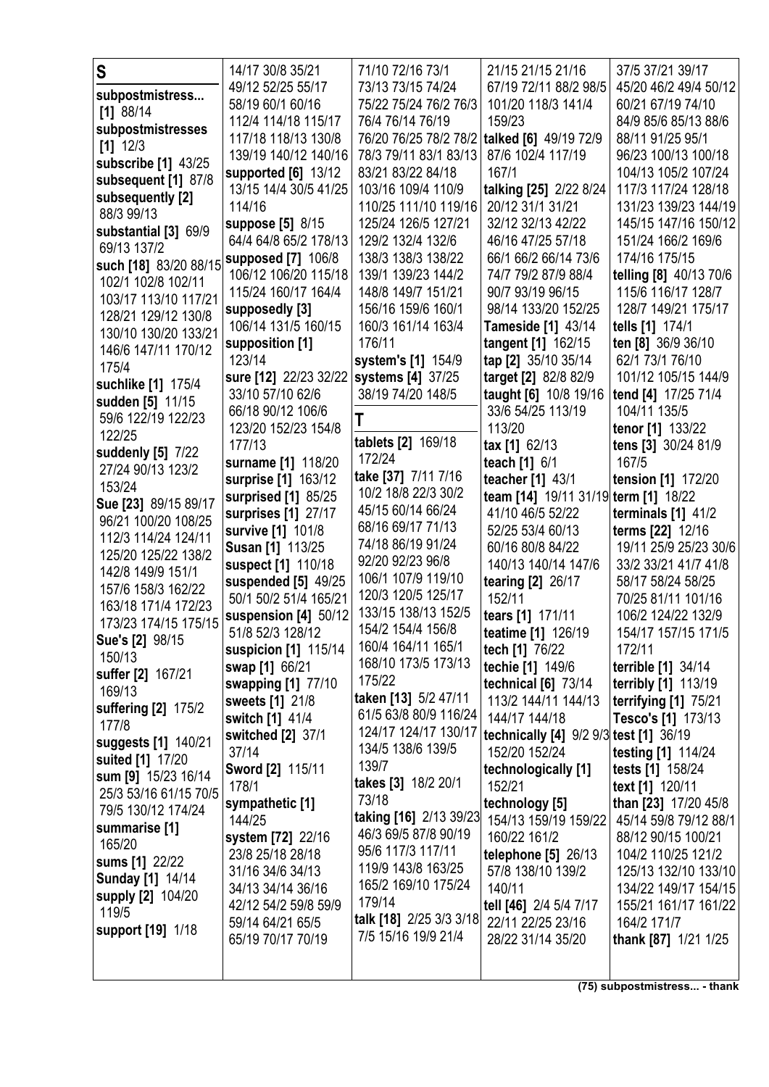| S                       | 14/17 30/8 35/21           | 71/10 72/16 73/1                         | 21/15 21/15 21/16                                       | 37/5 37/21 39/17                       |
|-------------------------|----------------------------|------------------------------------------|---------------------------------------------------------|----------------------------------------|
| subpostmistress         | 49/12 52/25 55/17          | 73/13 73/15 74/24                        | 67/19 72/11 88/2 98/5                                   | 45/20 46/2 49/4 50/12                  |
| $[1]$ 88/14             | 58/19 60/1 60/16           | 75/22 75/24 76/2 76/3                    | 101/20 118/3 141/4                                      | 60/21 67/19 74/10                      |
| subpostmistresses       | 112/4 114/18 115/17        | 76/4 76/14 76/19                         | 159/23                                                  | 84/9 85/6 85/13 88/6                   |
| $[1]$ 12/3              | 117/18 118/13 130/8        | 76/20 76/25 78/2 78/2                    | talked [6] 49/19 72/9                                   | 88/11 91/25 95/1                       |
| subscribe [1] 43/25     | 139/19 140/12 140/16       | 78/3 79/11 83/1 83/13                    | 87/6 102/4 117/19                                       | 96/23 100/13 100/18                    |
| subsequent [1] 87/8     | supported [6] 13/12        | 83/21 83/22 84/18                        | 167/1                                                   | 104/13 105/2 107/24                    |
| subsequently [2]        | 13/15 14/4 30/5 41/25      | 103/16 109/4 110/9                       | talking [25] 2/22 8/24                                  | 117/3 117/24 128/18                    |
| 88/3 99/13              | 114/16                     | 110/25 111/10 119/16                     | 20/12 31/1 31/21                                        | 131/23 139/23 144/19                   |
| substantial [3] 69/9    | suppose [5] 8/15           | 125/24 126/5 127/21                      | 32/12 32/13 42/22                                       | 145/15 147/16 150/12                   |
| 69/13 137/2             | 64/4 64/8 65/2 178/13      | 129/2 132/4 132/6                        | 46/16 47/25 57/18                                       | 151/24 166/2 169/6                     |
| such [18] 83/20 88/15   | supposed [7] 106/8         | 138/3 138/3 138/22                       | 66/1 66/2 66/14 73/6                                    | 174/16 175/15                          |
| 102/1 102/8 102/11      | 106/12 106/20 115/18       | 139/1 139/23 144/2                       | 74/7 79/2 87/9 88/4                                     | telling [8] 40/13 70/6                 |
| 103/17 113/10 117/21    | 115/24 160/17 164/4        | 148/8 149/7 151/21                       | 90/7 93/19 96/15                                        | 115/6 116/17 128/7                     |
| 128/21 129/12 130/8     | supposedly [3]             | 156/16 159/6 160/1                       | 98/14 133/20 152/25                                     | 128/7 149/21 175/17                    |
| 130/10 130/20 133/21    | 106/14 131/5 160/15        | 160/3 161/14 163/4                       | <b>Tameside [1] 43/14</b>                               | tells [1] 174/1                        |
| 146/6 147/11 170/12     | supposition [1]            | 176/11                                   | tangent [1] 162/15                                      | ten [8] 36/9 36/10                     |
| 175/4                   | 123/14                     | system's [1] 154/9                       | tap [2] 35/10 35/14                                     | 62/1 73/1 76/10                        |
| suchlike [1] 175/4      | sure [12] 22/23 32/22      | systems [4] 37/25                        | target [2] 82/8 82/9                                    | 101/12 105/15 144/9                    |
| sudden [5] 11/15        | 33/10 57/10 62/6           | 38/19 74/20 148/5                        | taught [6] 10/8 19/16                                   | tend [4] 17/25 71/4                    |
| 59/6 122/19 122/23      | 66/18 90/12 106/6          |                                          | 33/6 54/25 113/19                                       | 104/11 135/5                           |
| 122/25                  | 123/20 152/23 154/8        |                                          | 113/20                                                  | tenor [1] 133/22                       |
| suddenly [5] 7/22       | 177/13                     | tablets [2] 169/18                       | $\text{tax} [1] 62/13$                                  | tens [3] 30/24 81/9                    |
| 27/24 90/13 123/2       | surname [1] 118/20         | 172/24                                   | teach [1] 6/1                                           | 167/5                                  |
| 153/24                  | surprise [1] 163/12        | take [37] 7/11 7/16                      | teacher [1] 43/1                                        | tension [1] 172/20                     |
| Sue [23] 89/15 89/17    | surprised [1] 85/25        | 10/2 18/8 22/3 30/2                      | team [14] 19/11 31/19 term [1] 18/22                    |                                        |
| 96/21 100/20 108/25     | surprises [1] 27/17        | 45/15 60/14 66/24<br>68/16 69/17 71/13   | 41/10 46/5 52/22                                        | terminals $[1]$ 41/2                   |
| 112/3 114/24 124/11     | survive [1] 101/8          | 74/18 86/19 91/24                        | 52/25 53/4 60/13                                        | terms [22] 12/16                       |
| 125/20 125/22 138/2     | <b>Susan [1] 113/25</b>    | 92/20 92/23 96/8                         | 60/16 80/8 84/22                                        | 19/11 25/9 25/23 30/6                  |
| 142/8 149/9 151/1       | suspect [1] 110/18         |                                          | 140/13 140/14 147/6                                     | 33/2 33/21 41/7 41/8                   |
| 157/6 158/3 162/22      | suspended [5] 49/25        | 106/1 107/9 119/10<br>120/3 120/5 125/17 | tearing [2] 26/17                                       | 58/17 58/24 58/25                      |
| 163/18 171/4 172/23     | 50/1 50/2 51/4 165/21      | 133/15 138/13 152/5                      | 152/11                                                  | 70/25 81/11 101/16                     |
| 173/23 174/15 175/15    | suspension [4] 50/12       | 154/2 154/4 156/8                        | tears [1] 171/11                                        | 106/2 124/22 132/9                     |
| Sue's [2] 98/15         | 51/8 52/3 128/12           | 160/4 164/11 165/1                       | teatime [1] 126/19                                      | 154/17 157/15 171/5                    |
| 150/13                  | suspicion [1] 115/14       | 168/10 173/5 173/13                      | tech [1] 76/22                                          | 172/11                                 |
| suffer [2] 167/21       | swap [1] 66/21             | 175/22                                   | techie [1] 149/6                                        | terrible [1] 34/14                     |
| 169/13                  | swapping [1] 77/10         | taken [13] 5/2 47/11                     | technical [6] 73/14                                     | <b>terribly [1] 113/19</b>             |
| suffering [2] 175/2     | sweets [1] 21/8            | 61/5 63/8 80/9 116/24                    | 113/2 144/11 144/13                                     | terrifying [1] 75/21                   |
| 177/8                   | switch [1] 41/4            | 124/17 124/17 130/17                     | 144/17 144/18                                           | Tesco's [1] 173/13                     |
| suggests [1] 140/21     | switched [2] 37/1<br>37/14 | 134/5 138/6 139/5                        | technically [4] 9/2 9/3 test [1] 36/19<br>152/20 152/24 |                                        |
| suited [1] 17/20        | Sword [2] 115/11           | 139/7                                    |                                                         | testing [1] 114/24<br>tests [1] 158/24 |
| sum [9] 15/23 16/14     | 178/1                      | takes [3] 18/2 20/1                      | technologically [1]<br>152/21                           | text [1] 120/11                        |
| 25/3 53/16 61/15 70/5   | sympathetic [1]            | 73/18                                    | technology [5]                                          | than [23] 17/20 45/8                   |
| 79/5 130/12 174/24      | 144/25                     | taking [16] 2/13 39/23                   | 154/13 159/19 159/22                                    | 45/14 59/8 79/12 88/1                  |
| summarise [1]           | system [72] 22/16          | 46/3 69/5 87/8 90/19                     | 160/22 161/2                                            | 88/12 90/15 100/21                     |
| 165/20                  | 23/8 25/18 28/18           | 95/6 117/3 117/11                        | telephone $[5]$ 26/13                                   | 104/2 110/25 121/2                     |
| sums [1] 22/22          | 31/16 34/6 34/13           | 119/9 143/8 163/25                       | 57/8 138/10 139/2                                       | 125/13 132/10 133/10                   |
| <b>Sunday [1] 14/14</b> | 34/13 34/14 36/16          | 165/2 169/10 175/24                      | 140/11                                                  | 134/22 149/17 154/15                   |
| supply [2] 104/20       | 42/12 54/2 59/8 59/9       | 179/14                                   | tell [46] 2/4 5/4 7/17                                  | 155/21 161/17 161/22                   |
| 119/5                   | 59/14 64/21 65/5           | talk [18] 2/25 3/3 3/18                  | 22/11 22/25 23/16                                       | 164/2 171/7                            |
| support [19] 1/18       | 65/19 70/17 70/19          | 7/5 15/16 19/9 21/4                      | 28/22 31/14 35/20                                       | thank [87] 1/21 1/25                   |
|                         |                            |                                          |                                                         |                                        |
|                         |                            |                                          |                                                         |                                        |

**(75) subpostmistress... - thank**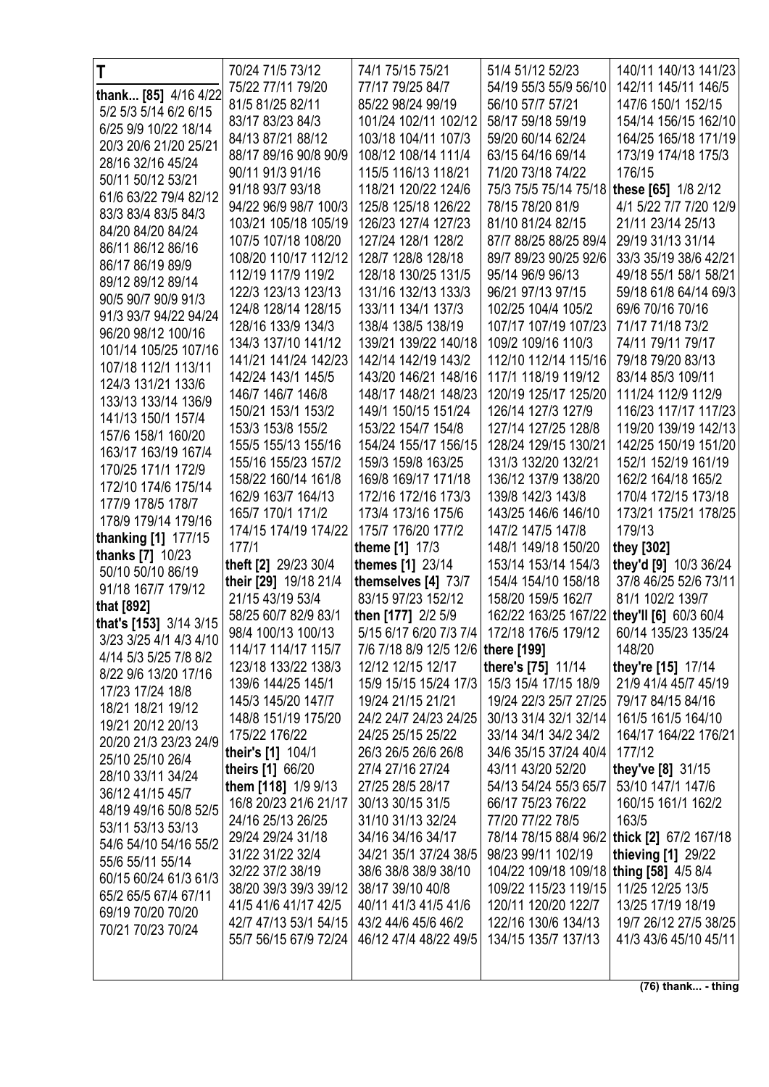| T                                      | 70/24 71/5 73/12                        | 74/1 75/15 75/21                           | 51/4 51/12 52/23                           | 140/11 140/13 141/23                        |
|----------------------------------------|-----------------------------------------|--------------------------------------------|--------------------------------------------|---------------------------------------------|
| thank [85] 4/16 4/22                   | 75/22 77/11 79/20                       | 77/17 79/25 84/7                           | 54/19 55/3 55/9 56/10                      | 142/11 145/11 146/5                         |
| 5/2 5/3 5/14 6/2 6/15                  | 81/5 81/25 82/11                        | 85/22 98/24 99/19                          | 56/10 57/7 57/21                           | 147/6 150/1 152/15                          |
| 6/25 9/9 10/22 18/14                   | 83/17 83/23 84/3                        | 101/24 102/11 102/12                       | 58/17 59/18 59/19                          | 154/14 156/15 162/10                        |
| 20/3 20/6 21/20 25/21                  | 84/13 87/21 88/12                       | 103/18 104/11 107/3                        | 59/20 60/14 62/24                          | 164/25 165/18 171/19                        |
| 28/16 32/16 45/24                      | 88/17 89/16 90/8 90/9                   | 108/12 108/14 111/4                        | 63/15 64/16 69/14                          | 173/19 174/18 175/3                         |
| 50/11 50/12 53/21                      | 90/11 91/3 91/16                        | 115/5 116/13 118/21                        | 71/20 73/18 74/22                          | 176/15                                      |
| 61/6 63/22 79/4 82/12                  | 91/18 93/7 93/18                        | 118/21 120/22 124/6                        | 75/3 75/5 75/14 75/18                      | these [65] 1/8 2/12                         |
| 83/3 83/4 83/5 84/3                    | 94/22 96/9 98/7 100/3                   | 125/8 125/18 126/22                        | 78/15 78/20 81/9                           | 4/1 5/22 7/7 7/20 12/9                      |
| 84/20 84/20 84/24                      | 103/21 105/18 105/19                    | 126/23 127/4 127/23                        | 81/10 81/24 82/15                          | 21/11 23/14 25/13                           |
| 86/11 86/12 86/16                      | 107/5 107/18 108/20                     | 127/24 128/1 128/2                         | 87/7 88/25 88/25 89/4                      | 29/19 31/13 31/14                           |
| 86/17 86/19 89/9                       | 108/20 110/17 112/12                    | 128/7 128/8 128/18                         | 89/7 89/23 90/25 92/6                      | 33/3 35/19 38/6 42/21                       |
| 89/12 89/12 89/14                      | 112/19 117/9 119/2                      | 128/18 130/25 131/5                        | 95/14 96/9 96/13                           | 49/18 55/1 58/1 58/21                       |
| 90/5 90/7 90/9 91/3                    | 122/3 123/13 123/13                     | 131/16 132/13 133/3                        | 96/21 97/13 97/15                          | 59/18 61/8 64/14 69/3                       |
| 91/3 93/7 94/22 94/24                  | 124/8 128/14 128/15                     | 133/11 134/1 137/3                         | 102/25 104/4 105/2                         | 69/6 70/16 70/16                            |
| 96/20 98/12 100/16                     | 128/16 133/9 134/3                      | 138/4 138/5 138/19                         | 107/17 107/19 107/23                       | 71/17 71/18 73/2                            |
| 101/14 105/25 107/16                   | 134/3 137/10 141/12                     | 139/21 139/22 140/18                       | 109/2 109/16 110/3                         | 74/11 79/11 79/17                           |
| 107/18 112/1 113/11                    | 141/21 141/24 142/23                    | 142/14 142/19 143/2                        | 112/10 112/14 115/16                       | 79/18 79/20 83/13                           |
| 124/3 131/21 133/6                     | 142/24 143/1 145/5                      | 143/20 146/21 148/16                       | 117/1 118/19 119/12                        | 83/14 85/3 109/11                           |
| 133/13 133/14 136/9                    | 146/7 146/7 146/8                       | 148/17 148/21 148/23                       | 120/19 125/17 125/20                       | 111/24 112/9 112/9                          |
| 141/13 150/1 157/4                     | 150/21 153/1 153/2                      | 149/1 150/15 151/24                        | 126/14 127/3 127/9                         | 116/23 117/17 117/23                        |
| 157/6 158/1 160/20                     | 153/3 153/8 155/2                       | 153/22 154/7 154/8                         | 127/14 127/25 128/8                        | 119/20 139/19 142/13                        |
| 163/17 163/19 167/4                    | 155/5 155/13 155/16                     | 154/24 155/17 156/15                       | 128/24 129/15 130/21                       | 142/25 150/19 151/20                        |
| 170/25 171/1 172/9                     | 155/16 155/23 157/2                     | 159/3 159/8 163/25                         | 131/3 132/20 132/21                        | 152/1 152/19 161/19                         |
| 172/10 174/6 175/14                    | 158/22 160/14 161/8                     | 169/8 169/17 171/18                        | 136/12 137/9 138/20                        | 162/2 164/18 165/2                          |
| 177/9 178/5 178/7                      | 162/9 163/7 164/13                      | 172/16 172/16 173/3                        | 139/8 142/3 143/8                          | 170/4 172/15 173/18                         |
| 178/9 179/14 179/16                    | 165/7 170/1 171/2                       | 173/4 173/16 175/6                         | 143/25 146/6 146/10                        | 173/21 175/21 178/25                        |
| thanking [1] 177/15                    | 174/15 174/19 174/22                    | 175/7 176/20 177/2                         | 147/2 147/5 147/8                          | 179/13                                      |
|                                        |                                         |                                            |                                            |                                             |
| thanks [7] 10/23                       | 177/1                                   | theme [1] 17/3                             | 148/1 149/18 150/20                        | they [302]                                  |
| 50/10 50/10 86/19                      | theft [2] 29/23 30/4                    | themes [1] 23/14                           | 153/14 153/14 154/3                        | they'd [9] 10/3 36/24                       |
| 91/18 167/7 179/12                     | their [29] 19/18 21/4                   | themselves [4] 73/7                        | 154/4 154/10 158/18                        | 37/8 46/25 52/6 73/11                       |
| that [892]                             | 21/15 43/19 53/4                        | 83/15 97/23 152/12                         | 158/20 159/5 162/7                         | 81/1 102/2 139/7                            |
| that's [153] 3/14 3/15                 | 58/25 60/7 82/9 83/1                    | then [177] 2/2 5/9                         | 162/22 163/25 167/22                       | they'll [6] 60/3 60/4                       |
| 3/23 3/25 4/1 4/3 4/10                 | 98/4 100/13 100/13                      | 5/15 6/17 6/20 7/3 7/4 172/18 176/5 179/12 |                                            | 60/14 135/23 135/24                         |
| 4/14 5/3 5/25 7/8 8/2                  | 114/17 114/17 115/7                     | 7/6 7/18 8/9 12/5 12/6 there [199]         |                                            | 148/20                                      |
| 8/22 9/6 13/20 17/16                   | 123/18 133/22 138/3                     | 12/12 12/15 12/17                          | there's [75] 11/14                         | they're [15] 17/14                          |
| 17/23 17/24 18/8                       | 139/6 144/25 145/1                      | 15/9 15/15 15/24 17/3 15/3 15/4 17/15 18/9 |                                            | 21/9 41/4 45/7 45/19                        |
| 18/21 18/21 19/12                      | 145/3 145/20 147/7                      | 19/24 21/15 21/21<br>24/2 24/7 24/23 24/25 | 19/24 22/3 25/7 27/25                      | 79/17 84/15 84/16                           |
| 19/21 20/12 20/13                      | 148/8 151/19 175/20                     |                                            | 30/13 31/4 32/1 32/14                      | 161/5 161/5 164/10                          |
| 20/20 21/3 23/23 24/9                  | 175/22 176/22                           | 24/25 25/15 25/22                          | 33/14 34/1 34/2 34/2                       | 164/17 164/22 176/21<br>177/12              |
| 25/10 25/10 26/4                       | their's [1] 104/1                       | 26/3 26/5 26/6 26/8<br>27/4 27/16 27/24    | 34/6 35/15 37/24 40/4<br>43/11 43/20 52/20 |                                             |
| 28/10 33/11 34/24                      | theirs [1] 66/20<br>them [118] 1/9 9/13 | 27/25 28/5 28/17                           | 54/13 54/24 55/3 65/7                      | they've [8] 31/15<br>53/10 147/1 147/6      |
| 36/12 41/15 45/7                       | 16/8 20/23 21/6 21/17                   | 30/13 30/15 31/5                           | 66/17 75/23 76/22                          | 160/15 161/1 162/2                          |
| 48/19 49/16 50/8 52/5                  | 24/16 25/13 26/25                       | 31/10 31/13 32/24                          | 77/20 77/22 78/5                           | 163/5                                       |
| 53/11 53/13 53/13                      | 29/24 29/24 31/18                       | 34/16 34/16 34/17                          |                                            | 78/14 78/15 88/4 96/2 thick [2] 67/2 167/18 |
| 54/6 54/10 54/16 55/2                  | 31/22 31/22 32/4                        | 34/21 35/1 37/24 38/5                      | 98/23 99/11 102/19                         | thieving [1] 29/22                          |
| 55/6 55/11 55/14                       | 32/22 37/2 38/19                        | 38/6 38/8 38/9 38/10                       | 104/22 109/18 109/18 thing [58] 4/5 8/4    |                                             |
| 60/15 60/24 61/3 61/3                  | 38/20 39/3 39/3 39/12                   | 38/17 39/10 40/8                           | 109/22 115/23 119/15                       | 11/25 12/25 13/5                            |
| 65/2 65/5 67/4 67/11                   | 41/5 41/6 41/17 42/5                    | 40/11 41/3 41/5 41/6                       | 120/11 120/20 122/7                        | 13/25 17/19 18/19                           |
| 69/19 70/20 70/20<br>70/21 70/23 70/24 | 42/7 47/13 53/1 54/15                   | 43/2 44/6 45/6 46/2                        | 122/16 130/6 134/13                        | 19/7 26/12 27/5 38/25                       |
|                                        | 55/7 56/15 67/9 72/24                   | 46/12 47/4 48/22 49/5                      | 134/15 135/7 137/13                        | 41/3 43/6 45/10 45/11                       |
|                                        |                                         |                                            |                                            |                                             |

**(76) thank... - thing**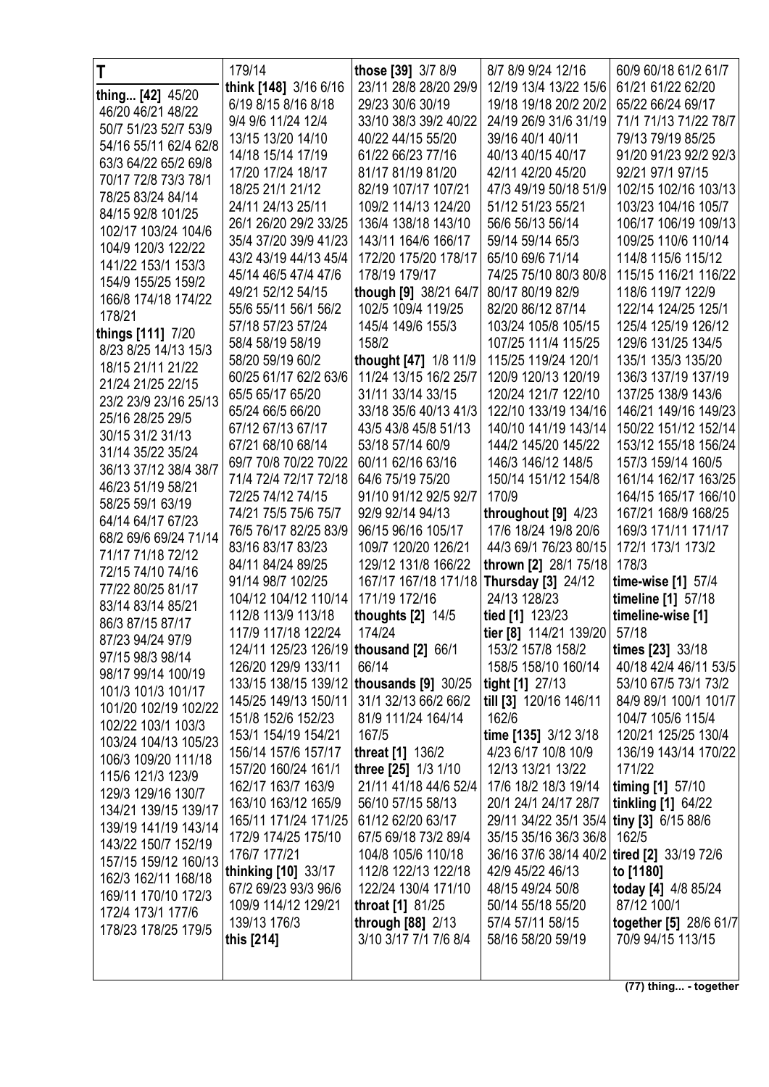| T                                           | 179/14                                   | those [39] 3/7 8/9                         | 8/7 8/9 9/24 12/16                         | 60/9 60/18 61/2 61/7                     |
|---------------------------------------------|------------------------------------------|--------------------------------------------|--------------------------------------------|------------------------------------------|
| thing [42] 45/20                            | think [148] 3/16 6/16                    | 23/11 28/8 28/20 29/9                      | 12/19 13/4 13/22 15/6                      | 61/21 61/22 62/20                        |
| 46/20 46/21 48/22                           | 6/19 8/15 8/16 8/18                      | 29/23 30/6 30/19                           | 19/18 19/18 20/2 20/2                      | 65/22 66/24 69/17                        |
| 50/7 51/23 52/7 53/9                        | 9/4 9/6 11/24 12/4                       | 33/10 38/3 39/2 40/22                      | 24/19 26/9 31/6 31/19                      | 71/1 71/13 71/22 78/7                    |
| 54/16 55/11 62/4 62/8                       | 13/15 13/20 14/10                        | 40/22 44/15 55/20                          | 39/16 40/1 40/11                           | 79/13 79/19 85/25                        |
| 63/3 64/22 65/2 69/8                        | 14/18 15/14 17/19                        | 61/22 66/23 77/16                          | 40/13 40/15 40/17                          | 91/20 91/23 92/2 92/3                    |
| 70/17 72/8 73/3 78/1                        | 17/20 17/24 18/17                        | 81/17 81/19 81/20                          | 42/11 42/20 45/20                          | 92/21 97/1 97/15                         |
| 78/25 83/24 84/14                           | 18/25 21/1 21/12                         | 82/19 107/17 107/21                        | 47/3 49/19 50/18 51/9                      | 102/15 102/16 103/13                     |
| 84/15 92/8 101/25                           | 24/11 24/13 25/11                        | 109/2 114/13 124/20                        | 51/12 51/23 55/21                          | 103/23 104/16 105/7                      |
| 102/17 103/24 104/6                         | 26/1 26/20 29/2 33/25                    | 136/4 138/18 143/10                        | 56/6 56/13 56/14                           | 106/17 106/19 109/13                     |
| 104/9 120/3 122/22                          | 35/4 37/20 39/9 41/23                    | 143/11 164/6 166/17                        | 59/14 59/14 65/3                           | 109/25 110/6 110/14                      |
| 141/22 153/1 153/3                          | 43/2 43/19 44/13 45/4                    | 172/20 175/20 178/17                       | 65/10 69/6 71/14                           | 114/8 115/6 115/12                       |
| 154/9 155/25 159/2                          | 45/14 46/5 47/4 47/6                     | 178/19 179/17                              | 74/25 75/10 80/3 80/8                      | 115/15 116/21 116/22                     |
| 166/8 174/18 174/22                         | 49/21 52/12 54/15                        | though [9] 38/21 64/7                      | 80/17 80/19 82/9                           | 118/6 119/7 122/9                        |
| 178/21                                      | 55/6 55/11 56/1 56/2                     | 102/5 109/4 119/25                         | 82/20 86/12 87/14                          | 122/14 124/25 125/1                      |
| things [111] 7/20                           | 57/18 57/23 57/24                        | 145/4 149/6 155/3                          | 103/24 105/8 105/15                        | 125/4 125/19 126/12                      |
| 8/23 8/25 14/13 15/3                        | 58/4 58/19 58/19                         | 158/2                                      | 107/25 111/4 115/25                        | 129/6 131/25 134/5                       |
| 18/15 21/11 21/22                           | 58/20 59/19 60/2                         | thought [47] 1/8 11/9                      | 115/25 119/24 120/1                        | 135/1 135/3 135/20                       |
| 21/24 21/25 22/15                           | 60/25 61/17 62/2 63/6                    | 11/24 13/15 16/2 25/7                      | 120/9 120/13 120/19                        | 136/3 137/19 137/19                      |
| 23/2 23/9 23/16 25/13                       | 65/5 65/17 65/20                         | 31/11 33/14 33/15                          | 120/24 121/7 122/10                        | 137/25 138/9 143/6                       |
| 25/16 28/25 29/5                            | 65/24 66/5 66/20                         | 33/18 35/6 40/13 41/3                      | 122/10 133/19 134/16                       | 146/21 149/16 149/23                     |
| 30/15 31/2 31/13                            | 67/12 67/13 67/17                        | 43/5 43/8 45/8 51/13                       | 140/10 141/19 143/14                       | 150/22 151/12 152/14                     |
| 31/14 35/22 35/24                           | 67/21 68/10 68/14                        | 53/18 57/14 60/9                           | 144/2 145/20 145/22                        | 153/12 155/18 156/24                     |
| 36/13 37/12 38/4 38/7                       | 69/7 70/8 70/22 70/22                    | 60/11 62/16 63/16                          | 146/3 146/12 148/5                         | 157/3 159/14 160/5                       |
| 46/23 51/19 58/21                           | 71/4 72/4 72/17 72/18                    | 64/6 75/19 75/20                           | 150/14 151/12 154/8                        | 161/14 162/17 163/25                     |
| 58/25 59/1 63/19                            | 72/25 74/12 74/15                        | 91/10 91/12 92/5 92/7                      | 170/9                                      | 164/15 165/17 166/10                     |
| 64/14 64/17 67/23                           | 74/21 75/5 75/6 75/7                     | 92/9 92/14 94/13                           | throughout [9] 4/23                        | 167/21 168/9 168/25                      |
| 68/2 69/6 69/24 71/14                       | 76/5 76/17 82/25 83/9                    | 96/15 96/16 105/17                         | 17/6 18/24 19/8 20/6                       | 169/3 171/11 171/17                      |
| 71/17 71/18 72/12                           | 83/16 83/17 83/23<br>84/11 84/24 89/25   | 109/7 120/20 126/21<br>129/12 131/8 166/22 | 44/3 69/1 76/23 80/15                      | 172/1 173/1 173/2<br>178/3               |
| 72/15 74/10 74/16                           | 91/14 98/7 102/25                        | 167/17 167/18 171/18                       | thrown [2] 28/1 75/18                      |                                          |
| 77/22 80/25 81/17                           | 104/12 104/12 110/14                     | 171/19 172/16                              | <b>Thursday [3] 24/12</b><br>24/13 128/23  | time-wise [1] 57/4<br>timeline [1] 57/18 |
| 83/14 83/14 85/21                           | 112/8 113/9 113/18                       | thoughts $[2]$ 14/5                        | tied [1] 123/23                            | timeline-wise [1]                        |
| 86/3 87/15 87/17                            | 117/9 117/18 122/24                      | 174/24                                     | tier [8] 114/21 139/20   57/18             |                                          |
| 87/23 94/24 97/9                            | 124/11 125/23 126/19   thousand [2] 66/1 |                                            | 153/2 157/8 158/2                          | times [23] 33/18                         |
| 97/15 98/3 98/14                            | 126/20 129/9 133/11                      | 66/14                                      | 158/5 158/10 160/14                        | 40/18 42/4 46/11 53/5                    |
| 98/17 99/14 100/19                          | 133/15 138/15 139/12 thousands [9] 30/25 |                                            | tight [1] 27/13                            | 53/10 67/5 73/1 73/2                     |
| 101/3 101/3 101/17                          | 145/25 149/13 150/11                     | 31/1 32/13 66/2 66/2                       | till [3] 120/16 146/11                     | 84/9 89/1 100/1 101/7                    |
| 101/20 102/19 102/22                        | 151/8 152/6 152/23                       | 81/9 111/24 164/14                         | 162/6                                      | 104/7 105/6 115/4                        |
| 102/22 103/1 103/3                          | 153/1 154/19 154/21                      | 167/5                                      | time [135] 3/12 3/18                       | 120/21 125/25 130/4                      |
| 103/24 104/13 105/23                        | 156/14 157/6 157/17                      | threat [1] 136/2                           | 4/23 6/17 10/8 10/9                        | 136/19 143/14 170/22                     |
| 106/3 109/20 111/18                         | 157/20 160/24 161/1                      | three [25] 1/3 1/10                        | 12/13 13/21 13/22                          | 171/22                                   |
| 115/6 121/3 123/9                           | 162/17 163/7 163/9                       | 21/11 41/18 44/6 52/4                      | 17/6 18/2 18/3 19/14                       | timing [1] 57/10                         |
| 129/3 129/16 130/7                          | 163/10 163/12 165/9                      | 56/10 57/15 58/13                          | 20/1 24/1 24/17 28/7                       | tinkling [1] 64/22                       |
| 134/21 139/15 139/17                        | 165/11 171/24 171/25                     | 61/12 62/20 63/17                          | 29/11 34/22 35/1 35/4 tiny [3] 6/15 88/6   |                                          |
| 139/19 141/19 143/14<br>143/22 150/7 152/19 | 172/9 174/25 175/10                      | 67/5 69/18 73/2 89/4                       | 35/15 35/16 36/3 36/8   162/5              |                                          |
| 157/15 159/12 160/13                        | 176/7 177/21                             | 104/8 105/6 110/18                         | 36/16 37/6 38/14 40/2 tired [2] 33/19 72/6 |                                          |
| 162/3 162/11 168/18                         | thinking [10] 33/17                      | 112/8 122/13 122/18                        | 42/9 45/22 46/13                           | to [1180]                                |
| 169/11 170/10 172/3                         | 67/2 69/23 93/3 96/6                     | 122/24 130/4 171/10                        | 48/15 49/24 50/8                           | today [4] 4/8 85/24                      |
| 172/4 173/1 177/6                           | 109/9 114/12 129/21                      | throat [1] 81/25                           | 50/14 55/18 55/20                          | 87/12 100/1                              |
| 178/23 178/25 179/5                         | 139/13 176/3                             | through [88] 2/13                          | 57/4 57/11 58/15                           | together [5] 28/6 61/7                   |
|                                             | this [214]                               | 3/10 3/17 7/1 7/6 8/4                      | 58/16 58/20 59/19                          | 70/9 94/15 113/15                        |
|                                             |                                          |                                            |                                            |                                          |
|                                             |                                          |                                            |                                            |                                          |

(77) thing... - together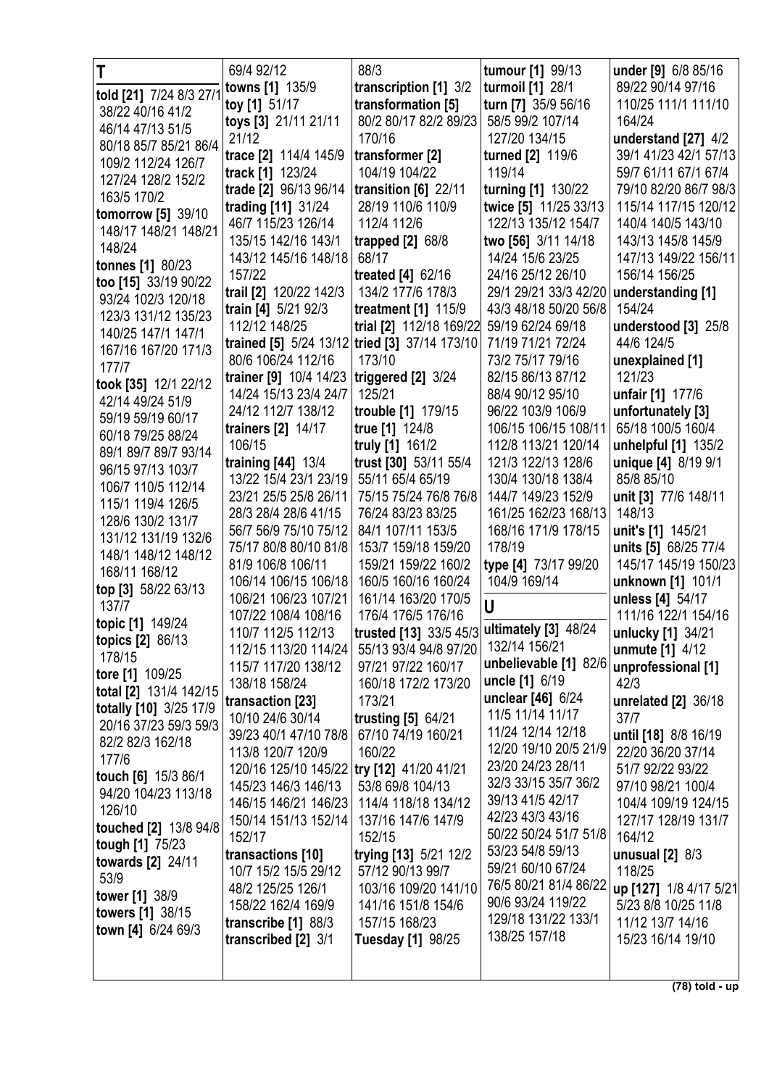| Τ                         | 69/4 92/12                                     | 88/3                                          | tumour [1] 99/13                           | under [9] 6/8 85/16                          |
|---------------------------|------------------------------------------------|-----------------------------------------------|--------------------------------------------|----------------------------------------------|
| told [21] 7/24 8/3 27/1   | towns [1] 135/9                                | transcription [1] 3/2                         | turmoil [1] 28/1                           | 89/22 90/14 97/16                            |
| 38/22 40/16 41/2          | toy [1] 51/17                                  | transformation [5]                            | turn [7] 35/9 56/16                        | 110/25 111/1 111/10                          |
| 46/14 47/13 51/5          | toys [3] 21/11 21/11                           | 80/2 80/17 82/2 89/23                         | 58/5 99/2 107/14                           | 164/24                                       |
| 80/18 85/7 85/21 86/4     | 21/12                                          | 170/16                                        | 127/20 134/15                              | understand [27] 4/2                          |
| 109/2 112/24 126/7        | trace [2] 114/4 145/9                          | transformer [2]                               | turned [2] 119/6                           | 39/1 41/23 42/1 57/13                        |
| 127/24 128/2 152/2        | track [1] 123/24                               | 104/19 104/22                                 | 119/14                                     | 59/7 61/11 67/1 67/4                         |
| 163/5 170/2               | trade [2] 96/13 96/14                          | transition [6] 22/11                          | turning [1] 130/22                         | 79/10 82/20 86/7 98/3                        |
| tomorrow [5] 39/10        | trading [11] 31/24                             | 28/19 110/6 110/9                             | twice [5] 11/25 33/13                      | 115/14 117/15 120/12                         |
| 148/17 148/21 148/21      | 46/7 115/23 126/14                             | 112/4 112/6                                   | 122/13 135/12 154/7                        | 140/4 140/5 143/10                           |
| 148/24                    | 135/15 142/16 143/1                            | trapped $[2]$ 68/8                            | two [56] 3/11 14/18                        | 143/13 145/8 145/9                           |
| tonnes [1] 80/23          | 143/12 145/16 148/18                           | 68/17                                         | 14/24 15/6 23/25                           | 147/13 149/22 156/11                         |
| too [15] 33/19 90/22      | 157/22                                         | treated $[4]$ 62/16                           | 24/16 25/12 26/10                          | 156/14 156/25                                |
| 93/24 102/3 120/18        | trail [2] 120/22 142/3                         | 134/2 177/6 178/3                             | 29/1 29/21 33/3 42/20                      | understanding [1]                            |
| 123/3 131/12 135/23       | train [4] 5/21 92/3                            | treatment [1] 115/9                           | 43/3 48/18 50/20 56/8                      | 154/24                                       |
| 140/25 147/1 147/1        | 112/12 148/25                                  | trial [2] 112/18 169/22                       | 59/19 62/24 69/18                          | understood $[3]$ 25/8                        |
| 167/16 167/20 171/3       |                                                | trained [5] 5/24 13/12 tried [3] 37/14 173/10 | 71/19 71/21 72/24                          | 44/6 124/5                                   |
| 177/7                     | 80/6 106/24 112/16                             | 173/10                                        | 73/2 75/17 79/16                           | unexplained [1]                              |
| took [35] 12/1 22/12      | trainer [9] 10/4 14/23                         | triggered [2] 3/24                            | 82/15 86/13 87/12                          | 121/23                                       |
| 42/14 49/24 51/9          | 14/24 15/13 23/4 24/7                          | 125/21                                        | 88/4 90/12 95/10                           | unfair [1] 177/6                             |
| 59/19 59/19 60/17         | 24/12 112/7 138/12                             | trouble [1] 179/15                            | 96/22 103/9 106/9                          | unfortunately [3]                            |
| 60/18 79/25 88/24         | trainers [2] 14/17                             | true [1] 124/8                                | 106/15 106/15 108/11                       | 65/18 100/5 160/4                            |
| 89/1 89/7 89/7 93/14      | 106/15                                         | truly [1] 161/2                               | 112/8 113/21 120/14                        | unhelpful [1] 135/2                          |
| 96/15 97/13 103/7         | training $[44]$ 13/4                           | trust [30] 53/11 55/4                         | 121/3 122/13 128/6                         | unique [4] 8/19 9/1                          |
| 106/7 110/5 112/14        | 13/22 15/4 23/1 23/19                          | 55/11 65/4 65/19                              | 130/4 130/18 138/4                         | 85/8 85/10                                   |
| 115/1 119/4 126/5         | 23/21 25/5 25/8 26/11                          | 75/15 75/24 76/8 76/8                         | 144/7 149/23 152/9                         | unit [3] 77/6 148/11                         |
| 128/6 130/2 131/7         | 28/3 28/4 28/6 41/15                           | 76/24 83/23 83/25                             | 161/25 162/23 168/13                       | 148/13                                       |
| 131/12 131/19 132/6       | 56/7 56/9 75/10 75/12<br>75/17 80/8 80/10 81/8 | 84/1 107/11 153/5<br>153/7 159/18 159/20      | 168/16 171/9 178/15<br>178/19              | unit's [1] 145/21                            |
| 148/1 148/12 148/12       | 81/9 106/8 106/11                              | 159/21 159/22 160/2                           | type [4] 73/17 99/20                       | units [5] 68/25 77/4<br>145/17 145/19 150/23 |
| 168/11 168/12             | 106/14 106/15 106/18                           | 160/5 160/16 160/24                           | 104/9 169/14                               | unknown [1] 101/1                            |
| top [3] 58/22 63/13       | 106/21 106/23 107/21                           | 161/14 163/20 170/5                           |                                            | unless [4] 54/17                             |
| 137/7                     | 107/22 108/4 108/16                            | 176/4 176/5 176/16                            | U                                          | 111/16 122/1 154/16                          |
| topic [1] 149/24          | 110/7 112/5 112/13                             | trusted [13] 33/5 45/3 ultimately [3] 48/24   |                                            | unlucky [1] 34/21                            |
| <b>topics [2]</b> $86/13$ | 112/15 113/20 114/24                           | 55/13 93/4 94/8 97/20                         | 132/14 156/21                              | unmute [1] 4/12                              |
| 178/15                    | 115/7 117/20 138/12                            | 97/21 97/22 160/17                            | unbelievable [1] 82/6                      | unprofessional [1]                           |
| tore [1] 109/25           | 138/18 158/24                                  | 160/18 172/2 173/20                           | uncle [1] 6/19                             | 42/3                                         |
| total [2] 131/4 142/15    | transaction [23]                               | 173/21                                        | unclear [46] 6/24                          | unrelated [2] 36/18                          |
| totally [10] 3/25 17/9    | 10/10 24/6 30/14                               | trusting [5] 64/21                            | 11/5 11/14 11/17                           | 37/7                                         |
| 20/16 37/23 59/3 59/3     | 39/23 40/1 47/10 78/8                          | 67/10 74/19 160/21                            | 11/24 12/14 12/18                          | until [18] 8/8 16/19                         |
| 82/2 82/3 162/18<br>177/6 | 113/8 120/7 120/9                              | 160/22                                        | 12/20 19/10 20/5 21/9                      | 22/20 36/20 37/14                            |
| touch [6] 15/3 86/1       | 120/16 125/10 145/22 try [12] 41/20 41/21      |                                               | 23/20 24/23 28/11                          | 51/7 92/22 93/22                             |
| 94/20 104/23 113/18       | 145/23 146/3 146/13                            | 53/8 69/8 104/13                              | 32/3 33/15 35/7 36/2                       | 97/10 98/21 100/4                            |
| 126/10                    | 146/15 146/21 146/23                           | 114/4 118/18 134/12                           | 39/13 41/5 42/17                           | 104/4 109/19 124/15                          |
| touched [2] 13/8 94/8     | 150/14 151/13 152/14                           | 137/16 147/6 147/9                            | 42/23 43/3 43/16                           | 127/17 128/19 131/7                          |
| tough [1] 75/23           | 152/17                                         | 152/15                                        | 50/22 50/24 51/7 51/8                      | 164/12                                       |
| towards [2] 24/11         | transactions [10]                              | trying [13] 5/21 12/2                         | 53/23 54/8 59/13                           | unusual $[2]$ 8/3                            |
| 53/9                      | 10/7 15/2 15/5 29/12                           | 57/12 90/13 99/7                              | 59/21 60/10 67/24                          | 118/25                                       |
| tower [1] 38/9            | 48/2 125/25 126/1                              | 103/16 109/20 141/10                          | 76/5 80/21 81/4 86/22<br>90/6 93/24 119/22 | up [127] 1/8 4/17 5/21                       |
| towers [1] 38/15          | 158/22 162/4 169/9                             | 141/16 151/8 154/6                            | 129/18 131/22 133/1                        | 5/23 8/8 10/25 11/8                          |
| town [4] $6/24$ $69/3$    | transcribe [1] 88/3                            | 157/15 168/23                                 | 138/25 157/18                              | 11/12 13/7 14/16                             |
|                           | transcribed [2] 3/1                            | <b>Tuesday [1] 98/25</b>                      |                                            | 15/23 16/14 19/10                            |
|                           |                                                |                                               |                                            |                                              |
|                           |                                                |                                               |                                            | $(78)$ told - up                             |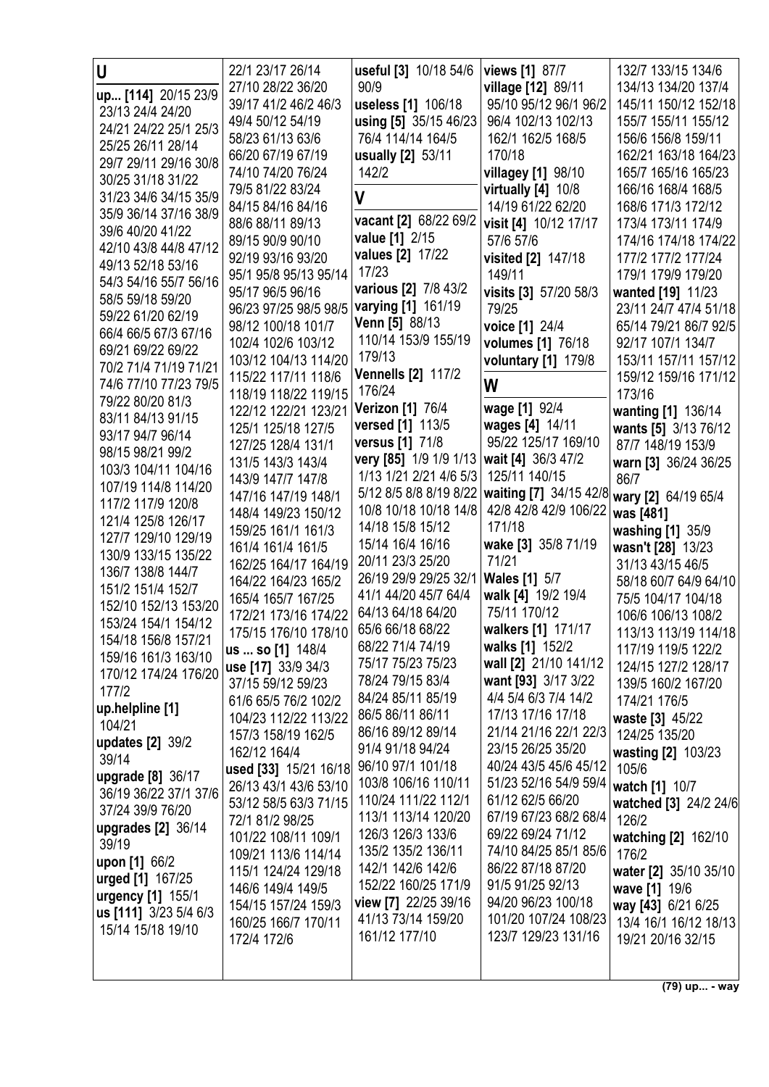| U                       | 22/1 23/17 26/14      | useful [3] 10/18 54/6     | views [1] 87/7         | 132/7 133/15 134/6    |
|-------------------------|-----------------------|---------------------------|------------------------|-----------------------|
| up [114] 20/15 23/9     | 27/10 28/22 36/20     | 90/9                      | village [12] 89/11     | 134/13 134/20 137/4   |
| 23/13 24/4 24/20        | 39/17 41/2 46/2 46/3  | useless [1] 106/18        | 95/10 95/12 96/1 96/2  | 145/11 150/12 152/18  |
| 24/21 24/22 25/1 25/3   | 49/4 50/12 54/19      | using [5] 35/15 46/23     | 96/4 102/13 102/13     | 155/7 155/11 155/12   |
| 25/25 26/11 28/14       | 58/23 61/13 63/6      | 76/4 114/14 164/5         | 162/1 162/5 168/5      | 156/6 156/8 159/11    |
| 29/7 29/11 29/16 30/8   | 66/20 67/19 67/19     | usually [2] 53/11         | 170/18                 | 162/21 163/18 164/23  |
| 30/25 31/18 31/22       | 74/10 74/20 76/24     | 142/2                     | villagey [1] 98/10     | 165/7 165/16 165/23   |
| 31/23 34/6 34/15 35/9   | 79/5 81/22 83/24      | $\mathsf{V}$              | virtually $[4]$ 10/8   | 166/16 168/4 168/5    |
| 35/9 36/14 37/16 38/9   | 84/15 84/16 84/16     |                           | 14/19 61/22 62/20      | 168/6 171/3 172/12    |
| 39/6 40/20 41/22        | 88/6 88/11 89/13      | vacant [2] 68/22 69/2     | visit [4] 10/12 17/17  | 173/4 173/11 174/9    |
| 42/10 43/8 44/8 47/12   | 89/15 90/9 90/10      | value [1] 2/15            | 57/6 57/6              | 174/16 174/18 174/22  |
| 49/13 52/18 53/16       | 92/19 93/16 93/20     | values [2] 17/22          | visited [2] 147/18     | 177/2 177/2 177/24    |
| 54/3 54/16 55/7 56/16   | 95/1 95/8 95/13 95/14 | 17/23                     | 149/11                 | 179/1 179/9 179/20    |
| 58/5 59/18 59/20        | 95/17 96/5 96/16      | various [2] 7/8 43/2      | visits [3] 57/20 58/3  | wanted [19] 11/23     |
| 59/22 61/20 62/19       | 96/23 97/25 98/5 98/5 | varying [1] 161/19        | 79/25                  | 23/11 24/7 47/4 51/18 |
| 66/4 66/5 67/3 67/16    | 98/12 100/18 101/7    | Venn [5] 88/13            | voice [1] 24/4         | 65/14 79/21 86/7 92/5 |
| 69/21 69/22 69/22       | 102/4 102/6 103/12    | 110/14 153/9 155/19       | volumes [1] 76/18      | 92/17 107/1 134/7     |
| 70/2 71/4 71/19 71/21   | 103/12 104/13 114/20  | 179/13                    | voluntary [1] 179/8    | 153/11 157/11 157/12  |
| 74/6 77/10 77/23 79/5   | 115/22 117/11 118/6   | <b>Vennells [2] 117/2</b> | W                      | 159/12 159/16 171/12  |
| 79/22 80/20 81/3        | 118/19 118/22 119/15  | 176/24                    |                        | 173/16                |
| 83/11 84/13 91/15       | 122/12 122/21 123/21  | <b>Verizon [1] 76/4</b>   | wage [1] 92/4          | wanting [1] 136/14    |
| 93/17 94/7 96/14        | 125/1 125/18 127/5    | versed [1] 113/5          | wages [4] 14/11        | wants [5] 3/13 76/12  |
| 98/15 98/21 99/2        | 127/25 128/4 131/1    | <b>versus</b> [1] 71/8    | 95/22 125/17 169/10    | 87/7 148/19 153/9     |
| 103/3 104/11 104/16     | 131/5 143/3 143/4     | very [85] 1/9 1/9 1/13    | wait [4] 36/3 47/2     | warn [3] 36/24 36/25  |
| 107/19 114/8 114/20     | 143/9 147/7 147/8     | 1/13 1/21 2/21 4/6 5/3    | 125/11 140/15          | 86/7                  |
| 117/2 117/9 120/8       | 147/16 147/19 148/1   | 5/12 8/5 8/8 8/19 8/22    | waiting [7] 34/15 42/8 | wary [2] 64/19 65/4   |
| 121/4 125/8 126/17      | 148/4 149/23 150/12   | 10/8 10/18 10/18 14/8     | 42/8 42/8 42/9 106/22  | was [481]             |
| 127/7 129/10 129/19     | 159/25 161/1 161/3    | 14/18 15/8 15/12          | 171/18                 | washing [1] 35/9      |
| 130/9 133/15 135/22     | 161/4 161/4 161/5     | 15/14 16/4 16/16          | wake [3] 35/8 71/19    | wasn't [28] 13/23     |
| 136/7 138/8 144/7       | 162/25 164/17 164/19  | 20/11 23/3 25/20          | 71/21                  | 31/13 43/15 46/5      |
| 151/2 151/4 152/7       | 164/22 164/23 165/2   | 26/19 29/9 29/25 32/1     | <b>Wales</b> [1] 5/7   | 58/18 60/7 64/9 64/10 |
| 152/10 152/13 153/20    | 165/4 165/7 167/25    | 41/1 44/20 45/7 64/4      | walk [4] 19/2 19/4     | 75/5 104/17 104/18    |
| 153/24 154/1 154/12     | 172/21 173/16 174/22  | 64/13 64/18 64/20         | 75/11 170/12           | 106/6 106/13 108/2    |
| 154/18 156/8 157/21     | 175/15 176/10 178/10  | 65/6 66/18 68/22          | walkers [1] 171/17     | 113/13 113/19 114/18  |
| 159/16 161/3 163/10     | us  so [1] 148/4      | 68/22 71/4 74/19          | walks [1] 152/2        | 117/19 119/5 122/2    |
| 170/12 174/24 176/20    | use [17] 33/9 34/3    | 75/17 75/23 75/23         | wall [2] 21/10 141/12  | 124/15 127/2 128/17   |
| 177/2                   | 37/15 59/12 59/23     | 78/24 79/15 83/4          | want [93] 3/17 3/22    | 139/5 160/2 167/20    |
| up.helpline [1]         | 61/6 65/5 76/2 102/2  | 84/24 85/11 85/19         | 4/4 5/4 6/3 7/4 14/2   | 174/21 176/5          |
| 104/21                  | 104/23 112/22 113/22  | 86/5 86/11 86/11          | 17/13 17/16 17/18      | waste [3] 45/22       |
| updates [2] 39/2        | 157/3 158/19 162/5    | 86/16 89/12 89/14         | 21/14 21/16 22/1 22/3  | 124/25 135/20         |
| 39/14                   | 162/12 164/4          | 91/4 91/18 94/24          | 23/15 26/25 35/20      | wasting [2] 103/23    |
| upgrade [8] 36/17       | used [33] 15/21 16/18 | 96/10 97/1 101/18         | 40/24 43/5 45/6 45/12  | 105/6                 |
| 36/19 36/22 37/1 37/6   | 26/13 43/1 43/6 53/10 | 103/8 106/16 110/11       | 51/23 52/16 54/9 59/4  | watch [1] 10/7        |
| 37/24 39/9 76/20        | 53/12 58/5 63/3 71/15 | 110/24 111/22 112/1       | 61/12 62/5 66/20       | watched [3] 24/2 24/6 |
| upgrades [2] 36/14      | 72/1 81/2 98/25       | 113/1 113/14 120/20       | 67/19 67/23 68/2 68/4  | 126/2                 |
| 39/19                   | 101/22 108/11 109/1   | 126/3 126/3 133/6         | 69/22 69/24 71/12      | watching [2] 162/10   |
| upon [1] 66/2           | 109/21 113/6 114/14   | 135/2 135/2 136/11        | 74/10 84/25 85/1 85/6  | 176/2                 |
| <b>urged</b> [1] 167/25 | 115/1 124/24 129/18   | 142/1 142/6 142/6         | 86/22 87/18 87/20      | water [2] 35/10 35/10 |
| urgency [1] 155/1       | 146/6 149/4 149/5     | 152/22 160/25 171/9       | 91/5 91/25 92/13       | wave [1] 19/6         |
| us [111] 3/23 5/4 6/3   | 154/15 157/24 159/3   | view [7] 22/25 39/16      | 94/20 96/23 100/18     | way [43] 6/21 6/25    |
| 15/14 15/18 19/10       | 160/25 166/7 170/11   | 41/13 73/14 159/20        | 101/20 107/24 108/23   | 13/4 16/1 16/12 18/13 |
|                         | 172/4 172/6           | 161/12 177/10             | 123/7 129/23 131/16    | 19/21 20/16 32/15     |
|                         |                       |                           |                        |                       |
|                         |                       |                           |                        |                       |

**(79) up... - way**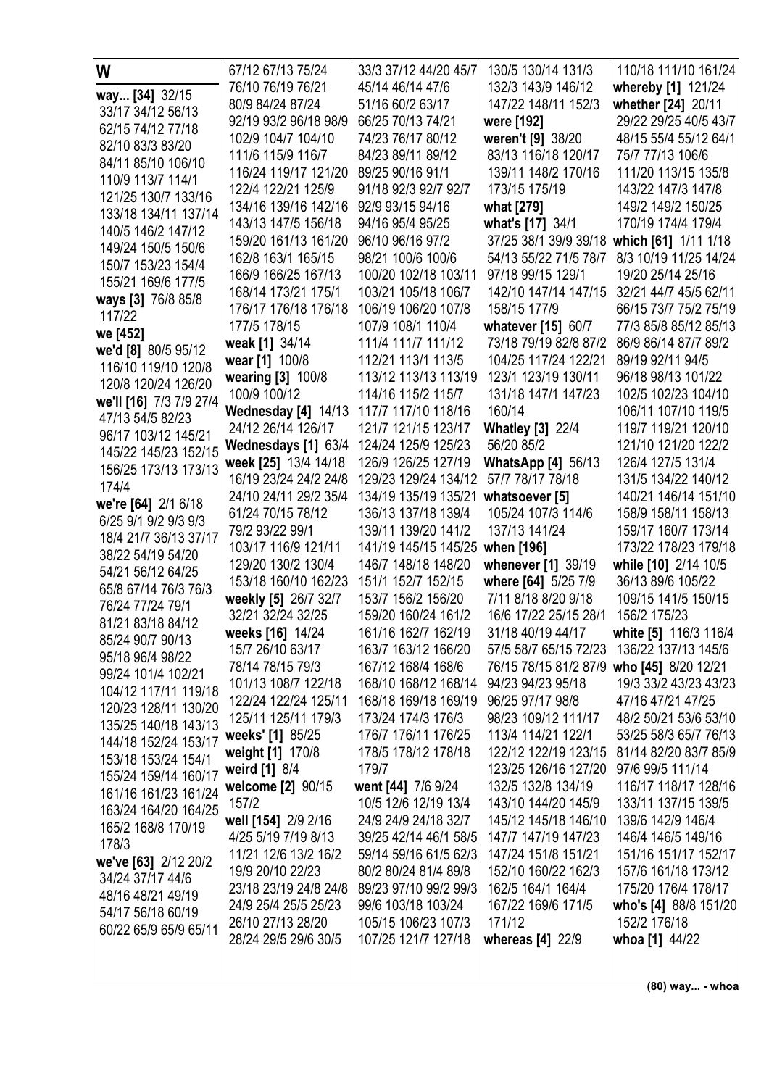| W                                          | 67/12 67/13 75/24                       | 33/3 37/12 44/20 45/7                     | 130/5 130/14 131/3                          | 110/18 111/10 161/24                          |
|--------------------------------------------|-----------------------------------------|-------------------------------------------|---------------------------------------------|-----------------------------------------------|
| way [34] 32/15                             | 76/10 76/19 76/21                       | 45/14 46/14 47/6                          | 132/3 143/9 146/12                          | whereby [1] 121/24                            |
| 33/17 34/12 56/13                          | 80/9 84/24 87/24                        | 51/16 60/2 63/17                          | 147/22 148/11 152/3                         | whether [24] 20/11                            |
| 62/15 74/12 77/18                          | 92/19 93/2 96/18 98/9                   | 66/25 70/13 74/21                         | were [192]                                  | 29/22 29/25 40/5 43/7                         |
| 82/10 83/3 83/20                           | 102/9 104/7 104/10                      | 74/23 76/17 80/12                         | weren't [9] 38/20                           | 48/15 55/4 55/12 64/1                         |
| 84/11 85/10 106/10                         | 111/6 115/9 116/7                       | 84/23 89/11 89/12                         | 83/13 116/18 120/17                         | 75/7 77/13 106/6                              |
| 110/9 113/7 114/1                          | 116/24 119/17 121/20                    | 89/25 90/16 91/1                          | 139/11 148/2 170/16                         | 111/20 113/15 135/8                           |
| 121/25 130/7 133/16                        | 122/4 122/21 125/9                      | 91/18 92/3 92/7 92/7                      | 173/15 175/19                               | 143/22 147/3 147/8                            |
| 133/18 134/11 137/14                       | 134/16 139/16 142/16                    | 92/9 93/15 94/16                          | what [279]                                  | 149/2 149/2 150/25                            |
| 140/5 146/2 147/12                         | 143/13 147/5 156/18                     | 94/16 95/4 95/25                          | what's [17] 34/1                            | 170/19 174/4 179/4                            |
| 149/24 150/5 150/6                         | 159/20 161/13 161/20                    | 96/10 96/16 97/2                          | 37/25 38/1 39/9 39/18                       | which [61] 1/11 1/18                          |
| 150/7 153/23 154/4                         | 162/8 163/1 165/15                      | 98/21 100/6 100/6                         | 54/13 55/22 71/5 78/7                       | 8/3 10/19 11/25 14/24                         |
| 155/21 169/6 177/5                         | 166/9 166/25 167/13                     | 100/20 102/18 103/11                      | 97/18 99/15 129/1                           | 19/20 25/14 25/16                             |
| ways [3] 76/8 85/8                         | 168/14 173/21 175/1                     | 103/21 105/18 106/7                       | 142/10 147/14 147/15                        | 32/21 44/7 45/5 62/11                         |
| 117/22                                     | 176/17 176/18 176/18<br>177/5 178/15    | 106/19 106/20 107/8<br>107/9 108/1 110/4  | 158/15 177/9                                | 66/15 73/7 75/2 75/19                         |
| we [452]                                   | weak [1] 34/14                          | 111/4 111/7 111/12                        | whatever [15] 60/7<br>73/18 79/19 82/8 87/2 | 77/3 85/8 85/12 85/13<br>86/9 86/14 87/7 89/2 |
| we'd [8] 80/5 95/12                        | wear [1] 100/8                          | 112/21 113/1 113/5                        | 104/25 117/24 122/21                        | 89/19 92/11 94/5                              |
| 116/10 119/10 120/8                        | wearing [3] 100/8                       | 113/12 113/13 113/19                      | 123/1 123/19 130/11                         | 96/18 98/13 101/22                            |
| 120/8 120/24 126/20                        | 100/9 100/12                            | 114/16 115/2 115/7                        | 131/18 147/1 147/23                         | 102/5 102/23 104/10                           |
| we'll [16] 7/3 7/9 27/4                    | Wednesday [4] 14/13                     | 117/7 117/10 118/16                       | 160/14                                      | 106/11 107/10 119/5                           |
| 47/13 54/5 82/23                           | 24/12 26/14 126/17                      | 121/7 121/15 123/17                       | <b>Whatley [3] 22/4</b>                     | 119/7 119/21 120/10                           |
| 96/17 103/12 145/21                        | Wednesdays [1] 63/4                     | 124/24 125/9 125/23                       | 56/20 85/2                                  | 121/10 121/20 122/2                           |
| 145/22 145/23 152/15                       | week [25] 13/4 14/18                    | 126/9 126/25 127/19                       | <b>WhatsApp [4] <math>56/13</math></b>      | 126/4 127/5 131/4                             |
| 156/25 173/13 173/13                       | 16/19 23/24 24/2 24/8                   | 129/23 129/24 134/12                      | 57/7 78/17 78/18                            | 131/5 134/22 140/12                           |
| 174/4<br>we're [64] 2/1 6/18               | 24/10 24/11 29/2 35/4                   | 134/19 135/19 135/21                      | whatsoever [5]                              | 140/21 146/14 151/10                          |
| 6/25 9/1 9/2 9/3 9/3                       | 61/24 70/15 78/12                       | 136/13 137/18 139/4                       | 105/24 107/3 114/6                          | 158/9 158/11 158/13                           |
| 18/4 21/7 36/13 37/17                      | 79/2 93/22 99/1                         | 139/11 139/20 141/2                       | 137/13 141/24                               | 159/17 160/7 173/14                           |
| 38/22 54/19 54/20                          | 103/17 116/9 121/11                     | 141/19 145/15 145/25                      | when [196]                                  | 173/22 178/23 179/18                          |
| 54/21 56/12 64/25                          | 129/20 130/2 130/4                      | 146/7 148/18 148/20                       | whenever [1] 39/19                          | while [10] 2/14 10/5                          |
| 65/8 67/14 76/3 76/3                       | 153/18 160/10 162/23                    | 151/1 152/7 152/15                        | where [64] 5/25 7/9                         | 36/13 89/6 105/22                             |
| 76/24 77/24 79/1                           | weekly [5] 26/7 32/7                    | 153/7 156/2 156/20                        | 7/11 8/18 8/20 9/18                         | 109/15 141/5 150/15                           |
| 81/21 83/18 84/12                          | 32/21 32/24 32/25                       | 159/20 160/24 161/2                       | 16/6 17/22 25/15 28/1                       | 156/2 175/23                                  |
| 85/24 90/7 90/13                           | weeks [16] 14/24                        | 161/16 162/7 162/19                       | 31/18 40/19 44/17                           | white [5] 116/3 116/4                         |
| 95/18 96/4 98/22                           | 15/7 26/10 63/17                        | 163/7 163/12 166/20<br>167/12 168/4 168/6 | 57/5 58/7 65/15 72/23 136/22 137/13 145/6   |                                               |
| 99/24 101/4 102/21                         | 78/14 78/15 79/3<br>101/13 108/7 122/18 | 168/10 168/12 168/14                      | 76/15 78/15 81/2 87/9<br>94/23 94/23 95/18  | who [45] 8/20 12/21<br>19/3 33/2 43/23 43/23  |
| 104/12 117/11 119/18                       | 122/24 122/24 125/11                    | 168/18 169/18 169/19                      | 96/25 97/17 98/8                            | 47/16 47/21 47/25                             |
| 120/23 128/11 130/20                       | 125/11 125/11 179/3                     | 173/24 174/3 176/3                        | 98/23 109/12 111/17                         | 48/2 50/21 53/6 53/10                         |
| 135/25 140/18 143/13                       | weeks' [1] 85/25                        | 176/7 176/11 176/25                       | 113/4 114/21 122/1                          | 53/25 58/3 65/7 76/13                         |
| 144/18 152/24 153/17                       | weight [1] 170/8                        | 178/5 178/12 178/18                       | 122/12 122/19 123/15                        | 81/14 82/20 83/7 85/9                         |
| 153/18 153/24 154/1                        | weird [1] 8/4                           | 179/7                                     | 123/25 126/16 127/20                        | 97/6 99/5 111/14                              |
| 155/24 159/14 160/17                       | welcome [2] 90/15                       | went [44] 7/6 9/24                        | 132/5 132/8 134/19                          | 116/17 118/17 128/16                          |
| 161/16 161/23 161/24                       | 157/2                                   | 10/5 12/6 12/19 13/4                      | 143/10 144/20 145/9                         | 133/11 137/15 139/5                           |
| 163/24 164/20 164/25<br>165/2 168/8 170/19 | well [154] 2/9 2/16                     | 24/9 24/9 24/18 32/7                      | 145/12 145/18 146/10                        | 139/6 142/9 146/4                             |
| 178/3                                      | 4/25 5/19 7/19 8/13                     | 39/25 42/14 46/1 58/5                     | 147/7 147/19 147/23                         | 146/4 146/5 149/16                            |
| we've [63] 2/12 20/2                       | 11/21 12/6 13/2 16/2                    | 59/14 59/16 61/5 62/3                     | 147/24 151/8 151/21                         | 151/16 151/17 152/17                          |
| 34/24 37/17 44/6                           | 19/9 20/10 22/23                        | 80/2 80/24 81/4 89/8                      | 152/10 160/22 162/3                         | 157/6 161/18 173/12                           |
| 48/16 48/21 49/19                          | 23/18 23/19 24/8 24/8                   | 89/23 97/10 99/2 99/3                     | 162/5 164/1 164/4                           | 175/20 176/4 178/17                           |
| 54/17 56/18 60/19                          | 24/9 25/4 25/5 25/23                    | 99/6 103/18 103/24                        | 167/22 169/6 171/5                          | who's [4] 88/8 151/20                         |
| 60/22 65/9 65/9 65/11                      | 26/10 27/13 28/20                       | 105/15 106/23 107/3                       | 171/12                                      | 152/2 176/18                                  |
|                                            | 28/24 29/5 29/6 30/5                    | 107/25 121/7 127/18                       | whereas [4] 22/9                            | whoa [1] 44/22                                |
|                                            |                                         |                                           |                                             |                                               |

(80) way... - whoa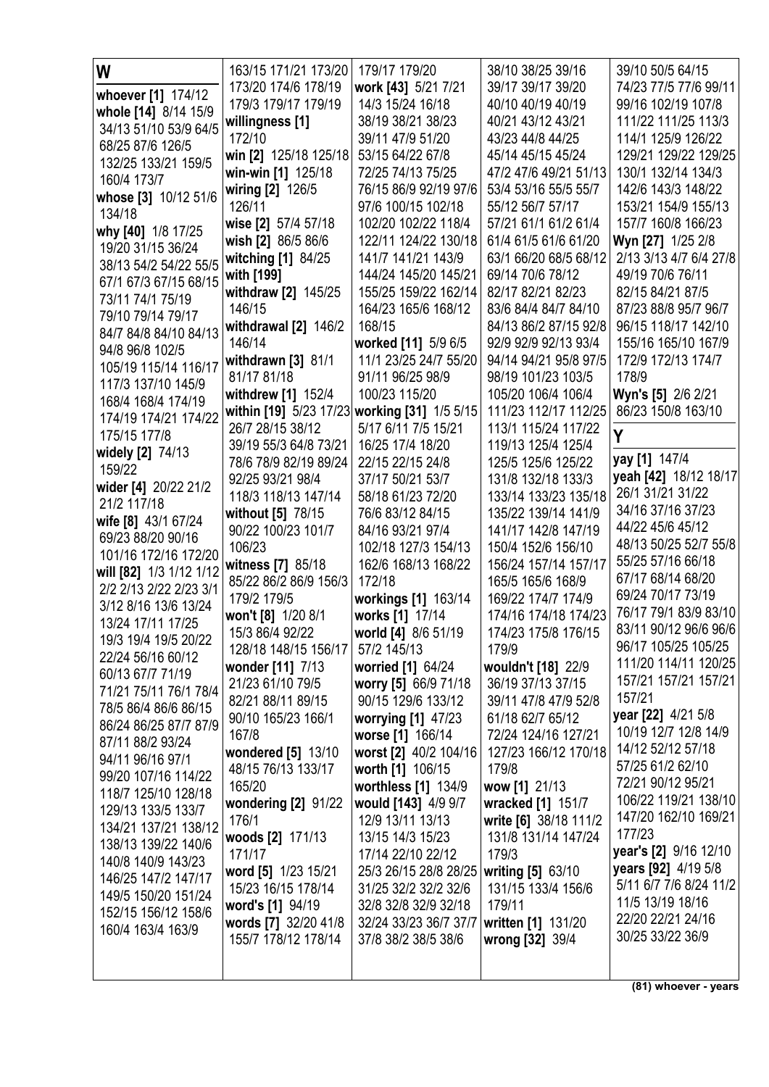| W<br>39/17 39/17 39/20<br>173/20 174/6 178/19<br>work [43] 5/21 7/21<br>74/23 77/5 77/6 99/11<br>whoever [1] 174/12<br>14/3 15/24 16/18<br>99/16 102/19 107/8<br>179/3 179/17 179/19<br>40/10 40/19 40/19<br>whole [14] 8/14 15/9<br>38/19 38/21 38/23<br>40/21 43/12 43/21<br>111/22 111/25 113/3<br>willingness [1]<br>34/13 51/10 53/9 64/5 |
|------------------------------------------------------------------------------------------------------------------------------------------------------------------------------------------------------------------------------------------------------------------------------------------------------------------------------------------------|
|                                                                                                                                                                                                                                                                                                                                                |
|                                                                                                                                                                                                                                                                                                                                                |
|                                                                                                                                                                                                                                                                                                                                                |
| 43/23 44/8 44/25<br>114/1 125/9 126/22<br>172/10<br>39/11 47/9 51/20<br>68/25 87/6 126/5                                                                                                                                                                                                                                                       |
| win [2] 125/18 125/18<br>53/15 64/22 67/8<br>45/14 45/15 45/24<br>129/21 129/22 129/25<br>132/25 133/21 159/5                                                                                                                                                                                                                                  |
| win-win [1] 125/18<br>72/25 74/13 75/25<br>47/2 47/6 49/21 51/13<br>130/1 132/14 134/3<br>160/4 173/7                                                                                                                                                                                                                                          |
| 53/4 53/16 55/5 55/7<br>142/6 143/3 148/22<br>wiring [2] 126/5<br>76/15 86/9 92/19 97/6<br>whose [3] 10/12 51/6                                                                                                                                                                                                                                |
| 126/11<br>97/6 100/15 102/18<br>55/12 56/7 57/17<br>153/21 154/9 155/13<br>134/18                                                                                                                                                                                                                                                              |
| wise [2] 57/4 57/18<br>102/20 102/22 118/4<br>57/21 61/1 61/2 61/4<br>157/7 160/8 166/23<br>why [40] 1/8 17/25                                                                                                                                                                                                                                 |
| wish [2] 86/5 86/6<br>122/11 124/22 130/18<br>61/4 61/5 61/6 61/20<br>Wyn [27] 1/25 2/8<br>19/20 31/15 36/24                                                                                                                                                                                                                                   |
| 63/1 66/20 68/5 68/12<br>2/13 3/13 4/7 6/4 27/8<br>witching [1] 84/25<br>141/7 141/21 143/9<br>38/13 54/2 54/22 55/5                                                                                                                                                                                                                           |
| with [199]<br>144/24 145/20 145/21<br>69/14 70/6 78/12<br>49/19 70/6 76/11<br>67/1 67/3 67/15 68/15                                                                                                                                                                                                                                            |
| withdraw [2] 145/25<br>82/17 82/21 82/23<br>155/25 159/22 162/14<br>82/15 84/21 87/5<br>73/11 74/1 75/19                                                                                                                                                                                                                                       |
| 146/15<br>164/23 165/6 168/12<br>83/6 84/4 84/7 84/10<br>87/23 88/8 95/7 96/7<br>79/10 79/14 79/17<br>168/15<br>84/13 86/2 87/15 92/8                                                                                                                                                                                                          |
| withdrawal [2] 146/2<br>96/15 118/17 142/10<br>84/7 84/8 84/10 84/13<br>146/14<br>worked [11] 5/9 6/5<br>92/9 92/9 92/13 93/4<br>155/16 165/10 167/9                                                                                                                                                                                           |
| 94/8 96/8 102/5<br>11/1 23/25 24/7 55/20<br>94/14 94/21 95/8 97/5<br>172/9 172/13 174/7                                                                                                                                                                                                                                                        |
| withdrawn $[3]$ 81/1<br>105/19 115/14 116/17<br>81/17 81/18<br>91/11 96/25 98/9<br>98/19 101/23 103/5<br>178/9                                                                                                                                                                                                                                 |
| 117/3 137/10 145/9<br>Wyn's [5] 2/6 2/21<br>withdrew [1] 152/4<br>100/23 115/20<br>105/20 106/4 106/4                                                                                                                                                                                                                                          |
| 168/4 168/4 174/19<br>within [19] 5/23 17/23 working [31] 1/5 5/15<br>86/23 150/8 163/10<br>111/23 112/17 112/25                                                                                                                                                                                                                               |
| 174/19 174/21 174/22<br>26/7 28/15 38/12<br>5/17 6/11 7/5 15/21<br>113/1 115/24 117/22                                                                                                                                                                                                                                                         |
| Y<br>175/15 177/8<br>39/19 55/3 64/8 73/21<br>16/25 17/4 18/20<br>119/13 125/4 125/4                                                                                                                                                                                                                                                           |
| widely [2] 74/13<br>yay [1] 147/4<br>78/6 78/9 82/19 89/24<br>22/15 22/15 24/8<br>125/5 125/6 125/22                                                                                                                                                                                                                                           |
| 159/22<br>yeah [42] 18/12 18/17<br>92/25 93/21 98/4<br>37/17 50/21 53/7<br>131/8 132/18 133/3                                                                                                                                                                                                                                                  |
| wider [4] 20/22 21/2<br>26/1 31/21 31/22<br>118/3 118/13 147/14<br>58/18 61/23 72/20<br>133/14 133/23 135/18<br>21/2 117/18                                                                                                                                                                                                                    |
| 34/16 37/16 37/23<br>without [5] 78/15<br>76/6 83/12 84/15<br>135/22 139/14 141/9<br>wife [8] 43/1 67/24                                                                                                                                                                                                                                       |
| 44/22 45/6 45/12<br>90/22 100/23 101/7<br>141/17 142/8 147/19<br>84/16 93/21 97/4<br>69/23 88/20 90/16                                                                                                                                                                                                                                         |
| 48/13 50/25 52/7 55/8<br>150/4 152/6 156/10<br>106/23<br>102/18 127/3 154/13<br>101/16 172/16 172/20                                                                                                                                                                                                                                           |
| 55/25 57/16 66/18<br>witness [7] 85/18<br>162/6 168/13 168/22<br>156/24 157/14 157/17<br>will [82] 1/3 1/12 1/12                                                                                                                                                                                                                               |
| 67/17 68/14 68/20<br>85/22 86/2 86/9 156/3<br>172/18<br>165/5 165/6 168/9<br>2/2 2/13 2/22 2/23 3/1<br>69/24 70/17 73/19                                                                                                                                                                                                                       |
| 179/2 179/5<br>workings [1] 163/14<br>169/22 174/7 174/9<br>3/12 8/16 13/6 13/24<br>76/17 79/1 83/9 83/10                                                                                                                                                                                                                                      |
| won't [8] 1/20 8/1<br>works [1] 17/14<br>174/16 174/18 174/23<br>13/24 17/11 17/25<br>83/11 90/12 96/6 96/6                                                                                                                                                                                                                                    |
| 15/3 86/4 92/22<br>174/23 175/8 176/15<br>world [4] 8/6 51/19<br>19/3 19/4 19/5 20/22<br>96/17 105/25 105/25                                                                                                                                                                                                                                   |
| 128/18 148/15 156/17<br>57/2 145/13<br>179/9<br>22/24 56/16 60/12<br>111/20 114/11 120/25<br>worried [1] 64/24                                                                                                                                                                                                                                 |
| wouldn't [18] 22/9<br>wonder [11] 7/13<br>60/13 67/7 71/19<br>157/21 157/21 157/21<br>21/23 61/10 79/5<br>worry [5] 66/9 71/18<br>36/19 37/13 37/15                                                                                                                                                                                            |
| 71/21 75/11 76/1 78/4<br>157/21<br>82/21 88/11 89/15<br>90/15 129/6 133/12<br>39/11 47/8 47/9 52/8                                                                                                                                                                                                                                             |
| 78/5 86/4 86/6 86/15<br>year [22] 4/21 5/8<br>90/10 165/23 166/1<br>61/18 62/7 65/12<br>worrying [1] 47/23                                                                                                                                                                                                                                     |
| 86/24 86/25 87/7 87/9<br>10/19 12/7 12/8 14/9<br>worse [1] 166/14<br>72/24 124/16 127/21<br>167/8                                                                                                                                                                                                                                              |
| 87/11 88/2 93/24<br>14/12 52/12 57/18<br>wondered [5] 13/10<br>worst [2] 40/2 104/16<br>127/23 166/12 170/18                                                                                                                                                                                                                                   |
| 94/11 96/16 97/1<br>57/25 61/2 62/10<br>48/15 76/13 133/17<br>worth [1] 106/15<br>179/8                                                                                                                                                                                                                                                        |
| 99/20 107/16 114/22<br>72/21 90/12 95/21<br>165/20<br>worthless [1] 134/9<br>wow [1] 21/13                                                                                                                                                                                                                                                     |
| 118/7 125/10 128/18<br>106/22 119/21 138/10<br>wondering [2] 91/22<br>would [143] 4/9 9/7<br>wracked [1] 151/7<br>129/13 133/5 133/7                                                                                                                                                                                                           |
| 147/20 162/10 169/21<br>write [6] 38/18 111/2<br>176/1<br>12/9 13/11 13/13<br>134/21 137/21 138/12                                                                                                                                                                                                                                             |
| 177/23<br>woods [2] 171/13<br>13/15 14/3 15/23<br>131/8 131/14 147/24<br>138/13 139/22 140/6                                                                                                                                                                                                                                                   |
| year's [2] 9/16 12/10<br>17/14 22/10 22/12<br>179/3<br>171/17<br>140/8 140/9 143/23                                                                                                                                                                                                                                                            |
| years [92] 4/19 5/8<br>25/3 26/15 28/8 28/25<br>writing [5] 63/10<br>word [5] 1/23 15/21<br>146/25 147/2 147/17                                                                                                                                                                                                                                |
| 5/11 6/7 7/6 8/24 11/2<br>15/23 16/15 178/14<br>31/25 32/2 32/2 32/6<br>131/15 133/4 156/6<br>149/5 150/20 151/24                                                                                                                                                                                                                              |
| 11/5 13/19 18/16<br>word's [1] 94/19<br>32/8 32/8 32/9 32/18<br>179/11<br>152/15 156/12 158/6<br>22/20 22/21 24/16                                                                                                                                                                                                                             |
| words [7] 32/20 41/8<br>written [1] 131/20<br>32/24 33/23 36/7 37/7<br>160/4 163/4 163/9<br>30/25 33/22 36/9                                                                                                                                                                                                                                   |
| 155/7 178/12 178/14<br>37/8 38/2 38/5 38/6<br>wrong [32] 39/4                                                                                                                                                                                                                                                                                  |
|                                                                                                                                                                                                                                                                                                                                                |

(81) whoever - years